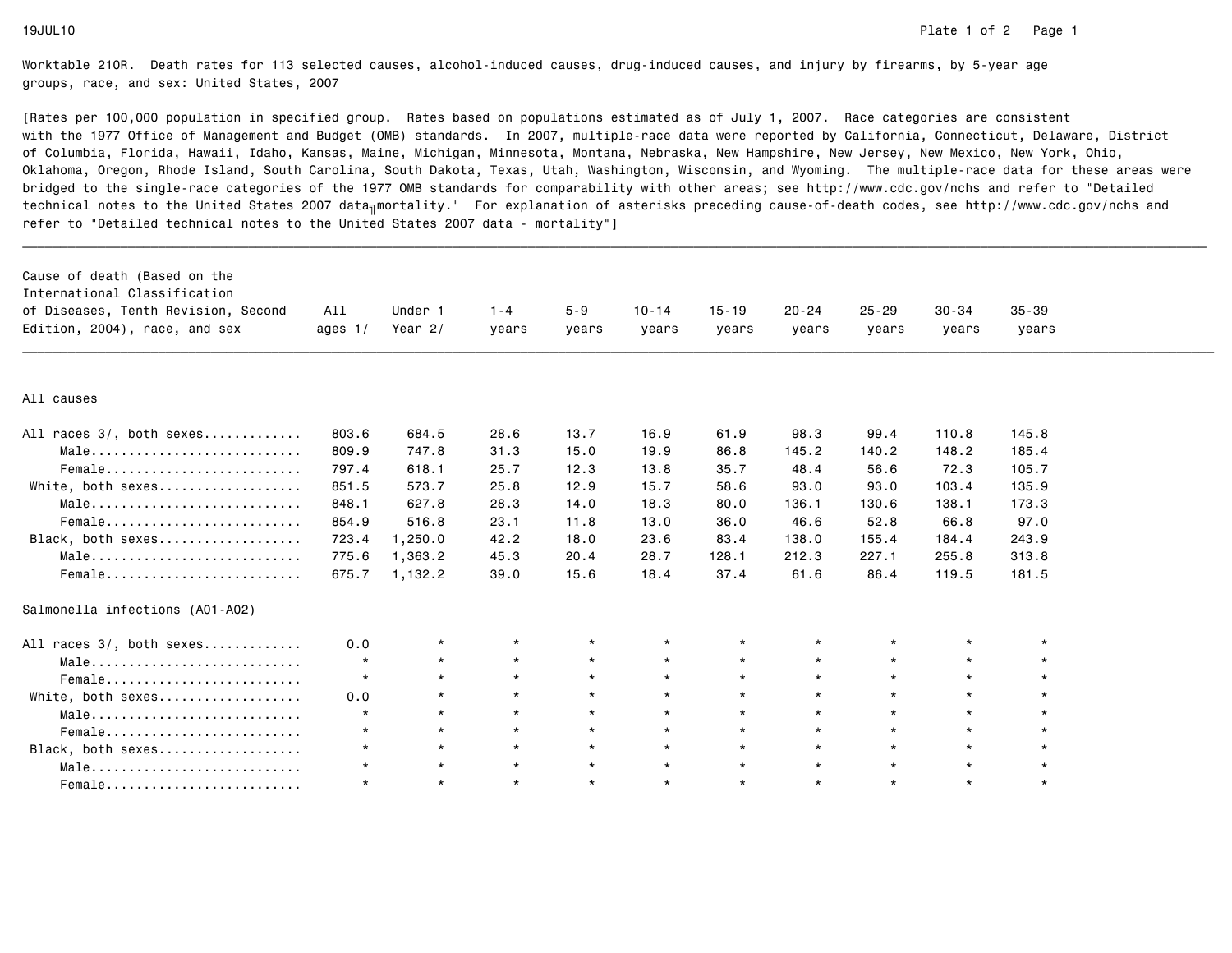| Cause of death (Based on the<br>International Classification<br>of Diseases, Tenth Revision, Second<br>Edition, 2004), race, and sex | All<br>ages $1/$ | Under 1<br>Year $2/$ | $1 - 4$<br>years | $5 - 9$<br>years | $10 - 14$<br>years | $15 - 19$<br>years | $20 - 24$<br>years | $25 - 29$<br>years | $30 - 34$<br>years | $35 - 39$<br>years |  |
|--------------------------------------------------------------------------------------------------------------------------------------|------------------|----------------------|------------------|------------------|--------------------|--------------------|--------------------|--------------------|--------------------|--------------------|--|
|                                                                                                                                      |                  |                      |                  |                  |                    |                    |                    |                    |                    |                    |  |
| All causes                                                                                                                           |                  |                      |                  |                  |                    |                    |                    |                    |                    |                    |  |
| All races 3/, both sexes                                                                                                             | 803.6            | 684.5                | 28.6             | 13.7             | 16.9               | 61.9               | 98.3               | 99.4               | 110.8              | 145.8              |  |
| Male                                                                                                                                 | 809.9            | 747.8                | 31.3             | 15.0             | 19.9               | 86.8               | 145.2              | 140.2              | 148.2              | 185.4              |  |
| Female                                                                                                                               | 797.4            | 618.1                | 25.7             | 12.3             | 13.8               | 35.7               | 48.4               | 56.6               | 72.3               | 105.7              |  |
| White, both sexes                                                                                                                    | 851.5            | 573.7                | 25.8             | 12.9             | 15.7               | 58.6               | 93.0               | 93.0               | 103.4              | 135.9              |  |
| Male                                                                                                                                 | 848.1            | 627.8                | 28.3             | 14.0             | 18.3               | 80.0               | 136.1              | 130.6              | 138.1              | 173.3              |  |
| Female                                                                                                                               | 854.9            | 516.8                | 23.1             | 11.8             | 13.0               | 36.0               | 46.6               | 52.8               | 66.8               | 97.0               |  |
| Black, both sexes                                                                                                                    | 723.4            | 1,250.0              | 42.2             | 18.0             | 23.6               | 83.4               | 138.0              | 155.4              | 184.4              | 243.9              |  |
| Male                                                                                                                                 | 775.6            | 1,363.2              | 45.3             | 20.4             | 28.7               | 128.1              | 212.3              | 227.1              | 255.8              | 313.8              |  |
| Female                                                                                                                               | 675.7            | 1,132.2              | 39.0             | 15.6             | 18.4               | 37.4               | 61.6               | 86.4               | 119.5              | 181.5              |  |
| Salmonella infections (A01-A02)                                                                                                      |                  |                      |                  |                  |                    |                    |                    |                    |                    |                    |  |
| All races 3/, both sexes                                                                                                             | 0.0              | $\star$              | $\star$          | $\star$          | $\star$            | $\star$            | $\star$            | $\star$            | $\star$            |                    |  |
| Male                                                                                                                                 | $\star$          | $\star$              | $\star$          | $\star$          | $\star$            | $\star$            | $\star$            | $\star$            | $\star$            | $\star$            |  |
| Female                                                                                                                               | $\star$          | $\star$              | $\star$          | $\star$          | $\star$            | $\star$            | $\star$            | $\star$            | $\star$            | $\star$            |  |
| White, both sexes                                                                                                                    | 0.0              | $\star$              | $\star$          | $\star$          | $\star$            | $\star$            | $\star$            | $\star$            | $\star$            | $\star$            |  |
| Male                                                                                                                                 | $\star$          | $\star$              | $\star$          | $\star$          | $\star$            | $\star$            | $\star$            | $\star$            | $\star$            | $\star$            |  |
| Female                                                                                                                               | $\star$          | $\star$              | $\star$          | $\star$          | $\star$            | $\star$            | $\star$            | $\star$            | $\star$            | $\star$            |  |
| Black, both sexes                                                                                                                    | $\star$          | $\star$              | $\star$          | $\star$          | $\star$            | $\star$            | $\star$            | $\star$            | $\star$            | $\star$            |  |
| Male                                                                                                                                 | $\star$          | $\star$              | $\star$          | $\star$          | $\star$            | $\star$            | $\star$            | $\star$            | $\star$            | $\star$            |  |
| Female                                                                                                                               | $\star$          | $\star$              | $\star$          | $\star$          | $\star$            | $\star$            | $\star$            | $\star$            | $\star$            | $\star$            |  |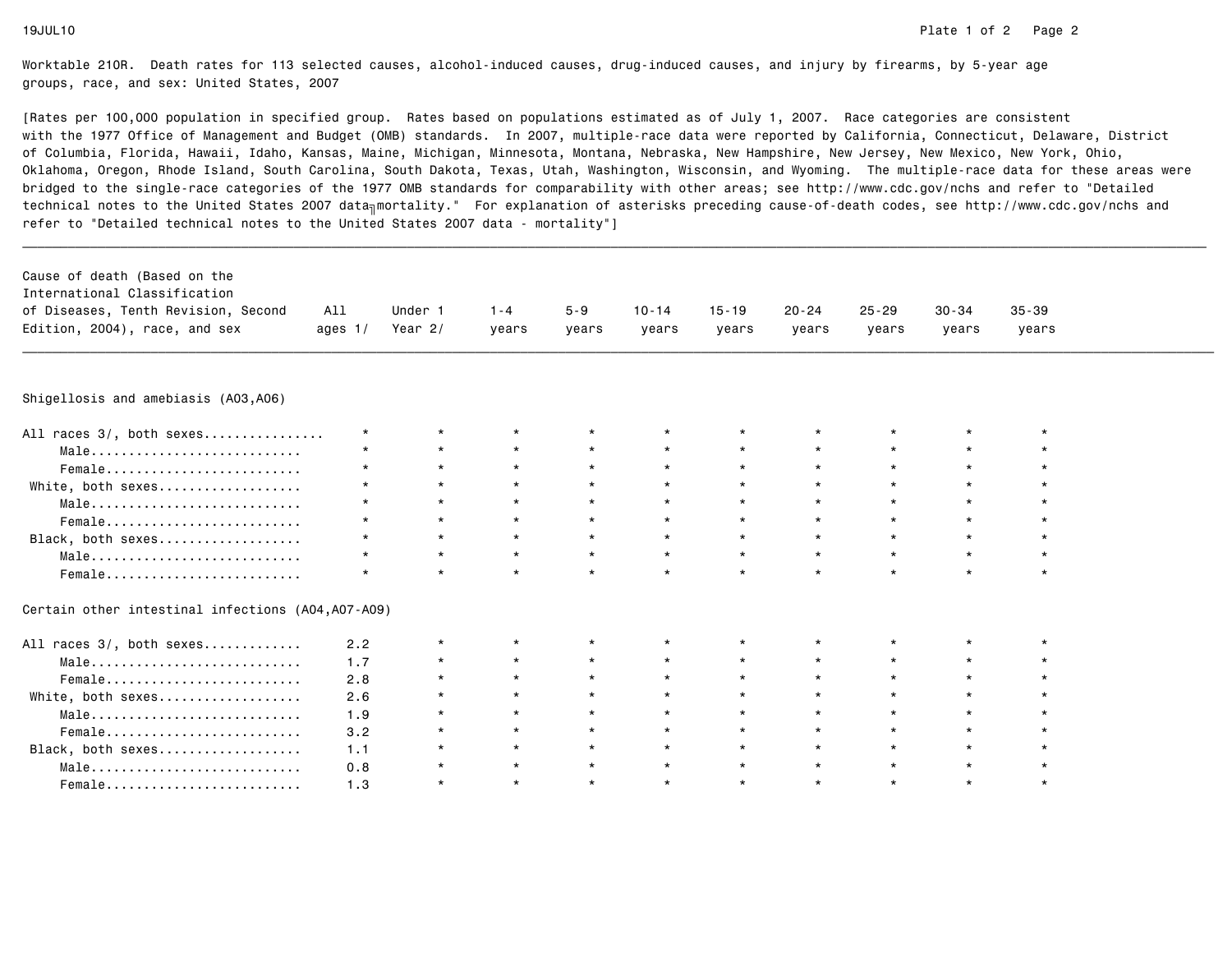| Cause of death (Based on the<br>International Classification<br>of Diseases, Tenth Revision, Second<br>Edition, 2004), race, and sex | All<br>ages $1/$ | Under 1<br>Year $2/$ | $1 - 4$<br>vears | $5 - 9$<br>vears | $10 - 14$<br>years | $15 - 19$<br>vears | $20 - 24$<br>vears | $25 - 29$<br>years | $30 - 34$<br>years | $35 - 39$<br>years |  |
|--------------------------------------------------------------------------------------------------------------------------------------|------------------|----------------------|------------------|------------------|--------------------|--------------------|--------------------|--------------------|--------------------|--------------------|--|
| Shigellosis and amebiasis (A03,A06)                                                                                                  |                  |                      |                  |                  |                    |                    |                    |                    |                    |                    |  |
| All races 3/, both sexes                                                                                                             | $\star$          | $\star$              | $\star$          | $\star$          |                    | $\star$            | $\star$            |                    | $\star$            | $\star$            |  |
| Male                                                                                                                                 | $\star$          | $\star$              | $\star$          | $\star$          | $\star$            | $\star$            | $\star$            | $\star$            | $\star$            |                    |  |
| Female                                                                                                                               | $\star$          | $\star$              | $\star$          | $\star$          | $\star$            | $\star$            | $\star$            | $\star$            | $\star$            |                    |  |
| White, both sexes                                                                                                                    | $\star$          | $\star$              | $\star$          | $\star$          | $\star$            | $\star$            |                    | $\star$            | $\star$            |                    |  |
| Male                                                                                                                                 | $\star$          | $\star$              | $\star$          | $\star$          | $\star$            | $\star$            | $\star$            | $\star$            | $\star$            |                    |  |
| Female                                                                                                                               | $\star$          | $\star$              | $\star$          | $\star$          | $\star$            | $\star$            | $\star$            | $\star$            | $\star$            | $\star$            |  |
| Black, both sexes                                                                                                                    | $\star$          | $\star$              | $\star$          | $\star$          | $\star$            | $\star$            | $\star$            | $\star$            | $\star$            | $\star$            |  |
| Male                                                                                                                                 | $\star$          | $\star$              | $\star$          | $\star$          | $\star$            | $\star$            | $\star$            | $\star$            | $\star$            | $\star$            |  |
| Female                                                                                                                               | $\star$          | $\star$              | $\star$          | $\star$          | $\star$            | $\star$            | $\star$            | $\ddot{}$          | $\star$            | $\star$            |  |
| Certain other intestinal infections (A04,A07-A09)                                                                                    |                  |                      |                  |                  |                    |                    |                    |                    |                    |                    |  |
| All races 3/, both sexes                                                                                                             | 2.2              | $\star$              | $\star$          |                  |                    |                    |                    |                    |                    |                    |  |
| Male                                                                                                                                 | 1.7              | $\star$              | $\star$          | $\star$          | $\star$            | $\star$            |                    |                    | $\star$            |                    |  |
| Female                                                                                                                               | 2.8              | $\star$              | $\star$          | $\star$          | $\star$            | $\star$            |                    | $\star$            |                    |                    |  |
| White, both sexes                                                                                                                    | 2.6              | $\star$              | $\star$          | $\star$          | $\star$            | $\star$            |                    |                    | $\star$            |                    |  |
| Male                                                                                                                                 | 1.9              | $\star$              | $\star$          | $\star$          | $\star$            | $\star$            | $\star$            | $\star$            | $\star$            |                    |  |
| Female                                                                                                                               | 3.2              | $\star$              | $\star$          | $\star$          | $\star$            | $\star$            | $\star$            | $\star$            | $\star$            | $\star$            |  |
| Black, both sexes                                                                                                                    | 1.1              | $\star$              | $\star$          | $\star$          | $\star$            | $\star$            | $\star$            | $\star$            | $\star$            | $\star$            |  |
| Male                                                                                                                                 | 0.8              | $\star$              | $\star$          | $\star$          | $\star$            | $\star$            | $\star$            | $\star$            | $\star$            | $\star$            |  |
| Female                                                                                                                               | 1.3              | $\star$              | $\star$          | $\star$          | $\star$            | $\star$            | $\star$            | $\star$            | $\star$            | $\star$            |  |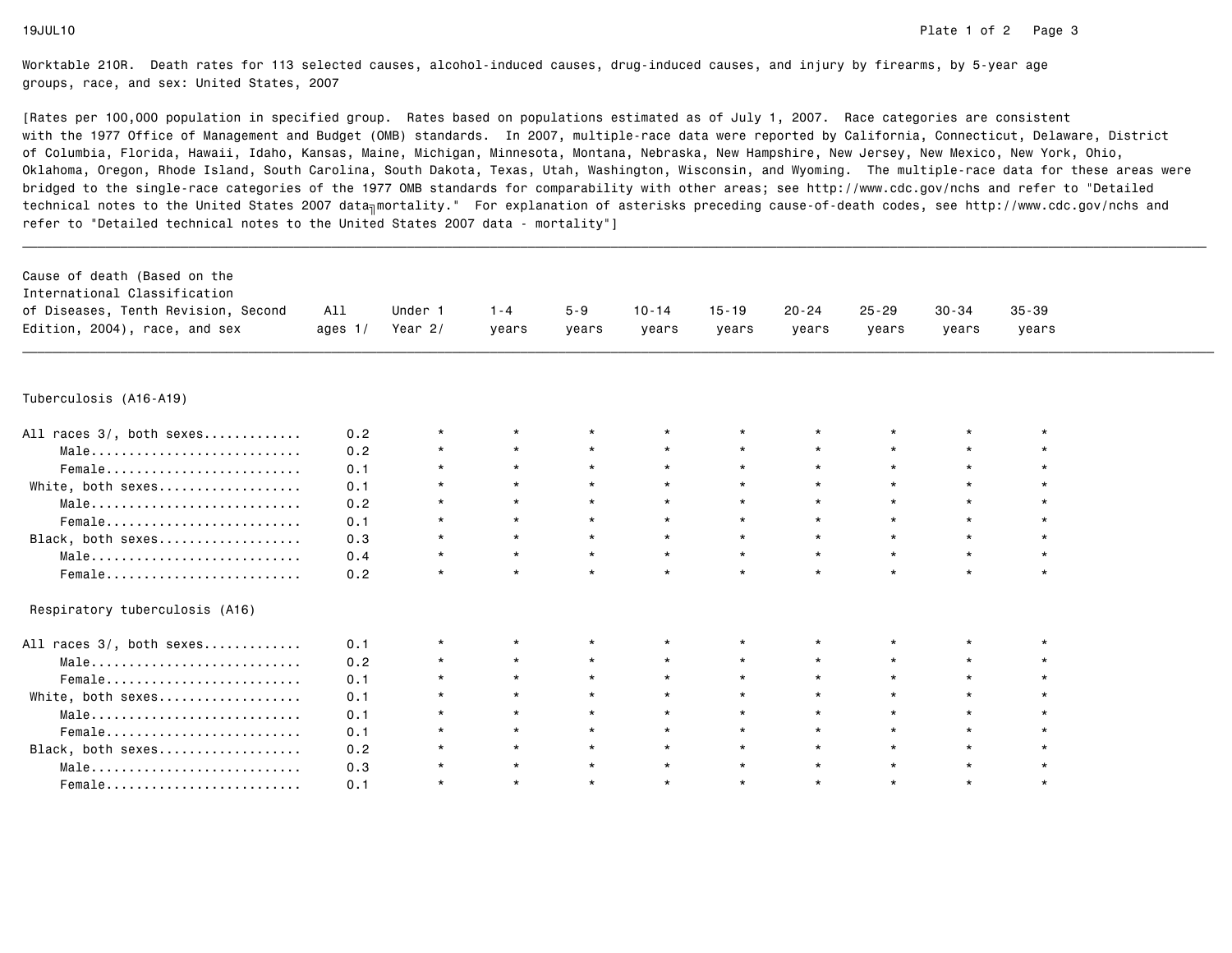| Cause of death (Based on the                                        |           |           |         |         |           |           |           |           |           |           |  |
|---------------------------------------------------------------------|-----------|-----------|---------|---------|-----------|-----------|-----------|-----------|-----------|-----------|--|
| International Classification<br>of Diseases, Tenth Revision, Second | All       | Under 1   | $1 - 4$ | $5 - 9$ | $10 - 14$ | $15 - 19$ | $20 - 24$ | $25 - 29$ | $30 - 34$ | $35 - 39$ |  |
| Edition, 2004), race, and sex                                       | ages $1/$ | Year $2/$ |         |         |           |           |           |           |           |           |  |
|                                                                     |           |           | years   | years   | years     | years     | years     | years     | years     | years     |  |
|                                                                     |           |           |         |         |           |           |           |           |           |           |  |
| Tuberculosis (A16-A19)                                              |           |           |         |         |           |           |           |           |           |           |  |
| All races 3/, both sexes                                            | 0.2       | $\star$   |         |         |           |           |           |           |           |           |  |
| Male                                                                | 0.2       | $^\star$  | $\star$ | $\star$ | $\star$   | $\star$   | $\star$   | $\star$   | $\star$   |           |  |
| Female                                                              | 0.1       | $\star$   | $\star$ | $\star$ | $\star$   | $\star$   | $\star$   | $\star$   | $\star$   |           |  |
| White, both sexes                                                   | 0.1       | $\star$   | $\star$ | $\star$ | $\star$   | $\star$   |           | $\star$   | $\star$   |           |  |
| Male                                                                | 0.2       | $\star$   | $\star$ | $\star$ | $\star$   | $\star$   |           | $\star$   | $\star$   |           |  |
| Female                                                              | 0.1       | $\star$   | $\star$ | $\star$ | $\star$   | $\star$   |           | $\star$   | $\star$   |           |  |
| Black, both sexes                                                   | 0.3       | $\star$   | $\star$ | $\star$ | $\star$   | $\star$   | $\star$   | $\star$   | $\star$   |           |  |
| Male                                                                | 0.4       | $\star$   | $\star$ | $\star$ | $\star$   | $\star$   |           | $\star$   | $\star$   |           |  |
| Female                                                              | 0.2       | $\star$   | $\star$ | $\star$ | $\star$   | $\star$   | $\star$   | $\star$   | $\star$   | $\star$   |  |
| Respiratory tuberculosis (A16)                                      |           |           |         |         |           |           |           |           |           |           |  |
| All races 3/, both sexes                                            | 0.1       | $\star$   | $\star$ |         | $^\star$  | $\star$   |           |           | $\star$   |           |  |
| Male                                                                | 0.2       | *         | $\star$ | $\star$ | $\star$   | $\star$   |           | $\star$   | $\star$   |           |  |
| Female                                                              | 0.1       | $\star$   | $\star$ | $\star$ | $\star$   | $\star$   | $\star$   | $\star$   | $\star$   |           |  |
| White, both sexes                                                   | 0.1       | $\star$   | $\star$ | $\star$ | $\star$   | $\star$   |           | $\star$   | $\star$   |           |  |
| Male                                                                | 0.1       | $\star$   | $\star$ | $\star$ | $\star$   | $\star$   |           | $\star$   | $\star$   |           |  |
| Female                                                              | 0.1       |           | $\star$ | $\star$ | $\star$   | $\star$   |           | $\star$   | $\star$   |           |  |
| Black, both sexes                                                   | 0.2       | $\star$   | $\star$ | $\star$ | $\star$   | $\star$   |           | $\star$   | $\star$   |           |  |
| Male                                                                | 0.3       | $^\star$  | $\star$ | $\star$ | $\star$   | $\star$   | $\star$   | $\star$   | $\star$   |           |  |
| Female                                                              | 0.1       | $\star$   | $\star$ | $\star$ | $\star$   | $\star$   | $\star$   | $\star$   | $\star$   |           |  |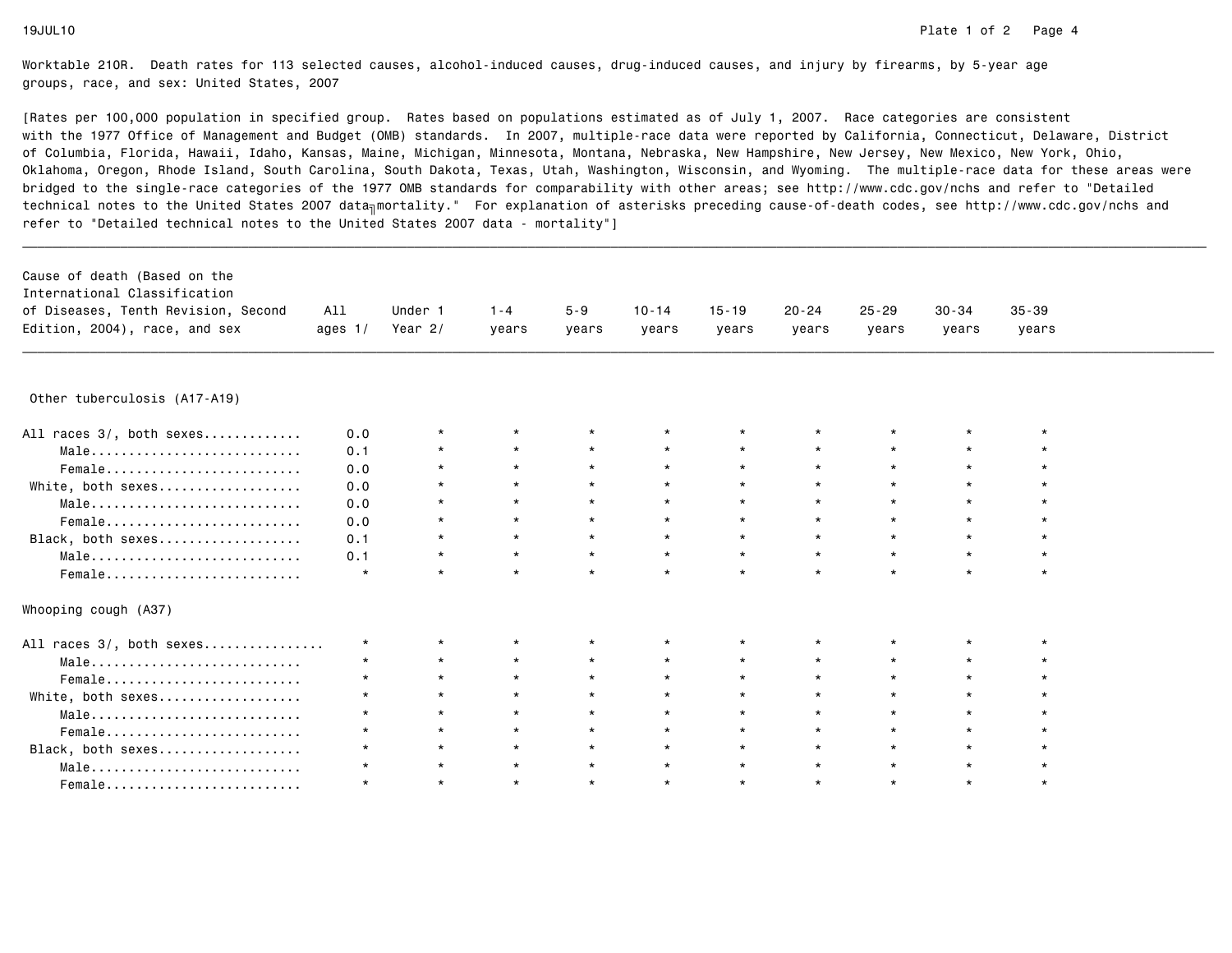| Cause of death (Based on the        |           |           |         |         |           |           |           |           |           |           |  |
|-------------------------------------|-----------|-----------|---------|---------|-----------|-----------|-----------|-----------|-----------|-----------|--|
| International Classification        |           |           |         |         |           |           |           |           |           |           |  |
| of Diseases, Tenth Revision, Second | All       | Under 1   | $1 - 4$ | $5 - 9$ | $10 - 14$ | $15 - 19$ | $20 - 24$ | $25 - 29$ | $30 - 34$ | $35 - 39$ |  |
| Edition, 2004), race, and sex       | ages $1/$ | Year $2/$ | years   | years   | years     | years     | years     | years     | years     | years     |  |
|                                     |           |           |         |         |           |           |           |           |           |           |  |
| Other tuberculosis (A17-A19)        |           |           |         |         |           |           |           |           |           |           |  |
| All races 3/, both sexes            | 0.0       | $\star$   | $\star$ |         | $\star$   |           |           |           | $\star$   |           |  |
| Male                                | 0.1       | $\star$   | $\star$ | $\star$ | $\star$   | $\star$   |           | $\star$   | $\star$   |           |  |
| Female                              | 0.0       | $\star$   | $\star$ | $\star$ | $\star$   | $\star$   |           | $\star$   | $\star$   |           |  |
| White, both sexes                   | 0.0       | $\star$   | $\star$ | $\star$ | $\star$   | $\star$   |           | $\star$   | $\star$   |           |  |
| Male                                | 0.0       | $\star$   | $\star$ | $\star$ | $\star$   | $\star$   |           | $\star$   | $\star$   |           |  |
| Female                              | 0.0       | $\star$   | $\star$ | $\star$ | $\star$   | $\star$   |           | $\star$   | $\star$   |           |  |
| Black, both sexes                   | 0.1       | $\star$   | $\star$ | $\star$ | $\star$   | $\star$   | $\star$   | $\star$   | $\star$   | $\star$   |  |
| Male                                | 0.1       | $\star$   | $\star$ | $\star$ | $\star$   | $\star$   |           | $\star$   | $\star$   | $\star$   |  |
| Female                              | $\star$   | $\star$   | $\star$ | $\star$ | $\star$   | $\star$   | $\star$   | $\star$   | $\star$   | $\star$   |  |
| Whooping cough (A37)                |           |           |         |         |           |           |           |           |           |           |  |
| All races 3/, both sexes            | $\star$   | $\star$   | $\star$ |         | $\star$   | $\star$   |           |           | $\star$   |           |  |
| Male                                |           | $\star$   | $\star$ |         |           | $\star$   |           |           | $\star$   |           |  |
|                                     |           | $\star$   | $\star$ |         | $\star$   | $\star$   |           |           | $\star$   |           |  |
| White, both sexes                   | $\star$   | $\star$   | $\star$ |         |           | $\star$   |           | $\star$   | $\star$   |           |  |
| Male                                |           | $\star$   | $\star$ |         | $\star$   | $\star$   |           | $\star$   | $\star$   |           |  |
| Female                              |           | $\star$   | $\star$ | $\star$ | $\star$   | $\star$   |           | $\star$   | $\star$   |           |  |
| Black, both sexes                   | $\star$   | $\star$   | $\star$ | $\star$ | $\star$   | $\star$   |           | $\star$   | $\star$   |           |  |
| Male                                |           | $\star$   | $\star$ | $\star$ | $\star$   | $\star$   | $\star$   | $\star$   | $\star$   |           |  |
| Female                              |           | $\star$   | $\star$ | $\star$ | $\star$   | $\star$   |           | $\star$   | $\star$   |           |  |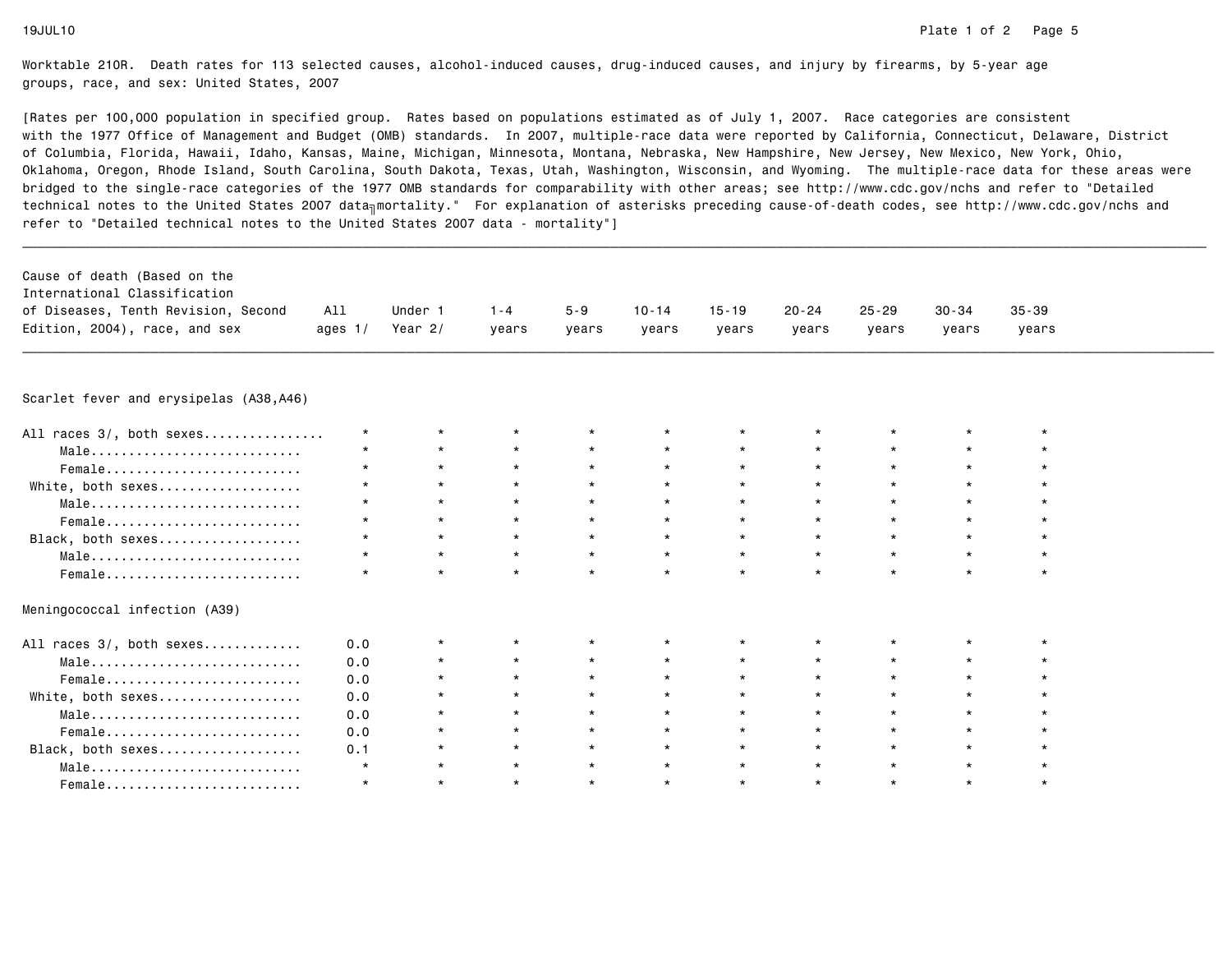| Cause of death (Based on the<br>International Classification<br>of Diseases, Tenth Revision, Second<br>Edition, 2004), race, and sex | All<br>ages $1/$ | Under 1<br>Year $2/$ | $1 - 4$<br>years | $5 - 9$<br>vears | $10 - 14$<br>years | $15 - 19$<br>years | $20 - 24$<br>years | $25 - 29$<br>years | $30 - 34$<br>years | $35 - 39$<br>years |  |
|--------------------------------------------------------------------------------------------------------------------------------------|------------------|----------------------|------------------|------------------|--------------------|--------------------|--------------------|--------------------|--------------------|--------------------|--|
| Scarlet fever and erysipelas (A38,A46)                                                                                               |                  |                      |                  |                  |                    |                    |                    |                    |                    |                    |  |
|                                                                                                                                      |                  |                      |                  |                  |                    |                    |                    |                    |                    |                    |  |
| All races 3/, both sexes                                                                                                             | $\star$          |                      |                  |                  |                    |                    |                    |                    |                    |                    |  |
| Male                                                                                                                                 | $\star$          | $\star$              | $\star$          | $\star$          | $\star$            | $\star$            |                    |                    | $\star$            |                    |  |
| Female                                                                                                                               | $\star$          | $\star$              | $\star$          | $\star$          | $\star$            | $\star$            | $\star$            | $\star$            | $\star$            |                    |  |
| White, both sexes                                                                                                                    | $\star$          | $\star$              | $\star$          | $\star$          | $\star$            | $\star$            |                    | $\star$            | $\star$            |                    |  |
| Male                                                                                                                                 | $\star$          | $\star$              | $\star$          | $\star$          | $\star$            | $\star$            | $\star$            | $\star$            | $\star$            | $\star$            |  |
| Female                                                                                                                               | $\star$          | $\star$              | $\star$          | $\star$          | $\star$            | $\star$            | $\star$            | $\star$            | $\star$            |                    |  |
| Black, both sexes                                                                                                                    | $\star$          | $\star$              | $\star$          | $\star$          | $\star$            | $\star$            | $\star$            | $\star$            | $\star$            | $\star$            |  |
| Male                                                                                                                                 | $\star$          | $\star$              | $\star$          | $\star$          | $\star$            | $\star$            | $\star$            | $\star$            | $\star$            | $\star$            |  |
| $Female$                                                                                                                             | $\star$          | $\star$              | $\star$          | $\star$          | $\star$            | $\star$            | $\star$            | $\star$            | $\star$            | $\star$            |  |
| Meningococcal infection (A39)                                                                                                        |                  |                      |                  |                  |                    |                    |                    |                    |                    |                    |  |
| All races 3/, both sexes                                                                                                             | 0.0              |                      | $\star$          | $\star$          |                    | $\star$            |                    |                    |                    |                    |  |
| Male                                                                                                                                 | 0.0              | $\star$              | $\star$          | $\star$          | $\star$            | $\star$            | $\star$            |                    | $\star$            |                    |  |
| Female                                                                                                                               | 0.0              | $\star$              | $\star$          | $\star$          | $\star$            | $\star$            |                    |                    | $\star$            |                    |  |
| White, both sexes                                                                                                                    | 0.0              | $\star$              | $\star$          | $\star$          | $\star$            | $\star$            | $\star$            | $\star$            | $\star$            |                    |  |
| Male                                                                                                                                 | 0.0              | $\star$              | $\star$          | $\star$          | $\star$            | $\star$            | $\star$            | $\star$            | $\star$            |                    |  |
| Female                                                                                                                               | 0.0              | $\star$              | $\star$          | $\star$          | $\star$            | $\star$            | $\star$            | $\star$            | $\star$            | $\star$            |  |
| Black, both sexes                                                                                                                    | 0.1              | $\star$              | $\star$          | $\star$          | $\star$            | $\star$            | $\star$            | $\star$            | $\star$            | $\star$            |  |
| Male                                                                                                                                 | $\star$          | $\star$              | $\star$          | $\star$          | $\star$            | $\star$            | $\star$            | $\star$            | $\star$            | $\star$            |  |
| Female                                                                                                                               | $\star$          | $\star$              | $\star$          | $\star$          | $\star$            | $\star$            | $\star$            |                    | $\star$            | $\star$            |  |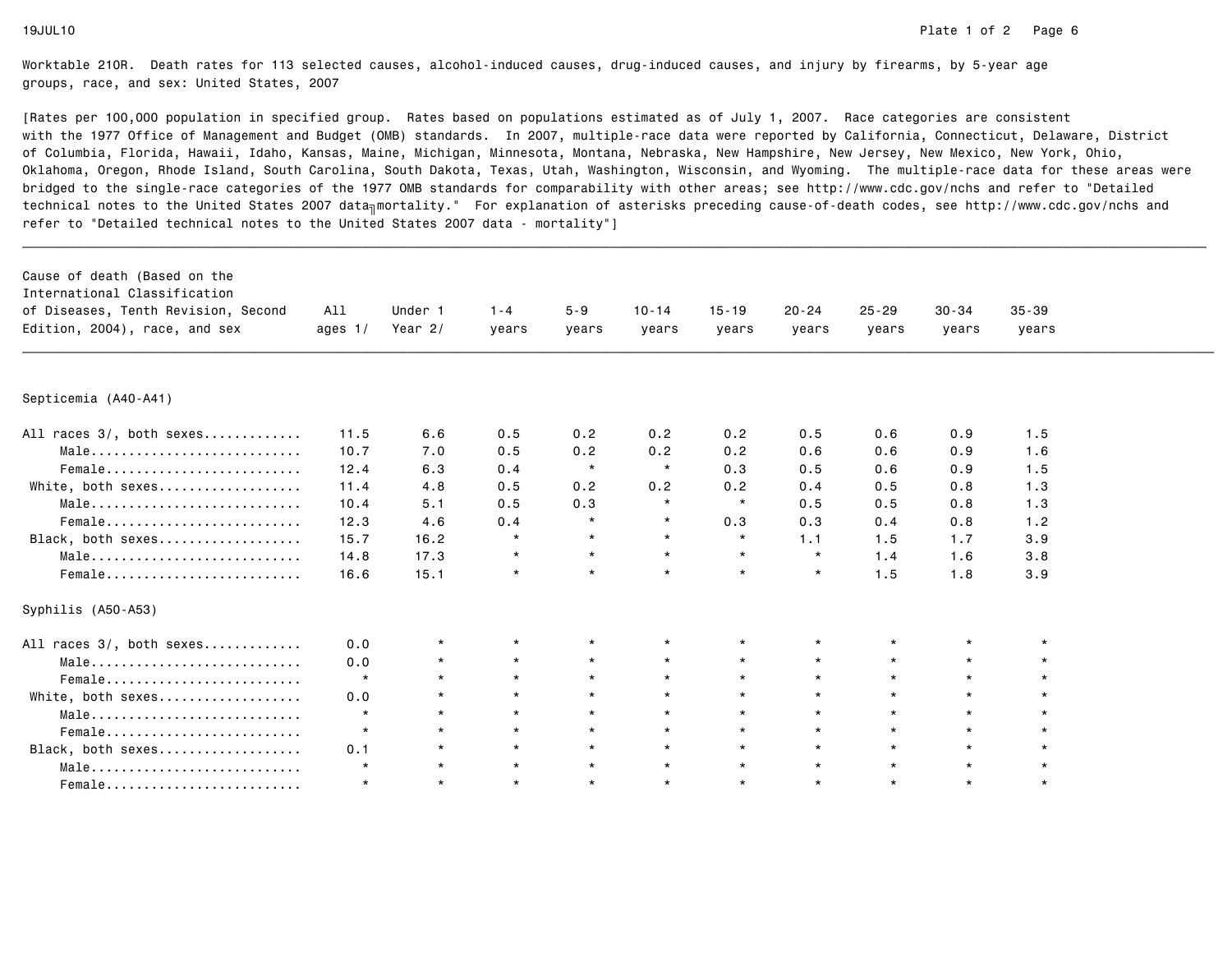| Cause of death (Based on the<br>International Classification<br>of Diseases, Tenth Revision, Second<br>Edition, 2004), race, and sex | All<br>ages $1/$ | Under 1<br>Year $2/$ | $1 - 4$<br>years | $5 - 9$<br>years | $10 - 14$<br>years | $15 - 19$<br>years | $20 - 24$<br>years | $25 - 29$<br>years | $30 - 34$<br>years | $35 - 39$<br>years |  |
|--------------------------------------------------------------------------------------------------------------------------------------|------------------|----------------------|------------------|------------------|--------------------|--------------------|--------------------|--------------------|--------------------|--------------------|--|
| Septicemia (A40-A41)                                                                                                                 |                  |                      |                  |                  |                    |                    |                    |                    |                    |                    |  |
|                                                                                                                                      |                  |                      |                  |                  |                    |                    |                    |                    |                    |                    |  |
| All races 3/, both sexes                                                                                                             | 11.5             | 6.6                  | 0.5              | 0.2              | 0.2                | 0.2                | 0.5                | 0.6                | 0.9                | 1.5                |  |
| Male                                                                                                                                 | 10.7             | 7.0                  | 0.5              | 0.2              | 0.2                | 0.2                | 0.6                | 0.6                | 0.9                | 1.6                |  |
| Female                                                                                                                               | 12.4             | 6.3                  | 0.4              | $\star$          | $\star$            | 0.3                | 0.5                | 0.6                | 0.9                | 1.5                |  |
| White, both sexes                                                                                                                    | 11.4             | 4.8                  | 0.5              | 0.2              | 0.2                | 0.2                | 0.4                | 0.5                | 0.8                | 1.3                |  |
| Male                                                                                                                                 | 10.4             | 5.1                  | 0.5              | 0.3              | $\star$            | $\star$            | 0.5                | 0.5                | 0.8                | 1.3                |  |
| Female                                                                                                                               | 12.3             | 4.6                  | 0.4              | $\star$          | $\star$            | 0.3                | 0.3                | 0.4                | 0.8                | 1.2                |  |
| Black, both sexes                                                                                                                    | 15.7             | 16.2                 | $\star$          | $\star$          | $\star$            | $\star$            | 1.1                | 1.5                | 1.7                | 3.9                |  |
| Male                                                                                                                                 | 14.8             | 17.3                 | $\star$          | $\star$          | $\star$            | $\star$            | $\star$            | 1.4                | 1.6                | 3.8                |  |
| Female                                                                                                                               | 16.6             | 15.1                 | $\star$          | $\star$          | $\star$            | $\star$            | $\star$            | 1.5                | 1.8                | 3.9                |  |
| Syphilis (A50-A53)                                                                                                                   |                  |                      |                  |                  |                    |                    |                    |                    |                    |                    |  |
| All races 3/, both sexes                                                                                                             | 0.0              | $\star$              | $\star$          |                  |                    | $\star$            |                    |                    |                    |                    |  |
| Male                                                                                                                                 | 0.0              | $\star$              | $\star$          | $\star$          | $\star$            | $\star$            | $\star$            | $\star$            | $\star$            | $\star$            |  |
| Female                                                                                                                               | $\star$          | $\star$              | $\star$          | $\star$          | $\star$            | $\star$            | $\star$            | $\star$            | $\star$            | $\star$            |  |
| White, both sexes                                                                                                                    | 0.0              | $\star$              | $\star$          | $\star$          | $\star$            | $\star$            | $\star$            | $\star$            | $\star$            |                    |  |
| Male                                                                                                                                 | $\star$          | $\star$              | $\star$          | $\star$          | $\star$            | $\star$            | $\star$            | $\star$            | $\star$            | $\star$            |  |
| Female                                                                                                                               | $\star$          | $\star$              | $\star$          | $\star$          | $\star$            | $\star$            | $\star$            | $\star$            | $\star$            | $\star$            |  |
| Black, both sexes                                                                                                                    | 0.1              | $\star$              | $\star$          | $\star$          | $\star$            | $\star$            | $\star$            | $\star$            | $\star$            | $\star$            |  |
| Male                                                                                                                                 | $\star$          | $\star$              | $\star$          | $\star$          | $\star$            | $\star$            | $\star$            | $\star$            | $\star$            | $\star$            |  |
| Female                                                                                                                               | $\star$          | $\star$              | $\star$          | $\star$          | $\star$            | $\star$            | $\star$            | $\star$            | $\star$            | $\star$            |  |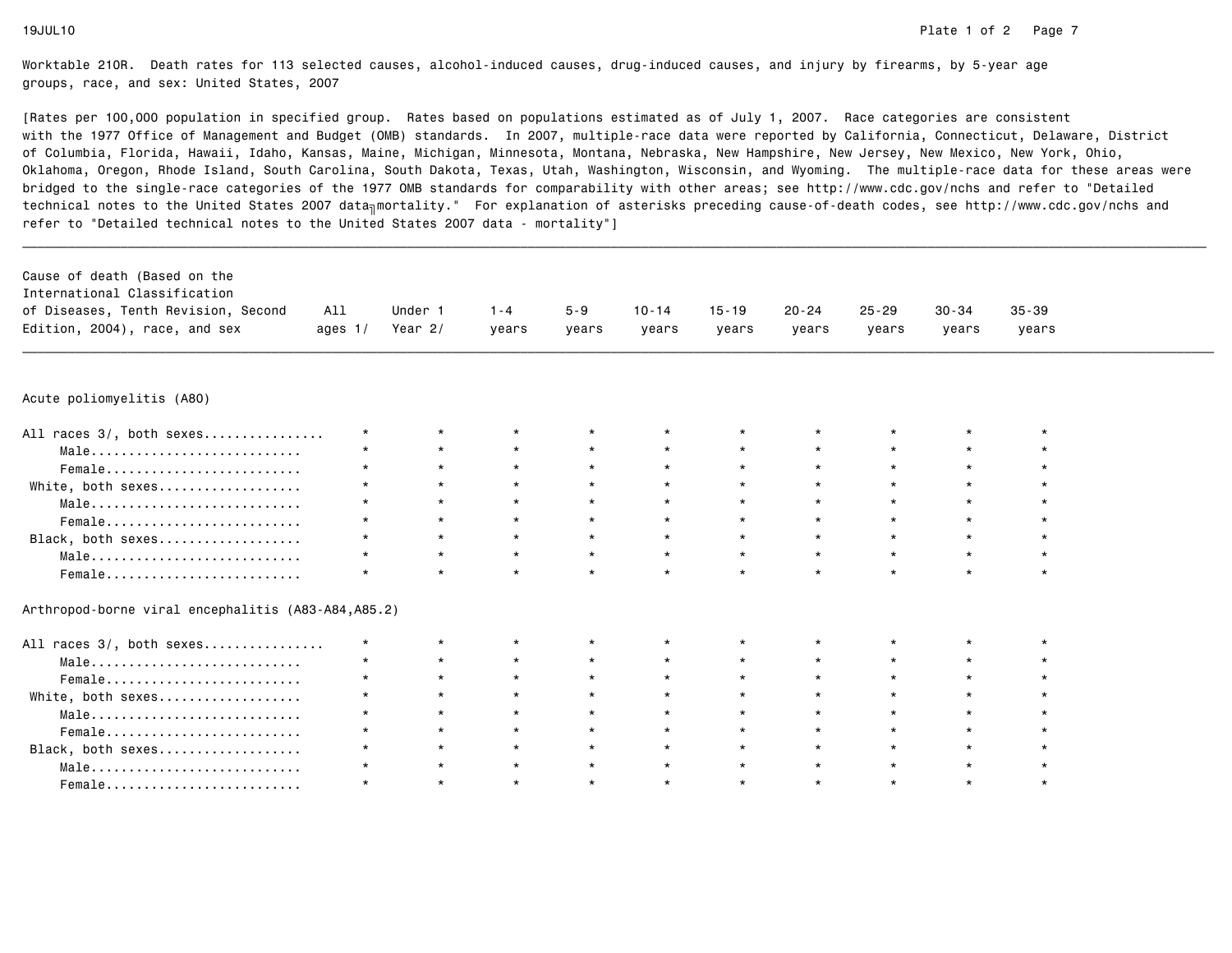|                                                    |         |         |         |         | years   | years   | years   | $25 - 29$<br>years | $30 - 34$<br>years | $35 - 39$<br>years |  |
|----------------------------------------------------|---------|---------|---------|---------|---------|---------|---------|--------------------|--------------------|--------------------|--|
| Acute poliomyelitis (A80)                          |         |         |         |         |         |         |         |                    |                    |                    |  |
|                                                    |         |         |         |         |         |         |         |                    |                    |                    |  |
| All races 3/, both sexes                           | $\star$ | $\star$ | $\star$ | $\star$ |         |         |         |                    | $\star$            |                    |  |
| Male                                               |         | $\star$ | $\star$ | $\star$ |         | $\star$ |         |                    | $\star$            |                    |  |
| Female                                             |         | $\star$ | $\star$ | $\star$ | $\star$ | $\star$ | $\star$ | $\star$            | $\star$            |                    |  |
| White, both sexes                                  | $\star$ | $\star$ | $\star$ | $\star$ | $\star$ | $\star$ |         | $\star$            | $\star$            |                    |  |
| Male                                               |         | $\star$ | $\star$ | $\star$ | $\star$ | $\star$ | $\star$ | $\star$            | $\star$            |                    |  |
| Female                                             |         | $\star$ | $\star$ | $\star$ | $\star$ | $\star$ |         | $\star$            | $\star$            |                    |  |
| Black, both sexes                                  |         |         | $\star$ | $\star$ | $\star$ | $\star$ |         | $\star$            | $\star$            |                    |  |
| Male                                               |         | $\star$ | $\star$ | $\star$ | $\star$ | $\star$ | $\star$ | $\star$            | $\star$            |                    |  |
| Female                                             |         | $\star$ | $\star$ | $\star$ | $\star$ | $\star$ | $\star$ |                    | $\star$            |                    |  |
| Arthropod-borne viral encephalitis (A83-A84,A85.2) |         |         |         |         |         |         |         |                    |                    |                    |  |
| All races 3/, both sexes                           | $\star$ | $\star$ | $\star$ |         |         | $\star$ |         |                    | $\star$            |                    |  |
| Male                                               | $\star$ | $\star$ | $\star$ | $\star$ | $\star$ | $\star$ | $\star$ | $\star$            | $\star$            |                    |  |
| Female                                             |         | $\star$ | $\star$ |         |         | $\star$ |         | $\star$            | $\star$            |                    |  |
| White, both sexes                                  |         |         | $\star$ |         |         | $\star$ |         | $\star$            | $\star$            |                    |  |
| Male                                               |         | $\star$ | $\star$ | $\star$ | $\star$ | $\star$ | $\star$ | $\star$            | $\star$            |                    |  |
| Female                                             |         | $\star$ | $\star$ | $\star$ | $\star$ | $\star$ | $\star$ |                    | $\star$            |                    |  |
| Black, both sexes                                  |         | $\star$ | $\star$ | $\star$ | $\star$ | $\star$ |         | $\star$            | $\star$            |                    |  |
| Male                                               |         | $\star$ | $\star$ | $\star$ | $\star$ | $\star$ |         | $\star$            | $\star$            |                    |  |
| Female                                             |         | $\star$ | $\star$ | $\star$ | $\star$ | $\star$ |         | $\star$            | $\star$            | $\star$            |  |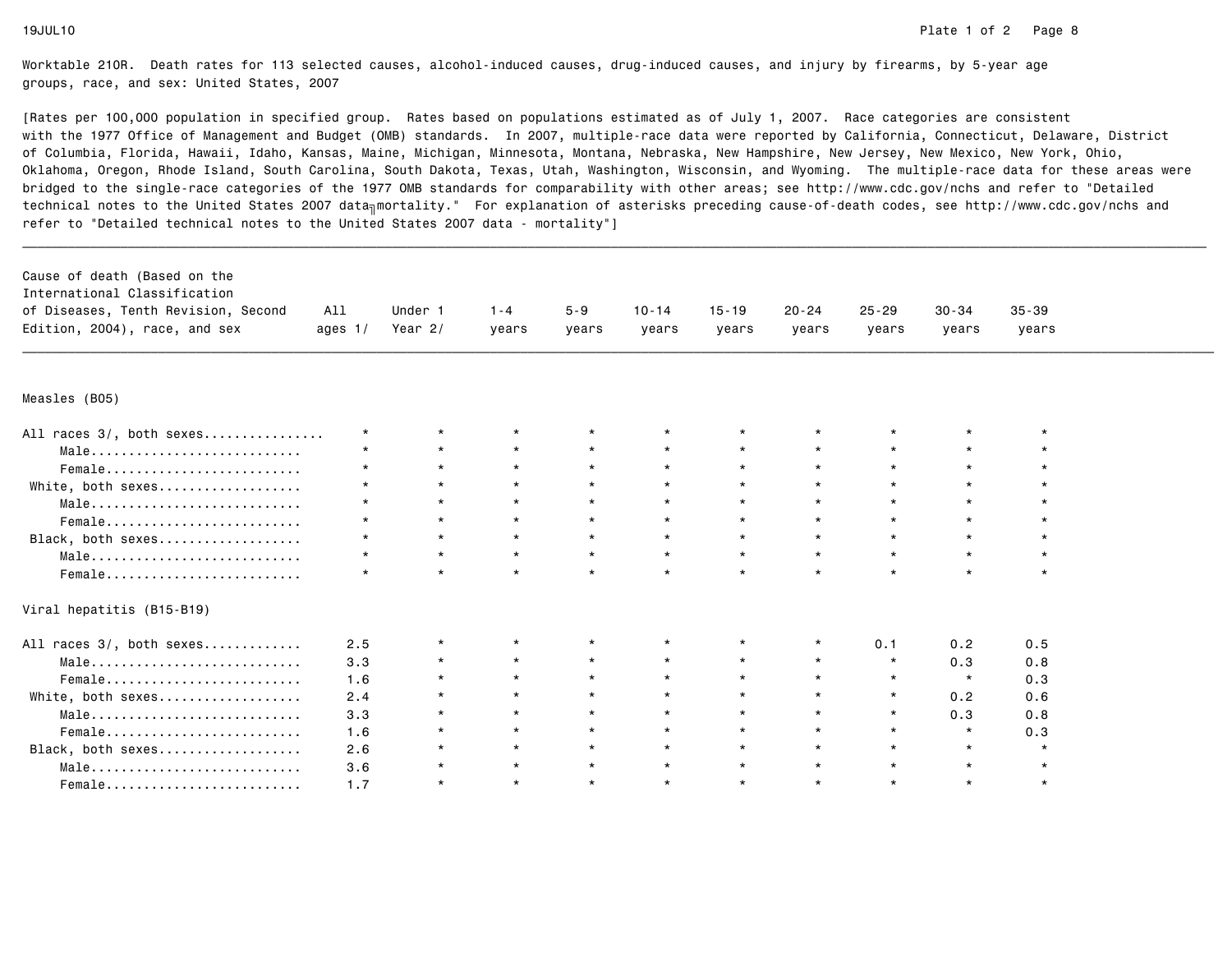| Cause of death (Based on the        |           |           |         |         |           |           |           |           |           |           |  |
|-------------------------------------|-----------|-----------|---------|---------|-----------|-----------|-----------|-----------|-----------|-----------|--|
| International Classification        |           |           |         |         |           |           |           |           |           |           |  |
| of Diseases, Tenth Revision, Second | All       | Under 1   | $1 - 4$ | $5 - 9$ | $10 - 14$ | $15 - 19$ | $20 - 24$ | $25 - 29$ | $30 - 34$ | $35 - 39$ |  |
| Edition, 2004), race, and sex       | ages $1/$ | Year $2/$ | years   | years   | years     | years     | years     | years     | years     | years     |  |
|                                     |           |           |         |         |           |           |           |           |           |           |  |
| Measles (BO5)                       |           |           |         |         |           |           |           |           |           |           |  |
| All races 3/, both sexes            | $\star$   | $\star$   | $\star$ |         |           |           |           | $\star$   |           |           |  |
| Male                                | $\star$   | $\star$   | $\star$ | $\star$ | $\star$   | $\star$   |           | $\star$   |           |           |  |
| Female                              | $\star$   | $\star$   | $\star$ | $\star$ | $\star$   | $\star$   | $\star$   | $\star$   | $\star$   |           |  |
| White, both sexes                   | $\star$   | $\star$   | $\star$ | $\star$ | $\star$   | $\star$   |           | $\star$   | $\star$   |           |  |
| Male                                | $\star$   | $\star$   | $\star$ | $\star$ | $\star$   | $\star$   | $\star$   | $\star$   | $\star$   |           |  |
| Female                              | $\star$   | $\star$   | $\star$ | $\star$ | $\star$   | $\star$   |           | $\star$   | $\star$   |           |  |
| Black, both sexes                   | $\star$   | $\star$   | $\star$ | $\star$ | $\star$   | $\star$   | $\star$   | $\star$   | $\star$   |           |  |
| Male                                | $\star$   | $\star$   | $\star$ | $\star$ | $\star$   | $\star$   | $\star$   | $\star$   | $\star$   |           |  |
| Female                              | $\star$   | $\star$   | $\star$ | $\star$ | $\star$   | $\star$   | $\star$   | $\star$   | $\star$   | $\star$   |  |
| Viral hepatitis (B15-B19)           |           |           |         |         |           |           |           |           |           |           |  |
| All races 3/, both sexes            | 2.5       | $^\star$  | $\star$ |         | $^\star$  | $\star$   |           | 0.1       | 0.2       | 0.5       |  |
| Male                                | 3.3       | $^\star$  | $\star$ | $\star$ | $\star$   | $\star$   | $\star$   | $\star$   | 0.3       | 0.8       |  |
| Female                              | 1.6       | $^\star$  | $\star$ | $\star$ | $\star$   | $\star$   | $\star$   | $\star$   | $\star$   | 0.3       |  |
| White, both sexes                   | 2.4       | $\star$   | $\star$ | $\star$ | $\star$   | $\star$   | $\star$   | $\star$   | 0.2       | 0.6       |  |
| Male                                | 3.3       | $\star$   | $\star$ | $\star$ | $\star$   | $\star$   | $\star$   | $\star$   | 0.3       | 0.8       |  |
| Female                              | 1.6       | $\star$   | $\star$ | $\star$ | $\star$   | $\star$   | $\star$   | $\star$   | $\star$   | 0.3       |  |
| Black, both sexes                   | 2.6       | $\star$   | $\star$ | $\star$ | $\star$   | $\star$   | $\star$   | $\star$   | $\star$   | $\star$   |  |
| Male                                | 3.6       | $^\star$  | $\star$ | $\star$ | $\star$   | $\star$   | $\star$   | $\star$   | $\star$   | $\star$   |  |
| Female                              | 1.7       | $^\star$  | $\star$ | $\star$ | $\star$   | $\star$   | $\star$   | $\star$   | $\star$   | $\star$   |  |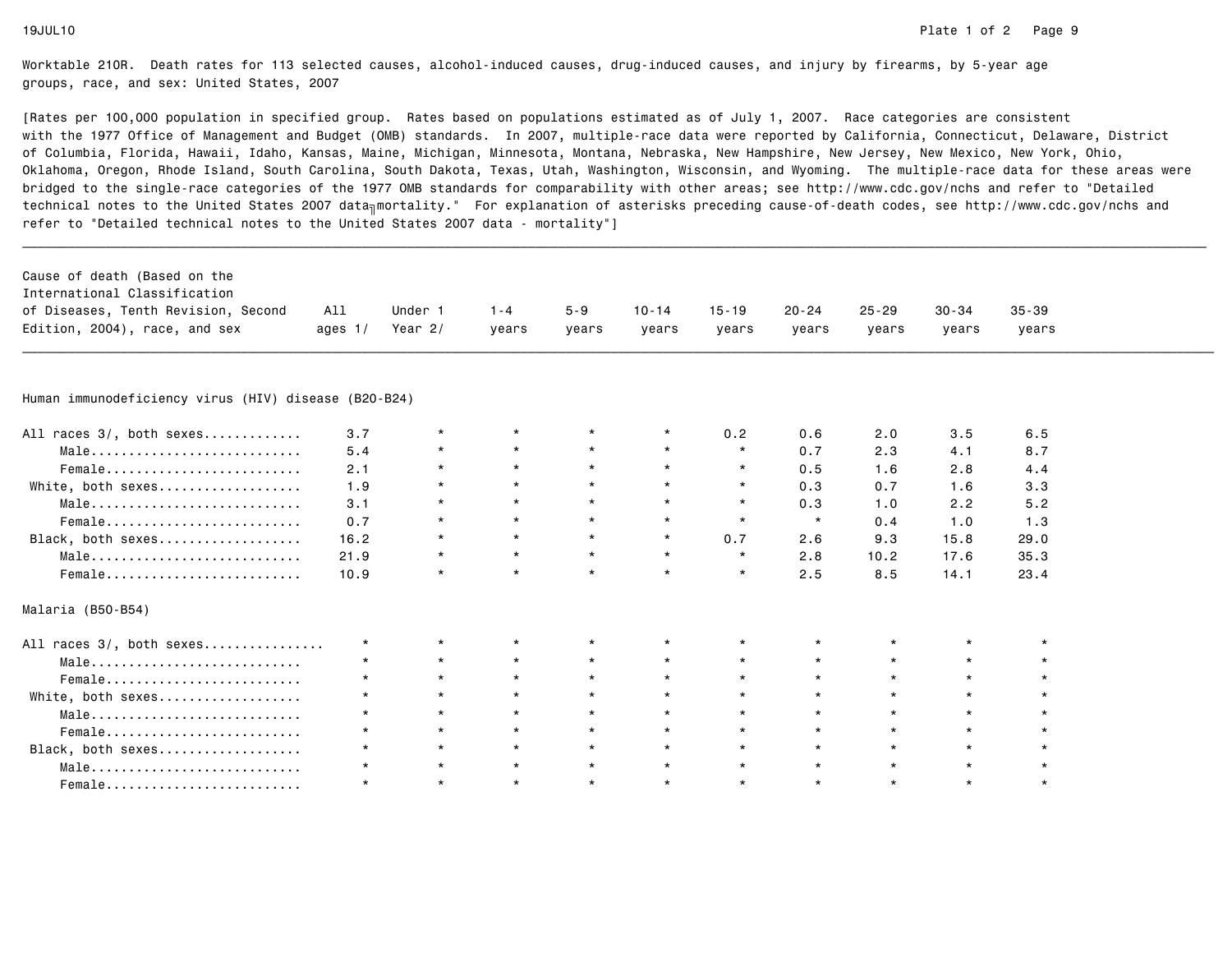| Cause of death (Based on the                         |           |           |         |         |           |           |           |           |           |           |  |
|------------------------------------------------------|-----------|-----------|---------|---------|-----------|-----------|-----------|-----------|-----------|-----------|--|
| International Classification                         |           |           |         |         |           |           |           |           |           |           |  |
| of Diseases, Tenth Revision, Second                  | All       | Under 1   | $1 - 4$ | $5 - 9$ | $10 - 14$ | $15 - 19$ | $20 - 24$ | $25 - 29$ | $30 - 34$ | $35 - 39$ |  |
| Edition, 2004), race, and sex                        | ages $1/$ | Year $2/$ | years   | years   | vears     | years     | years     | years     | years     | years     |  |
|                                                      |           |           |         |         |           |           |           |           |           |           |  |
| Human immunodeficiency virus (HIV) disease (B20-B24) |           |           |         |         |           |           |           |           |           |           |  |
| All races 3/, both sexes                             | 3.7       | $\star$   | $\star$ | $\star$ | $\star$   | 0.2       | 0.6       | 2.0       | 3.5       | 6.5       |  |
| Male                                                 | 5.4       | $\star$   | $\star$ | $\star$ | $\star$   | $\star$   | 0.7       | 2.3       | 4.1       | 8.7       |  |
| Female                                               | 2.1       | $\star$   | $\star$ | $\star$ | $\star$   | $\star$   | 0.5       | 1.6       | 2.8       | 4.4       |  |
| White, both sexes                                    | 1.9       | $\star$   | $\star$ | $\star$ | $\star$   | $\star$   | 0.3       | 0.7       | 1.6       | 3.3       |  |
| Male                                                 | 3.1       | $\star$   | $\star$ | $\star$ | $\star$   | $\star$   | 0.3       | 1.0       | 2.2       | 5.2       |  |
| Female                                               | 0.7       | $\star$   | $\star$ | $\star$ | $\star$   | $\star$   | $\star$   | 0.4       | 1.0       | 1.3       |  |
| Black, both sexes                                    | 16.2      | $\star$   | $\star$ | $\star$ | $\star$   | 0.7       | 2.6       | 9.3       | 15.8      | 29.0      |  |
| Male                                                 | 21.9      | $\star$   | $\star$ | $\star$ | $\star$   | $\star$   | 2.8       | 10.2      | 17.6      | 35.3      |  |
| Female                                               | 10.9      | $\star$   | $\star$ | $\star$ | $\star$   | $\star$   | 2.5       | 8.5       | 14.1      | 23.4      |  |
| Malaria (B50-B54)                                    |           |           |         |         |           |           |           |           |           |           |  |
| All races 3/, both sexes                             | $\star$   | $\star$   | $\star$ |         | $\star$   |           |           |           |           |           |  |
| Male                                                 |           | $\star$   | $\star$ |         | $\star$   | $\star$   |           |           |           |           |  |
| Female                                               |           | $\star$   | $\star$ | $\star$ | $\star$   | $\star$   |           | $\star$   |           |           |  |
| White, both sexes                                    |           | $\star$   | $\star$ | $\star$ | $\star$   | $\star$   |           |           | $\star$   |           |  |
| Male                                                 |           | $\star$   | $\star$ | $\star$ | $\star$   | $\star$   |           | $\star$   | $\star$   |           |  |
| Female                                               |           | $\star$   | $\star$ | $\star$ | $\star$   | $\star$   | $\star$   | $\star$   | $\star$   |           |  |
| Black, both sexes                                    | $\star$   | $\star$   | $\star$ | $\star$ | $\star$   | $\star$   | $\star$   | $\star$   | $\star$   |           |  |
| Male                                                 |           | $\star$   | $\star$ | $\star$ | $\star$   | $\star$   | $\star$   | $\star$   | $\star$   | $\star$   |  |
| Female                                               |           | $\star$   | $\star$ | $\star$ | $\star$   | $\star$   | $\star$   | $\star$   | $\star$   | $\star$   |  |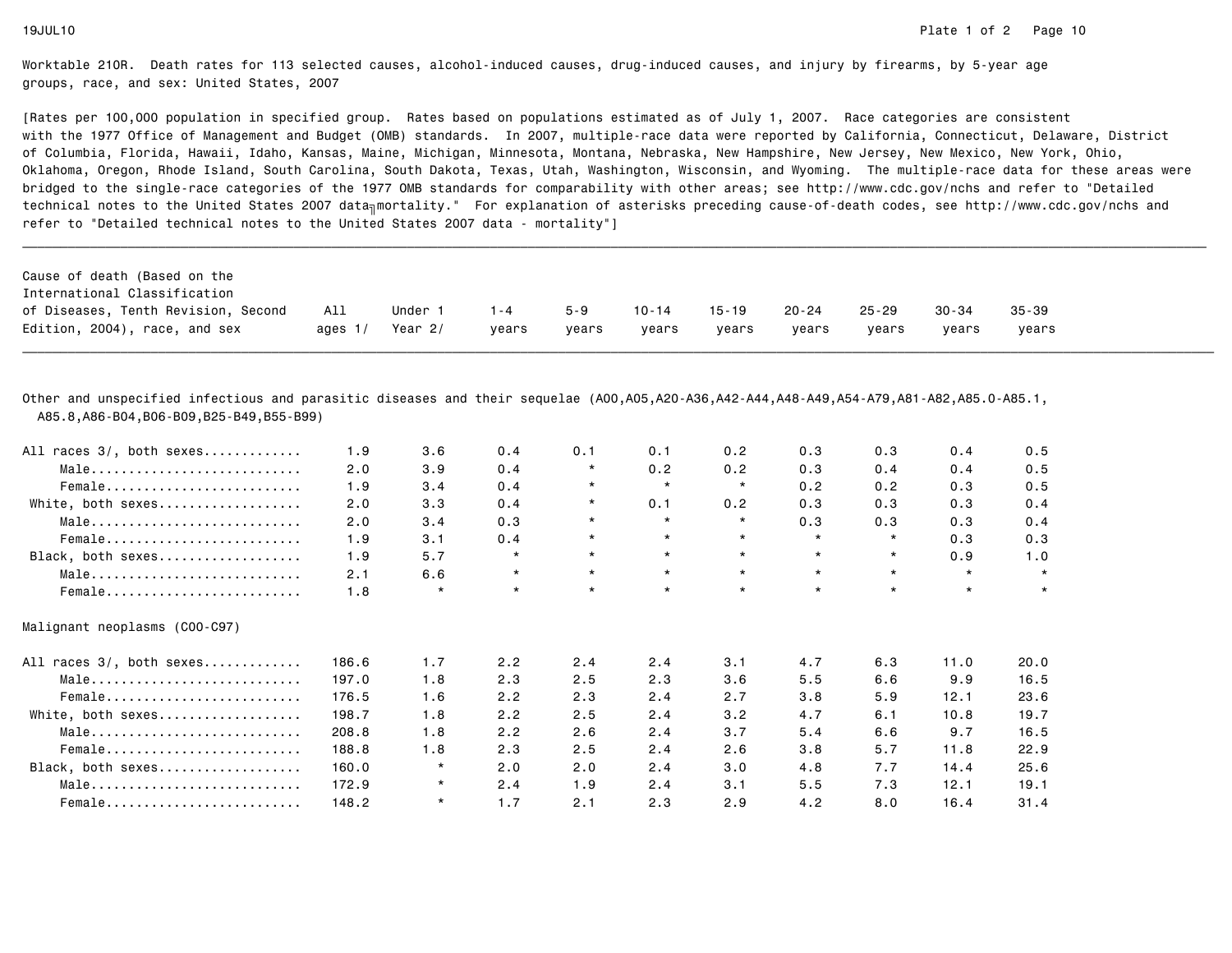[Rates per 100,000 population in specified group. Rates based on populations estimated as of July 1, 2007. Race categories are consistent with the 1977 Office of Management and Budget (OMB) standards. In 2007, multiple-race data were reported by California, Connecticut, Delaware, Districtof Columbia, Florida, Hawaii, Idaho, Kansas, Maine, Michigan, Minnesota, Montana, Nebraska, New Hampshire, New Jersey, New Mexico, New York, Ohio, Oklahoma, Oregon, Rhode Island, South Carolina, South Dakota, Texas, Utah, Washington, Wisconsin, and Wyoming. The multiple-race data for these areas werebridged to the single-race categories of the 1977 OMB standards for comparability with other areas; see http://www.cdc.gov/nchs and refer to "Detailedtechnical notes to the United States 2007 data<sub>∏</sub>mortality." For explanation of asterisks preceding cause-of-death codes, see http://www.cdc.gov/nchs and refer to "Detailed technical notes to the United States 2007 data - mortality"]

| Cause of death (Based on the<br>International Classification |         |         |       |         |           |       |           |           |           |           |
|--------------------------------------------------------------|---------|---------|-------|---------|-----------|-------|-----------|-----------|-----------|-----------|
| of Diseases, Tenth Revision, Second                          | All     | Under 1 | 1 - 4 | $5 - 9$ | $10 - 14$ | 15-19 | $20 - 24$ | $25 - 29$ | $30 - 34$ | $35 - 39$ |
| Edition, 2004), race, and sex                                | ages 1/ | Year 2/ | vears | vears   | vears     | vears | vears     | vears     | vears     | vears     |

\_\_\_\_\_\_\_\_\_\_\_\_\_\_\_\_\_\_\_\_\_\_\_\_\_\_\_\_\_\_\_\_\_\_\_\_\_\_\_\_\_\_\_\_\_\_\_\_\_\_\_\_\_\_\_\_\_\_\_\_\_\_\_\_\_\_\_\_\_\_\_\_\_\_\_\_\_\_\_\_\_\_\_\_\_\_\_\_\_\_\_\_\_\_\_\_\_\_\_\_\_\_\_\_\_\_\_\_\_\_\_\_\_\_\_\_\_\_\_\_\_\_\_\_\_\_\_\_\_\_\_\_\_\_\_\_\_\_\_\_\_\_\_\_\_\_\_\_\_\_\_\_\_\_\_\_\_\_

Other and unspecified infectious and parasitic diseases and their sequelae (A00,A05,A20-A36,A42-A44,A48-A49,A54-A79,A81-A82,A85.0-A85.1,A85.8,A86-B04,B06-B09,B25-B49,B55-B99)

| All races 3/, both sexes      | 1.9   | 3.6     | 0.4     | 0.1      | 0.1     | 0.2     | 0.3     | 0.3     | 0.4     | 0.5     |
|-------------------------------|-------|---------|---------|----------|---------|---------|---------|---------|---------|---------|
| Male                          | 2.0   | 3.9     | 0.4     | $\star$  | 0.2     | 0.2     | 0.3     | 0.4     | 0.4     | 0.5     |
| Female                        | 1.9   | 3.4     | 0.4     | $\star$  | $\star$ | $\star$ | 0.2     | 0.2     | 0.3     | 0.5     |
| White, both sexes             | 2.0   | 3.3     | 0.4     | $\star$  | 0.1     | 0.2     | 0.3     | 0.3     | 0.3     | 0.4     |
| Male                          | 2.0   | 3.4     | 0.3     | $\star$  | $\star$ | $\star$ | 0.3     | 0.3     | 0.3     | 0.4     |
| Female                        | 1.9   | 3.1     | 0.4     | $^\star$ | $\star$ | $\star$ | $\star$ | $\star$ | 0.3     | 0.3     |
| Black, both sexes             | 1.9   | 5.7     | $\star$ | $\star$  | $\star$ | $\star$ | $\star$ | $\star$ | 0.9     | 1.0     |
| Male                          | 2.1   | 6.6     | $\star$ | $\star$  | $\star$ | $\star$ | $\star$ | $\star$ | $\star$ | $\star$ |
| Female                        | 1.8   | $\star$ | $\star$ | $\star$  | $\star$ | $\star$ | $\star$ | $\star$ | $\star$ | $\star$ |
| Malignant neoplasms (COO-C97) |       |         |         |          |         |         |         |         |         |         |
| All races 3/, both sexes      | 186.6 | 1.7     | 2.2     | 2.4      | 2.4     | 3.1     | 4.7     | 6.3     | 11.0    | 20.0    |
| Male                          | 197.0 | 1.8     | 2.3     | 2.5      | 2.3     | 3.6     | 5.5     | 6.6     | 9.9     | 16.5    |
| Female                        | 176.5 | 1.6     | 2.2     | 2.3      | 2.4     | 2.7     | 3.8     | 5.9     | 12.1    | 23.6    |
| White, both sexes             | 198.7 | 1.8     | 2.2     | 2.5      | 2.4     | 3.2     | 4.7     | 6.1     | 10.8    | 19.7    |
| Male                          | 208.8 | 1.8     | 2.2     | 2.6      | 2.4     | 3.7     | 5.4     | 6.6     | 9.7     | 16.5    |
| Female                        | 188.8 | 1.8     | 2.3     | 2.5      | 2.4     | 2.6     | 3.8     | 5.7     | 11.8    | 22.9    |
| Black, both sexes             | 160.0 | $\star$ | 2.0     | 2.0      | 2.4     | 3.0     | 4.8     | 7.7     | 14.4    | 25.6    |
| Male                          | 172.9 | $\star$ | 2.4     | 1.9      | 2.4     | 3.1     | 5.5     | 7.3     | 12.1    | 19.1    |
| Female                        | 148.2 | $\star$ | 1.7     | 2.1      | 2.3     | 2.9     | 4.2     | 8.0     | 16.4    | 31.4    |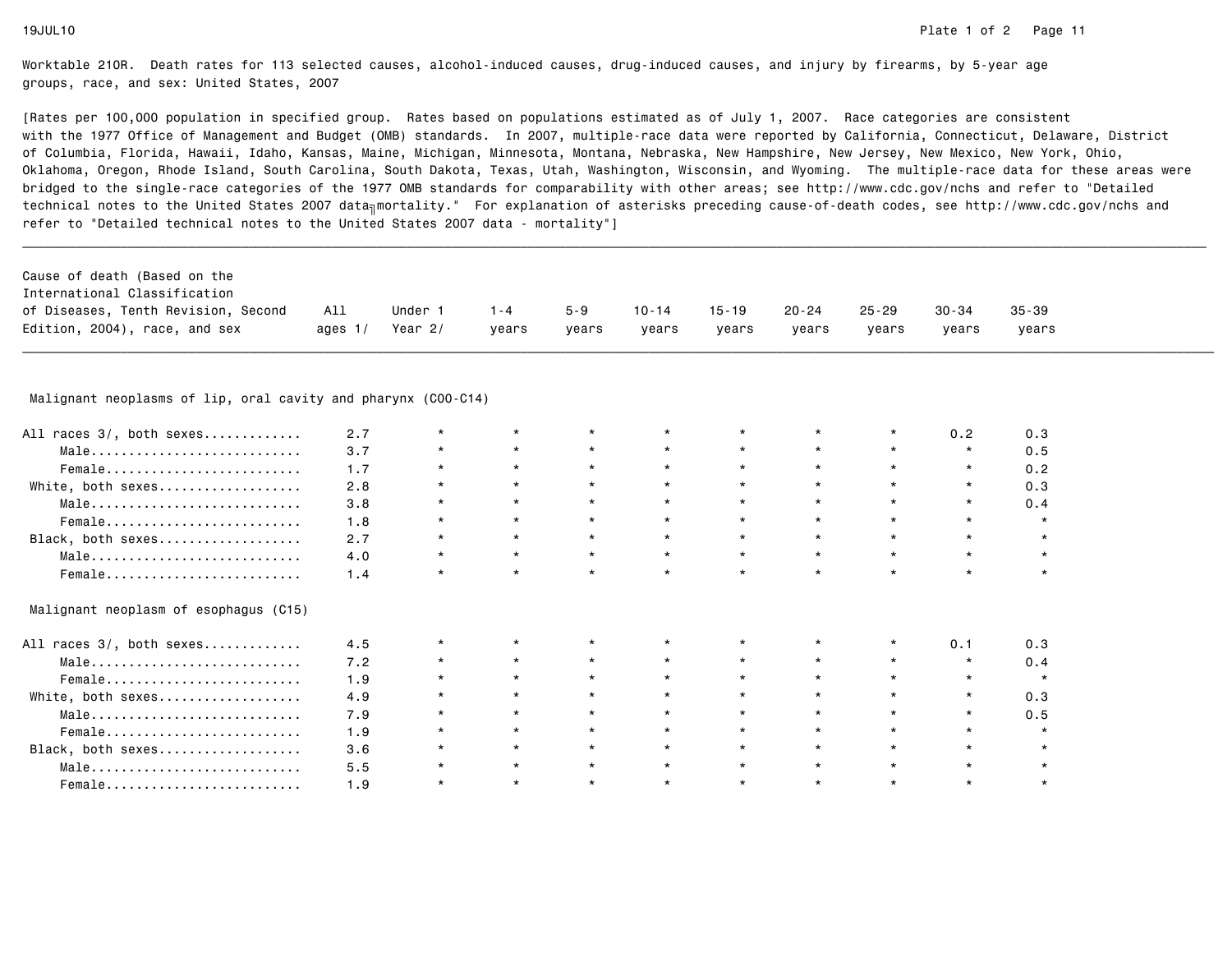[Rates per 100,000 population in specified group. Rates based on populations estimated as of July 1, 2007. Race categories are consistent with the 1977 Office of Management and Budget (OMB) standards. In 2007, multiple-race data were reported by California, Connecticut, Delaware, Districtof Columbia, Florida, Hawaii, Idaho, Kansas, Maine, Michigan, Minnesota, Montana, Nebraska, New Hampshire, New Jersey, New Mexico, New York, Ohio, Oklahoma, Oregon, Rhode Island, South Carolina, South Dakota, Texas, Utah, Washington, Wisconsin, and Wyoming. The multiple-race data for these areas werebridged to the single-race categories of the 1977 OMB standards for comparability with other areas; see http://www.cdc.gov/nchs and refer to "Detailedtechnical notes to the United States 2007 data<sub>∏</sub>mortality." For explanation of asterisks preceding cause-of-death codes, see http://www.cdc.gov/nchs and refer to "Detailed technical notes to the United States 2007 data - mortality"]

| Cause of death (Based on the        |           |         |         |         |           |           |           |           |           |           |
|-------------------------------------|-----------|---------|---------|---------|-----------|-----------|-----------|-----------|-----------|-----------|
| International Classification        |           |         |         |         |           |           |           |           |           |           |
| of Diseases, Tenth Revision, Second | All       | Under 1 | $1 - 4$ | $5 - 9$ | $10 - 14$ | $15 - 19$ | $20 - 24$ | $25 - 29$ | $30 - 34$ | $35 - 39$ |
| Edition, 2004), race, and sex       | ages $1/$ | Year 2/ | vears   | vears   | vears     | vears     | vears     | vears     | vears     | vears     |

# \_\_\_\_\_\_\_\_\_\_\_\_\_\_\_\_\_\_\_\_\_\_\_\_\_\_\_\_\_\_\_\_\_\_\_\_\_\_\_\_\_\_\_\_\_\_\_\_\_\_\_\_\_\_\_\_\_\_\_\_\_\_\_\_\_\_\_\_\_\_\_\_\_\_\_\_\_\_\_\_\_\_\_\_\_\_\_\_\_\_\_\_\_\_\_\_\_\_\_\_\_\_\_\_\_\_\_\_\_\_\_\_\_\_\_\_\_\_\_\_\_\_\_\_\_\_\_\_\_\_\_\_\_\_\_\_\_\_\_\_\_\_\_\_\_\_\_\_\_\_\_\_\_\_\_\_\_\_ Malignant neoplasms of lip, oral cavity and pharynx (C00-C14)

| All races 3/, both sexes              | 2.7 |         |         |         |         |         |         | $\star$ | 0.2     | 0.3     |
|---------------------------------------|-----|---------|---------|---------|---------|---------|---------|---------|---------|---------|
| Male                                  | 3.7 | $\star$ | $\star$ | $\star$ | $\star$ | $\star$ | $\star$ | $\star$ | $\star$ | 0.5     |
| Female                                | 1.7 | $\star$ |         | $\star$ | $\star$ |         | $\star$ |         | $\star$ | 0.2     |
| White, both sexes                     | 2.8 |         | $\star$ |         | $\star$ |         | $\star$ |         | $\star$ | 0.3     |
| Male                                  | 3.8 | $\star$ | $\star$ | $\star$ | $\star$ |         | $\star$ |         | $\star$ | 0.4     |
| Female                                | 1.8 | $\star$ | $\star$ |         | $\star$ |         | $\star$ |         | $\star$ |         |
| Black, both sexes                     | 2.7 | $\star$ | $\star$ | $\star$ | $\star$ | $\star$ | $\star$ | $\star$ |         |         |
| Male                                  | 4.0 | $\star$ | $\star$ | $\star$ | $\star$ |         | $\star$ | $\star$ | $\star$ |         |
| Female                                | 1.4 | $\star$ | $\star$ |         | $\star$ |         | $\star$ | $\star$ |         |         |
| Malignant neoplasm of esophagus (C15) |     |         |         |         |         |         |         |         |         |         |
| All races 3/, both sexes              | 4.5 |         |         |         |         |         |         |         | 0.1     | 0.3     |
| Male                                  | 7.2 |         |         |         |         |         |         |         | $\star$ | 0.4     |
| Female                                | 1.9 | $\star$ | $\star$ |         | $\star$ |         | $\star$ |         | $\star$ |         |
| White, both sexes                     | 4.9 | $\star$ | $\star$ |         | $\star$ |         | $\star$ |         | $\star$ | 0.3     |
| Male                                  | 7.9 | $\star$ | $\star$ |         | $\star$ |         | $\star$ | $\star$ | $\star$ | 0.5     |
| Female                                | 1.9 | $\star$ | $\star$ | $\star$ | $\star$ |         | $\star$ | $\star$ | $\star$ | $\star$ |
| Black, both sexes                     | 3.6 |         | $\star$ |         | $\star$ |         | $\star$ |         |         |         |
| Male                                  | 5.5 |         |         |         | $\star$ |         | $\star$ |         |         |         |
| Female                                | 1.9 |         | $\star$ |         | $\star$ |         | $\star$ |         |         |         |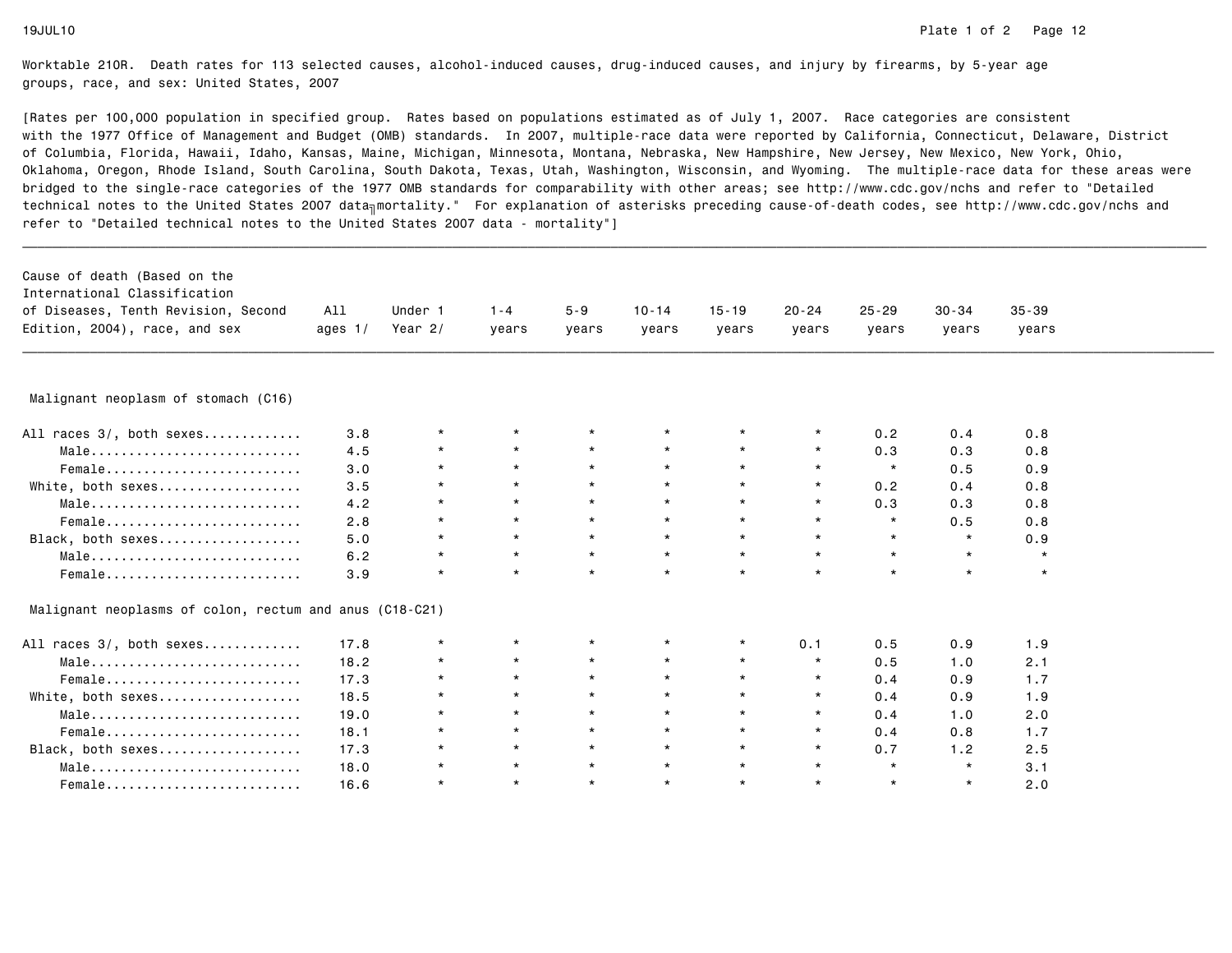| Cause of death (Based on the<br>International Classification       |           |           |         |          |           |           |           |           |         |           |  |
|--------------------------------------------------------------------|-----------|-----------|---------|----------|-----------|-----------|-----------|-----------|---------|-----------|--|
| of Diseases, Tenth Revision, Second                                | All       | Under 1   | $1 - 4$ | $5 - 9$  | $10 - 14$ | $15 - 19$ | $20 - 24$ | $25 - 29$ | 30-34   | $35 - 39$ |  |
| Edition, 2004), race, and sex                                      | ages $1/$ | Year $2/$ | years   | years    | years     | years     | years     | years     | years   | years     |  |
|                                                                    |           |           |         |          |           |           |           |           |         |           |  |
|                                                                    |           |           |         |          |           |           |           |           |         |           |  |
| Malignant neoplasm of stomach (C16)                                |           |           |         |          |           |           |           |           |         |           |  |
| All races 3/, both sexes                                           | 3.8       | $\star$   | $\star$ |          |           | $^\star$  |           | 0.2       | 0.4     | 0.8       |  |
| $Male \dots \dots \dots \dots \dots \dots \dots \dots \dots \dots$ | 4.5       | $\star$   | $\star$ | $\star$  | $\star$   | $\star$   | $\star$   | 0.3       | 0.3     | 0.8       |  |
| Female                                                             | 3.0       | $\star$   | $\star$ | $\star$  | $\star$   | $\star$   | $\star$   | $\star$   | 0.5     | 0.9       |  |
| White, both sexes                                                  | 3.5       | $\star$   | $\star$ | $\star$  | $\star$   | $\star$   | $\star$   | 0.2       | 0.4     | 0.8       |  |
| Male                                                               | 4.2       | $\star$   | $\star$ | $\star$  | $\star$   | $\star$   | $\star$   | 0.3       | 0.3     | 0.8       |  |
| Female                                                             | 2.8       | $\star$   | $\star$ | $\star$  | $\star$   | $\star$   | $\star$   | $\star$   | 0.5     | 0.8       |  |
| Black, both sexes                                                  | 5.0       | $\star$   | $\star$ | $\star$  | $\star$   | $\star$   | $\star$   | $\star$   | $\star$ | 0.9       |  |
| Male                                                               | 6.2       | $\star$   | $\star$ | $\star$  | $\star$   | $\star$   | $\star$   | $\star$   | $\star$ | $\star$   |  |
| Female                                                             | 3.9       | $\star$   | $\star$ | $\star$  | $\star$   | $\star$   | $\star$   | $\star$   | $\star$ | $\star$   |  |
| Malignant neoplasms of colon, rectum and anus (C18-C21)            |           |           |         |          |           |           |           |           |         |           |  |
| All races 3/, both sexes                                           | 17.8      | $\star$   | $\star$ | $\star$  | $\star$   | $\star$   | 0.1       | 0.5       | 0.9     | 1.9       |  |
| Male                                                               | 18.2      | $\star$   | $\star$ | $\star$  | $\star$   | $\star$   | $\star$   | 0.5       | 1.0     | 2.1       |  |
| Female                                                             | 17.3      | $\star$   | $\star$ | $\star$  | $\star$   | $\star$   | $\star$   | 0.4       | 0.9     | 1.7       |  |
| White, both sexes                                                  | 18.5      | $\star$   | $\star$ | $\star$  | $\star$   | $\star$   | $\star$   | 0.4       | 0.9     | 1.9       |  |
| Male                                                               | 19.0      | $\star$   | $\star$ | $^\star$ | $\star$   | $\star$   | $\star$   | 0.4       | 1.0     | 2.0       |  |
| Female                                                             | 18.1      | $\star$   | $\star$ | $\star$  | $\star$   | $\star$   | $\star$   | 0.4       | 0.8     | 1.7       |  |
| Black, both sexes                                                  | 17.3      | $\star$   | $\star$ | $\star$  | $\star$   | $\star$   | $\star$   | 0.7       | 1.2     | 2.5       |  |
| Male                                                               | 18.0      | $\star$   | $\star$ | $\star$  | $\star$   | $\star$   | $\star$   | $\star$   | $\star$ | 3.1       |  |
| Female                                                             | 16.6      | $\star$   | $\star$ | $\star$  | $\star$   | $\star$   | $\star$   | $\star$   | $\star$ | 2.0       |  |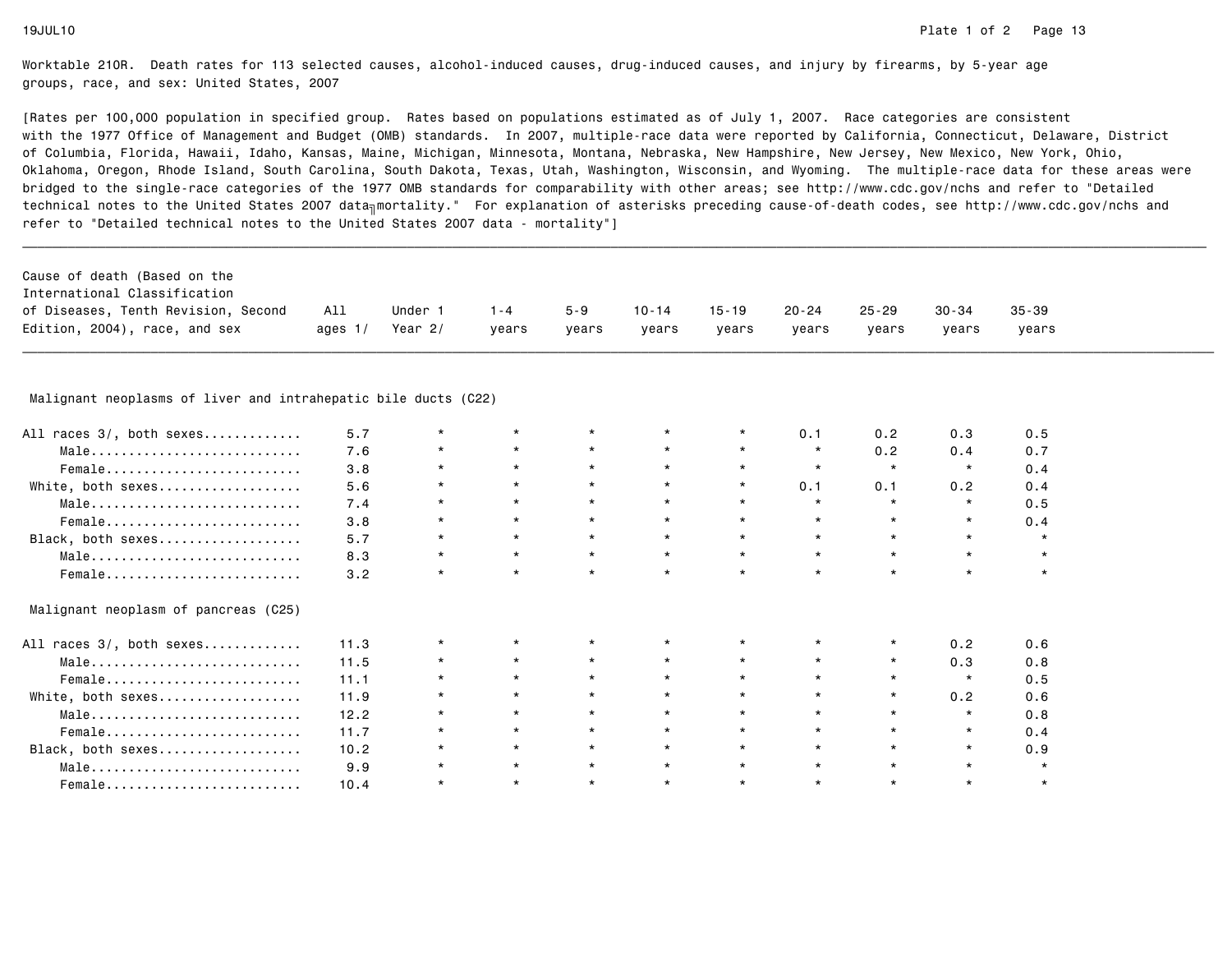[Rates per 100,000 population in specified group. Rates based on populations estimated as of July 1, 2007. Race categories are consistent with the 1977 Office of Management and Budget (OMB) standards. In 2007, multiple-race data were reported by California, Connecticut, Delaware, Districtof Columbia, Florida, Hawaii, Idaho, Kansas, Maine, Michigan, Minnesota, Montana, Nebraska, New Hampshire, New Jersey, New Mexico, New York, Ohio, Oklahoma, Oregon, Rhode Island, South Carolina, South Dakota, Texas, Utah, Washington, Wisconsin, and Wyoming. The multiple-race data for these areas werebridged to the single-race categories of the 1977 OMB standards for comparability with other areas; see http://www.cdc.gov/nchs and refer to "Detailedtechnical notes to the United States 2007 data<sub>∏</sub>mortality." For explanation of asterisks preceding cause-of-death codes, see http://www.cdc.gov/nchs and refer to "Detailed technical notes to the United States 2007 data - mortality"]

| Cause of death (Based on the        |           |         |         |         |       |       |           |       |           |           |
|-------------------------------------|-----------|---------|---------|---------|-------|-------|-----------|-------|-----------|-----------|
| International Classification        |           |         |         |         |       |       |           |       |           |           |
| of Diseases, Tenth Revision, Second | All       | Under   | $1 - 4$ | $5 - 9$ | 10-14 | 15-19 | $20 - 24$ | 25-29 | $30 - 34$ | $35 - 39$ |
| Edition, 2004), race, and sex       | ages $1/$ | Year 2/ | vears   | vears   | vears | vears | vears     | vears | vears     | vears     |

# \_\_\_\_\_\_\_\_\_\_\_\_\_\_\_\_\_\_\_\_\_\_\_\_\_\_\_\_\_\_\_\_\_\_\_\_\_\_\_\_\_\_\_\_\_\_\_\_\_\_\_\_\_\_\_\_\_\_\_\_\_\_\_\_\_\_\_\_\_\_\_\_\_\_\_\_\_\_\_\_\_\_\_\_\_\_\_\_\_\_\_\_\_\_\_\_\_\_\_\_\_\_\_\_\_\_\_\_\_\_\_\_\_\_\_\_\_\_\_\_\_\_\_\_\_\_\_\_\_\_\_\_\_\_\_\_\_\_\_\_\_\_\_\_\_\_\_\_\_\_\_\_\_\_\_\_\_\_ Malignant neoplasms of liver and intrahepatic bile ducts (C22)

| All races 3/, both sexes             | 5.7  |            |         |         | $\star$ |         | 0.1     | 0.2     | 0.3     | 0.5     |
|--------------------------------------|------|------------|---------|---------|---------|---------|---------|---------|---------|---------|
| Male                                 | 7.6  | $^{\star}$ | $\star$ | $\star$ | $\star$ | $\star$ | $\star$ | 0.2     | 0.4     | 0.7     |
| Female                               | 3.8  | $\star$    | $\star$ | $\star$ | $\star$ |         | $\star$ | $\star$ | $\star$ | 0.4     |
| White, both sexes                    | 5.6  | $\star$    | $\star$ | $\star$ | $\star$ | $\star$ | 0.1     | 0.1     | 0.2     | 0.4     |
| Male                                 | 7.4  | $\star$    | $\star$ | $\star$ | $\star$ |         | $\star$ | $\star$ | $\star$ | 0.5     |
| Female                               | 3.8  | $\star$    | $\star$ | $\star$ | $\star$ |         | $\star$ | $\star$ | $\star$ | 0.4     |
| Black, both sexes                    | 5.7  | $\star$    | $\star$ | $\star$ | $\star$ | $\star$ | $\star$ | $\star$ | $\star$ | $\star$ |
| Male                                 | 8.3  | $\star$    | $\star$ | $\star$ | $\star$ | $\star$ | $\star$ | $\star$ |         | $\star$ |
| Female                               | 3.2  | $\star$    | $\star$ | $\star$ | $\star$ |         |         | $\star$ |         |         |
| Malignant neoplasm of pancreas (C25) |      |            |         |         |         |         |         |         |         |         |
| All races 3/, both sexes             | 11.3 |            |         |         |         |         |         | $\star$ | 0.2     | 0.6     |
| Male                                 | 11.5 | $^{\star}$ |         |         | $\star$ |         |         | $\star$ | 0.3     | 0.8     |
| Female                               | 11.1 | $\star$    | $\star$ | $\star$ | $\star$ |         | $\star$ | $\star$ |         | 0.5     |
| White, both sexes                    | 11.9 | $\star$    | $\star$ | $\star$ | $\star$ |         | $\star$ | $\star$ | 0.2     | 0.6     |
| Male                                 | 12.2 | $\star$    | $\star$ | $\star$ | $\star$ |         | $\star$ | $\star$ | $\star$ | 0.8     |
| Female                               | 11.7 | $\star$    | $\star$ | $\star$ | $\star$ |         | $\star$ | $\star$ | $\star$ | 0.4     |
| Black, both sexes                    | 10.2 |            | $\star$ | $\star$ | $\star$ |         |         | $\star$ |         | 0.9     |
| Male                                 | 9.9  |            | $\star$ |         | $\star$ |         | $\star$ |         |         |         |
| Female                               | 10.4 |            | $\star$ |         | $\star$ |         | $\star$ | $\star$ |         | $\star$ |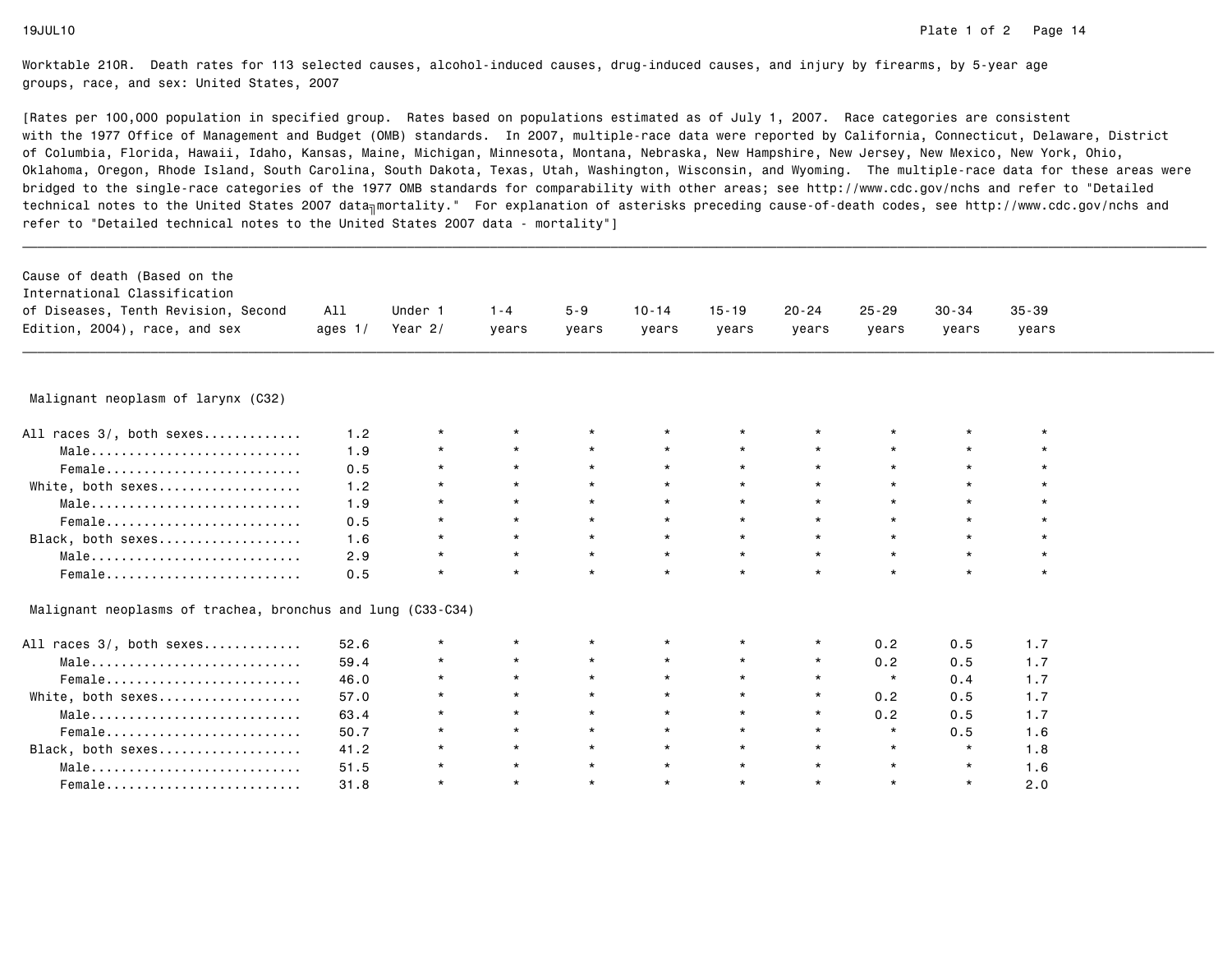| Cause of death (Based on the                                |           |           |         |         |           |           |           |           |           |           |  |
|-------------------------------------------------------------|-----------|-----------|---------|---------|-----------|-----------|-----------|-----------|-----------|-----------|--|
| International Classification                                |           |           |         |         |           |           |           |           |           |           |  |
| of Diseases, Tenth Revision, Second                         | All       | Under 1   | $1 - 4$ | $5 - 9$ | $10 - 14$ | $15 - 19$ | $20 - 24$ | $25 - 29$ | $30 - 34$ | $35 - 39$ |  |
| Edition, 2004), race, and sex                               | ages $1/$ | Year $2/$ | years   | years   | years     | years     | years     | years     | years     | years     |  |
| Malignant neoplasm of larynx (C32)                          |           |           |         |         |           |           |           |           |           |           |  |
|                                                             |           |           | $\star$ |         | $\star$   | $\star$   |           |           |           |           |  |
| All races 3/, both sexes                                    | 1.2       | $\star$   |         |         |           |           |           |           | $\star$   |           |  |
| Male                                                        | 1.9       | $\star$   | $\star$ | $\star$ | $\star$   | $\star$   |           | $\star$   | $\star$   | $\star$   |  |
| Female                                                      | 0.5       | $\star$   | $\star$ | $\star$ | $\star$   | $\star$   |           | $\star$   | $\star$   | $\star$   |  |
| White, both sexes                                           | 1.2       | $\star$   | $\star$ | $\star$ | $\star$   | $\star$   | $\star$   | $\star$   | $\star$   | $\star$   |  |
| Male                                                        | 1.9       | $\star$   | $\star$ | $\star$ | $\star$   | $\star$   |           | $\star$   | $\star$   | $\star$   |  |
| Female                                                      | 0.5       | $\star$   | $\star$ | $\star$ | $\star$   | $\star$   | $\star$   | $\star$   | $\star$   | $\star$   |  |
| Black, both sexes                                           | 1.6       | $\star$   | $\star$ | $\star$ | $\star$   | $\star$   | $\star$   | $\star$   | $\star$   | $\star$   |  |
| Male                                                        | 2.9       | $\star$   | $\star$ | $\star$ | $\star$   | $\star$   | $\star$   | $\star$   | $\star$   | $\star$   |  |
| Female                                                      | 0.5       | $\star$   | $\star$ | $\star$ | $\star$   | $\star$   | $\star$   | $\star$   | $\star$   | $\star$   |  |
| Malignant neoplasms of trachea, bronchus and lung (C33-C34) |           |           |         |         |           |           |           |           |           |           |  |
| All races 3/, both sexes                                    | 52.6      | $\star$   | $\star$ |         | $\star$   | $\star$   | $^\star$  | 0.2       | 0.5       | 1.7       |  |
| Male                                                        | 59.4      | $\star$   | $\star$ | $\star$ | $\star$   | $\star$   | $\star$   | 0.2       | 0.5       | 1.7       |  |
| Female                                                      | 46.0      | $\star$   | $\star$ | $\star$ | $\star$   | $\star$   | $\star$   | $\star$   | 0.4       | 1.7       |  |
| White, both sexes                                           | 57.0      | $\star$   | $\star$ | $\star$ | $\star$   | $\star$   | $\star$   | 0.2       | 0.5       | 1.7       |  |
| Male                                                        | 63.4      | $\star$   | $\star$ | $\star$ | $\star$   | $\star$   | $\star$   | 0.2       | 0.5       | 1.7       |  |
| Female                                                      | 50.7      | $\star$   | $\star$ | $\star$ | $\star$   | $\star$   | $\star$   | $\star$   | 0.5       | 1.6       |  |
| Black, both sexes                                           | 41.2      | $\star$   | $\star$ | $\star$ | $\star$   | $\star$   | $\star$   | $\star$   | $\star$   | 1.8       |  |
| Male                                                        |           | $^\star$  | $\star$ | $\star$ | $\star$   | $\star$   |           | $\star$   | $\star$   |           |  |
|                                                             | 51.5      |           |         |         |           |           | $\star$   |           |           | 1.6       |  |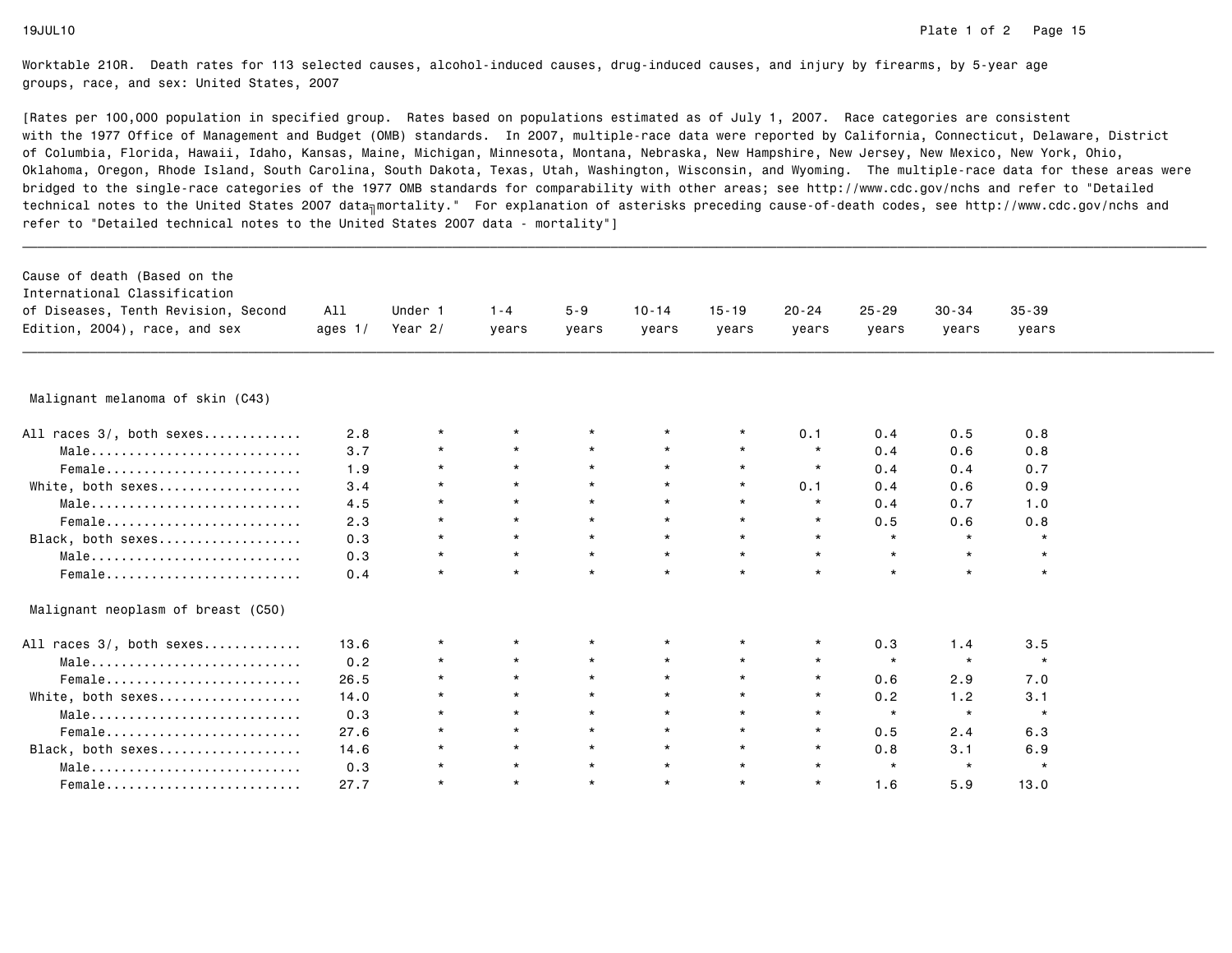| Cause of death (Based on the        |           |           |         |          |           |           |           |           |           |           |  |
|-------------------------------------|-----------|-----------|---------|----------|-----------|-----------|-----------|-----------|-----------|-----------|--|
| International Classification        |           |           |         |          |           |           |           |           |           |           |  |
| of Diseases, Tenth Revision, Second | All       | Under 1   | $1 - 4$ | $5 - 9$  | $10 - 14$ | $15 - 19$ | $20 - 24$ | $25 - 29$ | $30 - 34$ | $35 - 39$ |  |
| Edition, 2004), race, and sex       | ages $1/$ | Year $2/$ | years   | years    | years     | years     | years     | years     | years     | years     |  |
|                                     |           |           |         |          |           |           |           |           |           |           |  |
| Malignant melanoma of skin (C43)    |           |           |         |          |           |           |           |           |           |           |  |
| All races 3/, both sexes            | 2.8       | $^\star$  | $\star$ | $^\star$ | $^\star$  |           | 0.1       | 0.4       | 0.5       | 0.8       |  |
| Male                                | 3.7       | $^\star$  | $\star$ | $\star$  | $\star$   | $\star$   | $\star$   | 0.4       | 0.6       | 0.8       |  |
| Female                              | 1.9       | $\star$   | $\star$ | $\star$  | $\star$   | $\star$   | $\star$   | 0.4       | 0.4       | 0.7       |  |
| White, both sexes                   | 3.4       | $\star$   | $\star$ | $\star$  | $\star$   | $\star$   | 0.1       | 0.4       | 0.6       | 0.9       |  |
| Male                                | 4.5       | $\star$   | $\star$ | $\star$  | $\star$   | $\star$   | $\star$   | 0.4       | 0.7       | 1.0       |  |
| Female                              | 2.3       | $\star$   | $\star$ | $\star$  | $\star$   | $\star$   | $\star$   | 0.5       | 0.6       | 0.8       |  |
| Black, both sexes                   | 0.3       | $\star$   | $\star$ | $\star$  | $\star$   | $\star$   | $\star$   | $\star$   | $\star$   | $\star$   |  |
| Male                                | 0.3       | $\star$   | $\star$ | $\star$  | $\star$   | $\star$   | $\star$   | $\star$   | $\star$   | $\star$   |  |
| Female                              | 0.4       | $\star$   | $\star$ | $\star$  | $\star$   | $\star$   | $\star$   | $\star$   | $\star$   | $\star$   |  |
| Malignant neoplasm of breast (C50)  |           |           |         |          |           |           |           |           |           |           |  |
| All races 3/, both sexes            | 13.6      | $^\star$  | $\star$ | $^\star$ | $\star$   | $\star$   | $\star$   | 0.3       | 1.4       | 3.5       |  |
| Male                                | 0.2       | $\star$   | $\star$ | $\star$  | $\star$   | $\star$   | $\star$   | $\star$   | $\star$   | $\star$   |  |
| Female                              | 26.5      | $\star$   | $\star$ | $\star$  | $\star$   | $\star$   | $\star$   | 0.6       | 2.9       | 7.0       |  |
| White, both sexes                   | 14.0      | $\star$   | $\star$ | $\star$  | $\star$   | $\star$   | $\star$   | 0.2       | 1.2       | 3.1       |  |
| Male                                | 0.3       | $\star$   | $\star$ | $\star$  | $\star$   | $\star$   | $\star$   | $\star$   | $\star$   | $\star$   |  |
| Female                              | 27.6      | $\star$   | $\star$ | $\star$  | $\star$   | $\star$   | $\star$   | 0.5       | 2.4       | 6.3       |  |
| Black, both sexes                   | 14.6      | $\star$   | $\star$ | $\star$  | $\star$   | $\star$   | $\star$   | 0.8       | 3.1       | 6.9       |  |
| Male                                | 0.3       | $^\star$  | $\star$ | $\star$  | $\star$   | $\star$   | $\star$   | $\star$   | $\star$   | $\star$   |  |
| Female                              | 27.7      | $\star$   | $\star$ | $\star$  | $\star$   | $\star$   | $\star$   | 1.6       | 5.9       | 13.0      |  |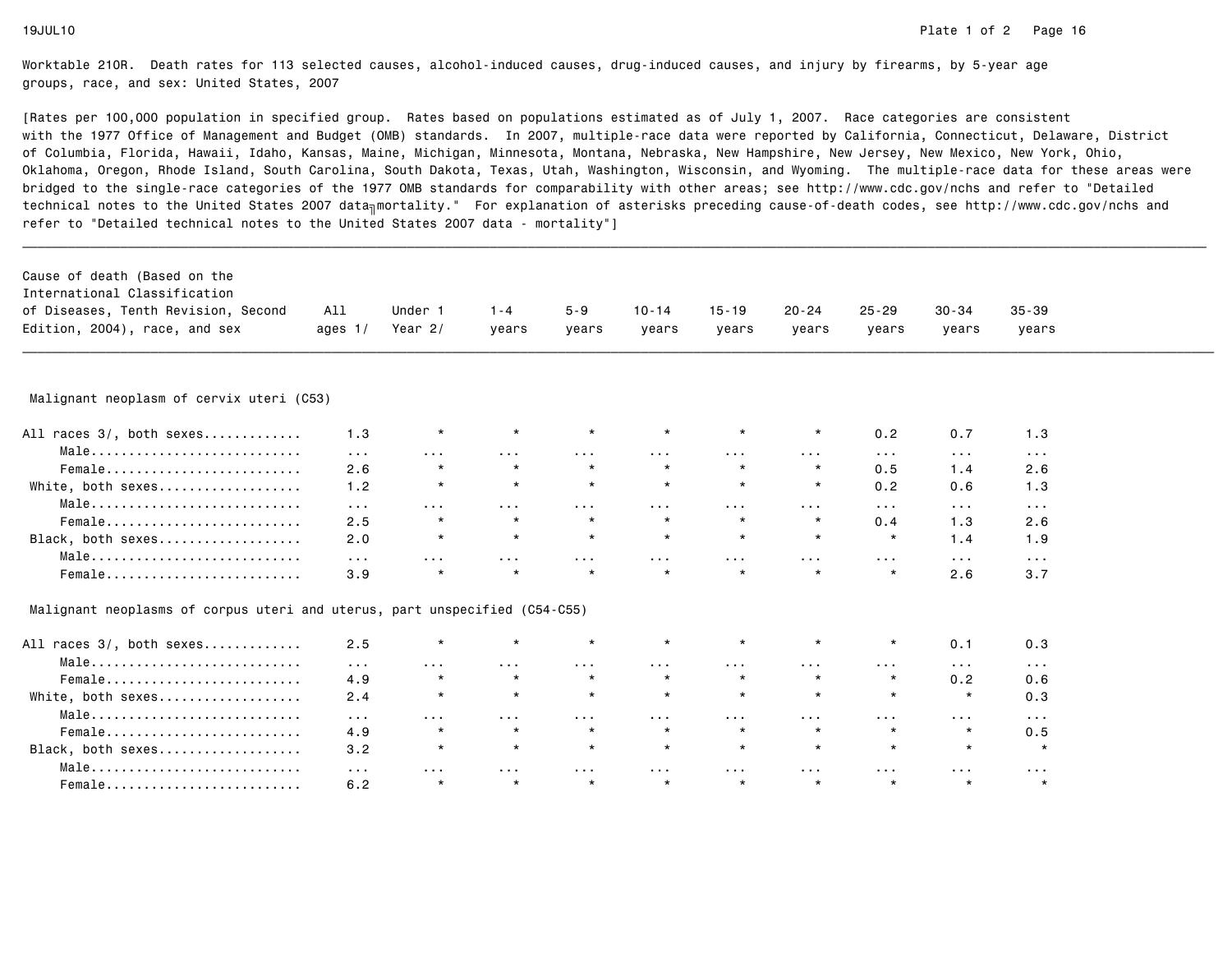| Cause of death (Based on the                                               |                      |                      |                      |                         |                         |                      |                         |                         |                         |                         |  |
|----------------------------------------------------------------------------|----------------------|----------------------|----------------------|-------------------------|-------------------------|----------------------|-------------------------|-------------------------|-------------------------|-------------------------|--|
| International Classification                                               |                      |                      |                      |                         |                         |                      |                         |                         |                         |                         |  |
| of Diseases, Tenth Revision, Second                                        | All                  | Under 1              | $1 - 4$              | $5 - 9$                 | $10 - 14$               | $15 - 19$            | $20 - 24$               | $25 - 29$               | $30 - 34$               | $35 - 39$               |  |
| Edition, 2004), race, and sex                                              | ages $1/$            | Year $2/$            | years                | years                   | years                   | years                | years                   | years                   | years                   | years                   |  |
|                                                                            |                      |                      |                      |                         |                         |                      |                         |                         |                         |                         |  |
| Malignant neoplasm of cervix uteri (C53)                                   |                      |                      |                      |                         |                         |                      |                         |                         |                         |                         |  |
| All races 3/, both sexes                                                   | 1.3                  | $\star$              | $\star$              |                         | $\star$                 | $\star$              | $^\star$                | 0.2                     | 0.7                     | 1.3                     |  |
| Male                                                                       | $\sim 100$           | $\sim 100$           | $\sim 100$           | $\sim 100$              | $\sim 100$              | $\sim 100$           | $\sim 100$              | $\sim 100$ km s $^{-1}$ | $\sim 100$ km s $^{-1}$ | $\sim 100$              |  |
| Female                                                                     | 2.6                  | $\star$              | $\star$              | $\star$                 | $\star$                 | $\star$              | $\star$                 | 0.5                     | 1.4                     | 2.6                     |  |
| White, both sexes                                                          | 1.2                  | $\star$              | $\star$              | $\star$                 | $\star$                 | $\star$              | $^\star$                | 0.2                     | 0.6                     | 1.3                     |  |
| Male                                                                       | $\sim 100$           | .                    | $\sim$ $\sim$ $\sim$ | $\sim$ $\sim$ $\sim$    | $\sim$ $\sim$ $\sim$    | $\cdots$             | $\sim$ $\sim$ $\sim$    | $\sim 100$              | $\sim 100$              | $\sim 100$              |  |
| Female                                                                     | 2.5                  | $\star$              | $\star$              | $\star$                 | $\star$                 | $\star$              | $\star$                 | 0.4                     | 1.3                     | 2.6                     |  |
| Black, both sexes                                                          | 2.0                  | $\star$              | $\star$              | $\star$                 | $\star$                 | $\star$              | $\star$                 | $\star$                 | 1.4                     | 1.9                     |  |
| Male                                                                       | $\sim$ $\sim$ $\sim$ | .                    | $\cdots$             | $\cdots$                | $\sim$ $\sim$ $\sim$    | $\cdots$             | $\sim$ $\sim$ $\sim$    | $\sim$ $\sim$ $\sim$    | $\sim$ $\sim$ $\sim$    | $\sim$ $\sim$ $\sim$    |  |
| Female                                                                     | 3.9                  | $\star$              | $\star$              | $\star$                 | $\star$                 | $\star$              | $\star$                 | $\star$                 | 2.6                     | 3.7                     |  |
| Malignant neoplasms of corpus uteri and uterus, part unspecified (C54-C55) |                      |                      |                      |                         |                         |                      |                         |                         |                         |                         |  |
| All races 3/, both sexes                                                   | 2.5                  | $\star$              | $\star$              |                         | $\star$                 |                      | $^\star$                | $\star$                 | 0.1                     | 0.3                     |  |
| Male                                                                       | $\sim 100$           | $\sim 100$           | $\sim 100$           | $\sim 100$ km s $^{-1}$ | $\sim 100$ km s $^{-1}$ | $\sim 100$           | $\sim 100$ km s $^{-1}$ | $\sim 100$              | $\sim$ $\sim$ $\sim$    | $\sim 100$              |  |
| Female                                                                     | 4.9                  | $\star$              | $\star$              | $\star$                 | $\star$                 | $\star$              | $\star$                 | $\star$                 | 0.2                     | 0.6                     |  |
| White, both sexes                                                          | 2.4                  | $\star$              | $\star$              | $\star$                 | $\star$                 | $\star$              | $\star$                 | $\star$                 | $\star$                 | 0.3                     |  |
| Male                                                                       | $\sim 100$           | $\sim$ $\sim$ $\sim$ | $\sim$ $\sim$ $\sim$ | $\sim$ $\sim$ $\sim$    | $\sim$ $\sim$ $\sim$    | $\sim$ $\sim$ $\sim$ | $\sim$ $\sim$ $\sim$    | $\sim$ $\sim$ $\sim$    | $\sim$ $\sim$ $\sim$    | $\sim$ $\sim$ $\sim$    |  |
| Female                                                                     | 4.9                  | $\star$              | $\star$              | $\star$                 | $\star$                 | $\star$              | $\star$                 | $\star$                 | $\star$                 | 0.5                     |  |
| Black, both sexes                                                          | 3.2                  | $\star$              | $\star$              | $\star$                 | $\star$                 | $\star$              | $\star$                 | $\star$                 | $\star$                 | $\star$                 |  |
| Male                                                                       | $\sim$ $\sim$ $\sim$ | .                    | $\cdots$             | $\sim 100$              | $\cdots$                | $\sim$ $\sim$ $\sim$ | $\sim$ $\sim$ $\sim$    | .                       | $\sim$ $\sim$ $\sim$    | $\sim 100$ km s $^{-1}$ |  |
| Female                                                                     | 6.2                  | $\star$              | $\star$              | $\star$                 | $\star$                 | $\star$              | $\star$                 | $\star$                 | $\star$                 | $\star$                 |  |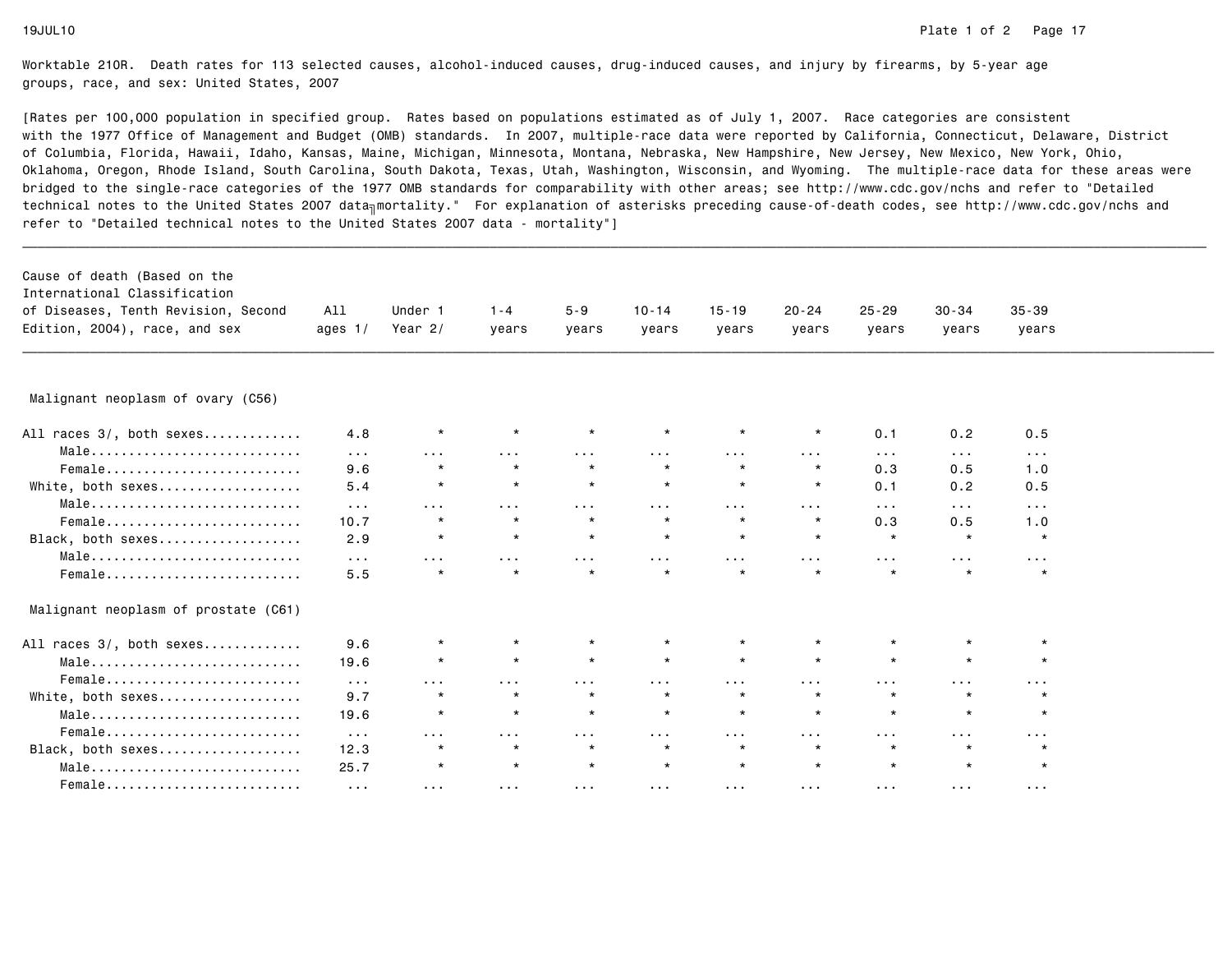| Cause of death (Based on the<br>International Classification<br>of Diseases, Tenth Revision, Second<br>Edition, 2004), race, and sex | All<br>ages $1/$     | Under 1<br>Year $2/$ | $1 - 4$<br>years      | $5 - 9$<br>years     | $10 - 14$<br>years | $15 - 19$<br>years   | $20 - 24$<br>years      | $25 - 29$<br>years    | $30 - 34$<br>years   | $35 - 39$<br>years   |  |
|--------------------------------------------------------------------------------------------------------------------------------------|----------------------|----------------------|-----------------------|----------------------|--------------------|----------------------|-------------------------|-----------------------|----------------------|----------------------|--|
|                                                                                                                                      |                      |                      |                       |                      |                    |                      |                         |                       |                      |                      |  |
| Malignant neoplasm of ovary (C56)                                                                                                    |                      |                      |                       |                      |                    |                      |                         |                       |                      |                      |  |
| All races 3/, both sexes                                                                                                             | 4.8                  | $^\star$             |                       |                      | $\star$            | $\star$              | $^\star$                | 0.1                   | 0.2                  | 0.5                  |  |
| Male                                                                                                                                 | $\sim 100$           | $\sim$ $\sim$ $\sim$ | $\sim 100$            | .                    |                    | $\cdots$             | $\sim 100$ km s $^{-1}$ | $\sim 100$ km $^{-1}$ | $\sim$ $\sim$ $\sim$ | $\sim$ $\sim$ $\sim$ |  |
| Female                                                                                                                               | 9.6                  | $\star$              | $\star$               |                      | $\star$            | $\star$              | $\star$                 | 0.3                   | 0.5                  | 1.0                  |  |
| White, both sexes                                                                                                                    | 5.4                  | $\star$              | $\star$               | $\star$              | $\star$            | $\star$              | $\star$                 | 0.1                   | 0.2                  | 0.5                  |  |
| Male                                                                                                                                 | $\sim$ $\sim$ $\sim$ | $\sim$ $\sim$ $\sim$ | $\sim 100$ km $^{-1}$ | $\sim 100$           | $\sim 100$         | $\sim$ $\sim$ $\sim$ | $\sim$ $\sim$ $\sim$    | $\sim$ $\sim$ $\sim$  | $\sim$ $\sim$ $\sim$ | $\sim 100$           |  |
| Female                                                                                                                               | 10.7                 | $\star$              | $\star$               | $\star$              | $\star$            | $\star$              | $\star$                 | 0.3                   | 0.5                  | 1.0                  |  |
| Black, both sexes                                                                                                                    | 2.9                  | $\star$              | $\star$               | $\star$              | $\star$            | $\star$              | $\star$                 | $\star$               | $\star$              | $\star$              |  |
| Male                                                                                                                                 | $\sim$ $\sim$ $\sim$ | .                    | $\cdots$              | .                    | .                  | .                    | $\sim$ $\sim$ $\sim$    | $\sim$ $\sim$ $\sim$  | $\sim$ $\sim$ $\sim$ | $\sim 100$           |  |
|                                                                                                                                      | 5.5                  | $\star$              | $\star$               | $\star$              | $\star$            | $\star$              | $\star$                 | $\star$               | $\star$              | $\star$              |  |
| Malignant neoplasm of prostate (C61)                                                                                                 |                      |                      |                       |                      |                    |                      |                         |                       |                      |                      |  |
| All races 3/, both sexes                                                                                                             | 9.6                  | $\star$              | $\star$               |                      | $\star$            | $\star$              | $\star$                 | $\star$               | $\star$              | $\star$              |  |
| Male                                                                                                                                 | 19.6                 | $\star$              | $\star$               | $\star$              | $\star$            | $\star$              | $\star$                 | $\star$               | $\star$              | $\star$              |  |
| Female                                                                                                                               | $\sim 100$           | $\sim$ $\sim$ $\sim$ | $\cdots$              | .                    | $\cdots$           | $\cdots$             | $\sim 100$              | $\sim$ $\sim$ $\sim$  | $\sim$ $\sim$ $\sim$ | $\sim 100$           |  |
| White, both sexes                                                                                                                    | 9.7                  | $\star$              | $\star$               | $\star$              | $\star$            | $\star$              | $\star$                 | $\star$               |                      | $\star$              |  |
| Male                                                                                                                                 | 19.6                 | $\star$              | $\star$               | $\star$              | $\star$            | $\star$              | $\star$                 | $\star$               | $\star$              | $\star$              |  |
| Female                                                                                                                               | $\sim 100$           | $\sim$ $\sim$ $\sim$ | $\sim$ $\sim$ $\sim$  | $\sim$ $\sim$ $\sim$ | $\sim 100$         | $\sim$ $\sim$ $\sim$ | $\sim 100$              | $\sim 100$            | $\sim$ $\sim$ $\sim$ | $\sim 100$           |  |
| Black, both sexes                                                                                                                    | 12.3                 | $\star$              | $\star$               | $\star$              | $\star$            | $\star$              | $\star$                 | $\star$               |                      | $\star$              |  |
| Male                                                                                                                                 | 25.7                 | $\star$              | $\star$               | $\star$              | $\star$            | $\star$              | $\star$                 | $\star$               | $\star$              | $\star$              |  |
| Female                                                                                                                               | $\sim$ $\sim$ $\sim$ | $\sim$ $\sim$ $\sim$ | $\sim 100$ km $^{-1}$ | $\sim 100$           | $\sim 100$         | $\sim 100$           | $\sim 100$              | $\sim 100$            | $\sim 100$           | $\sim 100$           |  |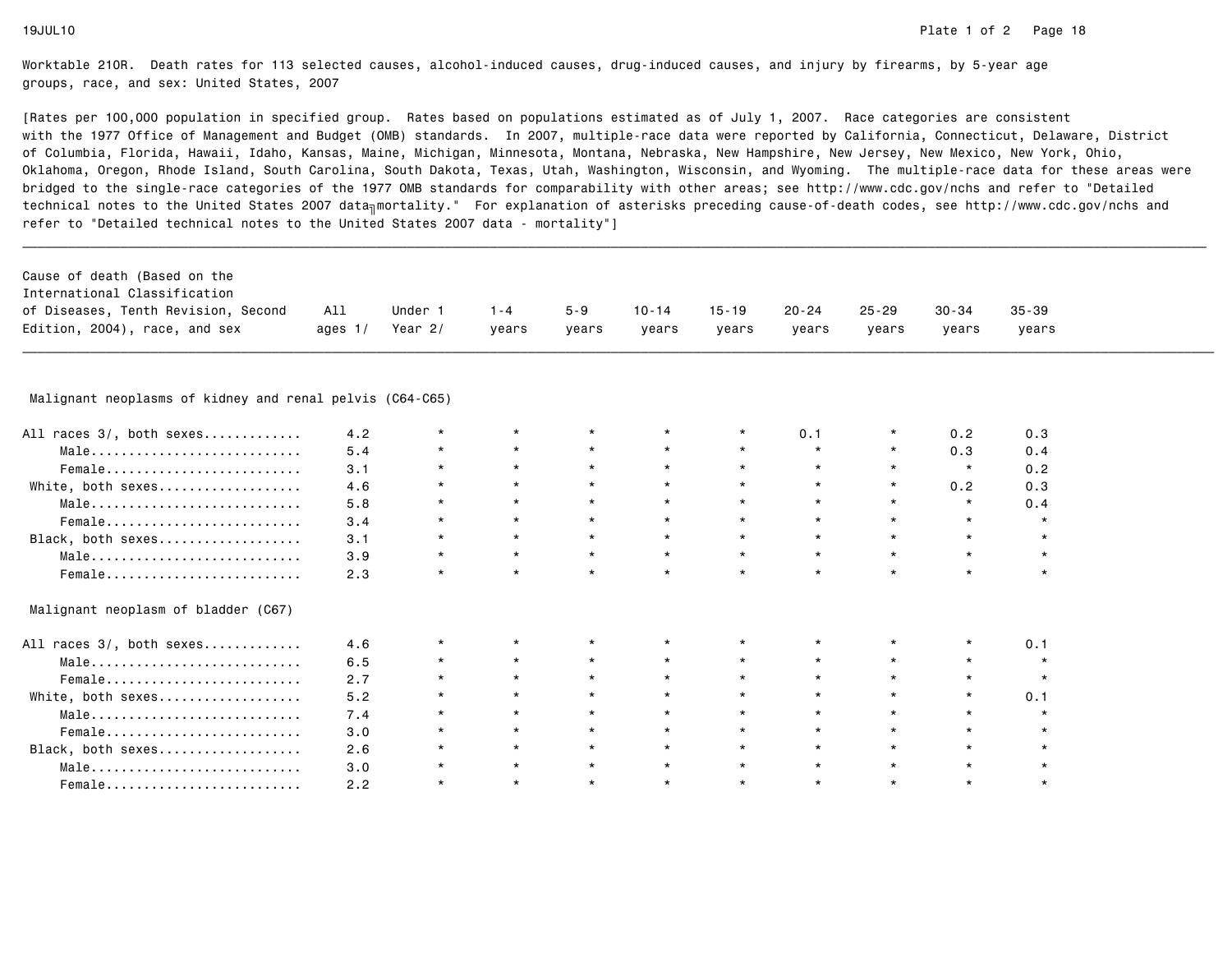| International Classification<br>of Diseases, Tenth Revision, Second | All       | Under 1   | $1 - 4$ | $5 - 9$ | $10 - 14$ | $15 - 19$ | $20 - 24$ | 25-29 | 30-34 | $35 - 39$ |
|---------------------------------------------------------------------|-----------|-----------|---------|---------|-----------|-----------|-----------|-------|-------|-----------|
| Edition, 2004), race, and sex                                       | ages $1/$ | Year $2/$ | vears   | years   | vears     | years     | years     | vears | vears | years     |

| All races 3/, both sexes            | 4.2 |         |         |         |         |         | 0.1     |         | 0.2     | 0.3 |
|-------------------------------------|-----|---------|---------|---------|---------|---------|---------|---------|---------|-----|
| Male                                | 5.4 |         | $\star$ | $\star$ | $\star$ | $\star$ | $\star$ | $\star$ | 0.3     | 0.4 |
| Female                              | 3.1 | $\star$ | $\star$ | $\star$ | $\star$ |         | $\star$ | $\star$ | $\star$ | 0.2 |
| White, both sexes                   | 4.6 |         |         |         | $\star$ |         |         | $\star$ | 0.2     | 0.3 |
| Male                                | 5.8 |         |         |         | $\star$ |         |         | $\star$ |         | 0.4 |
| Female                              | 3.4 |         | $\star$ | $\star$ | $\star$ |         | $\star$ | $\star$ | $\star$ |     |
| Black, both sexes                   | 3.1 | $\star$ | $\star$ |         | $\star$ |         | $\star$ | $\star$ |         |     |
| Male                                | 3.9 | $\star$ | $\star$ | $\star$ | $\star$ | $\star$ | $\star$ | $\star$ |         |     |
| Female                              | 2.3 |         | $\star$ | $\star$ | $\star$ |         | $\star$ | $\star$ |         |     |
| Malignant neoplasm of bladder (C67) |     |         |         |         |         |         |         |         |         |     |
| All races 3/, both sexes            | 4.6 |         |         |         |         |         |         |         |         | 0.1 |
| Male                                | 6.5 |         |         |         | $\star$ |         |         |         |         |     |
| Female                              | 2.7 |         |         |         | $\star$ |         |         |         |         |     |
| White, both sexes                   | 5.2 |         | $\star$ |         | $\star$ |         | $\star$ | $\star$ | $\star$ | 0.1 |
| Male                                | 7.4 | $\star$ | $\star$ | $\star$ | $\star$ |         | $\star$ | $\star$ |         |     |
| Female                              | 3.0 |         | $\star$ | $\star$ | $\star$ |         | $\star$ | $\star$ |         |     |
| Black, both sexes                   | 2.6 |         | $\star$ | $\star$ | $\star$ |         |         | $\star$ |         |     |
| Male                                | 3.0 |         |         |         | $\star$ |         |         |         |         |     |
| Female                              | 2.2 |         | $\star$ |         | $\star$ |         | $\star$ | $\star$ |         |     |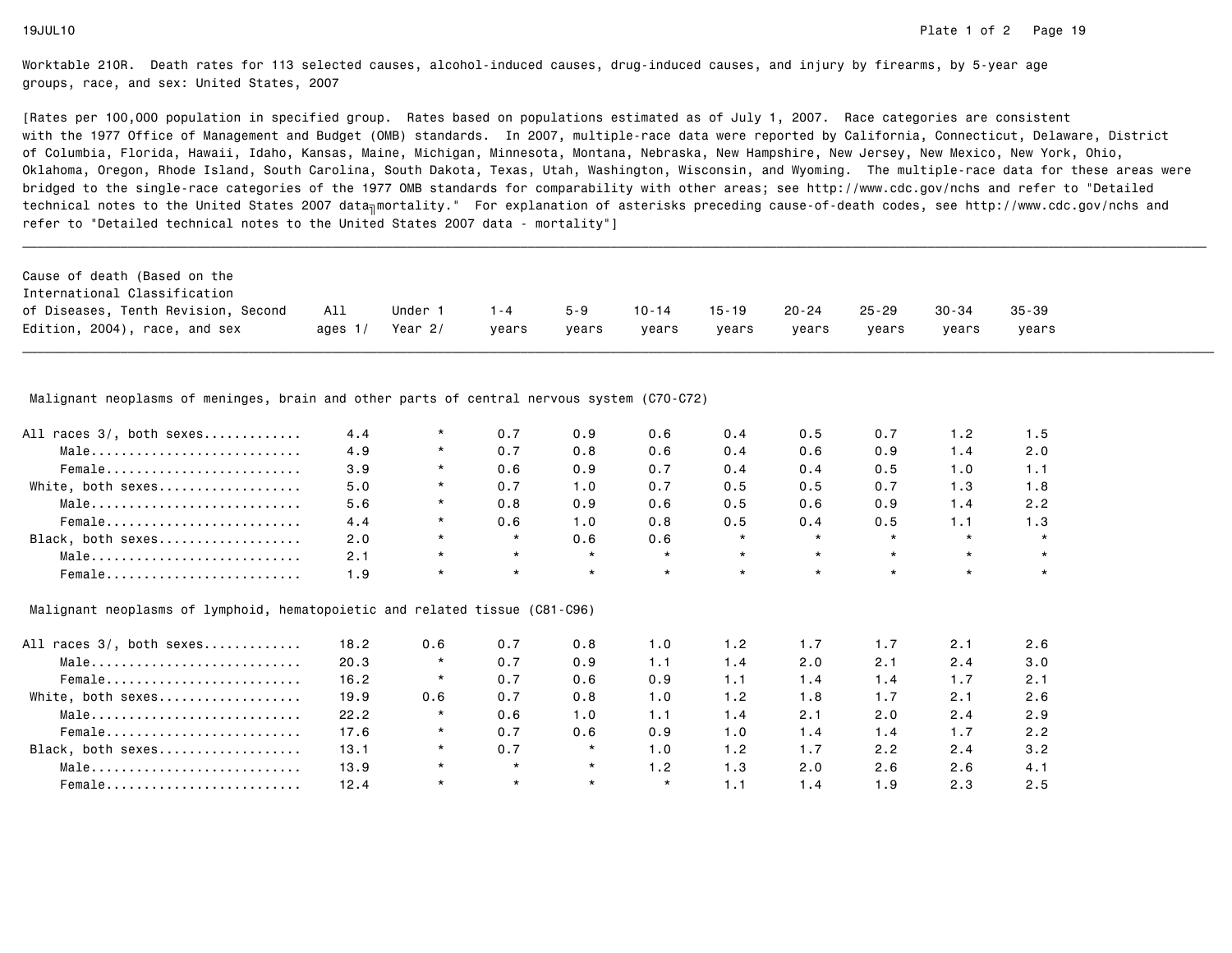[Rates per 100,000 population in specified group. Rates based on populations estimated as of July 1, 2007. Race categories are consistent with the 1977 Office of Management and Budget (OMB) standards. In 2007, multiple-race data were reported by California, Connecticut, Delaware, Districtof Columbia, Florida, Hawaii, Idaho, Kansas, Maine, Michigan, Minnesota, Montana, Nebraska, New Hampshire, New Jersey, New Mexico, New York, Ohio, Oklahoma, Oregon, Rhode Island, South Carolina, South Dakota, Texas, Utah, Washington, Wisconsin, and Wyoming. The multiple-race data for these areas werebridged to the single-race categories of the 1977 OMB standards for comparability with other areas; see http://www.cdc.gov/nchs and refer to "Detailedtechnical notes to the United States 2007 data<sub>∏</sub>mortality." For explanation of asterisks preceding cause-of-death codes, see http://www.cdc.gov/nchs and refer to "Detailed technical notes to the United States 2007 data - mortality"]

| Cause of death (Based on the        |           |         |         |         |           |       |           |           |           |       |
|-------------------------------------|-----------|---------|---------|---------|-----------|-------|-----------|-----------|-----------|-------|
| International Classification        |           |         |         |         |           |       |           |           |           |       |
| of Diseases, Tenth Revision, Second | All       | Under   | $1 - 4$ | $5 - 9$ | $10 - 14$ | 15-19 | $20 - 24$ | $25 - 29$ | $30 - 34$ | 35-39 |
| Edition, 2004), race, and sex       | ages $1/$ | Year 2/ | vears   | vears   | vears     | vears | vears     | vears     | vears     | vears |

Malignant neoplasms of meninges, brain and other parts of central nervous system (C70-C72)

|     |         |         |     |         |         |         |     |         | 1.5 |
|-----|---------|---------|-----|---------|---------|---------|-----|---------|-----|
| 4.9 | $\star$ | 0.7     | 0.8 | 0.6     | 0.4     | 0.6     | 0.9 | 1.4     | 2.0 |
| 3.9 | $\star$ | 0.6     | 0.9 | 0.7     | 0.4     | 0.4     | 0.5 | 1.0     | 1.1 |
| 5.0 | $\star$ | 0.7     | 1.0 | 0.7     | 0.5     | 0.5     | 0.7 | 1.3     | 1.8 |
| 5.6 | $\star$ | 0.8     | 0.9 | 0.6     | 0.5     | 0.6     | 0.9 | 1.4     | 2.2 |
| 4.4 | $\star$ | 0.6     | 1.0 | 0.8     | 0.5     | 0.4     | 0.5 | 1.1     | 1.3 |
| 2.0 | $\star$ | $\star$ | 0.6 | 0.6     | $\star$ | $\star$ |     | $\star$ |     |
| 2.1 | $\star$ | $\star$ |     | $\star$ |         | $\star$ |     | $\star$ |     |
| ∣.9 |         |         |     | $\star$ | $\star$ | $\star$ |     | $\star$ |     |
|     | 4.4     |         | 0.7 | 0.9     | 0.6     | 0.4     | 0.5 | 0.7     | 1.2 |

# Malignant neoplasms of lymphoid, hematopoietic and related tissue (C81-C96)

| All races 3/, both sexes | 18.2 | 0.6     | 0.7     | 0.8     | 1.0         | 1.2 | 1.7 | 1.7 | 2.1 | 2.6 |
|--------------------------|------|---------|---------|---------|-------------|-----|-----|-----|-----|-----|
| Male                     | 20.3 | $\star$ | 0.7     | 0.9     | 1.1         | 1.4 | 2.0 | 2.1 | 2.4 | 3.0 |
| Female                   | 16.2 | $\star$ | 0.7     | 0.6     | 0.9         | 1.1 | 1.4 | 1.4 | 1.7 | 2.1 |
| White, both sexes        | 19.9 | 0.6     | 0.7     | 0.8     | 1.0         | 1.2 | 1.8 | 1.7 | 2.1 | 2.6 |
| Male                     | 22.2 | $\star$ | 0.6     | 1.0     | ۱. ۱        | 1.4 | 2.1 | 2.0 | 2.4 | 2.9 |
| Female                   | 17.6 | $\star$ | 0.7     | 0.6     | 0.9         | 1.0 | 1.4 | 1.4 | 1.7 | 2.2 |
| Black, both sexes        | 13.1 | $\star$ | 0.7     | $\star$ | $\cdot$ . 0 | 1.2 | 1.7 | 2.2 | 2.4 | 3.2 |
| Male                     | 13.9 | $\star$ | $\star$ | $\star$ | $\cdot$ . 2 | 1.3 | 2.0 | 2.6 | 2.6 | 4.1 |
| Female                   | 12.4 | $\star$ | $\star$ | $\star$ | $\star$     | 1.1 | 1.4 | 1.9 | 2.3 | 2.5 |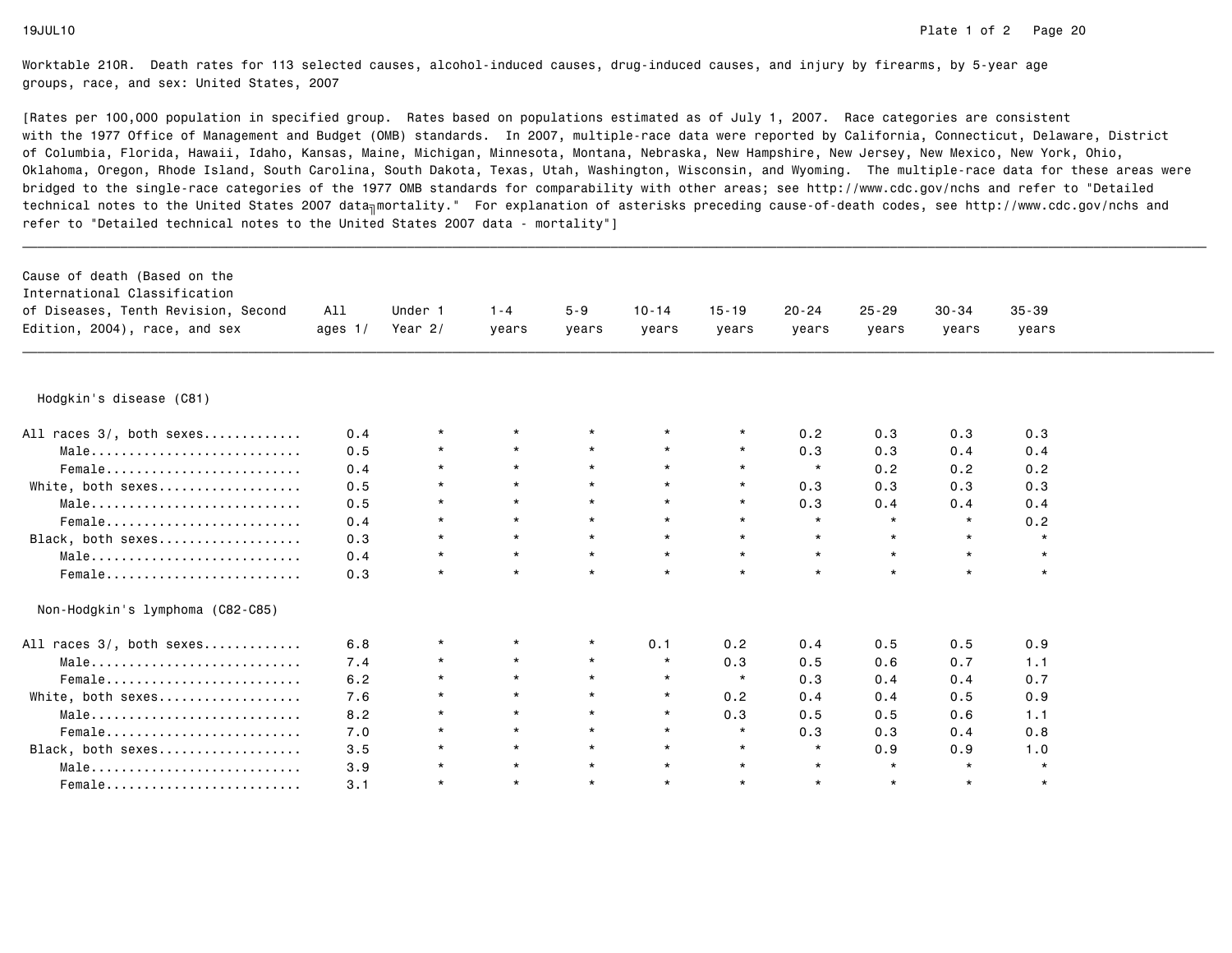| Cause of death (Based on the<br>International Classification<br>of Diseases, Tenth Revision, Second<br>Edition, 2004), race, and sex | All<br>ages $1/$ | Under 1<br>Year 2/ | $1 - 4$<br>years | $5 - 9$<br>vears | $10 - 14$<br>years | $15 - 19$<br>years | $20 - 24$<br>years | $25 - 29$<br>years | $30 - 34$<br>years | $35 - 39$<br>years |  |
|--------------------------------------------------------------------------------------------------------------------------------------|------------------|--------------------|------------------|------------------|--------------------|--------------------|--------------------|--------------------|--------------------|--------------------|--|
|                                                                                                                                      |                  |                    |                  |                  |                    |                    |                    |                    |                    |                    |  |
| Hodgkin's disease (C81)                                                                                                              |                  |                    |                  |                  |                    |                    |                    |                    |                    |                    |  |
| All races 3/, both sexes                                                                                                             | 0.4              | $\star$            | $\star$          |                  | $\star$            | $\star$            | 0.2                | 0.3                | 0.3                | 0.3                |  |
| Male                                                                                                                                 | 0.5              | $\star$            | $\star$          | $\star$          | $\star$            | $\star$            | 0.3                | 0.3                | 0.4                | 0.4                |  |
| Female                                                                                                                               | 0.4              | $\star$            | $\star$          | $\star$          | $\star$            | $\star$            | $\star$            | 0.2                | 0.2                | 0.2                |  |
| White, both sexes                                                                                                                    | 0.5              | $\star$            | $\star$          | $\star$          | $\star$            | $\star$            | 0.3                | 0.3                | 0.3                | 0.3                |  |
| Male                                                                                                                                 | 0.5              | $\star$            | $\star$          | $\star$          | $\star$            | $\star$            | 0.3                | 0.4                | 0.4                | 0.4                |  |
| Female                                                                                                                               | 0.4              | $\star$            | $\star$          | $\star$          | $\star$            | $\star$            | $\star$            | $\star$            | $\star$            | 0.2                |  |
| Black, both sexes                                                                                                                    | 0.3              | $\star$            | $\star$          | $\star$          | $\star$            | $\star$            | $\star$            | $\star$            | $\star$            | $\star$            |  |
| Male                                                                                                                                 | 0.4              | $\star$            | $\star$          | $\star$          | $\star$            | $\star$            | $\star$            | $\star$            | $\star$            | $\star$            |  |
| Female                                                                                                                               | 0.3              | $\star$            | $\star$          | $\star$          | $\star$            | $\star$            | $\star$            | $\star$            | $\star$            | $\star$            |  |
| Non-Hodgkin's lymphoma (C82-C85)                                                                                                     |                  |                    |                  |                  |                    |                    |                    |                    |                    |                    |  |
| All races 3/, both sexes                                                                                                             | 6.8              | $\star$            |                  |                  | 0.1                | 0.2                | 0.4                | 0.5                | 0.5                | 0.9                |  |
| $Male \dots \dots \dots \dots \dots \dots \dots \dots \dots$                                                                         | 7.4              |                    | $\star$          | $\star$          | $\star$            | 0.3                | 0.5                | 0.6                | 0.7                | 1.1                |  |
| Female                                                                                                                               | 6.2              | $\star$            | $\star$          | $\star$          | $\star$            | $\star$            | 0.3                | 0.4                | 0.4                | 0.7                |  |
| White, both sexes                                                                                                                    | 7.6              | $\star$            | $\star$          | $\star$          | $\star$            | 0.2                | 0.4                | 0.4                | 0.5                | 0.9                |  |
| Male                                                                                                                                 | 8.2              | $\star$            | $\star$          | $\star$          | $\star$            | 0.3                | 0.5                | 0.5                | 0.6                | 1.1                |  |
| Female                                                                                                                               | 7.0              | $\star$            | $\star$          | $\star$          | $\star$            | $\star$            | 0.3                | 0.3                | 0.4                | 0.8                |  |
| Black, both sexes                                                                                                                    | 3.5              | $\star$            | $\star$          | $\star$          | $\star$            | $\star$            | $\star$            | 0.9                | 0.9                | 1.0                |  |
| Male                                                                                                                                 | 3.9              | $\star$            | $\star$          | $\star$          | $\star$            | $\star$            | $\star$            | $\star$            | $\star$            | $\star$            |  |
| Female                                                                                                                               | 3.1              | $\star$            | $\star$          | $\star$          | $\star$            | $\star$            | $\star$            | $\star$            | $\star$            | $\star$            |  |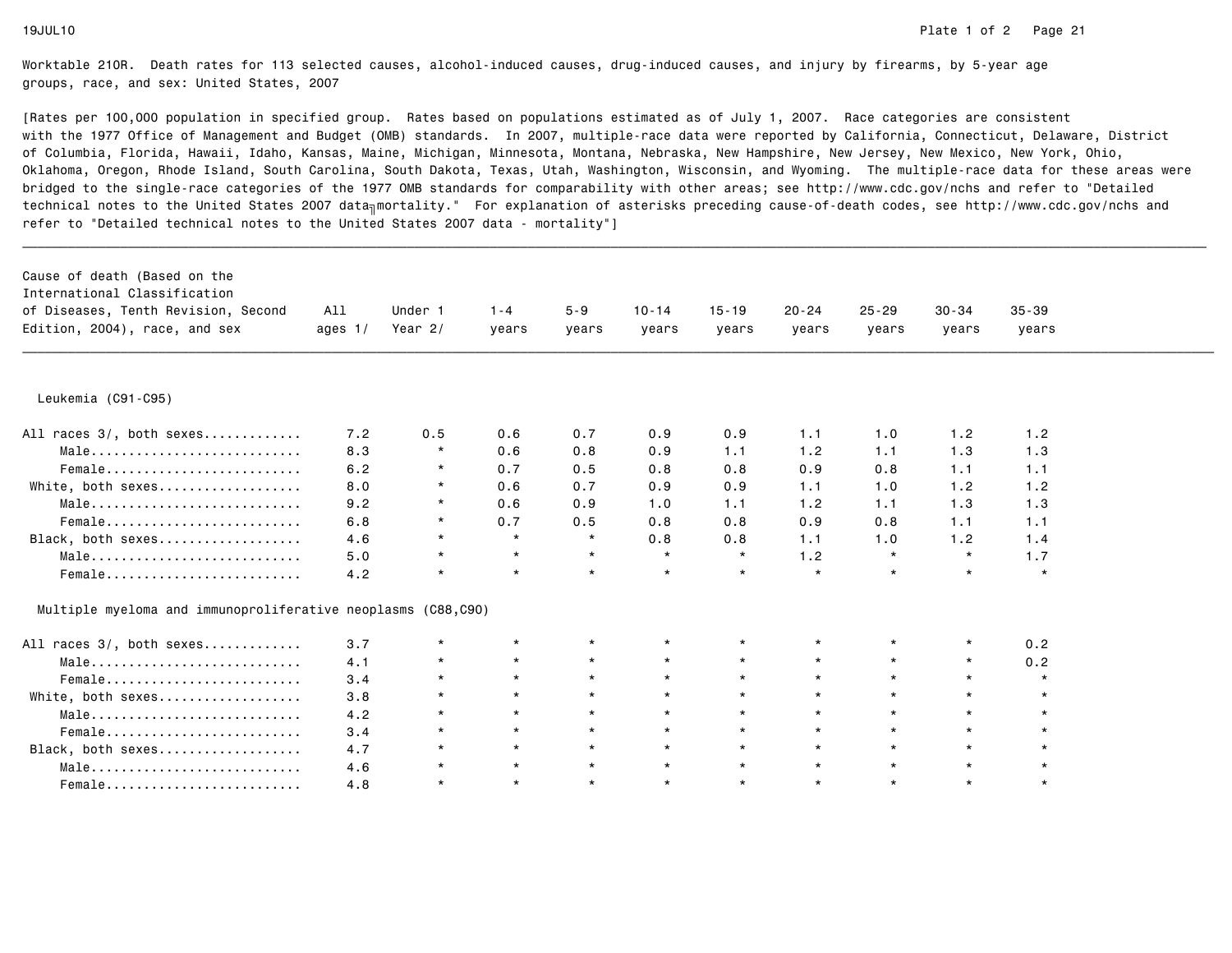| Cause of death (Based on the<br>International Classification<br>of Diseases, Tenth Revision, Second<br>Edition, 2004), race, and sex | All<br>ages $1/$ | Under 1<br>Year $2/$ | $1 - 4$<br>years | $5 - 9$<br>years | $10 - 14$<br>years | $15 - 19$<br>years | $20 - 24$<br>years | $25 - 29$<br>years | $30 - 34$<br>years | $35 - 39$<br>years |  |
|--------------------------------------------------------------------------------------------------------------------------------------|------------------|----------------------|------------------|------------------|--------------------|--------------------|--------------------|--------------------|--------------------|--------------------|--|
| Leukemia (C91-C95)                                                                                                                   |                  |                      |                  |                  |                    |                    |                    |                    |                    |                    |  |
| All races 3/, both sexes                                                                                                             | 7.2              | 0.5                  | 0.6              | 0.7              | 0.9                | 0.9                | 1.1                | 1.0                | 1.2                | 1.2                |  |
| Male                                                                                                                                 | 8.3              | $\star$              | 0.6              | 0.8              | 0.9                | 1.1                | 1.2                | 1.1                | 1.3                | 1.3                |  |
| Female                                                                                                                               | 6.2              | $\star$              | 0.7              | 0.5              | 0.8                | 0.8                | 0.9                | 0.8                | 1.1                | 1.1                |  |
| White, both sexes                                                                                                                    | 8.0              | $\star$              | 0.6              | 0.7              | 0.9                | 0.9                | 1.1                | 1.0                | 1.2                | 1.2                |  |
| Male                                                                                                                                 | 9.2              | $\star$              | 0.6              | 0.9              | 1.0                | 1.1                | 1.2                | 1.1                | 1.3                | 1.3                |  |
|                                                                                                                                      | 6.8              | $\star$              | 0.7              | 0.5              | 0.8                | 0.8                | 0.9                | 0.8                | 1.1                | 1.1                |  |
| Black, both sexes                                                                                                                    | 4.6              | $\star$              | $\star$          | $\star$          | 0.8                | 0.8                | 1.1                | 1.0                | 1.2                | 1.4                |  |
| Male                                                                                                                                 | 5.0              | $\star$              | $\star$          | $\star$          | $\star$            | $\star$            | 1.2                | $\star$            | $\star$            | 1.7                |  |
| $Female$                                                                                                                             | 4.2              | $\star$              | $\star$          | $\star$          | $\star$            | $\star$            | $\star$            | $\star$            | $\star$            | $\star$            |  |
| Multiple myeloma and immunoproliferative neoplasms (C88,C90)                                                                         |                  |                      |                  |                  |                    |                    |                    |                    |                    |                    |  |
| All races 3/, both sexes                                                                                                             | 3.7              | $\star$              | $\star$          | $\star$          | $\star$            | $\star$            | $\star$            | $\star$            | $\star$            | 0.2                |  |
| Male                                                                                                                                 | 4.1              | $\star$              | $\star$          | $\star$          | $\star$            | $\star$            | $\star$            | $\star$            | $\star$            | 0.2                |  |
| Female                                                                                                                               | 3.4              | $\star$              | $\star$          | $\star$          | $\star$            | $\star$            | $\star$            | $\star$            | $\star$            | $\star$            |  |
| White, both sexes                                                                                                                    | 3.8              | $\star$              | $\star$          | $\star$          | $\star$            | $\star$            | $\star$            | $\star$            | $\star$            | $\star$            |  |
| Male                                                                                                                                 | 4.2              | $\star$              | $\star$          | $\star$          | $\star$            | $\star$            | $\star$            | $\star$            | $\star$            | $\star$            |  |
| Female                                                                                                                               | 3.4              | $\star$              | $\star$          | $\star$          | $\star$            | $\star$            | $\star$            | $\star$            | $\star$            | $\star$            |  |
| Black, both sexes                                                                                                                    | 4.7              | $\star$              | $\star$          | $\star$          | $\star$            | $\star$            | $\star$            | $\star$            | $\star$            |                    |  |
| Male                                                                                                                                 | 4.6              | $\star$              | $\star$          | $\star$          | $\star$            | $\star$            | $\star$            | $\star$            | $\star$            | $\star$            |  |
| Female                                                                                                                               | 4.8              | $\star$              | $\star$          | $\star$          | $\star$            | $\star$            | $\star$            | $\star$            | $\star$            | $\star$            |  |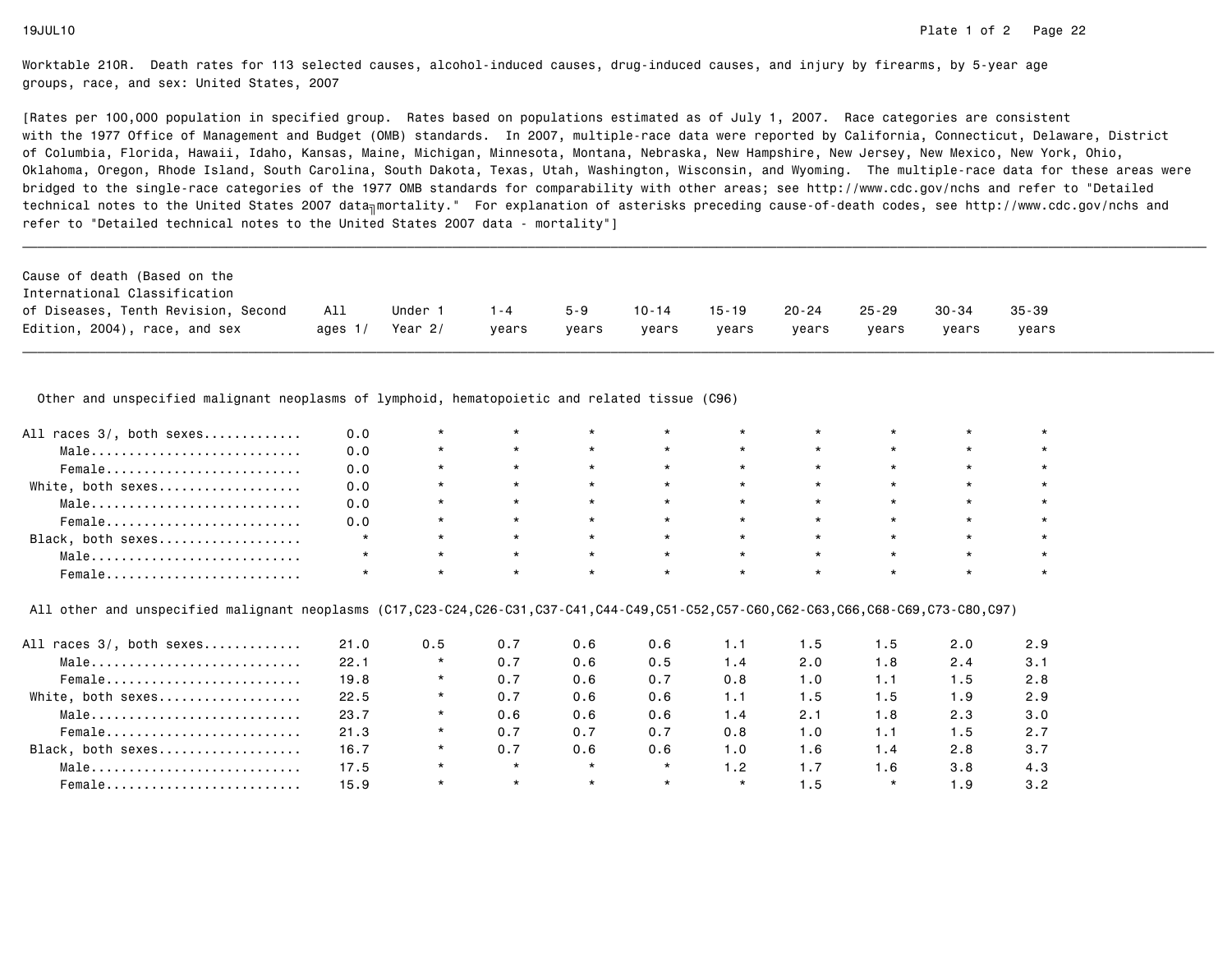[Rates per 100,000 population in specified group. Rates based on populations estimated as of July 1, 2007. Race categories are consistent with the 1977 Office of Management and Budget (OMB) standards. In 2007, multiple-race data were reported by California, Connecticut, Delaware, Districtof Columbia, Florida, Hawaii, Idaho, Kansas, Maine, Michigan, Minnesota, Montana, Nebraska, New Hampshire, New Jersey, New Mexico, New York, Ohio, Oklahoma, Oregon, Rhode Island, South Carolina, South Dakota, Texas, Utah, Washington, Wisconsin, and Wyoming. The multiple-race data for these areas werebridged to the single-race categories of the 1977 OMB standards for comparability with other areas; see http://www.cdc.gov/nchs and refer to "Detailedtechnical notes to the United States 2007 data<sub>∏</sub>mortality." For explanation of asterisks preceding cause-of-death codes, see http://www.cdc.gov/nchs and refer to "Detailed technical notes to the United States 2007 data - mortality"]

| Cause of death (Based on the        |           |         |         |         |       |           |       |           |           |           |
|-------------------------------------|-----------|---------|---------|---------|-------|-----------|-------|-----------|-----------|-----------|
| International Classification        |           |         |         |         |       |           |       |           |           |           |
| of Diseases, Tenth Revision, Second | All       | Under 1 | $1 - 4$ | $5 - 9$ | 10-14 | $15 - 19$ | 20-24 | $25 - 29$ | $30 - 34$ | $35 - 39$ |
| Edition, 2004), race, and sex       | ages $1/$ | Year 2/ | vears   | vears   | vears | years     | vears | vears     | vears     | vears     |

Other and unspecified malignant neoplasms of lymphoid, hematopoietic and related tissue (C96)

| All races 3/, both sexes | 0.0 |         |                |         | $\star$ |         |         |         |  |
|--------------------------|-----|---------|----------------|---------|---------|---------|---------|---------|--|
| Male                     | 0.0 |         | $\star$        | $\star$ | $\star$ |         | $\star$ |         |  |
| Female                   | 0.0 |         | $\star$        | $\star$ | $\star$ | $\star$ | $\star$ | $\star$ |  |
| White, both sexes        | 0.0 |         | $\star$        | $\star$ | $\star$ |         | $\star$ |         |  |
| Male                     | 0.0 |         | $\star$ $\sim$ | $\star$ | $\star$ | $\star$ | $\star$ |         |  |
| Female                   | 0.0 |         | $\star$        | $\star$ | $\star$ | $\star$ | $\star$ |         |  |
| Black, both sexes        |     |         | $\star$        | $\star$ | $\star$ |         | $\star$ |         |  |
| Male                     |     | $\star$ | $\star$        | $\star$ | $\star$ |         | $\star$ |         |  |
| Female                   |     |         | $\star$        |         | $\star$ |         | $\star$ |         |  |

All other and unspecified malignant neoplasms (C17,C23-C24,C26-C31,C37-C41,C44-C49,C51-C52,C57-C60,C62-C63,C66,C68-C69,C73-C80,C97)

| All races 3/, both sexes | 21.0 | 0.5     | 0.7     | 0.6     | 0.6     | 1.1     | I.5 | 1.5 | 2.0 | 2.9 |
|--------------------------|------|---------|---------|---------|---------|---------|-----|-----|-----|-----|
| Male                     | 22.1 | $\star$ | 0.7     | 0.6     | 0.5     | 1.4     | 2.0 | 1.8 | 2.4 | 3.1 |
| Female                   | 19.8 | $\star$ | 0.7     | 0.6     | 0.7     | 0.8     | 1.0 | 1.1 | 1.5 | 2.8 |
| White, both sexes        | 22.5 | $\star$ | 0.7     | 0.6     | 0.6     | 1.1     | 1.5 | 1.5 | 1.9 | 2.9 |
| Male                     | 23.7 | $\star$ | 0.6     | 0.6     | 0.6     | 1.4     | 2.1 | 1.8 | 2.3 | 3.0 |
| Female                   | 21.3 | $\star$ | 0.7     | 0.7     | 0.7     | 0.8     | 1.0 | 1.1 | 1.5 | 2.7 |
| Black, both sexes        | 16.7 | $\star$ | 0.7     | 0.6     | 0.6     | 1.0     | 1.6 | 1.4 | 2.8 | 3.7 |
| Male                     | 17.5 | $\star$ | $\star$ | $\star$ | $\star$ | 1.2     | 1.7 | 1.6 | 3.8 | 4.3 |
| Female                   | 15.9 | $\star$ | $\star$ | $\star$ | $\star$ | $\star$ | 1.5 |     | 1.9 | 3.2 |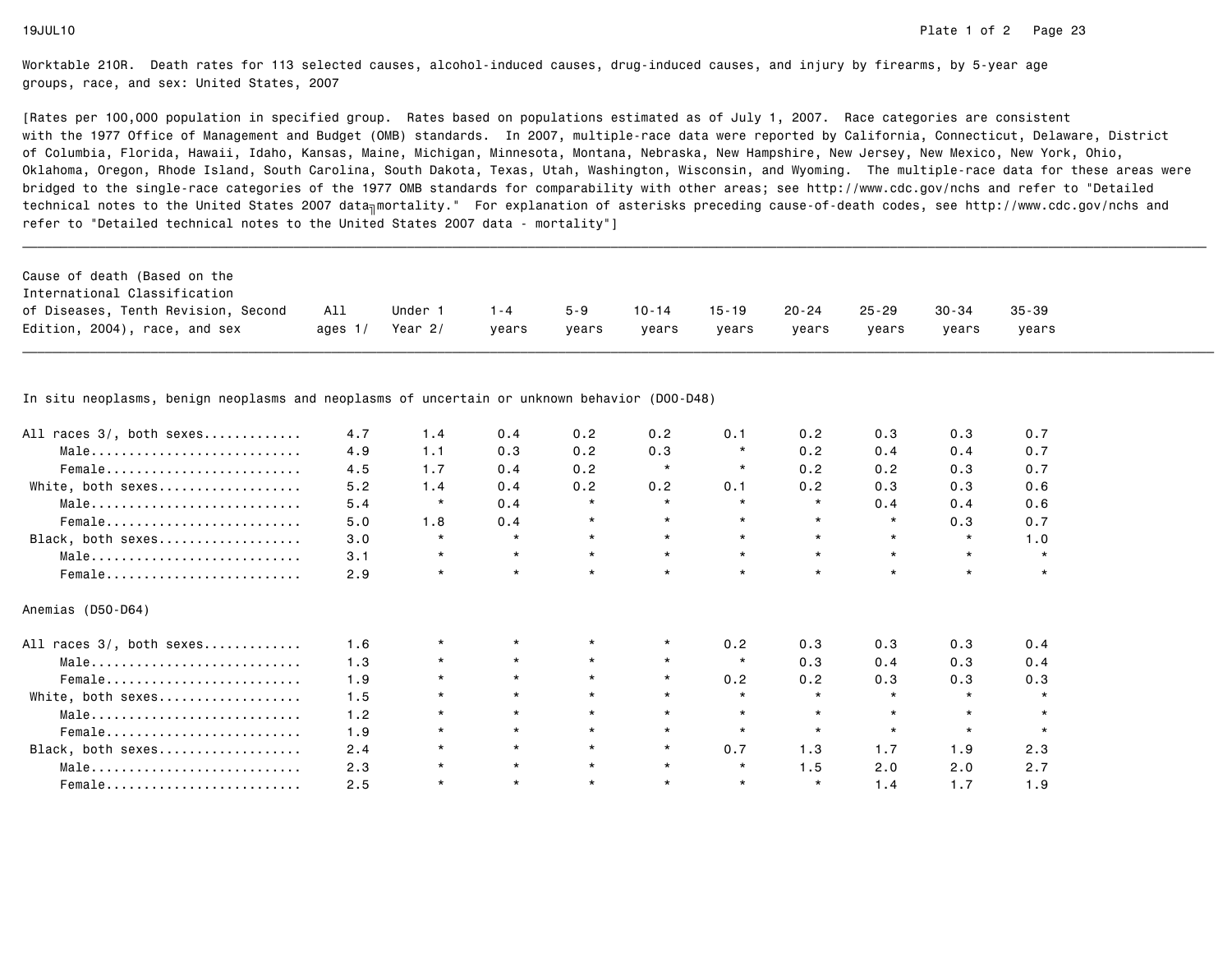[Rates per 100,000 population in specified group. Rates based on populations estimated as of July 1, 2007. Race categories are consistent with the 1977 Office of Management and Budget (OMB) standards. In 2007, multiple-race data were reported by California, Connecticut, Delaware, Districtof Columbia, Florida, Hawaii, Idaho, Kansas, Maine, Michigan, Minnesota, Montana, Nebraska, New Hampshire, New Jersey, New Mexico, New York, Ohio, Oklahoma, Oregon, Rhode Island, South Carolina, South Dakota, Texas, Utah, Washington, Wisconsin, and Wyoming. The multiple-race data for these areas werebridged to the single-race categories of the 1977 OMB standards for comparability with other areas; see http://www.cdc.gov/nchs and refer to "Detailedtechnical notes to the United States 2007 data<sub>∏</sub>mortality." For explanation of asterisks preceding cause-of-death codes, see http://www.cdc.gov/nchs and refer to "Detailed technical notes to the United States 2007 data - mortality"]

| Cause of death (Based on the        |           |         |         |         |           |       |       |           |           |           |
|-------------------------------------|-----------|---------|---------|---------|-----------|-------|-------|-----------|-----------|-----------|
| International Classification        |           |         |         |         |           |       |       |           |           |           |
| of Diseases, Tenth Revision, Second | All       | Under   | $1 - 4$ | $5 - 9$ | $10 - 14$ | 15-19 | 20-24 | $25 - 29$ | $30 - 34$ | $35 - 39$ |
| Edition, 2004), race, and sex       | ages $1/$ | Year 2/ | vears   | vears   | years     | vears | vears | vears     | vears     | vears     |

\_\_\_\_\_\_\_\_\_\_\_\_\_\_\_\_\_\_\_\_\_\_\_\_\_\_\_\_\_\_\_\_\_\_\_\_\_\_\_\_\_\_\_\_\_\_\_\_\_\_\_\_\_\_\_\_\_\_\_\_\_\_\_\_\_\_\_\_\_\_\_\_\_\_\_\_\_\_\_\_\_\_\_\_\_\_\_\_\_\_\_\_\_\_\_\_\_\_\_\_\_\_\_\_\_\_\_\_\_\_\_\_\_\_\_\_\_\_\_\_\_\_\_\_\_\_\_\_\_\_\_\_\_\_\_\_\_\_\_\_\_\_\_\_\_\_\_\_\_\_\_\_\_\_\_\_\_\_

In situ neoplasms, benign neoplasms and neoplasms of uncertain or unknown behavior (D00-D48)

| All races 3/, both sexes | 4.7 | 1.4     | 0.4     | 0.2     | 0.2     | 0.1     | 0.2     | 0.3     | 0.3     | 0.7     |
|--------------------------|-----|---------|---------|---------|---------|---------|---------|---------|---------|---------|
| Male                     | 4.9 | 1.1     | 0.3     | 0.2     | 0.3     | $\star$ | 0.2     | 0.4     | 0.4     | 0.7     |
| Female                   | 4.5 | 1.7     | 0.4     | 0.2     | $\star$ | $\star$ | 0.2     | 0.2     | 0.3     | 0.7     |
| White, both sexes        | 5.2 | 1.4     | 0.4     | 0.2     | 0.2     | 0.1     | 0.2     | 0.3     | 0.3     | 0.6     |
| Male                     | 5.4 | $\star$ | 0.4     |         | $\star$ | $\star$ | $\star$ | 0.4     | 0.4     | 0.6     |
| Female                   | 5.0 | 1.8     | 0.4     | $\star$ | $\star$ |         | $\star$ | $\star$ | 0.3     | 0.7     |
| Black, both sexes        | 3.0 | $\star$ | $\star$ | $\star$ | $\star$ |         | $\star$ | $\star$ | $\star$ | 1.0     |
| Male                     | 3.1 | $\star$ | $\star$ | $\star$ | $\star$ | $\star$ | $\star$ | $\star$ | $\star$ | $\star$ |
| Female                   | 2.9 | $\star$ | $\star$ |         | $\star$ |         | $\star$ | $\star$ | $\star$ | $\star$ |
| Anemias (D50-D64)        |     |         |         |         |         |         |         |         |         |         |
| All races 3/, both sexes | 1.6 | $\star$ | $\star$ |         | $\star$ | 0.2     | 0.3     | 0.3     | 0.3     | 0.4     |
| Male                     | 1.3 | $\star$ |         |         | $\star$ | $\star$ | 0.3     | 0.4     | 0.3     | 0.4     |
| Female                   | 1.9 | $\star$ | $\star$ | $\star$ | $\star$ | 0.2     | 0.2     | 0.3     | 0.3     | 0.3     |
| White, both sexes        | 1.5 | $\star$ | $\star$ | $\star$ | $\star$ | $\star$ | $\star$ | $\star$ | $\star$ | $\star$ |
| Male                     | 1.2 | $\star$ | $\star$ | $\star$ | $\star$ | $\star$ | $\star$ | $\star$ |         |         |
| Female                   | 1.9 | $\star$ | $\star$ | $\star$ | $\star$ | $\star$ | $\star$ | $\star$ | $\star$ |         |
| Black, both sexes        | 2.4 | $\star$ | $\star$ |         | $\star$ | 0.7     | 1.3     | 1.7     | 1.9     | 2.3     |
| Male                     | 2.3 |         | $\star$ | $\star$ | $\star$ | $\star$ | 1.5     | 2.0     | 2.0     | 2.7     |
|                          | 2.5 | $\star$ | $\star$ | $\star$ | $\star$ | $\star$ | $\star$ | 1.4     | 1.7     | 1.9     |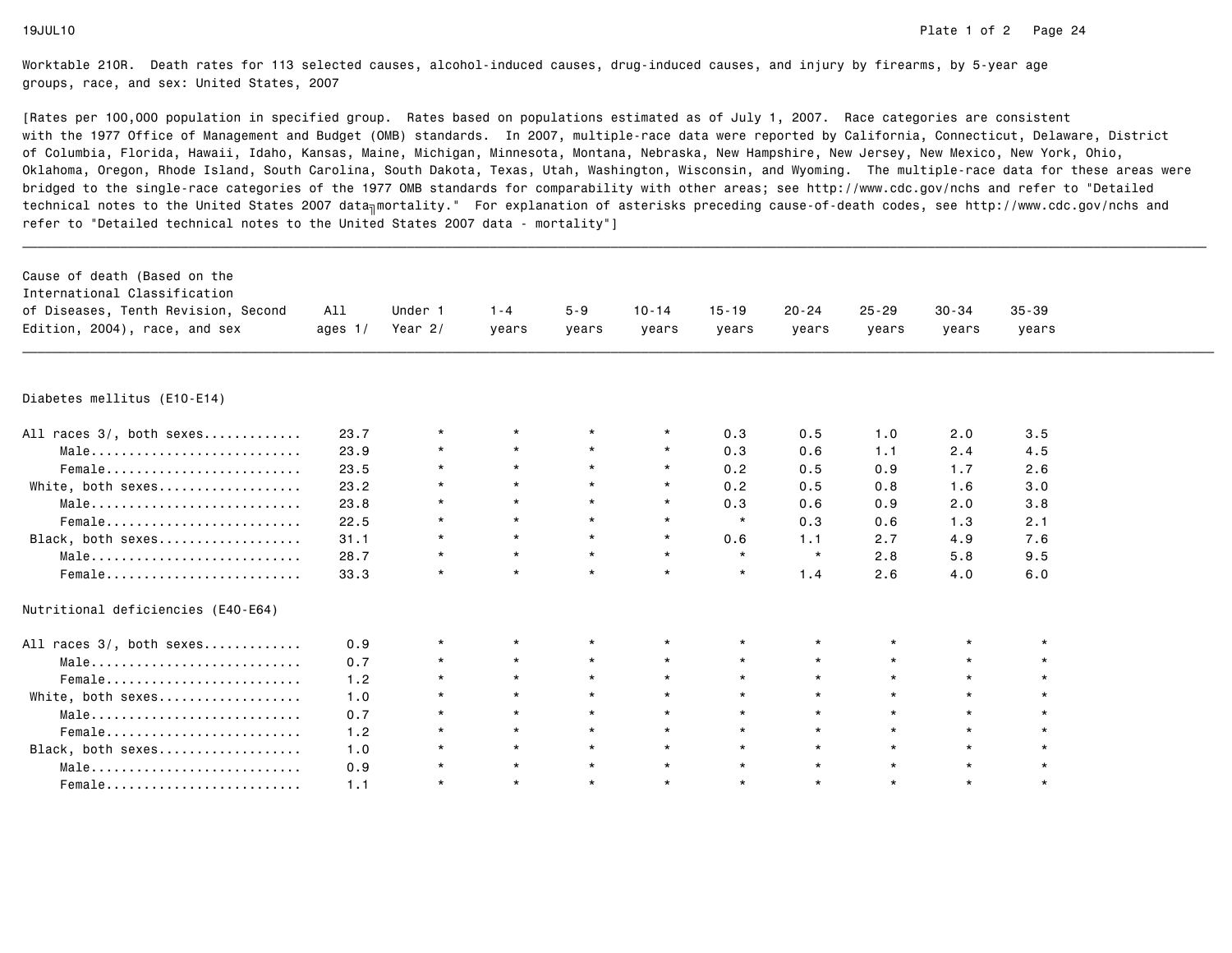| Cause of death (Based on the<br>International Classification<br>of Diseases, Tenth Revision, Second<br>Edition, 2004), race, and sex | All<br>ages $1/$ | Under 1<br>Year $2/$ | $1 - 4$<br>years | $5 - 9$<br>years | $10 - 14$<br>years | $15 - 19$<br>years | $20 - 24$<br>years | $25 - 29$<br>years | $30 - 34$<br>years | $35 - 39$<br>years |  |
|--------------------------------------------------------------------------------------------------------------------------------------|------------------|----------------------|------------------|------------------|--------------------|--------------------|--------------------|--------------------|--------------------|--------------------|--|
|                                                                                                                                      |                  |                      |                  |                  |                    |                    |                    |                    |                    |                    |  |
| Diabetes mellitus (E10-E14)                                                                                                          |                  |                      |                  |                  |                    |                    |                    |                    |                    |                    |  |
| All races 3/, both sexes                                                                                                             | 23.7             | $\star$              |                  | $\star$          | $\star$            | 0.3                | 0.5                | 1.0                | 2.0                | 3.5                |  |
| Male                                                                                                                                 | 23.9             |                      | $\star$          | $\star$          | $\star$            | 0.3                | 0.6                | 1.1                | 2.4                | 4.5                |  |
| Female                                                                                                                               | 23.5             | $\star$              | $\star$          | $\star$          | $\star$            | 0.2                | 0.5                | 0.9                | 1.7                | 2.6                |  |
| White, both sexes                                                                                                                    | 23.2             | $\star$              | $\star$          | $\star$          | $\star$            | 0.2                | 0.5                | 0.8                | 1.6                | 3.0                |  |
| Male                                                                                                                                 | 23.8             | $\star$              | $\star$          | $\star$          | $\star$            | 0.3                | 0.6                | 0.9                | 2.0                | 3.8                |  |
| Female                                                                                                                               | 22.5             | $\star$              | $\star$          | $\star$          | $\star$            | $\star$            | 0.3                | 0.6                | 1.3                | 2.1                |  |
| Black, both sexes                                                                                                                    | 31.1             | $\star$              | $\star$          | $\star$          | $\star$            | 0.6                | 1.1                | 2.7                | 4.9                | 7.6                |  |
| Male                                                                                                                                 | 28.7             | $\star$              | $\star$          | $\star$          | $\star$            | $\star$            | $\star$            | 2.8                | 5.8                | 9.5                |  |
| Female                                                                                                                               | 33.3             | $\star$              | $\star$          | $\star$          | $\star$            | $\star$            | 1.4                | 2.6                | 4.0                | 6.0                |  |
| Nutritional deficiencies (E40-E64)                                                                                                   |                  |                      |                  |                  |                    |                    |                    |                    |                    |                    |  |
| All races 3/, both sexes                                                                                                             | 0.9              | $\star$              | $\star$          | $\star$          | $\star$            | $\star$            |                    |                    | $\star$            |                    |  |
| Male                                                                                                                                 | 0.7              | $\star$              | $\star$          | $\star$          | $\star$            | $\star$            |                    | $\star$            | $\star$            |                    |  |
| Female                                                                                                                               | 1.2              | $\star$              | $\star$          | $\star$          | $\star$            | $\star$            | $\star$            | $\star$            | $\star$            |                    |  |
| White, both sexes                                                                                                                    | 1.0              | $\star$              | $\star$          | $\star$          | $\star$            | $\star$            |                    | $\star$            | $\star$            |                    |  |
| Male                                                                                                                                 | 0.7              | $\star$              | $\star$          | $\star$          | $\star$            | $\star$            | $\star$            | $\star$            | $\star$            |                    |  |
| Female                                                                                                                               | 1.2              | $\star$              | $\star$          | $\star$          | $\star$            | $\star$            | $\star$            | $\star$            | $\star$            |                    |  |
| Black, both sexes                                                                                                                    | 1.0              | $\star$              | $\star$          | $\star$          | $\star$            | $\star$            | $\star$            | $\star$            | $\star$            |                    |  |
| Male                                                                                                                                 | 0.9              | $\star$              | $\star$          | $\star$          | $\star$            | $\star$            | $\star$            | $\star$            | $\star$            |                    |  |
| Female                                                                                                                               | 1.1              | $\star$              | $\star$          | $\star$          | $\star$            | $\star$            | $\star$            | $\star$            | $\star$            | $\star$            |  |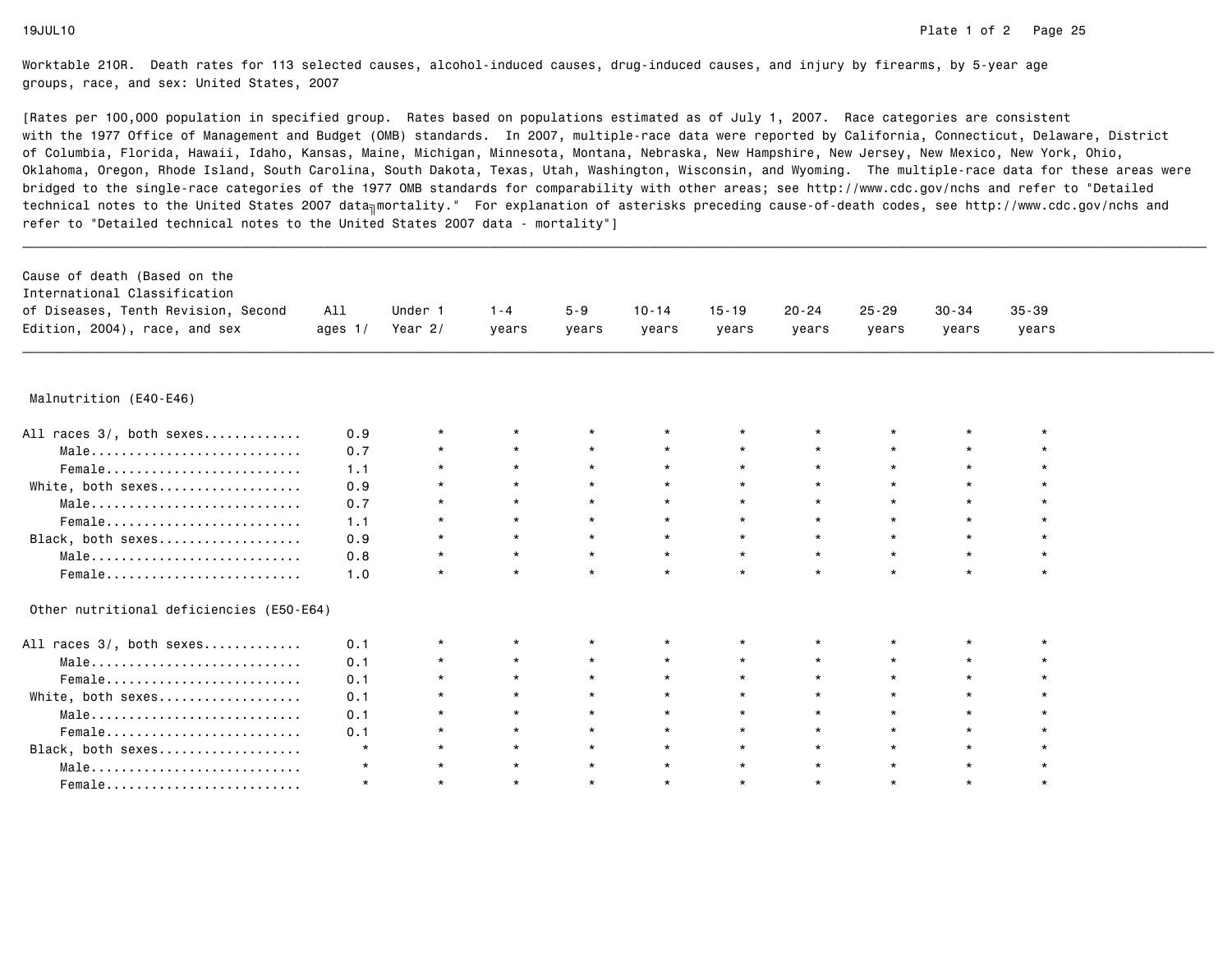| Cause of death (Based on the             |           |           |         |         |           |           |           |           |           |           |  |
|------------------------------------------|-----------|-----------|---------|---------|-----------|-----------|-----------|-----------|-----------|-----------|--|
| International Classification             |           |           |         |         |           |           |           |           |           |           |  |
| of Diseases, Tenth Revision, Second      | All       | Under 1   | $1 - 4$ | $5 - 9$ | $10 - 14$ | $15 - 19$ | $20 - 24$ | $25 - 29$ | $30 - 34$ | $35 - 39$ |  |
| Edition, 2004), race, and sex            | ages $1/$ | Year $2/$ | years   | years   | years     | years     | years     | years     | years     | years     |  |
|                                          |           |           |         |         |           |           |           |           |           |           |  |
| Malnutrition (E40-E46)                   |           |           |         |         |           |           |           |           |           |           |  |
| All races 3/, both sexes                 | 0.9       | $\star$   | $\star$ |         | $\star$   | $\star$   |           |           | $\star$   |           |  |
| Male                                     | 0.7       | $\star$   | $\star$ | $\star$ | $\star$   | $\star$   |           | $\star$   | $\star$   |           |  |
| Female                                   | 1.1       | $\star$   | $\star$ | $\star$ | $\star$   | $\star$   |           | $\star$   | $\star$   |           |  |
| White, both sexes                        | 0.9       | $\star$   | $\star$ | $\star$ | $\star$   | $\star$   |           | $\star$   | $\star$   |           |  |
| Male                                     | 0.7       | $\star$   | $\star$ | $\star$ | $\star$   | $\star$   |           | $\star$   | $\star$   |           |  |
| Female                                   | 1.1       | $\star$   | $\star$ | $\star$ | $\star$   | $\star$   |           | $\star$   | $\star$   |           |  |
| Black, both sexes                        | 0.9       | $\star$   | $\star$ | $\star$ | $\star$   | $\star$   | $\star$   | $\star$   | $\star$   | $\star$   |  |
| Male                                     | 0.8       | $\star$   | $\star$ | $\star$ | $\star$   | $\star$   |           | $\star$   | $\star$   | $\star$   |  |
|                                          | 1.0       | $\star$   | $\star$ | $\star$ | $\star$   | $\star$   | $\star$   | $\star$   | $\star$   | $\star$   |  |
| Other nutritional deficiencies (E50-E64) |           |           |         |         |           |           |           |           |           |           |  |
| All races 3/, both sexes                 | 0.1       | $\star$   | $\star$ |         | $\star$   | $\star$   |           |           | $\star$   |           |  |
| Male                                     | 0.1       | $\star$   | $\star$ |         |           | $\star$   |           |           | $\star$   |           |  |
|                                          | 0.1       | $\star$   | $\star$ |         | $\star$   | $\star$   |           | $\star$   | $\star$   |           |  |
| White, both sexes                        | 0.1       | $\star$   | $\star$ | $\star$ | $\star$   | $\star$   |           | $\star$   | $\star$   |           |  |
| Male                                     | 0.1       | $\star$   | $\star$ | $\star$ | $\star$   | $\star$   |           | $\star$   | $\star$   |           |  |
| Female                                   | 0.1       | $\star$   | $\star$ | $\star$ | $\star$   | $\star$   | $\star$   | $\star$   | $\star$   |           |  |
| Black, both sexes                        | $\star$   | $\star$   | $\star$ | $\star$ | $\star$   | $\star$   | $\star$   | $\star$   | $\star$   |           |  |
| Male                                     | $\star$   | $\star$   | $\star$ | $\star$ | $\star$   | $\star$   | $\star$   | $\star$   | $\star$   |           |  |
| Female                                   | $\star$   | $\star$   | $\star$ | $\star$ | $\star$   | $\star$   | $\star$   | $\star$   | $\star$   | $\star$   |  |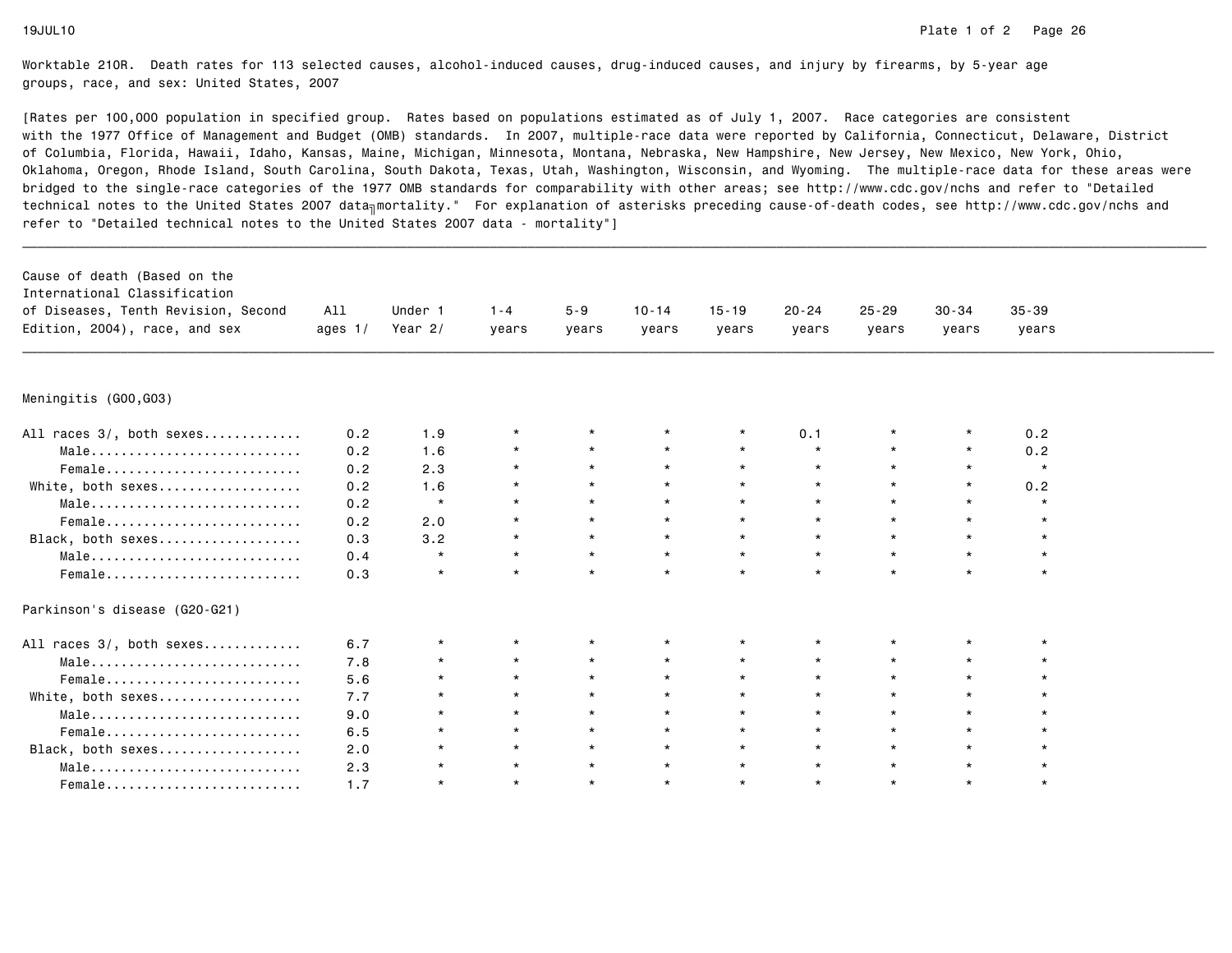| Cause of death (Based on the<br>International Classification<br>of Diseases, Tenth Revision, Second<br>Edition, 2004), race, and sex | All<br>ages $1/$ | Under 1<br>Year $2/$ | $1 - 4$<br>years | $5 - 9$<br>years | $10 - 14$<br>years | $15 - 19$<br>years | $20 - 24$<br>years | $25 - 29$<br>years | $30 - 34$<br>years | $35 - 39$<br>years |  |
|--------------------------------------------------------------------------------------------------------------------------------------|------------------|----------------------|------------------|------------------|--------------------|--------------------|--------------------|--------------------|--------------------|--------------------|--|
|                                                                                                                                      |                  |                      |                  |                  |                    |                    |                    |                    |                    |                    |  |
| Meningitis (GOO,GO3)                                                                                                                 |                  |                      |                  |                  |                    |                    |                    |                    |                    |                    |  |
| All races 3/, both sexes                                                                                                             | 0.2              | 1.9                  |                  |                  |                    |                    | 0.1                |                    |                    | 0.2                |  |
| Male                                                                                                                                 | 0.2              | 1.6                  |                  | $\star$          |                    | $\star$            | $\star$            |                    |                    | 0.2                |  |
| Female                                                                                                                               | 0.2              | 2.3                  | $\star$          | $\star$          | $\star$            | $\star$            | $\star$            |                    | $\star$            | $\star$            |  |
| White, both sexes                                                                                                                    | 0.2              | 1.6                  | $\star$          | $\star$          | $\star$            | $\star$            | $\star$            |                    | $\star$            | 0.2                |  |
| Male                                                                                                                                 | 0.2              | $\star$              | $\star$          | $\star$          |                    | $\star$            | $\star$            |                    | $\star$            | $\star$            |  |
| Female                                                                                                                               | 0.2              | 2.0                  | $\star$          | $\star$          | $\star$            | $\star$            |                    | $\star$            | $\star$            |                    |  |
| Black, both sexes                                                                                                                    | 0.3              | 3.2                  | $\star$          | $\star$          | $\star$            | $\star$            | $\star$            | $\star$            | $\star$            |                    |  |
| Male                                                                                                                                 | 0.4              | $\star$              | $\star$          | $\star$          | $\star$            | $\star$            | $\star$            | $\star$            | $\star$            |                    |  |
| Female                                                                                                                               | 0.3              | $\star$              |                  |                  | $\star$            | $\star$            |                    | $\star$            |                    | $\star$            |  |
| Parkinson's disease (G20-G21)                                                                                                        |                  |                      |                  |                  |                    |                    |                    |                    |                    |                    |  |
| All races 3/, both sexes                                                                                                             | 6.7              | $\star$              |                  |                  |                    |                    |                    |                    |                    |                    |  |
| Male                                                                                                                                 | 7.8              | $\star$              | $\star$          | $\star$          | $\star$            | $\star$            |                    | $\star$            | $\star$            |                    |  |
| Female                                                                                                                               | 5.6              | $\star$              | $\star$          | $\star$          | $\star$            | $\star$            |                    | $\star$            | $\star$            |                    |  |
| White, both sexes                                                                                                                    | 7.7              | $\star$              | $\star$          | $\star$          | $\star$            | $\star$            |                    | $\star$            | $\star$            |                    |  |
| Male                                                                                                                                 | 9.0              | $\star$              | $\star$          | $\star$          | $\star$            | $\star$            | $\star$            | $\star$            | $\star$            |                    |  |
| Female                                                                                                                               | 6.5              | $\star$              | $\star$          | $\star$          | $\star$            | $\star$            |                    | $\star$            | $\star$            |                    |  |
| Black, both sexes                                                                                                                    | 2.0              |                      | $\star$          | $\star$          | $\star$            | $\star$            | $\star$            | $\star$            | $\star$            |                    |  |
| Male                                                                                                                                 | 2.3              | $\star$              | $\star$          | $\star$          | $\star$            | $\star$            | $\star$            | $\star$            | $\star$            |                    |  |
| Female                                                                                                                               | 1.7              | $\star$              | $\star$          | $\star$          | $\star$            | $\star$            | $\star$            | $\star$            | $\star$            | $\star$            |  |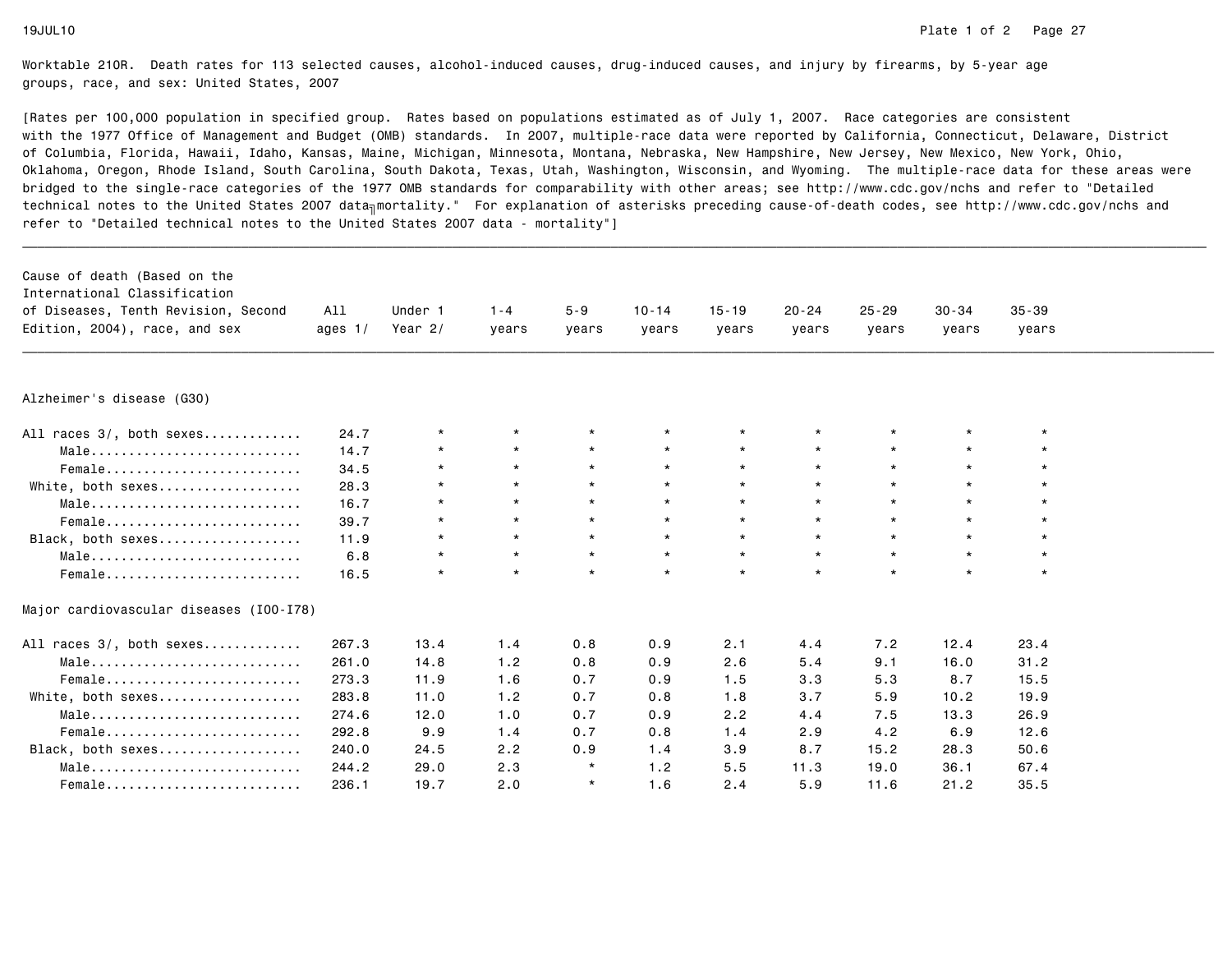| Cause of death (Based on the            |           |           |         |         |           |           |           |           |           |           |  |
|-----------------------------------------|-----------|-----------|---------|---------|-----------|-----------|-----------|-----------|-----------|-----------|--|
| International Classification            |           |           |         |         |           |           |           |           |           |           |  |
| of Diseases, Tenth Revision, Second     | All       | Under 1   | $1 - 4$ | $5 - 9$ | $10 - 14$ | $15 - 19$ | $20 - 24$ | $25 - 29$ | $30 - 34$ | $35 - 39$ |  |
| Edition, 2004), race, and sex           | ages $1/$ | Year $2/$ | years   | years   | years     | years     | years     | years     | years     | years     |  |
|                                         |           |           |         |         |           |           |           |           |           |           |  |
| Alzheimer's disease (G30)               |           |           |         |         |           |           |           |           |           |           |  |
| All races 3/, both sexes                | 24.7      | $\star$   | $\star$ |         | $\star$   | $\star$   |           | $\star$   | $\star$   |           |  |
| Male                                    | 14.7      | $\star$   | $\star$ | $\star$ | $\star$   | $\star$   | $\star$   | $\star$   | $\star$   |           |  |
| Female                                  | 34.5      | $\star$   | $\star$ | $\star$ | $\star$   | $\star$   | $\star$   | $\star$   | $\star$   | $\star$   |  |
| White, both sexes                       | 28.3      | $\star$   | $\star$ | $\star$ | $\star$   | $\star$   |           | $\star$   | $\star$   |           |  |
| Male                                    | 16.7      | $\star$   | $\star$ | $\star$ | $\star$   | $\star$   | $\star$   | $\star$   | $\star$   | $\star$   |  |
| Female                                  | 39.7      | $\star$   | $\star$ | $\star$ | $\star$   | $\star$   | $\star$   | $\star$   | $\star$   |           |  |
| Black, both sexes                       | 11.9      | $\star$   | $\star$ | $\star$ | $\star$   | $\star$   | $\star$   | $\star$   | $\star$   | $\star$   |  |
| Male                                    | 6.8       | $\star$   | $\star$ | $\star$ | $\star$   | $\star$   | $\star$   | $\star$   | $\star$   | $\star$   |  |
| Female                                  | 16.5      | $\star$   | $\star$ | $\star$ | $\star$   | $\star$   | $\star$   | $\star$   | $\star$   | $\star$   |  |
| Major cardiovascular diseases (I00-I78) |           |           |         |         |           |           |           |           |           |           |  |
| All races 3/, both sexes                | 267.3     | 13.4      | 1.4     | 0.8     | 0.9       | 2.1       | 4.4       | 7.2       | 12.4      | 23.4      |  |
| Male                                    | 261.0     | 14.8      | 1.2     | 0.8     | 0.9       | 2.6       | 5.4       | 9.1       | 16.0      | 31.2      |  |
| Female                                  | 273.3     | 11.9      | 1.6     | 0.7     | 0.9       | 1.5       | 3.3       | 5.3       | 8.7       | 15.5      |  |
| White, both sexes                       | 283.8     | 11.0      | 1.2     | 0.7     | 0.8       | 1.8       | 3.7       | 5.9       | 10.2      | 19.9      |  |
| Male                                    | 274.6     | 12.0      | 1.0     | 0.7     | 0.9       | 2.2       | 4.4       | 7.5       | 13.3      | 26.9      |  |
| Female                                  | 292.8     | 9.9       | 1.4     | 0.7     | 0.8       | 1.4       | 2.9       | 4.2       | 6.9       | 12.6      |  |
| Black, both sexes                       | 240.0     | 24.5      | 2.2     | 0.9     | 1.4       | 3.9       | 8.7       | 15.2      | 28.3      | 50.6      |  |
| Male                                    | 244.2     | 29.0      | 2.3     | $\star$ | 1.2       | 5.5       | 11.3      | 19.0      | 36.1      | 67.4      |  |
| Female                                  | 236.1     | 19.7      | 2.0     | $\star$ | 1.6       | 2.4       | 5.9       | 11.6      | 21.2      | 35.5      |  |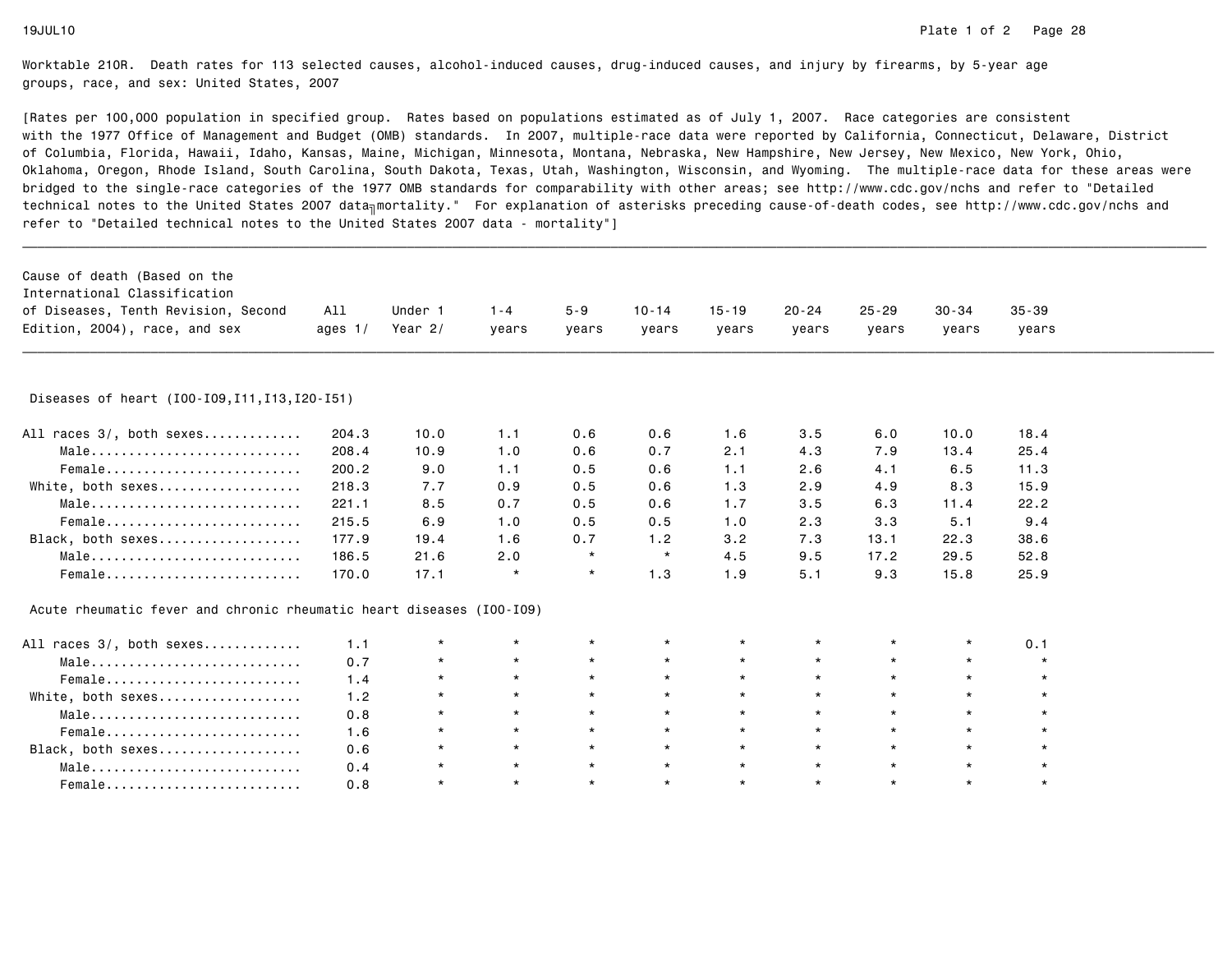| Cause of death (Based on the<br>International Classification<br>of Diseases, Tenth Revision, Second<br>Edition, 2004), race, and sex | All<br>ages $1/$ | Under 1<br>Year $2/$ | $1 - 4$<br>years | $5 - 9$<br>years | $10 - 14$<br>years | $15 - 19$<br>years | $20 - 24$<br>years | $25 - 29$<br>years | $30 - 34$<br>years | $35 - 39$<br>years |  |
|--------------------------------------------------------------------------------------------------------------------------------------|------------------|----------------------|------------------|------------------|--------------------|--------------------|--------------------|--------------------|--------------------|--------------------|--|
| Diseases of heart (I00-I09, I11, I13, I20-I51)                                                                                       |                  |                      |                  |                  |                    |                    |                    |                    |                    |                    |  |
| All races 3/, both sexes                                                                                                             | 204.3            | 10.0                 | 1.1              | 0.6              | 0.6                | 1.6                | 3.5                | 6.0                | 10.0               | 18.4               |  |
| Male                                                                                                                                 | 208.4            | 10.9                 | 1.0              | 0.6              | 0.7                | 2.1                | 4.3                | 7.9                | 13.4               | 25.4               |  |
| Female                                                                                                                               | 200.2            | 9.0                  | 1.1              | 0.5              | 0.6                | 1.1                | 2.6                | 4.1                | 6.5                | 11.3               |  |
| White, both sexes                                                                                                                    | 218.3            | 7.7                  | 0.9              | 0.5              | 0.6                | 1.3                | 2.9                | 4.9                | 8.3                | 15.9               |  |
| Male                                                                                                                                 | 221.1            | 8.5                  | 0.7              | 0.5              | 0.6                | 1.7                | 3.5                | 6.3                | 11.4               | 22.2               |  |
| Female                                                                                                                               | 215.5            | 6.9                  | 1.0              | 0.5              | 0.5                | 1.0                | 2.3                | 3.3                | 5.1                | 9.4                |  |
| Black, both sexes                                                                                                                    | 177.9            | 19.4                 | 1.6              | 0.7              | 1.2                | 3.2                | 7.3                | 13.1               | 22.3               | 38.6               |  |
| Male                                                                                                                                 | 186.5            | 21.6                 | 2.0              | $\star$          | $\star$            | 4.5                | 9.5                | 17.2               | 29.5               | 52.8               |  |
| Female                                                                                                                               | 170.0            | 17.1                 | $\star$          | $\star$          | 1.3                | 1.9                | 5.1                | 9.3                | 15.8               | 25.9               |  |
| Acute rheumatic fever and chronic rheumatic heart diseases (I00-I09)                                                                 |                  |                      |                  |                  |                    |                    |                    |                    |                    |                    |  |
| All races 3/, both sexes                                                                                                             | 1.1              | $^\star$             | $\star$          | $\star$          | $\star$            | *                  |                    | $\star$            | $\star$            | 0.1                |  |
| $Male \dots \dots \dots \dots \dots \dots \dots \dots \dots \dots$                                                                   | 0.7              | $\star$              | $\star$          | $\star$          | $\star$            | $\star$            | $\star$            | $\star$            | $\star$            | $\star$            |  |
| Female                                                                                                                               | 1.4              | $\star$              | $\star$          | $\star$          | $\star$            | $\star$            | $\star$            | $\star$            | $\star$            | $\star$            |  |
| White, both sexes                                                                                                                    | 1.2              | $\star$              | $\star$          | $\star$          | $\star$            | $\star$            | $\star$            | $\star$            | $\star$            | $\star$            |  |
| Male                                                                                                                                 | 0.8              | $\star$              | $\star$          | $\star$          | $\star$            | $\star$            | $\star$            | $\star$            | $\star$            |                    |  |
| Female                                                                                                                               | 1.6              | $\star$              | $\star$          | $\star$          | $\star$            | $\star$            | $\star$            | $\star$            | $\star$            | $\star$            |  |
| Black, both sexes                                                                                                                    | 0.6              | $\star$              | $\star$          | $\star$          | $\star$            | $\star$            | $\star$            | $\star$            | $\star$            |                    |  |
| $Male \dots \dots \dots \dots \dots \dots \dots \dots \dots \dots$                                                                   | 0.4              | $\star$              | $\star$          | $\star$          | $\star$            | $\star$            | $\star$            | $\star$            | $\star$            | $\star$            |  |
| Female                                                                                                                               | 0.8              | $\star$              | $\star$          | $\star$          | $\star$            | $\star$            | $\star$            | $\star$            | $\star$            |                    |  |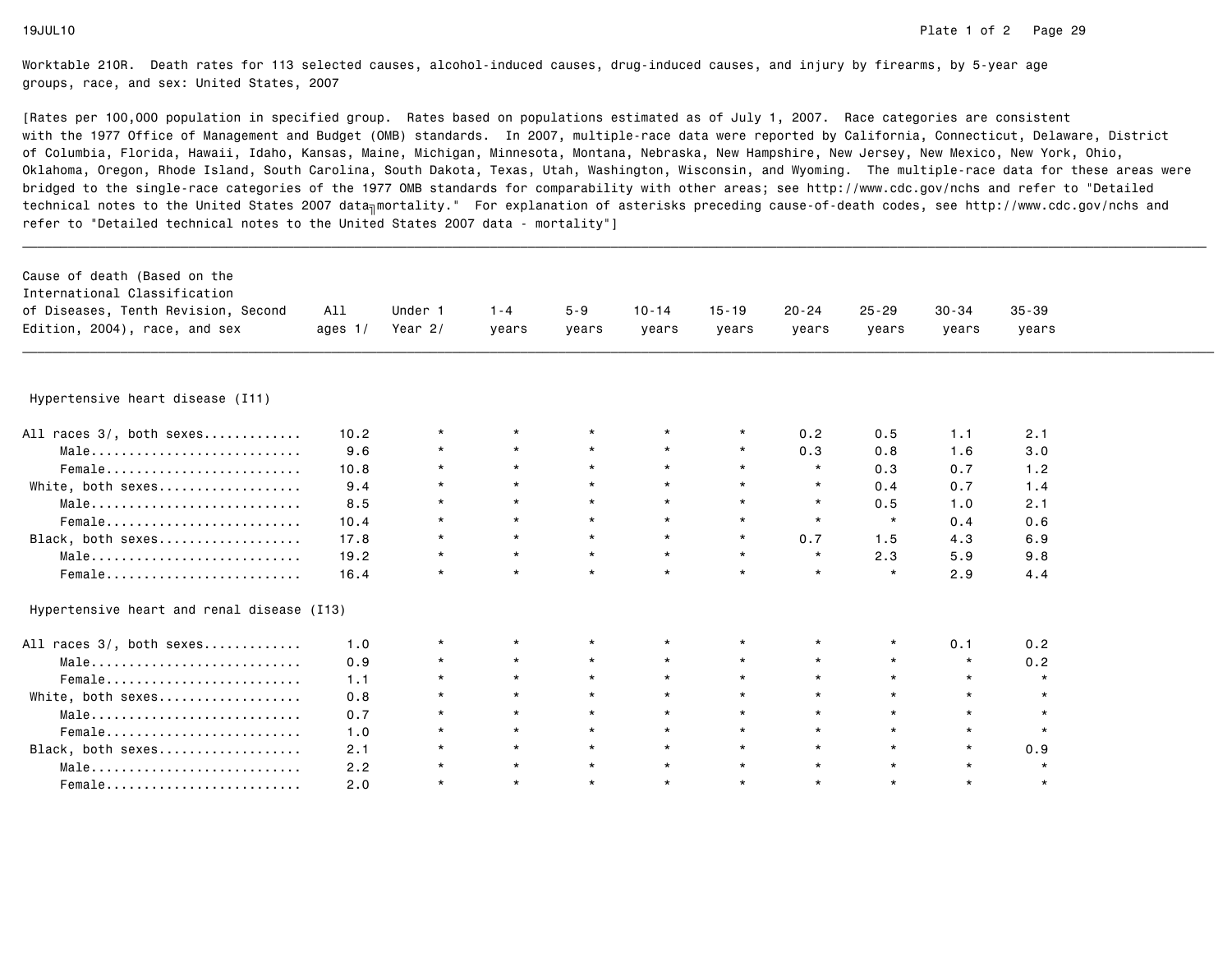| Cause of death (Based on the<br>International Classification<br>of Diseases, Tenth Revision, Second<br>Edition, 2004), race, and sex | All<br>ages $1/$ | Under 1<br>Year $2/$ | $1 - 4$<br>years | $5 - 9$<br>years | $10 - 14$<br>years | $15 - 19$<br>years | $20 - 24$<br>years | $25 - 29$<br>years | $30 - 34$<br>years | $35 - 39$<br>years |  |
|--------------------------------------------------------------------------------------------------------------------------------------|------------------|----------------------|------------------|------------------|--------------------|--------------------|--------------------|--------------------|--------------------|--------------------|--|
|                                                                                                                                      |                  |                      |                  |                  |                    |                    |                    |                    |                    |                    |  |
| Hypertensive heart disease (I11)                                                                                                     |                  |                      |                  |                  |                    |                    |                    |                    |                    |                    |  |
| All races 3/, both sexes                                                                                                             | 10.2             | $\star$              | $\star$          |                  |                    |                    | 0.2                | 0.5                | 1.1                | 2.1                |  |
| Male                                                                                                                                 | 9.6              | $\star$              | $\star$          | $\star$          |                    | $\star$            | 0.3                | 0.8                | 1.6                | 3.0                |  |
| Female                                                                                                                               | 10.8             | $\star$              | $\star$          | $\star$          | $\star$            | $\star$            | $\star$            | 0.3                | 0.7                | 1.2                |  |
| White, both sexes                                                                                                                    | 9.4              | $\star$              | $\star$          |                  | $\star$            | $\star$            | $\star$            | 0.4                | 0.7                | 1.4                |  |
| Male                                                                                                                                 | 8.5              | $\star$              | $\star$          | $\star$          | $\star$            | $\star$            | $\star$            | 0.5                | 1.0                | 2.1                |  |
| Female                                                                                                                               | 10.4             | $\star$              | $\star$          | $\star$          | $\star$            | $\star$            | $\star$            | $\star$            | 0.4                | 0.6                |  |
| Black, both sexes                                                                                                                    | 17.8             | $\star$              | $\star$          | $\star$          | $\star$            | $\star$            | 0.7                | 1.5                | 4.3                | 6.9                |  |
| Male                                                                                                                                 | 19.2             | $\star$              | $\star$          | $\star$          | $\star$            | $\star$            | $\star$            | 2.3                | 5.9                | 9.8                |  |
| Female                                                                                                                               | 16.4             | $\star$              | $\star$          | $\star$          | $\star$            | $\star$            | $\star$            | $\star$            | 2.9                | 4.4                |  |
| Hypertensive heart and renal disease (I13)                                                                                           |                  |                      |                  |                  |                    |                    |                    |                    |                    |                    |  |
| All races 3/, both sexes                                                                                                             | 1.0              | $\star$              | $\star$          | $\star$          | $\star$            | $\star$            | $\star$            | $\star$            | 0.1                | 0.2                |  |
| Male                                                                                                                                 | 0.9              | $\star$              | $\star$          | $\star$          | $\star$            | $\star$            | $\star$            | $\star$            | $^\star$           | 0.2                |  |
| Female                                                                                                                               | 1.1              | $\star$              | $\star$          | $\star$          | $\star$            | $\star$            | $\star$            | $\star$            | $\star$            | $\star$            |  |
| White, both sexes                                                                                                                    | 0.8              | $\star$              | $\star$          | $\star$          | $\star$            | $\star$            |                    | $\star$            | $\star$            | $\star$            |  |
| Male                                                                                                                                 | 0.7              | $\star$              | $\star$          | $\star$          | $\star$            | $\star$            | $\star$            | $\star$            | $\star$            | $\star$            |  |
| Female                                                                                                                               | 1.0              | $\star$              | $\star$          | $\star$          | $\star$            | $\star$            | $\star$            | $\star$            | $\star$            | $\star$            |  |
| Black, both sexes                                                                                                                    | 2.1              | $\star$              | $\star$          | $\star$          | $\star$            | $\star$            | $\star$            | $\star$            | $\star$            | 0.9                |  |
| Male                                                                                                                                 | 2.2              | $\star$              | $\star$          | $\star$          | $\star$            | $\star$            | $\star$            | $\star$            | $\star$            | $\star$            |  |
| Female                                                                                                                               | 2.0              | $\star$              | $\star$          | $\star$          | $\star$            | $\star$            | $\star$            | $\star$            | $\star$            | $\star$            |  |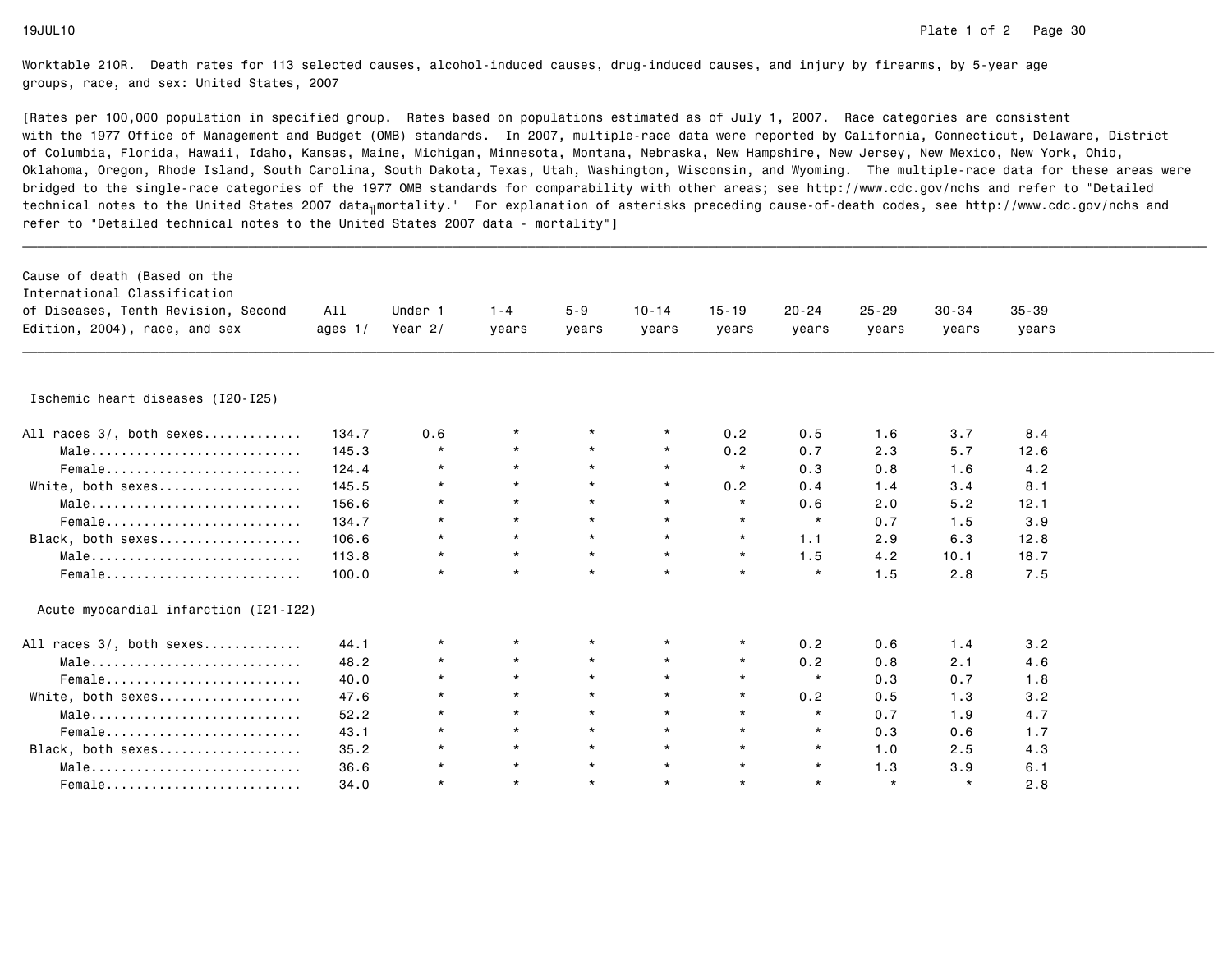| Cause of death (Based on the<br>International Classification<br>of Diseases, Tenth Revision, Second<br>Edition, 2004), race, and sex | All<br>ages $1/$ | Under 1<br>Year $2/$ | $1 - 4$<br>years | $5 - 9$<br>years | $10 - 14$<br>years | $15 - 19$<br>years | $20 - 24$<br>years | $25 - 29$<br>years | $30 - 34$<br>years | $35 - 39$<br>years |  |
|--------------------------------------------------------------------------------------------------------------------------------------|------------------|----------------------|------------------|------------------|--------------------|--------------------|--------------------|--------------------|--------------------|--------------------|--|
|                                                                                                                                      |                  |                      |                  |                  |                    |                    |                    |                    |                    |                    |  |
| Ischemic heart diseases (I20-I25)                                                                                                    |                  |                      |                  |                  |                    |                    |                    |                    |                    |                    |  |
| All races 3/, both sexes                                                                                                             | 134.7            | 0.6                  | $^\star$         |                  | $\star$            | 0.2                | 0.5                | 1.6                | 3.7                | 8.4                |  |
| Male                                                                                                                                 | 145.3            | $\star$              | $\star$          | $\star$          | $\star$            | 0.2                | 0.7                | 2.3                | 5.7                | 12.6               |  |
| Female                                                                                                                               | 124.4            | $\star$              | $\star$          | $\star$          | $\star$            | $\star$            | 0.3                | 0.8                | 1.6                | 4.2                |  |
| White, both sexes                                                                                                                    | 145.5            | $\star$              | $\star$          | $\star$          | $\star$            | 0.2                | 0.4                | 1.4                | 3.4                | 8.1                |  |
| Male                                                                                                                                 | 156.6            | $\star$              | $\star$          | $\star$          | $\star$            | $\star$            | 0.6                | 2.0                | 5.2                | 12.1               |  |
| Female                                                                                                                               | 134.7            | $\star$              | $\star$          | $\star$          | $\star$            | $\star$            | $\star$            | 0.7                | 1.5                | 3.9                |  |
| Black, both sexes                                                                                                                    | 106.6            | $\star$              | $\star$          | $\star$          | $\star$            | $\star$            | 1.1                | 2.9                | 6.3                | 12.8               |  |
| Male                                                                                                                                 | 113.8            | $\star$              | $\star$          | $\star$          | $\star$            | $\star$            | 1.5                | 4.2                | 10.1               | 18.7               |  |
| Female                                                                                                                               | 100.0            | $\star$              | $\star$          | $\star$          | $\star$            | $\star$            | $\star$            | 1.5                | 2.8                | 7.5                |  |
| Acute myocardial infarction (I21-I22)                                                                                                |                  |                      |                  |                  |                    |                    |                    |                    |                    |                    |  |
| All races 3/, both sexes                                                                                                             | 44.1             | $^\star$             | $\star$          | $^\star$         | $\star$            | $\star$            | 0.2                | 0.6                | 1.4                | 3.2                |  |
| Male                                                                                                                                 | 48.2             | $\star$              | $\star$          | $\star$          | $\star$            | $\star$            | 0.2                | 0.8                | 2.1                | 4.6                |  |
| Female                                                                                                                               | 40.0             | $\star$              | $\star$          | $\star$          | $\star$            | $\star$            | $\star$            | 0.3                | 0.7                | 1.8                |  |
| White, both sexes                                                                                                                    | 47.6             | $\star$              | $\star$          | $\star$          | $\star$            | $\star$            | 0.2                | 0.5                | 1.3                | 3.2                |  |
| Male                                                                                                                                 | 52.2             | $\star$              | $\star$          | $\star$          | $\star$            | $\star$            | $\star$            | 0.7                | 1.9                | 4.7                |  |
| Female                                                                                                                               | 43.1             | $\star$              | $\star$          | $\star$          | $\star$            | $\star$            | $\star$            | 0.3                | 0.6                | 1.7                |  |
| Black, both sexes                                                                                                                    | 35.2             | $^\star$             | $\star$          | $\star$          | $\star$            | $\star$            | $\star$            | 1.0                | 2.5                | 4.3                |  |
| Male                                                                                                                                 | 36.6             | $\star$              | $\star$          | $\star$          | $\star$            | $\star$            | $\star$            | 1.3                | 3.9                | 6.1                |  |
| Female                                                                                                                               | 34.0             | $\star$              | $\star$          | $\star$          | $\star$            | $\star$            | $\star$            | $\star$            | $\star$            | 2.8                |  |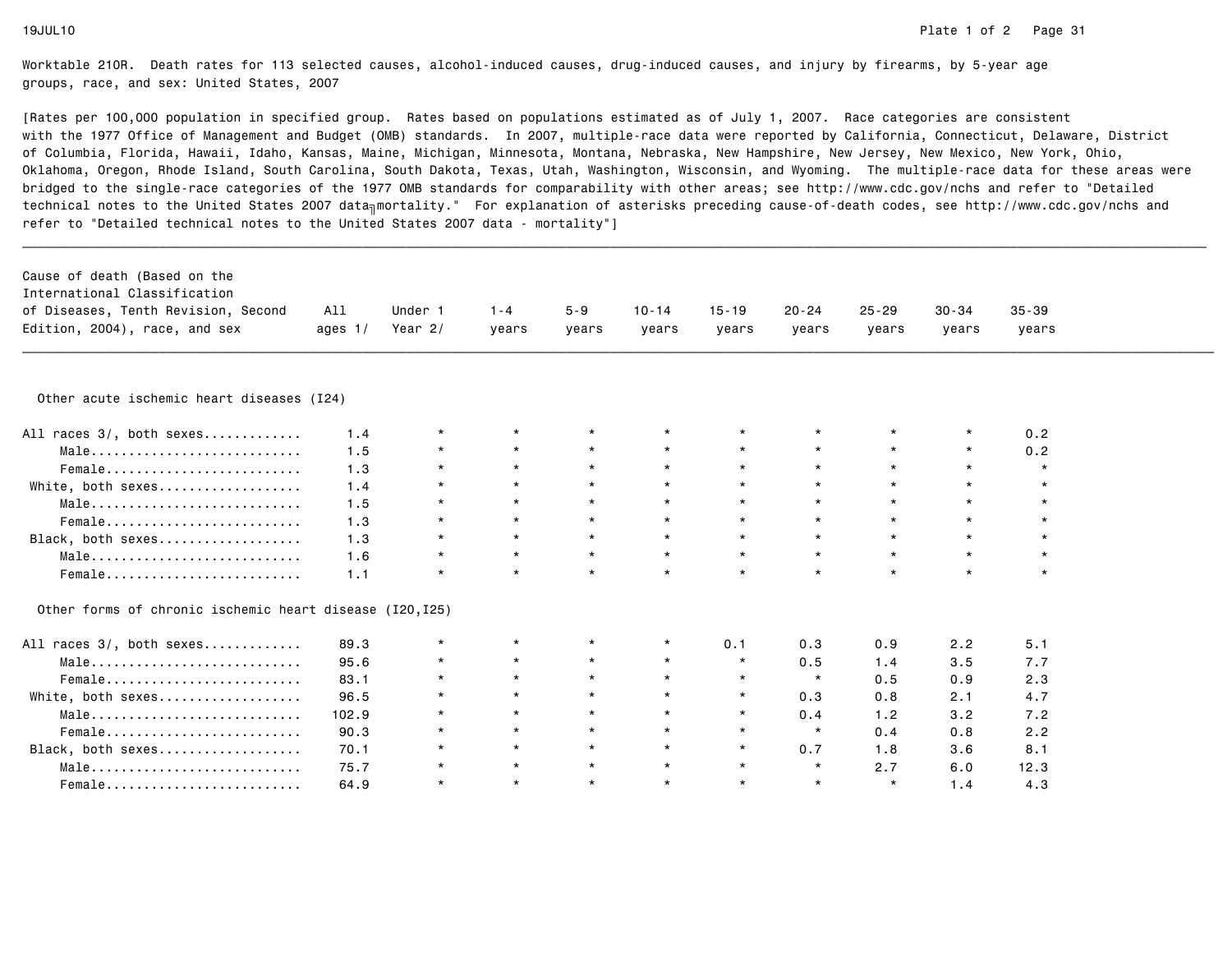| Cause of death (Based on the                             |           |           |         |         |           |           |           |           |           |           |  |
|----------------------------------------------------------|-----------|-----------|---------|---------|-----------|-----------|-----------|-----------|-----------|-----------|--|
| International Classification                             |           |           |         |         |           |           |           |           |           |           |  |
| of Diseases, Tenth Revision, Second                      | All       | Under 1   | $1 - 4$ | $5 - 9$ | $10 - 14$ | $15 - 19$ | $20 - 24$ | $25 - 29$ | $30 - 34$ | $35 - 39$ |  |
| Edition, 2004), race, and sex                            | ages $1/$ | Year $2/$ | years   | years   | years     | years     | years     | years     | years     | years     |  |
|                                                          |           |           |         |         |           |           |           |           |           |           |  |
| Other acute ischemic heart diseases (I24)                |           |           |         |         |           |           |           |           |           |           |  |
| All races 3/, both sexes                                 | 1.4       | $\star$   | $\star$ |         | $\star$   | $^\star$  |           |           |           | 0.2       |  |
| Male                                                     | 1.5       | $\star$   | $\star$ | $\star$ | $\star$   | $\star$   |           | $\star$   | $\star$   | 0.2       |  |
| Female                                                   | 1.3       | $\star$   | $\star$ | $\star$ | $\star$   | $\star$   | $\star$   | $\star$   | $\star$   | $\star$   |  |
| White, both sexes                                        | 1.4       | $\star$   | $\star$ | $\star$ | $\star$   | $\star$   | $\star$   | $\star$   | $\star$   | $\star$   |  |
| Male                                                     | 1.5       | $\star$   | $\star$ | $\star$ | $\star$   | $\star$   | $\star$   | $\star$   | $\star$   | $\star$   |  |
| Female                                                   | 1.3       | $\star$   | $\star$ | $\star$ | $\star$   | $\star$   | $\star$   | $\star$   | $\star$   | $\star$   |  |
| Black, both sexes                                        | 1.3       | $\star$   | $\star$ | $\star$ | $\star$   | $\star$   | $\star$   | $\star$   | $\star$   | $\star$   |  |
| Male                                                     | 1.6       | $\star$   | $\star$ | $\star$ | $\star$   | $\star$   | $\star$   | $\star$   | $\star$   | $\star$   |  |
| Female                                                   | 1.1       | $\star$   | $\star$ | $\star$ | $\star$   | $\star$   | $\star$   | $\star$   | $\star$   | $\star$   |  |
| Other forms of chronic ischemic heart disease (I20, I25) |           |           |         |         |           |           |           |           |           |           |  |
| All races 3/, both sexes                                 | 89.3      | $\star$   | $\star$ | $\star$ | $\star$   | 0.1       | 0.3       | 0.9       | 2.2       | 5.1       |  |
| Male                                                     | 95.6      | $\star$   | $\star$ | $\star$ | $\star$   | $\star$   | 0.5       | 1.4       | 3.5       | 7.7       |  |
| Female                                                   | 83.1      | $\star$   | $\star$ | $\star$ | $\star$   | $\star$   | $\star$   | 0.5       | 0.9       | 2.3       |  |
| White, both sexes                                        | 96.5      | $\star$   | $\star$ | $\star$ | $\star$   | $\star$   | 0.3       | 0.8       | 2.1       | 4.7       |  |
| Male                                                     | 102.9     | $\star$   | $\star$ | $\star$ | $\star$   | $\star$   | 0.4       | 1.2       | 3.2       | 7.2       |  |
| Female                                                   | 90.3      | $\star$   | $\star$ | $\star$ | $\star$   | $\star$   | $\star$   | 0.4       | 0.8       | 2.2       |  |
| Black, both sexes                                        | 70.1      | $\star$   | $\star$ | $\star$ | $\star$   | $\star$   | 0.7       | 1.8       | 3.6       | 8.1       |  |
| Male                                                     | 75.7      | $\star$   | $\star$ | $\star$ | $\star$   | $\star$   | $\star$   | 2.7       | 6.0       | 12.3      |  |
| Female                                                   | 64.9      | $\star$   | $\star$ | $\star$ | $\star$   | $\star$   | $\star$   | $\star$   | 1.4       | 4.3       |  |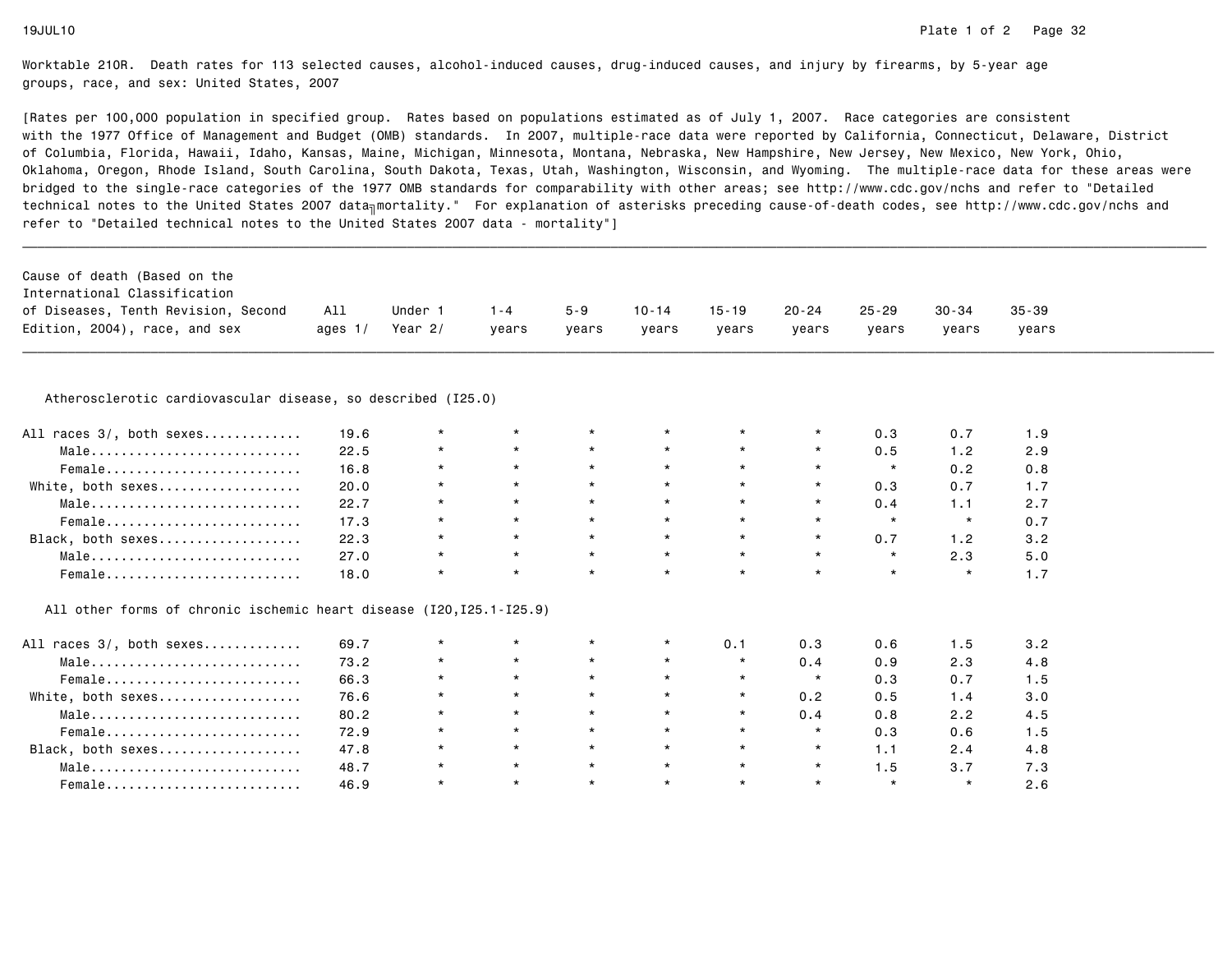[Rates per 100,000 population in specified group. Rates based on populations estimated as of July 1, 2007. Race categories are consistent with the 1977 Office of Management and Budget (OMB) standards. In 2007, multiple-race data were reported by California, Connecticut, Delaware, Districtof Columbia, Florida, Hawaii, Idaho, Kansas, Maine, Michigan, Minnesota, Montana, Nebraska, New Hampshire, New Jersey, New Mexico, New York, Ohio, Oklahoma, Oregon, Rhode Island, South Carolina, South Dakota, Texas, Utah, Washington, Wisconsin, and Wyoming. The multiple-race data for these areas werebridged to the single-race categories of the 1977 OMB standards for comparability with other areas; see http://www.cdc.gov/nchs and refer to "Detailedtechnical notes to the United States 2007 data<sub>∏</sub>mortality." For explanation of asterisks preceding cause-of-death codes, see http://www.cdc.gov/nchs and refer to "Detailed technical notes to the United States 2007 data - mortality"]

| International Classification<br>of Diseases, Tenth Revision, Second | All       | Under 1   | $1 - 4$ | $5 - 9$ | 10-14 | 15-19 | 20-24 | 25-29 | 30-34 | $35 - 39$ |
|---------------------------------------------------------------------|-----------|-----------|---------|---------|-------|-------|-------|-------|-------|-----------|
| Edition, 2004), race, and sex                                       | ages $1/$ | Year $2/$ | vears   | years   | years | years | years | vears | vears | years     |

| All races 3/, both sexes | 19.6 | $\star$ | $\star$ | $\star$ | $\star$ |         | 0.3     | 0.7 |     |
|--------------------------|------|---------|---------|---------|---------|---------|---------|-----|-----|
| Male                     | 22.5 | $\star$ | $\star$ | $\star$ | $\star$ | $\star$ | 0.5     | 1.2 | 2.9 |
| Female                   | 16.8 | $\star$ | $\star$ | $\star$ | $\star$ | $\star$ |         | 0.2 | 0.8 |
| White, both sexes        | 20.0 | $\star$ | $\star$ | $\star$ | $\star$ | $\star$ | 0.3     | 0.7 |     |
| Male                     | 22.7 | $\star$ | $\star$ | $\star$ | $\star$ | $\star$ | 0.4     | 1.1 |     |
| Female                   | 17.3 | $\star$ | $\star$ | $\star$ | $\star$ | $\star$ | $\star$ |     |     |
| Black, both sexes        | 22.3 | $\star$ | $\star$ | $\star$ | $\star$ | $\star$ | 0.7     | 1.2 | 3.2 |
| Male                     | 27.0 | $\star$ | $\star$ | $\star$ | $\star$ | $\star$ |         | 2.3 | 5.0 |
| Female                   | 18.0 | $\star$ | $\star$ | $\star$ | $\star$ | $\star$ |         |     |     |

All other forms of chronic ischemic heart disease (I20,I25.1-I25.9)

| All races 3/, both sexes | 69.7 | $\star$ | $\star$ | $\star$ | $\star$ | 0.1     | 0.3     | 0.6     | 1.5     | 3.2 |
|--------------------------|------|---------|---------|---------|---------|---------|---------|---------|---------|-----|
| Male                     | 73.2 | $\star$ | $\star$ | $\star$ | $\star$ | $\star$ | 0.4     | 0.9     | 2.3     | 4.8 |
| Female                   | 66.3 | $\star$ | $\star$ | $\star$ | $\star$ | $\star$ | $\star$ | 0.3     | 0.7     | 1.5 |
| White, both sexes        | 76.6 | $\star$ |         | $\star$ | $\star$ | $\star$ | 0.2     | 0.5     | 1.4     | 3.0 |
| Male                     | 80.2 | $\star$ | $\star$ | $\star$ | $\star$ | $\star$ | 0.4     | 0.8     | 2.2     | 4.5 |
| Female                   | 72.9 | $\star$ | $\star$ | $\star$ | $\star$ | $\star$ | $\star$ | 0.3     | 0.6     | 1.5 |
| Black, both sexes        | 47.8 | $\star$ | $\star$ | $\star$ | $\star$ | $\star$ | $\star$ | 1.1     | 2.4     | 4.8 |
| Male                     | 48.7 | $\star$ | $\star$ | $\star$ | $\star$ | $\star$ | $\star$ | 1.5     | 3.7     | 7.3 |
| Female                   | 46.9 | $\star$ | $\star$ | $\star$ | $\star$ | $\star$ | $\star$ | $\star$ | $\star$ |     |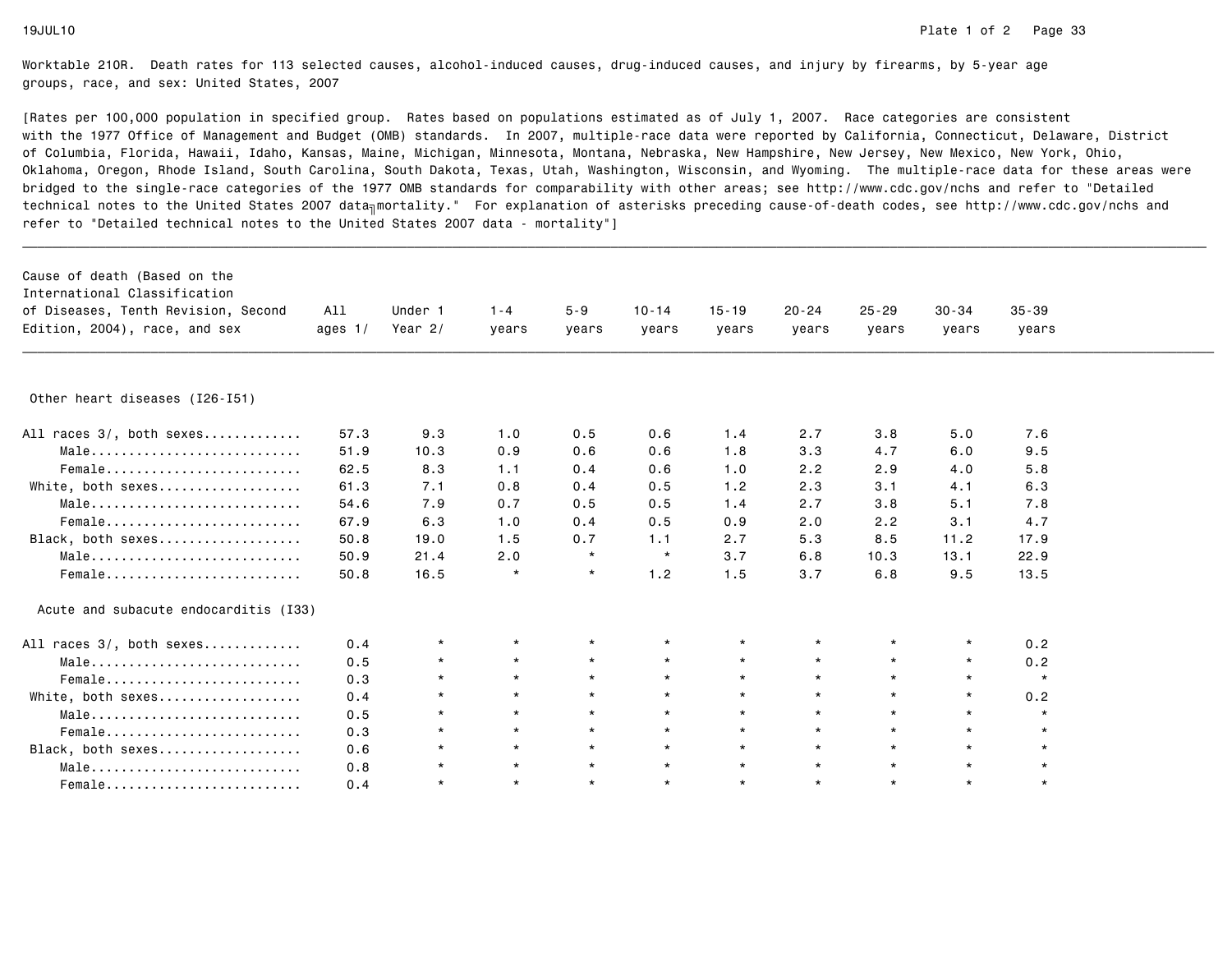| Cause of death (Based on the<br>International Classification<br>of Diseases, Tenth Revision, Second<br>Edition, 2004), race, and sex | All<br>ages $1/$ | Under 1<br>Year 2/ | $1 - 4$<br>years | $5 - 9$<br>years | $10 - 14$<br>years | $15 - 19$<br>years | $20 - 24$<br>years | $25 - 29$<br>years | $30 - 34$<br>years | $35 - 39$<br>years |  |
|--------------------------------------------------------------------------------------------------------------------------------------|------------------|--------------------|------------------|------------------|--------------------|--------------------|--------------------|--------------------|--------------------|--------------------|--|
|                                                                                                                                      |                  |                    |                  |                  |                    |                    |                    |                    |                    |                    |  |
| Other heart diseases (I26-I51)                                                                                                       |                  |                    |                  |                  |                    |                    |                    |                    |                    |                    |  |
| All races 3/, both sexes                                                                                                             | 57.3             | 9.3                | 1.0              | 0.5              | 0.6                | 1.4                | 2.7                | 3.8                | 5.0                | 7.6                |  |
| Male                                                                                                                                 | 51.9             | 10.3               | 0.9              | 0.6              | 0.6                | 1.8                | 3.3                | 4.7                | 6.0                | 9.5                |  |
| Female                                                                                                                               | 62.5             | 8.3                | 1.1              | 0.4              | 0.6                | 1.0                | 2.2                | 2.9                | 4.0                | 5.8                |  |
| White, both sexes                                                                                                                    | 61.3             | 7.1                | 0.8              | 0.4              | 0.5                | 1.2                | 2.3                | 3.1                | 4.1                | 6.3                |  |
| Male                                                                                                                                 | 54.6             | 7.9                | 0.7              | 0.5              | 0.5                | 1.4                | 2.7                | 3.8                | 5.1                | 7.8                |  |
| Female                                                                                                                               | 67.9             | 6.3                | 1.0              | 0.4              | 0.5                | 0.9                | 2.0                | 2.2                | 3.1                | 4.7                |  |
| Black, both sexes                                                                                                                    | 50.8             | 19.0               | 1.5              | 0.7              | 1.1                | 2.7                | 5.3                | 8.5                | 11.2               | 17.9               |  |
| Male                                                                                                                                 | 50.9             | 21.4               | 2.0              | $\star$          | $\star$            | 3.7                | 6.8                | 10.3               | 13.1               | 22.9               |  |
| Female                                                                                                                               | 50.8             | 16.5               | $\star$          | $\star$          | 1.2                | 1.5                | 3.7                | 6.8                | 9.5                | 13.5               |  |
| Acute and subacute endocarditis (I33)                                                                                                |                  |                    |                  |                  |                    |                    |                    |                    |                    |                    |  |
| All races 3/, both sexes                                                                                                             | 0.4              | $\star$            | $\star$          | $\star$          | $\star$            | $\star$            | $^\star$           | $\star$            | $\star$            | 0.2                |  |
| Male                                                                                                                                 | 0.5              | $\star$            | $\star$          | $\star$          | $\star$            | $\star$            | $\star$            | $\star$            | $\star$            | 0.2                |  |
| Female                                                                                                                               | 0.3              | $\star$            | $\star$          | $\star$          | $\star$            | $\star$            | $\star$            | $\star$            | $\star$            | $\star$            |  |
| White, both sexes                                                                                                                    | 0.4              | $\star$            | $\star$          | $\star$          | $\star$            | $\star$            | $\star$            | $\star$            | $\star$            | 0.2                |  |
| $Male \dots \dots \dots \dots \dots \dots \dots \dots \dots \dots$                                                                   | 0.5              | $\star$            | $\star$          | $\star$          | $\star$            | $\star$            | $\star$            | $\star$            | $\star$            | $\star$            |  |
| Female                                                                                                                               | 0.3              | $\star$            | $\star$          | $\star$          | $\star$            | $\star$            | $\star$            | $\star$            | $\star$            | $\star$            |  |
| Black, both sexes                                                                                                                    | 0.6              | $\star$            | $\star$          | $\star$          | $\star$            | $\star$            | $\star$            | $\star$            | $\star$            | $\star$            |  |
| Male                                                                                                                                 | 0.8              | $\star$            | $\star$          | $\star$          | $\star$            | $\star$            | $\star$            | $\star$            | $\star$            | $\star$            |  |
| Female                                                                                                                               | 0.4              | $\star$            | $\star$          | $\star$          | $\star$            | $\star$            | $\star$            | $\star$            | $\star$            | $\star$            |  |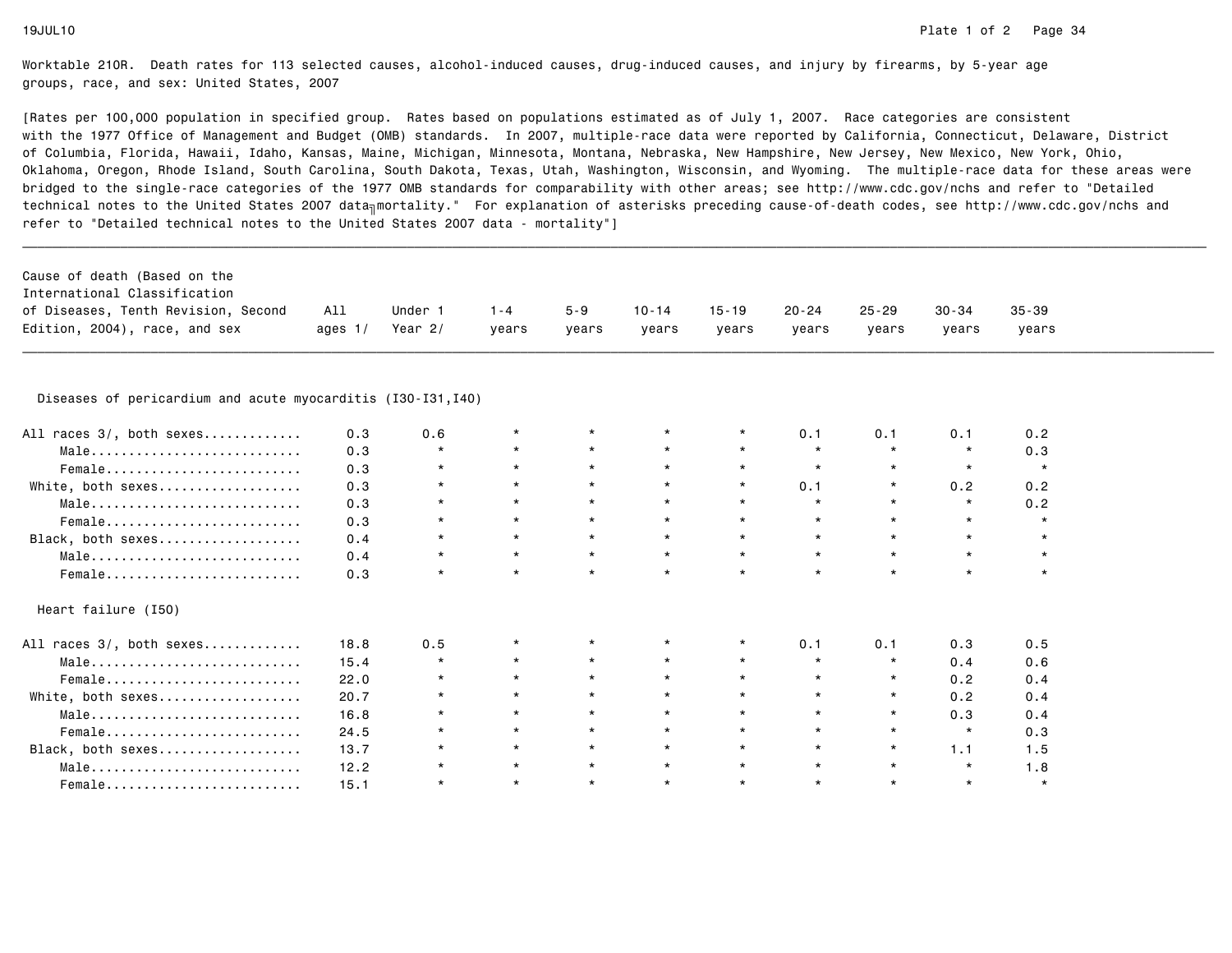| Cause of death (Based on the<br>International Classification<br>of Diseases, Tenth Revision, Second<br>Edition, 2004), race, and sex | All<br>ages $1/$ | Under 1<br>Year $2/$ | $1 - 4$<br>years | $5 - 9$<br>years | $10 - 14$<br>years | $15 - 19$<br>years | $20 - 24$<br>years | $25 - 29$<br>years | $30 - 34$<br>years | $35 - 39$<br>years |
|--------------------------------------------------------------------------------------------------------------------------------------|------------------|----------------------|------------------|------------------|--------------------|--------------------|--------------------|--------------------|--------------------|--------------------|
|                                                                                                                                      |                  |                      |                  |                  |                    |                    |                    |                    |                    |                    |
| Diseases of pericardium and acute myocarditis (I30-I31, I40)                                                                         |                  |                      |                  |                  |                    |                    |                    |                    |                    |                    |
| races 3/, both sexes<br>All                                                                                                          | 0.3              | 0.6                  | $\star$          |                  |                    | $\star$            | 0.1                | 0.1                | 0.1                | 0.2                |
| Male                                                                                                                                 | 0.3              | $\star$              | $\star$          | $\star$          | $\star$            | $\star$            | $\star$            | $\star$            | $\star$            | 0.3                |
| Female                                                                                                                               | 0.3              | $\star$              | $\star$          | $\star$          | $\star$            | $\star$            | $\star$            | $\star$            | $\star$            | $\star$            |
| White, both sexes                                                                                                                    | 0.3              | $\star$              | $\star$          | $\star$          | $\star$            | $\star$            | 0.1                | $\star$            | 0.2                | 0.2                |
| Male                                                                                                                                 | 0.3              | $\star$              | $\star$          | $\star$          | $\star$            | $\star$            | $\star$            | $\star$            | $\star$            | 0.2                |
| $Female$                                                                                                                             | 0.3              | $\star$              | $\star$          | $\star$          | $\star$            | $\star$            | $\star$            | $\star$            | $\star$            | $\star$            |
| Black, both sexes                                                                                                                    | 0.4              | $\star$              | $\star$          | $\star$          | $\star$            | $\star$            | $\star$            | $\star$            | $\star$            | $\star$            |
| Male                                                                                                                                 | 0.4              | $\star$              | $\star$          | $\star$          | $\star$            | $\star$            | $\star$            | $\star$            | $\star$            | $\star$            |
| Female                                                                                                                               | 0.3              | $\star$              | $\star$          | $\star$          | $\star$            | $\star$            | $\star$            | $\star$            | $\star$            | $\star$            |
| Heart failure (I50)                                                                                                                  |                  |                      |                  |                  |                    |                    |                    |                    |                    |                    |
| All races 3/, both sexes                                                                                                             | 18.8             | 0.5                  | $\star$          |                  |                    | *                  | 0.1                | 0.1                | 0.3                | 0.5                |
| Male                                                                                                                                 | 15.4             | $\star$              | $\star$          | $\star$          | $\star$            | $\star$            | $\star$            | $\star$            | 0.4                | 0.6                |
| Female                                                                                                                               | 22.0             | $\star$              | $\star$          | $\star$          | $\star$            | $\star$            | $\star$            | $\star$            | 0.2                | 0.4                |
| White, both sexes                                                                                                                    | 20.7             | $\star$              | $\star$          | $\star$          | $\star$            | $\star$            | $\star$            | $\star$            | 0.2                | 0.4                |
| Male                                                                                                                                 | 16.8             | $\star$              | $\star$          | $\star$          | $\star$            | $\star$            | $\star$            | $\star$            | 0.3                | 0.4                |
| Female                                                                                                                               | 24.5             | $\star$              | $\star$          | $\star$          | $\star$            | $\star$            | $\star$            | $\star$            | $\star$            | 0.3                |
| Black, both sexes                                                                                                                    | 13.7             | $\star$              | $\star$          | $\star$          | $\star$            | $\star$            | $\star$            | $\star$            | 1.1                | 1.5                |
| Male                                                                                                                                 | 12.2             | $\star$              | $\star$          | $\star$          | $\star$            | $\star$            | $\star$            | $\star$            | $\star$            | 1.8                |
| Female                                                                                                                               | 15.1             | $\star$              | $\star$          | $\star$          | $\star$            | $\star$            | $\star$            | $\star$            | $\star$            | $\star$            |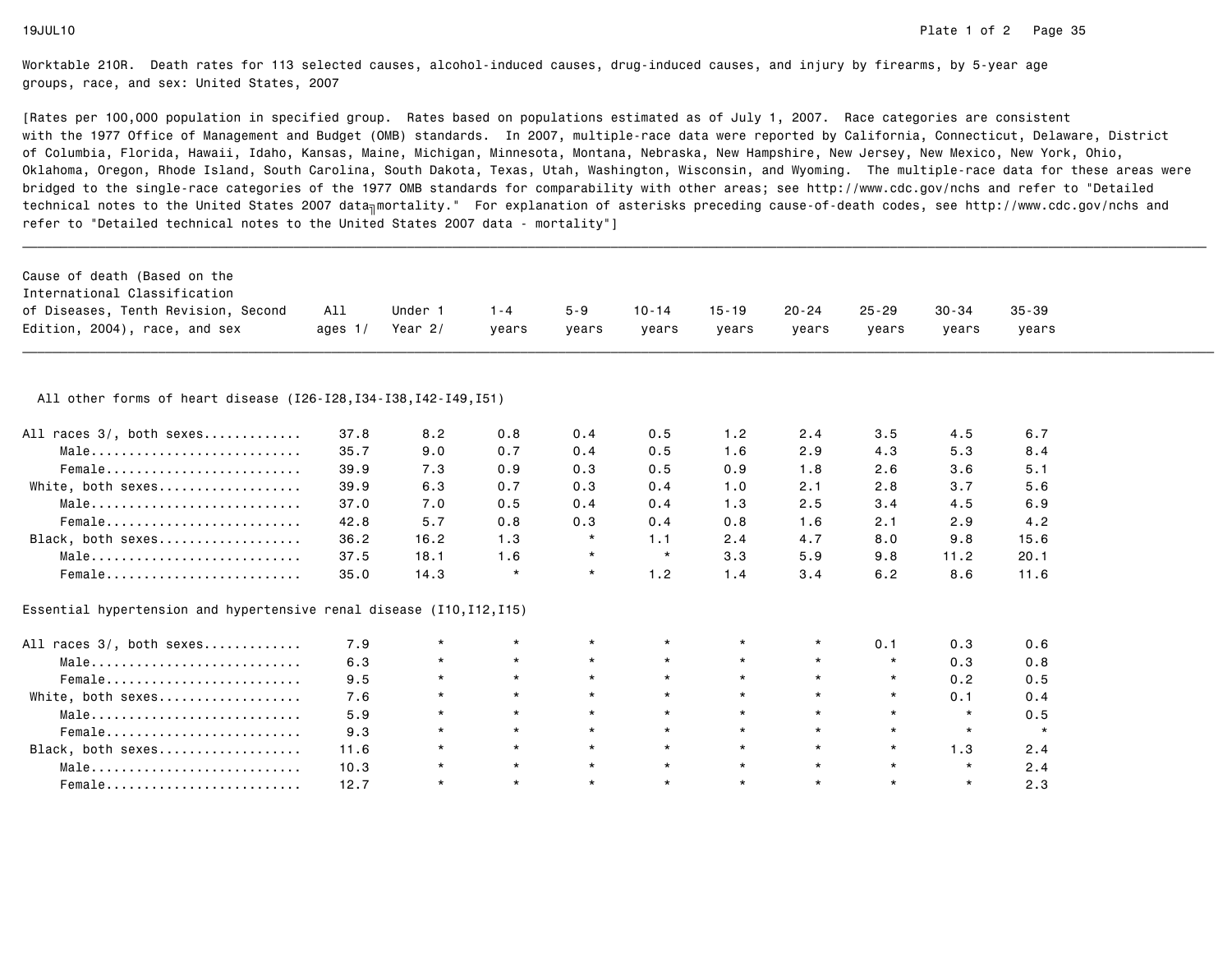| Cause of death (Based on the                                            |           |           |         |         |           |           |           |           |           |           |  |
|-------------------------------------------------------------------------|-----------|-----------|---------|---------|-----------|-----------|-----------|-----------|-----------|-----------|--|
| International Classification                                            |           |           |         |         |           |           |           |           |           |           |  |
| of Diseases, Tenth Revision, Second                                     | All       | Under 1   | $1 - 4$ | $5 - 9$ | $10 - 14$ | $15 - 19$ | $20 - 24$ | $25 - 29$ | $30 - 34$ | $35 - 39$ |  |
| Edition, 2004), race, and sex                                           | ages $1/$ | Year $2/$ | years   | years   | vears     | years     | years     | years     | years     | years     |  |
|                                                                         |           |           |         |         |           |           |           |           |           |           |  |
| All other forms of heart disease (I26-I28, I34-I38, I42-I49, I51)       |           |           |         |         |           |           |           |           |           |           |  |
| All races 3/, both sexes                                                | 37.8      | 8.2       | 0.8     | 0.4     | 0.5       | 1.2       | 2.4       | 3.5       | 4.5       | 6.7       |  |
| Male                                                                    | 35.7      | 9.0       | 0.7     | 0.4     | 0.5       | 1.6       | 2.9       | 4.3       | 5.3       | 8.4       |  |
| Female                                                                  | 39.9      | 7.3       | 0.9     | 0.3     | 0.5       | 0.9       | 1.8       | 2.6       | 3.6       | 5.1       |  |
| White, both sexes                                                       | 39.9      | 6.3       | 0.7     | 0.3     | 0.4       | 1.0       | 2.1       | 2.8       | 3.7       | 5.6       |  |
| Male                                                                    | 37.0      | 7.0       | 0.5     | 0.4     | 0.4       | 1.3       | 2.5       | 3.4       | 4.5       | 6.9       |  |
| Female                                                                  | 42.8      | 5.7       | 0.8     | 0.3     | 0.4       | 0.8       | 1.6       | 2.1       | 2.9       | 4.2       |  |
| Black, both sexes                                                       | 36.2      | 16.2      | 1.3     | $\star$ | 1.1       | 2.4       | 4.7       | 8.0       | 9.8       | 15.6      |  |
| Male                                                                    | 37.5      | 18.1      | 1.6     | $\star$ | $\star$   | 3.3       | 5.9       | 9.8       | 11.2      | 20.1      |  |
| Female                                                                  | 35.0      | 14.3      | $\star$ | $\star$ | 1.2       | 1.4       | 3.4       | 6.2       | 8.6       | 11.6      |  |
| Essential hypertension and hypertensive renal disease $(110, 112, 115)$ |           |           |         |         |           |           |           |           |           |           |  |
| All races 3/, both sexes                                                | 7.9       | $\star$   | $\star$ | $\star$ | $\star$   | $\star$   | $\star$   | 0.1       | 0.3       | 0.6       |  |
| Male                                                                    | 6.3       | $\star$   | $\star$ | $\star$ | $\star$   | $\star$   | $\star$   | $\star$   | 0.3       | 0.8       |  |
| Female                                                                  | 9.5       | $\star$   | $\star$ | $\star$ | $\star$   | $\star$   | $\star$   | $\star$   | 0.2       | 0.5       |  |
| White, both sexes                                                       | 7.6       | $\star$   | $\star$ | $\star$ | $\star$   | $\star$   | $\star$   | $\star$   | 0.1       | 0.4       |  |
| Male                                                                    | 5.9       | $\star$   | $\star$ | $\star$ | $\star$   | $\star$   | $\star$   | $\star$   | $\star$   | 0.5       |  |
| Female                                                                  | 9.3       | $\star$   | $\star$ | $\star$ | $\star$   | $\star$   | $\star$   | $\star$   | $\star$   | $\star$   |  |
| Black, both sexes                                                       | 11.6      | $\star$   | $\star$ | $\star$ | $\star$   | $\star$   | $\star$   | $\star$   | 1.3       | 2.4       |  |
| Male                                                                    | 10.3      | $\star$   | $\star$ | $\star$ | $\star$   | $\star$   | $\star$   | $\star$   | $\star$   | 2.4       |  |
| Female                                                                  | 12.7      | $\star$   | $\star$ | $\star$ | $\star$   | $\star$   | $\star$   | $\star$   | $\star$   | 2.3       |  |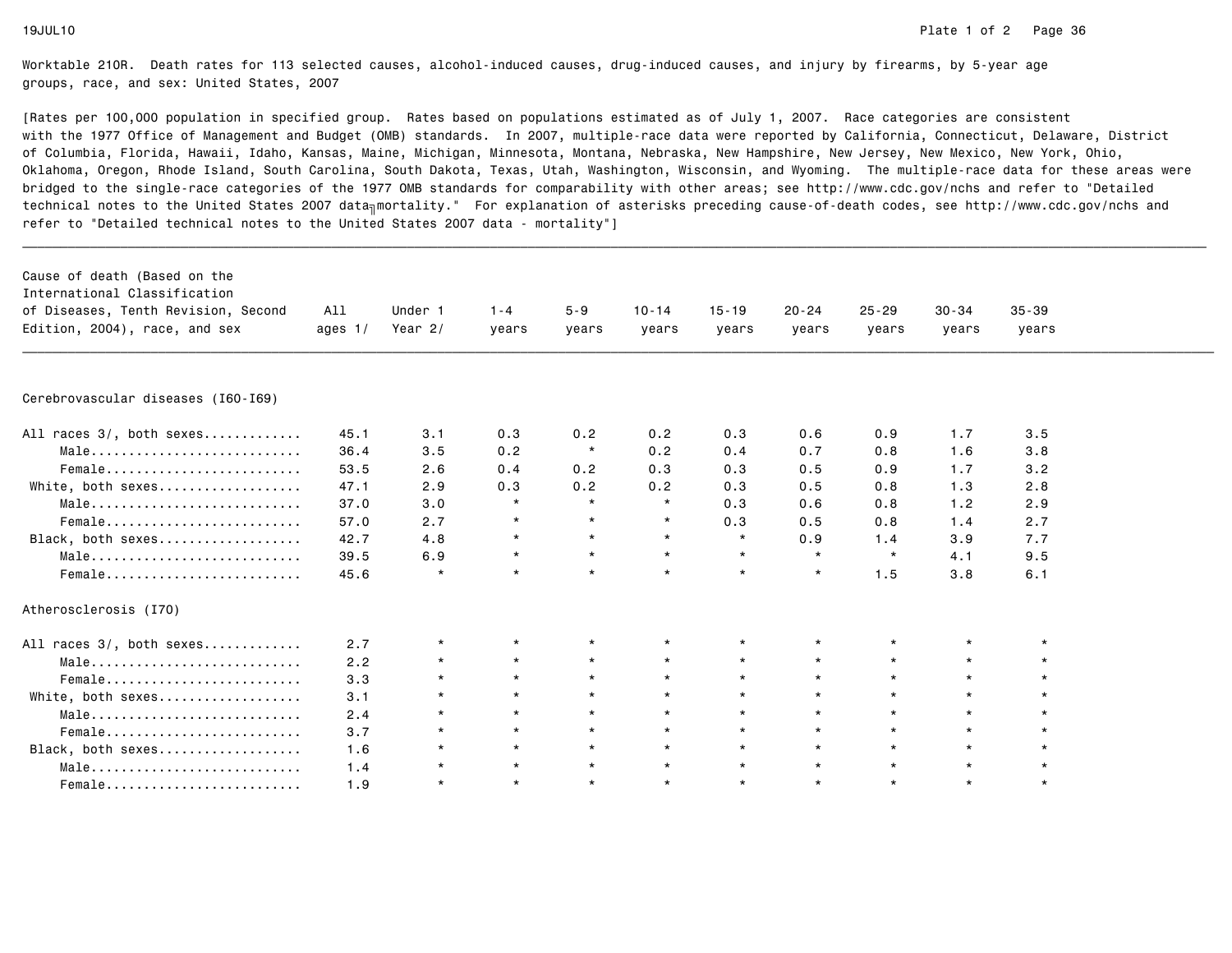| Cause of death (Based on the<br>International Classification<br>of Diseases, Tenth Revision, Second<br>Edition, 2004), race, and sex | All<br>ages $1/$ | Under 1<br>Year $2/$ | $1 - 4$<br>years | $5 - 9$<br>years | $10 - 14$<br>years | $15 - 19$<br>years | $20 - 24$<br>vears | $25 - 29$<br>years | $30 - 34$<br>years | $35 - 39$<br>years |  |
|--------------------------------------------------------------------------------------------------------------------------------------|------------------|----------------------|------------------|------------------|--------------------|--------------------|--------------------|--------------------|--------------------|--------------------|--|
| Cerebrovascular diseases (I60-I69)                                                                                                   |                  |                      |                  |                  |                    |                    |                    |                    |                    |                    |  |
|                                                                                                                                      | 45.1             | 3.1                  | 0.3              | 0.2              | 0.2                | 0.3                | 0.6                | 0.9                | 1.7                | 3.5                |  |
| All races 3/, both sexes                                                                                                             |                  |                      |                  | $\star$          |                    |                    |                    |                    |                    |                    |  |
| Male                                                                                                                                 | 36.4<br>53.5     | 3.5<br>2.6           | 0.2<br>0.4       | 0.2              | 0.2<br>0.3         | 0.4<br>0.3         | 0.7<br>0.5         | 0.8<br>0.9         | 1.6<br>1.7         | 3.8<br>3.2         |  |
| Female                                                                                                                               | 47.1             | 2.9                  | 0.3              | 0.2              | 0.2                | 0.3                | 0.5                | 0.8                | 1.3                | 2.8                |  |
| White, both sexes<br>Male                                                                                                            | 37.0             | 3.0                  | $\star$          | $\star$          | $\star$            | 0.3                | 0.6                | 0.8                | 1.2                | 2.9                |  |
|                                                                                                                                      | 57.0             |                      | $\star$          | $\star$          | $\star$            |                    |                    |                    |                    | 2.7                |  |
| Female                                                                                                                               |                  | 2.7                  | $\star$          | $\star$          | $\star$            | 0.3<br>$\star$     | 0.5                | 0.8                | 1.4                |                    |  |
| Black, both sexes                                                                                                                    | 42.7             | 4.8                  | $\star$          | $\star$          | $\star$            | $\star$            | 0.9<br>$\star$     | 1.4<br>$\star$     | 3.9                | 7.7                |  |
| Male                                                                                                                                 | 39.5             | 6.9<br>$\star$       | $\star$          | $\star$          | $\star$            | $\star$            | $\star$            |                    | 4.1                | 9.5                |  |
| Female                                                                                                                               | 45.6             |                      |                  |                  |                    |                    |                    | 1.5                | 3.8                | 6.1                |  |
| Atherosclerosis (I70)                                                                                                                |                  |                      |                  |                  |                    |                    |                    |                    |                    |                    |  |
| All races 3/, both sexes                                                                                                             | 2.7              | $\star$              | $\star$          |                  |                    | $\star$            | $\star$            |                    |                    |                    |  |
| Male                                                                                                                                 | 2.2              | $\star$              | $\star$          | $\star$          | $\star$            | $\star$            | $\star$            | $\star$            | $\star$            | $\star$            |  |
| Female                                                                                                                               | 3.3              | $\star$              | $\star$          | $\star$          | $\star$            | $\star$            | $\star$            | $\star$            | $\star$            | $\star$            |  |
| White, both sexes                                                                                                                    | 3.1              | $\star$              | $\star$          | $\star$          | $\star$            | $\star$            | $\star$            | $\star$            | $\star$            |                    |  |
| Male                                                                                                                                 | 2.4              | $\star$              | $\star$          | $\star$          | $\star$            | $\star$            | $\star$            | $\star$            | $\star$            | $\star$            |  |
| Female                                                                                                                               | 3.7              | $\star$              | $\star$          | $\star$          | $\star$            | $\star$            | $\star$            | $\star$            | $\star$            | $\star$            |  |
| Black, both sexes                                                                                                                    | 1.6              | $\star$              | $\star$          | $\star$          | $\star$            | $\star$            | $\star$            | $\star$            | $\star$            | $\star$            |  |
| Male                                                                                                                                 | 1.4              | $\star$              | $\star$          | $\star$          | $\star$            | $\star$            | $\star$            | $\star$            | $\star$            | $\star$            |  |
| Female                                                                                                                               | 1.9              | $\star$              | $\star$          | $\star$          | $\star$            | $\star$            | $\star$            | $\star$            | $\star$            | $\star$            |  |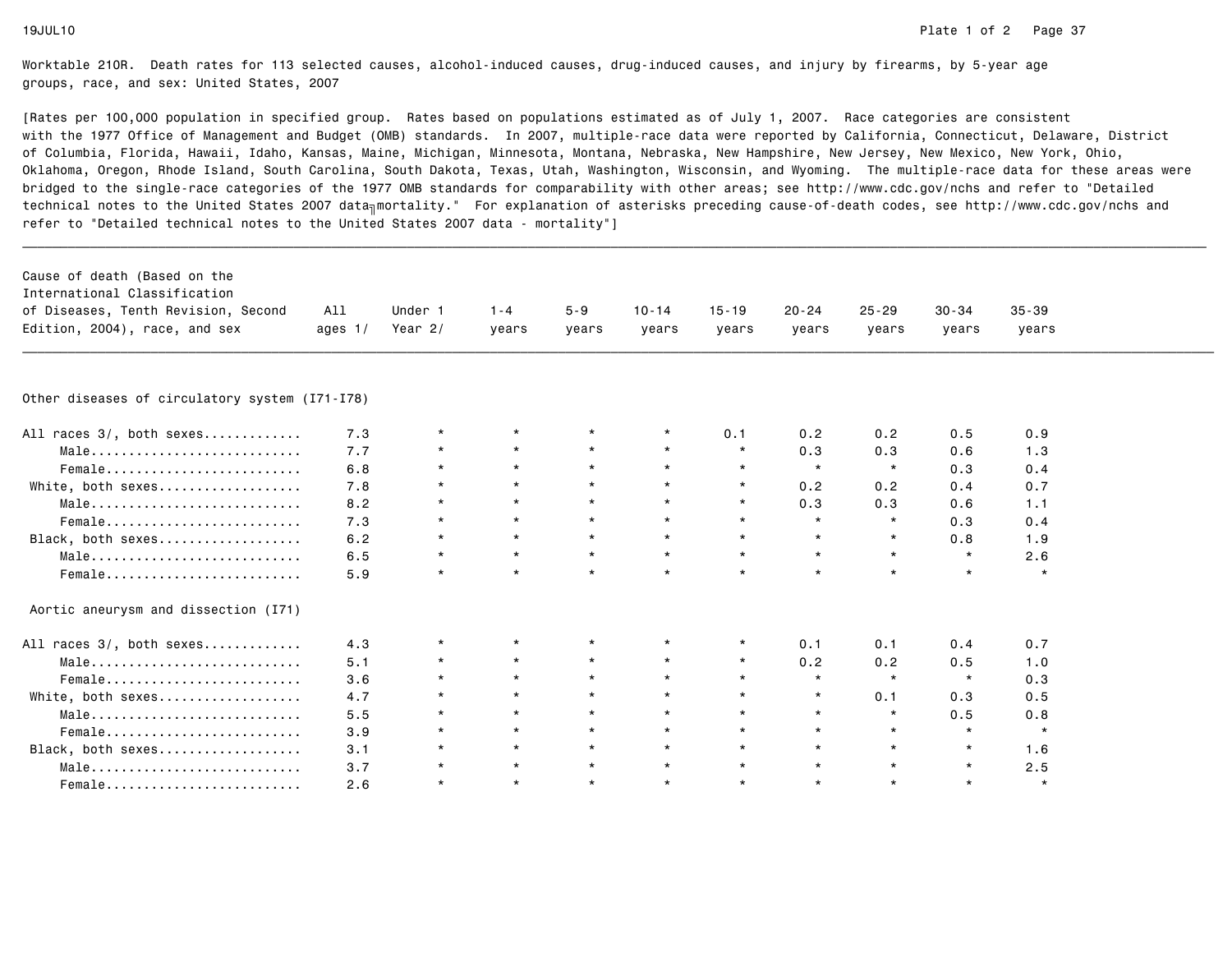| Cause of death (Based on the                   |           |           |         |          |           |           |           |           |           |           |  |
|------------------------------------------------|-----------|-----------|---------|----------|-----------|-----------|-----------|-----------|-----------|-----------|--|
| International Classification                   |           |           |         |          |           |           |           |           |           |           |  |
| of Diseases, Tenth Revision, Second            | All       | Under 1   | $1 - 4$ | $5 - 9$  | $10 - 14$ | $15 - 19$ | $20 - 24$ | $25 - 29$ | $30 - 34$ | $35 - 39$ |  |
| Edition, 2004), race, and sex                  | ages $1/$ | Year $2/$ | vears   | vears    | vears     | vears     | years     | years     | vears     | years     |  |
|                                                |           |           |         |          |           |           |           |           |           |           |  |
| Other diseases of circulatory system (I71-I78) |           |           |         |          |           |           |           |           |           |           |  |
| All races 3/, both sexes                       | 7.3       | $\star$   | $\star$ |          | $\star$   | 0.1       | 0.2       | 0.2       | 0.5       | 0.9       |  |
| Male                                           | 7.7       | $\star$   | $\star$ | $\star$  | $\star$   | $\star$   | 0.3       | 0.3       | 0.6       | 1.3       |  |
| Female                                         | 6.8       | $\star$   | $\star$ | $\star$  | $\star$   | $\star$   | $\star$   | $\star$   | 0.3       | 0.4       |  |
| White, both sexes                              | 7.8       | $\star$   | $\star$ | $\star$  | $\star$   | $\star$   | 0.2       | 0.2       | 0.4       | 0.7       |  |
| Male                                           | 8.2       | $\star$   | $\star$ | $\star$  | $\star$   | $\star$   | 0.3       | 0.3       | 0.6       | 1.1       |  |
| Female                                         | 7.3       | $\star$   | $\star$ | $\star$  | $\star$   | $\star$   | $\star$   | $\star$   | 0.3       | 0.4       |  |
| Black, both sexes                              | 6.2       | $\star$   | $\star$ | $\star$  | $\star$   | $\star$   | $\star$   | $\star$   | 0.8       | 1.9       |  |
| Male                                           | 6.5       | $\star$   | $\star$ | $\star$  | $\star$   | $\star$   | $\star$   | $\star$   | $\star$   | 2.6       |  |
| Female                                         | 5.9       | $\star$   | $\star$ | $\star$  | $\star$   | $\star$   | $\star$   | $\star$   | $\star$   | $\star$   |  |
| Aortic aneurysm and dissection (I71)           |           |           |         |          |           |           |           |           |           |           |  |
| All races 3/, both sexes                       | 4.3       | $^\star$  | $\star$ | $^\star$ | $\star$   | $\star$   | 0.1       | 0.1       | 0.4       | 0.7       |  |
| Male                                           | 5.1       | $\star$   | $\star$ | $\star$  | $\star$   | $\star$   | 0.2       | 0.2       | 0.5       | 1.0       |  |
| Female                                         | 3.6       | $\star$   | $\star$ | $\star$  | $\star$   | $\star$   | $\star$   | $\star$   | $\star$   | 0.3       |  |
| White, both sexes                              | 4.7       | $\star$   | $\star$ | $\star$  | $\star$   | $\star$   | $\star$   | 0.1       | 0.3       | 0.5       |  |
| Male                                           | 5.5       | $\star$   | $\star$ | $\star$  | $\star$   | $\star$   | $\star$   | $\star$   | 0.5       | 0.8       |  |
| Female                                         | 3.9       | $\star$   | $\star$ | $\star$  | $\star$   | $\star$   | $\star$   | $\star$   | $\star$   | $\star$   |  |
| Black, both sexes                              | 3.1       | $^\star$  | $\star$ | $\star$  | $\star$   | $\star$   | $\star$   | $\star$   | $\star$   | 1.6       |  |
| Male                                           | 3.7       | $\star$   | $\star$ | $\star$  | $\star$   | $\star$   | $\star$   | $\star$   | $\star$   | 2.5       |  |
| Female                                         | 2.6       | $\star$   | $\star$ | $\star$  | $\star$   | $\star$   | $\star$   | $\star$   | $\star$   | $\star$   |  |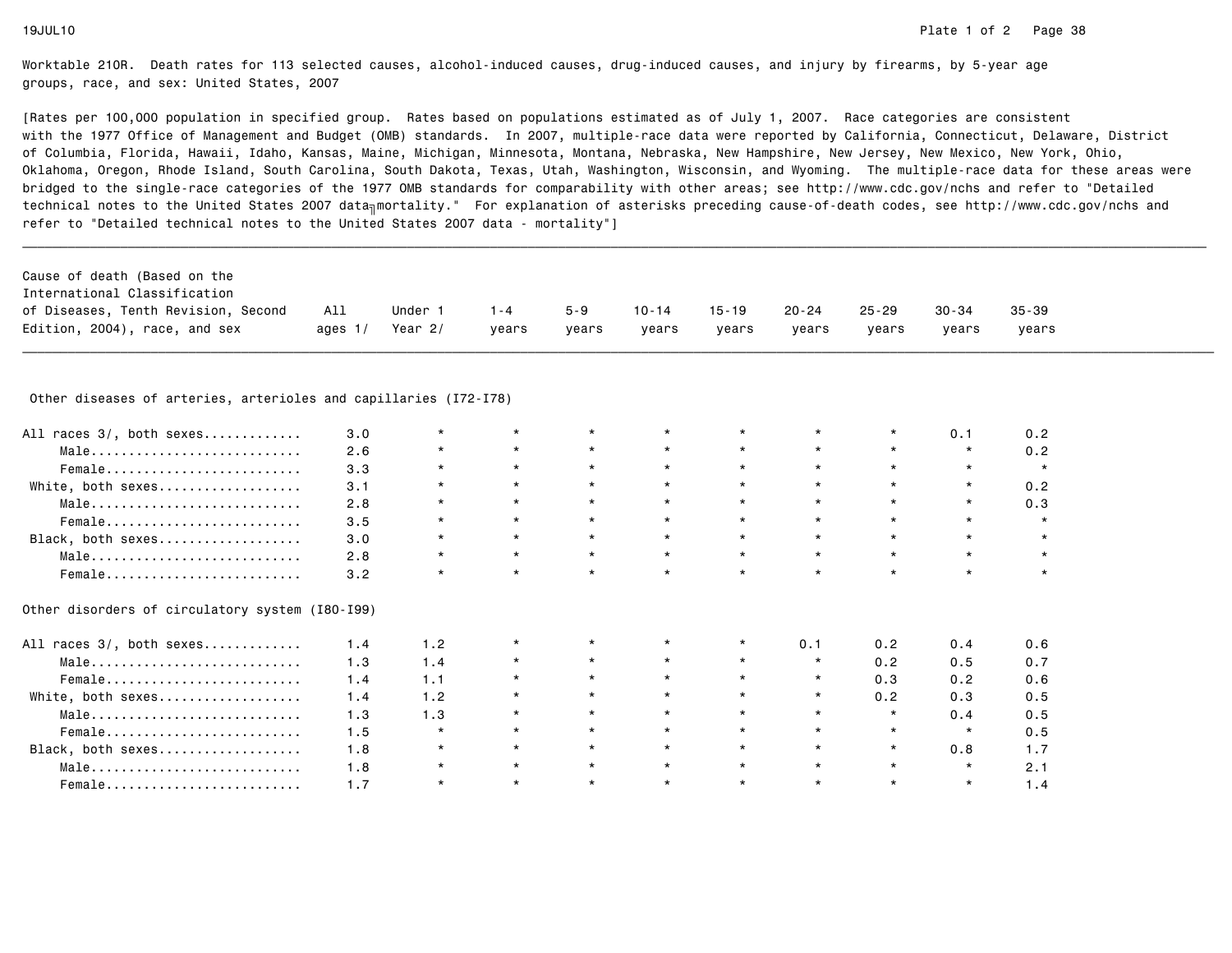$0.5$ 

 $0.5$ 

 $0.5$ 

 $1.7$ 

 $2.1$ 

 $1.4$ 

Worktable 210R. Death rates for 113 selected causes, alcohol-induced causes, drug-induced causes, and injury by firearms, by 5-year agegroups, race, and sex: United States, 2007

[Rates per 100,000 population in specified group. Rates based on populations estimated as of July 1, 2007. Race categories are consistent with the 1977 Office of Management and Budget (OMB) standards. In 2007, multiple-race data were reported by California, Connecticut, Delaware, Districtof Columbia, Florida, Hawaii, Idaho, Kansas, Maine, Michigan, Minnesota, Montana, Nebraska, New Hampshire, New Jersey, New Mexico, New York, Ohio, Oklahoma, Oregon, Rhode Island, South Carolina, South Dakota, Texas, Utah, Washington, Wisconsin, and Wyoming. The multiple-race data for these areas werebridged to the single-race categories of the 1977 OMB standards for comparability with other areas; see http://www.cdc.gov/nchs and refer to "Detailedtechnical notes to the United States 2007 data<sub>∏</sub>mortality." For explanation of asterisks preceding cause-of-death codes, see http://www.cdc.gov/nchs and refer to "Detailed technical notes to the United States 2007 data - mortality"]

| Cause of death (Based on the        |           |         |         |         |           |           |           |       |           |           |
|-------------------------------------|-----------|---------|---------|---------|-----------|-----------|-----------|-------|-----------|-----------|
| International Classification        |           |         |         |         |           |           |           |       |           |           |
| of Diseases, Tenth Revision, Second | All       | Under 1 | $1 - 4$ | $5 - 9$ | $10 - 14$ | $15 - 19$ | $20 - 24$ | 25-29 | $30 - 34$ | $35 - 39$ |
| Edition, 2004), race, and sex       | ages $1/$ | Year 2/ | vears   | vears   | years     | years     | vears     | vears | vears     | vears     |

# \_\_\_\_\_\_\_\_\_\_\_\_\_\_\_\_\_\_\_\_\_\_\_\_\_\_\_\_\_\_\_\_\_\_\_\_\_\_\_\_\_\_\_\_\_\_\_\_\_\_\_\_\_\_\_\_\_\_\_\_\_\_\_\_\_\_\_\_\_\_\_\_\_\_\_\_\_\_\_\_\_\_\_\_\_\_\_\_\_\_\_\_\_\_\_\_\_\_\_\_\_\_\_\_\_\_\_\_\_\_\_\_\_\_\_\_\_\_\_\_\_\_\_\_\_\_\_\_\_\_\_\_\_\_\_\_\_\_\_\_\_\_\_\_\_\_\_\_\_\_\_\_\_\_\_\_\_\_ Other diseases of arteries, arterioles and capillaries (I72-I78)

| All races 3/, both sexes                        | 3.0 |     |         |         |         |         |         | 0.1        | 0.2 |
|-------------------------------------------------|-----|-----|---------|---------|---------|---------|---------|------------|-----|
| Male                                            | 2.6 |     |         | $\star$ | $\star$ | $\star$ | $\star$ | $^{\star}$ | 0.2 |
| Female                                          | 3.3 |     |         | $\star$ |         | $\star$ |         | $\star$    |     |
| White, both sexes                               | 3.1 |     |         |         | $\star$ | $\star$ |         | $\star$    | 0.2 |
| Male                                            | 2.8 |     | $\star$ |         |         | $\star$ |         | $\star$    | 0.3 |
| Female                                          | 3.5 |     |         |         |         | $\star$ |         |            |     |
| Black, both sexes                               | 3.0 |     |         | $\star$ | $\star$ | $\star$ |         |            |     |
| Male                                            | 2.8 |     |         |         | $\star$ | $\star$ |         |            |     |
| Female                                          | 3.2 |     |         | $\star$ | $\star$ | $\star$ |         |            |     |
| Other disorders of circulatory system (I80-I99) |     |     |         |         |         |         |         |            |     |
| All races 3/, both sexes                        | 1.4 | 1.2 |         |         |         | 0.1     | 0.2     | 0.4        | 0.6 |
| Male                                            | 1.3 | 1.4 | $\star$ | $\star$ | $\star$ | $\star$ | 0.2     | 0.5        | 0.7 |
| Female                                          | 1.4 | 1.1 |         |         | $\star$ | $\star$ | 0.3     | 0.2        | 0.6 |

White, both sexes................... 1.4 1.2 \* \* \* \* \* 0.2 0.3 0.5

Black, both sexes................... 1.8 \* \* \* \* \* \* \* 0.8 1.7

Male............................ 1.8 \* \* \* \* \* \* \* \* 2.1

Male............................ 1.3 1.3 \* \* \* \* \* \* 0.4 0.5

Female.......................... 1.5 \* \* \* \* \* \* \* \* 0.5

Female.......................... 1.7 \* \* \* \* \* \* \* \* 1.4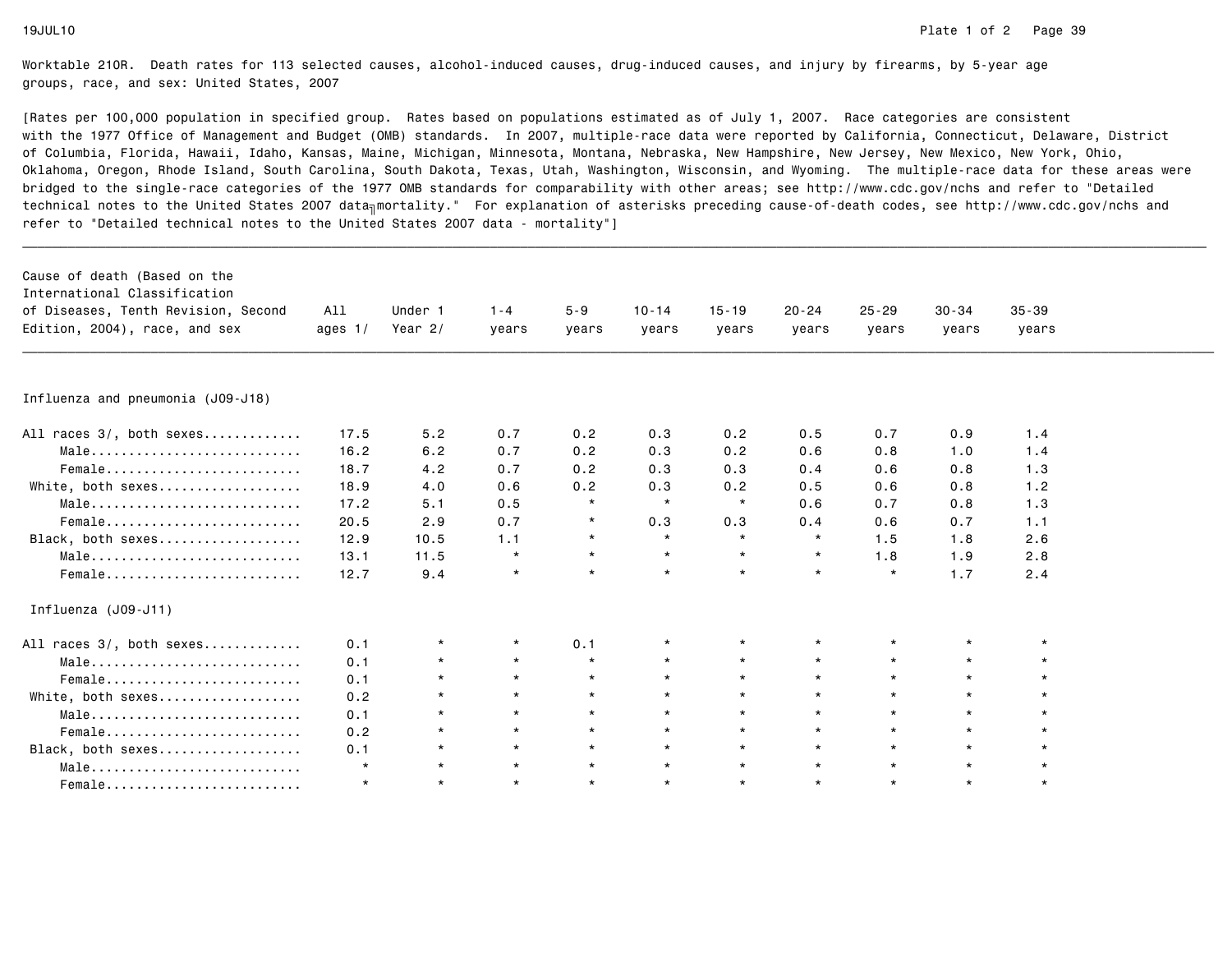| Cause of death (Based on the<br>International Classification<br>of Diseases, Tenth Revision, Second<br>Edition, 2004), race, and sex | All<br>ages $1/$ | Under 1<br>Year 2/ | $1 - 4$<br>vears | $5 - 9$<br>years | $10 - 14$<br>years | $15 - 19$<br>years | $20 - 24$<br>vears | $25 - 29$<br>years | $30 - 34$<br>years | $35 - 39$<br>years |  |
|--------------------------------------------------------------------------------------------------------------------------------------|------------------|--------------------|------------------|------------------|--------------------|--------------------|--------------------|--------------------|--------------------|--------------------|--|
|                                                                                                                                      |                  |                    |                  |                  |                    |                    |                    |                    |                    |                    |  |
| Influenza and pneumonia (J09-J18)                                                                                                    |                  |                    |                  |                  |                    |                    |                    |                    |                    |                    |  |
| All races 3/, both sexes                                                                                                             | 17.5             | 5.2                | 0.7              | 0.2              | 0.3                | 0.2                | 0.5                | 0.7                | 0.9                | 1.4                |  |
| Male                                                                                                                                 | 16.2             | 6.2                | 0.7              | 0.2              | 0.3                | 0.2                | 0.6                | 0.8                | 1.0                | 1.4                |  |
| Female                                                                                                                               | 18.7             | 4.2                | 0.7              | 0.2              | 0.3                | 0.3                | 0.4                | 0.6                | 0.8                | 1.3                |  |
| White, both sexes                                                                                                                    | 18.9             | 4.0                | 0.6              | 0.2              | 0.3                | 0.2                | 0.5                | 0.6                | 0.8                | 1.2                |  |
| Male                                                                                                                                 | 17.2             | 5.1                | 0.5              | $\star$          | $\star$            | $\star$            | 0.6                | 0.7                | 0.8                | 1.3                |  |
| Female                                                                                                                               | 20.5             | 2.9                | 0.7              | $^\star$         | 0.3                | 0.3                | 0.4                | 0.6                | 0.7                | 1.1                |  |
| Black, both sexes                                                                                                                    | 12.9             | 10.5               | 1.1              | $\star$          | $\star$            | $\star$            | $\star$            | 1.5                | 1.8                | 2.6                |  |
| Male                                                                                                                                 | 13.1             | 11.5               | $\star$          | $\star$          | $\star$            | $\star$            | $\star$            | 1.8                | 1.9                | 2.8                |  |
| Female                                                                                                                               | 12.7             | 9.4                | $\star$          | $\star$          | $\star$            | $\star$            | $\star$            | $\star$            | 1.7                | 2.4                |  |
| Influenza (J09-J11)                                                                                                                  |                  |                    |                  |                  |                    |                    |                    |                    |                    |                    |  |
| All races 3/, both sexes                                                                                                             | 0.1              | *                  | $\star$          | 0.1              | $\star$            | $\star$            |                    |                    |                    |                    |  |
| Male                                                                                                                                 | 0.1              | $\star$            | $\star$          | $\star$          | $\star$            | $\star$            | $\star$            | $\star$            | $\star$            | $\star$            |  |
| Female                                                                                                                               | 0.1              | $\star$            | $\star$          | $\star$          | $\star$            | $\star$            | $\star$            | $\star$            | $\star$            | $\star$            |  |
| White, both sexes                                                                                                                    | 0.2              | $\star$            | $\star$          | $\star$          | $\star$            | $\star$            | $\star$            | $\star$            | $\star$            | $\star$            |  |
| Male                                                                                                                                 | 0.1              | $\star$            | $\star$          | $\star$          | $\star$            | $\star$            | $\star$            | $\star$            | $\star$            | $\star$            |  |
| Female                                                                                                                               | 0.2              | $\star$            | $\star$          | $\star$          | $\star$            | $\star$            | $\star$            | $\star$            | $\star$            | $\star$            |  |
| Black, both sexes                                                                                                                    | 0.1              | $\star$            | $\star$          | $\star$          | $\star$            | $\star$            | $\star$            | $\star$            | $\star$            | $\star$            |  |
| Male                                                                                                                                 | $\star$          | $\star$            | $\star$          | $\star$          | $\star$            | $\star$            | $\star$            | $\star$            | $\star$            | $\star$            |  |
| Female                                                                                                                               | $\star$          | $\star$            | $\star$          | $\star$          | $\star$            | $\star$            | $\star$            | $\star$            | $\star$            | $\star$            |  |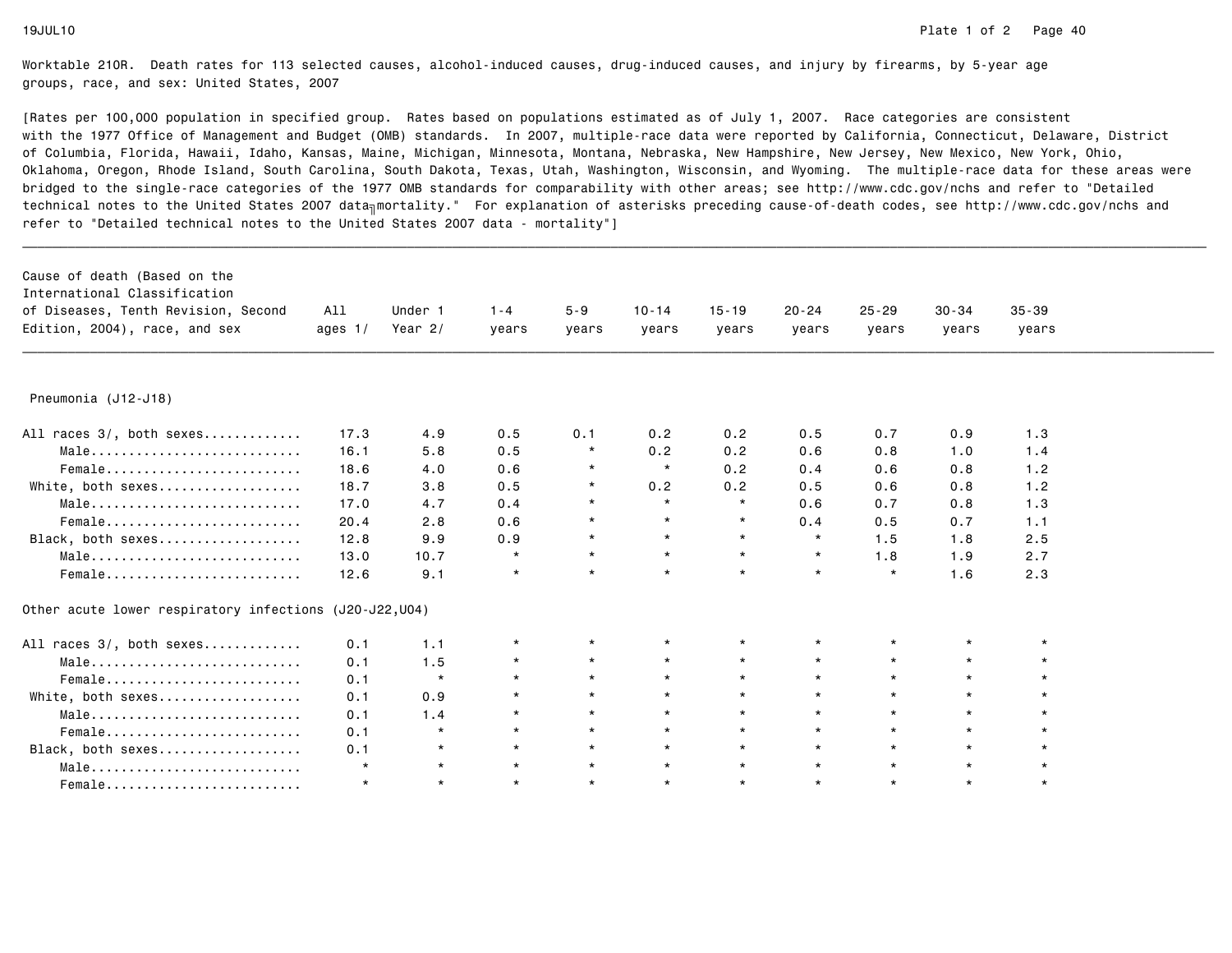| Cause of death (Based on the<br>International Classification<br>of Diseases, Tenth Revision, Second<br>Edition, 2004), race, and sex | All<br>ages $1/$ | Under 1<br>Year $2/$ | $1 - 4$<br>years | $5 - 9$<br>years | $10 - 14$<br>years | $15 - 19$<br>years | $20 - 24$<br>years | $25 - 29$<br>years | $30 - 34$<br>years | $35 - 39$<br>years |  |
|--------------------------------------------------------------------------------------------------------------------------------------|------------------|----------------------|------------------|------------------|--------------------|--------------------|--------------------|--------------------|--------------------|--------------------|--|
| Pneumonia (J12-J18)                                                                                                                  |                  |                      |                  |                  |                    |                    |                    |                    |                    |                    |  |
| All races 3/, both sexes                                                                                                             | 17.3             | 4.9                  | 0.5              | 0.1              | 0.2                | 0.2                | 0.5                | 0.7                | 0.9                | 1.3                |  |
| Male                                                                                                                                 | 16.1             | 5.8                  | 0.5              | $\star$          | 0.2                | 0.2                | 0.6                | 0.8                | 1.0                | 1.4                |  |
| Female                                                                                                                               | 18.6             | 4.0                  | 0.6              | $\star$          | $\star$            | 0.2                | 0.4                | 0.6                | 0.8                | 1.2                |  |
| White, both sexes                                                                                                                    | 18.7             | 3.8                  | 0.5              | $\star$          | 0.2                | 0.2                | 0.5                | 0.6                | 0.8                | 1.2                |  |
| Male                                                                                                                                 | 17.0             | 4.7                  | 0.4              | $\star$          | $\star$            | $\star$            | 0.6                | 0.7                | 0.8                | 1.3                |  |
| Female                                                                                                                               | 20.4             | 2.8                  | 0.6              |                  | $\star$            | $\star$            | 0.4                | 0.5                | 0.7                | 1.1                |  |
| Black, both sexes                                                                                                                    | 12.8             | 9.9                  | 0.9              | $\star$          | $\star$            | $\star$            | $\star$            | 1.5                | 1.8                | 2.5                |  |
| Male                                                                                                                                 | 13.0             | 10.7                 | $\star$          | $\star$          | $\star$            | $\star$            | $\star$            | 1.8                | 1.9                | 2.7                |  |
| Female                                                                                                                               | 12.6             | 9.1                  | $\star$          | $\star$          | $\star$            | $\star$            | $\star$            | $\star$            | 1.6                | 2.3                |  |
| Other acute lower respiratory infections (J20-J22, U04)                                                                              |                  |                      |                  |                  |                    |                    |                    |                    |                    |                    |  |
| All races 3/, both sexes                                                                                                             | 0.1              | 1.1                  | $\star$          | $^\star$         | $\star$            | $\star$            | $\star$            |                    | $\star$            | $\star$            |  |
| Male                                                                                                                                 | 0.1              | 1.5                  | $\star$          | $\star$          | $\star$            | $\star$            | $\star$            | $\star$            | $\star$            |                    |  |
| Female                                                                                                                               | 0.1              | $\star$              | $\star$          | $\star$          | $\star$            | $\star$            | $\star$            | $\star$            | $\star$            |                    |  |
| White, both sexes                                                                                                                    | 0.1              | 0.9                  | $\star$          | $\star$          | $\star$            | $\star$            | $\star$            | $\star$            | $\star$            |                    |  |
| $Male \dots \dots \dots \dots \dots \dots \dots \dots \dots$                                                                         | 0.1              | 1.4                  | $\star$          | $\star$          | $\star$            | $\star$            | $\star$            | $\star$            | $\star$            | $\star$            |  |
| Female                                                                                                                               | 0.1              | $\star$              | $\star$          | $\star$          | $\star$            | $\star$            | $\star$            | $\star$            | $\star$            | $\star$            |  |
| Black, both sexes                                                                                                                    | 0.1              | $\star$              | $\star$          | $\star$          | $\star$            | $\star$            | $\star$            | $\star$            | $\star$            | $\star$            |  |
| Male                                                                                                                                 | $\star$          | $\star$              | $\star$          | $\star$          | $\star$            | $\star$            | $\star$            | $\star$            | $\star$            | $\star$            |  |
| Female                                                                                                                               | $\star$          | $\star$              | $\star$          | $\star$          | $\star$            | $\star$            | $\star$            | $\star$            | $\star$            | $\star$            |  |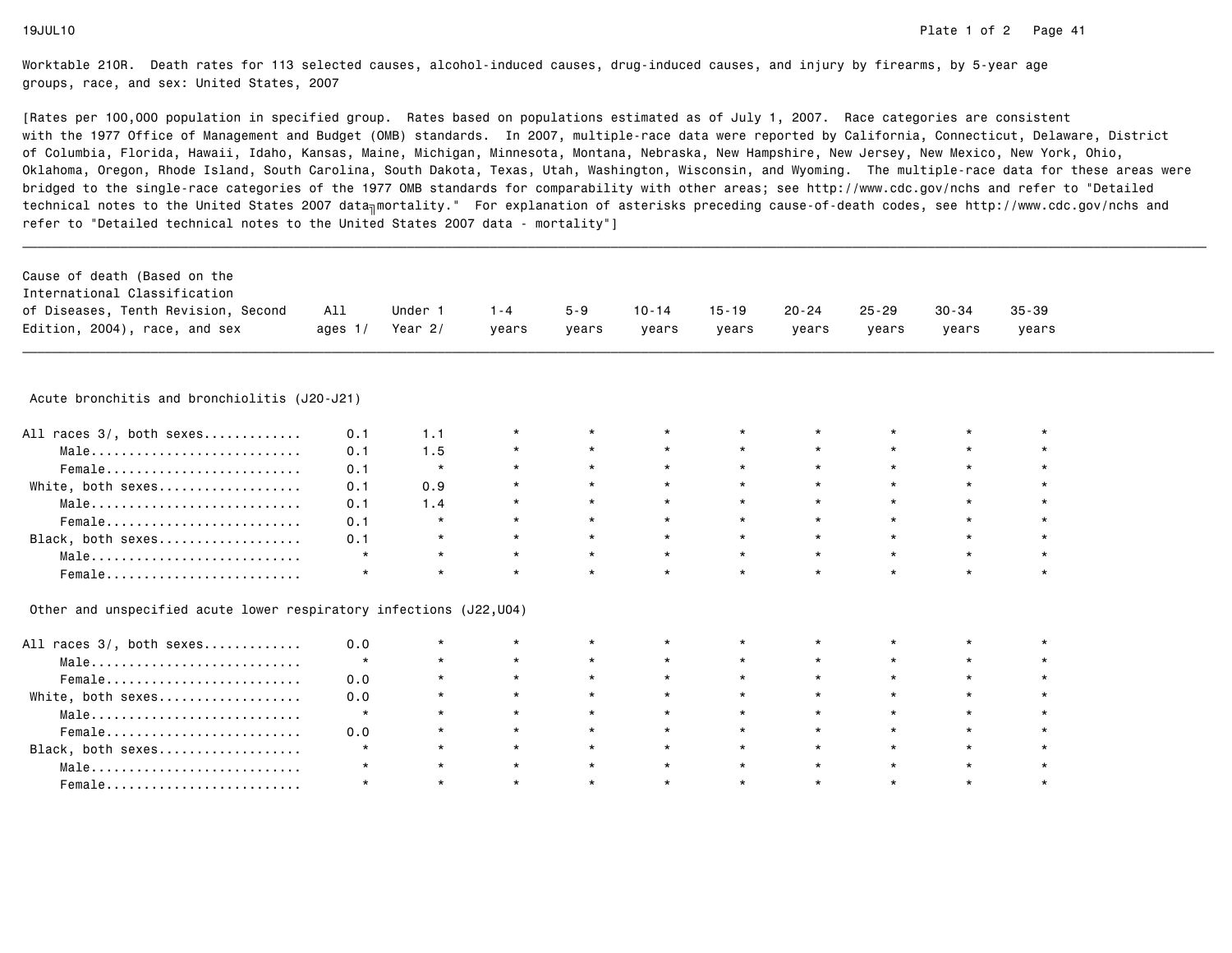| Cause of death (Based on the                                        |           |         |         |         |           |           |           |           |           |           |  |
|---------------------------------------------------------------------|-----------|---------|---------|---------|-----------|-----------|-----------|-----------|-----------|-----------|--|
| International Classification                                        |           |         |         |         |           |           |           |           |           |           |  |
| of Diseases, Tenth Revision, Second                                 | All       | Under 1 | $1 - 4$ | $5 - 9$ | $10 - 14$ | $15 - 19$ | $20 - 24$ | $25 - 29$ | $30 - 34$ | $35 - 39$ |  |
| Edition, 2004), race, and sex                                       | ages $1/$ | Year 2/ | vears   | vears   | vears     | years     | years     | years     | years     | years     |  |
|                                                                     |           |         |         |         |           |           |           |           |           |           |  |
| Acute bronchitis and bronchiolitis (J20-J21)                        |           |         |         |         |           |           |           |           |           |           |  |
| All races 3/, both sexes                                            | 0.1       | 1.1     |         |         | $\star$   | $\star$   |           |           |           |           |  |
| Male                                                                | 0.1       | 1.5     | $\star$ | $\star$ |           | $\star$   |           |           | $\star$   |           |  |
| Female                                                              | 0.1       | $\star$ | $\star$ | $\star$ | $\star$   | $\star$   |           |           | $\star$   |           |  |
| White, both sexes                                                   | 0.1       | 0.9     | $\star$ | $\star$ | $\star$   | $\star$   | $\star$   | $\star$   | $\star$   |           |  |
| Male                                                                | 0.1       | 1.4     | $\star$ | $\star$ | $\star$   | $\star$   |           | $\star$   | $\star$   |           |  |
| Female                                                              | 0.1       | $\star$ | $\star$ | $\star$ | $\star$   | $\star$   | $\star$   | $\star$   | $\star$   |           |  |
| Black, both sexes                                                   | 0.1       | $\star$ | $\star$ | $\star$ | $\star$   | $\star$   | $\star$   | $\star$   | $\star$   | $\star$   |  |
| Male                                                                | $\star$   | $\star$ | $\star$ | $\star$ | $\star$   | $\star$   | $\star$   | $\star$   | $\star$   | $\star$   |  |
| Female                                                              | $\star$   | $\star$ | $\star$ | $\star$ | $\star$   | $\star$   |           | $\star$   |           | $\star$   |  |
| Other and unspecified acute lower respiratory infections (J22, U04) |           |         |         |         |           |           |           |           |           |           |  |
| All races 3/, both sexes                                            | 0.0       | $\star$ | $\star$ |         | $\star$   | $\star$   |           |           | $\star$   |           |  |
| Male                                                                | $\star$   | $\star$ | $\star$ | $\star$ | $\star$   | $\star$   | $\star$   | $\star$   | $\star$   | $\star$   |  |
| Female                                                              | 0.0       | $\star$ | $\star$ | $\star$ | $\star$   | $\star$   | $\star$   | $\star$   | $\star$   |           |  |
| White, both sexes                                                   | 0.0       | $\star$ | $\star$ | $\star$ | $\star$   | $\star$   | $\star$   | $\star$   | $\star$   |           |  |
| Male                                                                | $\star$   | $\star$ | $\star$ | $\star$ | $\star$   | $\star$   | $\star$   | $\star$   | $\star$   |           |  |
| Female                                                              | 0.0       | $\star$ | $\star$ | $\star$ | $\star$   | $\star$   | $\star$   | $\star$   | $\star$   |           |  |
| Black, both sexes                                                   | $\star$   | $\star$ | $\star$ | $\star$ | $\star$   | $\star$   |           | $\star$   | $\star$   |           |  |
| Male                                                                | $\star$   | $\star$ | $\star$ | $\star$ | $\star$   | $\star$   | $\star$   | $\star$   | $\star$   | $\star$   |  |
| Female                                                              | $\star$   | $\star$ | $\star$ | $\star$ | $\star$   | $\star$   | $\star$   | $\star$   | $\star$   | $\star$   |  |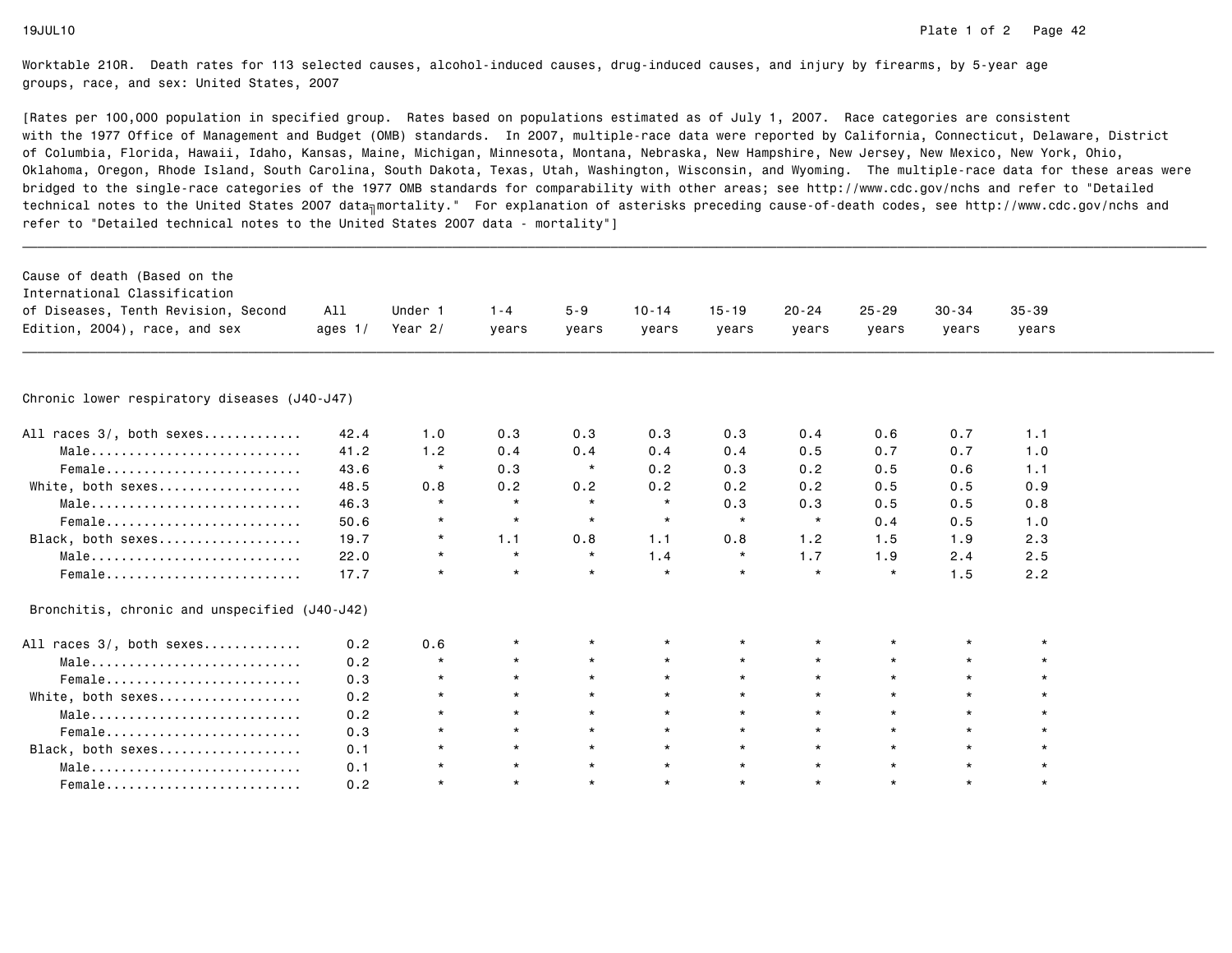| Cause of death (Based on the<br>International Classification<br>of Diseases, Tenth Revision, Second<br>Edition, 2004), race, and sex | All<br>ages $1/$ | Under 1<br>Year $2/$ | $1 - 4$<br>years | $5 - 9$<br>years | $10 - 14$<br>years | $15 - 19$<br>years | $20 - 24$<br>years | $25 - 29$<br>years | $30 - 34$<br>years | $35 - 39$<br>years |  |
|--------------------------------------------------------------------------------------------------------------------------------------|------------------|----------------------|------------------|------------------|--------------------|--------------------|--------------------|--------------------|--------------------|--------------------|--|
| Chronic lower respiratory diseases (J40-J47)                                                                                         |                  |                      |                  |                  |                    |                    |                    |                    |                    |                    |  |
| All races 3/, both sexes                                                                                                             | 42.4             | 1.0                  | 0.3              | 0.3              | 0.3                | 0.3                | 0.4                | 0.6                | 0.7                | 1.1                |  |
| Male                                                                                                                                 | 41.2             | 1.2                  | 0.4              | 0.4              | 0.4                | 0.4                | 0.5                | 0.7                | 0.7                | 1.0                |  |
| Female                                                                                                                               | 43.6             | $\star$              | 0.3              | $\star$          | 0.2                | 0.3                | 0.2                | 0.5                | 0.6                | 1.1                |  |
| White, both sexes                                                                                                                    | 48.5             | 0.8                  | 0.2              | 0.2              | 0.2                | 0.2                | 0.2                | 0.5                | 0.5                | 0.9                |  |
| Male                                                                                                                                 | 46.3             | $\star$              | $\star$          | $\star$          | $\star$            | 0.3                | 0.3                | 0.5                | 0.5                | 0.8                |  |
| Female                                                                                                                               | 50.6             | $\star$              | $\star$          | $\star$          | $\star$            | $\star$            | $\star$            | 0.4                | 0.5                | 1.0                |  |
| Black, both sexes                                                                                                                    | 19.7             | $\star$              | 1.1              | 0.8              | 1.1                | 0.8                | 1.2                | 1.5                | 1.9                | 2.3                |  |
| Male                                                                                                                                 | 22.0             | $\star$              | $\star$          | $\star$          | 1.4                | $\star$            | 1.7                | 1.9                | 2.4                | 2.5                |  |
| Female                                                                                                                               | 17.7             | $\star$              |                  | $\star$          | $\star$            | $\star$            | $\star$            | $\star$            | 1.5                | 2.2                |  |
|                                                                                                                                      |                  |                      |                  |                  |                    |                    |                    |                    |                    |                    |  |
| Bronchitis, chronic and unspecified (J40-J42)                                                                                        |                  |                      |                  |                  |                    |                    |                    |                    |                    |                    |  |
| All races 3/, both sexes                                                                                                             | 0.2              | 0.6                  | $\star$          | $\star$          | $\star$            | $\star$            |                    |                    | $\star$            |                    |  |
| Male                                                                                                                                 | 0.2              | $\star$              | $\star$          | $\star$          | $\star$            | $\star$            | $\star$            | $\star$            | $\star$            |                    |  |
| Female                                                                                                                               | 0.3              | $\star$              | $\star$          | $\star$          | $\star$            | $\star$            | $\star$            | $\star$            | $\star$            |                    |  |
| White, both sexes                                                                                                                    | 0.2              | $\star$              | $\star$          | $\star$          | $\star$            | $\star$            | $\star$            | $\star$            | $\star$            |                    |  |
| Male                                                                                                                                 | 0.2              | $\star$              | $\star$          | $\star$          | $\star$            | $\star$            | $\star$            | $\star$            | $\star$            |                    |  |
| Female                                                                                                                               | 0.3              | $\star$              | $\star$          | $\star$          | $\star$            | $\star$            |                    | $\star$            | $\star$            |                    |  |
| Black, both sexes                                                                                                                    | 0.1              | $\star$              | $\star$          | $\star$          | $\star$            | $\star$            | $\star$            | $\star$            | $\star$            |                    |  |
| Male                                                                                                                                 | 0.1              | $\star$              | $\star$          | $\star$          | $\star$            | $\star$            | $\star$            | $\star$            | $\star$            |                    |  |
| Female                                                                                                                               | 0.2              | $\star$              | $\star$          | $\star$          | $\star$            | $\star$            | $\star$            | $\star$            | $\star$            | $\star$            |  |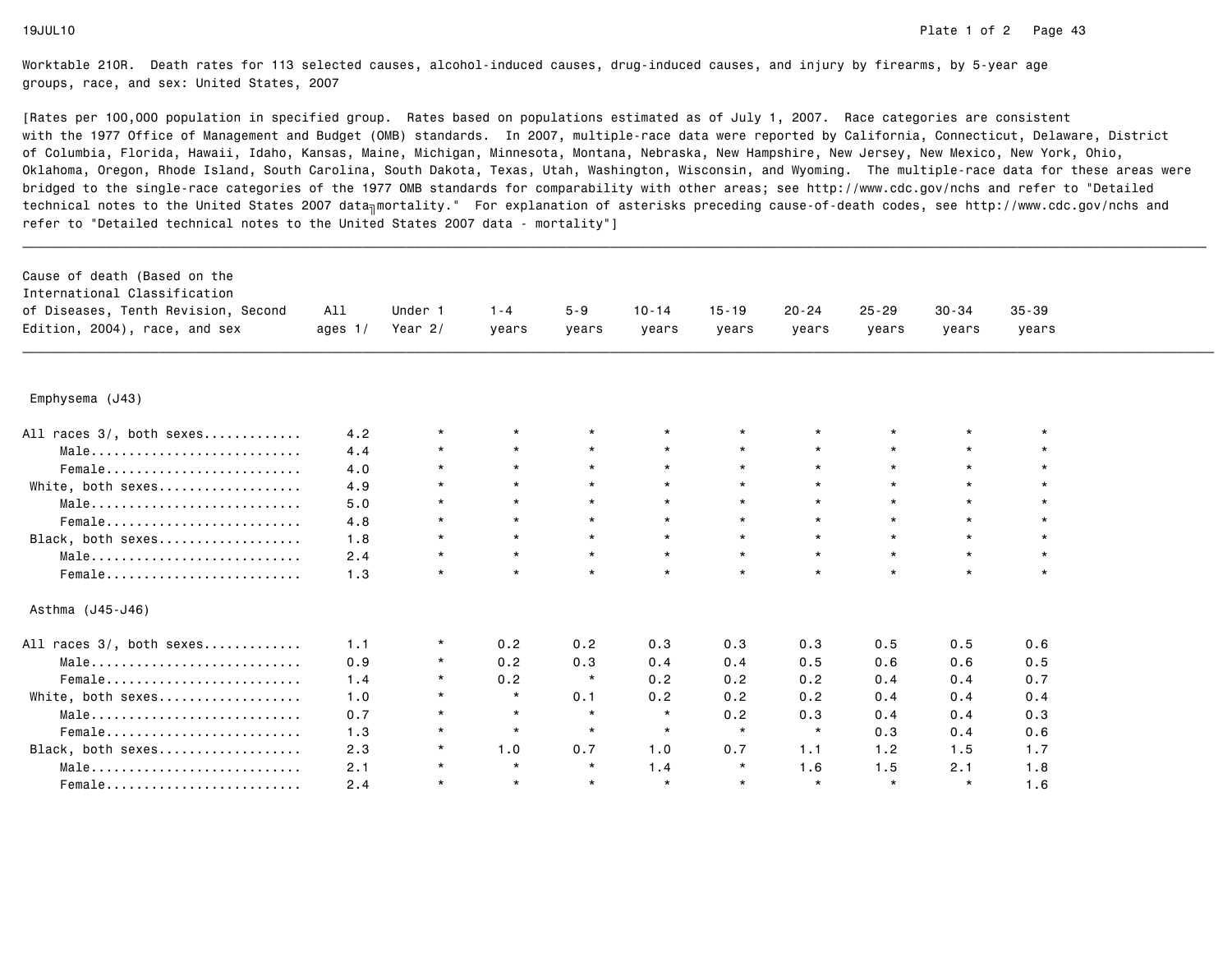| Cause of death (Based on the<br>International Classification<br>of Diseases, Tenth Revision, Second<br>Edition, 2004), race, and sex | All<br>ages $1/$ | Under 1<br>Year $2/$ | $1 - 4$<br>years | $5 - 9$<br>years | $10 - 14$<br>years | $15 - 19$<br>years | $20 - 24$<br>years | $25 - 29$<br>years | $30 - 34$<br>years | $35 - 39$<br>years |  |
|--------------------------------------------------------------------------------------------------------------------------------------|------------------|----------------------|------------------|------------------|--------------------|--------------------|--------------------|--------------------|--------------------|--------------------|--|
|                                                                                                                                      |                  |                      |                  |                  |                    |                    |                    |                    |                    |                    |  |
| Emphysema (J43)                                                                                                                      |                  |                      |                  |                  |                    |                    |                    |                    |                    |                    |  |
| All races 3/, both sexes                                                                                                             | 4.2              | $\star$              |                  |                  |                    |                    |                    |                    |                    |                    |  |
| Male                                                                                                                                 | 4.4              | $\star$              | $\star$          | $\star$          | $\star$            | $\star$            |                    |                    | $\star$            |                    |  |
| Female                                                                                                                               | 4.0              | $\star$              | $\star$          | $\star$          | $\star$            | $\star$            |                    | $\star$            | $\star$            |                    |  |
| White, both sexes                                                                                                                    | 4.9              | $\star$              | $\star$          | $\star$          | $\star$            | $\star$            | $\star$            | $\star$            | $\star$            |                    |  |
| Male                                                                                                                                 | 5.0              | $\star$              | $\star$          | $\star$          | $\star$            | $\star$            |                    | $\star$            | $\star$            |                    |  |
| Female                                                                                                                               | 4.8              | $\star$              | $\star$          | $\star$          | $\star$            | $\star$            |                    | $\star$            | $\star$            |                    |  |
| Black, both sexes                                                                                                                    | 1.8              | $\star$              | $\star$          | $\star$          | $\star$            | $\star$            | $\star$            | $\star$            | $\star$            |                    |  |
| Male                                                                                                                                 | 2.4              | $\star$              | $\star$          | $\star$          | $\star$            | $\star$            | $\star$            | $\star$            | $\star$            |                    |  |
| Female                                                                                                                               | 1.3              | $\star$              | $\star$          | $\star$          | $\star$            | $\star$            | $\star$            | $\star$            | $\star$            | $\star$            |  |
| Asthma (J45-J46)                                                                                                                     |                  |                      |                  |                  |                    |                    |                    |                    |                    |                    |  |
| All races 3/, both sexes                                                                                                             | 1.1              | $^\star$             | 0.2              | 0.2              | 0.3                | 0.3                | 0.3                | 0.5                | 0.5                | 0.6                |  |
| $Male \dots \dots \dots \dots \dots \dots \dots \dots \dots \dots$                                                                   | 0.9              | $\star$              | 0.2              | 0.3              | 0.4                | 0.4                | 0.5                | 0.6                | 0.6                | 0.5                |  |
| Female                                                                                                                               | 1.4              | $\star$              | 0.2              | $\star$          | 0.2                | 0.2                | 0.2                | 0.4                | 0.4                | 0.7                |  |
| White, both sexes                                                                                                                    | 1.0              | $\star$              | $\star$          | 0.1              | 0.2                | 0.2                | 0.2                | 0.4                | 0.4                | 0.4                |  |
| Male                                                                                                                                 | 0.7              | $\star$              | $\star$          | $\star$          | $\star$            | 0.2                | 0.3                | 0.4                | 0.4                | 0.3                |  |
| Female                                                                                                                               | 1.3              | $\star$              | $\star$          | $\star$          | $\star$            | $\star$            | $\star$            | 0.3                | 0.4                | 0.6                |  |
| Black, both sexes                                                                                                                    | 2.3              | $\star$              | 1.0              | 0.7              | 1.0                | 0.7                | 1.1                | 1.2                | 1.5                | 1.7                |  |
| Male                                                                                                                                 | 2.1              | $\star$              | $\star$          | $\star$          | 1.4                | $\star$            | 1.6                | 1.5                | 2.1                | 1.8                |  |
| Female                                                                                                                               | 2.4              | $\star$              | $\star$          | $\star$          | $\star$            | $\star$            | $\star$            | $\star$            | $\star$            | 1.6                |  |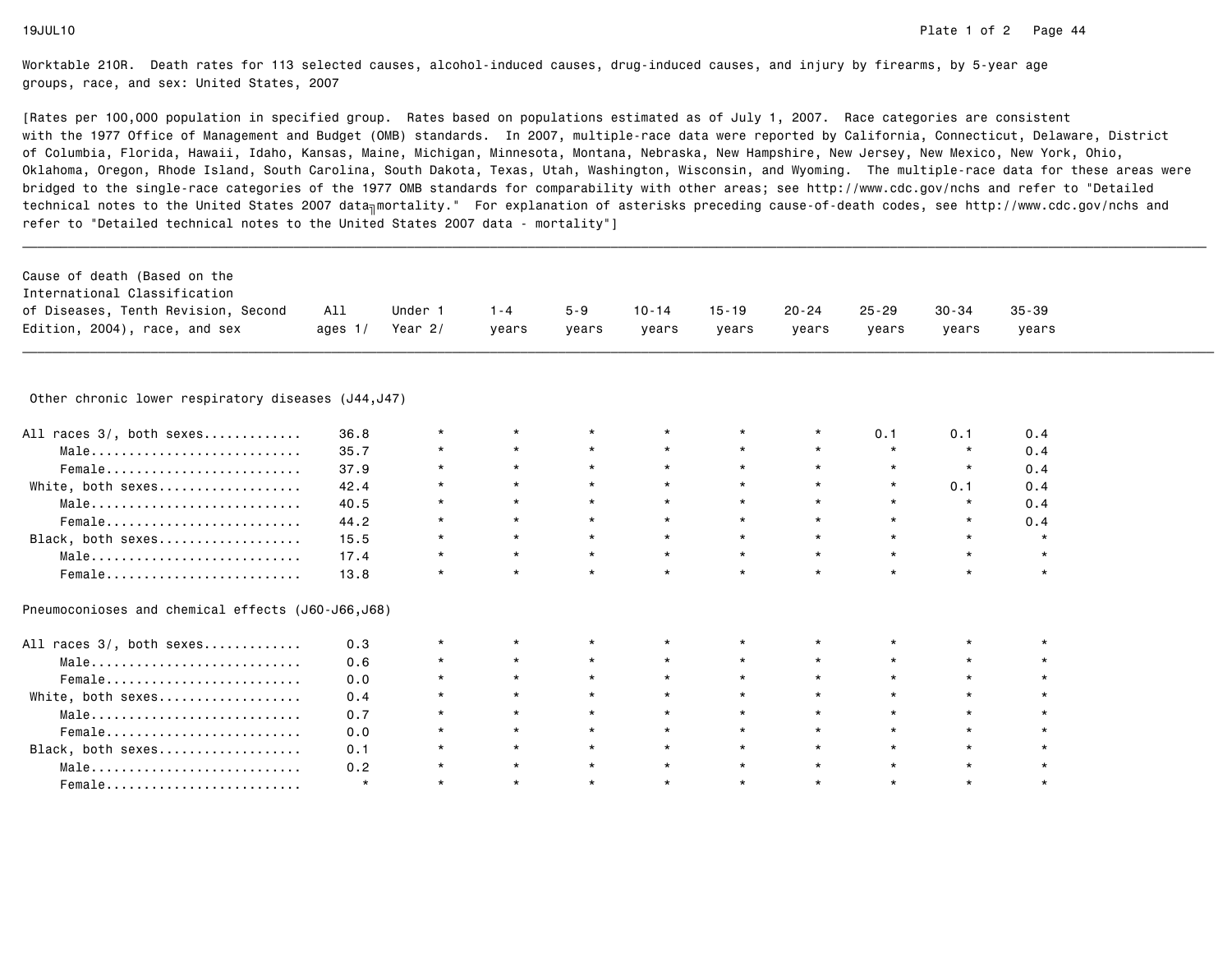| Cause of death (Based on the                        |           |         |         |         |           |           |           |           |         |           |  |
|-----------------------------------------------------|-----------|---------|---------|---------|-----------|-----------|-----------|-----------|---------|-----------|--|
| International Classification                        |           |         |         |         |           |           |           |           |         |           |  |
| of Diseases, Tenth Revision, Second                 | All       | Under 1 | $1 - 4$ | $5 - 9$ | $10 - 14$ | $15 - 19$ | $20 - 24$ | $25 - 29$ | 30-34   | $35 - 39$ |  |
| Edition, 2004), race, and sex                       | ages $1/$ | Year 2/ | years   | years   | years     | years     | years     | years     | years   | years     |  |
|                                                     |           |         |         |         |           |           |           |           |         |           |  |
| Other chronic lower respiratory diseases (J44, J47) |           |         |         |         |           |           |           |           |         |           |  |
| All races 3/, both sexes                            | 36.8      | $\star$ | $\star$ |         | $^\star$  | $\star$   | $^\star$  | 0.1       | 0.1     | 0.4       |  |
| Male                                                | 35.7      | $\star$ | $\star$ | $\star$ | $\star$   | $\star$   | $\star$   | $\star$   | $\star$ | 0.4       |  |
| Female                                              | 37.9      | $\star$ | $\star$ | $\star$ | $\star$   | $\star$   | $\star$   | $\star$   | $\star$ | 0.4       |  |
| White, both sexes                                   | 42.4      | $\star$ | $\star$ | $\star$ | $\star$   | $\star$   | $\star$   | $\star$   | 0.1     | 0.4       |  |
| Male                                                | 40.5      | $\star$ | $\star$ | $\star$ | $\star$   | $\star$   | $\star$   | $\star$   | $\star$ | 0.4       |  |
| Female                                              | 44.2      | $\star$ | $\star$ | $\star$ | $\star$   | $\star$   | $\star$   | $\star$   | $\star$ | 0.4       |  |
| Black, both sexes                                   | 15.5      | $\star$ | $\star$ | $\star$ | $\star$   | $\star$   | $\star$   | $\star$   | $\star$ | $\star$   |  |
| Male                                                | 17.4      | $\star$ | $\star$ | $\star$ | $\star$   | $\star$   | $\star$   | $\star$   | $\star$ | $\star$   |  |
| Female                                              | 13.8      | $\star$ | $\star$ | $\star$ | $\star$   | $\star$   | $\star$   | $\star$   | $\star$ | $\star$   |  |
| Pneumoconioses and chemical effects (J60-J66,J68)   |           |         |         |         |           |           |           |           |         |           |  |
| All races 3/, both sexes                            | 0.3       | $\star$ | $\star$ |         |           | $^\star$  |           |           |         |           |  |
| Male                                                | 0.6       |         | $\star$ |         |           | $\star$   |           |           |         |           |  |
| Female                                              | 0.0       |         | $\star$ |         |           | $\star$   |           |           | $\star$ |           |  |
| White, both sexes                                   | 0.4       |         | $\star$ |         |           | $\star$   |           | $\star$   | $\star$ |           |  |
| Male                                                | 0.7       | $\star$ | $\star$ | $\star$ | $\star$   | $\star$   | $\star$   | $\star$   | $\star$ |           |  |
| Female                                              | 0.0       |         | $\star$ | $\star$ | $\star$   | $\star$   |           | $\star$   | $\star$ |           |  |
| Black, both sexes                                   | 0.1       |         | $\star$ | $\star$ | $\star$   | $\star$   | $\star$   | $\star$   | $\star$ |           |  |
| Male                                                | 0.2       |         | $\star$ | $\star$ | $\star$   | $\star$   | $\star$   | $\star$   | $\star$ |           |  |
| Female                                              | $\star$   | $\star$ | $\star$ | $\star$ | $\star$   | $\star$   | $\star$   | $\star$   | $\star$ | $\star$   |  |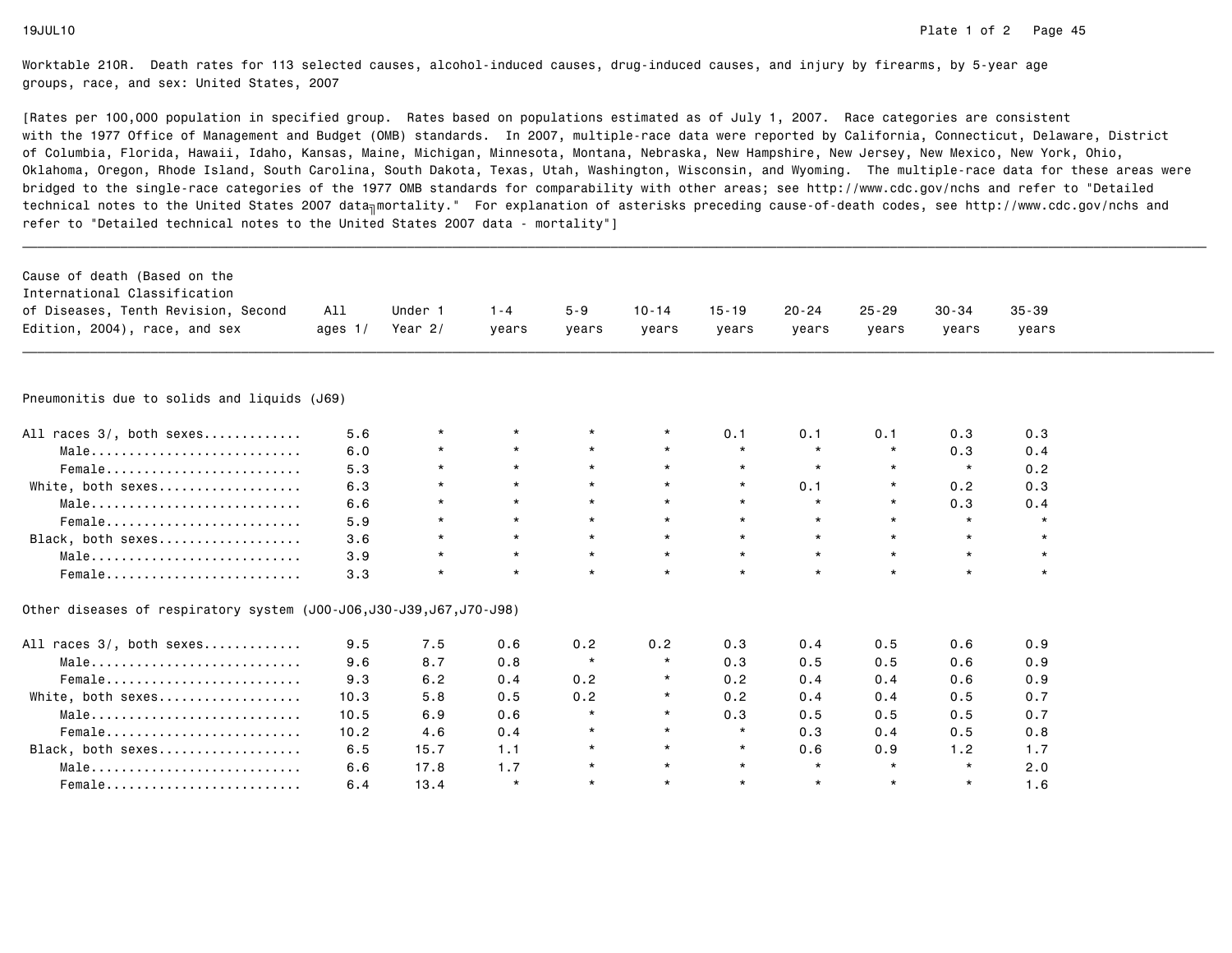| Cause of death (Based on the                                       |           |           |         |          |           |           |           |           |           |           |  |
|--------------------------------------------------------------------|-----------|-----------|---------|----------|-----------|-----------|-----------|-----------|-----------|-----------|--|
| International Classification                                       |           |           |         |          |           |           |           |           |           |           |  |
| of Diseases, Tenth Revision, Second                                | All       | Under 1   | $1 - 4$ | $5 - 9$  | $10 - 14$ | $15 - 19$ | $20 - 24$ | $25 - 29$ | $30 - 34$ | $35 - 39$ |  |
| Edition, 2004), race, and sex                                      | ages $1/$ | Year $2/$ | years   | years    | years     | years     | years     | years     | years     | years     |  |
|                                                                    |           |           |         |          |           |           |           |           |           |           |  |
| Pneumonitis due to solids and liquids (J69)                        |           |           |         |          |           |           |           |           |           |           |  |
| All races 3/, both sexes                                           | 5.6       | $\star$   | $\star$ |          | $\star$   | 0.1       | 0.1       | 0.1       | 0.3       | 0.3       |  |
| Male                                                               | 6.0       | $\star$   | $\star$ | $\star$  | $\star$   | $\star$   | $\star$   | $\star$   | 0.3       | 0.4       |  |
| Female                                                             | 5.3       | $\star$   | $\star$ | $\star$  | $\star$   | $\star$   | $\star$   | $\star$   | $\star$   | 0.2       |  |
| White, both sexes                                                  | 6.3       | $\star$   | $\star$ | $\star$  | $\star$   | $\star$   | 0.1       | $\star$   | 0.2       | 0.3       |  |
| Male                                                               | 6.6       | $\star$   | $\star$ | $\star$  | $\star$   | $\star$   |           | $\star$   | 0.3       | 0.4       |  |
| Female                                                             | 5.9       | $\star$   | $\star$ | $\star$  | $\star$   | $\star$   | $\star$   | $\star$   | $\star$   | $\star$   |  |
| Black, both sexes                                                  | 3.6       | $^\star$  | $\star$ | $\star$  | $\star$   | $\star$   | $\star$   | $\star$   | $\star$   | $\star$   |  |
| Male                                                               | 3.9       | $\star$   | $\star$ | $\star$  | $\star$   | $\star$   | $\star$   | $\star$   | $\star$   | $\star$   |  |
| Female                                                             | 3.3       | $\star$   | $\star$ | $\star$  | $\star$   | $\star$   | $\star$   | $\star$   | $\star$   | $\star$   |  |
| Other diseases of respiratory system (J00-J06,J30-J39,J67,J70-J98) |           |           |         |          |           |           |           |           |           |           |  |
| All races 3/, both sexes                                           | 9.5       | 7.5       | 0.6     | 0.2      | 0.2       | 0.3       | 0.4       | 0.5       | 0.6       | 0.9       |  |
| Male                                                               | 9.6       | 8.7       | 0.8     | $\star$  | $\star$   | 0.3       | 0.5       | 0.5       | 0.6       | 0.9       |  |
| Female                                                             | 9.3       | 6.2       | 0.4     | 0.2      | $\star$   | 0.2       | 0.4       | 0.4       | 0.6       | 0.9       |  |
| White, both sexes                                                  | 10.3      | 5.8       | 0.5     | 0.2      | $\star$   | 0.2       | 0.4       | 0.4       | 0.5       | 0.7       |  |
| Male                                                               | 10.5      | 6.9       | 0.6     | $\star$  | $\star$   | 0.3       | 0.5       | 0.5       | 0.5       | 0.7       |  |
| Female                                                             | 10.2      | 4.6       | 0.4     |          | $\star$   |           | 0.3       | 0.4       | 0.5       | 0.8       |  |
| Black, both sexes                                                  | 6.5       | 15.7      | 1.1     | $\star$  | $\star$   | $\star$   | 0.6       | 0.9       | 1.2       | 1.7       |  |
| $Male \dots \dots \dots \dots \dots \dots \dots \dots \dots \dots$ | 6.6       | 17.8      | 1.7     | $^\star$ | $\star$   | $\star$   | $\star$   | $\star$   | $\star$   | 2.0       |  |
| Female                                                             | 6.4       | 13.4      | $\star$ | $\star$  | $\star$   | $\star$   | $\star$   | $\star$   | $\star$   | 1.6       |  |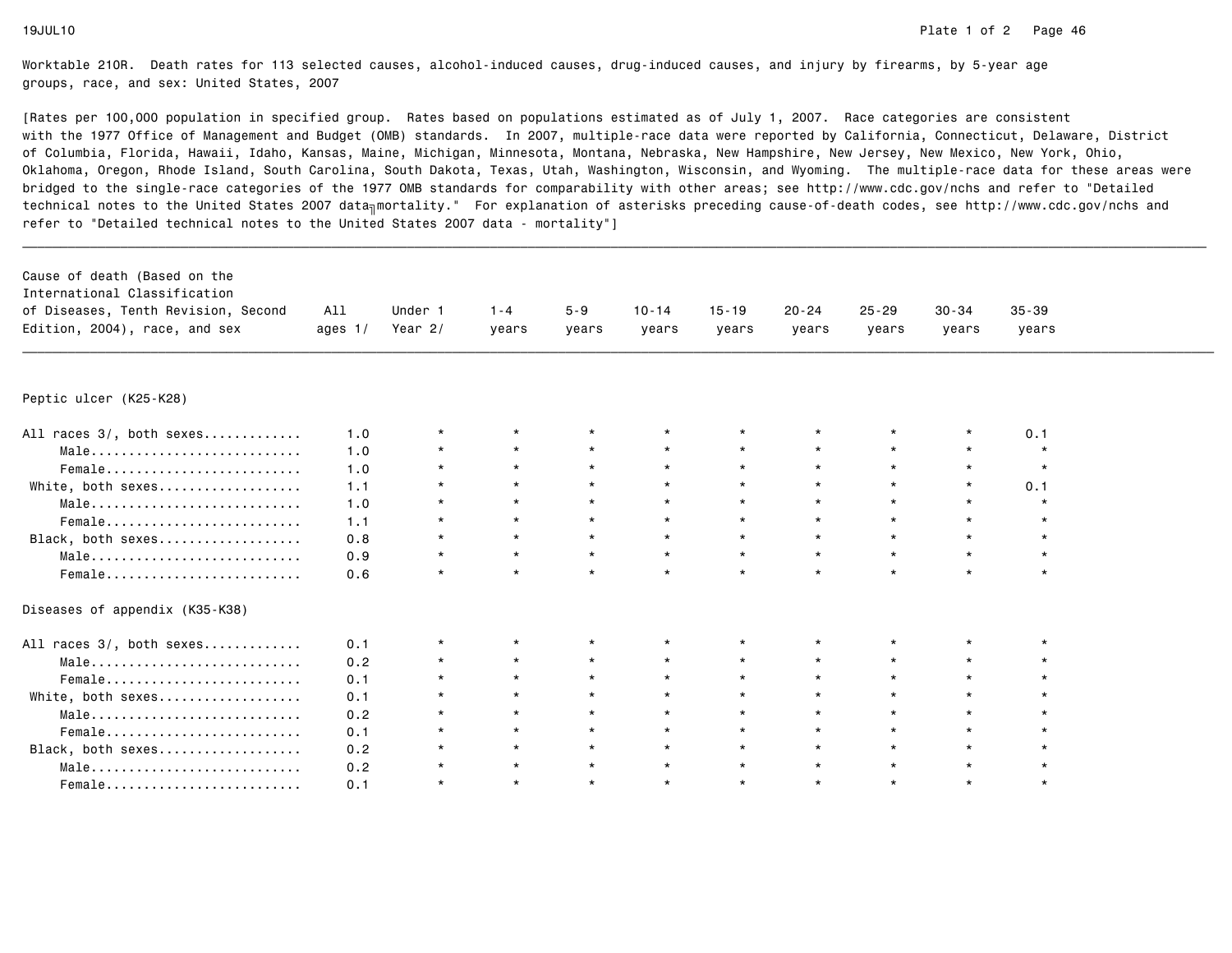| Cause of death (Based on the<br>International Classification |           |           |         |         |           |           |           |           |           |           |  |
|--------------------------------------------------------------|-----------|-----------|---------|---------|-----------|-----------|-----------|-----------|-----------|-----------|--|
| of Diseases, Tenth Revision, Second                          | All       | Under 1   | $1 - 4$ | $5 - 9$ | $10 - 14$ | $15 - 19$ | $20 - 24$ | $25 - 29$ | $30 - 34$ | $35 - 39$ |  |
| Edition, 2004), race, and sex                                | ages $1/$ | Year $2/$ | vears   | years   | years     | years     | years     | years     | years     | years     |  |
|                                                              |           |           |         |         |           |           |           |           |           |           |  |
| Peptic ulcer (K25-K28)                                       |           |           |         |         |           |           |           |           |           |           |  |
| All races 3/, both sexes                                     | 1.0       | $\star$   |         |         |           |           |           |           |           | 0.1       |  |
| Male                                                         | 1.0       | $\star$   | $\star$ | $\star$ | $\star$   | $\star$   | $\star$   | $\star$   | $\star$   | $\star$   |  |
| Female                                                       | 1.0       | $\star$   | $\star$ | $\star$ | $\star$   | $\star$   | $\star$   | $\star$   | $\star$   | $\star$   |  |
| White, both sexes                                            | 1.1       | $\star$   | $\star$ | $\star$ | $\star$   | $\star$   |           | $\star$   | $\star$   | 0.1       |  |
| Male                                                         | 1.0       | $\star$   | $\star$ | $\star$ | $\star$   | $\star$   |           | $\star$   | $\star$   |           |  |
| Female                                                       | 1.1       | $\star$   | $\star$ | $\star$ | $\star$   | $\star$   |           | $\star$   | $\star$   |           |  |
| Black, both sexes                                            | 0.8       | $\star$   | $\star$ | $\star$ | $\star$   | $\star$   | $\star$   | $\star$   | $\star$   |           |  |
| Male                                                         | 0.9       | $\star$   | $\star$ | $\star$ | $\star$   | $\star$   | $\star$   | $\star$   | $\star$   |           |  |
| Female                                                       | 0.6       | $\star$   | $\star$ | $\star$ | $\star$   | $\star$   | $\star$   | $\star$   | $\star$   | $\star$   |  |
| Diseases of appendix (K35-K38)                               |           |           |         |         |           |           |           |           |           |           |  |
| All races 3/, both sexes                                     | 0.1       | $\star$   |         |         | $\star$   |           |           |           |           |           |  |
| Male                                                         | 0.2       | $\star$   | $\star$ | $\star$ | $\star$   | $\star$   |           |           | $\star$   |           |  |
| Female                                                       | 0.1       | $\star$   | $\star$ | $\star$ | $\star$   | $\star$   | $\star$   | $\star$   | $\star$   |           |  |
| White, both sexes                                            | 0.1       | $\star$   | $\star$ | $\star$ | $\star$   | $\star$   |           | $\star$   | $\star$   |           |  |
| Male                                                         | 0.2       | $\star$   | $\star$ | $\star$ | $\star$   | $\star$   | $\star$   | $\star$   | $\star$   |           |  |
| Female                                                       | 0.1       | $\star$   | $\star$ | $\star$ | $\star$   | $\star$   | $\star$   | $\star$   | $\star$   |           |  |
| Black, both sexes                                            | 0.2       | $\star$   | $\star$ | $\star$ | $\star$   | $\star$   | $\star$   | $\star$   | $\star$   |           |  |
| Male                                                         | 0.2       | $\star$   | $\star$ | $\star$ | $\star$   | $\star$   | $\star$   | $\star$   | $\star$   |           |  |
| Female                                                       | 0.1       | $\star$   | $\star$ | $\star$ | $\star$   | $\star$   | $\star$   | $\star$   | $\star$   | $\star$   |  |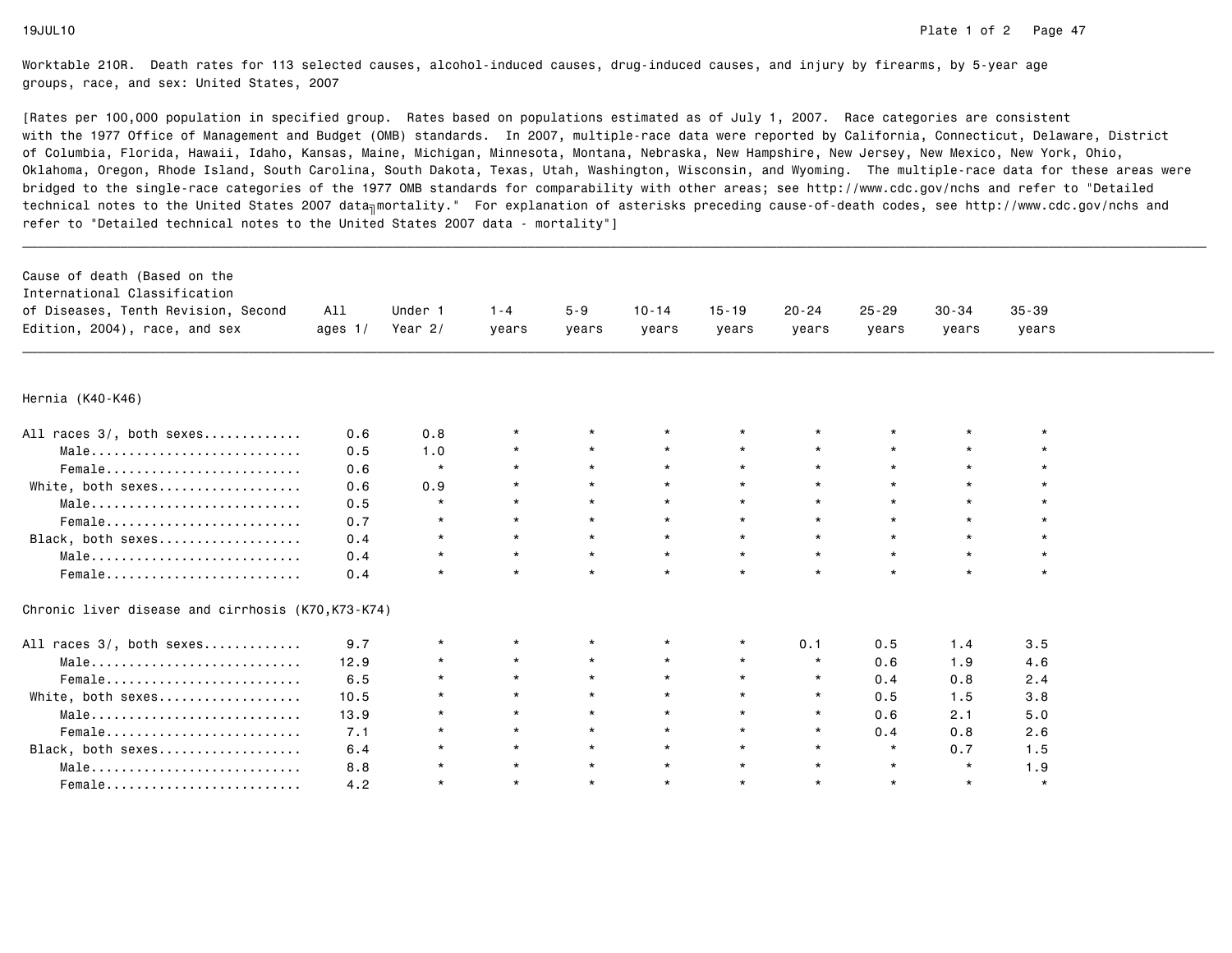| Cause of death (Based on the<br>International Classification<br>of Diseases, Tenth Revision, Second<br>Edition, 2004), race, and sex | All<br>ages $1/$ | Under 1<br>Year $2/$ | $1 - 4$<br>years | $5 - 9$<br>years | $10 - 14$<br>years | $15 - 19$<br>years | $20 - 24$<br>years | $25 - 29$<br>years | $30 - 34$<br>years | $35 - 39$<br>years |  |
|--------------------------------------------------------------------------------------------------------------------------------------|------------------|----------------------|------------------|------------------|--------------------|--------------------|--------------------|--------------------|--------------------|--------------------|--|
|                                                                                                                                      |                  |                      |                  |                  |                    |                    |                    |                    |                    |                    |  |
| Hernia (K40-K46)                                                                                                                     |                  |                      |                  |                  |                    |                    |                    |                    |                    |                    |  |
| All races 3/, both sexes                                                                                                             | 0.6              | 0.8                  | $\star$          |                  | $\star$            |                    |                    |                    |                    |                    |  |
| Male                                                                                                                                 | 0.5              | 1.0                  | $\star$          | $\star$          | $\star$            | $\star$            |                    | $\star$            | $\star$            |                    |  |
| Female                                                                                                                               | 0.6              | $\star$              | $\star$          | $\star$          | $\star$            | $\star$            |                    | $\star$            | $\star$            |                    |  |
| White, both sexes                                                                                                                    | 0.6              | 0.9                  | $\star$          |                  | $\star$            | $\star$            |                    | $\star$            | $\star$            |                    |  |
| Male                                                                                                                                 | 0.5              | $\star$              | $\star$          | $\star$          |                    | $\star$            |                    | $\star$            | $\star$            |                    |  |
| Female                                                                                                                               | 0.7              | $\star$              | $\star$          |                  | $\star$            | $\star$            |                    | $\star$            | $\star$            |                    |  |
| Black, both sexes                                                                                                                    | 0.4              | $\star$              | $\star$          | $\star$          | $\star$            | $\star$            |                    | $\star$            | $\star$            |                    |  |
| Male                                                                                                                                 | 0.4              | $\star$              | $\star$          | $\star$          | $\star$            | $\star$            |                    | $\star$            | $\star$            |                    |  |
| Female                                                                                                                               | 0.4              | $\star$              | $\star$          | $\star$          | $\star$            | $\star$            |                    | $\star$            | $\star$            | $\star$            |  |
| Chronic liver disease and cirrhosis (K70, K73-K74)                                                                                   |                  |                      |                  |                  |                    |                    |                    |                    |                    |                    |  |
| All races 3/, both sexes                                                                                                             | 9.7              | $\star$              | $\star$          |                  | $\star$            | $\star$            | 0.1                | 0.5                | 1.4                | 3.5                |  |
| Male                                                                                                                                 | 12.9             | $\star$              | $\star$          | $\star$          | $\star$            | $\star$            | $\star$            | 0.6                | 1.9                | 4.6                |  |
| Female                                                                                                                               | 6.5              | $\star$              | $\star$          | $\star$          | $\star$            | $\star$            | $\star$            | 0.4                | 0.8                | 2.4                |  |
| White, both sexes                                                                                                                    | 10.5             | $\star$              | $\star$          | $\star$          | $\star$            | $\star$            | $\star$            | 0.5                | 1.5                | 3.8                |  |
| Male                                                                                                                                 | 13.9             | $\star$              | $\star$          | $\star$          | $\star$            | $\star$            | $^\star$           | 0.6                | 2.1                | 5.0                |  |
| $Female$                                                                                                                             | 7.1              | $\star$              | $\star$          | $\star$          | $\star$            | $\star$            | $\star$            | 0.4                | 0.8                | 2.6                |  |
| Black, both sexes                                                                                                                    | 6.4              | $\star$              | $\star$          | $\star$          | $\star$            | $\star$            | $\star$            | $\star$            | 0.7                | 1.5                |  |
| Male                                                                                                                                 | 8.8              | $\star$              | $\star$          | $\star$          | $\star$            | $\star$            | $\star$            | $\star$            | $\star$            | 1.9                |  |
| Female                                                                                                                               | 4.2              | $\star$              | $\star$          | $\star$          | $\star$            | $\star$            | $\star$            | $\star$            | $\star$            | $\star$            |  |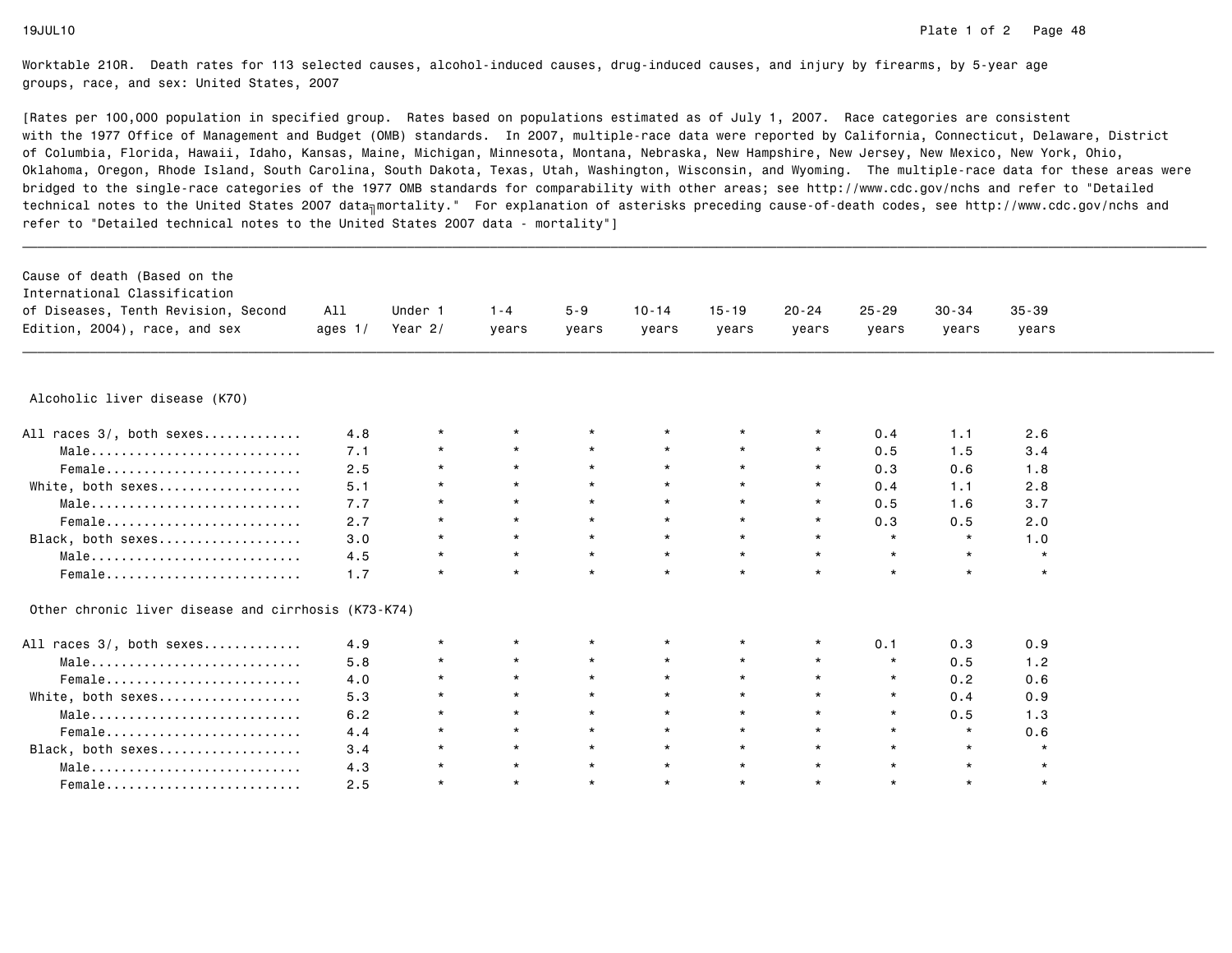| Cause of death (Based on the<br>International Classification<br>of Diseases, Tenth Revision, Second | All       | Under 1   | $1 - 4$ | $5 - 9$  | $10 - 14$ | $15 - 19$ | $20 - 24$ | $25 - 29$ | $30 - 34$ | $35 - 39$ |  |
|-----------------------------------------------------------------------------------------------------|-----------|-----------|---------|----------|-----------|-----------|-----------|-----------|-----------|-----------|--|
| Edition, 2004), race, and sex                                                                       | ages $1/$ | Year $2/$ | years   | years    | years     | years     | years     | years     | years     | years     |  |
|                                                                                                     |           |           |         |          |           |           |           |           |           |           |  |
| Alcoholic liver disease (K70)                                                                       |           |           |         |          |           |           |           |           |           |           |  |
| All races 3/, both sexes                                                                            | 4.8       | $\star$   |         |          |           |           |           | 0.4       | 1.1       | 2.6       |  |
| Male                                                                                                | 7.1       | $\star$   | $\star$ | $\star$  | $\star$   | $\star$   | $\star$   | 0.5       | 1.5       | 3.4       |  |
| Female                                                                                              | 2.5       | $\star$   | $\star$ | $\star$  | $\star$   | $\star$   | $\star$   | 0.3       | 0.6       | 1.8       |  |
| White, both sexes                                                                                   | 5.1       | $\star$   | $\star$ | $\star$  | $\star$   | $\star$   |           | 0.4       | 1.1       | 2.8       |  |
| Male                                                                                                | 7.7       | $\star$   | $\star$ | $\star$  | $\star$   | $\star$   | $^\star$  | 0.5       | 1.6       | 3.7       |  |
| Female                                                                                              | 2.7       | $\star$   | $\star$ | $\star$  | $\star$   | $\star$   |           | 0.3       | 0.5       | 2.0       |  |
| Black, both sexes                                                                                   | 3.0       | $\star$   | $\star$ | $\star$  | $\star$   | $\star$   | $\star$   | $\star$   | $\star$   | 1.0       |  |
| Male                                                                                                | 4.5       | $\star$   | $\star$ | $\star$  | $\star$   | $\star$   | $\star$   | $\star$   | $\star$   | $\star$   |  |
| Female                                                                                              | 1.7       | $\star$   | $\star$ | $\star$  | $\star$   | $\star$   | $\star$   | $\star$   | $\star$   | $\star$   |  |
| Other chronic liver disease and cirrhosis (K73-K74)                                                 |           |           |         |          |           |           |           |           |           |           |  |
| All races 3/, both sexes                                                                            | 4.9       | $\star$   | $\star$ | $^\star$ | $^\star$  | $\star$   | $^\star$  | 0.1       | 0.3       | 0.9       |  |
| Male                                                                                                | 5.8       | *         | $\star$ | $\star$  |           | $\star$   | $\star$   | $\star$   | 0.5       | 1.2       |  |
| Female                                                                                              | 4.0       | $\star$   | $\star$ | $\star$  | $\star$   | $\star$   |           | $\star$   | 0.2       | 0.6       |  |
| White, both sexes                                                                                   | 5.3       | $\star$   | $\star$ | $\star$  | $\star$   | $\star$   |           | $\star$   | 0.4       | 0.9       |  |
| Male                                                                                                | 6.2       | $\star$   | $\star$ | $\star$  | $\star$   | $\star$   | $\star$   | $\star$   | 0.5       | 1.3       |  |
| Female                                                                                              | 4.4       | $\star$   | $\star$ | $\star$  | $\star$   | $\star$   | $\star$   | $\star$   | $\star$   | 0.6       |  |
| Black, both sexes                                                                                   | 3.4       | $\star$   | $\star$ | $\star$  | $\star$   | $\star$   | $\star$   | $\star$   | $\star$   | $\star$   |  |
| Male                                                                                                | 4.3       | $\star$   | $\star$ | $\star$  | $\star$   | $\star$   | $\star$   | $\star$   | $\star$   | $\star$   |  |
| Female                                                                                              | 2.5       | $\star$   | $\star$ | $\star$  | $\star$   | $\star$   | $\star$   | $\star$   | $\star$   | $\star$   |  |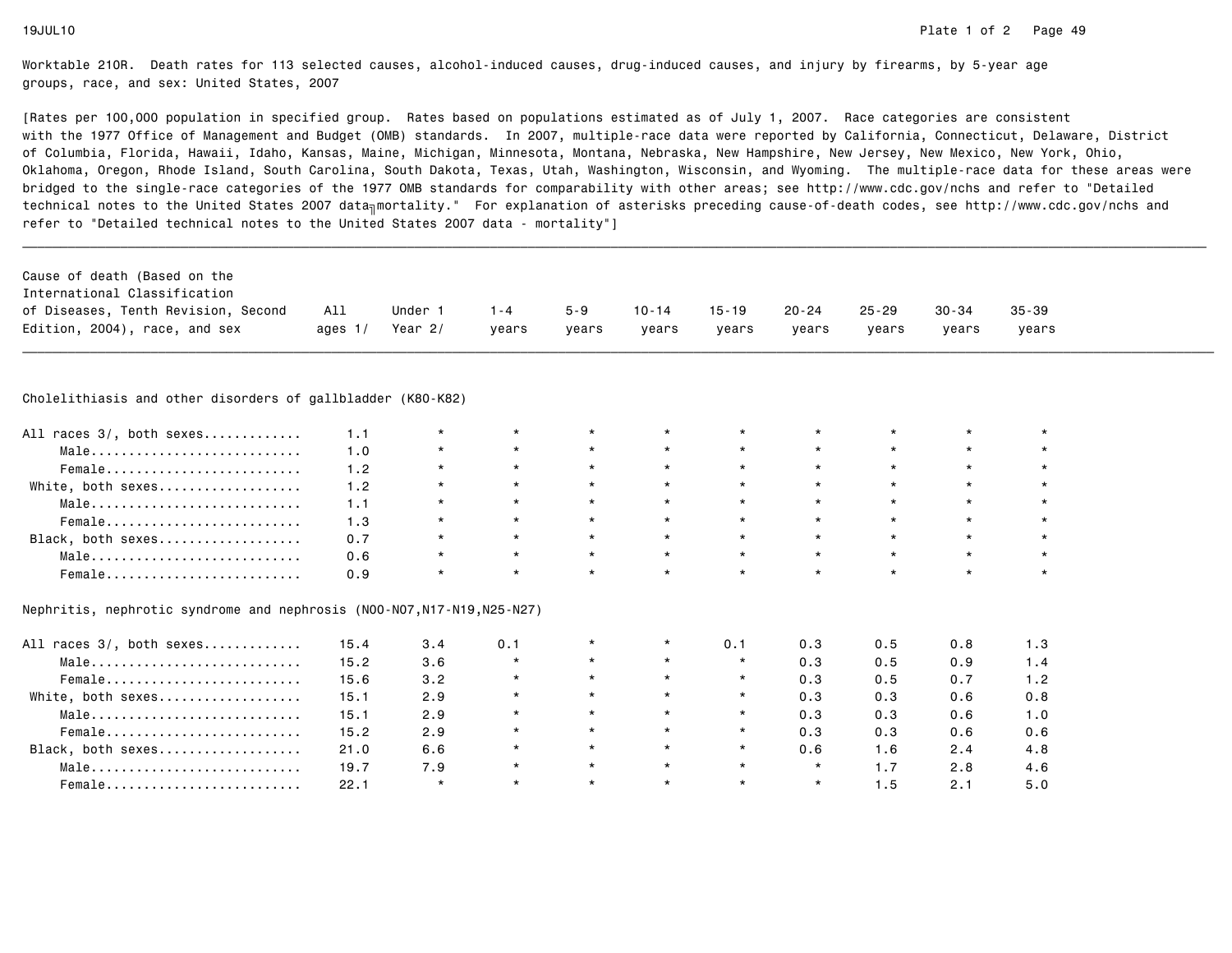[Rates per 100,000 population in specified group. Rates based on populations estimated as of July 1, 2007. Race categories are consistent with the 1977 Office of Management and Budget (OMB) standards. In 2007, multiple-race data were reported by California, Connecticut, Delaware, Districtof Columbia, Florida, Hawaii, Idaho, Kansas, Maine, Michigan, Minnesota, Montana, Nebraska, New Hampshire, New Jersey, New Mexico, New York, Ohio, Oklahoma, Oregon, Rhode Island, South Carolina, South Dakota, Texas, Utah, Washington, Wisconsin, and Wyoming. The multiple-race data for these areas werebridged to the single-race categories of the 1977 OMB standards for comparability with other areas; see http://www.cdc.gov/nchs and refer to "Detailedtechnical notes to the United States 2007 data<sub>∏</sub>mortality." For explanation of asterisks preceding cause-of-death codes, see http://www.cdc.gov/nchs and refer to "Detailed technical notes to the United States 2007 data - mortality"]

| Cause of death (Based on the        |           |           |         |         |           |           |       |       |           |           |
|-------------------------------------|-----------|-----------|---------|---------|-----------|-----------|-------|-------|-----------|-----------|
| International Classification        |           |           |         |         |           |           |       |       |           |           |
| of Diseases, Tenth Revision, Second | All       | Under     | $1 - 4$ | $5 - 9$ | $10 - 14$ | $15 - 19$ | 20-24 | 25-29 | $30 - 34$ | $35 - 39$ |
| Edition, 2004), race, and sex       | ages $1/$ | Year $2/$ | vears   | vears   | years     | years     | vears | vears | vears     | vears     |
|                                     |           |           |         |         |           |           |       |       |           |           |

\_\_\_\_\_\_\_\_\_\_\_\_\_\_\_\_\_\_\_\_\_\_\_\_\_\_\_\_\_\_\_\_\_\_\_\_\_\_\_\_\_\_\_\_\_\_\_\_\_\_\_\_\_\_\_\_\_\_\_\_\_\_\_\_\_\_\_\_\_\_\_\_\_\_\_\_\_\_\_\_\_\_\_\_\_\_\_\_\_\_\_\_\_\_\_\_\_\_\_\_\_\_\_\_\_\_\_\_\_\_\_\_\_\_\_\_\_\_\_\_\_\_\_\_\_\_\_\_\_\_\_\_\_\_\_\_\_\_\_\_\_\_\_\_\_\_\_\_\_\_\_\_\_\_\_\_\_\_

# Cholelithiasis and other disorders of gallbladder (K80-K82)

| All races 3/, both sexes |     |  |         | $\star$ |         | $\star$ |         |         |  |
|--------------------------|-----|--|---------|---------|---------|---------|---------|---------|--|
| Male                     | 1.0 |  | $\star$ | $\star$ | $\star$ | $\star$ | $\star$ | $\star$ |  |
| Female                   |     |  | $\star$ | $\star$ | $\star$ | $\star$ | $\star$ | $\star$ |  |
| White, both sexes        | 1.2 |  | $\star$ | $\star$ | $\star$ | $\star$ | $\star$ | $\star$ |  |
| Male                     |     |  | $\star$ | $\star$ | $\star$ | $\star$ | $\star$ | $\star$ |  |
| Female                   | 1.3 |  | $\star$ | $\star$ | $\star$ | $\star$ | $\star$ | $\star$ |  |
| Black, both sexes        | 0.7 |  | $\star$ | $\star$ | $\star$ | $\star$ | $\star$ | $\star$ |  |
| Male                     | 0.6 |  | $\star$ | $\star$ | $\star$ | $\star$ | $\star$ | $\star$ |  |
| Female                   | 0.9 |  |         | $\star$ |         | $\star$ |         | $\star$ |  |

### Nephritis, nephrotic syndrome and nephrosis (N00-N07,N17-N19,N25-N27)

| All races 3/, both sexes | 15.4 | 3.4     | 0.1     | $\star$ | $\star$ | 0.1     | 0.3     | 0.5 | 0.8 | 1.3 |
|--------------------------|------|---------|---------|---------|---------|---------|---------|-----|-----|-----|
| Male                     | 15.2 | 3.6     | $\star$ | $\star$ | $\star$ |         | 0.3     | 0.5 | 0.9 | 1.4 |
| Female                   | 15.6 | 3.2     | $\star$ | $\star$ | $\star$ |         | 0.3     | 0.5 | 0.7 | 1.2 |
| White, both sexes        | 15.1 | 2.9     |         | $\star$ | $\star$ |         | 0.3     | 0.3 | 0.6 | 0.8 |
| Male                     | 15.1 | 2.9     |         | $\star$ | $\star$ | $\star$ | 0.3     | 0.3 | 0.6 | 1.0 |
| Female                   | 15.2 | 2.9     | $\star$ | $\star$ | $\star$ |         | 0.3     | 0.3 | 0.6 | 0.6 |
| Black, both sexes        | 21.0 | 6.6     | $\star$ | $\star$ | $\star$ |         | 0.6     | 1.6 | 2.4 | 4.8 |
| Male                     | 19.7 | 7.9     | $\star$ | $\star$ | $\star$ | $\star$ | $\star$ |     | 2.8 | 4.6 |
| $Female$                 | 22.1 | $\star$ | $\star$ | $\star$ | $\star$ | $\star$ | $\star$ | 1.5 | 2.1 | 5.0 |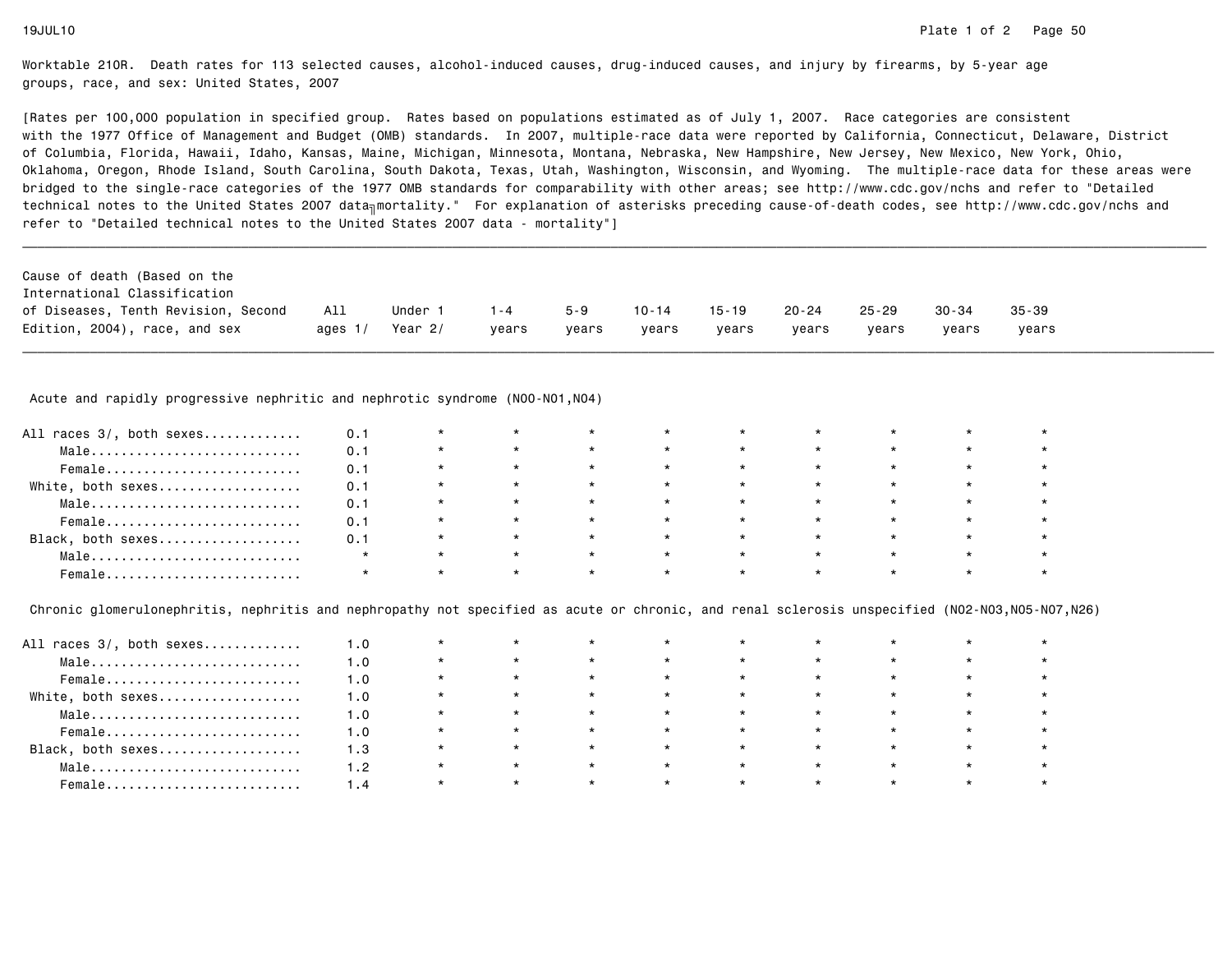[Rates per 100,000 population in specified group. Rates based on populations estimated as of July 1, 2007. Race categories are consistent with the 1977 Office of Management and Budget (OMB) standards. In 2007, multiple-race data were reported by California, Connecticut, Delaware, Districtof Columbia, Florida, Hawaii, Idaho, Kansas, Maine, Michigan, Minnesota, Montana, Nebraska, New Hampshire, New Jersey, New Mexico, New York, Ohio, Oklahoma, Oregon, Rhode Island, South Carolina, South Dakota, Texas, Utah, Washington, Wisconsin, and Wyoming. The multiple-race data for these areas werebridged to the single-race categories of the 1977 OMB standards for comparability with other areas; see http://www.cdc.gov/nchs and refer to "Detailedtechnical notes to the United States 2007 data<sub>∏</sub>mortality." For explanation of asterisks preceding cause-of-death codes, see http://www.cdc.gov/nchs and refer to "Detailed technical notes to the United States 2007 data - mortality"]

| Cause of death (Based on the        |           |         |         |         |           |           |       |           |       |           |
|-------------------------------------|-----------|---------|---------|---------|-----------|-----------|-------|-----------|-------|-----------|
| International Classification        |           |         |         |         |           |           |       |           |       |           |
| of Diseases, Tenth Revision, Second | All       | Under 1 | $1 - 4$ | $5 - 9$ | $10 - 14$ | $15 - 19$ | 20-24 | $25 - 29$ | 30-34 | $35 - 39$ |
| Edition, 2004), race, and sex       | ages $1/$ | Year 2/ | vears   | vears   | vears     | vears     | vears | vears     | vears | vears     |

Acute and rapidly progressive nephritic and nephrotic syndrome (N00-N01, N04)

| All races 3/, both sexes | 0.1     | $\star$ | $\star$ | $\star$ | $\star$ |         | $\star$ |         |  |
|--------------------------|---------|---------|---------|---------|---------|---------|---------|---------|--|
| Male                     | 0.1     | $\star$ | $\star$ | $\star$ | $\star$ | $\star$ | $\star$ |         |  |
| Female                   | 0.1     | $\star$ | $\star$ | $\star$ | $\star$ | $\star$ | $\star$ | $\star$ |  |
| White, both sexes        | 0.1     | $\star$ | $\star$ | $\star$ | $\star$ | $\star$ | $\star$ |         |  |
| Male                     | 0.1     | $\star$ | $\star$ | $\star$ | $\star$ | $\star$ | $\star$ |         |  |
| Female                   | 0.1     | $\star$ | $\star$ | $\star$ | $\star$ | $\star$ | $\star$ | $\star$ |  |
| Black, both sexes        | 0.1     | $\star$ | $\star$ | $\star$ | $\star$ | $\star$ | $\star$ | $\star$ |  |
| Male                     |         | $\star$ | $\star$ | $\star$ |         | $\star$ | $\star$ |         |  |
| Female                   | $\star$ | $\star$ | $\star$ | $\star$ |         | $\star$ | $\star$ |         |  |

Chronic glomerulonephritis, nephritis and nephropathy not specified as acute or chronic, and renal sclerosis unspecified (N02-N03,N05-N07,N26)

| All races 3/, both sexes | 1.0   |         |         |         | $\star$ | $\star$ | $\star$ |         |         |  |
|--------------------------|-------|---------|---------|---------|---------|---------|---------|---------|---------|--|
| Male                     | 1.0   |         |         | $\star$ | $\star$ | $\star$ | $\star$ | $\star$ | $\star$ |  |
| Female                   | 1.0   |         |         | $\star$ | $\star$ |         | $\star$ | $\star$ | $\star$ |  |
| White, both sexes        | 1.0   |         |         | $\star$ | $\star$ | $\star$ | $\star$ | $\star$ | $\star$ |  |
| Male                     | 1.0   | $\star$ |         | $\star$ | $\star$ | $\star$ | $\star$ | $\star$ | $\star$ |  |
| Female                   | 1.0   | $\star$ |         | $\star$ | $\star$ | $\star$ | $\star$ | $\star$ | $\star$ |  |
| Black, both sexes        | 1.3   | $\star$ |         | $\star$ | $\star$ | $\star$ | $\star$ | $\star$ | $\star$ |  |
| Male                     | 1.2   |         | $\star$ | $\star$ | $\star$ | $\star$ | $\star$ | $\star$ | $\star$ |  |
| Female                   | 4 . ، |         |         | $\star$ | $\star$ | $\star$ | $\star$ |         | $\star$ |  |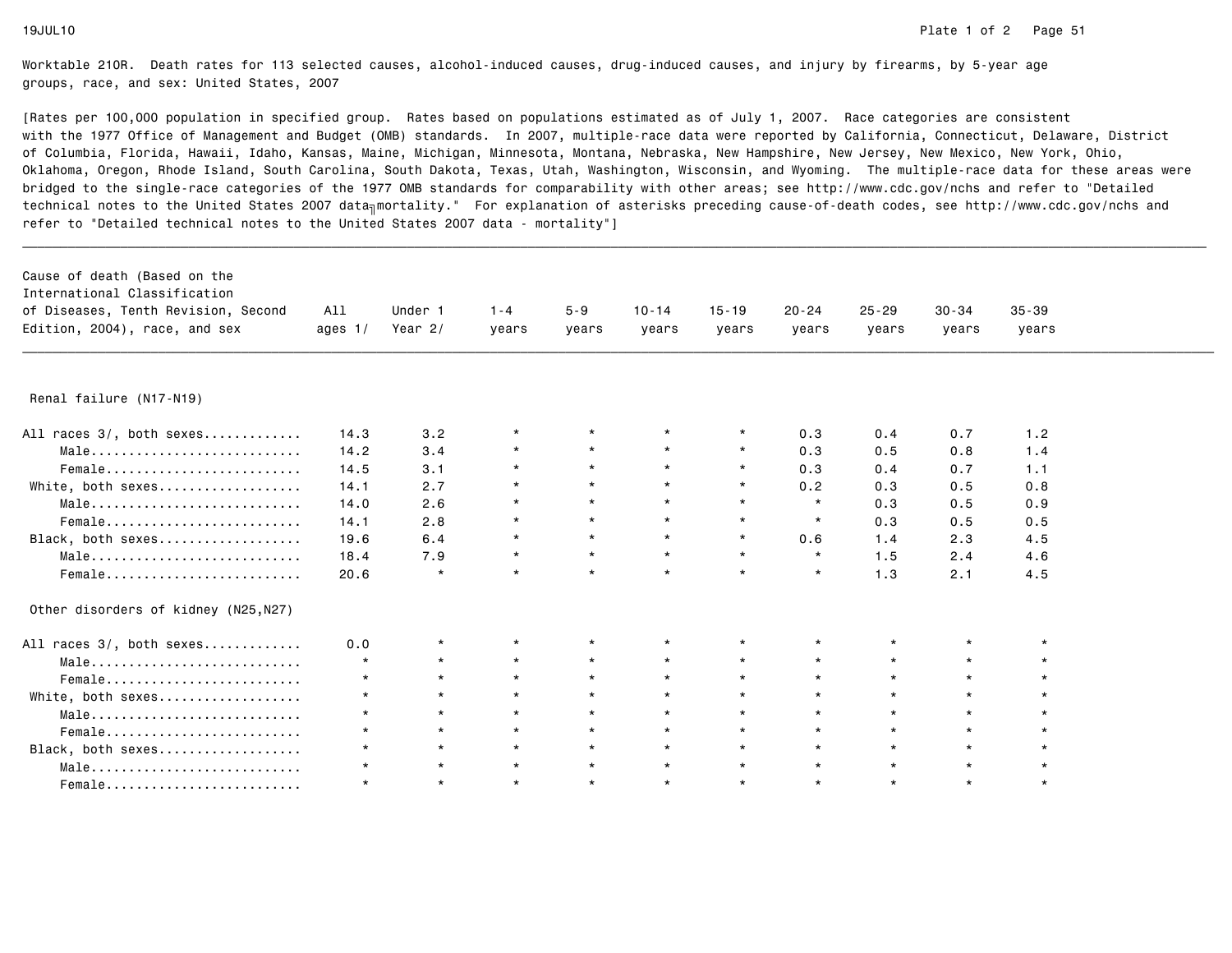| Cause of death (Based on the<br>International Classification<br>of Diseases, Tenth Revision, Second<br>Edition, 2004), race, and sex | All<br>ages $1/$ | Under 1<br>Year $2/$ | $1 - 4$<br>years | $5 - 9$<br>years | $10 - 14$<br>years | $15 - 19$<br>years | $20 - 24$<br>years | $25 - 29$<br>years | $30 - 34$<br>years | $35 - 39$<br>years |  |
|--------------------------------------------------------------------------------------------------------------------------------------|------------------|----------------------|------------------|------------------|--------------------|--------------------|--------------------|--------------------|--------------------|--------------------|--|
|                                                                                                                                      |                  |                      |                  |                  |                    |                    |                    |                    |                    |                    |  |
| Renal failure (N17-N19)                                                                                                              |                  |                      |                  |                  |                    |                    |                    |                    |                    |                    |  |
| All races 3/, both sexes                                                                                                             | 14.3             | 3.2                  | $\star$          |                  | $^\star$           | $\star$            | 0.3                | 0.4                | 0.7                | 1.2                |  |
| Male                                                                                                                                 | 14.2             | 3.4                  | $\star$          | $\star$          | $\star$            | $\star$            | 0.3                | 0.5                | 0.8                | 1.4                |  |
| Female                                                                                                                               | 14.5             | 3.1                  | $\star$          | $\star$          | $\star$            | $\star$            | 0.3                | 0.4                | 0.7                | 1.1                |  |
| White, both sexes                                                                                                                    | 14.1             | 2.7                  | $\star$          | $\star$          | $\star$            | $\star$            | 0.2                | 0.3                | 0.5                | 0.8                |  |
| Male                                                                                                                                 | 14.0             | 2.6                  | $\star$          | $\star$          | $\star$            | $\star$            | $\star$            | 0.3                | 0.5                | 0.9                |  |
| Female                                                                                                                               | 14.1             | 2.8                  | $\star$          | $\star$          | $\star$            | $\star$            | $\star$            | 0.3                | 0.5                | 0.5                |  |
| Black, both sexes                                                                                                                    | 19.6             | 6.4                  | $\star$          | $\star$          | $\star$            | $\star$            | 0.6                | 1.4                | 2.3                | 4.5                |  |
| Male                                                                                                                                 | 18.4             | 7.9                  | $\star$          | $\star$          | $\star$            | $\star$            | $\star$            | 1.5                | 2.4                | 4.6                |  |
| Female                                                                                                                               | 20.6             | $\star$              | $\star$          | $\star$          | $\star$            | $\star$            | $\star$            | 1.3                | 2.1                | 4.5                |  |
| Other disorders of kidney (N25, N27)                                                                                                 |                  |                      |                  |                  |                    |                    |                    |                    |                    |                    |  |
| All races 3/, both sexes                                                                                                             | 0.0              | $\star$              | $\star$          |                  | $\star$            | $\star$            |                    |                    |                    |                    |  |
| Male                                                                                                                                 | $\star$          | $\star$              | $\star$          | $\star$          | $\star$            | $\star$            | $\star$            | $\star$            | $\star$            |                    |  |
| Female                                                                                                                               | $\star$          | $\star$              | $\star$          | $\star$          | $\star$            | $\star$            | $\star$            | $\star$            | $\star$            |                    |  |
| White, both sexes                                                                                                                    | $\star$          | $\star$              | $\star$          | $\star$          | $\star$            | $\star$            | $\star$            | $\star$            | $\star$            |                    |  |
| Male                                                                                                                                 |                  | $\star$              | $\star$          | $\star$          | $\star$            | $\star$            | $\star$            | $\star$            | $\star$            |                    |  |
| Female                                                                                                                               | $\star$          | $\star$              | $\star$          | $\star$          | $\star$            | $\star$            | $\star$            | $\star$            | $\star$            |                    |  |
| Black, both sexes                                                                                                                    | $\star$          | $\star$              | $\star$          | $\star$          | $\star$            | $\star$            | $\star$            | $\star$            | $\star$            |                    |  |
| Male                                                                                                                                 | $\star$          | $\star$              | $\star$          | $\star$          | $\star$            | $\star$            | $\star$            | $\star$            | $\star$            |                    |  |
| Female                                                                                                                               | $\star$          | $\star$              | $\star$          | $\star$          | $\star$            | $\star$            | $\star$            | $\star$            | $\star$            | $\star$            |  |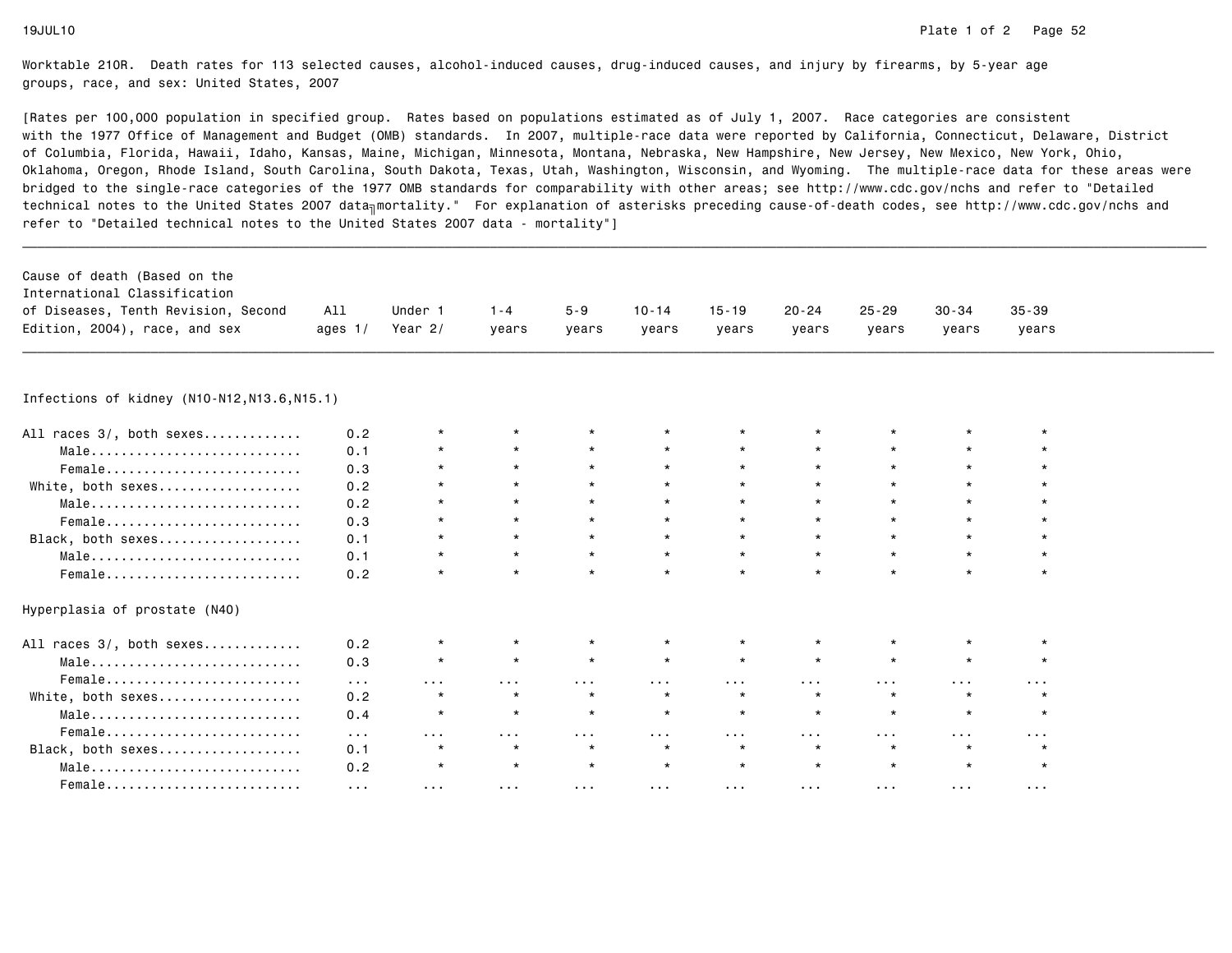[Rates per 100,000 population in specified group. Rates based on populations estimated as of July 1, 2007. Race categories are consistent with the 1977 Office of Management and Budget (OMB) standards. In 2007, multiple-race data were reported by California, Connecticut, Delaware, Districtof Columbia, Florida, Hawaii, Idaho, Kansas, Maine, Michigan, Minnesota, Montana, Nebraska, New Hampshire, New Jersey, New Mexico, New York, Ohio, Oklahoma, Oregon, Rhode Island, South Carolina, South Dakota, Texas, Utah, Washington, Wisconsin, and Wyoming. The multiple-race data for these areas werebridged to the single-race categories of the 1977 OMB standards for comparability with other areas; see http://www.cdc.gov/nchs and refer to "Detailedtechnical notes to the United States 2007 data<sub>∏</sub>mortality." For explanation of asterisks preceding cause-of-death codes, see http://www.cdc.gov/nchs and refer to "Detailed technical notes to the United States 2007 data - mortality"]

| All<br>Under 1<br>20-24<br>$10 - 14$<br>15-19<br>$25 - 29$<br>30-34<br>35-39<br>$1 - 4$<br>5-9<br>Year 2/<br>ages $1/$<br>vears<br>vears<br>vears<br>vears<br>vears<br>vears<br>vears<br>vears | Cause of death (Based on the        |  |  |  |  |  |
|------------------------------------------------------------------------------------------------------------------------------------------------------------------------------------------------|-------------------------------------|--|--|--|--|--|
|                                                                                                                                                                                                | International Classification        |  |  |  |  |  |
| Edition, 2004), race, and sex                                                                                                                                                                  | of Diseases, Tenth Revision, Second |  |  |  |  |  |
|                                                                                                                                                                                                |                                     |  |  |  |  |  |

\_\_\_\_\_\_\_\_\_\_\_\_\_\_\_\_\_\_\_\_\_\_\_\_\_\_\_\_\_\_\_\_\_\_\_\_\_\_\_\_\_\_\_\_\_\_\_\_\_\_\_\_\_\_\_\_\_\_\_\_\_\_\_\_\_\_\_\_\_\_\_\_\_\_\_\_\_\_\_\_\_\_\_\_\_\_\_\_\_\_\_\_\_\_\_\_\_\_\_\_\_\_\_\_\_\_\_\_\_\_\_\_\_\_\_\_\_\_\_\_\_\_\_\_\_\_\_\_\_\_\_\_\_\_\_\_\_\_\_\_\_\_\_\_\_\_\_\_\_\_\_\_\_\_\_\_\_\_

Infections of kidney (N10-N12,N13.6,N15.1)

| All races 3/, both sexes                                           | 0.2                  |          |          |          |          |          |          |          |          |   |
|--------------------------------------------------------------------|----------------------|----------|----------|----------|----------|----------|----------|----------|----------|---|
| Male                                                               | 0.1                  |          | $\star$  | $\star$  | $\star$  |          | $\star$  |          |          |   |
| Female                                                             | 0.3                  |          | $\star$  | $^\star$ |          |          | $\star$  |          |          |   |
| White, both sexes                                                  | 0.2                  |          |          |          |          |          | $\star$  |          |          |   |
| Male                                                               | 0.2                  |          |          |          |          |          | $\star$  |          |          |   |
| Female                                                             | 0.3                  |          | $\star$  | $\star$  | $\star$  |          | $\star$  |          | *        |   |
| Black, both sexes                                                  | 0.1                  | $\star$  | $\star$  | $\star$  | $\star$  |          | $\star$  |          |          |   |
| $Male \dots \dots \dots \dots \dots \dots \dots \dots \dots \dots$ | 0.1                  | $\star$  | $\star$  | $\star$  | $\star$  |          | $\star$  | $\star$  | $\star$  |   |
| Female                                                             | 0.2                  |          | $\star$  |          | $\star$  |          | $\star$  |          |          |   |
| Hyperplasia of prostate (N40)                                      |                      |          |          |          |          |          |          |          |          |   |
| All races 3/, both sexes                                           | 0.2                  |          |          |          |          |          |          |          |          |   |
| Male                                                               | 0.3                  |          |          |          |          |          | $\star$  |          |          |   |
| Female                                                             | $\sim 100$           | $\cdots$ | $\cdots$ | .        | $\cdots$ | .        | .        | $\cdots$ | $\cdots$ | . |
| White, both sexes                                                  | 0.2                  |          | $\star$  | $\star$  | $\star$  |          | $\star$  |          |          |   |
| Male                                                               | 0.4                  |          | $\star$  | $\star$  |          |          | $\star$  |          |          |   |
| Female                                                             | $\sim$ $\sim$ $\sim$ | $\cdots$ | .        | .        | $\cdots$ | .        | $\cdots$ | $\cdots$ |          |   |
| Black, both sexes                                                  | 0.1                  |          | $\star$  | $\star$  | $\star$  |          | $\star$  |          |          |   |
| Male                                                               | 0.2                  |          | $\star$  | $\star$  | $\star$  |          | $\star$  |          |          |   |
| Female                                                             | .                    | .        |          | $\cdots$ | $\cdots$ | $\cdots$ | .        | $\cdots$ | .        | . |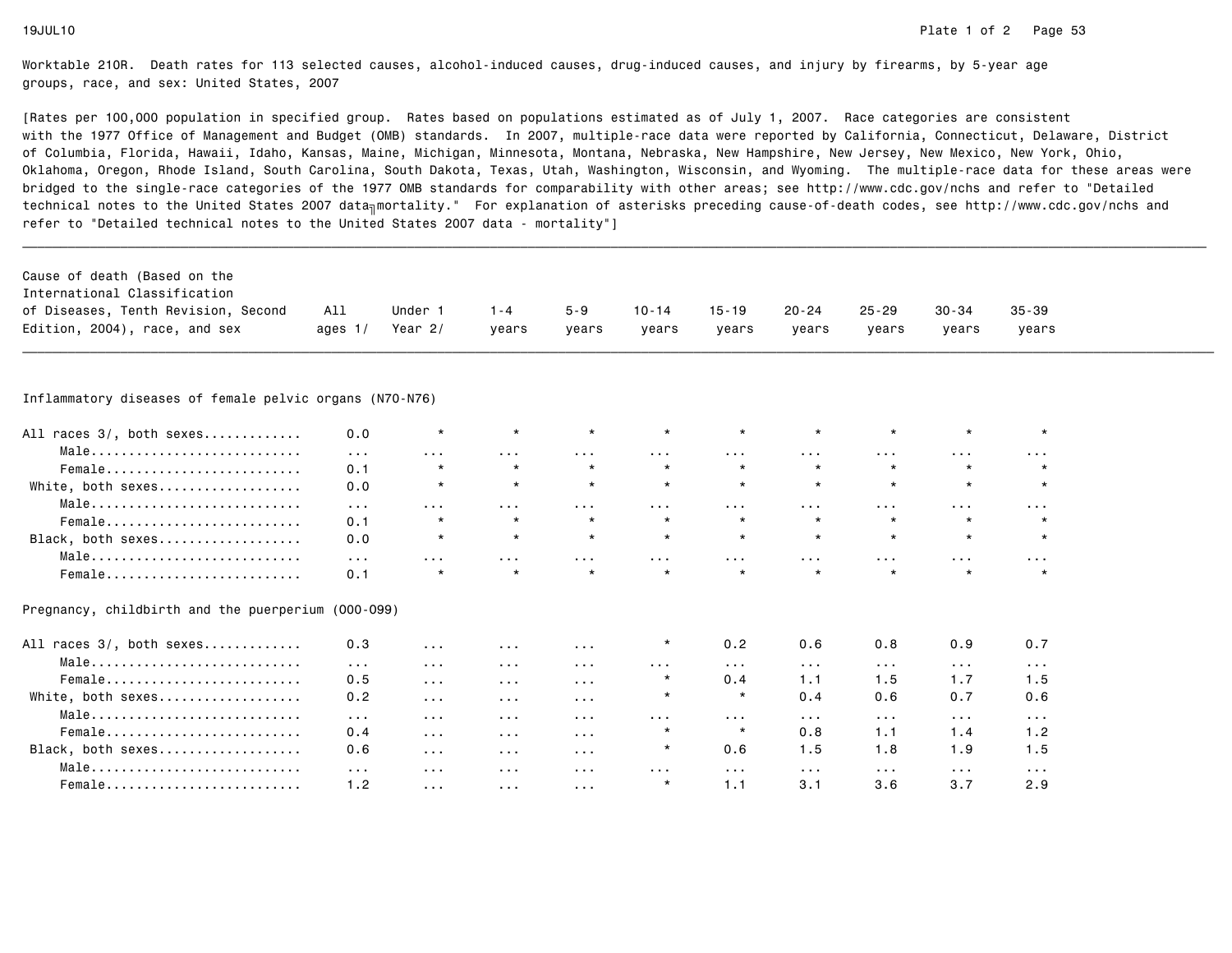| Cause of death (Based on the<br>International Classification<br>of Diseases, Tenth Revision, Second<br>Edition, 2004), race, and sex | All<br>ages $1/$     | Under 1<br>Year $2/$  | $1 - 4$<br>vears     | $5 - 9$<br>years     | $10 - 14$<br>vears   | $15 - 19$<br>years   | 20-24<br>years          | $25 - 29$<br>years      | $30 - 34$<br>years      | $35 - 39$<br>years   |  |
|--------------------------------------------------------------------------------------------------------------------------------------|----------------------|-----------------------|----------------------|----------------------|----------------------|----------------------|-------------------------|-------------------------|-------------------------|----------------------|--|
| Inflammatory diseases of female pelvic organs (N70-N76)                                                                              |                      |                       |                      |                      |                      |                      |                         |                         |                         |                      |  |
|                                                                                                                                      |                      |                       |                      |                      |                      |                      |                         |                         |                         |                      |  |
| All races 3/, both sexes                                                                                                             | 0.0                  | $\star$               | $\star$              |                      | $\star$              |                      |                         |                         | $\star$                 | $\star$              |  |
| Male                                                                                                                                 | $\sim 100$           | $\sim 100$ km $^{-1}$ | $\sim$ $\sim$ $\sim$ | $\sim 100$           | $\cdots$             | $\cdots$             | $\sim 100$ km s $^{-1}$ | $\cdots$                | $\sim 100$              | $\sim 100$           |  |
| Female                                                                                                                               | 0.1                  | $\star$               | $\star$              | $\star$              | $\star$              | $\star$              | $\star$                 | $\star$                 |                         | $\star$              |  |
| White, both sexes                                                                                                                    | 0.0                  | $\star$               | $\star$              | $\star$              | $\star$              | $\star$              | $\star$                 | $\star$                 | $\star$                 | $\star$              |  |
| Male                                                                                                                                 | $\sim 100$           | $\sim 100$ km $^{-1}$ | $\sim$ $\sim$ $\sim$ | $\sim$ $\sim$ $\sim$ | $\sim 100$           | $\sim 100$           | $\sim$ $\sim$ $\sim$    | $\sim$ $\sim$ $\sim$    | $\sim$ $\sim$ $\sim$    | $\sim 100$           |  |
| Female                                                                                                                               | 0.1                  | $\star$               | $\star$              | $\star$              | $\star$              | $\star$              | $\star$                 | $\star$                 | $\star$                 | $\star$              |  |
| Black, both sexes                                                                                                                    | 0.0                  | $\star$               | $\star$              | $\star$              | $\star$              | $\star$              | $\star$                 | $\star$                 | $\star$                 | $\star$              |  |
| Male                                                                                                                                 | $\sim$ $\sim$ $\sim$ | .                     | $\sim$ $\sim$ $\sim$ | $\sim$ $\sim$ $\sim$ | .                    | .                    | $\sim$ $\sim$ $\sim$    | .                       | $\sim$ $\sim$ $\sim$    | $\sim$ $\sim$ $\sim$ |  |
| Female                                                                                                                               | 0.1                  | $\star$               | $\star$              | $\star$              | $\star$              | $\star$              | $\star$                 | $\star$                 | $\star$                 | $\star$              |  |
| Pregnancy, childbirth and the puerperium (000-099)                                                                                   |                      |                       |                      |                      |                      |                      |                         |                         |                         |                      |  |
| All races 3/, both sexes                                                                                                             | 0.3                  | $\sim$ $\sim$ $\sim$  | $\sim$ $\sim$ $\sim$ | $\sim$ $\sim$ $\sim$ | $^\star$             | 0.2                  | 0.6                     | 0.8                     | 0.9                     | 0.7                  |  |
| Male                                                                                                                                 | $\sim 100$           | $\sim$ $\sim$ $\sim$  | $\sim$ $\sim$ $\sim$ | $\sim 100$           | $\cdots$             | $\sim$ $\sim$ $\sim$ | $\sim 100$ km s $^{-1}$ | $\sim 100$              | $\sim 100$              | $\sim$ $\sim$ $\sim$ |  |
| Female                                                                                                                               | 0.5                  | $\sim 100$            | $\sim$ $\sim$ $\sim$ | $\sim$ $\sim$ $\sim$ | $\star$              | 0.4                  | 1.1                     | 1.5                     | 1.7                     | 1.5                  |  |
| White, both sexes                                                                                                                    | 0.2                  | $\sim$ $\sim$ $\sim$  | $\sim$ $\sim$ $\sim$ | $\sim$ $\sim$ $\sim$ | $\star$              | $\star$              | 0.4                     | 0.6                     | 0.7                     | 0.6                  |  |
| Male                                                                                                                                 | $\sim 100$           | $\sim 100$ km $^{-1}$ | $\sim$ $\sim$ $\sim$ | $\sim$ $\sim$ $\sim$ | $\sim$ $\sim$ $\sim$ | $\sim 100$           | $\sim 100$ km s $^{-1}$ | $\sim 100$ km s $^{-1}$ | $\sim 100$ km s $^{-1}$ | $\sim 100$           |  |
| Female                                                                                                                               | 0.4                  | $\sim$ $\sim$ $\sim$  | $\sim$ $\sim$ $\sim$ | $\sim 100$           | $\star$              | $\star$              | 0.8                     | 1.1                     | 1.4                     | 1.2                  |  |
| Black, both sexes                                                                                                                    | 0.6                  | $\sim$ $\sim$ $\sim$  | $\sim$ $\sim$ $\sim$ | $\sim 100$           | $\star$              | 0.6                  | 1.5                     | 1.8                     | 1.9                     | 1.5                  |  |
| Male                                                                                                                                 | $\sim 100$           | $\sim 100$ km $^{-1}$ | $\sim$ $\sim$ $\sim$ | $\sim$ $\sim$ $\sim$ | $\sim$ $\sim$ $\sim$ | $\sim 100$           | $\sim 100$              | $\sim$ $\sim$ $\sim$    | $\sim 100$ km $^{-1}$   | $\sim 100$           |  |
| Female                                                                                                                               | 1.2                  | $\sim$ $\sim$ $\sim$  | $\sim$ $\sim$ $\sim$ | $\sim$ $\sim$ $\sim$ | $\star$              | 1.1                  | 3.1                     | 3.6                     | 3.7                     | 2.9                  |  |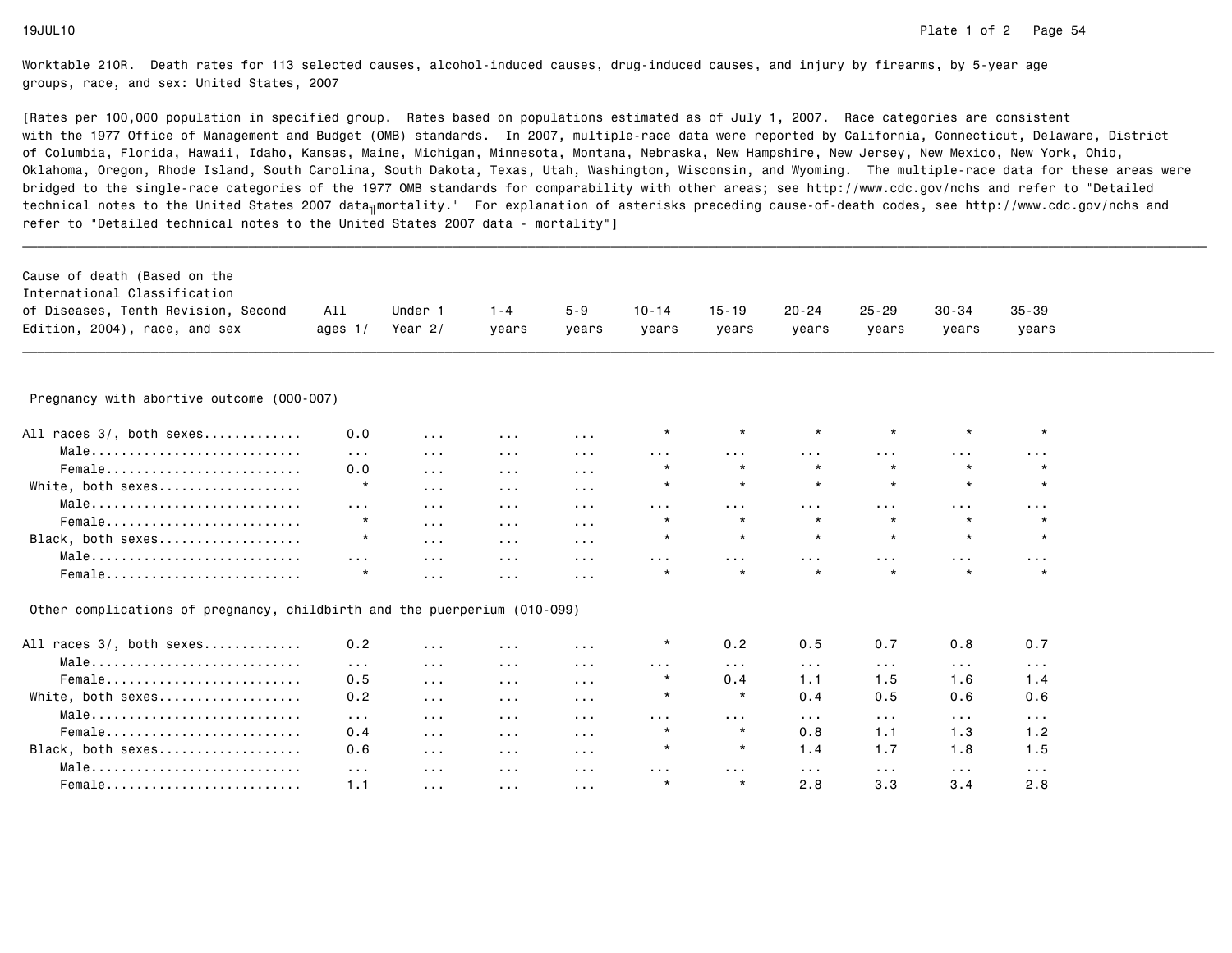| Cause of death (Based on the                                              |                      |                      |                         |                      |                         |                         |                         |                         |                         |                         |  |
|---------------------------------------------------------------------------|----------------------|----------------------|-------------------------|----------------------|-------------------------|-------------------------|-------------------------|-------------------------|-------------------------|-------------------------|--|
| International Classification                                              |                      |                      |                         |                      |                         |                         |                         |                         |                         |                         |  |
| of Diseases, Tenth Revision, Second                                       | All                  | Under 1              | $1 - 4$                 | $5 - 9$              | $10 - 14$               | $15 - 19$               | $20 - 24$               | $25 - 29$               | $30 - 34$               | $35 - 39$               |  |
| Edition, 2004), race, and sex                                             | ages $1/$            | Year $2/$            | years                   | years                | years                   | years                   | years                   | years                   | years                   | years                   |  |
|                                                                           |                      |                      |                         |                      |                         |                         |                         |                         |                         |                         |  |
| Pregnancy with abortive outcome (000-007)                                 |                      |                      |                         |                      |                         |                         |                         |                         |                         |                         |  |
| All races 3/, both sexes                                                  | 0.0                  | $\sim$ $\sim$ $\sim$ | $\sim$ $\sim$ $\sim$    | $\sim 100$           | $\star$                 | $\star$                 | $\star$                 | $\star$                 | $\star$                 | $\star$                 |  |
| Male                                                                      | $\sim$ $\sim$ $\sim$ | $\sim 100$           | $\sim$ $\sim$ $\sim$    | $\sim 100$           | $\sim 100$ km s $^{-1}$ | $\sim$ $\sim$ $\sim$    | $\sim 100$              | $\sim 100$ km s $^{-1}$ | $\sim 100$              | $\sim$ $\sim$ $\sim$    |  |
| Female                                                                    | 0.0                  | $\sim$ $\sim$ $\sim$ | $\sim$ $\sim$ $\sim$    | $\sim 100$           | $\star$                 | $\star$                 | $\star$                 | $\star$                 | $\star$                 |                         |  |
| White, both sexes                                                         | $\star$              | $\sim$ $\sim$ $\sim$ | $\sim 100$ km $^{-1}$   | $\sim 100$           | $\star$                 | $\star$                 | $\star$                 | $\star$                 | $\star$                 | $\star$                 |  |
| $Male \dots \dots \dots \dots \dots \dots \dots \dots \dots \dots$        | $\cdots$             | $\sim$ $\sim$ $\sim$ | $\sim$ $\sim$ $\sim$    | $\sim 100$           | $\cdots$                | $\cdots$                | $\sim$ $\sim$ $\sim$    | $\cdots$                | $\sim$ $\sim$ $\sim$    | $\sim 100$              |  |
| Female                                                                    | $\star$              | $\sim 100$           | $\sim 100$ km $^{-1}$   | $\sim$ $\sim$ $\sim$ | $\star$                 | $\star$                 | $\star$                 | $\star$                 | $\star$                 |                         |  |
| Black, both sexes                                                         | $\star$              | $\sim$ $\sim$ $\sim$ | $\sim 100$ km s $^{-1}$ | $\sim 100$           | $\star$                 | $\star$                 | $\star$                 | $\star$                 | $\star$                 | $\star$                 |  |
| Male                                                                      | $\sim$ $\sim$ $\sim$ | $\sim$ $\sim$ $\sim$ | $\sim 100$ km $^{-1}$   | $\sim 100$           | $\sim 100$              | $\sim$ $\sim$ $\sim$    | $\sim 100$              | $\sim 100$              | $\sim 100$              | $\sim 100$ km s $^{-1}$ |  |
| Female                                                                    | $\star$              | $\sim 100$           | $\sim$ $\sim$ $\sim$    | $\sim 100$           | $\star$                 | $\star$                 |                         | $\star$                 |                         | $\star$                 |  |
| Other complications of pregnancy, childbirth and the puerperium (010-099) |                      |                      |                         |                      |                         |                         |                         |                         |                         |                         |  |
| All races 3/, both sexes                                                  | 0.2                  | $\cdots$             | $\sim 100$              | $\sim$ $\sim$ $\sim$ | $\star$                 | 0.2                     | 0.5                     | 0.7                     | 0.8                     | 0.7                     |  |
| Male                                                                      | $\sim 100$           | $\sim$ $\sim$ $\sim$ | $\sim 100$ km $^{-1}$   | $\sim 100$           | $\sim$ $\sim$ $\sim$    | $\sim 100$ km s $^{-1}$ | $\sim 100$ km s $^{-1}$ | $\sim 100$ km $^{-1}$   | $\sim 100$ km s $^{-1}$ | $\sim 100$              |  |
| Female                                                                    | 0.5                  | $\sim$ $\sim$ $\sim$ | $\sim 100$              | $\sim$ $\sim$ $\sim$ | $\star$                 | 0.4                     | 1.1                     | 1.5                     | 1.6                     | 1.4                     |  |
| White, both sexes                                                         | 0.2                  | $\sim$ $\sim$ $\sim$ | $\sim 100$ km $^{-1}$   | $\sim 100$           | $\star$                 | $\star$                 | 0.4                     | 0.5                     | 0.6                     | 0.6                     |  |
| Male                                                                      | $\sim 100$           | $\sim$ $\sim$ $\sim$ | $\sim$ $\sim$ $\sim$    | $\sim$ $\sim$ $\sim$ | $\cdots$                | $\cdots$                | $\sim 100$              | $\sim 100$              | $\sim$ $\sim$ $\sim$    | $\sim 100$              |  |
| Female                                                                    | 0.4                  | $\sim$ $\sim$ $\sim$ | $\sim 100$ km $^{-1}$   | $\sim 100$           | $\star$                 | $\star$                 | 0.8                     | 1.1                     | 1.3                     | 1.2                     |  |
| Black, both sexes                                                         | 0.6                  | $\sim$ $\sim$ $\sim$ | $\sim 100$ km $^{-1}$   | $\sim 100$           | $^\star$                | $\star$                 | 1.4                     | 1.7                     | 1.8                     | 1.5                     |  |
| Male                                                                      | $\sim 100$           | $\sim 100$           | $\sim$ $\sim$ $\sim$    | $\sim$ $\sim$ $\sim$ | $\cdots$                | $\sim$ $\sim$ $\sim$    | $\sim 100$              | $\sim 100$              | $\sim 100$              | $\sim 100$              |  |
| Female                                                                    | 1.1                  | $\sim$ $\sim$ $\sim$ | $\sim 100$ km $^{-1}$   | $\sim$ $\sim$ $\sim$ | $\star$                 | $\star$                 | 2.8                     | 3.3                     | 3.4                     | 2.8                     |  |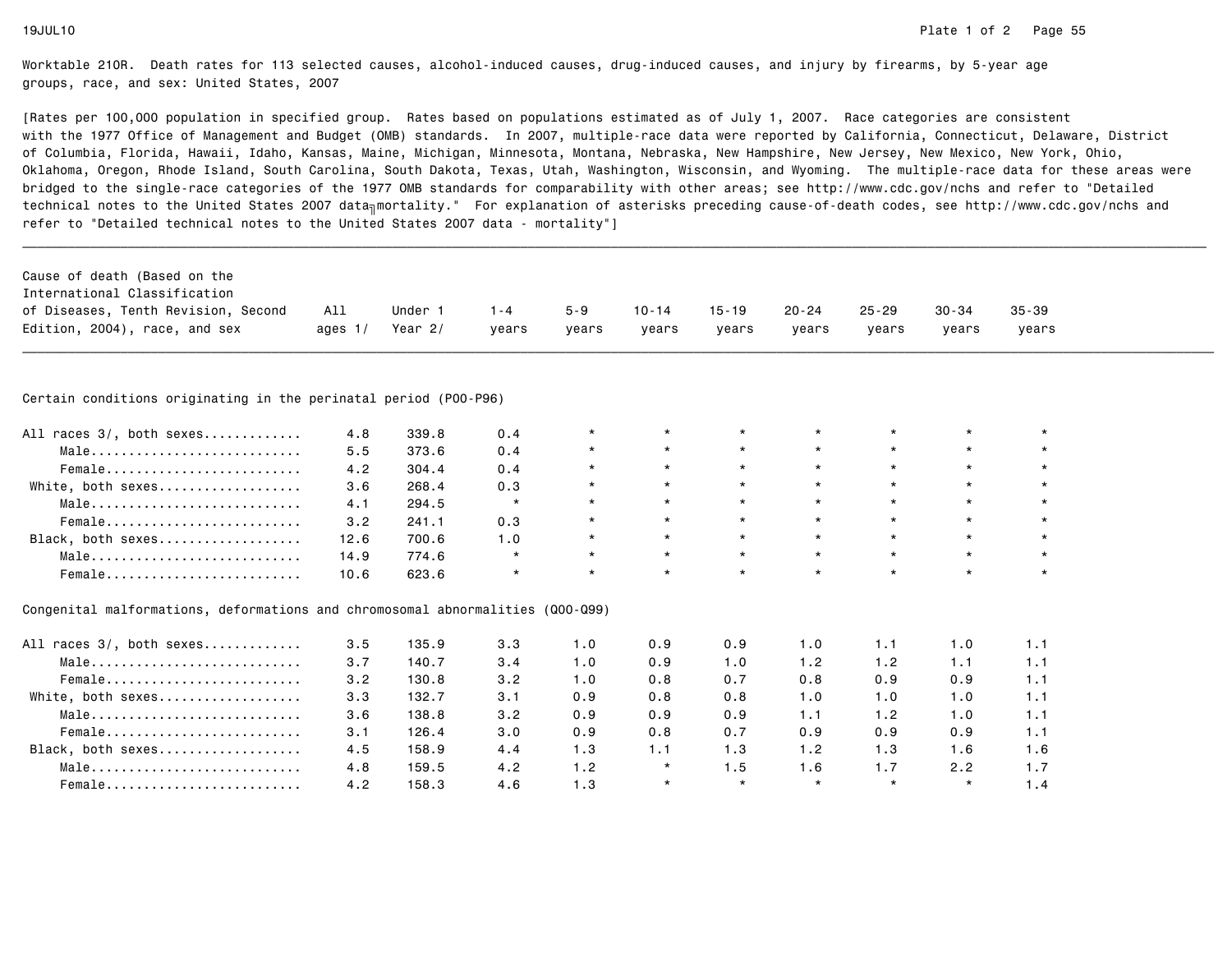$1.6$ 

 $1.7$ 

 $1.4$ 

Worktable 210R. Death rates for 113 selected causes, alcohol-induced causes, drug-induced causes, and injury by firearms, by 5-year agegroups, race, and sex: United States, 2007

[Rates per 100,000 population in specified group. Rates based on populations estimated as of July 1, 2007. Race categories are consistent with the 1977 Office of Management and Budget (OMB) standards. In 2007, multiple-race data were reported by California, Connecticut, Delaware, Districtof Columbia, Florida, Hawaii, Idaho, Kansas, Maine, Michigan, Minnesota, Montana, Nebraska, New Hampshire, New Jersey, New Mexico, New York, Ohio, Oklahoma, Oregon, Rhode Island, South Carolina, South Dakota, Texas, Utah, Washington, Wisconsin, and Wyoming. The multiple-race data for these areas werebridged to the single-race categories of the 1977 OMB standards for comparability with other areas; see http://www.cdc.gov/nchs and refer to "Detailedtechnical notes to the United States 2007 data<sub>∏</sub>mortality." For explanation of asterisks preceding cause-of-death codes, see http://www.cdc.gov/nchs and refer to "Detailed technical notes to the United States 2007 data - mortality"]

| Cause of death (Based on the<br>International Classification<br>of Diseases, Tenth Revision, Second | All       | Under 1   | $1 - 4$ | $5 - 9$ | $10 - 14$ | $15 - 19$ | $20 - 24$ | $25 - 29$ | 30-34   | $35 - 39$ |
|-----------------------------------------------------------------------------------------------------|-----------|-----------|---------|---------|-----------|-----------|-----------|-----------|---------|-----------|
| Edition, 2004), race, and sex                                                                       | ages $1/$ | Year $2/$ | years   | years   | years     | years     | years     | years     | vears   | years     |
|                                                                                                     |           |           |         |         |           |           |           |           |         |           |
|                                                                                                     |           |           |         |         |           |           |           |           |         |           |
| Certain conditions originating in the perinatal period (P00-P96)                                    |           |           |         |         |           |           |           |           |         |           |
| All races 3/, both sexes                                                                            | 4.8       | 339.8     | 0.4     | $\star$ | $\star$   | $\star$   | $\star$   | $\star$   | $\star$ | $\star$   |
| Male                                                                                                | 5.5       | 373.6     | 0.4     |         | $\star$   | $\star$   | $\star$   | $\star$   | $\star$ |           |
| Female                                                                                              | 4.2       | 304.4     | 0.4     |         | $\star$   | $\star$   | $\star$   | $\star$   | $\star$ | $\star$   |
| White, both sexes                                                                                   | 3.6       | 268.4     | 0.3     |         | $\star$   | $\star$   | $\star$   | $\star$   | $\star$ |           |
| Male                                                                                                | 4.1       | 294.5     | $\star$ |         | $\star$   | $\star$   | $\star$   | $\star$   | $\star$ | $\star$   |
| Female                                                                                              | 3.2       | 241.1     | 0.3     |         | $\star$   | $\star$   | $\star$   | $\star$   | $\star$ |           |
| Black, both sexes                                                                                   | 12.6      | 700.6     | 1.0     |         | $\star$   | $\star$   | $\star$   | $\star$   | $\star$ | $\star$   |
| Male                                                                                                | 14.9      | 774.6     | $\star$ | $\star$ | $\star$   | $\star$   | $\star$   | $\star$   | $\star$ | $\star$   |
| Female                                                                                              | 10.6      | 623.6     | $\star$ |         | $\star$   | $\star$   | $\star$   | $\star$   | $\star$ | $\star$   |
|                                                                                                     |           |           |         |         |           |           |           |           |         |           |
| Congenital malformations, deformations and chromosomal abnormalities (Q00-Q99)                      |           |           |         |         |           |           |           |           |         |           |
| All races 3/, both sexes                                                                            | 3.5       | 135.9     | 3.3     | 1.0     | 0.9       | 0.9       | 1.0       | 1.1       | 1.0     | 1.1       |
| Male                                                                                                | 3.7       | 140.7     | 3.4     | 1.0     | 0.9       | 1.0       | 1.2       | 1.2       | 1.1     | 1.1       |
| Female                                                                                              | 3.2       | 130.8     | 3.2     | 1.0     | 0.8       | 0.7       | 0.8       | 0.9       | 0.9     | 1.1       |
| White, both sexes                                                                                   | 3.3       | 132.7     | 3.1     | 0.9     | 0.8       | 0.8       | 1.0       | 1.0       | 1.0     | 1.1       |
| Male                                                                                                | 3.6       | 138.8     | 3.2     | 0.9     | 0.9       | 0.9       | 1.1       | 1.2       | 1.0     | 1.1       |
| Female                                                                                              | 3.1       | 126.4     | 3.0     | 0.9     | 0.8       | 0.7       | 0.9       | 0.9       | 0.9     | 1.1       |

Black, both sexes................... 4.5 158.9 4.4 1.3 1.1 1.3 1.2 1.3 1.6 1.6

Male............................ 4.8 159.5 4.2 1.2 \* 1.5 1.6 1.7 2.2 1.7

Female.......................... 4.2 158.3 4.6 1.3 \* \* \* \* \* 1.4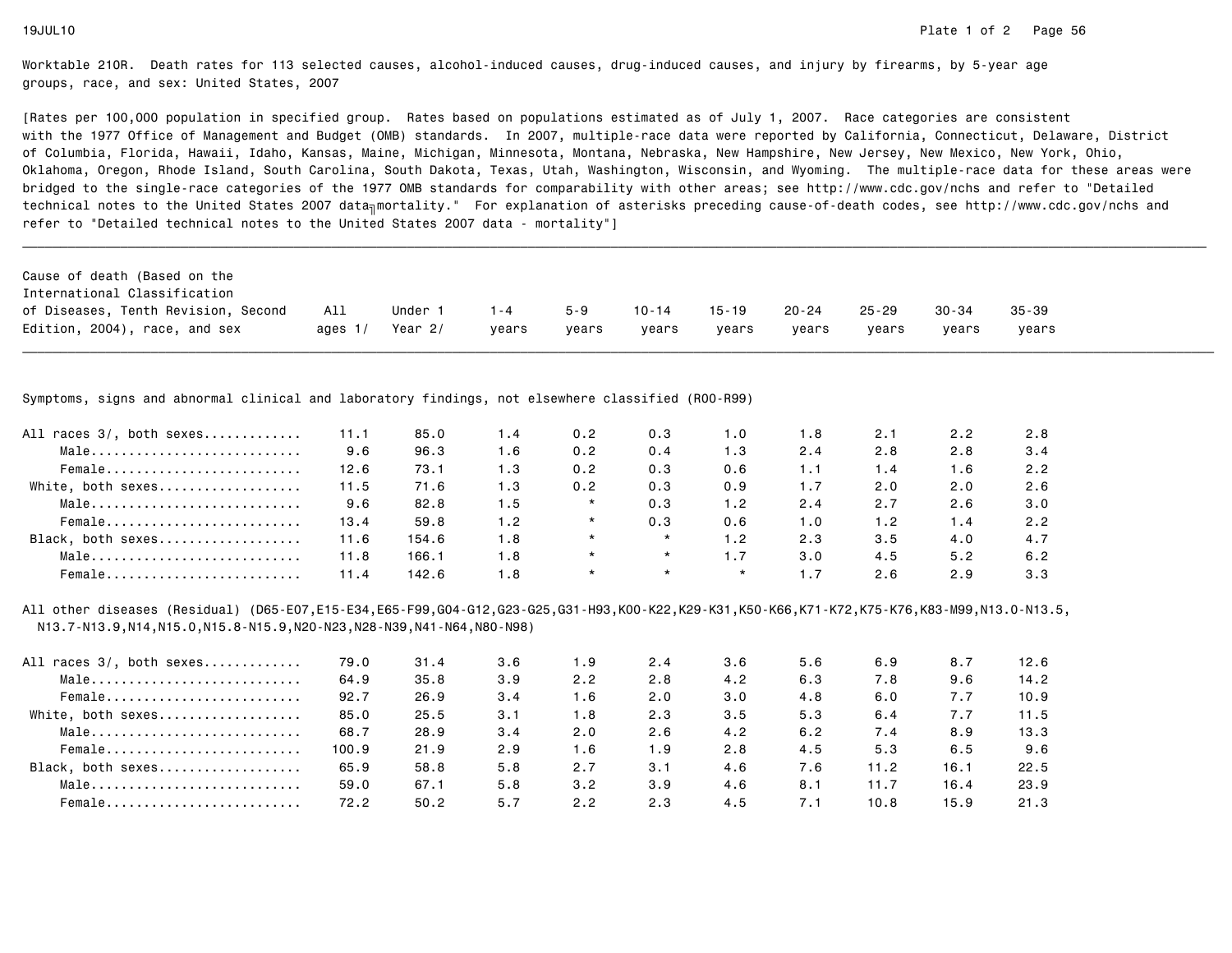[Rates per 100,000 population in specified group. Rates based on populations estimated as of July 1, 2007. Race categories are consistent with the 1977 Office of Management and Budget (OMB) standards. In 2007, multiple-race data were reported by California, Connecticut, Delaware, Districtof Columbia, Florida, Hawaii, Idaho, Kansas, Maine, Michigan, Minnesota, Montana, Nebraska, New Hampshire, New Jersey, New Mexico, New York, Ohio, Oklahoma, Oregon, Rhode Island, South Carolina, South Dakota, Texas, Utah, Washington, Wisconsin, and Wyoming. The multiple-race data for these areas werebridged to the single-race categories of the 1977 OMB standards for comparability with other areas; see http://www.cdc.gov/nchs and refer to "Detailedtechnical notes to the United States 2007 data<sub>∏</sub>mortality." For explanation of asterisks preceding cause-of-death codes, see http://www.cdc.gov/nchs and refer to "Detailed technical notes to the United States 2007 data - mortality"]

| Cause of death (Based on the        |           |         |         |         |           |           |           |           |       |           |
|-------------------------------------|-----------|---------|---------|---------|-----------|-----------|-----------|-----------|-------|-----------|
| International Classification        |           |         |         |         |           |           |           |           |       |           |
| of Diseases, Tenth Revision, Second | All       | Under 1 | $1 - 4$ | $5 - 9$ | $10 - 14$ | $15 - 19$ | $20 - 24$ | $25 - 29$ | 30-34 | $35 - 39$ |
| Edition, 2004), race, and sex       | ages $1/$ | Year 2/ | vears   | vears   | vears     | vears     | vears     | vears     | vears | vears     |

\_\_\_\_\_\_\_\_\_\_\_\_\_\_\_\_\_\_\_\_\_\_\_\_\_\_\_\_\_\_\_\_\_\_\_\_\_\_\_\_\_\_\_\_\_\_\_\_\_\_\_\_\_\_\_\_\_\_\_\_\_\_\_\_\_\_\_\_\_\_\_\_\_\_\_\_\_\_\_\_\_\_\_\_\_\_\_\_\_\_\_\_\_\_\_\_\_\_\_\_\_\_\_\_\_\_\_\_\_\_\_\_\_\_\_\_\_\_\_\_\_\_\_\_\_\_\_\_\_\_\_\_\_\_\_\_\_\_\_\_\_\_\_\_\_\_\_\_\_\_\_\_\_\_\_\_\_\_

Symptoms, signs and abnormal clinical and laboratory findings, not elsewhere classified (R00-R99)

| All races 3/, both sexes | 11.1 | 85.0  | . . 4 | 0.2 | 0.3     | 1.0     | 1.8 | 2.1 | 2.2 | 2.8 |
|--------------------------|------|-------|-------|-----|---------|---------|-----|-----|-----|-----|
|                          |      |       |       |     |         |         |     |     |     |     |
| Male                     | 9.6  | 96.3  | 1.6   | 0.2 | 0.4     | 1.3     | 2.4 | 2.8 | 2.8 | 3.4 |
| Female                   | 12.6 | 73.1  | 1.3   | 0.2 | 0.3     | 0.6     |     | 1.4 | 1.6 | 2.2 |
| White, both sexes        | 11.5 | 71.6  | 1.3   | 0.2 | 0.3     | 0.9     |     | 2.0 | 2.0 | 2.6 |
| Male                     | 9.6  | 82.8  | 1.5   |     | 0.3     | 1.2     | 2.4 | 2.7 | 2.6 | 3.0 |
| Female                   | 13.4 | 59.8  | 1.2   |     | 0.3     | 0.6     | 1.0 | 1.2 | 1.4 | 2.2 |
| Black, both sexes        | 11.6 | 154.6 | 1.8   |     | $\star$ | 1.2     | 2.3 | 3.5 | 4.0 | 4.7 |
| Male                     | 11.8 | 166.1 | 1.8   |     | $\star$ | 1.7     | 3.0 | 4.5 | 5.2 | 6.2 |
| Female                   | 11.4 | 142.6 | 1.8   |     | $\star$ | $\star$ |     | 2.6 | 2.9 | 3.3 |

All other diseases (Residual) (D65-E07,E15-E34,E65-F99,G04-G12,G23-G25,G31-H93,K00-K22,K29-K31,K50-K66,K71-K72,K75-K76,K83-M99,N13.0-N13.5,N13.7-N13.9,N14,N15.0,N15.8-N15.9,N20-N23,N28-N39,N41-N64,N80-N98)

| All races 3/, both sexes | 79.0  | 31.4 | 3.6 | 1.9 | 2.4 | 3.6 | 5.6 | 6.9  | 8.7  | 12.6 |
|--------------------------|-------|------|-----|-----|-----|-----|-----|------|------|------|
| Male                     | 64.9  | 35.8 | 3.9 | 2.2 | 2.8 | 4.2 | 6.3 | 7.8  | 9.6  | 14.2 |
| Female                   | 92.7  | 26.9 | 3.4 | 1.6 | 2.0 | 3.0 | 4.8 | 6.0  | 7.7  | 10.9 |
| White, both sexes        | 85.0  | 25.5 | 3.1 | 1.8 | 2.3 | 3.5 | 5.3 | 6.4  | 7.7  | 11.5 |
| Male                     | 68.7  | 28.9 | 3.4 | 2.0 | 2.6 | 4.2 | 6.2 | 7.4  | 8.9  | 13.3 |
| Female                   | 100.9 | 21.9 | 2.9 | 1.6 | 1.9 | 2.8 | 4.5 | 5.3  | 6.5  | 9.6  |
| Black, both sexes        | 65.9  | 58.8 | 5.8 | 2.7 | 3.1 | 4.6 | 7.6 | 11.2 | 16.1 | 22.5 |
| Male                     | 59.0  | 67.1 | 5.8 | 3.2 | 3.9 | 4.6 | 8.1 | 11.7 | 16.4 | 23.9 |
| Female                   | 72.2  | 50.2 | 5.7 | 2.2 | 2.3 | 4.5 | 7.1 | 10.8 | 15.9 | 21.3 |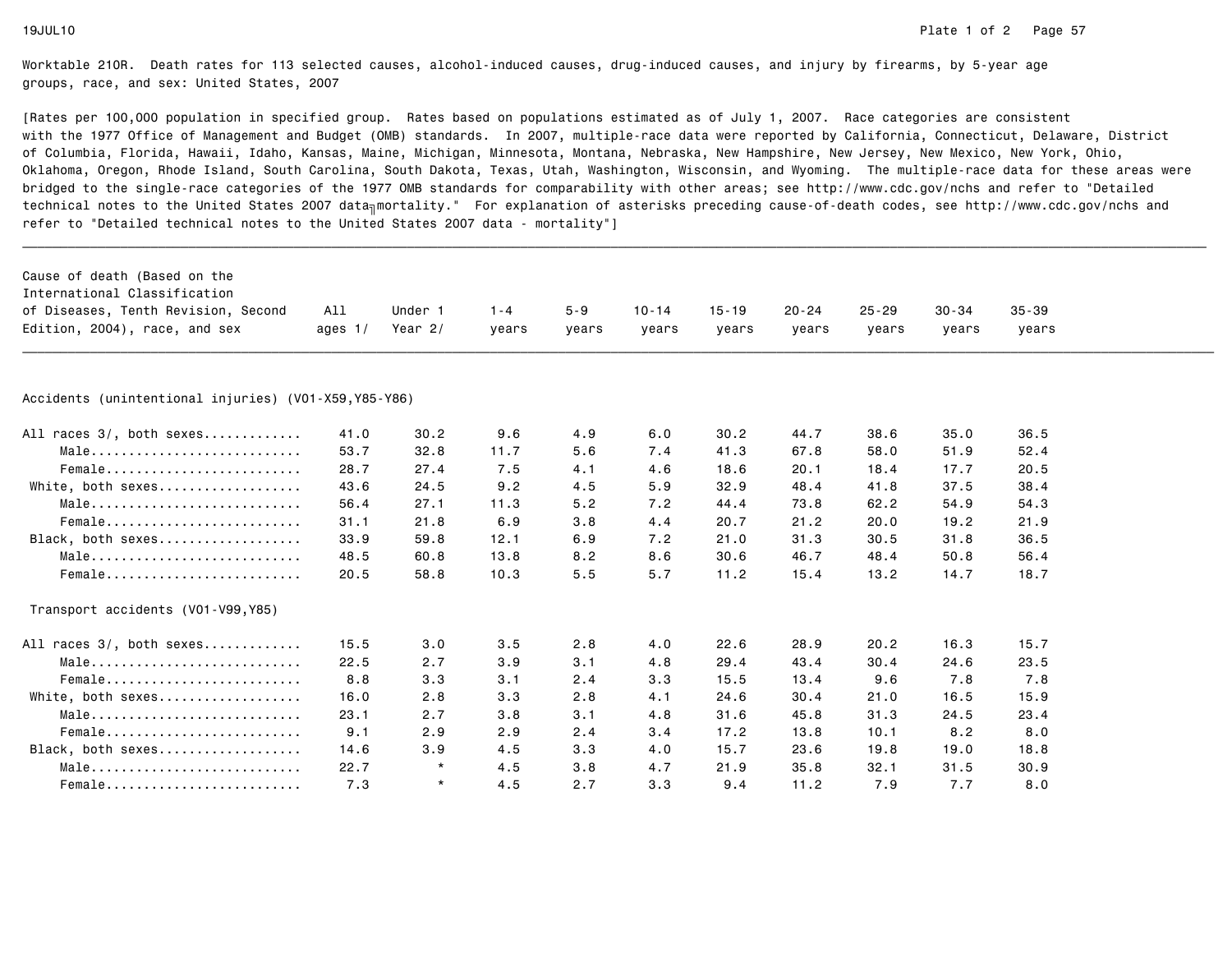| Cause of death (Based on the<br>International Classification<br>of Diseases, Tenth Revision, Second | All       | Under 1  | $1 - 4$ | $5 - 9$ | $10 - 14$ | $15 - 19$ | $20 - 24$ | $25 - 29$ | $30 - 34$ | $35 - 39$ |  |
|-----------------------------------------------------------------------------------------------------|-----------|----------|---------|---------|-----------|-----------|-----------|-----------|-----------|-----------|--|
| Edition, 2004), race, and sex                                                                       | ages $1/$ | Year 2/  | years   | years   | years     | years     | years     | years     | years     | years     |  |
|                                                                                                     |           |          |         |         |           |           |           |           |           |           |  |
| Accidents (unintentional injuries) (V01-X59, Y85-Y86)                                               |           |          |         |         |           |           |           |           |           |           |  |
| All races 3/, both sexes                                                                            | 41.0      | 30.2     | 9.6     | 4.9     | 6.0       | 30.2      | 44.7      | 38.6      | 35.0      | 36.5      |  |
| Male                                                                                                | 53.7      | 32.8     | 11.7    | 5.6     | 7.4       | 41.3      | 67.8      | 58.0      | 51.9      | 52.4      |  |
| Female                                                                                              | 28.7      | 27.4     | 7.5     | 4.1     | 4.6       | 18.6      | 20.1      | 18.4      | 17.7      | 20.5      |  |
| White, both sexes                                                                                   | 43.6      | 24.5     | 9.2     | 4.5     | 5.9       | 32.9      | 48.4      | 41.8      | 37.5      | 38.4      |  |
| Male                                                                                                | 56.4      | 27.1     | 11.3    | 5.2     | 7.2       | 44.4      | 73.8      | 62.2      | 54.9      | 54.3      |  |
| Female                                                                                              | 31.1      | 21.8     | 6.9     | 3.8     | 4.4       | 20.7      | 21.2      | 20.0      | 19.2      | 21.9      |  |
| Black, both sexes                                                                                   | 33.9      | 59.8     | 12.1    | 6.9     | 7.2       | 21.0      | 31.3      | 30.5      | 31.8      | 36.5      |  |
| Male                                                                                                | 48.5      | 60.8     | 13.8    | 8.2     | 8.6       | 30.6      | 46.7      | 48.4      | 50.8      | 56.4      |  |
| Female                                                                                              | 20.5      | 58.8     | 10.3    | 5.5     | 5.7       | 11.2      | 15.4      | 13.2      | 14.7      | 18.7      |  |
| Transport accidents (V01-V99, Y85)                                                                  |           |          |         |         |           |           |           |           |           |           |  |
| All races 3/, both sexes                                                                            | 15.5      | 3.0      | 3.5     | 2.8     | 4.0       | 22.6      | 28.9      | 20.2      | 16.3      | 15.7      |  |
| Male                                                                                                | 22.5      | 2.7      | 3.9     | 3.1     | 4.8       | 29.4      | 43.4      | 30.4      | 24.6      | 23.5      |  |
| Female                                                                                              | 8.8       | 3.3      | 3.1     | 2.4     | 3.3       | 15.5      | 13.4      | 9.6       | 7.8       | 7.8       |  |
| White, both sexes                                                                                   | 16.0      | 2.8      | 3.3     | 2.8     | 4.1       | 24.6      | 30.4      | 21.0      | 16.5      | 15.9      |  |
| Male                                                                                                | 23.1      | 2.7      | 3.8     | 3.1     | 4.8       | 31.6      | 45.8      | 31.3      | 24.5      | 23.4      |  |
| $Female$                                                                                            | 9.1       | 2.9      | 2.9     | 2.4     | 3.4       | 17.2      | 13.8      | 10.1      | 8.2       | 8.0       |  |
| Black, both sexes                                                                                   | 14.6      | 3.9      | 4.5     | 3.3     | 4.0       | 15.7      | 23.6      | 19.8      | 19.0      | 18.8      |  |
| Male                                                                                                | 22.7      | $^\star$ | 4.5     | 3.8     | 4.7       | 21.9      | 35.8      | 32.1      | 31.5      | 30.9      |  |
| Female                                                                                              | 7.3       | $\star$  | 4.5     | 2.7     | 3.3       | 9.4       | 11.2      | 7.9       | 7.7       | 8.0       |  |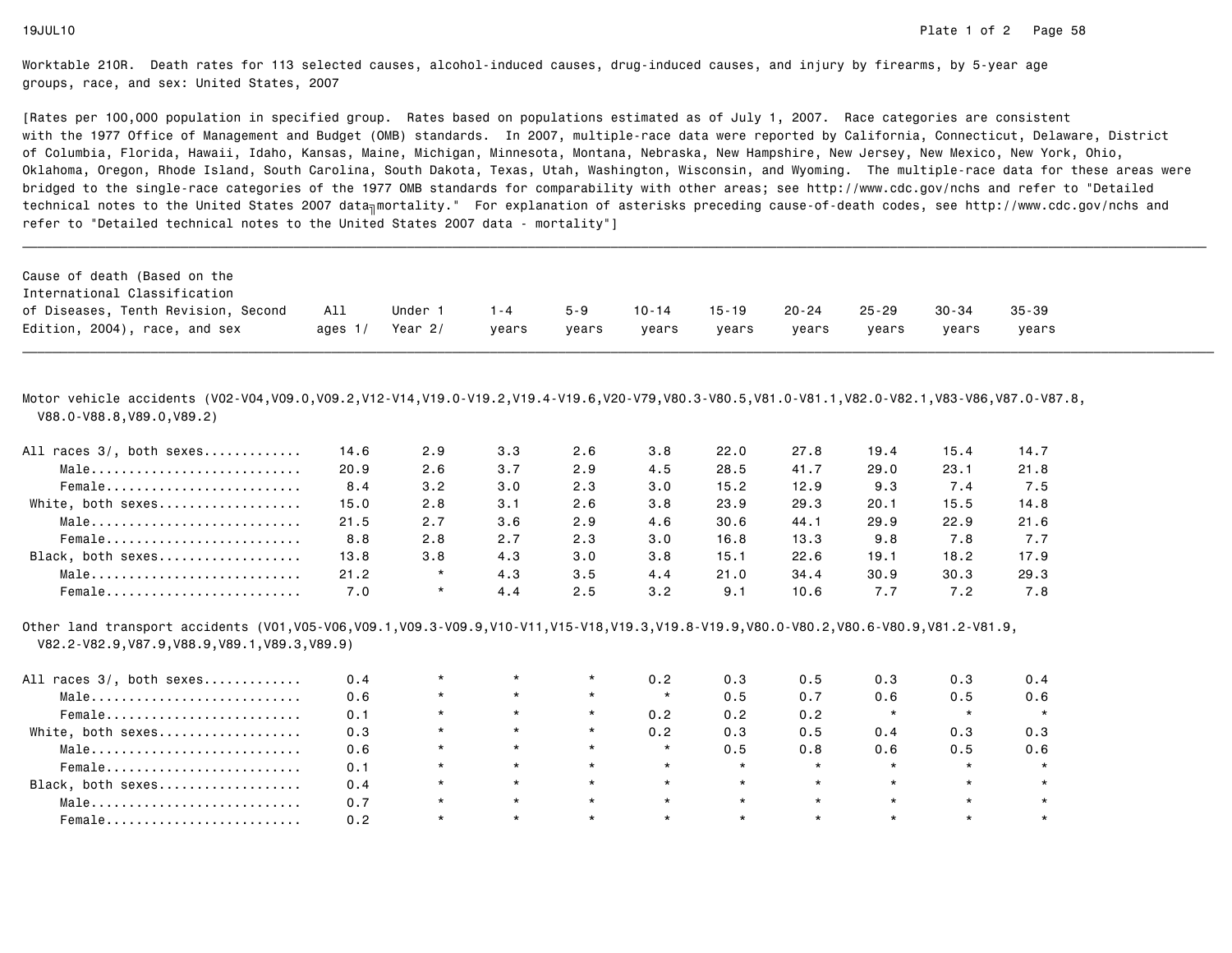[Rates per 100,000 population in specified group. Rates based on populations estimated as of July 1, 2007. Race categories are consistent with the 1977 Office of Management and Budget (OMB) standards. In 2007, multiple-race data were reported by California, Connecticut, Delaware, Districtof Columbia, Florida, Hawaii, Idaho, Kansas, Maine, Michigan, Minnesota, Montana, Nebraska, New Hampshire, New Jersey, New Mexico, New York, Ohio, Oklahoma, Oregon, Rhode Island, South Carolina, South Dakota, Texas, Utah, Washington, Wisconsin, and Wyoming. The multiple-race data for these areas werebridged to the single-race categories of the 1977 OMB standards for comparability with other areas; see http://www.cdc.gov/nchs and refer to "Detailedtechnical notes to the United States 2007 data<sub>∏</sub>mortality." For explanation of asterisks preceding cause-of-death codes, see http://www.cdc.gov/nchs and refer to "Detailed technical notes to the United States 2007 data - mortality"]

| Cause of death (Based on the        |           |           |         |         |           |           |       |           |       |           |
|-------------------------------------|-----------|-----------|---------|---------|-----------|-----------|-------|-----------|-------|-----------|
| International Classification        |           |           |         |         |           |           |       |           |       |           |
| of Diseases, Tenth Revision, Second | All       | Under 1   | $1 - 4$ | $5 - 9$ | $10 - 14$ | $15 - 19$ | 20-24 | $25 - 29$ | 30-34 | $35 - 39$ |
| Edition, 2004), race, and sex       | ages $1/$ | Year $2/$ | vears   | vears   | vears     | vears     | vears | vears     | vears | vears     |

\_\_\_\_\_\_\_\_\_\_\_\_\_\_\_\_\_\_\_\_\_\_\_\_\_\_\_\_\_\_\_\_\_\_\_\_\_\_\_\_\_\_\_\_\_\_\_\_\_\_\_\_\_\_\_\_\_\_\_\_\_\_\_\_\_\_\_\_\_\_\_\_\_\_\_\_\_\_\_\_\_\_\_\_\_\_\_\_\_\_\_\_\_\_\_\_\_\_\_\_\_\_\_\_\_\_\_\_\_\_\_\_\_\_\_\_\_\_\_\_\_\_\_\_\_\_\_\_\_\_\_\_\_\_\_\_\_\_\_\_\_\_\_\_\_\_\_\_\_\_\_\_\_\_\_\_\_\_

Motor vehicle accidents (V02-V04,V09.0,V09.2,V12-V14,V19.0-V19.2,V19.4-V19.6,V20-V79,V80.3-V80.5,V81.0-V81.1,V82.0-V82.1,V83-V86,V87.0-V87.8,V88.0-V88.8,V89.0,V89.2)

| All races 3/, both sexes | 14.6 | 2.9     | 3.3 | 2.6 | 3.8 | 22.0 | 27.8 | 19.4 | 15.4 | 14.7 |
|--------------------------|------|---------|-----|-----|-----|------|------|------|------|------|
| Male                     | 20.9 | 2.6     | 3.7 | 2.9 | 4.5 | 28.5 | 41.7 | 29.0 | 23.1 | 21.8 |
| Female                   | 8.4  | 3.2     | 3.0 | 2.3 | 3.0 | 15.2 | 12.9 | 9.3  | 7.4  | 7.5  |
| White, both sexes        | 15.0 | 2.8     | 3.1 | 2.6 | 3.8 | 23.9 | 29.3 | 20.1 | 15.5 | 14.8 |
| Male                     | 21.5 | 2.7     | 3.6 | 2.9 | 4.6 | 30.6 | 44.1 | 29.9 | 22.9 | 21.6 |
| Female                   | 8.8  | 2.8     | 2.7 | 2.3 | 3.0 | 16.8 | 13.3 | 9.8  | 7.8  | 7.7  |
| Black, both sexes        | 13.8 | 3.8     | 4.3 | 3.0 | 3.8 | 15.1 | 22.6 | 19.1 | 18.2 | 17.9 |
| Male                     | 21.2 | $\star$ | 4.3 | 3.5 | 4.4 | 21.0 | 34.4 | 30.9 | 30.3 | 29.3 |
| Female                   | 7.0  | $\star$ | 4.4 | 2.5 | 3.2 | 9.1  | 10.6 | 7.7  | 7.2  | 7.8  |

Other land transport accidents (V01,V05-V06,V09.1,V09.3-V09.9,V10-V11,V15-V18,V19.3,V19.8-V19.9,V80.0-V80.2,V80.6-V80.9,V81.2-V81.9,V82.2-V82.9,V87.9,V88.9,V89.1,V89.3,V89.9)

| All races 3/, both sexes | 0.4 | $\star$ | $\star$ | 0.2     | 0.3     | 0.5     | 0.3     | 0.3     | 0.4 |
|--------------------------|-----|---------|---------|---------|---------|---------|---------|---------|-----|
| Male                     | 0.6 | $\star$ | $\star$ | $\star$ | 0.5     | 0.7     | 0.6     | 0.5     | 0.6 |
| Female                   | 0.1 | $\star$ | $\star$ | 0.2     | 0.2     | 0.2     |         | $\star$ |     |
| White, both sexes        | 0.3 | $\star$ | $\star$ | 0.2     | 0.3     | 0.5     | 0.4     | 0.3     | 0.3 |
| Male                     | 0.6 | $\star$ | $\star$ | $\star$ | 0.5     | 0.8     | 0.6     | 0.5     | 0.6 |
| Female                   | 0.1 | $\star$ | $\star$ | $\star$ | $\star$ | $\star$ |         | $\star$ |     |
| Black, both sexes        | 0.4 | $\star$ | $\star$ | $\star$ | $\star$ | $\star$ | $\star$ | $\star$ |     |
| Male                     | 0.7 | $\star$ | $\star$ | $\star$ | $\star$ | $\star$ |         | $\star$ |     |
| Female                   | 0.2 | $\star$ |         | $\star$ |         | $\star$ |         |         |     |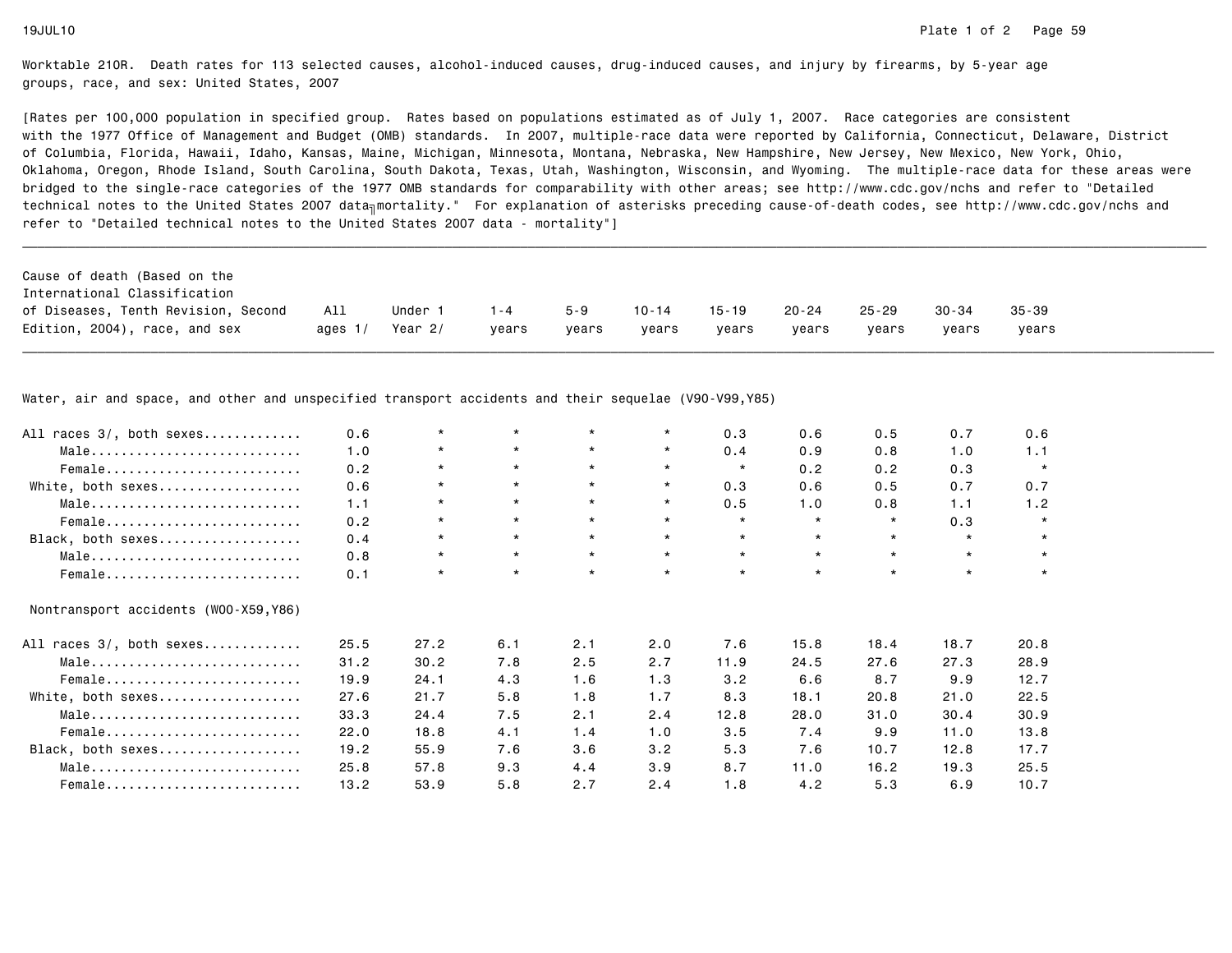[Rates per 100,000 population in specified group. Rates based on populations estimated as of July 1, 2007. Race categories are consistent with the 1977 Office of Management and Budget (OMB) standards. In 2007, multiple-race data were reported by California, Connecticut, Delaware, Districtof Columbia, Florida, Hawaii, Idaho, Kansas, Maine, Michigan, Minnesota, Montana, Nebraska, New Hampshire, New Jersey, New Mexico, New York, Ohio, Oklahoma, Oregon, Rhode Island, South Carolina, South Dakota, Texas, Utah, Washington, Wisconsin, and Wyoming. The multiple-race data for these areas werebridged to the single-race categories of the 1977 OMB standards for comparability with other areas; see http://www.cdc.gov/nchs and refer to "Detailedtechnical notes to the United States 2007 data<sub>∏</sub>mortality." For explanation of asterisks preceding cause-of-death codes, see http://www.cdc.gov/nchs and refer to "Detailed technical notes to the United States 2007 data - mortality"]

| Cause of death (Based on the        |           |         |         |       |           |       |           |       |           |           |
|-------------------------------------|-----------|---------|---------|-------|-----------|-------|-----------|-------|-----------|-----------|
| International Classification        |           |         |         |       |           |       |           |       |           |           |
| of Diseases, Tenth Revision, Second | All       | Under   | $1 - 4$ | 5-9   | $10 - 14$ | 15-19 | $20 - 24$ | 25-29 | $30 - 34$ | $35 - 39$ |
| Edition, 2004), race, and sex       | ages $1/$ | Year 2/ | vears   | vears | vears     | vears | vears     | vears | vears     | vears     |

\_\_\_\_\_\_\_\_\_\_\_\_\_\_\_\_\_\_\_\_\_\_\_\_\_\_\_\_\_\_\_\_\_\_\_\_\_\_\_\_\_\_\_\_\_\_\_\_\_\_\_\_\_\_\_\_\_\_\_\_\_\_\_\_\_\_\_\_\_\_\_\_\_\_\_\_\_\_\_\_\_\_\_\_\_\_\_\_\_\_\_\_\_\_\_\_\_\_\_\_\_\_\_\_\_\_\_\_\_\_\_\_\_\_\_\_\_\_\_\_\_\_\_\_\_\_\_\_\_\_\_\_\_\_\_\_\_\_\_\_\_\_\_\_\_\_\_\_\_\_\_\_\_\_\_\_\_\_

Water, air and space, and other and unspecified transport accidents and their sequelae (V90-V99,Y85)

| All races 3/, both sexes              | 0.6  | $\star$ | $\star$ |         | $\star$ | 0.3     | 0.6     | 0.5     | 0.7     | 0.6     |
|---------------------------------------|------|---------|---------|---------|---------|---------|---------|---------|---------|---------|
| Male                                  | 1.0  | $\star$ | $\star$ | $\star$ | $\star$ | 0.4     | 0.9     | 0.8     | 1.0     | 1.1     |
| Female                                | 0.2  | $\star$ | $\star$ | $\star$ | $\star$ | $\star$ | 0.2     | 0.2     | 0.3     | $\star$ |
| White, both sexes                     | 0.6  | $\star$ | $\star$ | $\star$ | $\star$ | 0.3     | 0.6     | 0.5     | 0.7     | 0.7     |
| Male                                  | 1.1  | $\star$ | $\star$ | $\star$ | $\star$ | 0.5     | 1.0     | 0.8     | 1.1     | 1.2     |
| Female                                | 0.2  | $\star$ | $\star$ | $\star$ | $\star$ | $\star$ | $\star$ | $\star$ | 0.3     | $\star$ |
| Black, both sexes                     | 0.4  | $\star$ | $\star$ | $\star$ | $\star$ | $\star$ | $\star$ | $\star$ | $\star$ | $\star$ |
| Male                                  | 0.8  | $\star$ | $\star$ | $\star$ | $\star$ | $\star$ | $\star$ | $\star$ | $\star$ | $\star$ |
| Female                                | 0.1  | $\star$ | $\star$ | $\star$ | $\star$ | $\star$ | $\star$ | $\star$ | $\star$ |         |
| Nontransport accidents (WOO-X59, Y86) |      |         |         |         |         |         |         |         |         |         |
| All races 3/, both sexes              | 25.5 | 27.2    | 6.1     | 2.1     | 2.0     | 7.6     | 15.8    | 18.4    | 18.7    | 20.8    |
| Male                                  | 31.2 | 30.2    | 7.8     | 2.5     | 2.7     | 11.9    | 24.5    | 27.6    | 27.3    | 28.9    |
| Female                                | 19.9 | 24.1    | 4.3     | 1.6     | 1.3     | 3.2     | 6.6     | 8.7     | 9.9     | 12.7    |
| White, both sexes                     | 27.6 | 21.7    | 5.8     | 1.8     | 1.7     | 8.3     | 18.1    | 20.8    | 21.0    | 22.5    |
| Male                                  | 33.3 | 24.4    | 7.5     | 2.1     | 2.4     | 12.8    | 28.0    | 31.0    | 30.4    | 30.9    |
| Female                                | 22.0 | 18.8    | 4.1     | 1.4     | 1.0     | 3.5     | 7.4     | 9.9     | 11.0    | 13.8    |
| Black, both sexes                     | 19.2 | 55.9    | 7.6     | 3.6     | 3.2     | 5.3     | 7.6     | 10.7    | 12.8    | 17.7    |
| Male                                  | 25.8 | 57.8    | 9.3     | 4.4     | 3.9     | 8.7     | 11.0    | 16.2    | 19.3    | 25.5    |
| Female                                | 13.2 | 53.9    | 5.8     | 2.7     | 2.4     | 1.8     | 4.2     | 5.3     | 6.9     | 10.7    |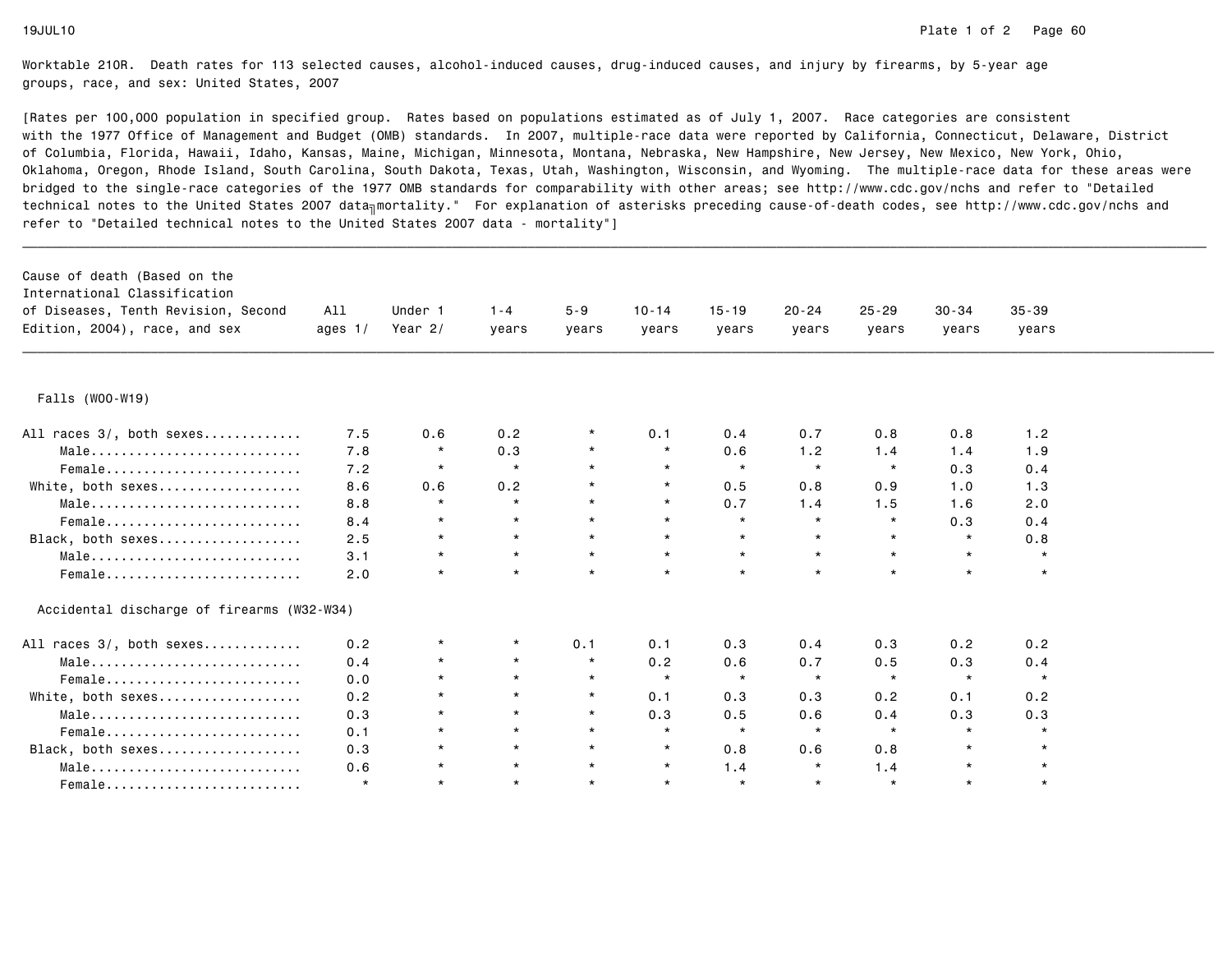| Cause of death (Based on the<br>International Classification<br>of Diseases, Tenth Revision, Second<br>Edition, 2004), race, and sex | All<br>ages $1/$ | Under 1<br>Year 2/ | $1 - 4$<br>years | $5 - 9$<br>years | $10 - 14$<br>years | $15 - 19$<br>years | $20 - 24$<br>years | $25 - 29$<br>years | $30 - 34$<br>years | $35 - 39$<br>years |  |
|--------------------------------------------------------------------------------------------------------------------------------------|------------------|--------------------|------------------|------------------|--------------------|--------------------|--------------------|--------------------|--------------------|--------------------|--|
|                                                                                                                                      |                  |                    |                  |                  |                    |                    |                    |                    |                    |                    |  |
| Falls (W00-W19)                                                                                                                      |                  |                    |                  |                  |                    |                    |                    |                    |                    |                    |  |
| All races 3/, both sexes                                                                                                             | 7.5              | 0.6                | 0.2              |                  | 0.1                | 0.4                | 0.7                | 0.8                | 0.8                | 1.2                |  |
| Male                                                                                                                                 | 7.8              | $\star$            | 0.3              | $\star$          | $\star$            | 0.6                | 1.2                | 1.4                | 1.4                | 1.9                |  |
| Female                                                                                                                               | 7.2              | $\star$            | $\star$          |                  | $\star$            | $\star$            | $\star$            | $\star$            | 0.3                | 0.4                |  |
| White, both sexes                                                                                                                    | 8.6              | 0.6                | 0.2              | $\star$          | $\star$            | 0.5                | 0.8                | 0.9                | 1.0                | 1.3                |  |
| Male                                                                                                                                 | 8.8              | $\star$            | $\star$          | $\star$          | $\star$            | 0.7                | 1.4                | 1.5                | 1.6                | 2.0                |  |
| Female                                                                                                                               | 8.4              | $\star$            | $\star$          | $\star$          | $\star$            | $\star$            | $\star$            | $\star$            | 0.3                | 0.4                |  |
| Black, both sexes                                                                                                                    | 2.5              | $\star$            | $\star$          | $\star$          | $\star$            | $\star$            | $\star$            | $\star$            | $\star$            | 0.8                |  |
| Male                                                                                                                                 | 3.1              | $\star$            | $\star$          | $\star$          | $\star$            | $\star$            | $\star$            | $\star$            | $\star$            | $\star$            |  |
| Female                                                                                                                               | 2.0              | $\star$            | $\star$          | $\star$          | $\star$            | $\star$            | $\star$            | $\star$            | $\star$            | $\star$            |  |
| Accidental discharge of firearms (W32-W34)                                                                                           |                  |                    |                  |                  |                    |                    |                    |                    |                    |                    |  |
| All races 3/, both sexes                                                                                                             | 0.2              | $^\star$           | $\star$          | 0.1              | 0.1                | 0.3                | 0.4                | 0.3                | 0.2                | 0.2                |  |
| Male                                                                                                                                 | 0.4              |                    | $\star$          | $\star$          | 0.2                | 0.6                | 0.7                | 0.5                | 0.3                | 0.4                |  |
| Female                                                                                                                               | 0.0              |                    | $\star$          | $\star$          | $\star$            | $\star$            | $\star$            | $\star$            | $\star$            | $\star$            |  |
| White, both sexes                                                                                                                    | 0.2              | $\star$            | $\star$          | $\star$          | 0.1                | 0.3                | 0.3                | 0.2                | 0.1                | 0.2                |  |
| Male                                                                                                                                 | 0.3              | $\star$            | $\star$          | $\star$          | 0.3                | 0.5                | 0.6                | 0.4                | 0.3                | 0.3                |  |
| Female                                                                                                                               | 0.1              | $\star$            | $\star$          | $\star$          | $\star$            | $\star$            | $\star$            | $\star$            | $\star$            | $\star$            |  |
| Black, both sexes                                                                                                                    | 0.3              |                    | $\star$          | $\star$          | $\star$            | 0.8                | 0.6                | 0.8                | $\star$            | $\star$            |  |
| Male                                                                                                                                 | 0.6              | $\star$            | $\star$          | $\star$          | $\star$            | 1.4                | $\star$            | 1.4                | $\star$            | $\star$            |  |
| Female                                                                                                                               | $\star$          | $\star$            | $\star$          | $\star$          | $\star$            | $\star$            | $\star$            | $\star$            | $\star$            | $\star$            |  |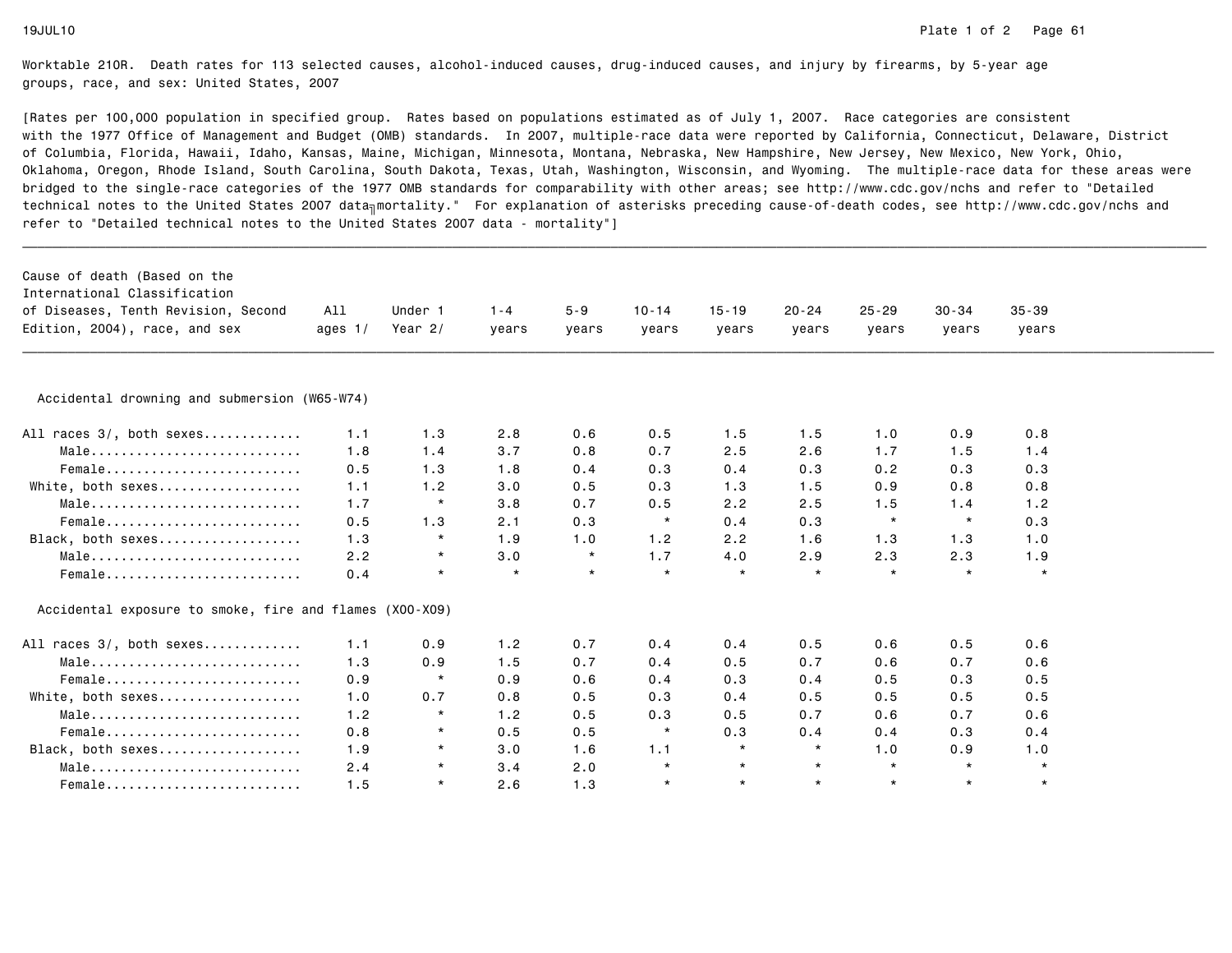| Cause of death (Based on the<br>International Classification<br>of Diseases, Tenth Revision, Second<br>Edition, 2004), race, and sex | All<br>ages $1/$ | Under 1<br>Year $2/$ | $1 - 4$<br>years | $5 - 9$<br>years | $10 - 14$<br>years | $15 - 19$<br>years | $20 - 24$<br>years | $25 - 29$<br>years | $30 - 34$<br>years | $35 - 39$<br>years |  |
|--------------------------------------------------------------------------------------------------------------------------------------|------------------|----------------------|------------------|------------------|--------------------|--------------------|--------------------|--------------------|--------------------|--------------------|--|
|                                                                                                                                      |                  |                      |                  |                  |                    |                    |                    |                    |                    |                    |  |
| Accidental drowning and submersion (W65-W74)                                                                                         |                  |                      |                  |                  |                    |                    |                    |                    |                    |                    |  |
| All races 3/, both sexes                                                                                                             | 1.1              | 1.3                  | 2.8              | 0.6              | 0.5                | 1.5                | 1.5                | 1.0                | 0.9                | 0.8                |  |
| Male                                                                                                                                 | 1.8              | 1.4                  | 3.7              | 0.8              | 0.7                | 2.5                | 2.6                | 1.7                | 1.5                | 1.4                |  |
| Female                                                                                                                               | 0.5              | 1.3                  | 1.8              | 0.4              | 0.3                | 0.4                | 0.3                | 0.2                | 0.3                | 0.3                |  |
| White, both sexes                                                                                                                    | 1.1              | 1.2                  | 3.0              | 0.5              | 0.3                | 1.3                | 1.5                | 0.9                | 0.8                | 0.8                |  |
| Male                                                                                                                                 | 1.7              | $\star$              | 3.8              | 0.7              | 0.5                | 2.2                | 2.5                | 1.5                | 1.4                | 1.2                |  |
| Female                                                                                                                               | 0.5              | 1.3                  | 2.1              | 0.3              | $\star$            | 0.4                | 0.3                | $\star$            | $\star$            | 0.3                |  |
| Black, both sexes                                                                                                                    | 1.3              | $\star$              | 1.9              | 1.0              | 1.2                | 2.2                | 1.6                | 1.3                | 1.3                | 1.0                |  |
| Male                                                                                                                                 | 2.2              | $\star$              | 3.0              | $\star$          | 1.7                | 4.0                | 2.9                | 2.3                | 2.3                | 1.9                |  |
| Female                                                                                                                               | 0.4              | $\star$              | $\star$          | $\star$          | $\star$            | $\star$            | $\star$            | $\star$            | $\star$            | $\star$            |  |
| Accidental exposure to smoke, fire and flames (X00-X09)                                                                              |                  |                      |                  |                  |                    |                    |                    |                    |                    |                    |  |
| All races 3/, both sexes                                                                                                             | 1.1              | 0.9                  | 1.2              | 0.7              | 0.4                | 0.4                | 0.5                | 0.6                | 0.5                | 0.6                |  |
| Male                                                                                                                                 | 1.3              | 0.9                  | 1.5              | 0.7              | 0.4                | 0.5                | 0.7                | 0.6                | 0.7                | 0.6                |  |
| Female                                                                                                                               | 0.9              | $\star$              | 0.9              | 0.6              | 0.4                | 0.3                | 0.4                | 0.5                | 0.3                | 0.5                |  |
| White, both sexes                                                                                                                    | 1.0              | 0.7                  | 0.8              | 0.5              | 0.3                | 0.4                | 0.5                | 0.5                | 0.5                | 0.5                |  |
| Male                                                                                                                                 | 1.2              | $\star$              | 1.2              | 0.5              | 0.3                | 0.5                | 0.7                | 0.6                | 0.7                | 0.6                |  |
|                                                                                                                                      | 0.8              | $\star$              | 0.5              | 0.5              | $\star$            | 0.3                | 0.4                | 0.4                | 0.3                | 0.4                |  |
| Black, both sexes                                                                                                                    | 1.9              | $\star$              | 3.0              | 1.6              | 1.1                | $\star$            | $\star$            | 1.0                | 0.9                | 1.0                |  |
| Male                                                                                                                                 | 2.4              | $\star$              | 3.4              | 2.0              | $\star$            | $\star$            | $\star$            | $\star$            | $\star$            | $\star$            |  |
| Female                                                                                                                               | 1.5              | $\star$              | 2.6              | 1.3              | $\star$            | $\star$            | $\star$            | $\star$            | $\star$            | $\star$            |  |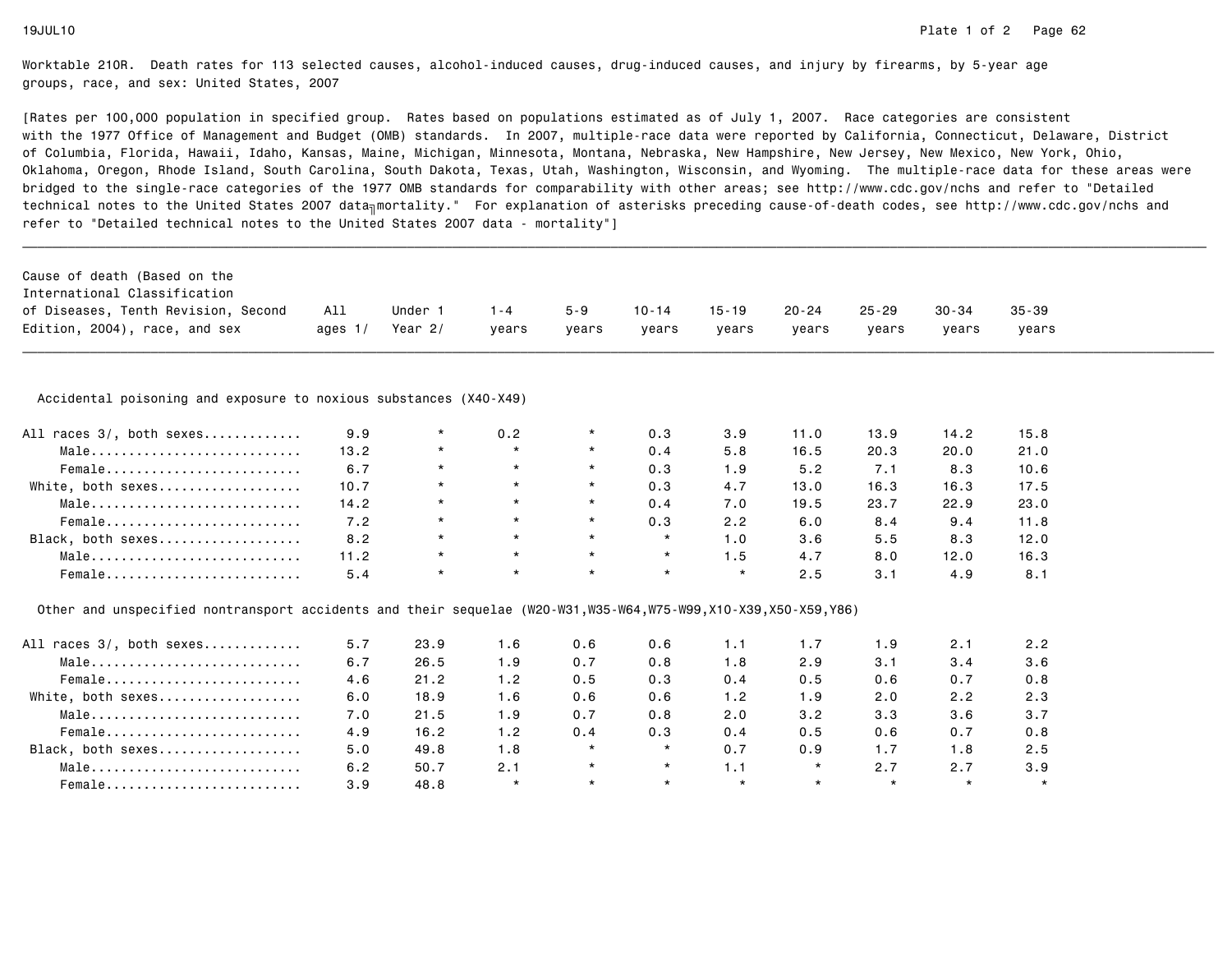| Cause of death (Based on the                                                                                  |           |           |         |          |           |           |           |           |           |           |  |
|---------------------------------------------------------------------------------------------------------------|-----------|-----------|---------|----------|-----------|-----------|-----------|-----------|-----------|-----------|--|
| International Classification                                                                                  |           |           |         |          |           |           |           |           |           |           |  |
| of Diseases, Tenth Revision, Second                                                                           | All       | Under 1   | $1 - 4$ | $5 - 9$  | $10 - 14$ | $15 - 19$ | $20 - 24$ | $25 - 29$ | $30 - 34$ | $35 - 39$ |  |
| Edition, 2004), race, and sex                                                                                 | ages $1/$ | Year $2/$ | vears   | vears    | vears     | years     | years     | vears     | years     | years     |  |
| Accidental poisoning and exposure to noxious substances (X40-X49)                                             |           |           |         |          |           |           |           |           |           |           |  |
| All races 3/, both sexes                                                                                      | 9.9       | $\star$   | 0.2     | $^\star$ | 0.3       | 3.9       | 11.0      | 13.9      | 14.2      | 15.8      |  |
| Male                                                                                                          | 13.2      | $\star$   | $\star$ | $\star$  | 0.4       | 5.8       | 16.5      | 20.3      | 20.0      | 21.0      |  |
| Female                                                                                                        | 6.7       | $\star$   | $\star$ | $^\star$ | 0.3       | 1.9       | 5.2       | 7.1       | 8.3       | 10.6      |  |
| White, both sexes                                                                                             | 10.7      | $\star$   | $\star$ | $^\star$ | 0.3       | 4.7       | 13.0      | 16.3      | 16.3      | 17.5      |  |
| Male                                                                                                          | 14.2      | $\star$   | $\star$ | $\star$  | 0.4       | 7.0       | 19.5      | 23.7      | 22.9      | 23.0      |  |
| $Female$                                                                                                      | 7.2       | $\star$   | $\star$ | $\star$  | 0.3       | 2.2       | 6.0       | 8.4       | 9.4       | 11.8      |  |
| Black, both sexes                                                                                             | 8.2       | $\star$   | $\star$ | $\star$  | $\star$   | 1.0       | 3.6       | 5.5       | 8.3       | 12.0      |  |
| Male                                                                                                          | 11.2      | $\star$   | $\star$ | $\star$  | $\star$   | 1.5       | 4.7       | 8.0       | 12.0      | 16.3      |  |
| Female                                                                                                        | 5.4       | $\star$   | $\star$ | $\star$  | $\star$   | $\star$   | 2.5       | 3.1       | 4.9       | 8.1       |  |
| Other and unspecified nontransport accidents and their sequelae (W20-W31,W35-W64,W75-W99,X10-X39,X50-X59,Y86) |           |           |         |          |           |           |           |           |           |           |  |
| All races 3/, both sexes                                                                                      | 5.7       | 23.9      | 1.6     | 0.6      | 0.6       | 1.1       | 1.7       | 1.9       | 2.1       | 2.2       |  |
| Male                                                                                                          | 6.7       | 26.5      | 1.9     | 0.7      | 0.8       | 1.8       | 2.9       | 3.1       | 3.4       | 3.6       |  |
| Female                                                                                                        | 4.6       | 21.2      | 1.2     | 0.5      | 0.3       | 0.4       | 0.5       | 0.6       | 0.7       | 0.8       |  |
| White, both sexes                                                                                             | 6.0       | 18.9      | 1.6     | 0.6      | 0.6       | 1.2       | 1.9       | 2.0       | 2.2       | 2.3       |  |
| Male                                                                                                          | 7.0       | 21.5      | 1.9     | 0.7      | 0.8       | 2.0       | 3.2       | 3.3       | 3.6       | 3.7       |  |
| Female                                                                                                        | 4.9       | 16.2      | 1.2     | 0.4      | 0.3       | 0.4       | 0.5       | 0.6       | 0.7       | 0.8       |  |
| Black, both sexes                                                                                             | 5.0       | 49.8      | 1.8     | $\star$  | $\star$   | 0.7       | 0.9       | 1.7       | 1.8       | 2.5       |  |
| Male                                                                                                          | 6.2       | 50.7      | 2.1     | $^\star$ | $\star$   | 1.1       | $\star$   | 2.7       | 2.7       | 3.9       |  |
| Female                                                                                                        | 3.9       | 48.8      | $\star$ | $\star$  | $\star$   | $\star$   | $\star$   | $\star$   | $\star$   | $\star$   |  |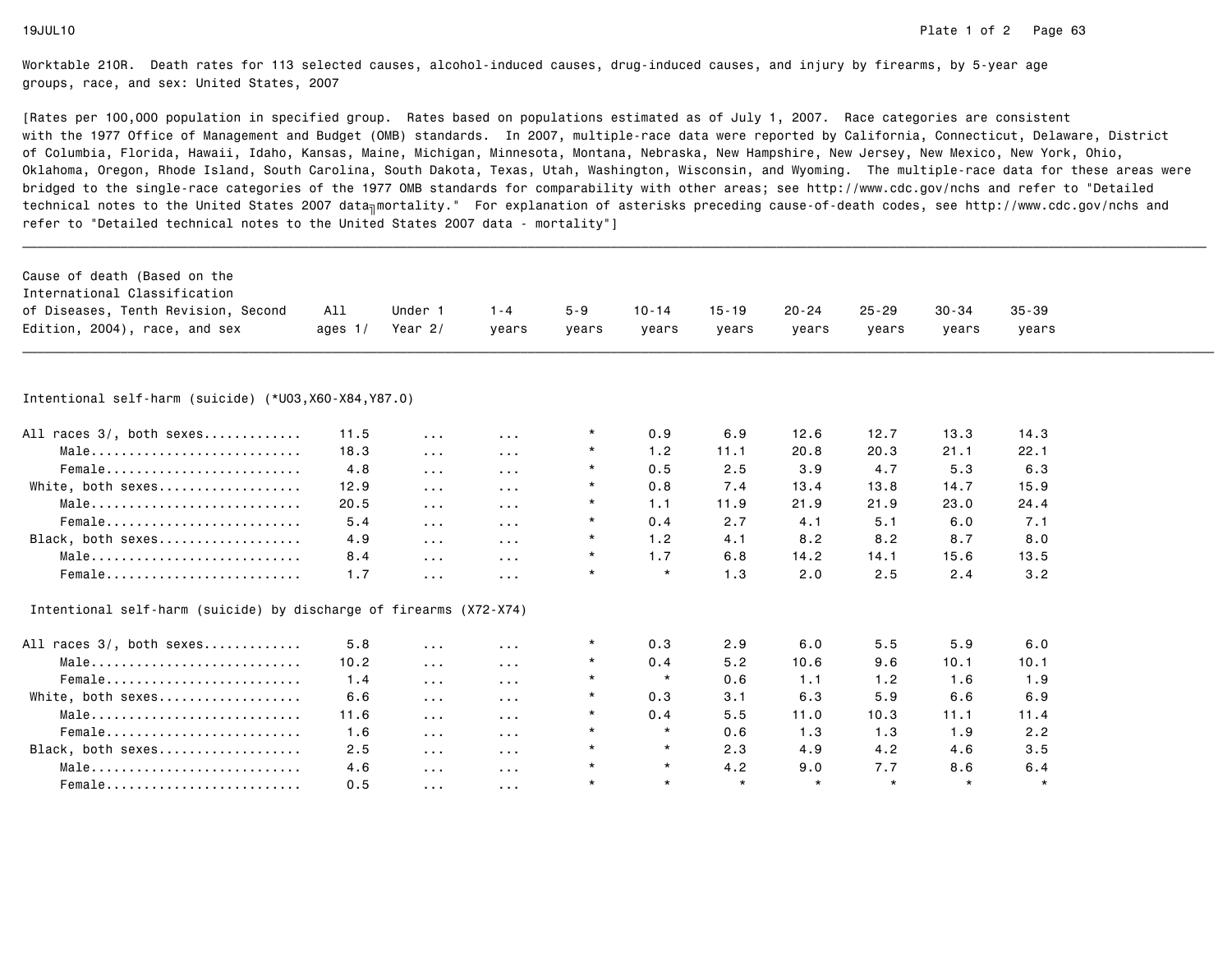| Cause of death (Based on the<br>International Classification<br>of Diseases, Tenth Revision, Second | All       | Under 1              | $1 - 4$                 | $5 - 9$ | $10 - 14$ | $15 - 19$ | $20 - 24$ | $25 - 29$ | $30 - 34$ | $35 - 39$ |  |
|-----------------------------------------------------------------------------------------------------|-----------|----------------------|-------------------------|---------|-----------|-----------|-----------|-----------|-----------|-----------|--|
| Edition, 2004), race, and sex                                                                       | ages $1/$ | Year $2/$            | vears                   | years   | vears     | years     | years     | years     | years     | years     |  |
|                                                                                                     |           |                      |                         |         |           |           |           |           |           |           |  |
|                                                                                                     |           |                      |                         |         |           |           |           |           |           |           |  |
| Intentional self-harm (suicide) (*U03,X60-X84,Y87.0)                                                |           |                      |                         |         |           |           |           |           |           |           |  |
| All races 3/, both sexes                                                                            | 11.5      | $\sim$ $\sim$ $\sim$ | $\sim$ $\sim$ $\sim$    |         | 0.9       | 6.9       | 12.6      | 12.7      | 13.3      | 14.3      |  |
| Male                                                                                                | 18.3      | $\sim$ $\sim$ $\sim$ | $\sim$ $\sim$ $\sim$    |         | 1.2       | 11.1      | 20.8      | 20.3      | 21.1      | 22.1      |  |
| Female                                                                                              | 4.8       | $\sim$ $\sim$ $\sim$ | $\sim$ $\sim$ $\sim$    |         | 0.5       | 2.5       | 3.9       | 4.7       | 5.3       | 6.3       |  |
| White, both sexes                                                                                   | 12.9      | $\sim 100$           | $\sim$ $\sim$ $\sim$    |         | 0.8       | 7.4       | 13.4      | 13.8      | 14.7      | 15.9      |  |
| Male                                                                                                | 20.5      | $\sim$ $\sim$ $\sim$ | $\sim$ $\sim$ $\sim$    | $\star$ | 1.1       | 11.9      | 21.9      | 21.9      | 23.0      | 24.4      |  |
| Female                                                                                              | 5.4       | $\sim$ $\sim$ $\sim$ | $\sim$ $\sim$ $\sim$    | $\star$ | 0.4       | 2.7       | 4.1       | 5.1       | 6.0       | 7.1       |  |
| Black, both sexes                                                                                   | 4.9       | $\sim$ $\sim$ $\sim$ | $\sim$ $\sim$ $\sim$    | $\star$ | 1.2       | 4.1       | 8.2       | 8.2       | 8.7       | 8.0       |  |
| Male                                                                                                | 8.4       | $\sim 100$           | $\sim$ $\sim$ $\sim$    | $\star$ | 1.7       | 6.8       | 14.2      | 14.1      | 15.6      | 13.5      |  |
| Female                                                                                              | 1.7       | $\sim$ $\sim$ $\sim$ | $\sim$ $\sim$ $\sim$    | $\star$ | $\star$   | 1.3       | 2.0       | 2.5       | 2.4       | 3.2       |  |
| Intentional self-harm (suicide) by discharge of firearms (X72-X74)                                  |           |                      |                         |         |           |           |           |           |           |           |  |
| All races 3/, both sexes                                                                            | 5.8       | $\sim$ $\sim$ $\sim$ | $\sim$ $\sim$ $\sim$    |         | 0.3       | 2.9       | 6.0       | 5.5       | 5.9       | 6.0       |  |
| Male                                                                                                | 10.2      | $\sim 100$           | $\sim 100$ km s $^{-1}$ | $\star$ | 0.4       | 5.2       | 10.6      | 9.6       | 10.1      | 10.1      |  |
| Female                                                                                              | 1.4       | $\sim$ $\sim$ $\sim$ | $\sim$ $\sim$ $\sim$    | $\star$ | $\star$   | 0.6       | 1.1       | 1.2       | 1.6       | 1.9       |  |
| White, both sexes                                                                                   | 6.6       | $\sim$ $\sim$ $\sim$ | $\sim$ $\sim$ $\sim$    | $\star$ | 0.3       | 3.1       | 6.3       | 5.9       | 6.6       | 6.9       |  |
| Male                                                                                                | 11.6      | $\sim$ $\sim$ $\sim$ | $\sim$ $\sim$ $\sim$    | $\star$ | 0.4       | 5.5       | 11.0      | 10.3      | 11.1      | 11.4      |  |
| Female                                                                                              | 1.6       | $\sim$ $\sim$ $\sim$ | $\sim$ $\sim$ $\sim$    | $\star$ | $\star$   | 0.6       | 1.3       | 1.3       | 1.9       | 2.2       |  |
| Black, both sexes                                                                                   | 2.5       | $\sim$ $\sim$ $\sim$ | $\sim$ $\sim$ $\sim$    | $\star$ | $\star$   | 2.3       | 4.9       | 4.2       | 4.6       | 3.5       |  |
| Male                                                                                                | 4.6       | $\sim$ $\sim$ $\sim$ | $\sim$ $\sim$ $\sim$    | $\star$ | $\star$   | 4.2       | 9.0       | 7.7       | 8.6       | 6.4       |  |
| Female                                                                                              | 0.5       | $\sim 100$           | $\sim$ $\sim$ $\sim$    | $\star$ | $\star$   | $\star$   | $\star$   | $\star$   | $\star$   | $\star$   |  |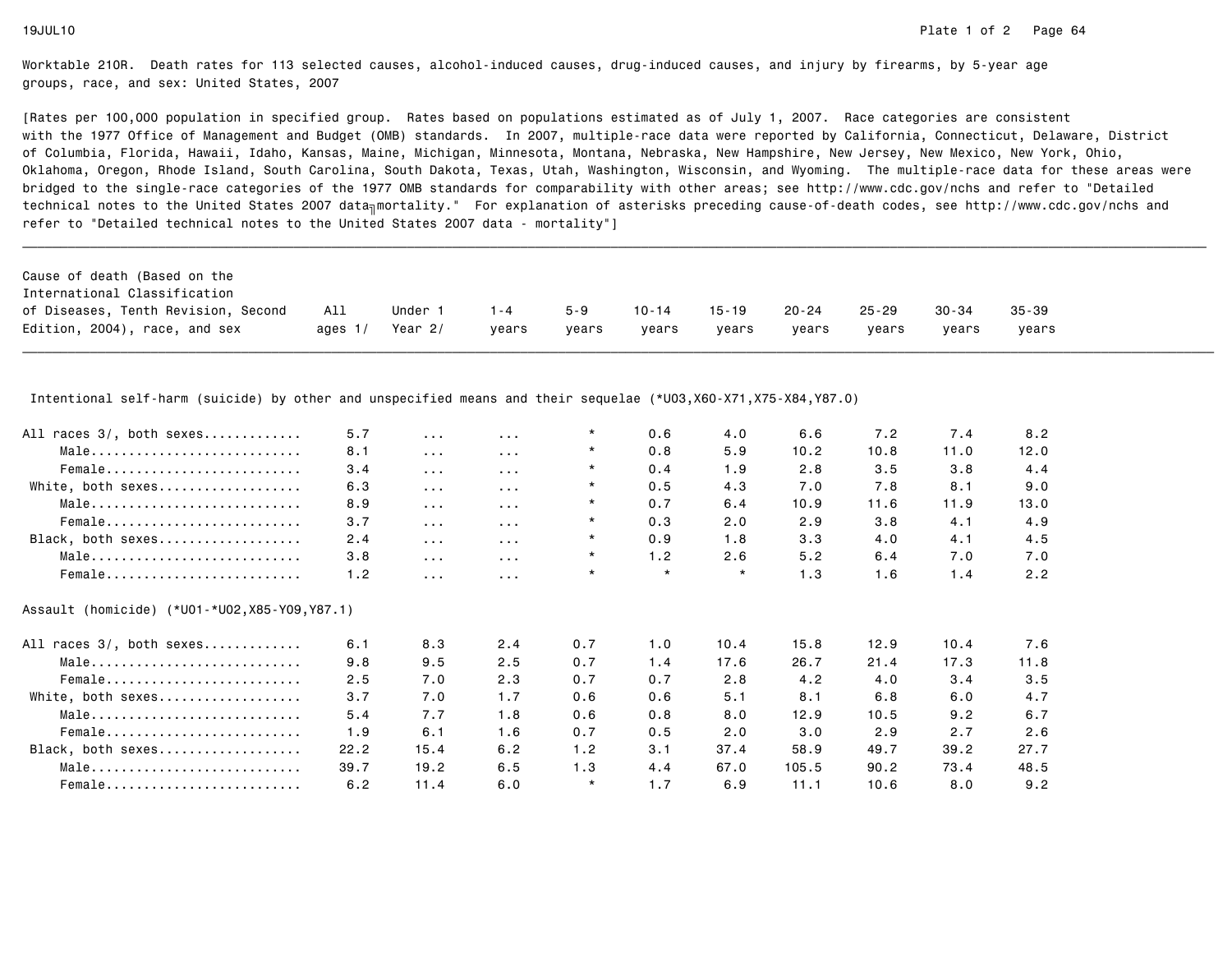[Rates per 100,000 population in specified group. Rates based on populations estimated as of July 1, 2007. Race categories are consistent with the 1977 Office of Management and Budget (OMB) standards. In 2007, multiple-race data were reported by California, Connecticut, Delaware, Districtof Columbia, Florida, Hawaii, Idaho, Kansas, Maine, Michigan, Minnesota, Montana, Nebraska, New Hampshire, New Jersey, New Mexico, New York, Ohio, Oklahoma, Oregon, Rhode Island, South Carolina, South Dakota, Texas, Utah, Washington, Wisconsin, and Wyoming. The multiple-race data for these areas werebridged to the single-race categories of the 1977 OMB standards for comparability with other areas; see http://www.cdc.gov/nchs and refer to "Detailedtechnical notes to the United States 2007 data<sub>∏</sub>mortality." For explanation of asterisks preceding cause-of-death codes, see http://www.cdc.gov/nchs and refer to "Detailed technical notes to the United States 2007 data - mortality"]

| Cause of death (Based on the        |           |         |         |         |           |           |           |           |           |           |
|-------------------------------------|-----------|---------|---------|---------|-----------|-----------|-----------|-----------|-----------|-----------|
| International Classification        |           |         |         |         |           |           |           |           |           |           |
| of Diseases, Tenth Revision, Second | All       | Under   | $1 - 4$ | $5 - 9$ | $10 - 14$ | $15 - 19$ | $20 - 24$ | $25 - 29$ | $30 - 34$ | $35 - 39$ |
| Edition, 2004), race, and sex       | ages $1/$ | Year 2/ | vears   | vears   | vears     | vears     | vears     | vears     | vears     | vears     |

Intentional self-harm (suicide) by other and unspecified means and their sequelae (\*U03,X60-X71,X75-X84,Y87.0)

| All races 3/, both sexes | 5.7  | $\cdots$             | .                    | $\star$ | 0.6     | 4.0     | 6.6   | 7.2  | 7.4  | 8.2  |
|--------------------------|------|----------------------|----------------------|---------|---------|---------|-------|------|------|------|
| Male                     | 8.1  | $\sim$ $\sim$ $\sim$ | $\sim$ $\sim$ $\sim$ | $\star$ | 0.8     | 5.9     | 10.2  | 10.8 | 11.0 | 12.0 |
| Female                   | 3.4  | $\sim 100$           | $\sim$ $\sim$ $\sim$ | $\star$ | 0.4     | 1.9     | 2.8   | 3.5  | 3.8  | 4.4  |
| White, both sexes        | 6.3  | $\sim$ $\sim$ $\sim$ | $\sim$ $\sim$ $\sim$ | $\star$ | 0.5     | 4.3     | 7.0   | 7.8  | 8.1  | 9.0  |
| Male                     | 8.9  | $\sim$ $\sim$ $\sim$ | $\sim$ $\sim$ $\sim$ | $\star$ | 0.7     | 6.4     | 10.9  | 11.6 | 11.9 | 13.0 |
| Female                   | 3.7  | $\sim$ $\sim$ $\sim$ | $\sim$ $\sim$ $\sim$ | $\star$ | 0.3     | 2.0     | 2.9   | 3.8  | 4.1  | 4.9  |
| Black, both sexes        | 2.4  | $\sim$ $\sim$ $\sim$ | $\sim$ $\sim$ $\sim$ | $\star$ | 0.9     | 1.8     | 3.3   | 4.0  | 4.1  | 4.5  |
| Male                     | 3.8  | $\sim$ $\sim$ $\sim$ | $\cdots$             | $\star$ | 1.2     | 2.6     | 5.2   | 6.4  | 7.0  | 7.0  |
| Female                   | 1.2  | $\sim$ $\sim$ $\sim$ | $\sim$ $\sim$ $\sim$ | $\star$ | $\star$ | $\star$ | 1.3   | 1.6  | 1.4  | 2.2  |
| All races 3/, both sexes | 6.1  | 8.3                  | 2.4                  | 0.7     | 1.0     | 10.4    | 15.8  | 12.9 | 10.4 | 7.6  |
|                          |      |                      |                      |         |         |         |       |      |      |      |
| Male                     | 9.8  | 9.5                  | 2.5                  | 0.7     | 1.4     | 17.6    | 26.7  | 21.4 | 17.3 | 11.8 |
| Female                   | 2.5  | 7.0                  | 2.3                  | 0.7     | 0.7     | 2.8     | 4.2   | 4.0  | 3.4  | 3.5  |
| White, both sexes        | 3.7  | 7.0                  | 1.7                  | 0.6     | 0.6     | 5.1     | 8.1   | 6.8  | 6.0  | 4.7  |
| Male                     | 5.4  | 7.7                  | 1.8                  | 0.6     | 0.8     | 8.0     | 12.9  | 10.5 | 9.2  | 6.7  |
| Female                   | 1.9  | 6.1                  | 1.6                  | 0.7     | 0.5     | 2.0     | 3.0   | 2.9  | 2.7  | 2.6  |
| Black, both sexes        | 22.2 | 15.4                 | 6.2                  | 1.2     | 3.1     | 37.4    | 58.9  | 49.7 | 39.2 | 27.7 |
| Male                     | 39.7 | 19.2                 | 6.5                  | 1.3     | 4.4     | 67.0    | 105.5 | 90.2 | 73.4 | 48.5 |
| Female                   | 6.2  | 11.4                 | 6.0                  | $\star$ | 1.7     | 6.9     | 11.1  | 10.6 | 8.0  | 9.2  |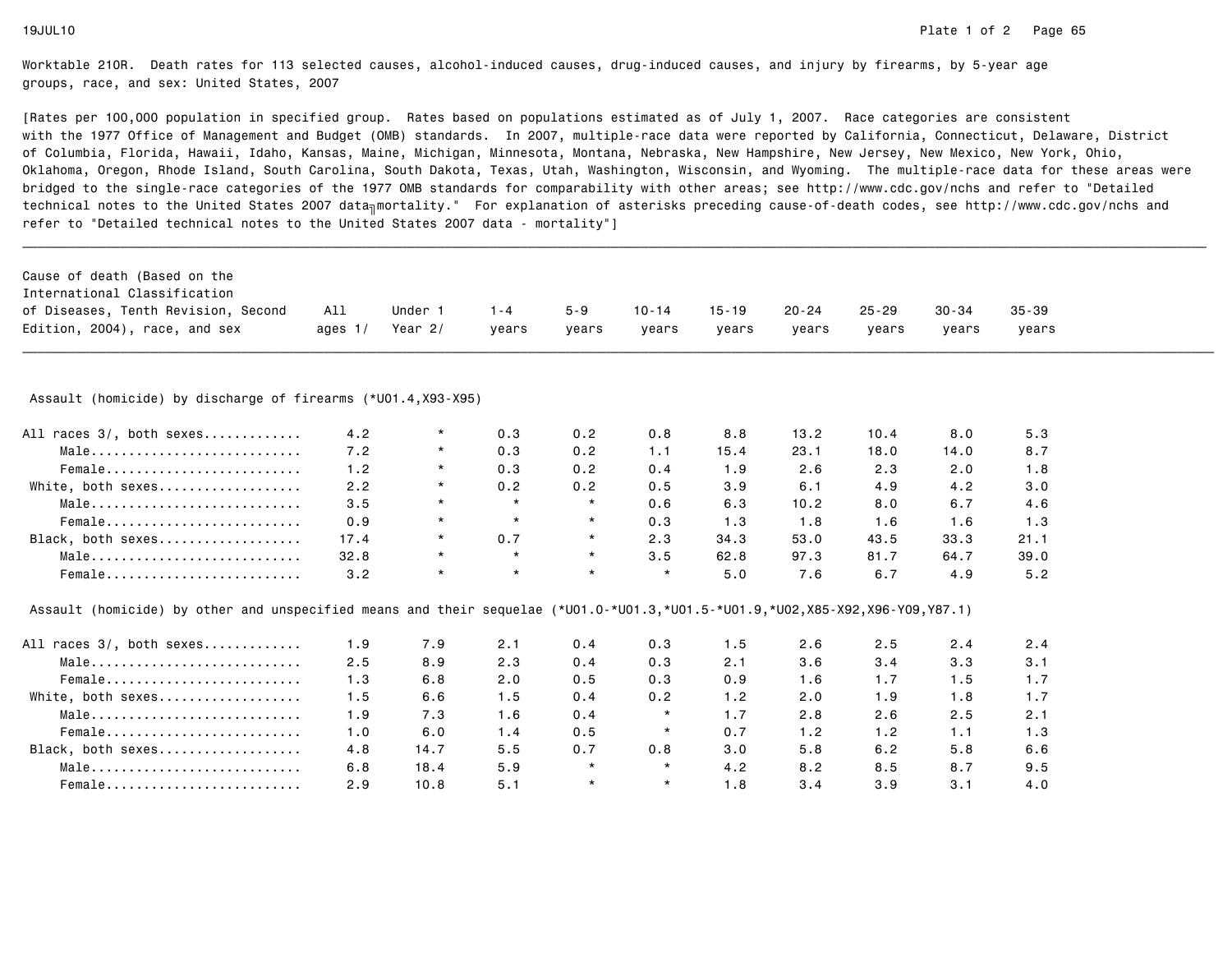| Cause of death (Based on the                                                                                                  |           |         |         |         |           |           |           |           |           |           |
|-------------------------------------------------------------------------------------------------------------------------------|-----------|---------|---------|---------|-----------|-----------|-----------|-----------|-----------|-----------|
| International Classification                                                                                                  |           |         |         |         |           |           |           |           |           |           |
| of Diseases, Tenth Revision, Second                                                                                           | All       | Under 1 | $1 - 4$ | $5 - 9$ | $10 - 14$ | $15 - 19$ | $20 - 24$ | $25 - 29$ | $30 - 34$ | $35 - 39$ |
| Edition, 2004), race, and sex                                                                                                 | ages $1/$ | Year 2/ | years   | vears   | vears     | years     | years     | vears     | years     | years     |
| Assault (homicide) by discharge of firearms (*U01.4, X93-X95)                                                                 |           |         |         |         |           |           |           |           |           |           |
| All races 3/, both sexes                                                                                                      | 4.2       | $\star$ | 0.3     | 0.2     | 0.8       | 8.8       | 13.2      | 10.4      | 8.0       | 5.3       |
| Male                                                                                                                          | 7.2       | $\star$ | 0.3     | 0.2     | 1.1       | 15.4      | 23.1      | 18.0      | 14.0      | 8.7       |
| Female                                                                                                                        | 1.2       | $\star$ | 0.3     | 0.2     | 0.4       | 1.9       | 2.6       | 2.3       | 2.0       | 1.8       |
| White, both sexes                                                                                                             | 2.2       | $\star$ | 0.2     | 0.2     | 0.5       | 3.9       | 6.1       | 4.9       | 4.2       | 3.0       |
| Male                                                                                                                          | 3.5       | $\star$ | $\star$ | $\star$ | 0.6       | 6.3       | 10.2      | 8.0       | 6.7       | 4.6       |
| Female                                                                                                                        | 0.9       | $\star$ | $\star$ | $\star$ | 0.3       | 1.3       | 1.8       | 1.6       | 1.6       | 1.3       |
| Black, both sexes                                                                                                             | 17.4      | $\star$ | 0.7     | $\star$ | 2.3       | 34.3      | 53.0      | 43.5      | 33.3      | 21.1      |
| Male                                                                                                                          | 32.8      | $\star$ | $\star$ | $\star$ | 3.5       | 62.8      | 97.3      | 81.7      | 64.7      | 39.0      |
| Female                                                                                                                        | 3.2       | $\star$ | $\star$ | $\star$ | $\star$   | 5.0       | 7.6       | 6.7       | 4.9       | 5.2       |
| Assault (homicide) by other and unspecified means and their sequelae (*U01.0-*U01.3,*U01.5-*U01.9,*U02,X85-X92,X96-Y09,Y87.1) |           |         |         |         |           |           |           |           |           |           |
| All races 3/, both sexes                                                                                                      | 1.9       | 7.9     | 2.1     | 0.4     | 0.3       | 1.5       | 2.6       | 2.5       | 2.4       | 2.4       |
| Male                                                                                                                          | 2.5       | 8.9     | 2.3     | 0.4     | 0.3       | 2.1       | 3.6       | 3.4       | 3.3       | 3.1       |
| Female                                                                                                                        | 1.3       | 6.8     | 2.0     | 0.5     | 0.3       | 0.9       | 1.6       | 1.7       | 1.5       | 1.7       |
| White, both sexes                                                                                                             | 1.5       | 6.6     | 1.5     | 0.4     | 0.2       | 1.2       | 2.0       | 1.9       | 1.8       | 1.7       |
| Male                                                                                                                          | 1.9       | 7.3     | 1.6     | 0.4     | $\star$   | 1.7       | 2.8       | 2.6       | 2.5       | 2.1       |
| Female                                                                                                                        | 1.0       | 6.0     | 1.4     | 0.5     | $\star$   | 0.7       | 1.2       | 1.2       | 1.1       | 1.3       |
| Black, both sexes                                                                                                             | 4.8       | 14.7    | 5.5     | 0.7     | 0.8       | 3.0       | 5.8       | 6.2       | 5.8       | 6.6       |
| Male                                                                                                                          | 6.8       | 18.4    | 5.9     | $\star$ | $\star$   | 4.2       | 8.2       | 8.5       | 8.7       | 9.5       |
| Female                                                                                                                        | 2.9       | 10.8    | 5.1     | $\star$ | $\star$   | 1.8       | 3.4       | 3.9       | 3.1       | 4.0       |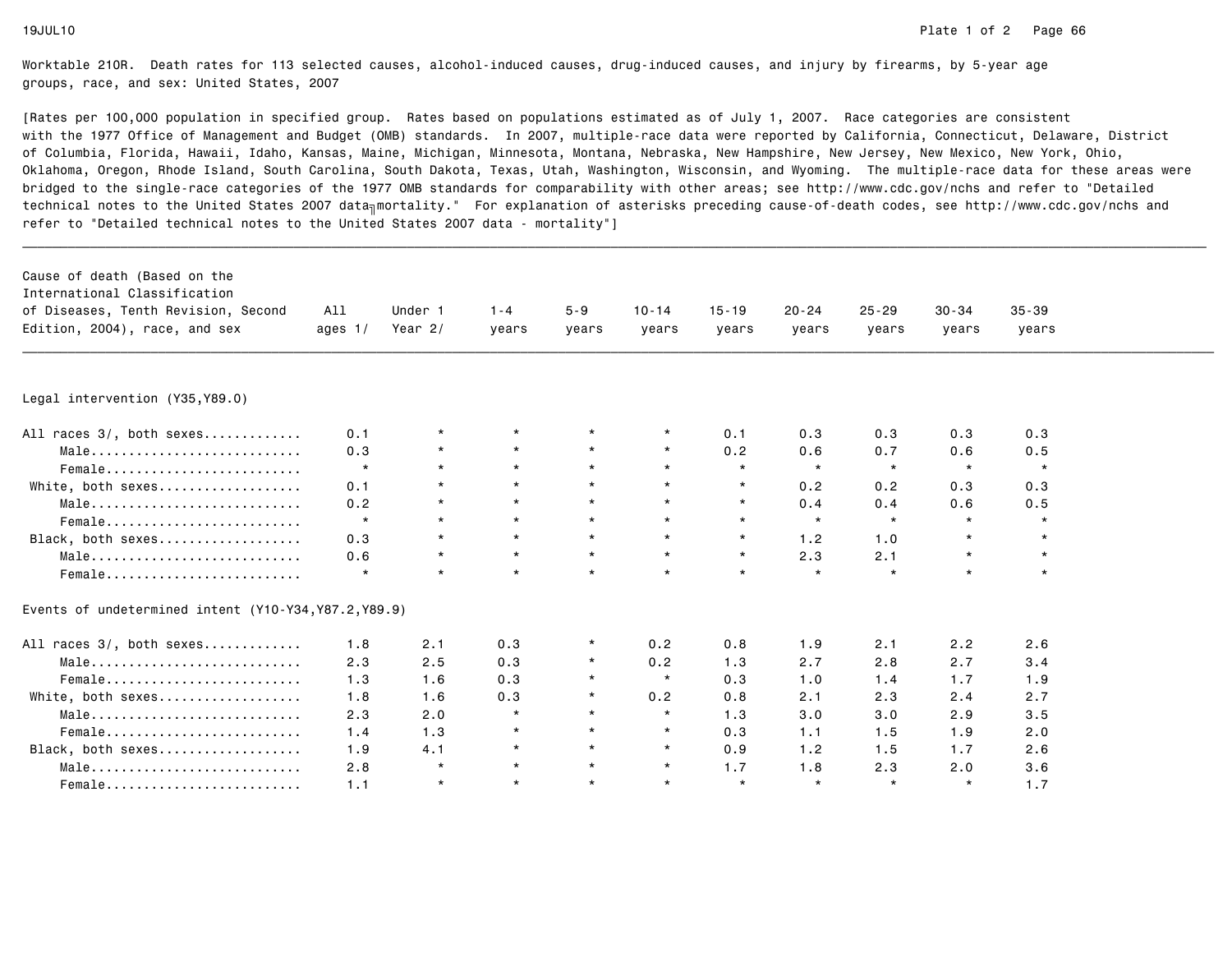| Cause of death (Based on the<br>International Classification<br>of Diseases, Tenth Revision, Second<br>Edition, 2004), race, and sex | All<br>ages $1/$ | Under 1<br>Year $2/$ | $1 - 4$<br>years | $5 - 9$<br>years | $10 - 14$<br>years | $15 - 19$<br>years | $20 - 24$<br>years | $25 - 29$<br>years | $30 - 34$<br>years | $35 - 39$<br>years |  |
|--------------------------------------------------------------------------------------------------------------------------------------|------------------|----------------------|------------------|------------------|--------------------|--------------------|--------------------|--------------------|--------------------|--------------------|--|
|                                                                                                                                      |                  |                      |                  |                  |                    |                    |                    |                    |                    |                    |  |
| Legal intervention (Y35, Y89.0)                                                                                                      |                  |                      |                  |                  |                    |                    |                    |                    |                    |                    |  |
| All races 3/, both sexes                                                                                                             | 0.1              | $\star$              |                  |                  | $\star$            | 0.1                | 0.3                | 0.3                | 0.3                | 0.3                |  |
| Male                                                                                                                                 | 0.3              |                      | $\star$          | $\star$          | $\star$            | 0.2                | 0.6                | 0.7                | 0.6                | 0.5                |  |
| Female                                                                                                                               | $\star$          | $\star$              | $\star$          | $\star$          | $\star$            | $\star$            | $\star$            | $\star$            | $\star$            | $\star$            |  |
| White, both sexes                                                                                                                    | 0.1              | $\star$              | $\star$          | $\star$          | $\star$            | $\star$            | 0.2                | 0.2                | 0.3                | 0.3                |  |
| Male                                                                                                                                 | 0.2              |                      | $\star$          | $\star$          | $\star$            | $\star$            | 0.4                | 0.4                | 0.6                | 0.5                |  |
| Female                                                                                                                               | $\star$          | $\star$              | $\star$          | $\star$          | $\star$            | $\star$            | $\star$            | $\star$            | $\star$            |                    |  |
| Black, both sexes                                                                                                                    | 0.3              | $\star$              | $\star$          | $\star$          | $\star$            | $\star$            | 1.2                | 1.0                |                    |                    |  |
| Male                                                                                                                                 | 0.6              | $\star$              | $\star$          | $\star$          | $\star$            | $\star$            | 2.3                | 2.1                | $\star$            | $\star$            |  |
| Female                                                                                                                               | $\star$          | $\star$              | $\star$          | $\star$          | $\star$            | $\star$            | $\star$            | $\star$            | $\star$            | $\star$            |  |
| Events of undetermined intent (Y10-Y34, Y87.2, Y89.9)                                                                                |                  |                      |                  |                  |                    |                    |                    |                    |                    |                    |  |
| All races 3/, both sexes                                                                                                             | 1.8              | 2.1                  | 0.3              |                  | 0.2                | 0.8                | 1.9                | 2.1                | 2.2                | 2.6                |  |
| Male                                                                                                                                 | 2.3              | 2.5                  | 0.3              |                  | 0.2                | 1.3                | 2.7                | 2.8                | 2.7                | 3.4                |  |
| Female                                                                                                                               | 1.3              | 1.6                  | 0.3              |                  | $\star$            | 0.3                | 1.0                | 1.4                | 1.7                | 1.9                |  |
| White, both sexes                                                                                                                    | 1.8              | 1.6                  | 0.3              | $\star$          | 0.2                | 0.8                | 2.1                | 2.3                | 2.4                | 2.7                |  |
| Male                                                                                                                                 | 2.3              | 2.0                  | $\star$          | $\star$          | $\star$            | 1.3                | 3.0                | 3.0                | 2.9                | 3.5                |  |
| Female                                                                                                                               | 1.4              | 1.3                  | $\star$          | $\star$          | $\star$            | 0.3                | 1.1                | 1.5                | 1.9                | 2.0                |  |
| Black, both sexes                                                                                                                    | 1.9              | 4.1                  | $\star$          | $\star$          | $\star$            | 0.9                | 1.2                | 1.5                | 1.7                | 2.6                |  |
| Male                                                                                                                                 | 2.8              | $\star$              | $\star$          | $\star$          | $\star$            | 1.7                | 1.8                | 2.3                | 2.0                | 3.6                |  |
| Female                                                                                                                               | 1.1              | $\star$              | $\star$          | $\star$          | $\star$            | $\star$            | $\star$            | $\star$            | $\star$            | 1.7                |  |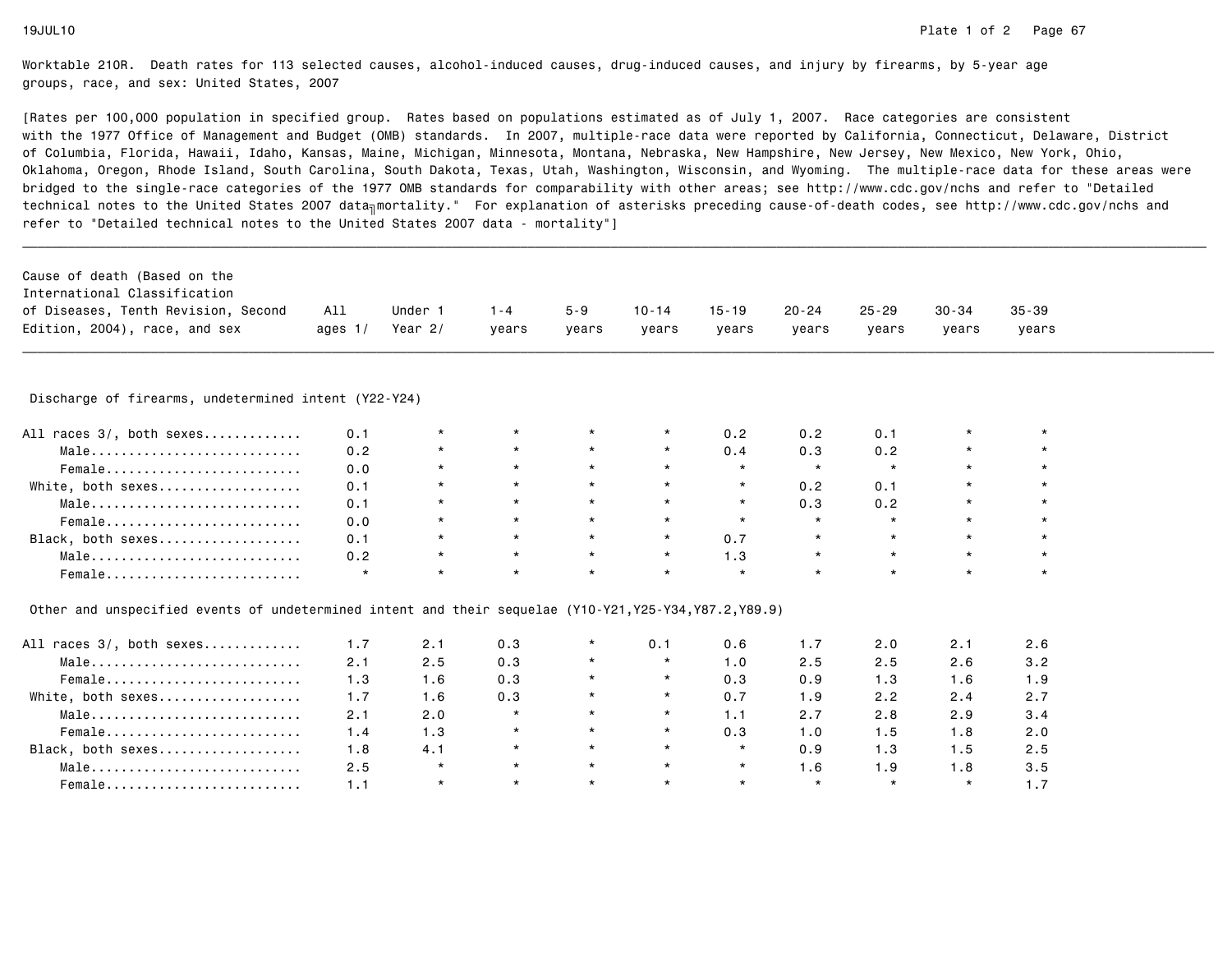| Cause of death (Based on the<br>International Classification<br>of Diseases, Tenth Revision, Second<br>Edition, 2004), race, and sex | All<br>ages $1/$ | Under 1<br>Year 2/ | $1 - 4$<br>years | $5 - 9$<br>years | $10 - 14$<br>years | $15 - 19$<br>years | 20-24<br>years | $25 - 29$<br>years | 30-34<br>vears | $35 - 39$<br>years |  |
|--------------------------------------------------------------------------------------------------------------------------------------|------------------|--------------------|------------------|------------------|--------------------|--------------------|----------------|--------------------|----------------|--------------------|--|
| Discharge of firearms, undetermined intent (Y22-Y24)                                                                                 |                  |                    |                  |                  |                    |                    |                |                    |                |                    |  |
| All races 3/, both sexes                                                                                                             | 0.1              | $\star$            |                  |                  | $\star$            | 0.2                | 0.2            | 0.1                |                |                    |  |
| $Male \dots \dots \dots \dots \dots \dots \dots \dots \dots \dots$                                                                   | 0.2              | $\star$            | $\star$          | $\star$          | $\star$            | 0.4                | 0.3            | 0.2                | $\star$        | $\star$            |  |
| Female                                                                                                                               | 0.0              | $\star$            | $\star$          | $\star$          | $\star$            | $\star$            | $\star$        | $\star$            | $\star$        | $\star$            |  |
| White, both sexes                                                                                                                    | 0.1              | $\star$            | $\star$          | $\star$          | $\star$            | $\star$            | 0.2            | 0.1                | $\star$        | $\star$            |  |
|                                                                                                                                      | 0.1              | $\star$            | $\star$          | $\star$          | $\star$            | $\star$            | 0.3            | 0.2                | $\star$        | $\star$            |  |
| Male                                                                                                                                 |                  |                    |                  |                  |                    |                    |                |                    |                |                    |  |
| Female                                                                                                                               | 0.0              | $\star$            | $\star$          | $\star$          | $\star$            | $\star$            | $\star$        |                    | $\star$        | $\star$            |  |
| Black, both sexes                                                                                                                    | 0.1              | $\star$            | $\star$          | $\star$          | $\star$            | 0.7                | $\star$        | $\star$            | $\star$        | $\star$            |  |
| Male                                                                                                                                 | 0.2              | $\star$            | $\star$          | $\star$          | $\star$            | 1.3                | $\star$        | $\star$            | $\star$        | $\star$            |  |

| All races 3/, both sexes | 1.7 | 2.1     | 0.3     |         | 0.1     | 0.6     |         | 2.0     | 2.1     | 2.6 |
|--------------------------|-----|---------|---------|---------|---------|---------|---------|---------|---------|-----|
| Male                     | 2.1 | 2.5     | 0.3     |         | $\star$ | 1.0     | 2.5     | 2.5     | 2.6     | 3.2 |
| Female                   | 1.3 | 1.6     | 0.3     | $\star$ | $\star$ | 0.3     | 0.9     | 1.3     | 1.6     |     |
| White, both sexes        | 1.7 | 1.6     | 0.3     |         | $\star$ | 0.7     | 1.9     | 2.2     | 2.4     | 2.7 |
| Male                     | 2.1 | 2.0     | $\star$ | $\star$ | $\star$ | 1 . 1   | 2.7     | 2.8     | 2.9     | 3.4 |
| Female                   | 1.4 | 1.3     |         | $\star$ | $\star$ | 0.3     | 1.0     | 1.5     | 1.8     | 2.0 |
| Black, both sexes        | 1.8 | 4.1     | $\star$ | $\star$ | $\star$ | $\star$ | 0.9     | 1.3     | 1.5     | 2.5 |
| Male                     | 2.5 | $\star$ | $\star$ | $\star$ | $\star$ | $\star$ | . 6     | ∣.9     | 1.8     | 3.5 |
| Female                   |     | $\star$ | $\star$ | $\star$ | $\star$ | $\star$ | $\star$ | $\star$ | $\star$ |     |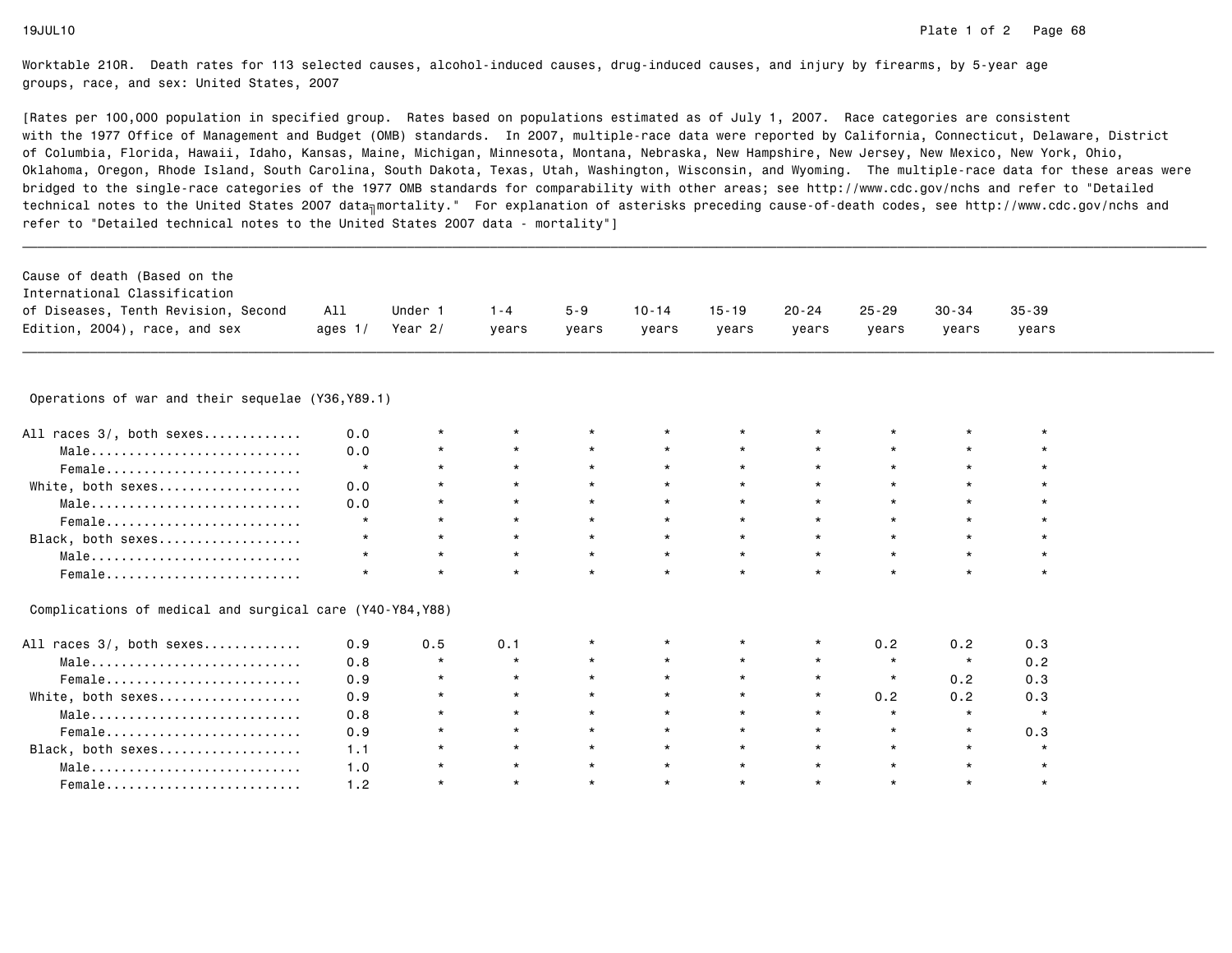| Cause of death (Based on the                             |           |           |         |         |           |           |           |           |           |           |  |
|----------------------------------------------------------|-----------|-----------|---------|---------|-----------|-----------|-----------|-----------|-----------|-----------|--|
| International Classification                             |           |           |         |         |           |           |           |           |           |           |  |
| of Diseases, Tenth Revision, Second                      | All       | Under 1   | $1 - 4$ | $5 - 9$ | $10 - 14$ | $15 - 19$ | $20 - 24$ | $25 - 29$ | $30 - 34$ | $35 - 39$ |  |
| Edition, 2004), race, and sex                            | ages $1/$ | Year $2/$ | vears   | vears   | vears     | vears     | years     | vears     | vears     | vears     |  |
|                                                          |           |           |         |         |           |           |           |           |           |           |  |
| Operations of war and their sequelae (Y36, Y89.1)        |           |           |         |         |           |           |           |           |           |           |  |
| All races 3/, both sexes                                 | 0.0       | $\star$   | $\star$ |         |           | $\star$   |           |           | $\star$   |           |  |
| Male                                                     | 0.0       | *         | $\star$ | $\star$ | $\star$   | $\star$   | $\star$   | $\star$   | $\star$   |           |  |
| Female                                                   | $\star$   | $\star$   | $\star$ |         | $\star$   | $\star$   |           | $\star$   | $\star$   |           |  |
| White, both sexes                                        | 0.0       | $\star$   | $\star$ | $\star$ | $\star$   | $\star$   | $\star$   | $\star$   | $\star$   |           |  |
| Male                                                     | 0.0       | $\star$   | $\star$ |         | $\star$   | $\star$   | $\star$   | $\star$   | $\star$   |           |  |
| Female                                                   | $\star$   | $\star$   | $\star$ | $\star$ | $\star$   | $\star$   | $\star$   | $\star$   | $\star$   |           |  |
| Black, both sexes                                        | $\star$   | $\star$   | $\star$ | $\star$ | $\star$   | $\star$   | $\star$   | $\star$   | $\star$   | $\star$   |  |
| Male                                                     | $\star$   | $\star$   | $\star$ | $\star$ | $\star$   | $\star$   | $\star$   | $\star$   | $\star$   | $\star$   |  |
| Female                                                   |           | $\star$   | $\star$ |         | $\star$   | $\star$   | $\star$   | $\star$   | $\star$   | $\star$   |  |
| Complications of medical and surgical care (Y40-Y84,Y88) |           |           |         |         |           |           |           |           |           |           |  |
| All races 3/, both sexes                                 | 0.9       | 0.5       | 0.1     |         |           | $\star$   | $^\star$  | 0.2       | 0.2       | 0.3       |  |
| Male                                                     | 0.8       | $\star$   | $\star$ | $\star$ | $\star$   | $\star$   | $\star$   | $\star$   | $\star$   | 0.2       |  |
| Female                                                   | 0.9       | $\star$   | $\star$ |         | $\star$   | $\star$   | $\star$   | $\star$   | 0.2       | 0.3       |  |
| White, both sexes                                        | 0.9       | $\star$   | $\star$ | $\star$ | $\star$   | $\star$   | $\star$   | 0.2       | 0.2       | 0.3       |  |
| Male                                                     | 0.8       | $\star$   | $\star$ | $\star$ | $\star$   | $\star$   | $\star$   | $\star$   | $\star$   | $\star$   |  |
| Female                                                   | 0.9       | $\star$   | $\star$ | $\star$ | $\star$   | $\star$   | $\star$   | $\star$   | $\star$   | 0.3       |  |
| Black, both sexes                                        | 1.1       | $\star$   | $\star$ | $\star$ | $\star$   | $\star$   | $\star$   | $\star$   | $\star$   | $\star$   |  |
| Male                                                     | 1.0       | $\star$   | $\star$ | $\star$ | $\star$   | $\star$   | $\star$   | $\star$   | $\star$   | $\star$   |  |
| Female                                                   | 1.2       | $\star$   | $\star$ | $\star$ | $\star$   | $\star$   | $\star$   | $\star$   | $\star$   | $\star$   |  |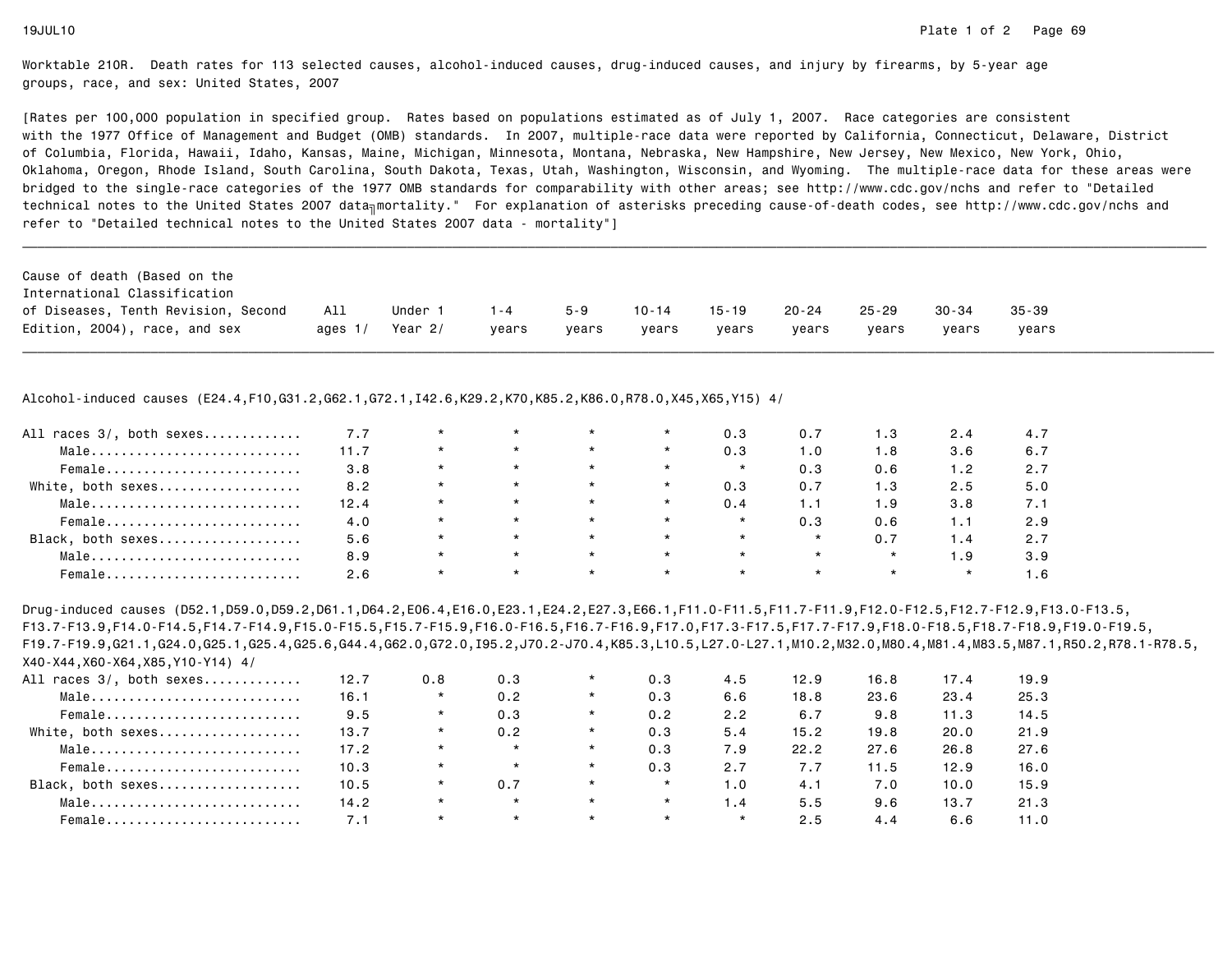[Rates per 100,000 population in specified group. Rates based on populations estimated as of July 1, 2007. Race categories are consistent with the 1977 Office of Management and Budget (OMB) standards. In 2007, multiple-race data were reported by California, Connecticut, Delaware, Districtof Columbia, Florida, Hawaii, Idaho, Kansas, Maine, Michigan, Minnesota, Montana, Nebraska, New Hampshire, New Jersey, New Mexico, New York, Ohio, Oklahoma, Oregon, Rhode Island, South Carolina, South Dakota, Texas, Utah, Washington, Wisconsin, and Wyoming. The multiple-race data for these areas werebridged to the single-race categories of the 1977 OMB standards for comparability with other areas; see http://www.cdc.gov/nchs and refer to "Detailedtechnical notes to the United States 2007 data<sub>∏</sub>mortality." For explanation of asterisks preceding cause-of-death codes, see http://www.cdc.gov/nchs and refer to "Detailed technical notes to the United States 2007 data - mortality"]

| Cause of death (Based on the        |      |         |       |         |           |           |           |           |           |           |
|-------------------------------------|------|---------|-------|---------|-----------|-----------|-----------|-----------|-----------|-----------|
| International Classification        |      |         |       |         |           |           |           |           |           |           |
| of Diseases, Tenth Revision, Second | All  | Under 1 | 1 - 4 | $5 - 9$ | $10 - 14$ | $15 - 19$ | $20 - 24$ | $25 - 29$ | $30 - 34$ | $35 - 39$ |
| Edition, 2004), race, and sex       | ages | Year 2/ | vears | vears   | vears     | vears     | vears     | vears     | vears     | vears     |

\_\_\_\_\_\_\_\_\_\_\_\_\_\_\_\_\_\_\_\_\_\_\_\_\_\_\_\_\_\_\_\_\_\_\_\_\_\_\_\_\_\_\_\_\_\_\_\_\_\_\_\_\_\_\_\_\_\_\_\_\_\_\_\_\_\_\_\_\_\_\_\_\_\_\_\_\_\_\_\_\_\_\_\_\_\_\_\_\_\_\_\_\_\_\_\_\_\_\_\_\_\_\_\_\_\_\_\_\_\_\_\_\_\_\_\_\_\_\_\_\_\_\_\_\_\_\_\_\_\_\_\_\_\_\_\_\_\_\_\_\_\_\_\_\_\_\_\_\_\_\_\_\_\_\_\_\_\_

Alcohol-induced causes (E24.4,F10,G31.2,G62.1,G72.1,I42.6,K29.2,K70,K85.2,K86.0,R78.0,X45,X65,Y15) 4/

| All races 3/, both sexes | 7.7  |         | $\star$ |         | $\star$ | 0.3     | 0.7     | 1.3 | 2.4 |     |
|--------------------------|------|---------|---------|---------|---------|---------|---------|-----|-----|-----|
| Male                     | 11.7 | $\star$ | $\star$ | $\star$ | $\star$ | 0.3     | 1.0     | I.8 | 3.6 | 6.7 |
| Female                   | 3.8  |         | $\star$ | $\star$ | $\star$ | $\star$ | 0.3     | 0.6 | 1.2 |     |
| White, both sexes        | 8.2  | $\star$ |         |         | $\star$ | 0.3     | 0.7     | 1.3 | 2.5 | 5.0 |
| Male                     | 12.4 | $\star$ | $\star$ | $\star$ | $\star$ | 0.4     |         | 1.9 | 3.8 |     |
| Female                   | 4.0  | $\star$ | $\star$ | $\star$ | $\star$ | $\star$ | 0.3     | 0.6 | 1.1 | 2.9 |
| Black, both sexes        | 5.6  | $\star$ | $\star$ | $\star$ | $\star$ | $\star$ | $\star$ | 0.7 | 1.4 | 2.7 |
| Male                     | 8.9  |         |         | $\star$ | $\star$ | $\star$ | $\star$ |     | 1.9 | 3.9 |
| Female                   | 2.6  |         |         |         | $\star$ | $\star$ | $\star$ |     |     |     |

Drug-induced causes (D52.1,D59.0,D59.2,D61.1,D64.2,E06.4,E16.0,E23.1,E24.2,E27.3,E66.1,F11.0-F11.5,F11.7-F11.9,F12.0-F12.5,F12.7-F12.9,F13.0-F13.5, F13.7-F13.9,F14.0-F14.5,F14.7-F14.9,F15.0-F15.5,F15.7-F15.9,F16.0-F16.5,F16.7-F16.9,F17.0,F17.3-F17.5,F17.7-F17.9,F18.0-F18.5,F18.7-F18.9,F19.0-F19.5, F19.7-F19.9,G21.1,G24.0,G25.1,G25.4,G25.6,G44.4,G62.0,G72.0,I95.2,J70.2-J70.4,K85.3,L10.5,L27.0-L27.1,M10.2,M32.0,M80.4,M81.4,M83.5,M87.1,R50.2,R78.1-R78.5,X40-X44,X60-X64,X85,Y10-Y14) 4/

| All races 3/, both sexes | 12.7 | 0.8     | 0.3     | $\star$ | 0.3     | 4.5     | 12.9 | 16.8 | 17.4 | 19.9 |
|--------------------------|------|---------|---------|---------|---------|---------|------|------|------|------|
| Male                     | 16.1 | $\star$ | 0.2     | $\star$ | 0.3     | 6.6     | 18.8 | 23.6 | 23.4 | 25.3 |
| Female                   | 9.5  | $\star$ | 0.3     | $\star$ | 0.2     | 2.2     | 6.7  | 9.8  | 11.3 | 14.5 |
| White, both sexes        | 13.7 | $\star$ | 0.2     | $\star$ | 0.3     | 5.4     | 15.2 | 19.8 | 20.0 | 21.9 |
| Male                     | 17.2 | $\star$ |         | $\star$ | 0.3     | 7.9     | 22.2 | 27.6 | 26.8 | 27.6 |
| Female                   | 10.3 | $\star$ | $\star$ | $\star$ | 0.3     | 2.7     | 7.7  | 11.5 | 12.9 | 16.0 |
| Black, both sexes        | 10.5 | $\star$ | 0.7     | $\star$ | $\star$ | 1.0     | 4.1  | 7.0  | 10.0 | 15.9 |
| Male                     | 14.2 | $\star$ | $\star$ | $\star$ | $\star$ | 1.4     | 5.5  | 9.6  | 13.7 | 21.3 |
| Female                   | 7.1  | $\star$ |         | $\star$ | $\star$ | $\star$ | 2.5  | 4.4  | 6.6  | 11.0 |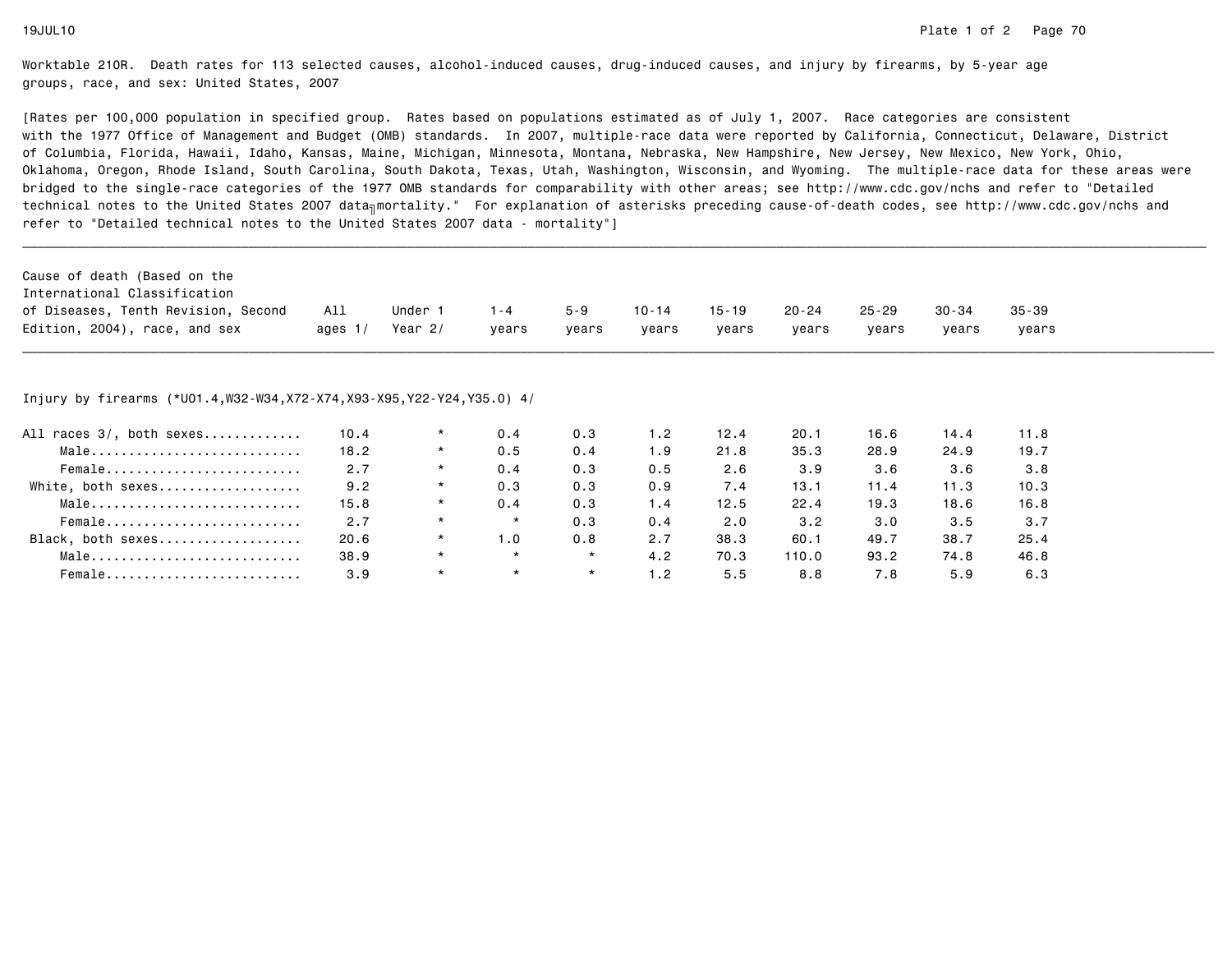[Rates per 100,000 population in specified group. Rates based on populations estimated as of July 1, 2007. Race categories are consistent with the 1977 Office of Management and Budget (OMB) standards. In 2007, multiple-race data were reported by California, Connecticut, Delaware, Districtof Columbia, Florida, Hawaii, Idaho, Kansas, Maine, Michigan, Minnesota, Montana, Nebraska, New Hampshire, New Jersey, New Mexico, New York, Ohio, Oklahoma, Oregon, Rhode Island, South Carolina, South Dakota, Texas, Utah, Washington, Wisconsin, and Wyoming. The multiple-race data for these areas werebridged to the single-race categories of the 1977 OMB standards for comparability with other areas; see http://www.cdc.gov/nchs and refer to "Detailedtechnical notes to the United States 2007 data<sub>∏</sub>mortality." For explanation of asterisks preceding cause-of-death codes, see http://www.cdc.gov/nchs and refer to "Detailed technical notes to the United States 2007 data - mortality"]

| Cause of death (Based on the        |           |         |         |         |           |           |           |           |       |           |
|-------------------------------------|-----------|---------|---------|---------|-----------|-----------|-----------|-----------|-------|-----------|
| International Classification        |           |         |         |         |           |           |           |           |       |           |
| of Diseases, Tenth Revision, Second | All       | Under 1 | $1 - 4$ | $5 - 9$ | $10 - 14$ | $15 - 19$ | $20 - 24$ | $25 - 29$ | 30-34 | $35 - 39$ |
| Edition, 2004), race, and sex       | ages $1/$ | Year 2/ | vears   | vears   | vears     | vears     | vears     | vears     | vears | vears     |

\_\_\_\_\_\_\_\_\_\_\_\_\_\_\_\_\_\_\_\_\_\_\_\_\_\_\_\_\_\_\_\_\_\_\_\_\_\_\_\_\_\_\_\_\_\_\_\_\_\_\_\_\_\_\_\_\_\_\_\_\_\_\_\_\_\_\_\_\_\_\_\_\_\_\_\_\_\_\_\_\_\_\_\_\_\_\_\_\_\_\_\_\_\_\_\_\_\_\_\_\_\_\_\_\_\_\_\_\_\_\_\_\_\_\_\_\_\_\_\_\_\_\_\_\_\_\_\_\_\_\_\_\_\_\_\_\_\_\_\_\_\_\_\_\_\_\_\_\_\_\_\_\_\_\_\_\_\_

## Injury by firearms (\*U01.4,W32-W34,X72-X74,X93-X95,Y22-Y24,Y35.0) 4/

| All races 3/, both sexes | 10.4 | $\star$ | 0.4     | 0.3     | 1.2                          | 12.4 | 20.1  | 16.6 | 14.4 | 11.8 |
|--------------------------|------|---------|---------|---------|------------------------------|------|-------|------|------|------|
| Male                     | 18.2 | $\star$ | 0.5     | 0.4     | 1.9                          | 21.8 | 35.3  | 28.9 | 24.9 | 19.7 |
| Female                   | 2.7  | $\star$ | 0.4     | 0.3     | 0.5                          | 2.6  | 3.9   | 3.6  | 3.6  | 3.8  |
| White, both sexes        | 9.2  | $\star$ | 0.3     | 0.3     | 0.9                          | 7.4  | 13.1  | 11.4 | 11.3 | 10.3 |
| Male                     | 15.8 | $\star$ | 0.4     | 0.3     | 4 . ا                        | 12.5 | 22.4  | 19.3 | 18.6 | 16.8 |
| Female                   | 2.7  | $\star$ | $\star$ | 0.3     | 0.4                          | 2.0  | 3.2   | 3.0  | 3.5  | 3.7  |
| Black, both sexes        | 20.6 | $\star$ | 1.0     | 0.8     | 2.7                          | 38.3 | 60.1  | 49.7 | 38.7 | 25.4 |
| Male                     | 38.9 | $\star$ | $\star$ | $\star$ | 4.2                          | 70.3 | 110.0 | 93.2 | 74.8 | 46.8 |
| Female                   | 3.9  | $\star$ |         | $\star$ | $\overline{\phantom{0}}$ . 2 | 5.5  | 8.8   | 7.8  | 5.9  | 6.3  |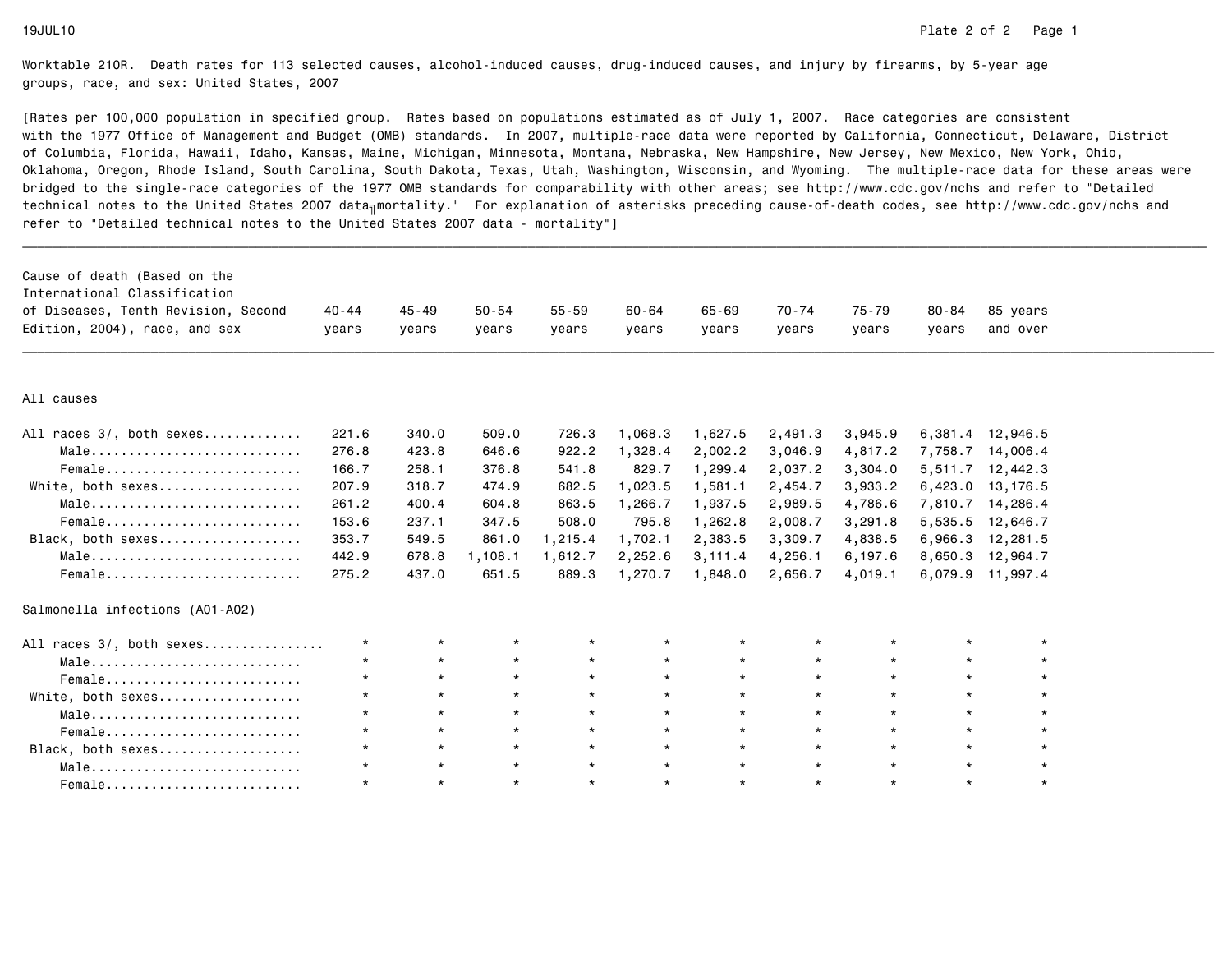| Cause of death (Based on the<br>International Classification<br>of Diseases, Tenth Revision, Second<br>Edition, 2004), race, and sex | 40-44<br>years | 45-49<br>years | $50 - 54$<br>years | $55 - 59$<br>years | $60 - 64$<br>years | $65 - 69$<br>vears | $70 - 74$<br>years | 75-79<br>years | 80-84<br>vears | 85 years<br>and over |  |
|--------------------------------------------------------------------------------------------------------------------------------------|----------------|----------------|--------------------|--------------------|--------------------|--------------------|--------------------|----------------|----------------|----------------------|--|
| All causes                                                                                                                           |                |                |                    |                    |                    |                    |                    |                |                |                      |  |
| All races 3/, both sexes                                                                                                             | 221.6          | 340.0          | 509.0              | 726.3              | 1,068.3            | 1,627.5            | 2,491.3            | 3,945.9        |                | 6,381.4 12,946.5     |  |
| Male                                                                                                                                 | 276.8          | 423.8          | 646.6              | 922.2              | 1,328.4            | 2,002.2            | 3,046.9            | 4,817.2        |                | 7,758.7 14,006.4     |  |
| Female                                                                                                                               | 166.7          | 258.1          | 376.8              | 541.8              | 829.7              | 1,299.4            | 2,037.2            | 3,304.0        |                | 5,511.7 12,442.3     |  |
| White, both sexes                                                                                                                    | 207.9          | 318.7          | 474.9              | 682.5              | 1,023.5            | 1,581.1            | 2,454.7            | 3,933.2        |                | 6,423.0 13,176.5     |  |
| Male                                                                                                                                 | 261.2          | 400.4          | 604.8              | 863.5              | 1,266.7            | 1,937.5            | 2,989.5            | 4,786.6        |                | 7,810.7 14,286.4     |  |
| Female                                                                                                                               | 153.6          | 237.1          | 347.5              | 508.0              | 795.8              | 1,262.8            | 2,008.7            | 3,291.8        |                | 5,535.5 12,646.7     |  |
| Black, both sexes                                                                                                                    | 353.7          | 549.5          | 861.0              | 1,215.4            | 1,702.1            | 2,383.5            | 3,309.7            | 4,838.5        |                | 6,966.3 12,281.5     |  |
| Male                                                                                                                                 | 442.9          | 678.8          | 1,108.1            | 1,612.7            | 2,252.6            | 3,111.4            | 4,256.1            | 6,197.6        |                | 8,650.3 12,964.7     |  |
| Female                                                                                                                               | 275.2          | 437.0          | 651.5              | 889.3              | 1,270.7            | 1,848.0            | 2,656.7            | 4,019.1        |                | 6,079.9 11,997.4     |  |
| Salmonella infections (A01-A02)                                                                                                      |                |                |                    |                    |                    |                    |                    |                |                |                      |  |
| All races 3/, both sexes                                                                                                             | $\star$        | $\star$        | $\star$            | $\star$            | $\star$            | $\star$            | $\star$            | $\star$        | $\star$        | $\star$              |  |
| Male                                                                                                                                 | $\star$        | $\star$        | $\star$            | $\star$            | $\star$            | $\star$            | $\star$            | $\star$        | $\star$        | $\star$              |  |
| Female                                                                                                                               | $\star$        | $\star$        | $\star$            | $\star$            | $\star$            | $\star$            | $\star$            | $\star$        | $\star$        | $\star$              |  |
| White, both sexes                                                                                                                    | $\star$        | $\star$        | $\star$            | $\star$            | $\star$            | $\star$            | $\star$            | $\star$        | $\star$        | $\star$              |  |
| Male                                                                                                                                 | $\star$        | $\star$        | $\star$            | $\star$            | $\star$            | $\star$            | $\star$            | $\star$        | $\star$        |                      |  |
| Female                                                                                                                               | $\star$        | $\star$        | $\star$            | $\star$            | $\star$            | $\star$            | $\star$            | $\star$        | $\star$        |                      |  |
| Black, both sexes                                                                                                                    | $\star$        | $\star$        | $\star$            | $\star$            | $\star$            | $\star$            | $\star$            | $\star$        | $\star$        |                      |  |
| Male                                                                                                                                 | $\star$        | $\star$        | $\star$            | $\star$            | $\star$            | $\star$            | $\star$            | $\star$        | $\star$        | $\star$              |  |
| Female                                                                                                                               | $\star$        | $\star$        | $\star$            | $\star$            | $\star$            | $\star$            | $\star$            | $\star$        | $\star$        | $\star$              |  |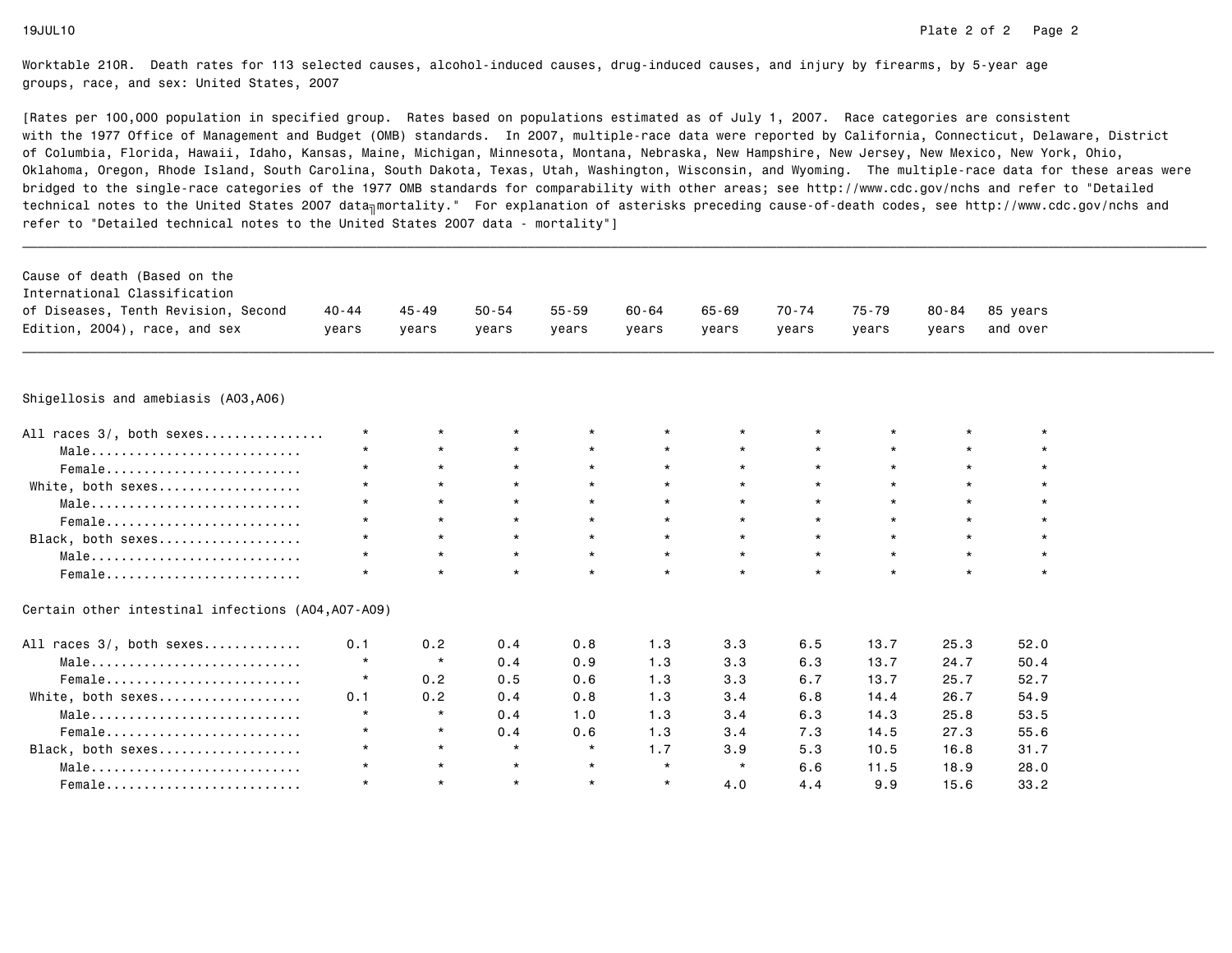| Cause of death (Based on the<br>International Classification<br>of Diseases, Tenth Revision, Second<br>Edition, 2004), race, and sex | $40 - 44$<br>years | $45 - 49$<br>vears | $50 - 54$<br>years | $55 - 59$<br>vears | $60 - 64$<br>vears | $65 - 69$<br>vears | $70 - 74$<br>years | $75 - 79$<br>years | $80 - 84$<br>vears | 85 years<br>and over |
|--------------------------------------------------------------------------------------------------------------------------------------|--------------------|--------------------|--------------------|--------------------|--------------------|--------------------|--------------------|--------------------|--------------------|----------------------|
| Shigellosis and amebiasis (A03,A06)                                                                                                  |                    |                    |                    |                    |                    |                    |                    |                    |                    |                      |
|                                                                                                                                      |                    |                    |                    |                    |                    |                    |                    |                    |                    |                      |
| All races 3/, both sexes                                                                                                             | $\star$            | $\star$            | $\star$            | $\star$            |                    | $\star$            | $\star$            |                    | $\star$            | $\star$              |
| Male                                                                                                                                 | $\star$            | $\star$            | $\star$            | $\star$            | $\star$            | $\star$            | $\star$            | $\star$            | $\star$            | $\star$              |
| Female                                                                                                                               |                    | $\star$            | $\star$            | $\star$            | $\star$            | $\star$            | $\star$            | $\star$            | $\star$            | $\star$              |
| White, both sexes                                                                                                                    |                    | $\star$            | $\star$            | $\star$            | $\star$            | $\star$            | $\star$            | $\star$            | $\star$            | $\star$              |
| Male                                                                                                                                 | $\star$            | $\star$            | $\star$            | $\star$            | $\star$            | $\star$            | $\star$            | $\star$            | $\star$            | $\star$              |
| Female                                                                                                                               | $\star$            | $\star$            | $\star$            | $\star$            | $\star$            | $\star$            | $\star$            | $\star$            | $\star$            | $\star$              |
| Black, both sexes                                                                                                                    | $\star$            | $\star$            | $\star$            | $\star$            | $\star$            | $\star$            | $\star$            | $\star$            | $\star$            | $\star$              |
| Male                                                                                                                                 | $\star$            | $\star$            | $\star$            | $\star$            | $\star$            | $\star$            | $\star$            | $\star$            | $\star$            | $\star$              |
| $Female$                                                                                                                             | $\star$            | $\star$            | $\star$            | $\star$            | $\star$            | $\star$            | $\star$            | $\star$            | $\star$            | $\star$              |
| Certain other intestinal infections (A04,A07-A09)                                                                                    |                    |                    |                    |                    |                    |                    |                    |                    |                    |                      |
| All races 3/, both sexes                                                                                                             | 0.1                | 0.2                | 0.4                | 0.8                | 1.3                | 3.3                | 6.5                | 13.7               | 25.3               | 52.0                 |
| Male                                                                                                                                 | $\star$            | $\star$            | 0.4                | 0.9                | 1.3                | 3.3                | 6.3                | 13.7               | 24.7               | 50.4                 |
| Female                                                                                                                               | $\star$            | 0.2                | 0.5                | 0.6                | 1.3                | 3.3                | 6.7                | 13.7               | 25.7               | 52.7                 |
| White, both sexes                                                                                                                    | 0.1                | 0.2                | 0.4                | 0.8                | 1.3                | 3.4                | 6.8                | 14.4               | 26.7               | 54.9                 |
| Male                                                                                                                                 | $\star$            | $\star$            | 0.4                | 1.0                | 1.3                | 3.4                | 6.3                | 14.3               | 25.8               | 53.5                 |
| Female                                                                                                                               | $\star$            | $\star$            | 0.4                | 0.6                | 1.3                | 3.4                | 7.3                | 14.5               | 27.3               | 55.6                 |
| Black, both sexes                                                                                                                    | $\star$            | $\star$            | $\star$            | $\star$            | 1.7                | 3.9                | 5.3                | 10.5               | 16.8               | 31.7                 |
| Male                                                                                                                                 | $\star$            | $\star$            | $\star$            | $\star$            | $\star$            | $\star$            | 6.6                | 11.5               | 18.9               | 28.0                 |
| Female                                                                                                                               | $\star$            | $\star$            | $\star$            | $\star$            | $\star$            | 4.0                | 4.4                | 9.9                | 15.6               | 33.2                 |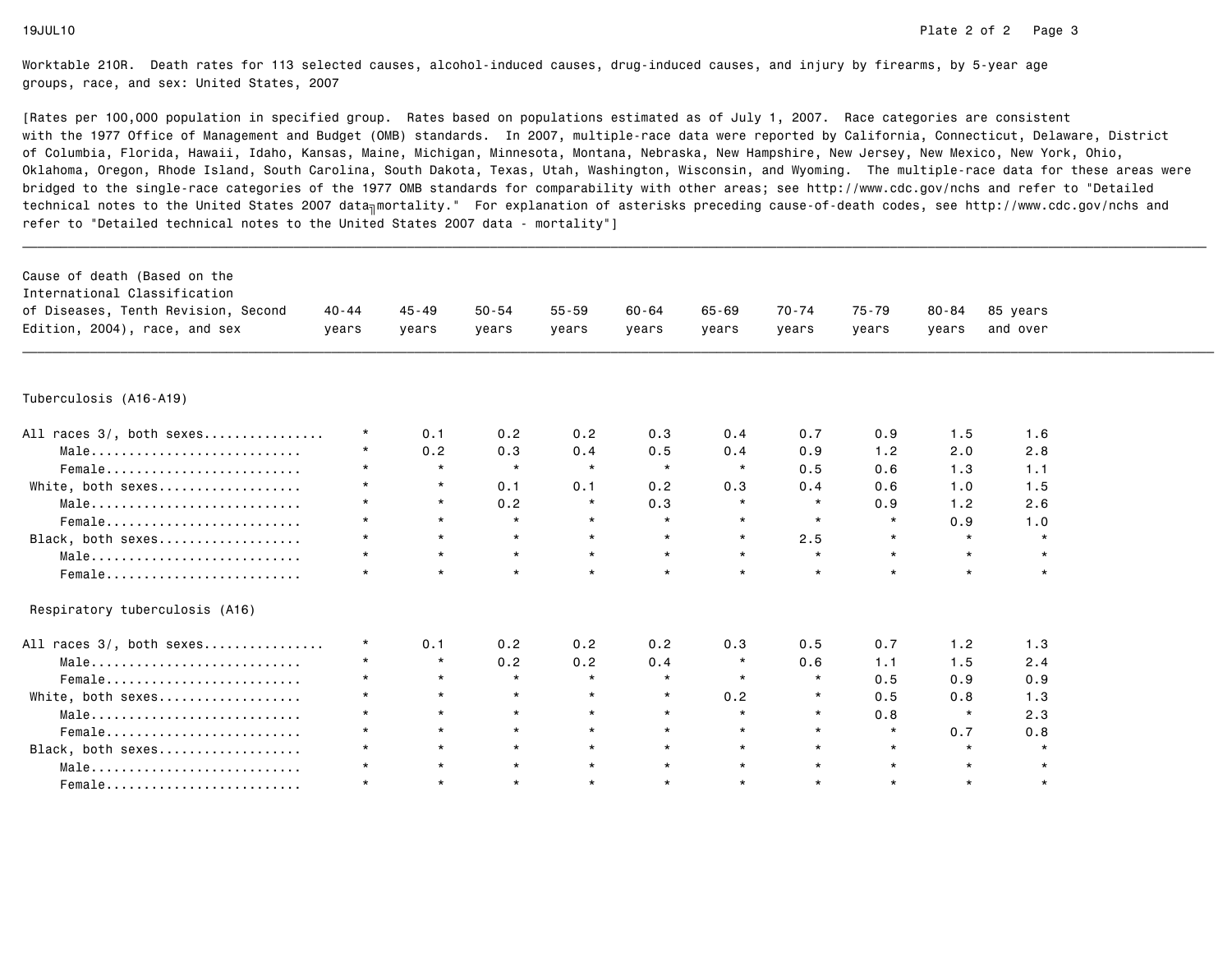| Cause of death (Based on the<br>International Classification |           |           |           |           |           |         |           |           |           |          |  |
|--------------------------------------------------------------|-----------|-----------|-----------|-----------|-----------|---------|-----------|-----------|-----------|----------|--|
| of Diseases, Tenth Revision, Second                          | $40 - 44$ | $45 - 49$ | $50 - 54$ | $55 - 59$ | $60 - 64$ | 65-69   | $70 - 74$ | $75 - 79$ | $80 - 84$ | 85 years |  |
| Edition, 2004), race, and sex                                | years     | years     | years     | years     | years     | years   | years     | years     | years     | and over |  |
|                                                              |           |           |           |           |           |         |           |           |           |          |  |
| Tuberculosis (A16-A19)                                       |           |           |           |           |           |         |           |           |           |          |  |
| All races 3/, both sexes                                     | $\star$   | 0.1       | 0.2       | 0.2       | 0.3       | 0.4     | 0.7       | 0.9       | 1.5       | 1.6      |  |
| Male                                                         | $\star$   | 0.2       | 0.3       | 0.4       | 0.5       | 0.4     | 0.9       | 1.2       | 2.0       | 2.8      |  |
| Female                                                       | $\star$   | $\star$   | $\star$   | $\star$   | $\star$   | $\star$ | 0.5       | 0.6       | 1.3       | 1.1      |  |
| White, both sexes                                            | $\star$   | $\star$   | 0.1       | 0.1       | 0.2       | 0.3     | 0.4       | 0.6       | 1.0       | 1.5      |  |
| Male                                                         | $\star$   | $\star$   | 0.2       | $\star$   | 0.3       | $\star$ | $\star$   | 0.9       | 1.2       | 2.6      |  |
| Female                                                       | $\star$   | $\star$   | $\star$   | $\star$   | $\star$   | $\star$ | $\star$   | $\star$   | 0.9       | 1.0      |  |
| Black, both sexes                                            | $\star$   | $\star$   | $\star$   | $\star$   | $\star$   | $\star$ | 2.5       | $\star$   | $\star$   | $\star$  |  |
| Male                                                         | $\star$   | $\star$   | $\star$   | $\star$   | $\star$   | $\star$ | $\star$   | $\star$   | $\star$   | $\star$  |  |
| Female                                                       | $\star$   | $\star$   | $\star$   | $\star$   | $\star$   | $\star$ | $\star$   | $\star$   | $\star$   | $\star$  |  |
| Respiratory tuberculosis (A16)                               |           |           |           |           |           |         |           |           |           |          |  |
| All races 3/, both sexes                                     | $\star$   | 0.1       | 0.2       | 0.2       | 0.2       | 0.3     | 0.5       | 0.7       | 1.2       | 1.3      |  |
| Male                                                         | $\star$   | $\star$   | 0.2       | 0.2       | 0.4       | $\star$ | 0.6       | 1.1       | 1.5       | 2.4      |  |
| Female                                                       | $\star$   | $\star$   | $\star$   | $\star$   | $\star$   | $\star$ | $\star$   | 0.5       | 0.9       | 0.9      |  |
| White, both sexes                                            | $\star$   | $\star$   | $\star$   | $\star$   | $\star$   | 0.2     | $\star$   | 0.5       | 0.8       | 1.3      |  |
| Male                                                         | $\star$   | $\star$   | $\star$   | $\star$   | $\star$   | $\star$ | $\star$   | 0.8       | $\star$   | 2.3      |  |
| Female                                                       | $\star$   | $\star$   | $\star$   | $\star$   | $\star$   | $\star$ | $\star$   | $\star$   | 0.7       | 0.8      |  |
| Black, both sexes                                            | $^\star$  | $\star$   | $\star$   | $\star$   | $\star$   | $\star$ | $\star$   | $\star$   | $\star$   | $\star$  |  |
| Male                                                         | $\star$   | $\star$   | $\star$   | $\star$   | $\star$   | $\star$ | $\star$   | $\star$   | $\star$   |          |  |
| $Female$                                                     | $\star$   | $\star$   | $\star$   | $\star$   | $\star$   | $\star$ | $\star$   | $\star$   | $\star$   | $\star$  |  |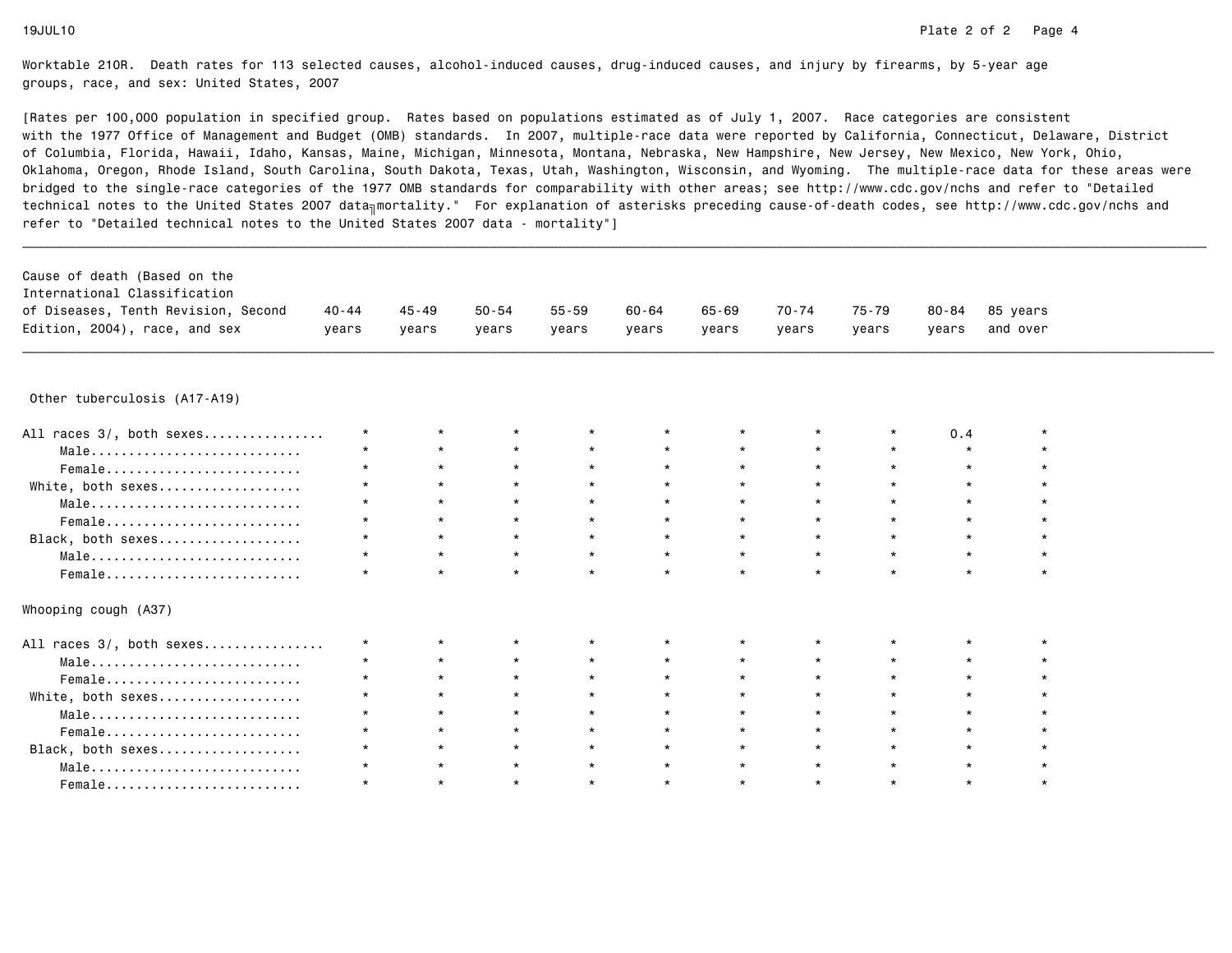[Rates per 100,000 population in specified group. Rates based on populations estimated as of July 1, 2007. Race categories are consistent with the 1977 Office of Management and Budget (OMB) standards. In 2007, multiple-race data were reported by California, Connecticut, Delaware, Districtof Columbia, Florida, Hawaii, Idaho, Kansas, Maine, Michigan, Minnesota, Montana, Nebraska, New Hampshire, New Jersey, New Mexico, New York, Ohio, Oklahoma, Oregon, Rhode Island, South Carolina, South Dakota, Texas, Utah, Washington, Wisconsin, and Wyoming. The multiple-race data for these areas werebridged to the single-race categories of the 1977 OMB standards for comparability with other areas; see http://www.cdc.gov/nchs and refer to "Detailedtechnical notes to the United States 2007 data<sub>∏</sub>mortality." For explanation of asterisks preceding cause-of-death codes, see http://www.cdc.gov/nchs and refer to "Detailed technical notes to the United States 2007 data - mortality"]

| Cause of death (Based on the        |         |         |       |       |       |       |       |       |       |          |
|-------------------------------------|---------|---------|-------|-------|-------|-------|-------|-------|-------|----------|
| International Classification        |         |         |       |       |       |       |       |       |       |          |
| of Diseases, Tenth Revision, Second | 40 - 44 | 45 - 49 | 50-54 | 55-59 | 60-64 | 65-69 | 70-74 | 75-79 | 80-84 | 85 vears |
| Edition, 2004), race, and sex       | vears   | vears   | years | years | vears | vears | vears | vears | vears | and over |
|                                     |         |         |       |       |       |       |       |       |       |          |

\_\_\_\_\_\_\_\_\_\_\_\_\_\_\_\_\_\_\_\_\_\_\_\_\_\_\_\_\_\_\_\_\_\_\_\_\_\_\_\_\_\_\_\_\_\_\_\_\_\_\_\_\_\_\_\_\_\_\_\_\_\_\_\_\_\_\_\_\_\_\_\_\_\_\_\_\_\_\_\_\_\_\_\_\_\_\_\_\_\_\_\_\_\_\_\_\_\_\_\_\_\_\_\_\_\_\_\_\_\_\_\_\_\_\_\_\_\_\_\_\_\_\_\_\_\_\_\_\_\_\_\_\_\_\_\_\_\_\_\_\_\_\_\_\_\_\_\_\_\_\_\_\_\_\_\_\_\_ Other tuberculosis (A17-A19)

| All races 3/, both sexes |  |         |         |         |         |         | 0.4 |  |
|--------------------------|--|---------|---------|---------|---------|---------|-----|--|
| Male                     |  |         |         |         |         |         |     |  |
| Female                   |  |         |         |         |         |         |     |  |
| White, both sexes        |  |         |         |         |         |         |     |  |
| Male                     |  | $\star$ |         |         |         |         |     |  |
| Female                   |  | $\star$ |         | $\star$ | $\star$ |         |     |  |
| Black, both sexes        |  | $\star$ | $\star$ | $\star$ | $\star$ | $\star$ |     |  |
| Male                     |  | $\star$ | $\star$ | $\star$ | $\star$ | $\star$ |     |  |
| Female                   |  |         |         |         |         |         |     |  |
| Whooping cough (A37)     |  |         |         |         |         |         |     |  |
| All races 3/, both sexes |  |         |         |         |         |         |     |  |
| Male                     |  |         |         |         |         |         |     |  |
| Female                   |  |         |         |         |         |         |     |  |
| White, both sexes        |  | $\star$ |         | $\star$ | $\star$ |         |     |  |
| Male                     |  | $\star$ |         |         | $\star$ |         |     |  |
| Female                   |  |         |         |         | $\star$ |         |     |  |
| Black, both sexes        |  |         |         |         |         |         |     |  |
| Male                     |  |         |         |         |         |         |     |  |
| Female                   |  | $\star$ |         |         |         |         |     |  |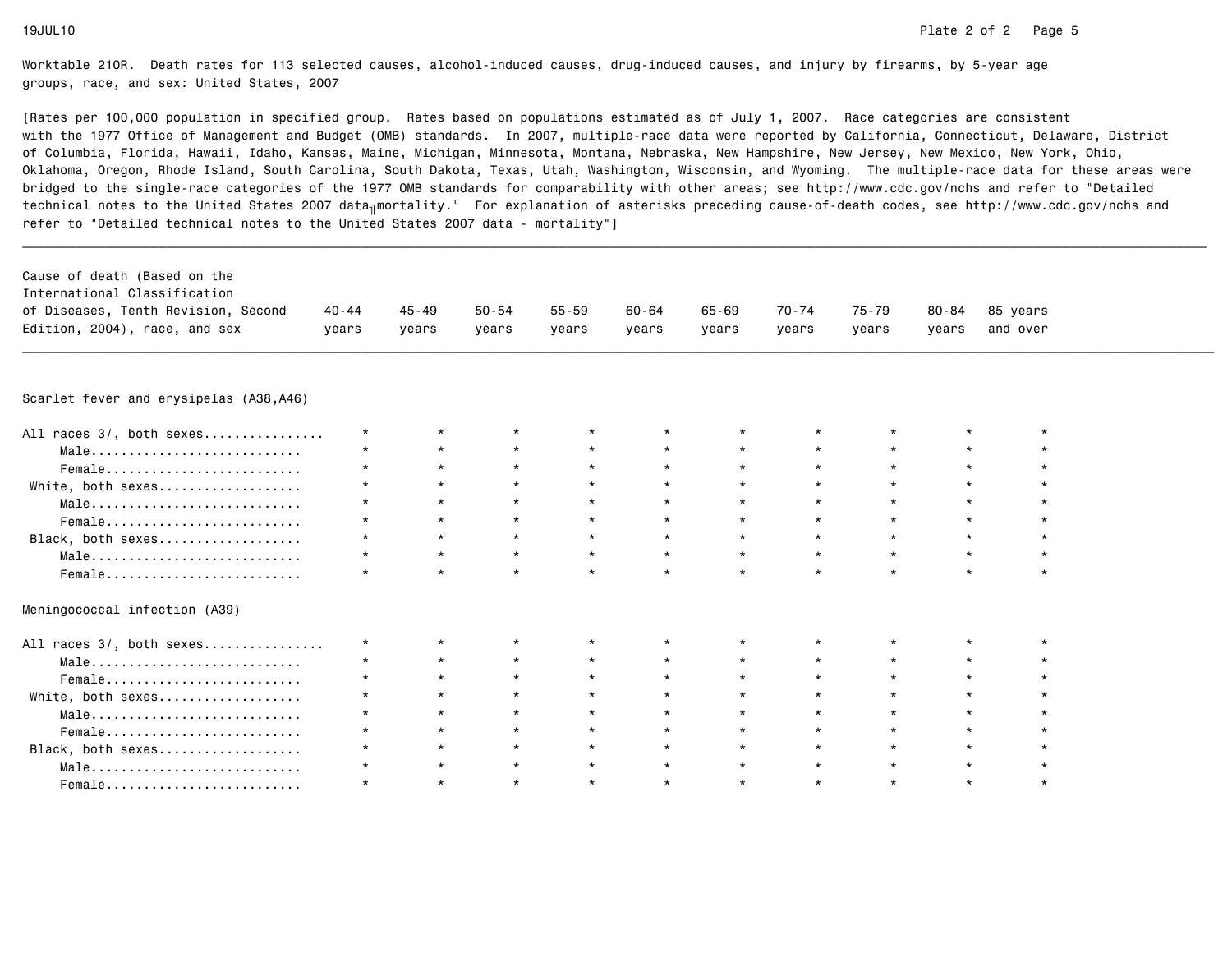[Rates per 100,000 population in specified group. Rates based on populations estimated as of July 1, 2007. Race categories are consistent with the 1977 Office of Management and Budget (OMB) standards. In 2007, multiple-race data were reported by California, Connecticut, Delaware, Districtof Columbia, Florida, Hawaii, Idaho, Kansas, Maine, Michigan, Minnesota, Montana, Nebraska, New Hampshire, New Jersey, New Mexico, New York, Ohio, Oklahoma, Oregon, Rhode Island, South Carolina, South Dakota, Texas, Utah, Washington, Wisconsin, and Wyoming. The multiple-race data for these areas werebridged to the single-race categories of the 1977 OMB standards for comparability with other areas; see http://www.cdc.gov/nchs and refer to "Detailedtechnical notes to the United States 2007 data<sub>∏</sub>mortality." For explanation of asterisks preceding cause-of-death codes, see http://www.cdc.gov/nchs and refer to "Detailed technical notes to the United States 2007 data - mortality"]

| Cause of death (Based on the        |         |       |           |       |       |       |       |       |       |                |
|-------------------------------------|---------|-------|-----------|-------|-------|-------|-------|-------|-------|----------------|
| International Classification        |         |       |           |       |       |       |       |       |       |                |
| of Diseases, Tenth Revision, Second | 40 - 44 | 45-49 | $50 - 54$ | 55-59 | 60-64 | 65-69 | 70-74 | 75-79 |       | 80-84 85 vears |
| Edition, 2004), race, and sex       | vears   | vears | years     | vears | vears | vears | vears | vears | vears | and over       |
|                                     |         |       |           |       |       |       |       |       |       |                |

\_\_\_\_\_\_\_\_\_\_\_\_\_\_\_\_\_\_\_\_\_\_\_\_\_\_\_\_\_\_\_\_\_\_\_\_\_\_\_\_\_\_\_\_\_\_\_\_\_\_\_\_\_\_\_\_\_\_\_\_\_\_\_\_\_\_\_\_\_\_\_\_\_\_\_\_\_\_\_\_\_\_\_\_\_\_\_\_\_\_\_\_\_\_\_\_\_\_\_\_\_\_\_\_\_\_\_\_\_\_\_\_\_\_\_\_\_\_\_\_\_\_\_\_\_\_\_\_\_\_\_\_\_\_\_\_\_\_\_\_\_\_\_\_\_\_\_\_\_\_\_\_\_\_\_\_\_\_

Scarlet fever and erysipelas (A38,A46)

Female.........................

| All races 3/, both sexes                                           |  |         |         |         |         |  |  |
|--------------------------------------------------------------------|--|---------|---------|---------|---------|--|--|
| Male                                                               |  |         |         | $\star$ |         |  |  |
| Female                                                             |  | $\star$ |         | $\star$ | $\star$ |  |  |
| White, both sexes                                                  |  | $\star$ | $\star$ | $\star$ | $\star$ |  |  |
| Male                                                               |  | $\star$ |         | $\star$ | $\star$ |  |  |
| Female                                                             |  |         |         | $\star$ |         |  |  |
| Black, both sexes                                                  |  |         |         | $\star$ | $\star$ |  |  |
| $Male \dots \dots \dots \dots \dots \dots \dots \dots \dots \dots$ |  | $\star$ |         |         |         |  |  |
| Female                                                             |  | $\star$ |         | $\star$ |         |  |  |
| Meningococcal infection (A39)                                      |  |         |         |         |         |  |  |
| All races 3/, both sexes                                           |  |         |         |         |         |  |  |
| Male                                                               |  |         |         | $\star$ | $\star$ |  |  |
| Female                                                             |  |         |         |         |         |  |  |
| White, both sexes                                                  |  |         |         |         |         |  |  |
| Male                                                               |  |         |         |         |         |  |  |
| Female                                                             |  |         |         | $\star$ |         |  |  |
| Black, both sexes                                                  |  |         |         |         |         |  |  |
| Male                                                               |  | $\star$ |         |         |         |  |  |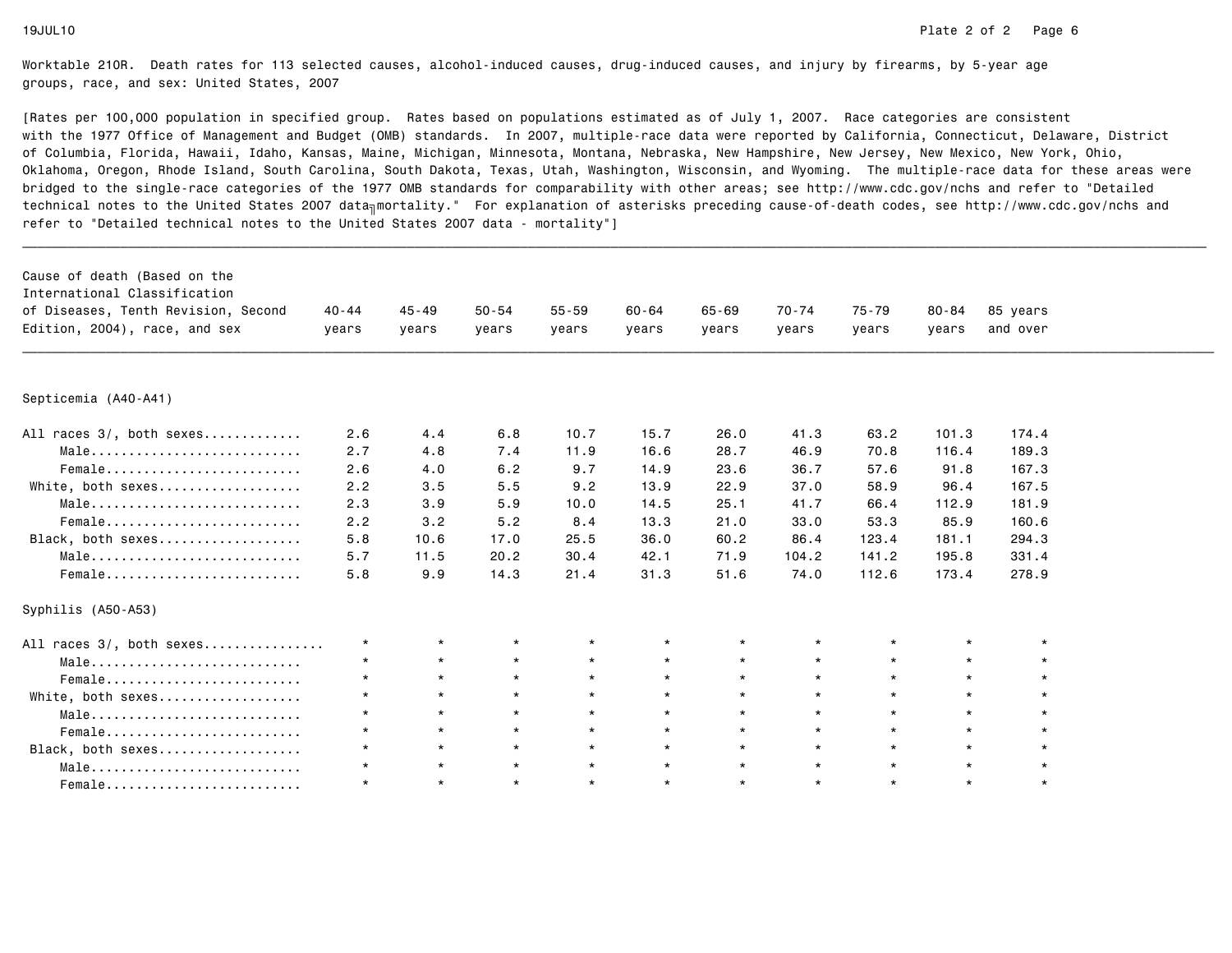| Cause of death (Based on the<br>International Classification |           |           |           |           |           |           |         |         |           |          |
|--------------------------------------------------------------|-----------|-----------|-----------|-----------|-----------|-----------|---------|---------|-----------|----------|
| of Diseases, Tenth Revision, Second                          | $40 - 44$ | $45 - 49$ | $50 - 54$ | $55 - 59$ | $60 - 64$ | $65 - 69$ | 70-74   | 75-79   | $80 - 84$ | 85 years |
| Edition, 2004), race, and sex                                | years     | years     | years     | years     | years     | years     | years   | years   | years     | and over |
|                                                              |           |           |           |           |           |           |         |         |           |          |
| Septicemia (A40-A41)                                         |           |           |           |           |           |           |         |         |           |          |
| All races 3/, both sexes                                     | 2.6       | 4.4       | 6.8       | 10.7      | 15.7      | 26.0      | 41.3    | 63.2    | 101.3     | 174.4    |
| Male                                                         | 2.7       | 4.8       | 7.4       | 11.9      | 16.6      | 28.7      | 46.9    | 70.8    | 116.4     | 189.3    |
| Female                                                       | 2.6       | 4.0       | 6.2       | 9.7       | 14.9      | 23.6      | 36.7    | 57.6    | 91.8      | 167.3    |
| White, both sexes                                            | 2.2       | 3.5       | 5.5       | 9.2       | 13.9      | 22.9      | 37.0    | 58.9    | 96.4      | 167.5    |
| Male                                                         | 2.3       | 3.9       | 5.9       | 10.0      | 14.5      | 25.1      | 41.7    | 66.4    | 112.9     | 181.9    |
| Female                                                       | 2.2       | 3.2       | 5.2       | 8.4       | 13.3      | 21.0      | 33.0    | 53.3    | 85.9      | 160.6    |
| Black, both sexes                                            | 5.8       | 10.6      | 17.0      | 25.5      | 36.0      | 60.2      | 86.4    | 123.4   | 181.1     | 294.3    |
| Male                                                         | 5.7       | 11.5      | 20.2      | 30.4      | 42.1      | 71.9      | 104.2   | 141.2   | 195.8     | 331.4    |
| Female                                                       | 5.8       | 9.9       | 14.3      | 21.4      | 31.3      | 51.6      | 74.0    | 112.6   | 173.4     | 278.9    |
| Syphilis (A50-A53)                                           |           |           |           |           |           |           |         |         |           |          |
| All races 3/, both sexes                                     | $^\star$  | $\star$   | $^\star$  | $\star$   | $\star$   | $^\star$  | $\star$ | $\star$ |           |          |
| Male                                                         | $\star$   | $\star$   | $\star$   | $\star$   | $\star$   | $\star$   | $\star$ | $\star$ | $\star$   |          |
| Female                                                       | $\star$   | $\star$   | $\star$   | $\star$   | $\star$   | $\star$   | $\star$ | $\star$ | $\star$   | $\star$  |
| White, both sexes                                            | $\star$   | $\star$   | $\star$   | $\star$   | $\star$   | $\star$   | $\star$ | $\star$ | $\star$   |          |
| Male                                                         | $\star$   | $\star$   | $\star$   | $\star$   | $\star$   | $\star$   | $\star$ | $\star$ | $\star$   | $\star$  |
| Female                                                       | $\star$   | $\star$   | $\star$   | $\star$   | $\star$   | $\star$   | $\star$ | $\star$ | $\star$   |          |
| Black, both sexes                                            | $\star$   | $\star$   | $\star$   | $\star$   | $\star$   | $\star$   | $\star$ | $\star$ | $\star$   |          |
| Male                                                         | $\star$   | $\star$   | $\star$   | $\star$   | $\star$   | $\star$   | $\star$ | $\star$ | $\star$   |          |
| Female                                                       | $\star$   | $\star$   | $\star$   | $\star$   | $\star$   | $\star$   | $\star$ | $\star$ | $\star$   | $\star$  |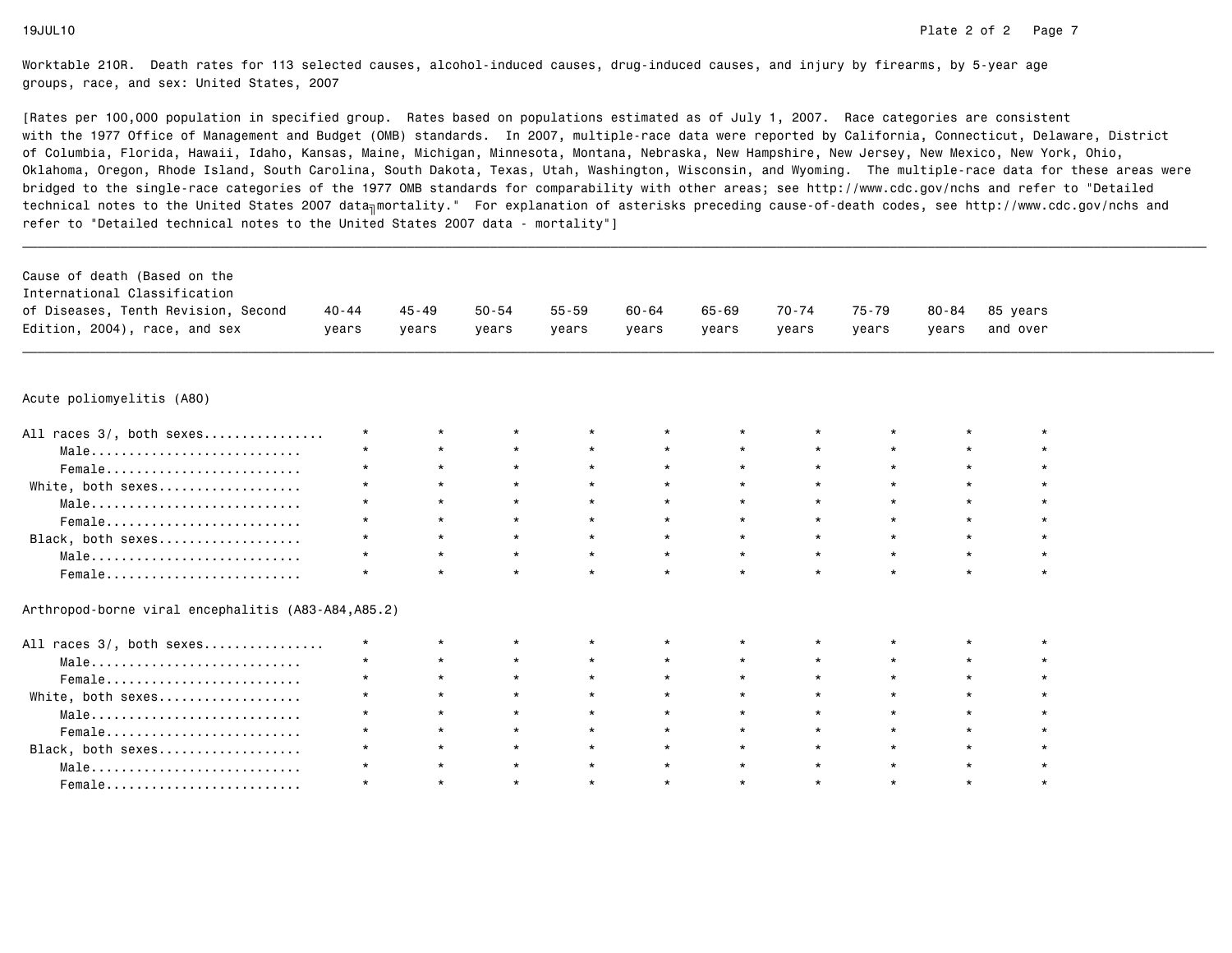[Rates per 100,000 population in specified group. Rates based on populations estimated as of July 1, 2007. Race categories are consistent with the 1977 Office of Management and Budget (OMB) standards. In 2007, multiple-race data were reported by California, Connecticut, Delaware, Districtof Columbia, Florida, Hawaii, Idaho, Kansas, Maine, Michigan, Minnesota, Montana, Nebraska, New Hampshire, New Jersey, New Mexico, New York, Ohio, Oklahoma, Oregon, Rhode Island, South Carolina, South Dakota, Texas, Utah, Washington, Wisconsin, and Wyoming. The multiple-race data for these areas werebridged to the single-race categories of the 1977 OMB standards for comparability with other areas; see http://www.cdc.gov/nchs and refer to "Detailedtechnical notes to the United States 2007 data<sub>∏</sub>mortality." For explanation of asterisks preceding cause-of-death codes, see http://www.cdc.gov/nchs and refer to "Detailed technical notes to the United States 2007 data - mortality"]

| Cause of death (Based on the        |         |         |       |       |       |       |       |       |       |                |
|-------------------------------------|---------|---------|-------|-------|-------|-------|-------|-------|-------|----------------|
|                                     |         |         |       |       |       |       |       |       |       |                |
| International Classification        |         |         |       |       |       |       |       |       |       |                |
| of Diseases, Tenth Revision, Second | 40 - 44 | 45 - 49 | 50-54 | 55-59 | 60-64 | 65-69 | 70-74 | 75-79 |       | 80-84 85 vears |
| Edition, 2004), race, and sex       | years   | vears   | vears | years | years | vears | vears | vears | vears | and over       |

\_\_\_\_\_\_\_\_\_\_\_\_\_\_\_\_\_\_\_\_\_\_\_\_\_\_\_\_\_\_\_\_\_\_\_\_\_\_\_\_\_\_\_\_\_\_\_\_\_\_\_\_\_\_\_\_\_\_\_\_\_\_\_\_\_\_\_\_\_\_\_\_\_\_\_\_\_\_\_\_\_\_\_\_\_\_\_\_\_\_\_\_\_\_\_\_\_\_\_\_\_\_\_\_\_\_\_\_\_\_\_\_\_\_\_\_\_\_\_\_\_\_\_\_\_\_\_\_\_\_\_\_\_\_\_\_\_\_\_\_\_\_\_\_\_\_\_\_\_\_\_\_\_\_\_\_\_\_

# Acute poliomyelitis (A80)

| All races 3/, both sexes | $\star$ |         |         | $\star$ |         | $\star$ |         |         |  |
|--------------------------|---------|---------|---------|---------|---------|---------|---------|---------|--|
| Male                     | $\star$ | $\star$ | $\star$ | $\star$ | $\star$ | $\star$ | $\star$ | $\star$ |  |
| Female                   | $\star$ | $\star$ | $\star$ | $\star$ |         | $\star$ |         |         |  |
| White, both sexes        | $\star$ |         | $\star$ | $\star$ | $\star$ | $\star$ |         | $\star$ |  |
| Male                     | $\star$ | $\star$ | $\star$ | $\star$ | $\star$ | $\star$ |         | $\star$ |  |
| Female                   |         | $\star$ | $\star$ | $\star$ |         | $\star$ | $\star$ | $\star$ |  |
| Black, both sexes        | $\star$ |         | $\star$ | $\star$ |         | $\star$ |         |         |  |
| Male                     | $\star$ |         | $\star$ | $\star$ |         | $\star$ |         | $\star$ |  |
| Female                   |         |         |         | $\star$ |         | $\star$ |         |         |  |

Arthropod-borne viral encephalitis (A83-A84,A85.2)

| All races 3/, both sexes                                           | $\star$ |         |         | $\star$ |         | $\star$ |         |         |  |
|--------------------------------------------------------------------|---------|---------|---------|---------|---------|---------|---------|---------|--|
| $Male \dots \dots \dots \dots \dots \dots \dots \dots \dots \dots$ | $\star$ | $\star$ | $\star$ | $\star$ | $\star$ | $\star$ | $\star$ | $\star$ |  |
| Female                                                             | $\star$ | $\star$ | $\star$ | $\star$ |         | $\star$ | $\star$ | $\star$ |  |
| White, both sexes                                                  | $\star$ |         | $\star$ | $\star$ | $\star$ | $\star$ | $\star$ | $\star$ |  |
| Male                                                               | $\star$ | $\star$ | $\star$ | $\star$ | $\star$ | $\star$ | $\star$ | $\star$ |  |
| Female                                                             | $\star$ | $\star$ | $\star$ | $\star$ | $\star$ | $\star$ | $\star$ | $\star$ |  |
| Black, both sexes                                                  | $\star$ | $\star$ | $\star$ | $\star$ | $\star$ | $\star$ | $\star$ | $\star$ |  |
| $Male \dots \dots \dots \dots \dots \dots \dots \dots \dots \dots$ |         |         |         | $\star$ |         | $\star$ |         |         |  |
| Female                                                             |         |         | $\star$ | $\star$ |         | $\star$ |         |         |  |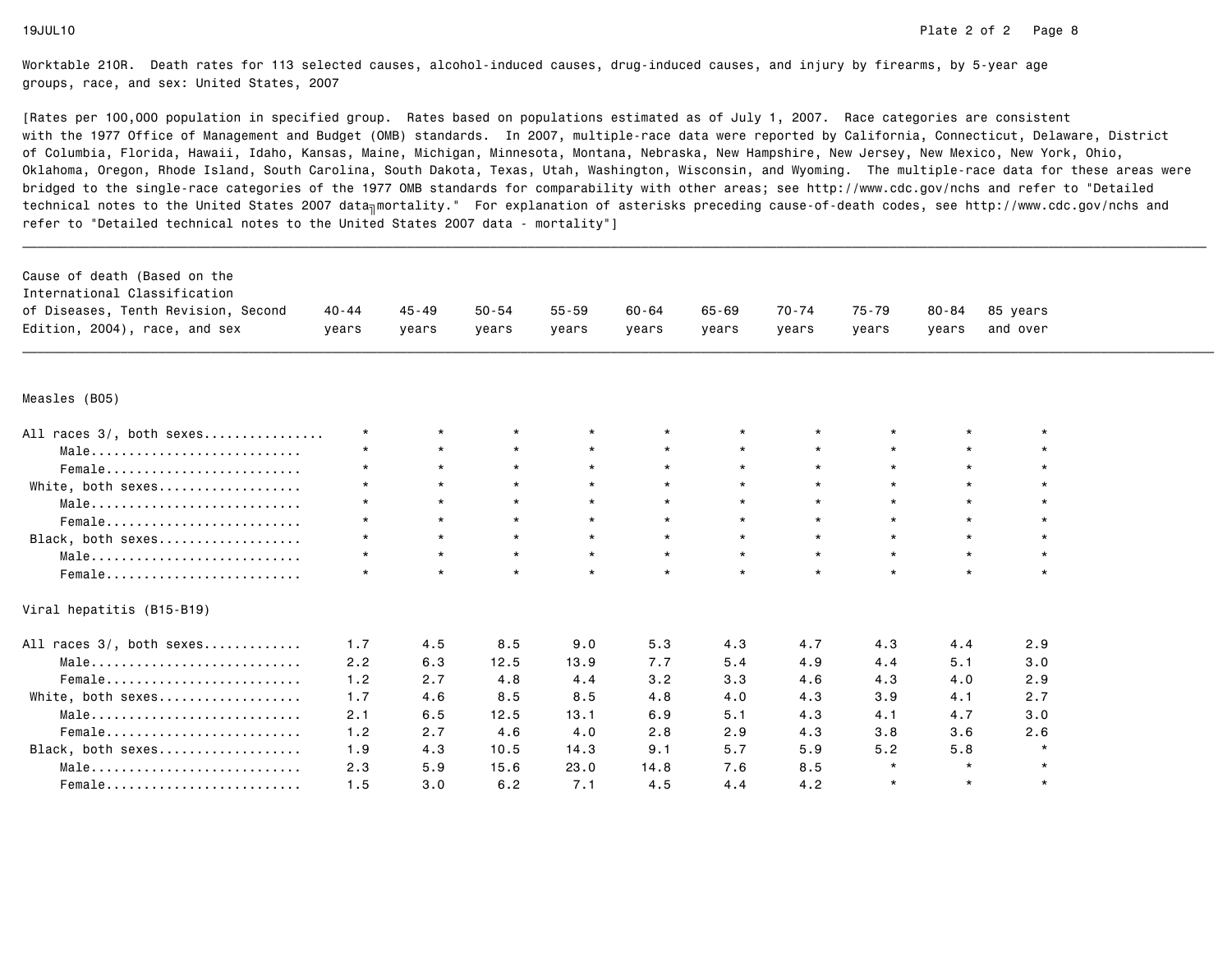| Cause of death (Based on the<br>International Classification<br>of Diseases, Tenth Revision, Second<br>Edition, 2004), race, and sex | $40 - 44$<br>years | $45 - 49$<br>years | $50 - 54$<br>vears | $55 - 59$<br>vears | $60 - 64$<br>years | $65 - 69$<br>vears | $70 - 74$<br>years | $75 - 79$<br>years | $80 - 84$<br>vears | 85 years<br>and over |  |
|--------------------------------------------------------------------------------------------------------------------------------------|--------------------|--------------------|--------------------|--------------------|--------------------|--------------------|--------------------|--------------------|--------------------|----------------------|--|
| Measles (B05)                                                                                                                        |                    |                    |                    |                    |                    |                    |                    |                    |                    |                      |  |
| All races 3/, both sexes                                                                                                             | $\star$            | $\star$            | $\star$            | $\star$            |                    | $\star$            |                    |                    | $\star$            | $\star$              |  |
| Male                                                                                                                                 | $\star$            | $\star$            | $\star$            | $\star$            | $\star$            | $\star$            | $\star$            | $\star$            | $\star$            | $\star$              |  |
| Female                                                                                                                               | $\star$            | $\star$            | $\star$            | $\star$            | $\star$            | $\star$            | $\star$            | $\star$            | $\star$            | $\star$              |  |
| White, both sexes                                                                                                                    |                    | $\star$            | $\star$            | $\star$            | $\star$            | $\star$            | $\star$            | $\star$            | $\star$            | $\star$              |  |
| Male                                                                                                                                 | $\star$            | $\star$            | $\star$            | $\star$            | $\star$            | $\star$            | $\star$            | $\star$            | $\star$            |                      |  |
| Female                                                                                                                               | $\star$            | $\star$            | $\star$            | $\star$            | $\star$            | $\star$            | $\star$            | $\star$            | $\star$            | $\star$              |  |
| Black, both sexes                                                                                                                    | $\star$            | $\star$            | $\star$            | $\star$            | $\star$            | $\star$            | $\star$            | $\star$            | $\star$            | $\star$              |  |
| Male                                                                                                                                 |                    | $\star$            | $\star$            | $\star$            | $\star$            | $\star$            | $\star$            | $\star$            | $\star$            | $\star$              |  |
| Female                                                                                                                               | $\star$            | $\star$            | $\star$            | $\star$            | $\star$            | $\star$            | $\star$            | $\star$            | $\star$            | $\star$              |  |
| Viral hepatitis (B15-B19)                                                                                                            |                    |                    |                    |                    |                    |                    |                    |                    |                    |                      |  |
| All races 3/, both sexes                                                                                                             | 1.7                | 4.5                | 8.5                | 9.0                | 5.3                | 4.3                | 4.7                | 4.3                | 4.4                | 2.9                  |  |
| Male                                                                                                                                 | 2.2                | 6.3                | 12.5               | 13.9               | 7.7                | 5.4                | 4.9                | 4.4                | 5.1                | 3.0                  |  |
| Female                                                                                                                               | 1.2                | 2.7                | 4.8                | 4.4                | 3.2                | 3.3                | 4.6                | 4.3                | 4.0                | 2.9                  |  |
| White, both sexes                                                                                                                    | 1.7                | 4.6                | 8.5                | 8.5                | 4.8                | 4.0                | 4.3                | 3.9                | 4.1                | 2.7                  |  |
| Male                                                                                                                                 | 2.1                | 6.5                | 12.5               | 13.1               | 6.9                | 5.1                | 4.3                | 4.1                | 4.7                | 3.0                  |  |
| Female                                                                                                                               | 1.2                | 2.7                | 4.6                | 4.0                | 2.8                | 2.9                | 4.3                | 3.8                | 3.6                | 2.6                  |  |
| Black, both sexes                                                                                                                    | 1.9                | 4.3                | 10.5               | 14.3               | 9.1                | 5.7                | 5.9                | 5.2                | 5.8                | $\star$              |  |
| Male                                                                                                                                 | 2.3                | 5.9                | 15.6               | 23.0               | 14.8               | 7.6                | 8.5                | $\star$            | $\star$            | $\star$              |  |
| Female                                                                                                                               | 1.5                | 3.0                | 6.2                | 7.1                | 4.5                | 4.4                | 4.2                | $\star$            | $\star$            | $\star$              |  |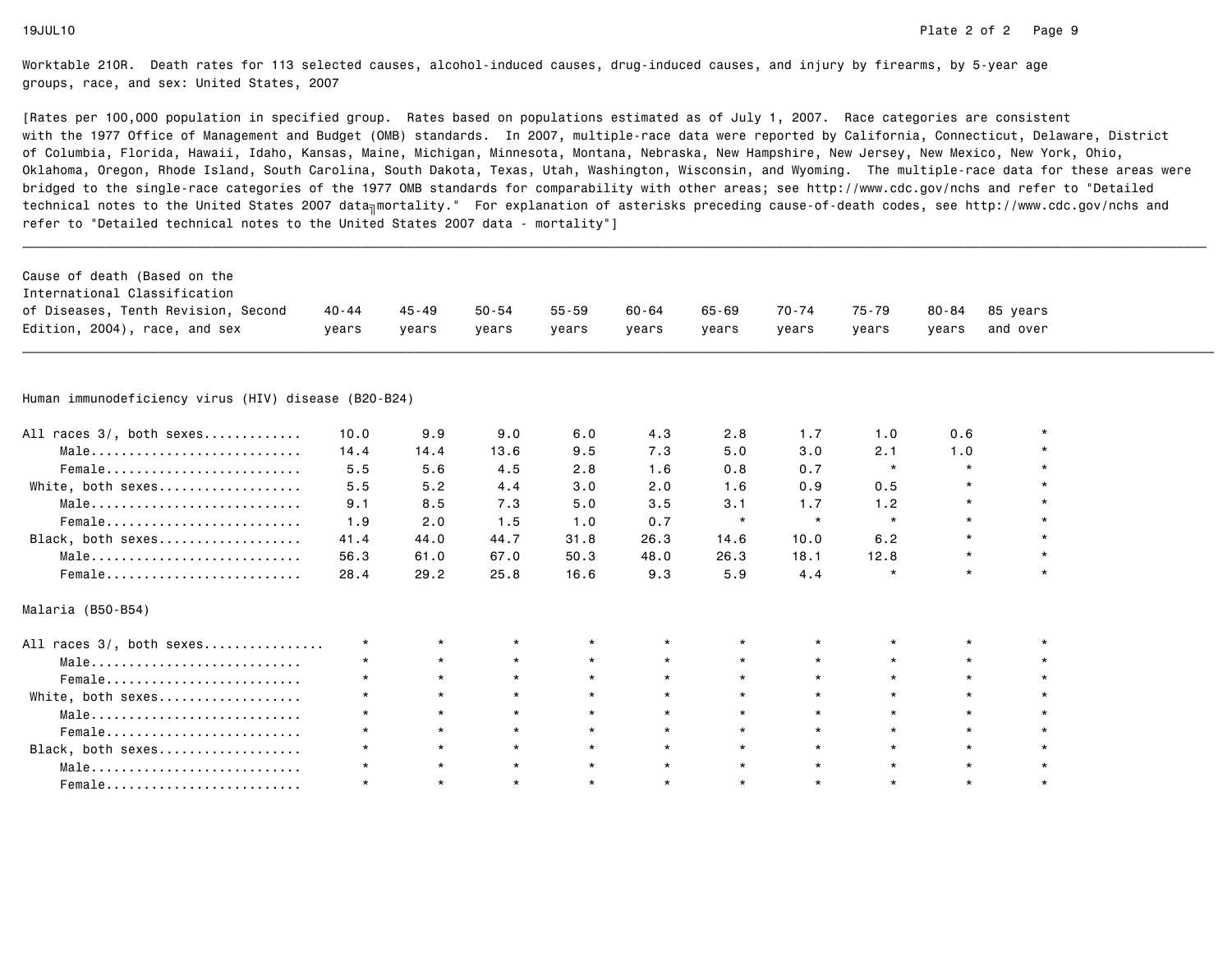| Cause of death (Based on the                                       |         |           |           |           |         |           |         |         |           |          |  |
|--------------------------------------------------------------------|---------|-----------|-----------|-----------|---------|-----------|---------|---------|-----------|----------|--|
| International Classification                                       |         |           |           |           |         |           |         |         |           |          |  |
| of Diseases, Tenth Revision, Second                                | 40-44   | $45 - 49$ | $50 - 54$ | $55 - 59$ | 60-64   | $65 - 69$ | 70-74   | 75-79   | $80 - 84$ | 85 years |  |
| Edition, 2004), race, and sex                                      | vears   | years     | years     | years     | years   | years     | years   | years   | years     | and over |  |
|                                                                    |         |           |           |           |         |           |         |         |           |          |  |
| Human immunodeficiency virus (HIV) disease (B20-B24)               |         |           |           |           |         |           |         |         |           |          |  |
| All races 3/, both sexes                                           | 10.0    | 9.9       | 9.0       | 6.0       | 4.3     | 2.8       | 1.7     | 1.0     | 0.6       |          |  |
| Male                                                               | 14.4    | 14.4      | 13.6      | 9.5       | 7.3     | 5.0       | 3.0     | 2.1     | 1.0       |          |  |
| Female                                                             | 5.5     | 5.6       | 4.5       | 2.8       | 1.6     | 0.8       | 0.7     | $\star$ | $\star$   |          |  |
| White, both sexes                                                  | 5.5     | 5.2       | 4.4       | 3.0       | 2.0     | 1.6       | 0.9     | 0.5     | $\star$   |          |  |
| Male                                                               | 9.1     | 8.5       | 7.3       | 5.0       | 3.5     | 3.1       | 1.7     | 1.2     | $\star$   |          |  |
| Female                                                             | 1.9     | 2.0       | 1.5       | 1.0       | 0.7     | $\star$   | $\star$ | $\star$ | $\star$   |          |  |
| Black, both sexes                                                  | 41.4    | 44.0      | 44.7      | 31.8      | 26.3    | 14.6      | 10.0    | 6.2     | $\star$   |          |  |
| Male                                                               | 56.3    | 61.0      | 67.0      | 50.3      | 48.0    | 26.3      | 18.1    | 12.8    |           |          |  |
| Female                                                             | 28.4    | 29.2      | 25.8      | 16.6      | 9.3     | 5.9       | 4.4     | $\star$ |           |          |  |
| Malaria (B50-B54)                                                  |         |           |           |           |         |           |         |         |           |          |  |
| All races 3/, both sexes                                           | $\star$ | $\star$   | *         | $\star$   | $\star$ | $\star$   |         | $\star$ |           |          |  |
| $Male \dots \dots \dots \dots \dots \dots \dots \dots \dots \dots$ | $\star$ | $\star$   | $\star$   | $\star$   | $\star$ | $\star$   | $\star$ | $\star$ | $\star$   |          |  |
| Female                                                             | $\star$ | $\star$   | $\star$   | $\star$   | $\star$ | $\star$   | $\star$ | $\star$ | $\star$   |          |  |
| White, both sexes                                                  | $\star$ | $\star$   | $\star$   | $\star$   | $\star$ | $\star$   | $\star$ | $\star$ | $\star$   |          |  |
| Male                                                               | $\star$ | $\star$   | $\star$   | $\star$   | $\star$ | $\star$   | $\star$ | $\star$ | $\star$   |          |  |
| Female                                                             | $\star$ | $\star$   | $\star$   | $\star$   | $\star$ | $\star$   | $\star$ | $\star$ | $\star$   |          |  |
| Black, both sexes                                                  | $\star$ | $\star$   | $\star$   | $\star$   | $\star$ | $\star$   | $\star$ | $\star$ | $\star$   | $\star$  |  |
| Male                                                               | $\star$ | $\star$   | $\star$   | $\star$   | $\star$ | $\star$   | $\star$ | $\star$ | $\star$   |          |  |
| Female                                                             | $\star$ | $\star$   | $\star$   | $\star$   | $\star$ | $\star$   | $\star$ | $\star$ | $\star$   | $\star$  |  |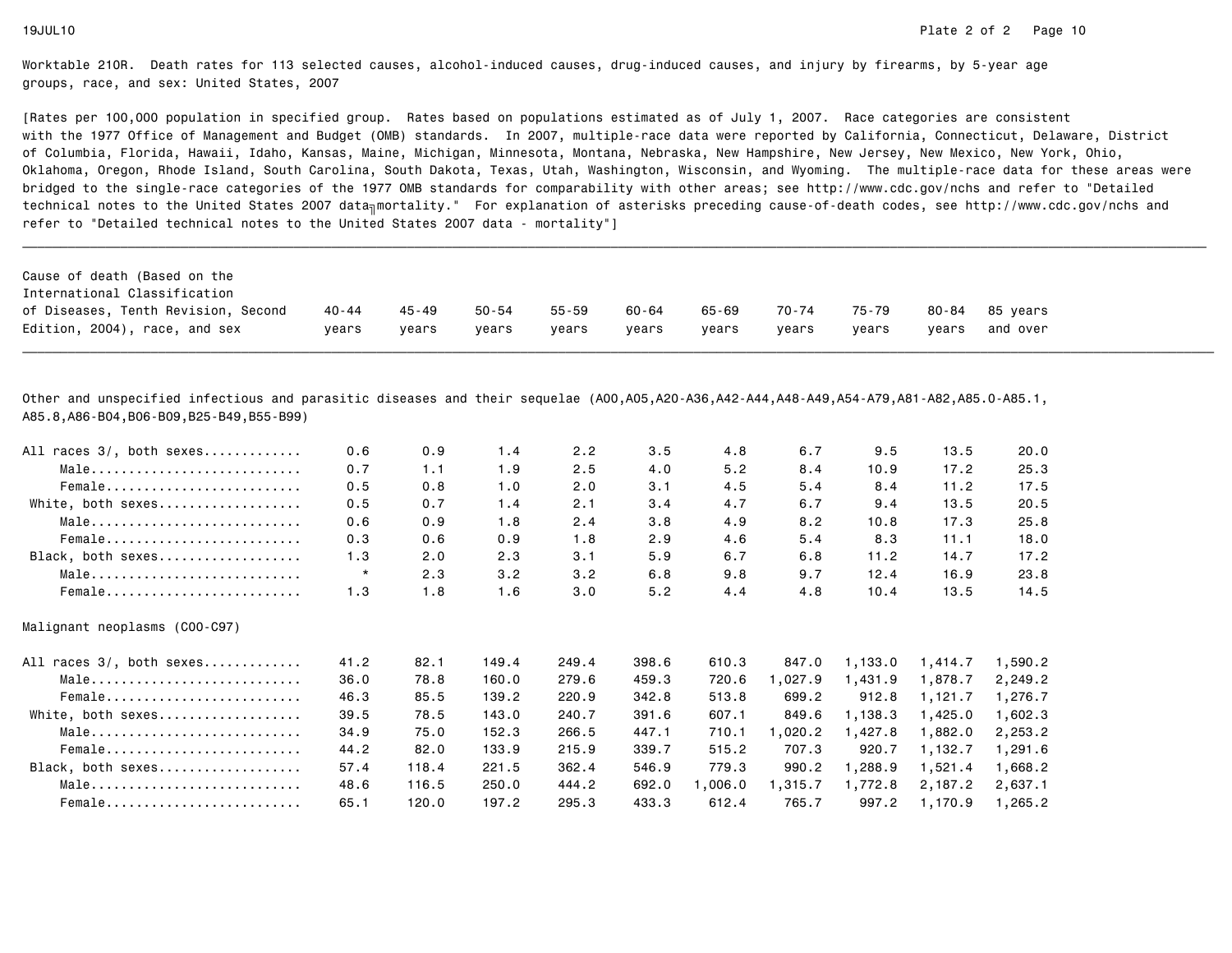[Rates per 100,000 population in specified group. Rates based on populations estimated as of July 1, 2007. Race categories are consistent with the 1977 Office of Management and Budget (OMB) standards. In 2007, multiple-race data were reported by California, Connecticut, Delaware, Districtof Columbia, Florida, Hawaii, Idaho, Kansas, Maine, Michigan, Minnesota, Montana, Nebraska, New Hampshire, New Jersey, New Mexico, New York, Ohio, Oklahoma, Oregon, Rhode Island, South Carolina, South Dakota, Texas, Utah, Washington, Wisconsin, and Wyoming. The multiple-race data for these areas werebridged to the single-race categories of the 1977 OMB standards for comparability with other areas; see http://www.cdc.gov/nchs and refer to "Detailedtechnical notes to the United States 2007 data<sub>∏</sub>mortality." For explanation of asterisks preceding cause-of-death codes, see http://www.cdc.gov/nchs and refer to "Detailed technical notes to the United States 2007 data - mortality"]

\_\_\_\_\_\_\_\_\_\_\_\_\_\_\_\_\_\_\_\_\_\_\_\_\_\_\_\_\_\_\_\_\_\_\_\_\_\_\_\_\_\_\_\_\_\_\_\_\_\_\_\_\_\_\_\_\_\_\_\_\_\_\_\_\_\_\_\_\_\_\_\_\_\_\_\_\_\_\_\_\_\_\_\_\_\_\_\_\_\_\_\_\_\_\_\_\_\_\_\_\_\_\_\_\_\_\_\_\_\_\_\_\_\_\_\_\_\_\_\_\_\_\_\_\_\_\_\_\_\_\_\_\_\_\_\_\_\_\_\_\_\_\_\_\_\_\_\_\_\_\_\_\_\_\_\_\_\_

Other and unspecified infectious and parasitic diseases and their sequelae (A00,A05,A20-A36,A42-A44,A48-A49,A54-A79,A81-A82,A85.0-A85.1,A85.8,A86-B04,B06-B09,B25-B49,B55-B99)

| All races 3/, both sexes      | 0.6     | 0.9   | 1.4   | 2.2   | 3.5   | 4.8     | 6.7     | 9.5     | 13.5    | 20.0    |
|-------------------------------|---------|-------|-------|-------|-------|---------|---------|---------|---------|---------|
| Male                          | 0.7     | 1.1   | 1.9   | 2.5   | 4.0   | 5.2     | 8.4     | 10.9    | 17.2    | 25.3    |
| Female                        | 0.5     | 0.8   | 1.0   | 2.0   | 3.1   | 4.5     | 5.4     | 8.4     | 11.2    | 17.5    |
| White, both sexes             | 0.5     | 0.7   | 1.4   | 2.1   | 3.4   | 4.7     | 6.7     | 9.4     | 13.5    | 20.5    |
| Male                          | 0.6     | 0.9   | 1.8   | 2.4   | 3.8   | 4.9     | 8.2     | 10.8    | 17.3    | 25.8    |
| Female                        | 0.3     | 0.6   | 0.9   | 1.8   | 2.9   | 4.6     | 5.4     | 8.3     | 11.1    | 18.0    |
| Black, both sexes             | 1.3     | 2.0   | 2.3   | 3.1   | 5.9   | 6.7     | 6.8     | 11.2    | 14.7    | 17.2    |
| Male                          | $\star$ | 2.3   | 3.2   | 3.2   | 6.8   | 9.8     | 9.7     | 12.4    | 16.9    | 23.8    |
| Female                        | 1.3     | 1.8   | 1.6   | 3.0   | 5.2   | 4.4     | 4.8     | 10.4    | 13.5    | 14.5    |
| Malignant neoplasms (COO-C97) |         |       |       |       |       |         |         |         |         |         |
| All races 3/, both sexes      | 41.2    | 82.1  | 149.4 | 249.4 | 398.6 | 610.3   | 847.0   | 1,133.0 | 1,414.7 | 1,590.2 |
| Male                          | 36.0    | 78.8  | 160.0 | 279.6 | 459.3 | 720.6   | 1,027.9 | 1,431.9 | 1,878.7 | 2,249.2 |
| Female                        | 46.3    | 85.5  | 139.2 | 220.9 | 342.8 | 513.8   | 699.2   | 912.8   | 1,121.7 | 1,276.7 |
| White, both sexes             | 39.5    | 78.5  | 143.0 | 240.7 | 391.6 | 607.1   | 849.6   | 1,138.3 | 1,425.0 | 1,602.3 |
| Male                          | 34.9    | 75.0  | 152.3 | 266.5 | 447.1 | 710.1   | 1,020.2 | 1,427.8 | 1,882.0 | 2,253.2 |
| Female                        | 44.2    | 82.0  | 133.9 | 215.9 | 339.7 | 515.2   | 707.3   | 920.7   | 1,132.7 | 1,291.6 |
| Black, both sexes             | 57.4    | 118.4 | 221.5 | 362.4 | 546.9 | 779.3   | 990.2   | 1,288.9 | 1,521.4 | 1,668.2 |
| Male                          | 48.6    | 116.5 | 250.0 | 444.2 | 692.0 | 1,006.0 | 1,315.7 | 1,772.8 | 2,187.2 | 2,637.1 |
| Female                        | 65.1    | 120.0 | 197.2 | 295.3 | 433.3 | 612.4   | 765.7   | 997.2   | 1,170.9 | 1,265.2 |
|                               |         |       |       |       |       |         |         |         |         |         |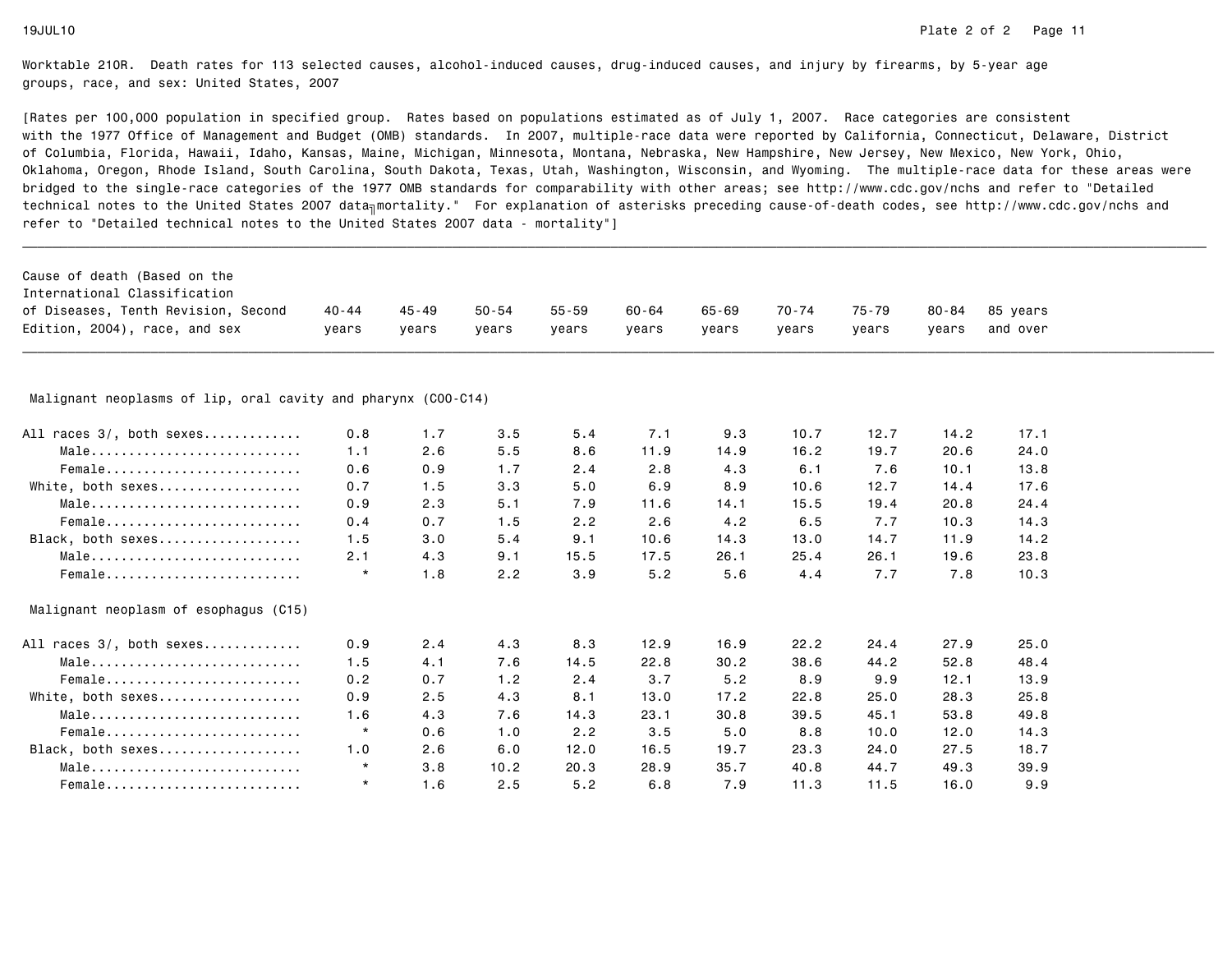| Cause of death (Based on the                                  |         |           |           |           |       |       |       |       |           |          |  |
|---------------------------------------------------------------|---------|-----------|-----------|-----------|-------|-------|-------|-------|-----------|----------|--|
| International Classification                                  |         |           |           |           |       |       |       |       |           |          |  |
| of Diseases, Tenth Revision, Second                           | 40 - 44 | $45 - 49$ | $50 - 54$ | $55 - 59$ | 60-64 | 65-69 | 70-74 | 75-79 | $80 - 84$ | 85 years |  |
| Edition, 2004), race, and sex                                 | years   | years     | vears     | years     | years | years | years | years | vears     | and over |  |
|                                                               |         |           |           |           |       |       |       |       |           |          |  |
| Malignant neoplasms of lip, oral cavity and pharynx (COO-C14) |         |           |           |           |       |       |       |       |           |          |  |
| All races 3/, both sexes                                      | 0.8     | 1.7       | 3.5       | 5.4       | 7.1   | 9.3   | 10.7  | 12.7  | 14.2      | 17.1     |  |
| Male                                                          | 1.1     | 2.6       | 5.5       | 8.6       | 11.9  | 14.9  | 16.2  | 19.7  | 20.6      | 24.0     |  |
| Female                                                        | 0.6     | 0.9       | 1.7       | 2.4       | 2.8   | 4.3   | 6.1   | 7.6   | 10.1      | 13.8     |  |
| White, both sexes                                             | 0.7     | 1.5       | 3.3       | 5.0       | 6.9   | 8.9   | 10.6  | 12.7  | 14.4      | 17.6     |  |
| Male                                                          | 0.9     | 2.3       | 5.1       | 7.9       | 11.6  | 14.1  | 15.5  | 19.4  | 20.8      | 24.4     |  |
| $Female$                                                      | 0.4     | 0.7       | 1.5       | 2.2       | 2.6   | 4.2   | 6.5   | 7.7   | 10.3      | 14.3     |  |
| Black, both sexes                                             | 1.5     | 3.0       | 5.4       | 9.1       | 10.6  | 14.3  | 13.0  | 14.7  | 11.9      | 14.2     |  |
| Male                                                          | 2.1     | 4.3       | 9.1       | 15.5      | 17.5  | 26.1  | 25.4  | 26.1  | 19.6      | 23.8     |  |
| Female                                                        | $\star$ | 1.8       | 2.2       | 3.9       | 5.2   | 5.6   | 4.4   | 7.7   | 7.8       | 10.3     |  |
| Malignant neoplasm of esophagus (C15)                         |         |           |           |           |       |       |       |       |           |          |  |
| All races 3/, both sexes                                      | 0.9     | 2.4       | 4.3       | 8.3       | 12.9  | 16.9  | 22.2  | 24.4  | 27.9      | 25.0     |  |
| Male                                                          | 1.5     | 4.1       | 7.6       | 14.5      | 22.8  | 30.2  | 38.6  | 44.2  | 52.8      | 48.4     |  |
| Female                                                        | 0.2     | 0.7       | 1.2       | 2.4       | 3.7   | 5.2   | 8.9   | 9.9   | 12.1      | 13.9     |  |
| White, both sexes                                             | 0.9     | 2.5       | 4.3       | 8.1       | 13.0  | 17.2  | 22.8  | 25.0  | 28.3      | 25.8     |  |
| Male                                                          | 1.6     | 4.3       | 7.6       | 14.3      | 23.1  | 30.8  | 39.5  | 45.1  | 53.8      | 49.8     |  |
| $Female$                                                      | $\star$ | 0.6       | 1.0       | 2.2       | 3.5   | 5.0   | 8.8   | 10.0  | 12.0      | 14.3     |  |
| Black, both sexes                                             | 1.0     | 2.6       | 6.0       | 12.0      | 16.5  | 19.7  | 23.3  | 24.0  | 27.5      | 18.7     |  |
| Male                                                          | $\star$ | 3.8       | 10.2      | 20.3      | 28.9  | 35.7  | 40.8  | 44.7  | 49.3      | 39.9     |  |
| Female                                                        | $\star$ | 1.6       | 2.5       | 5.2       | 6.8   | 7.9   | 11.3  | 11.5  | 16.0      | 9.9      |  |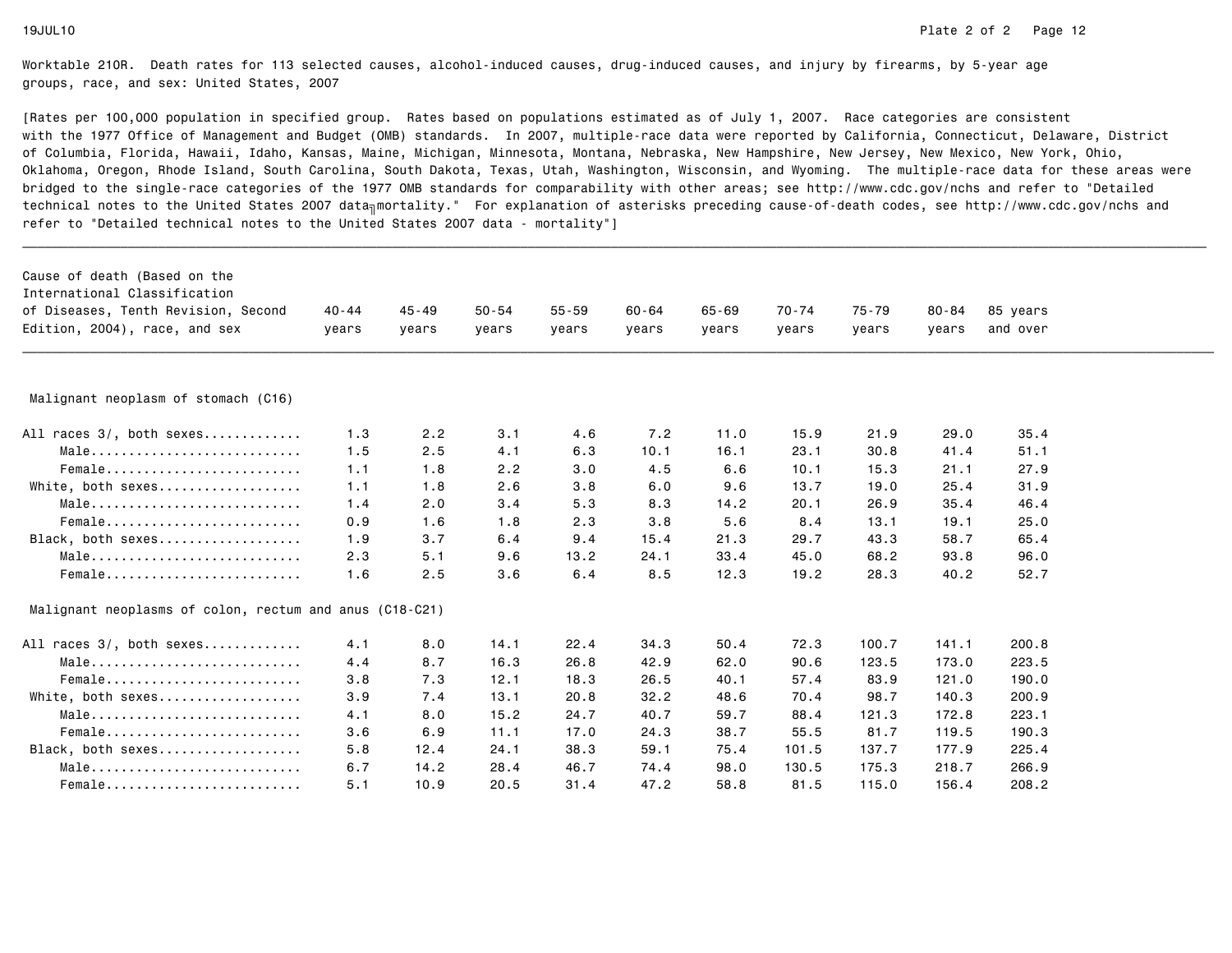| Cause of death (Based on the<br>International Classification<br>of Diseases, Tenth Revision, Second<br>Edition, 2004), race, and sex | $40 - 44$<br>years | $45 - 49$<br>years | $50 - 54$<br>years | $55 - 59$<br>years | $60 - 64$<br>years | $65 - 69$<br>years | $70 - 74$<br>years | 75-79<br>years | $80 - 84$<br>years | 85 years<br>and over |  |
|--------------------------------------------------------------------------------------------------------------------------------------|--------------------|--------------------|--------------------|--------------------|--------------------|--------------------|--------------------|----------------|--------------------|----------------------|--|
|                                                                                                                                      |                    |                    |                    |                    |                    |                    |                    |                |                    |                      |  |
| Malignant neoplasm of stomach (C16)                                                                                                  |                    |                    |                    |                    |                    |                    |                    |                |                    |                      |  |
| All races 3/, both sexes                                                                                                             | 1.3                | 2.2                | 3.1                | 4.6                | 7.2                | 11.0               | 15.9               | 21.9           | 29.0               | 35.4                 |  |
| Male                                                                                                                                 | 1.5                | 2.5                | 4.1                | 6.3                | 10.1               | 16.1               | 23.1               | 30.8           | 41.4               | 51.1                 |  |
| Female                                                                                                                               | 1.1                | 1.8                | 2.2                | 3.0                | 4.5                | 6.6                | 10.1               | 15.3           | 21.1               | 27.9                 |  |
| White, both sexes                                                                                                                    | 1.1                | 1.8                | 2.6                | 3.8                | 6.0                | 9.6                | 13.7               | 19.0           | 25.4               | 31.9                 |  |
| Male                                                                                                                                 | 1.4                | 2.0                | 3.4                | 5.3                | 8.3                | 14.2               | 20.1               | 26.9           | 35.4               | 46.4                 |  |
| Female                                                                                                                               | 0.9                | 1.6                | 1.8                | 2.3                | 3.8                | 5.6                | 8.4                | 13.1           | 19.1               | 25.0                 |  |
| Black, both sexes                                                                                                                    | 1.9                | 3.7                | 6.4                | 9.4                | 15.4               | 21.3               | 29.7               | 43.3           | 58.7               | 65.4                 |  |
| Male                                                                                                                                 | 2.3                | 5.1                | 9.6                | 13.2               | 24.1               | 33.4               | 45.0               | 68.2           | 93.8               | 96.0                 |  |
| Female                                                                                                                               | 1.6                | 2.5                | 3.6                | 6.4                | 8.5                | 12.3               | 19.2               | 28.3           | 40.2               | 52.7                 |  |
| Malignant neoplasms of colon, rectum and anus (C18-C21)                                                                              |                    |                    |                    |                    |                    |                    |                    |                |                    |                      |  |
| All races 3/, both sexes                                                                                                             | 4.1                | 8.0                | 14.1               | 22.4               | 34.3               | 50.4               | 72.3               | 100.7          | 141.1              | 200.8                |  |
| Male                                                                                                                                 | 4.4                | 8.7                | 16.3               | 26.8               | 42.9               | 62.0               | 90.6               | 123.5          | 173.0              | 223.5                |  |
| Female                                                                                                                               | 3.8                | 7.3                | 12.1               | 18.3               | 26.5               | 40.1               | 57.4               | 83.9           | 121.0              | 190.0                |  |
| White, both sexes                                                                                                                    | 3.9                | 7.4                | 13.1               | 20.8               | 32.2               | 48.6               | 70.4               | 98.7           | 140.3              | 200.9                |  |
| Male                                                                                                                                 | 4.1                | 8.0                | 15.2               | 24.7               | 40.7               | 59.7               | 88.4               | 121.3          | 172.8              | 223.1                |  |
| Female                                                                                                                               | 3.6                | 6.9                | 11.1               | 17.0               | 24.3               | 38.7               | 55.5               | 81.7           | 119.5              | 190.3                |  |
| Black, both sexes                                                                                                                    | 5.8                | 12.4               | 24.1               | 38.3               | 59.1               | 75.4               | 101.5              | 137.7          | 177.9              | 225.4                |  |
| Male                                                                                                                                 | 6.7                | 14.2               | 28.4               | 46.7               | 74.4               | 98.0               | 130.5              | 175.3          | 218.7              | 266.9                |  |
| Female                                                                                                                               | 5.1                | 10.9               | 20.5               | 31.4               | 47.2               | 58.8               | 81.5               | 115.0          | 156.4              | 208.2                |  |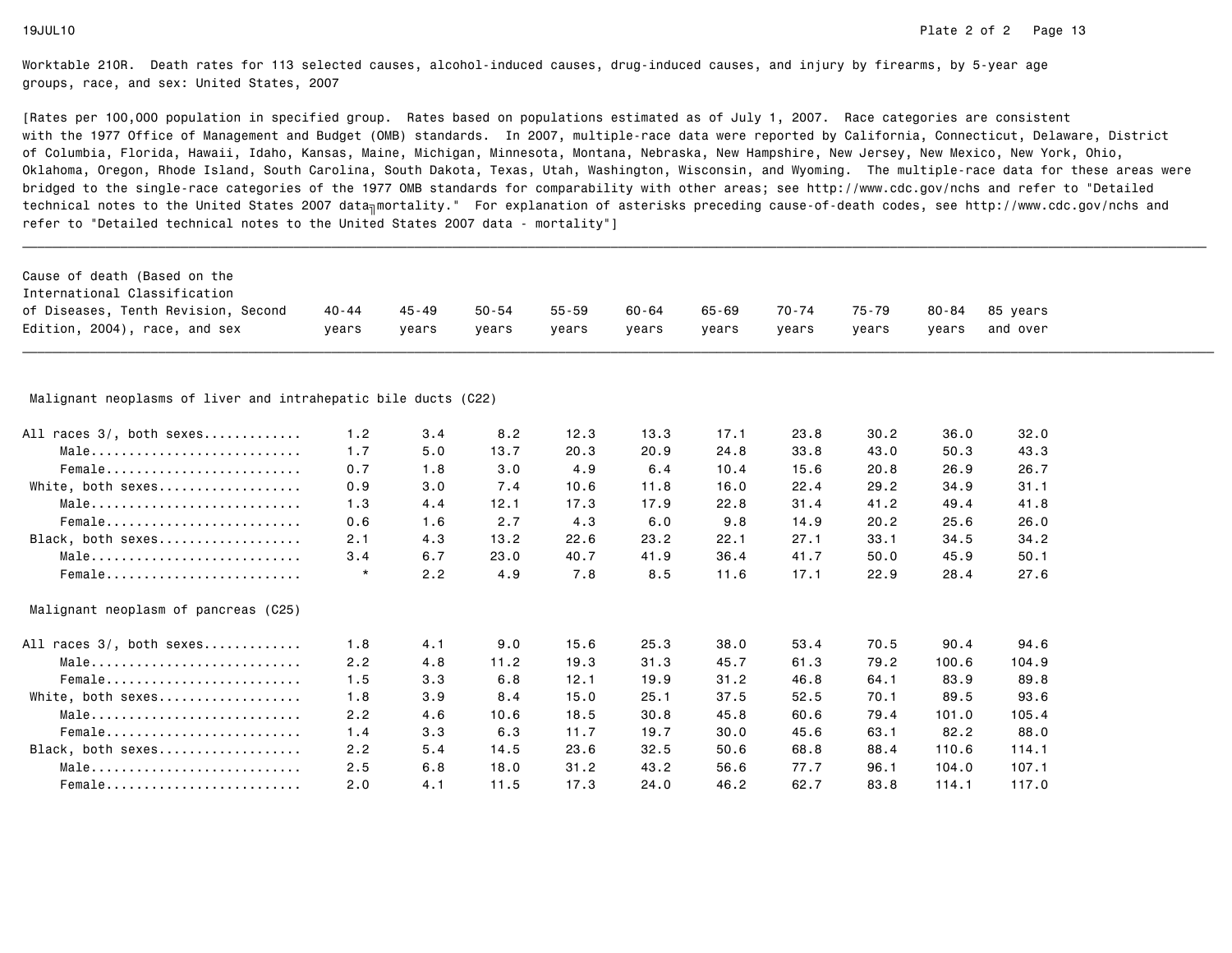| Cause of death (Based on the                                   |           |           |           |           |           |           |           |           |           |          |  |
|----------------------------------------------------------------|-----------|-----------|-----------|-----------|-----------|-----------|-----------|-----------|-----------|----------|--|
| International Classification                                   |           |           |           |           |           |           |           |           |           |          |  |
| of Diseases, Tenth Revision, Second                            | $40 - 44$ | $45 - 49$ | $50 - 54$ | $55 - 59$ | $60 - 64$ | $65 - 69$ | $70 - 74$ | $75 - 79$ | $80 - 84$ | 85 years |  |
| Edition, 2004), race, and sex                                  | years     | years     | years     | years     | years     | years     | years     | years     | years     | and over |  |
|                                                                |           |           |           |           |           |           |           |           |           |          |  |
| Malignant neoplasms of liver and intrahepatic bile ducts (C22) |           |           |           |           |           |           |           |           |           |          |  |
| All races 3/, both sexes                                       | 1.2       | 3.4       | 8.2       | 12.3      | 13.3      | 17.1      | 23.8      | 30.2      | 36.0      | 32.0     |  |
| Male                                                           | 1.7       | 5.0       | 13.7      | 20.3      | 20.9      | 24.8      | 33.8      | 43.0      | 50.3      | 43.3     |  |
| Female                                                         | 0.7       | 1.8       | 3.0       | 4.9       | 6.4       | 10.4      | 15.6      | 20.8      | 26.9      | 26.7     |  |
| White, both sexes                                              | 0.9       | 3.0       | 7.4       | 10.6      | 11.8      | 16.0      | 22.4      | 29.2      | 34.9      | 31.1     |  |
| Male                                                           | 1.3       | 4.4       | 12.1      | 17.3      | 17.9      | 22.8      | 31.4      | 41.2      | 49.4      | 41.8     |  |
| Female                                                         | 0.6       | 1.6       | 2.7       | 4.3       | 6.0       | 9.8       | 14.9      | 20.2      | 25.6      | 26.0     |  |
| Black, both sexes                                              | 2.1       | 4.3       | 13.2      | 22.6      | 23.2      | 22.1      | 27.1      | 33.1      | 34.5      | 34.2     |  |
| Male                                                           | 3.4       | 6.7       | 23.0      | 40.7      | 41.9      | 36.4      | 41.7      | 50.0      | 45.9      | 50.1     |  |
| Female                                                         | $^\star$  | 2.2       | 4.9       | 7.8       | 8.5       | 11.6      | 17.1      | 22.9      | 28.4      | 27.6     |  |
| Malignant neoplasm of pancreas (C25)                           |           |           |           |           |           |           |           |           |           |          |  |
| All races 3/, both sexes                                       | 1.8       | 4.1       | 9.0       | 15.6      | 25.3      | 38.0      | 53.4      | 70.5      | 90.4      | 94.6     |  |
| Male                                                           | 2.2       | 4.8       | 11.2      | 19.3      | 31.3      | 45.7      | 61.3      | 79.2      | 100.6     | 104.9    |  |
| Female                                                         | 1.5       | 3.3       | 6.8       | 12.1      | 19.9      | 31.2      | 46.8      | 64.1      | 83.9      | 89.8     |  |
| White, both sexes                                              | 1.8       | 3.9       | 8.4       | 15.0      | 25.1      | 37.5      | 52.5      | 70.1      | 89.5      | 93.6     |  |
| Male                                                           | 2.2       | 4.6       | 10.6      | 18.5      | 30.8      | 45.8      | 60.6      | 79.4      | 101.0     | 105.4    |  |
| Female                                                         | 1.4       | 3.3       | 6.3       | 11.7      | 19.7      | 30.0      | 45.6      | 63.1      | 82.2      | 88.0     |  |
| Black, both sexes                                              | 2.2       | 5.4       | 14.5      | 23.6      | 32.5      | 50.6      | 68.8      | 88.4      | 110.6     | 114.1    |  |
| Male                                                           | 2.5       | 6.8       | 18.0      | 31.2      | 43.2      | 56.6      | 77.7      | 96.1      | 104.0     | 107.1    |  |
| Female                                                         | 2.0       | 4.1       | 11.5      | 17.3      | 24.0      | 46.2      | 62.7      | 83.8      | 114.1     | 117.0    |  |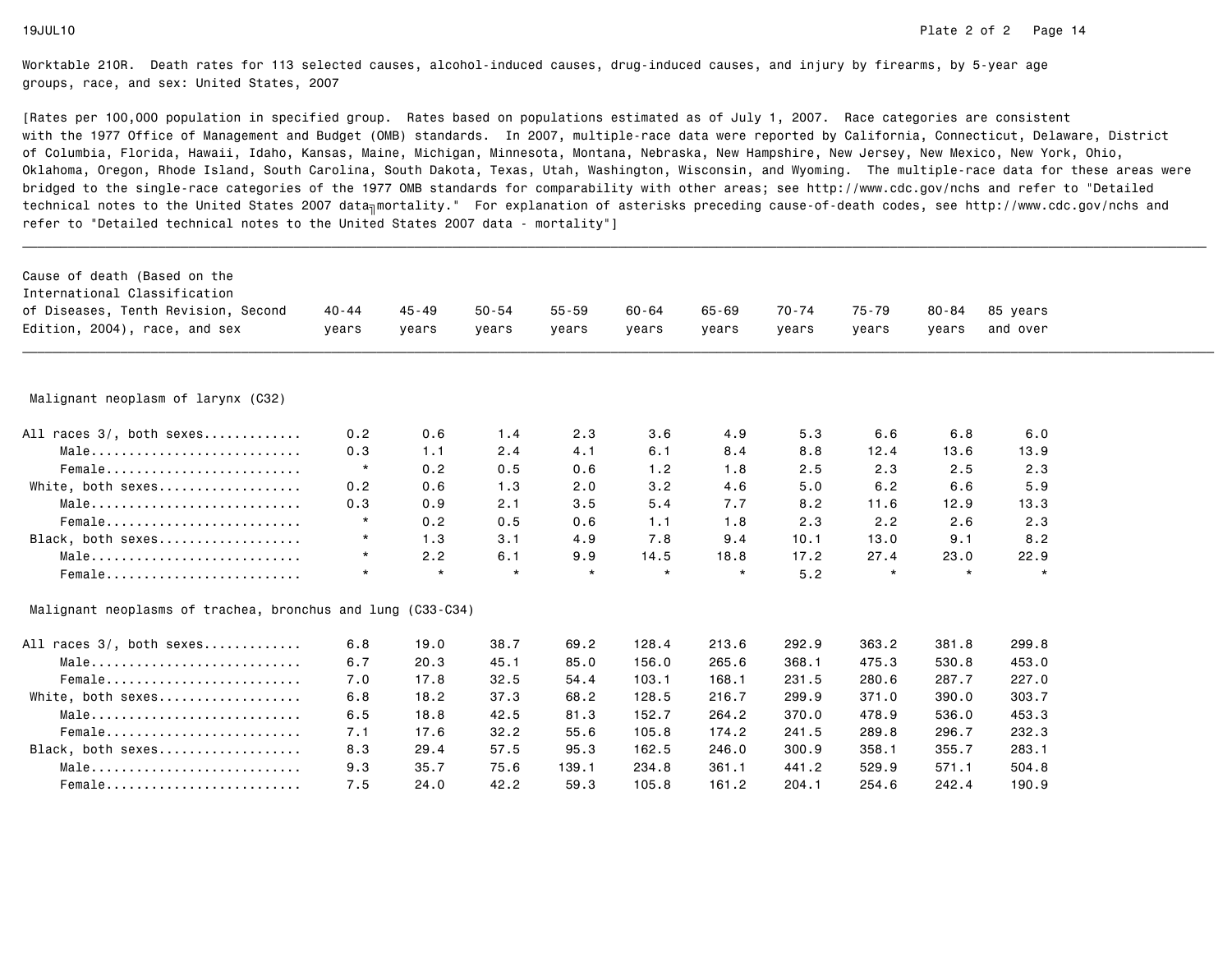| Malignant neoplasm of larynx (C32)<br>0.2<br>1.4<br>0.6<br>0.3<br>1.1<br>2.4<br>Male<br>$\star$<br>0.2<br>0.5<br>Female<br>0.2<br>0.6<br>White, both sexes<br>1.3<br>0.3<br>0.9<br>2.1<br>Male<br>$\star$<br>0.2<br>$Female$<br>0.5<br>$\star$<br>1.3<br>Black, both sexes<br>3.1<br>$\star$<br>2.2<br>6.1<br>Male<br>$\star$<br>$\star$<br>$\star$<br>$Female$<br>Malignant neoplasms of trachea, bronchus and lung (C33-C34) | 2.3<br>4.1 | 3.6     | 4.9     |       |         |         |         |  |
|--------------------------------------------------------------------------------------------------------------------------------------------------------------------------------------------------------------------------------------------------------------------------------------------------------------------------------------------------------------------------------------------------------------------------------|------------|---------|---------|-------|---------|---------|---------|--|
|                                                                                                                                                                                                                                                                                                                                                                                                                                |            |         |         |       |         |         |         |  |
| All races 3/, both sexes                                                                                                                                                                                                                                                                                                                                                                                                       |            |         |         |       |         |         |         |  |
|                                                                                                                                                                                                                                                                                                                                                                                                                                |            |         |         | 5.3   | 6.6     | 6.8     | 6.0     |  |
|                                                                                                                                                                                                                                                                                                                                                                                                                                |            | 6.1     | 8.4     | 8.8   | 12.4    | 13.6    | 13.9    |  |
|                                                                                                                                                                                                                                                                                                                                                                                                                                | 0.6        | 1.2     | 1.8     | 2.5   | 2.3     | 2.5     | 2.3     |  |
|                                                                                                                                                                                                                                                                                                                                                                                                                                | 2.0        | 3.2     | 4.6     | 5.0   | 6.2     | 6.6     | 5.9     |  |
|                                                                                                                                                                                                                                                                                                                                                                                                                                | 3.5        | 5.4     | 7.7     | 8.2   | 11.6    | 12.9    | 13.3    |  |
|                                                                                                                                                                                                                                                                                                                                                                                                                                | 0.6        | 1.1     | 1.8     | 2.3   | 2.2     | 2.6     | 2.3     |  |
|                                                                                                                                                                                                                                                                                                                                                                                                                                | 4.9        | 7.8     | 9.4     | 10.1  | 13.0    | 9.1     | 8.2     |  |
|                                                                                                                                                                                                                                                                                                                                                                                                                                | 9.9        | 14.5    | 18.8    | 17.2  | 27.4    | 23.0    | 22.9    |  |
|                                                                                                                                                                                                                                                                                                                                                                                                                                | $\star$    | $\star$ | $\star$ | 5.2   | $\star$ | $\star$ | $\star$ |  |
|                                                                                                                                                                                                                                                                                                                                                                                                                                |            |         |         |       |         |         |         |  |
| All races 3/, both sexes<br>6.8<br>19.0<br>38.7                                                                                                                                                                                                                                                                                                                                                                                | 69.2       | 128.4   | 213.6   | 292.9 | 363.2   | 381.8   | 299.8   |  |
| 6.7<br>20.3<br>Male<br>45.1                                                                                                                                                                                                                                                                                                                                                                                                    | 85.0       | 156.0   | 265.6   | 368.1 | 475.3   | 530.8   | 453.0   |  |
| 7.0<br>17.8<br>32.5<br>Female                                                                                                                                                                                                                                                                                                                                                                                                  | 54.4       | 103.1   | 168.1   | 231.5 | 280.6   | 287.7   | 227.0   |  |
| 6.8<br>White, both sexes<br>18.2<br>37.3                                                                                                                                                                                                                                                                                                                                                                                       | 68.2       | 128.5   | 216.7   | 299.9 | 371.0   | 390.0   | 303.7   |  |
| 6.5<br>18.8<br>42.5<br>Male                                                                                                                                                                                                                                                                                                                                                                                                    | 81.3       | 152.7   | 264.2   | 370.0 | 478.9   | 536.0   | 453.3   |  |
| 7.1<br>32.2<br>Female<br>17.6                                                                                                                                                                                                                                                                                                                                                                                                  | 55.6       | 105.8   | 174.2   | 241.5 | 289.8   | 296.7   | 232.3   |  |
| 8.3<br>57.5<br>29.4<br>Black, both sexes                                                                                                                                                                                                                                                                                                                                                                                       | 95.3       | 162.5   | 246.0   | 300.9 | 358.1   | 355.7   | 283.1   |  |
| 9.3<br>Male<br>35.7<br>75.6                                                                                                                                                                                                                                                                                                                                                                                                    | 139.1      | 234.8   | 361.1   | 441.2 | 529.9   | 571.1   | 504.8   |  |
| 7.5<br>42.2<br>Female<br>24.0                                                                                                                                                                                                                                                                                                                                                                                                  | 59.3       | 105.8   | 161.2   | 204.1 | 254.6   | 242.4   | 190.9   |  |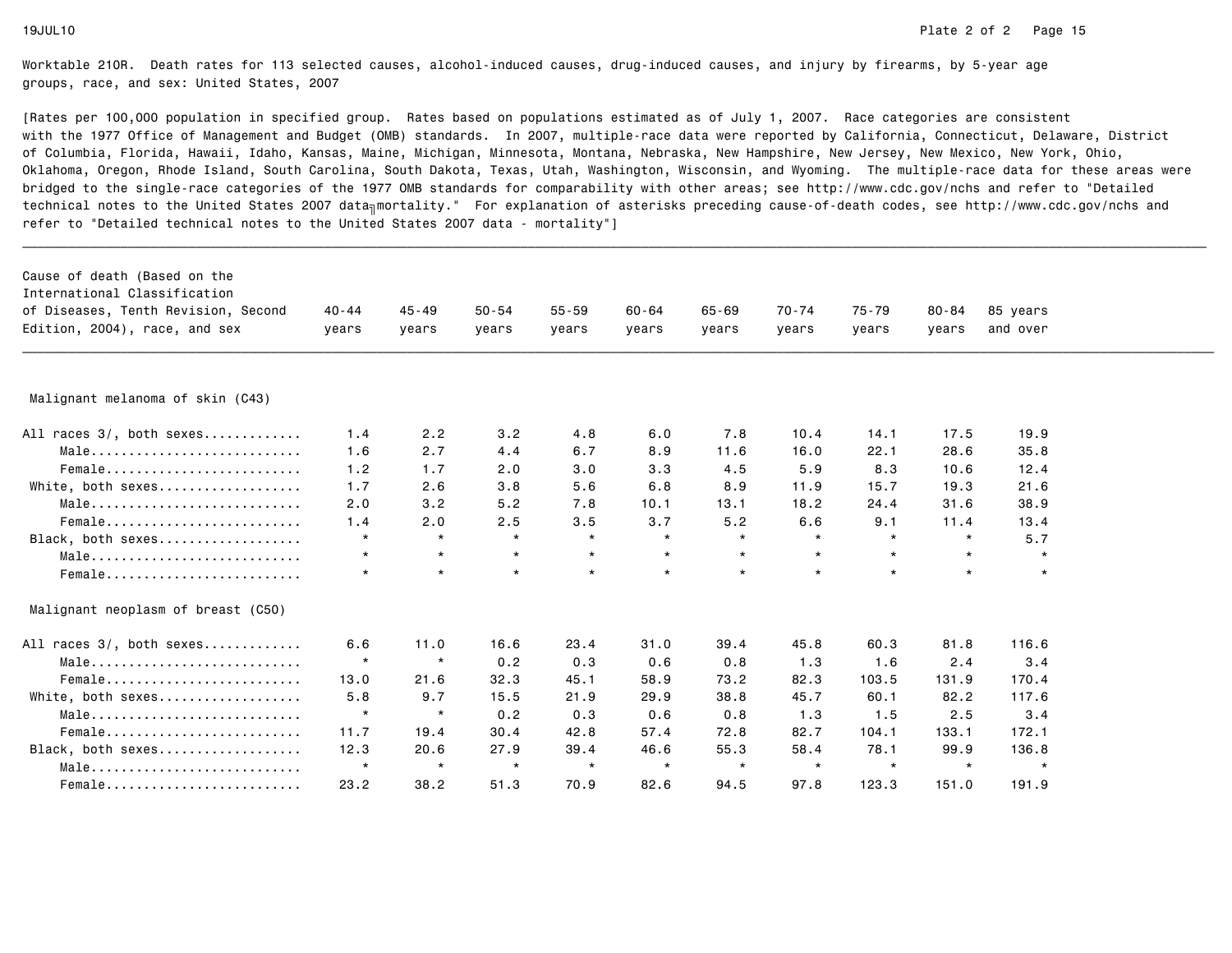| Cause of death (Based on the<br>International Classification<br>of Diseases, Tenth Revision, Second<br>Edition, 2004), race, and sex | $40 - 44$<br>years | $45 - 49$<br>years | $50 - 54$<br>years | $55 - 59$<br>years | $60 - 64$<br>years | $65 - 69$<br>years | $70 - 74$<br>years | $75 - 79$<br>years | $80 - 84$<br>years | 85 years<br>and over |  |
|--------------------------------------------------------------------------------------------------------------------------------------|--------------------|--------------------|--------------------|--------------------|--------------------|--------------------|--------------------|--------------------|--------------------|----------------------|--|
| Malignant melanoma of skin (C43)                                                                                                     |                    |                    |                    |                    |                    |                    |                    |                    |                    |                      |  |
| All races 3/, both sexes                                                                                                             | 1.4                | 2.2                | 3.2                | 4.8                | 6.0                | 7.8                | 10.4               | 14.1               | 17.5               | 19.9                 |  |
| Male                                                                                                                                 | 1.6                | 2.7                | 4.4                | 6.7                | 8.9                | 11.6               | 16.0               | 22.1               | 28.6               | 35.8                 |  |
| $Female$                                                                                                                             | 1.2                | 1.7                | 2.0                | 3.0                | 3.3                | 4.5                | 5.9                | 8.3                | 10.6               | 12.4                 |  |
| White, both sexes                                                                                                                    | 1.7                | 2.6                | 3.8                | 5.6                | 6.8                | 8.9                | 11.9               | 15.7               | 19.3               | 21.6                 |  |
| Male                                                                                                                                 | 2.0                | 3.2                | 5.2                | 7.8                | 10.1               | 13.1               | 18.2               | 24.4               | 31.6               | 38.9                 |  |
| Female                                                                                                                               | 1.4                | 2.0                | 2.5                | 3.5                | 3.7                | 5.2                | 6.6                | 9.1                | 11.4               | 13.4                 |  |
| Black, both sexes                                                                                                                    | $\star$            | $\star$            | $\star$            | $\star$            | $\star$            | $\star$            | $\star$            | $\star$            | $\star$            | 5.7                  |  |
| $Male \dots \dots \dots \dots \dots \dots \dots \dots \dots \dots$                                                                   | $\star$            | $\star$            | $\star$            | $\star$            | $\star$            | $\star$            | $\star$            | $\star$            | $\star$            | $\star$              |  |
| Female                                                                                                                               | $\star$            | $\star$            | $\star$            | $\star$            | $\star$            | $\star$            | $\star$            | $\star$            | $\star$            | $\star$              |  |
| Malignant neoplasm of breast (C50)                                                                                                   |                    |                    |                    |                    |                    |                    |                    |                    |                    |                      |  |
| All races 3/, both sexes                                                                                                             | 6.6                | 11.0               | 16.6               | 23.4               | 31.0               | 39.4               | 45.8               | 60.3               | 81.8               | 116.6                |  |
| $Male \dots \dots \dots \dots \dots \dots \dots \dots \dots \dots$                                                                   | $\star$            | $\star$            | 0.2                | 0.3                | 0.6                | 0.8                | 1.3                | 1.6                | 2.4                | 3.4                  |  |
| Female                                                                                                                               | 13.0               | 21.6               | 32.3               | 45.1               | 58.9               | 73.2               | 82.3               | 103.5              | 131.9              | 170.4                |  |
| White, both sexes                                                                                                                    | 5.8                | 9.7                | 15.5               | 21.9               | 29.9               | 38.8               | 45.7               | 60.1               | 82.2               | 117.6                |  |
| Male                                                                                                                                 | $\star$            | $\star$            | 0.2                | 0.3                | 0.6                | 0.8                | 1.3                | 1.5                | 2.5                | 3.4                  |  |
| Female                                                                                                                               | 11.7               | 19.4               | 30.4               | 42.8               | 57.4               | 72.8               | 82.7               | 104.1              | 133.1              | 172.1                |  |
| Black, both sexes                                                                                                                    | 12.3               | 20.6               | 27.9               | 39.4               | 46.6               | 55.3               | 58.4               | 78.1               | 99.9               | 136.8                |  |
| Male                                                                                                                                 | $\star$            | $\star$            | $\star$            | $\star$            | $\star$            | $\star$            | $\star$            | $\star$            | $\star$            | $\star$              |  |
| Female                                                                                                                               | 23.2               | 38.2               | 51.3               | 70.9               | 82.6               | 94.5               | 97.8               | 123.3              | 151.0              | 191.9                |  |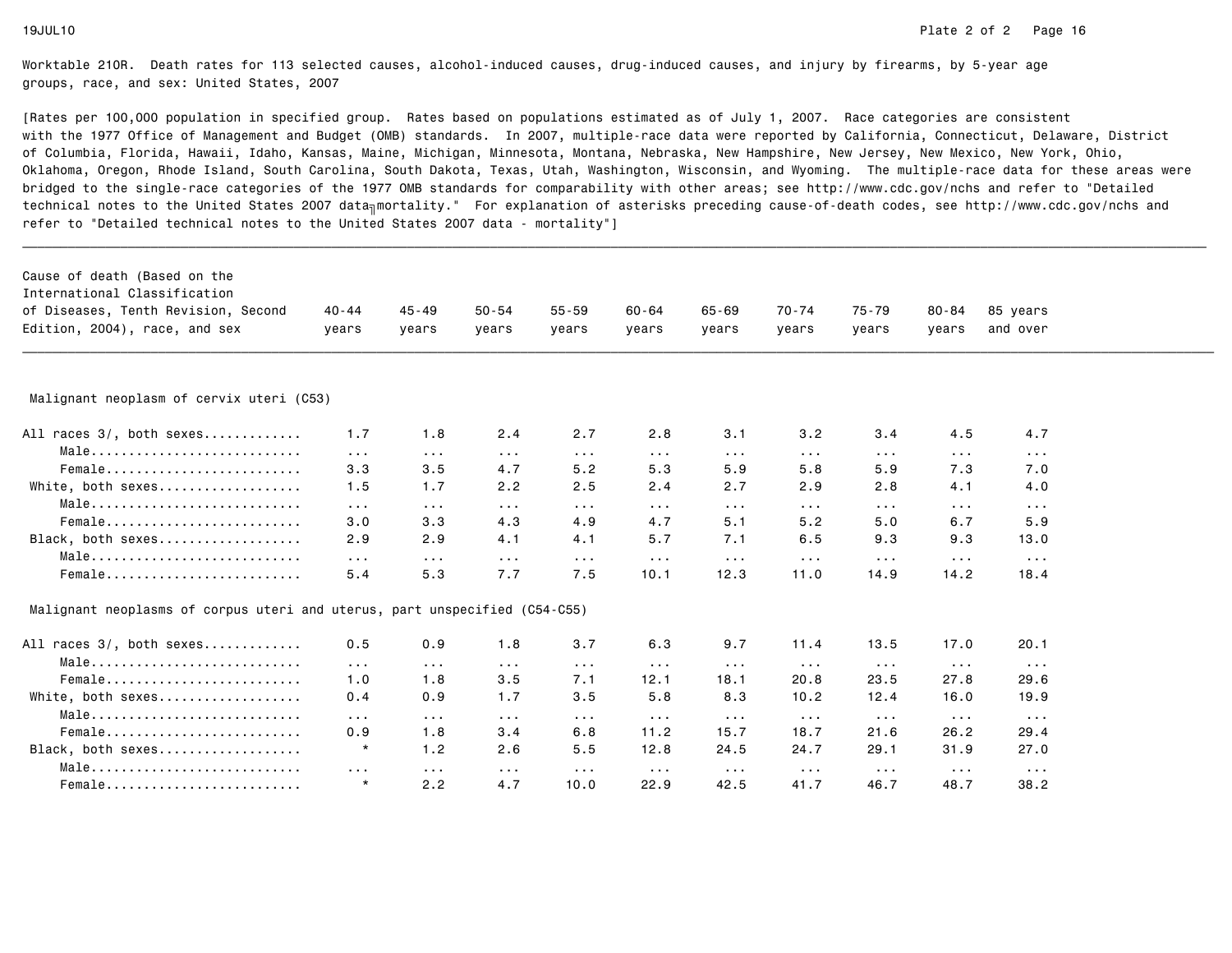| Cause of death (Based on the<br>International Classification               |                      |                      |                      |                      |                      |                       |                         |                         |                         |                         |  |
|----------------------------------------------------------------------------|----------------------|----------------------|----------------------|----------------------|----------------------|-----------------------|-------------------------|-------------------------|-------------------------|-------------------------|--|
| of Diseases, Tenth Revision, Second                                        | 40 - 44              | $45 - 49$            | $50 - 54$            | $55 - 59$            | 60-64                | 65-69                 | 70-74                   | 75-79                   | $80 - 84$               | 85 years                |  |
| Edition, 2004), race, and sex                                              | years                | years                | years                | years                | years                | years                 | years                   | years                   | years                   | and over                |  |
|                                                                            |                      |                      |                      |                      |                      |                       |                         |                         |                         |                         |  |
|                                                                            |                      |                      |                      |                      |                      |                       |                         |                         |                         |                         |  |
| Malignant neoplasm of cervix uteri (C53)                                   |                      |                      |                      |                      |                      |                       |                         |                         |                         |                         |  |
| All races 3/, both sexes                                                   | 1.7                  | 1.8                  | 2.4                  | 2.7                  | 2.8                  | 3.1                   | 3.2                     | 3.4                     | 4.5                     | 4.7                     |  |
| $Male \dots \dots \dots \dots \dots \dots \dots \dots \dots \dots$         | $\sim 100$           | $\sim 100$           | $\sim$ $\sim$ $\sim$ | $\sim$ $\sim$ $\sim$ | $\sim$ $\sim$ $\sim$ | $\sim 100$            | $\sim 100$              | $\sim 100$              | $\sim 100$              | $\sim 100$              |  |
| Female                                                                     | 3.3                  | 3.5                  | 4.7                  | 5.2                  | 5.3                  | 5.9                   | 5.8                     | 5.9                     | 7.3                     | 7.0                     |  |
| White, both sexes                                                          | 1.5                  | 1.7                  | 2.2                  | 2.5                  | 2.4                  | 2.7                   | 2.9                     | 2.8                     | 4.1                     | 4.0                     |  |
| Male                                                                       | $\sim 100$           | $\sim$ $\sim$ $\sim$ | $\sim$ $\sim$ $\sim$ | $\sim$ $\sim$ $\sim$ | $\cdots$             | $\sim 100$            | $\sim$ $\sim$ $\sim$    | $\sim$ $\sim$ $\sim$    | $\sim$ $\sim$ $\sim$    | $\sim 100$              |  |
| Female                                                                     | 3.0                  | 3.3                  | 4.3                  | 4.9                  | 4.7                  | 5.1                   | 5.2                     | 5.0                     | 6.7                     | 5.9                     |  |
| Black, both sexes                                                          | 2.9                  | 2.9                  | 4.1                  | 4.1                  | 5.7                  | 7.1                   | 6.5                     | 9.3                     | 9.3                     | 13.0                    |  |
| Male                                                                       | $\sim 100$           | $\sim$ $\sim$ $\sim$ | $\sim 100$           | $\sim$ $\sim$ $\sim$ | $\sim$ $\sim$ $\sim$ | $\sim 100$            | $\sim 100$ km s $^{-1}$ | $\sim 100$ km $^{-1}$   | $\sim 100$              | $\sim 100$ km s $^{-1}$ |  |
| Female                                                                     | 5.4                  | 5.3                  | 7.7                  | 7.5                  | 10.1                 | 12.3                  | 11.0                    | 14.9                    | 14.2                    | 18.4                    |  |
| Malignant neoplasms of corpus uteri and uterus, part unspecified (C54-C55) |                      |                      |                      |                      |                      |                       |                         |                         |                         |                         |  |
| All races 3/, both sexes                                                   | 0.5                  | 0.9                  | 1.8                  | 3.7                  | 6.3                  | 9.7                   | 11.4                    | 13.5                    | 17.0                    | 20.1                    |  |
| Male                                                                       | $\sim 100$           | $\sim 100$           | $\sim$ $\sim$ $\sim$ | $\sim$ $\sim$ $\sim$ | $\sim$ $\sim$ $\sim$ | $\sim 100$            | $\sim 100$              | $\sim 100$ km s $^{-1}$ | $\sim 100$ km s $^{-1}$ | $\sim 100$              |  |
| Female                                                                     | 1.0                  | 1.8                  | 3.5                  | 7.1                  | 12.1                 | 18.1                  | 20.8                    | 23.5                    | 27.8                    | 29.6                    |  |
| White, both sexes                                                          | 0.4                  | 0.9                  | 1.7                  | 3.5                  | 5.8                  | 8.3                   | 10.2                    | 12.4                    | 16.0                    | 19.9                    |  |
| Male                                                                       | $\sim 100$           | $\sim 100$           | $\sim 100$           | $\sim$ $\sim$ $\sim$ | $\sim 100$           | $\sim 100$ km $^{-1}$ | $\sim 100$ km s $^{-1}$ | $\sim 100$ km s $^{-1}$ | $\sim 100$              | $\sim 100$ km s $^{-1}$ |  |
| Female                                                                     | 0.9                  | 1.8                  | 3.4                  | 6.8                  | 11.2                 | 15.7                  | 18.7                    | 21.6                    | 26.2                    | 29.4                    |  |
| Black, both sexes                                                          | $\star$              | 1.2                  | 2.6                  | 5.5                  | 12.8                 | 24.5                  | 24.7                    | 29.1                    | 31.9                    | 27.0                    |  |
| $Male \dots \dots \dots \dots \dots \dots \dots \dots \dots \dots$         | $\sim$ $\sim$ $\sim$ | $\sim$ $\sim$ $\sim$ | $\sim$ $\sim$ $\sim$ | $\sim$ $\sim$ $\sim$ | $\sim 100$           | $\sim 100$            | $\sim$ $\sim$ $\sim$    | $\sim$ $\sim$ $\sim$    | $\sim$ $\sim$ $\sim$    | $\sim 100$ km s $^{-1}$ |  |
| Female                                                                     | $\star$              | 2.2                  | 4.7                  | 10.0                 | 22.9                 | 42.5                  | 41.7                    | 46.7                    | 48.7                    | 38.2                    |  |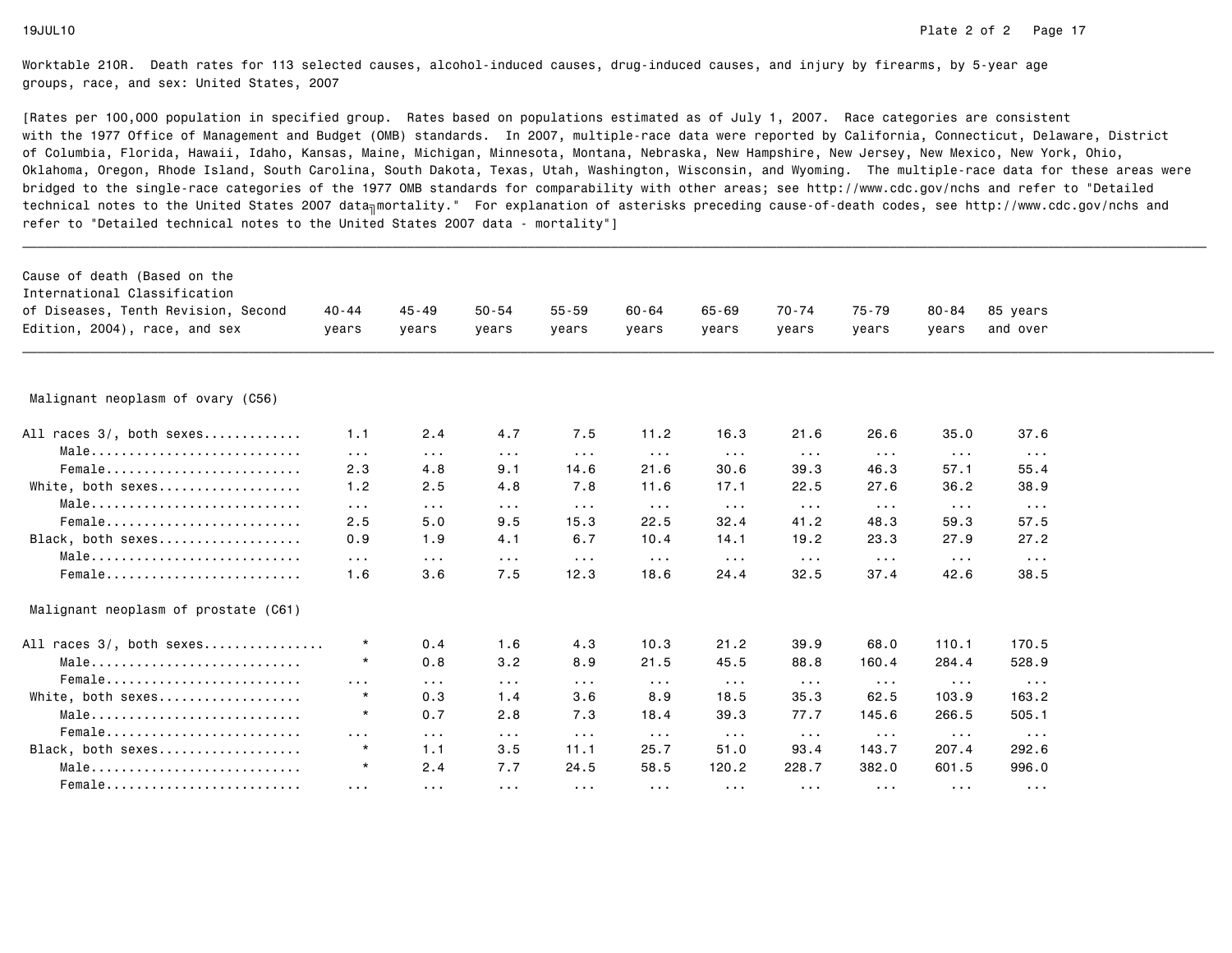| Cause of death (Based on the         |                         |                       |                         |                      |                         |                         |                         |                         |                      |                      |
|--------------------------------------|-------------------------|-----------------------|-------------------------|----------------------|-------------------------|-------------------------|-------------------------|-------------------------|----------------------|----------------------|
| International Classification         |                         |                       |                         |                      |                         |                         |                         |                         |                      |                      |
| of Diseases, Tenth Revision, Second  | $40 - 44$               | $45 - 49$             | $50 - 54$               | $55 - 59$            | $60 - 64$               | $65 - 69$               | $70 - 74$               | $75 - 79$               | 80-84                | 85 years             |
| Edition, 2004), race, and sex        | years                   | years                 | years                   | years                | years                   | vears                   | years                   | years                   | vears                | and over             |
|                                      |                         |                       |                         |                      |                         |                         |                         |                         |                      |                      |
| Malignant neoplasm of ovary (C56)    |                         |                       |                         |                      |                         |                         |                         |                         |                      |                      |
| All races 3/, both sexes             | 1.1                     | 2.4                   | 4.7                     | 7.5                  | 11.2                    | 16.3                    | 21.6                    | 26.6                    | 35.0                 | 37.6                 |
| Male                                 | $\sim 100$              | $\sim$ $\sim$ $\sim$  | $\sim 100$              | $\sim 100$           | $\sim 100$              | $\sim$ $\sim$ $\sim$    | $\sim$ $\sim$ $\sim$    | $\sim$ $\sim$ $\sim$    | $\sim 100$           | $\sim 100$           |
| Female                               | 2.3                     | 4.8                   | 9.1                     | 14.6                 | 21.6                    | 30.6                    | 39.3                    | 46.3                    | 57.1                 | 55.4                 |
| White, both sexes                    | 1.2                     | 2.5                   | 4.8                     | 7.8                  | 11.6                    | 17.1                    | 22.5                    | 27.6                    | 36.2                 | 38.9                 |
| Male                                 | $\sim 100$              | $\sim$ $\sim$ $\sim$  | $\sim 100$ km s $^{-1}$ | $\sim 100$           | $\sim 100$ km s $^{-1}$ | $\sim 100$              | $\sim 100$ km s $^{-1}$ | $\sim$ $\sim$ $\sim$    | $\sim 100$           | $\sim 100$           |
| Female                               | 2.5                     | 5.0                   | 9.5                     | 15.3                 | 22.5                    | 32.4                    | 41.2                    | 48.3                    | 59.3                 | 57.5                 |
| Black, both sexes                    | 0.9                     | 1.9                   | 4.1                     | 6.7                  | 10.4                    | 14.1                    | 19.2                    | 23.3                    | 27.9                 | 27.2                 |
| Male                                 | $\sim 100$              | $\sim$ $\sim$ $\sim$  | $\sim$ $\sim$ $\sim$    | $\sim$ $\sim$ $\sim$ | $\sim 100$              | $\sim$ $\sim$ $\sim$    | $\sim$ $\sim$ $\sim$    | $\sim$ $\sim$ $\sim$    | $\sim$ $\sim$ $\sim$ | $\sim$ $\sim$ $\sim$ |
| Female                               | 1.6                     | 3.6                   | 7.5                     | 12.3                 | 18.6                    | 24.4                    | 32.5                    | 37.4                    | 42.6                 | 38.5                 |
| Malignant neoplasm of prostate (C61) |                         |                       |                         |                      |                         |                         |                         |                         |                      |                      |
| All races 3/, both sexes             | $\star$                 | 0.4                   | 1.6                     | 4.3                  | 10.3                    | 21.2                    | 39.9                    | 68.0                    | 110.1                | 170.5                |
| Male                                 | $\star$                 | 0.8                   | 3.2                     | 8.9                  | 21.5                    | 45.5                    | 88.8                    | 160.4                   | 284.4                | 528.9                |
| Female                               | $\sim$ $\sim$ $\sim$    | $\sim$ $\sim$ $\sim$  | $\sim 100$ km $^{-1}$   | $\sim 100$           | $\sim 100$              | $\sim 100$              | $\sim 100$ km s $^{-1}$ | $\sim$ $\sim$ $\sim$    | $\sim 100$           | $\sim 100$           |
| White, both sexes                    | $\star$                 | 0.3                   | 1.4                     | 3.6                  | 8.9                     | 18.5                    | 35.3                    | 62.5                    | 103.9                | 163.2                |
| Male                                 | $\star$                 | 0.7                   | 2.8                     | 7.3                  | 18.4                    | 39.3                    | 77.7                    | 145.6                   | 266.5                | 505.1                |
| Female                               | $\sim 100$              | $\sim 100$ km $^{-1}$ | $\sim 100$              | $\sim 100$           | $\sim 100$ km s $^{-1}$ | $\sim 100$ km s $^{-1}$ | $\sim 100$ km s $^{-1}$ | $\sim 100$ km s $^{-1}$ | $\sim 100$           | $\sim$ $\sim$ $\sim$ |
| Black, both sexes                    | $\star$                 | 1.1                   | 3.5                     | 11.1                 | 25.7                    | 51.0                    | 93.4                    | 143.7                   | 207.4                | 292.6                |
| Male                                 | $\star$                 | 2.4                   | 7.7                     | 24.5                 | 58.5                    | 120.2                   | 228.7                   | 382.0                   | 601.5                | 996.0                |
| Female                               | $\sim 100$ km s $^{-1}$ | $\sim$ $\sim$ $\sim$  | $\sim$ $\sim$ $\sim$    | $\sim$ $\sim$ $\sim$ | $\sim$ $\sim$ $\sim$    | $\sim$ $\sim$ $\sim$    | $\sim$ $\sim$ $\sim$    | $\sim$ $\sim$ $\sim$    | $\sim$ $\sim$ $\sim$ | $\sim$ $\sim$ $\sim$ |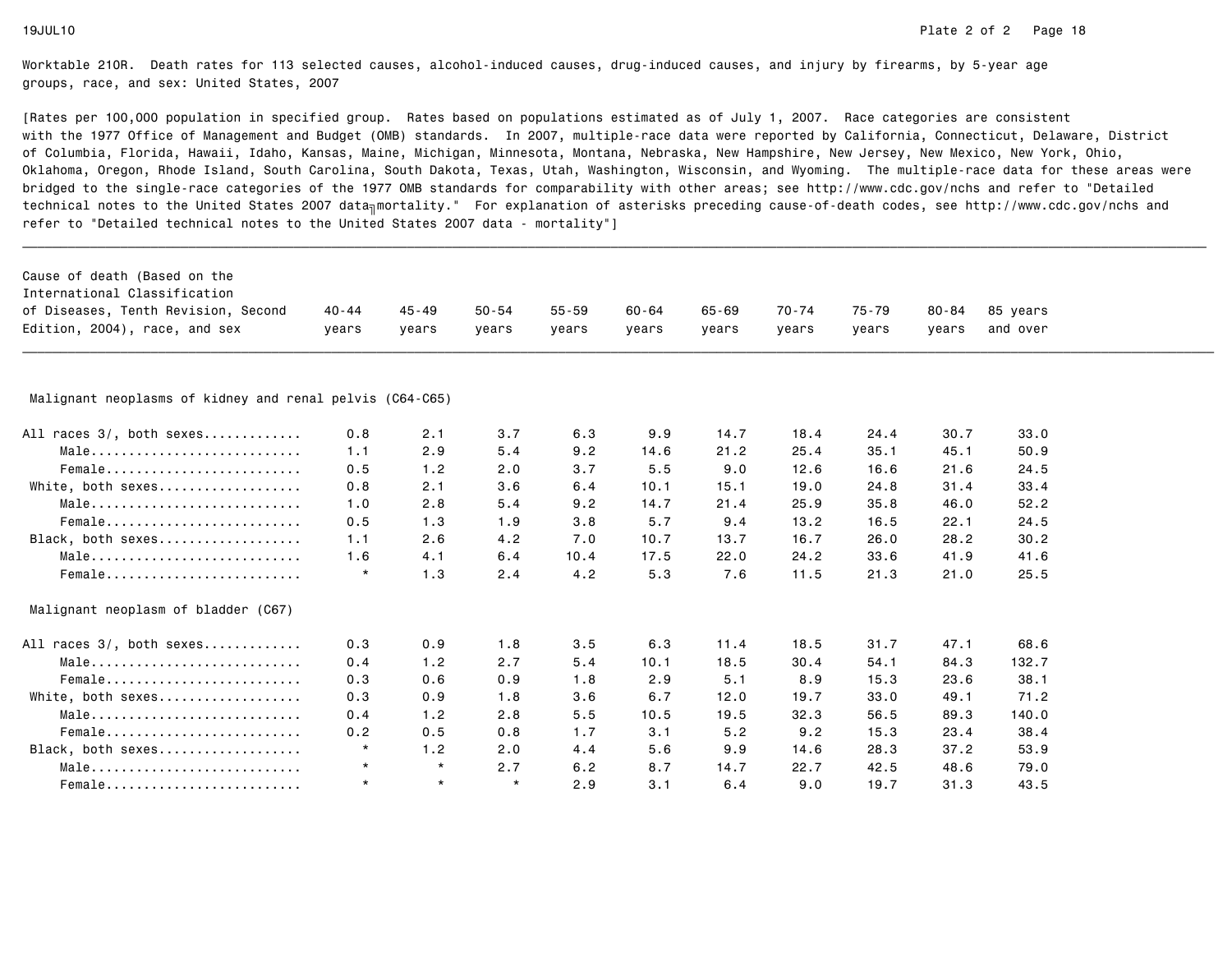| Cause of death (Based on the                             |         |           |           |           |           |           |       |           |           |          |  |
|----------------------------------------------------------|---------|-----------|-----------|-----------|-----------|-----------|-------|-----------|-----------|----------|--|
| International Classification                             |         |           |           |           |           |           |       |           |           |          |  |
| of Diseases, Tenth Revision, Second                      | 40 - 44 | $45 - 49$ | $50 - 54$ | $55 - 59$ | $60 - 64$ | $65 - 69$ | 70-74 | $75 - 79$ | $80 - 84$ | 85 years |  |
| Edition, 2004), race, and sex                            | years   | vears     | vears     | years     | years     | vears     | years | vears     | vears     | and over |  |
|                                                          |         |           |           |           |           |           |       |           |           |          |  |
| Malignant neoplasms of kidney and renal pelvis (C64-C65) |         |           |           |           |           |           |       |           |           |          |  |
| All races 3/, both sexes                                 | 0.8     | 2.1       | 3.7       | 6.3       | 9.9       | 14.7      | 18.4  | 24.4      | 30.7      | 33.0     |  |
| Male                                                     | 1.1     | 2.9       | 5.4       | 9.2       | 14.6      | 21.2      | 25.4  | 35.1      | 45.1      | 50.9     |  |
| Female                                                   | 0.5     | 1.2       | 2.0       | 3.7       | 5.5       | 9.0       | 12.6  | 16.6      | 21.6      | 24.5     |  |
| White, both sexes                                        | 0.8     | 2.1       | 3.6       | 6.4       | 10.1      | 15.1      | 19.0  | 24.8      | 31.4      | 33.4     |  |
| Male                                                     | 1.0     | 2.8       | 5.4       | 9.2       | 14.7      | 21.4      | 25.9  | 35.8      | 46.0      | 52.2     |  |
| $Female$                                                 | 0.5     | 1.3       | 1.9       | 3.8       | 5.7       | 9.4       | 13.2  | 16.5      | 22.1      | 24.5     |  |
| Black, both sexes                                        | 1.1     | 2.6       | 4.2       | 7.0       | 10.7      | 13.7      | 16.7  | 26.0      | 28.2      | 30.2     |  |
| Male                                                     | 1.6     | 4.1       | 6.4       | 10.4      | 17.5      | 22.0      | 24.2  | 33.6      | 41.9      | 41.6     |  |
| Female                                                   | $\star$ | 1.3       | 2.4       | 4.2       | 5.3       | 7.6       | 11.5  | 21.3      | 21.0      | 25.5     |  |
| Malignant neoplasm of bladder (C67)                      |         |           |           |           |           |           |       |           |           |          |  |
| All races 3/, both sexes                                 | 0.3     | 0.9       | 1.8       | 3.5       | 6.3       | 11.4      | 18.5  | 31.7      | 47.1      | 68.6     |  |
| Male                                                     | 0.4     | 1.2       | 2.7       | 5.4       | 10.1      | 18.5      | 30.4  | 54.1      | 84.3      | 132.7    |  |
| Female                                                   | 0.3     | 0.6       | 0.9       | 1.8       | 2.9       | 5.1       | 8.9   | 15.3      | 23.6      | 38.1     |  |
| White, both sexes                                        | 0.3     | 0.9       | 1.8       | 3.6       | 6.7       | 12.0      | 19.7  | 33.0      | 49.1      | 71.2     |  |
| Male                                                     | 0.4     | 1.2       | 2.8       | 5.5       | 10.5      | 19.5      | 32.3  | 56.5      | 89.3      | 140.0    |  |
| Female                                                   | 0.2     | 0.5       | 0.8       | 1.7       | 3.1       | 5.2       | 9.2   | 15.3      | 23.4      | 38.4     |  |
| Black, both sexes                                        | $\star$ | 1.2       | 2.0       | 4.4       | 5.6       | 9.9       | 14.6  | 28.3      | 37.2      | 53.9     |  |
| Male                                                     | $\star$ | $\star$   | 2.7       | 6.2       | 8.7       | 14.7      | 22.7  | 42.5      | 48.6      | 79.0     |  |
| Female                                                   | $\star$ | $\star$   | $\star$   | 2.9       | 3.1       | 6.4       | 9.0   | 19.7      | 31.3      | 43.5     |  |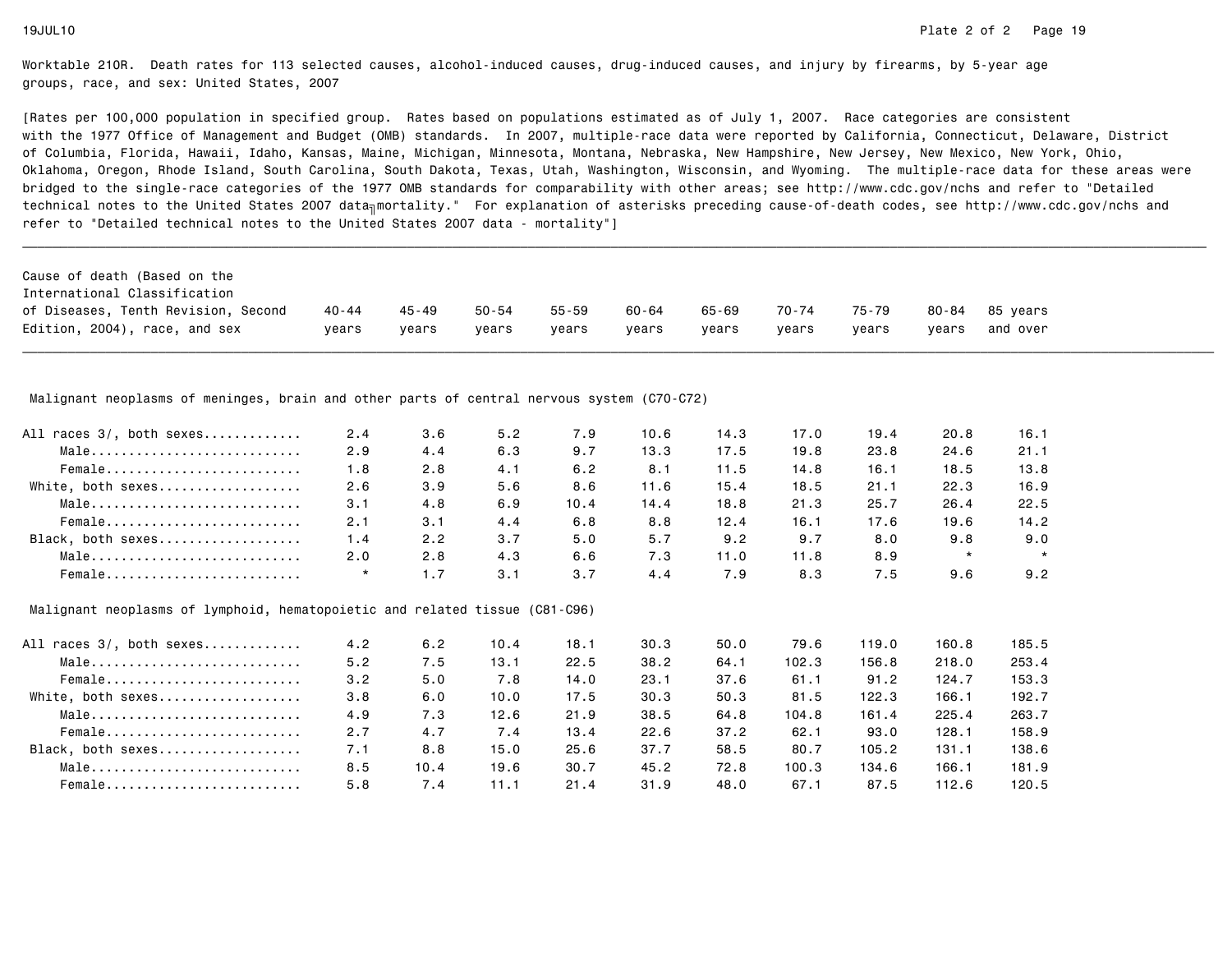[Rates per 100,000 population in specified group. Rates based on populations estimated as of July 1, 2007. Race categories are consistent with the 1977 Office of Management and Budget (OMB) standards. In 2007, multiple-race data were reported by California, Connecticut, Delaware, Districtof Columbia, Florida, Hawaii, Idaho, Kansas, Maine, Michigan, Minnesota, Montana, Nebraska, New Hampshire, New Jersey, New Mexico, New York, Ohio, Oklahoma, Oregon, Rhode Island, South Carolina, South Dakota, Texas, Utah, Washington, Wisconsin, and Wyoming. The multiple-race data for these areas werebridged to the single-race categories of the 1977 OMB standards for comparability with other areas; see http://www.cdc.gov/nchs and refer to "Detailedtechnical notes to the United States 2007 data<sub>∏</sub>mortality." For explanation of asterisks preceding cause-of-death codes, see http://www.cdc.gov/nchs and refer to "Detailed technical notes to the United States 2007 data - mortality"]

Malignant neoplasms of meninges, brain and other parts of central nervous system (C70-C72)

| All races 3/, both sexes | 2.4 | 3.6 | 5.2 | 7.9  | 10.6 | 14.3 | 17.0 | 19.4 | 20.8    | 16.1    |
|--------------------------|-----|-----|-----|------|------|------|------|------|---------|---------|
| Male                     | 2.9 | 4.4 | 6.3 | 9.7  | 13.3 | 17.5 | 19.8 | 23.8 | 24.6    | 21.1    |
| Female                   | 1.8 | 2.8 | 4.1 | 6.2  | 8.1  | 11.5 | 14.8 | 16.1 | 18.5    | 13.8    |
| White, both sexes        | 2.6 | 3.9 | 5.6 | 8.6  | 11.6 | 15.4 | 18.5 | 21.1 | 22.3    | 16.9    |
| Male                     | 3.1 | 4.8 | 6.9 | 10.4 | 14.4 | 18.8 | 21.3 | 25.7 | 26.4    | 22.5    |
| Female                   | 2.1 | 3.1 | 4.4 | 6.8  | 8.8  | 12.4 | 16.1 | 17.6 | 19.6    | 14.2    |
| Black, both sexes        | 1.4 | 2.2 | 3.7 | 5.0  | 5.7  | 9.2  | 9.7  | 8.0  | 9.8     | 9.0     |
| Male                     | 2.0 | 2.8 | 4.3 | 6.6  | 7.3  | 11.0 | 11.8 | 8.9  | $\star$ | $\star$ |
| Female                   |     | 1.7 | 3.1 | 3.7  | 4.4  | 7.9  | 8.3  | 7.5  | 9.6     | 9.2     |

Malignant neoplasms of lymphoid, hematopoietic and related tissue (C81-C96)

| All races 3/, both sexes | 4.2 | 6.2  | 10.4 | 18.1 | 30.3 | 50.0 | 79.6  | 119.0 | 160.8 | 185.5 |
|--------------------------|-----|------|------|------|------|------|-------|-------|-------|-------|
| Male                     | 5.2 | 7.5  | 13.1 | 22.5 | 38.2 | 64.1 | 102.3 | 156.8 | 218.0 | 253.4 |
| Female                   | 3.2 | 5.0  | 7.8  | 14.0 | 23.1 | 37.6 | 61.1  | 91.2  | 124.7 | 153.3 |
| White, both sexes        | 3.8 | 6.0  | 10.0 | 17.5 | 30.3 | 50.3 | 81.5  | 122.3 | 166.1 | 192.7 |
| Male                     | 4.9 | 7.3  | 12.6 | 21.9 | 38.5 | 64.8 | 104.8 | 161.4 | 225.4 | 263.7 |
| Female                   | 2.7 | 4.7  | 7.4  | 13.4 | 22.6 | 37.2 | 62.1  | 93.0  | 128.1 | 158.9 |
| Black, both sexes        | 7.1 | 8.8  | 15.0 | 25.6 | 37.7 | 58.5 | 80.7  | 105.2 | 131.1 | 138.6 |
| Male                     | 8.5 | 10.4 | 19.6 | 30.7 | 45.2 | 72.8 | 100.3 | 134.6 | 166.1 | 181.9 |
| Female                   | 5.8 | 7.4  | 11.1 | 21.4 | 31.9 | 48.0 | 67.1  | 87.5  | 112.6 | 120.5 |
|                          |     |      |      |      |      |      |       |       |       |       |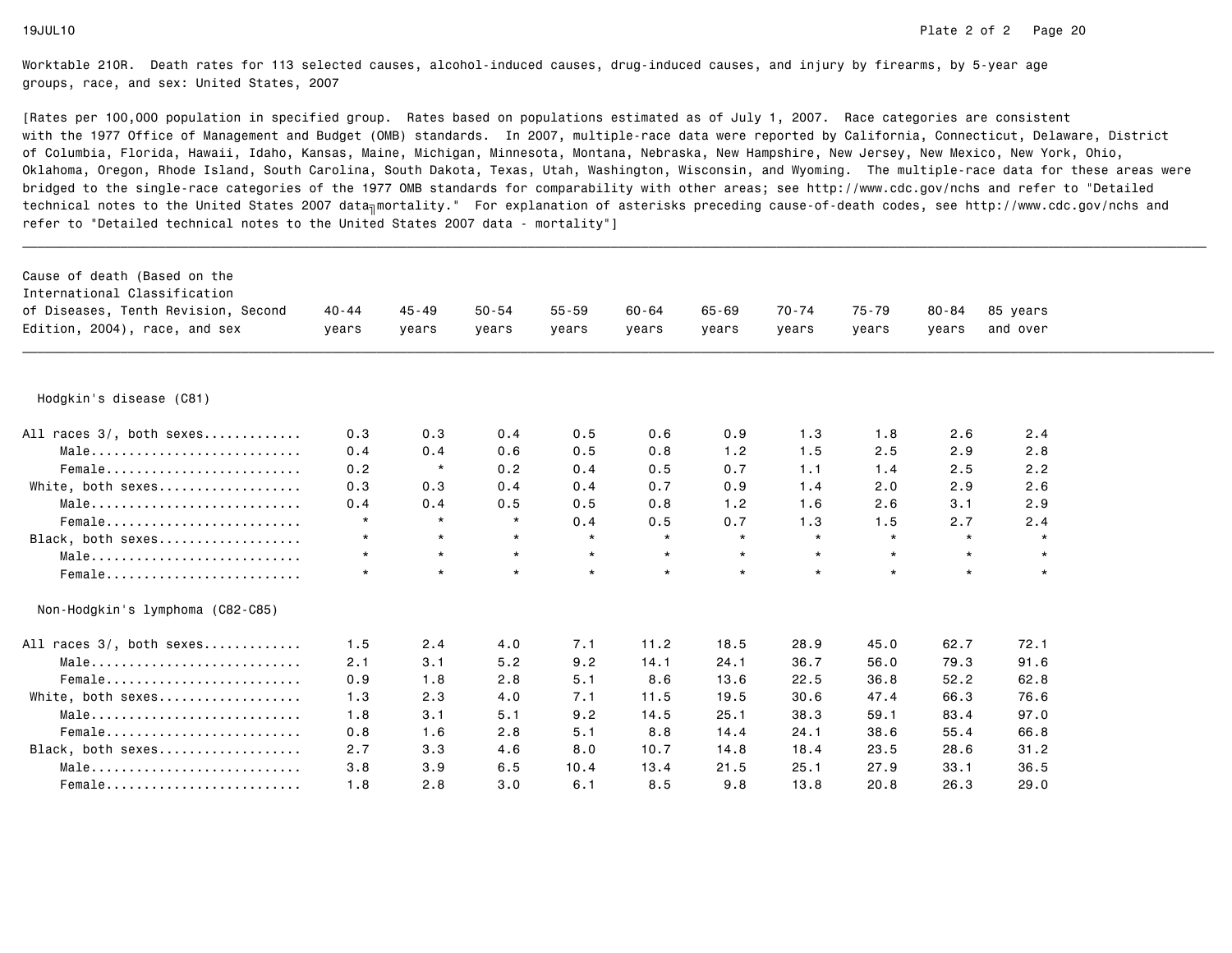| Cause of death (Based on the<br>International Classification<br>of Diseases, Tenth Revision, Second<br>Edition, 2004), race, and sex | $40 - 44$<br>years | $45 - 49$<br>years | $50 - 54$<br>years | $55 - 59$<br>years | $60 - 64$<br>years | $65 - 69$<br>vears | 70-74<br>years | $75 - 79$<br>years | 80-84<br>vears | 85 years<br>and over |
|--------------------------------------------------------------------------------------------------------------------------------------|--------------------|--------------------|--------------------|--------------------|--------------------|--------------------|----------------|--------------------|----------------|----------------------|
| Hodgkin's disease (C81)                                                                                                              |                    |                    |                    |                    |                    |                    |                |                    |                |                      |
| All races 3/, both sexes                                                                                                             | 0.3                | 0.3                | 0.4                | 0.5                | 0.6                | 0.9                | 1.3            | 1.8                | 2.6            | 2.4                  |
| Male                                                                                                                                 | 0.4                | 0.4                | 0.6                | 0.5                | 0.8                | 1.2                | 1.5            | 2.5                | 2.9            | 2.8                  |
| Female                                                                                                                               | 0.2                | $\star$            | 0.2                | 0.4                | 0.5                | 0.7                | 1.1            | 1.4                | 2.5            | 2.2                  |
| White, both sexes                                                                                                                    | 0.3                | 0.3                | 0.4                | 0.4                | 0.7                | 0.9                | 1.4            | 2.0                | 2.9            | 2.6                  |
| Male                                                                                                                                 | 0.4                | 0.4                | 0.5                | 0.5                | 0.8                | 1.2                | 1.6            | 2.6                | 3.1            | 2.9                  |
| Female                                                                                                                               | $\star$            | $\star$            | $\star$            | 0.4                | 0.5                | 0.7                | 1.3            | 1.5                | 2.7            | 2.4                  |
| Black, both sexes                                                                                                                    | $\star$            | $\star$            | $\star$            | $\star$            | $\star$            | $\star$            | $\star$        | $\star$            | $\star$        | $\star$              |
| Male                                                                                                                                 | $\star$            | $\star$            | $\star$            | $\star$            | $\star$            | $\star$            | $\star$        | $\star$            | $\star$        | $\star$              |
| Female                                                                                                                               | $\star$            | $\star$            | $\star$            | $\star$            | $\star$            | $\star$            | $\star$        | $\star$            | $\star$        | $\star$              |
| Non-Hodgkin's lymphoma (C82-C85)                                                                                                     |                    |                    |                    |                    |                    |                    |                |                    |                |                      |
| All races 3/, both sexes                                                                                                             | 1.5                | 2.4                | 4.0                | 7.1                | 11.2               | 18.5               | 28.9           | 45.0               | 62.7           | 72.1                 |
| Male                                                                                                                                 | 2.1                | 3.1                | 5.2                | 9.2                | 14.1               | 24.1               | 36.7           | 56.0               | 79.3           | 91.6                 |
| Female                                                                                                                               | 0.9                | 1.8                | 2.8                | 5.1                | 8.6                | 13.6               | 22.5           | 36.8               | 52.2           | 62.8                 |
| White, both sexes                                                                                                                    | 1.3                | 2.3                | 4.0                | 7.1                | 11.5               | 19.5               | 30.6           | 47.4               | 66.3           | 76.6                 |
| Male                                                                                                                                 | 1.8                | 3.1                | 5.1                | 9.2                | 14.5               | 25.1               | 38.3           | 59.1               | 83.4           | 97.0                 |
| Female                                                                                                                               | 0.8                | 1.6                | 2.8                | 5.1                | 8.8                | 14.4               | 24.1           | 38.6               | 55.4           | 66.8                 |
| Black, both sexes                                                                                                                    | 2.7                | 3.3                | 4.6                | 8.0                | 10.7               | 14.8               | 18.4           | 23.5               | 28.6           | 31.2                 |
| Male                                                                                                                                 | 3.8                | 3.9                | 6.5                | 10.4               | 13.4               | 21.5               | 25.1           | 27.9               | 33.1           | 36.5                 |
| Female                                                                                                                               | 1.8                | 2.8                | 3.0                | 6.1                | 8.5                | 9.8                | 13.8           | 20.8               | 26.3           | 29.0                 |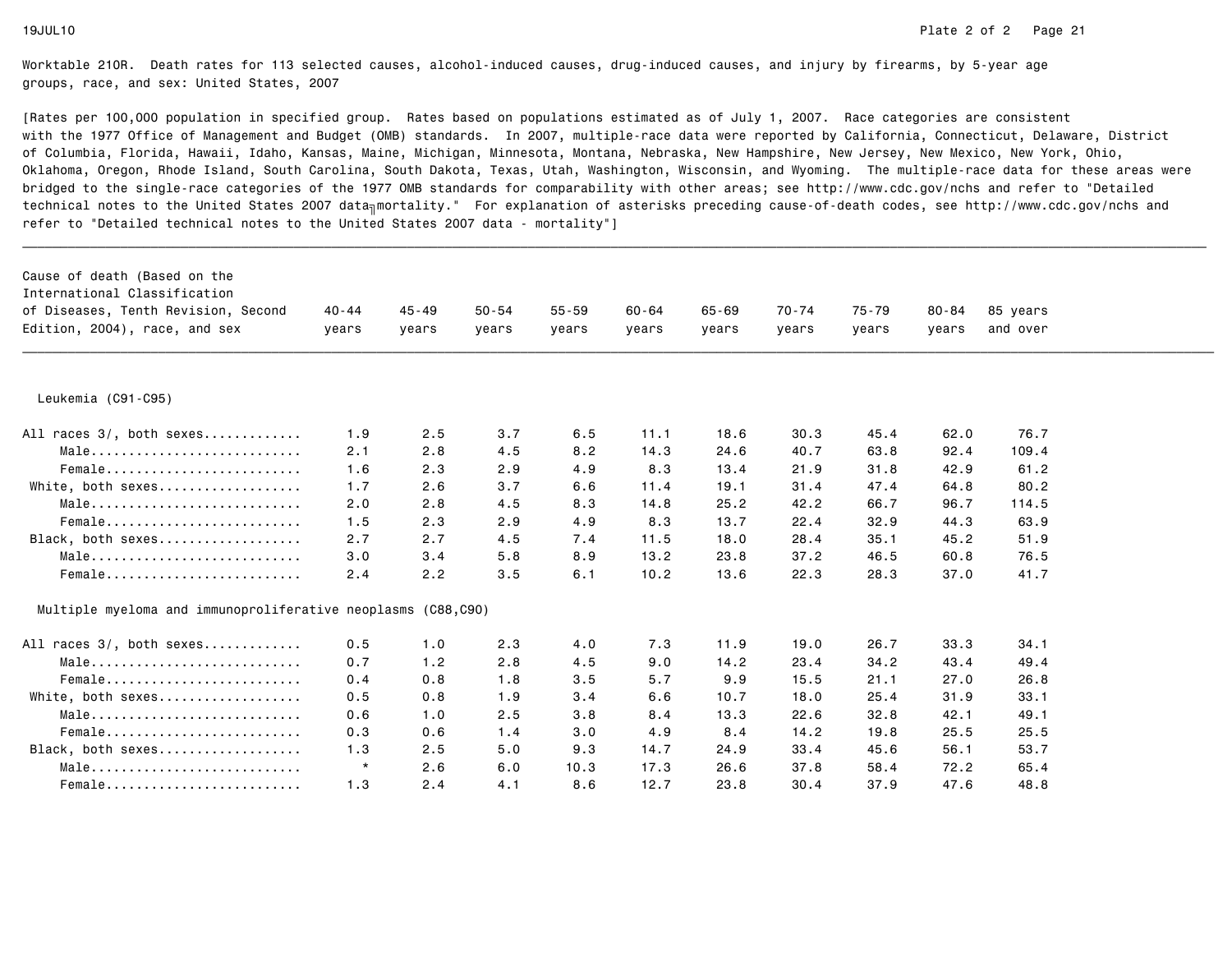| Cause of death (Based on the<br>International Classification<br>of Diseases, Tenth Revision, Second<br>Edition, 2004), race, and sex | $40 - 44$<br>years | $45 - 49$<br>years | $50 - 54$<br>years | $55 - 59$<br>years | $60 - 64$<br>years | $65 - 69$<br>years | $70 - 74$<br>years | 75-79<br>years | $80 - 84$<br>years | 85 years<br>and over |  |
|--------------------------------------------------------------------------------------------------------------------------------------|--------------------|--------------------|--------------------|--------------------|--------------------|--------------------|--------------------|----------------|--------------------|----------------------|--|
| Leukemia (C91-C95)                                                                                                                   |                    |                    |                    |                    |                    |                    |                    |                |                    |                      |  |
| All races 3/, both sexes                                                                                                             | 1.9                | 2.5                | 3.7                | 6.5                | 11.1               | 18.6               | 30.3               | 45.4           | 62.0               | 76.7                 |  |
| Male                                                                                                                                 | 2.1                | 2.8                | 4.5                | 8.2                | 14.3               | 24.6               | 40.7               | 63.8           | 92.4               | 109.4                |  |
| Female                                                                                                                               | 1.6                | 2.3                | 2.9                | 4.9                | 8.3                | 13.4               | 21.9               | 31.8           | 42.9               | 61.2                 |  |
| White, both sexes                                                                                                                    | 1.7                | 2.6                | 3.7                | 6.6                | 11.4               | 19.1               | 31.4               | 47.4           | 64.8               | 80.2                 |  |
| Male                                                                                                                                 | 2.0                | 2.8                | 4.5                | 8.3                | 14.8               | 25.2               | 42.2               | 66.7           | 96.7               | 114.5                |  |
| Female                                                                                                                               | 1.5                | 2.3                | 2.9                | 4.9                | 8.3                | 13.7               | 22.4               | 32.9           | 44.3               | 63.9                 |  |
| Black, both sexes                                                                                                                    | 2.7                | 2.7                | 4.5                | 7.4                | 11.5               | 18.0               | 28.4               | 35.1           | 45.2               | 51.9                 |  |
| Male                                                                                                                                 | 3.0                | 3.4                | 5.8                | 8.9                | 13.2               | 23.8               | 37.2               | 46.5           | 60.8               | 76.5                 |  |
| Female                                                                                                                               | 2.4                | 2.2                | 3.5                | 6.1                | 10.2               | 13.6               | 22.3               | 28.3           | 37.0               | 41.7                 |  |
| Multiple myeloma and immunoproliferative neoplasms (C88,C90)                                                                         |                    |                    |                    |                    |                    |                    |                    |                |                    |                      |  |
| All races 3/, both sexes                                                                                                             | 0.5                | 1.0                | 2.3                | 4.0                | 7.3                | 11.9               | 19.0               | 26.7           | 33.3               | 34.1                 |  |
| Male                                                                                                                                 | 0.7                | 1.2                | 2.8                | 4.5                | 9.0                | 14.2               | 23.4               | 34.2           | 43.4               | 49.4                 |  |
| Female                                                                                                                               | 0.4                | 0.8                | 1.8                | 3.5                | 5.7                | 9.9                | 15.5               | 21.1           | 27.0               | 26.8                 |  |
| White, both sexes                                                                                                                    | 0.5                | 0.8                | 1.9                | 3.4                | 6.6                | 10.7               | 18.0               | 25.4           | 31.9               | 33.1                 |  |
| Male                                                                                                                                 | 0.6                | 1.0                | 2.5                | 3.8                | 8.4                | 13.3               | 22.6               | 32.8           | 42.1               | 49.1                 |  |
| Female                                                                                                                               | 0.3                | 0.6                | 1.4                | 3.0                | 4.9                | 8.4                | 14.2               | 19.8           | 25.5               | 25.5                 |  |
| Black, both sexes                                                                                                                    | 1.3                | 2.5                | 5.0                | 9.3                | 14.7               | 24.9               | 33.4               | 45.6           | 56.1               | 53.7                 |  |
| Male                                                                                                                                 | $\star$            | 2.6                | 6.0                | 10.3               | 17.3               | 26.6               | 37.8               | 58.4           | 72.2               | 65.4                 |  |
| $Female$                                                                                                                             | 1.3                | 2.4                | 4.1                | 8.6                | 12.7               | 23.8               | 30.4               | 37.9           | 47.6               | 48.8                 |  |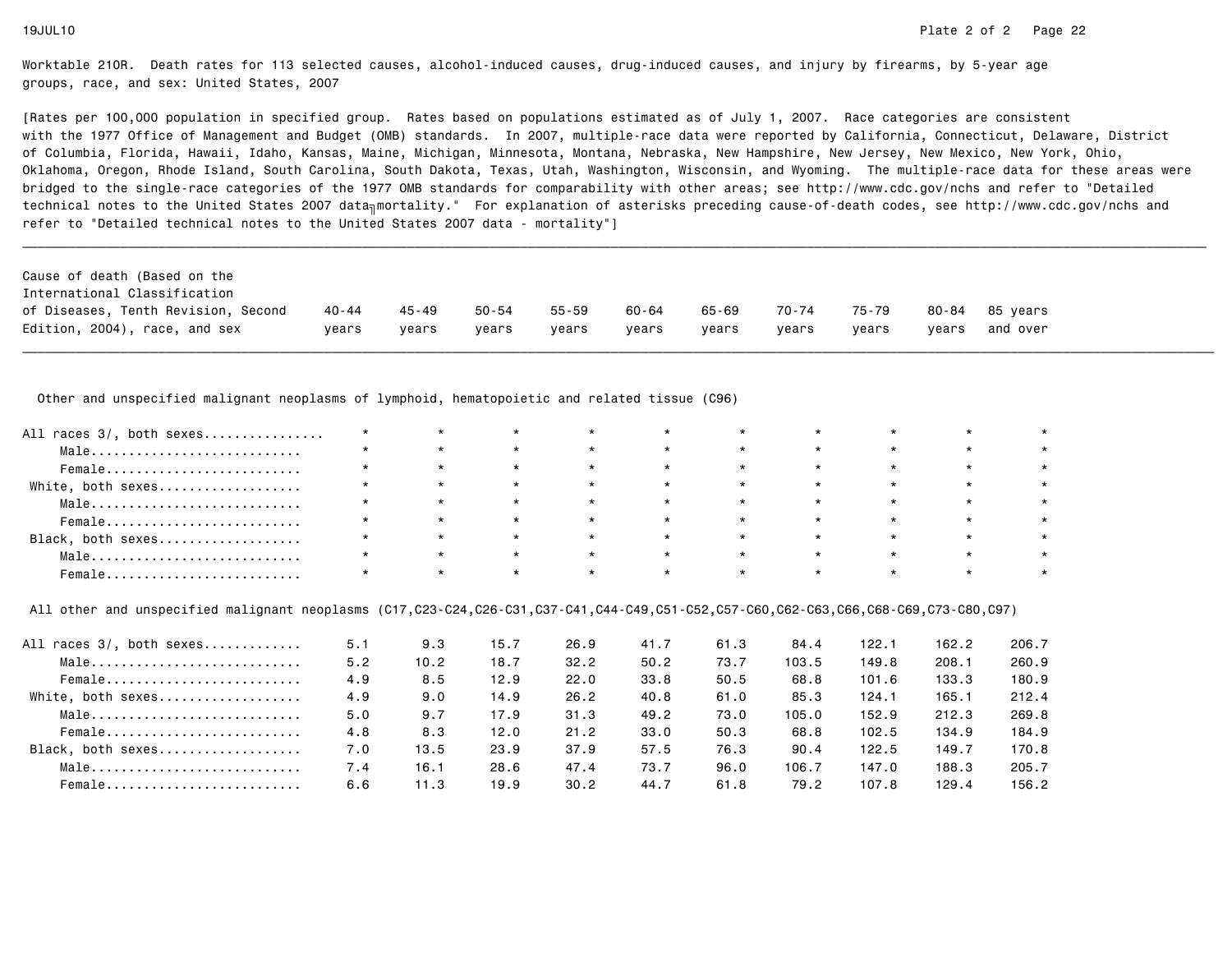[Rates per 100,000 population in specified group. Rates based on populations estimated as of July 1, 2007. Race categories are consistent with the 1977 Office of Management and Budget (OMB) standards. In 2007, multiple-race data were reported by California, Connecticut, Delaware, Districtof Columbia, Florida, Hawaii, Idaho, Kansas, Maine, Michigan, Minnesota, Montana, Nebraska, New Hampshire, New Jersey, New Mexico, New York, Ohio, Oklahoma, Oregon, Rhode Island, South Carolina, South Dakota, Texas, Utah, Washington, Wisconsin, and Wyoming. The multiple-race data for these areas werebridged to the single-race categories of the 1977 OMB standards for comparability with other areas; see http://www.cdc.gov/nchs and refer to "Detailedtechnical notes to the United States 2007 data<sub>∏</sub>mortality." For explanation of asterisks preceding cause-of-death codes, see http://www.cdc.gov/nchs and refer to "Detailed technical notes to the United States 2007 data - mortality"]

| Cause of death (Based on the<br>International Classification |         |       |       |       |       |       |       |       |       |                |
|--------------------------------------------------------------|---------|-------|-------|-------|-------|-------|-------|-------|-------|----------------|
| of Diseases, Tenth Revision, Second                          | 40 - 44 | 45-49 | 50-54 | 55-59 | 60-64 | 65-69 | 70-74 | 75-79 |       | 80-84 85 vears |
| Edition, 2004), race, and sex                                | vears   | vears | vears | vears | vears | vears | vears | vears | vears | and over       |

Other and unspecified malignant neoplasms of lymphoid, hematopoietic and related tissue (C96)

| All races 3/, both sexes                                           |         |         |         | $\star$ |         |         |         |         |  |
|--------------------------------------------------------------------|---------|---------|---------|---------|---------|---------|---------|---------|--|
| $Male \dots \dots \dots \dots \dots \dots \dots \dots \dots \dots$ |         | $\star$ | $\star$ | $\star$ |         | $\star$ |         |         |  |
| Female                                                             | $\star$ | $\star$ | $\star$ | $\star$ | $\star$ | $\star$ | $\star$ | $\star$ |  |
| White, both sexes                                                  |         | $\star$ | $\star$ | $\star$ |         | $\star$ |         |         |  |
| Male                                                               |         | $\star$ | $\star$ | $\star$ | $\star$ | $\star$ |         |         |  |
| Female                                                             |         | $\star$ | $\star$ | $\star$ | $\star$ | $\star$ |         |         |  |
| Black, both sexes                                                  |         | $\star$ | $\star$ | $\star$ |         | $\star$ |         |         |  |
| Male                                                               | $\star$ | $\star$ | $\star$ | $\star$ |         | $\star$ |         |         |  |
| Female                                                             |         |         |         | $\star$ |         | $\star$ |         |         |  |

All other and unspecified malignant neoplasms (C17,C23-C24,C26-C31,C37-C41,C44-C49,C51-C52,C57-C60,C62-C63,C66,C68-C69,C73-C80,C97)

| All races 3/, both sexes | 5.1 | 9.3  | 15.7 | 26.9 | 41.7 | 61.3 | 84.4  | 122.1 | 162.2 | 206.7 |
|--------------------------|-----|------|------|------|------|------|-------|-------|-------|-------|
| Male                     | 5.2 | 10.2 | 18.7 | 32.2 | 50.2 | 73.7 | 103.5 | 149.8 | 208.1 | 260.9 |
| Female                   | 4.9 | 8.5  | 12.9 | 22.0 | 33.8 | 50.5 | 68.8  | 101.6 | 133.3 | 180.9 |
| White, both sexes        | 4.9 | 9.0  | 14.9 | 26.2 | 40.8 | 61.0 | 85.3  | 124.1 | 165.1 | 212.4 |
| Male                     | 5.0 | 9.7  | 17.9 | 31.3 | 49.2 | 73.0 | 105.0 | 152.9 | 212.3 | 269.8 |
| Female                   | 4.8 | 8.3  | 12.0 | 21.2 | 33.0 | 50.3 | 68.8  | 102.5 | 134.9 | 184.9 |
| Black, both sexes        | 7.0 | 13.5 | 23.9 | 37.9 | 57.5 | 76.3 | 90.4  | 122.5 | 149.7 | 170.8 |
| Male                     | 7.4 | 16.1 | 28.6 | 47.4 | 73.7 | 96.0 | 106.7 | 147.0 | 188.3 | 205.7 |
| Female                   | 6.6 | 11.3 | 19.9 | 30.2 | 44.7 | 61.8 | 79.2  | 107.8 | 129.4 | 156.2 |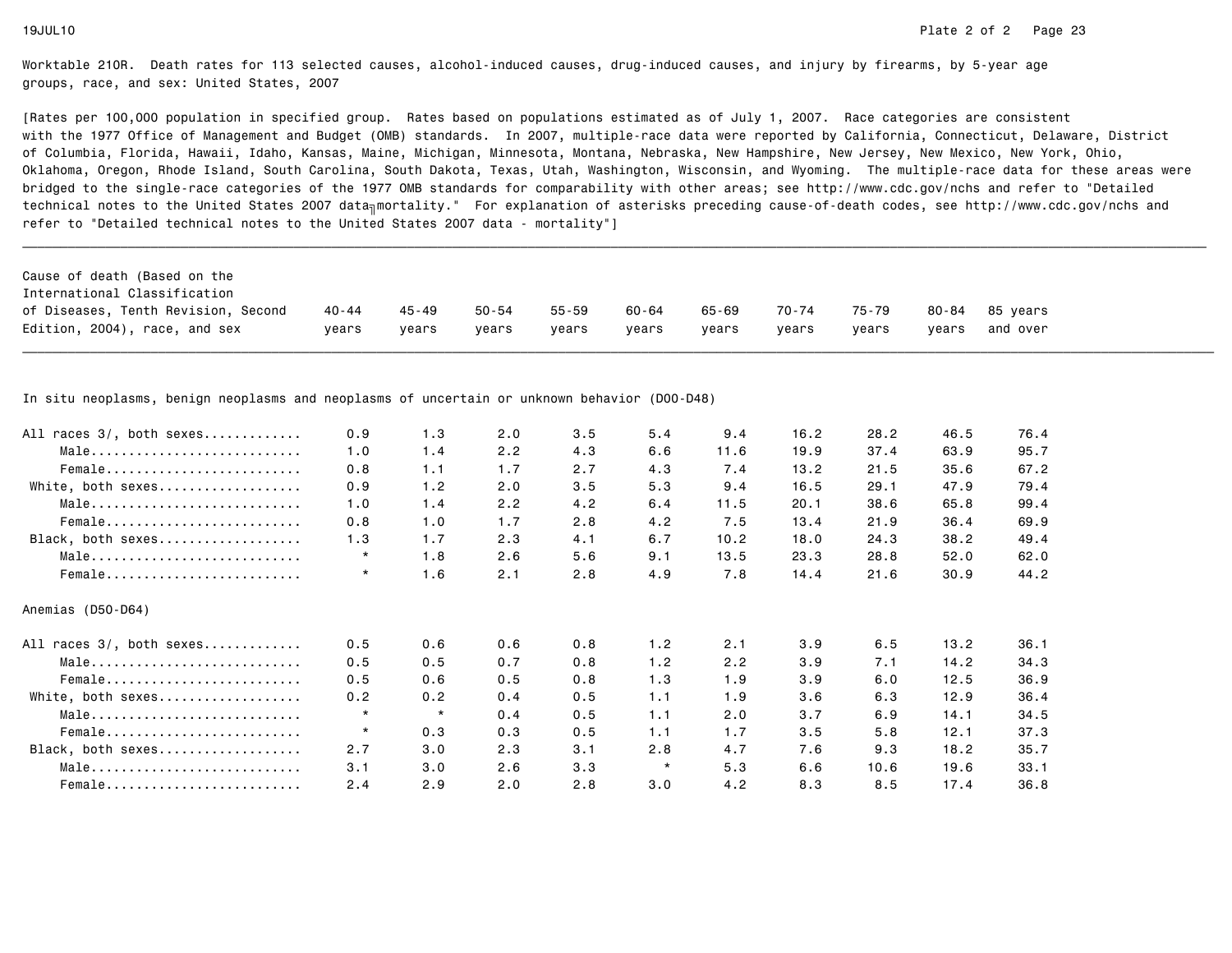[Rates per 100,000 population in specified group. Rates based on populations estimated as of July 1, 2007. Race categories are consistent with the 1977 Office of Management and Budget (OMB) standards. In 2007, multiple-race data were reported by California, Connecticut, Delaware, Districtof Columbia, Florida, Hawaii, Idaho, Kansas, Maine, Michigan, Minnesota, Montana, Nebraska, New Hampshire, New Jersey, New Mexico, New York, Ohio, Oklahoma, Oregon, Rhode Island, South Carolina, South Dakota, Texas, Utah, Washington, Wisconsin, and Wyoming. The multiple-race data for these areas werebridged to the single-race categories of the 1977 OMB standards for comparability with other areas; see http://www.cdc.gov/nchs and refer to "Detailedtechnical notes to the United States 2007 data<sub>∏</sub>mortality." For explanation of asterisks preceding cause-of-death codes, see http://www.cdc.gov/nchs and refer to "Detailed technical notes to the United States 2007 data - mortality"]

| Cause of death (Based on the<br>International Classification |         |       |       |       |       |       |       |       |       |                |
|--------------------------------------------------------------|---------|-------|-------|-------|-------|-------|-------|-------|-------|----------------|
| of Diseases, Tenth Revision, Second                          | 40 - 44 | 45-49 | 50-54 | 55-59 | 60-64 | 65-69 | 70-74 | 75-79 |       | 80-84 85 vears |
| Edition, 2004), race, and sex                                | vears   | years | years | years | years | years | vears | vears | vears | and over       |

\_\_\_\_\_\_\_\_\_\_\_\_\_\_\_\_\_\_\_\_\_\_\_\_\_\_\_\_\_\_\_\_\_\_\_\_\_\_\_\_\_\_\_\_\_\_\_\_\_\_\_\_\_\_\_\_\_\_\_\_\_\_\_\_\_\_\_\_\_\_\_\_\_\_\_\_\_\_\_\_\_\_\_\_\_\_\_\_\_\_\_\_\_\_\_\_\_\_\_\_\_\_\_\_\_\_\_\_\_\_\_\_\_\_\_\_\_\_\_\_\_\_\_\_\_\_\_\_\_\_\_\_\_\_\_\_\_\_\_\_\_\_\_\_\_\_\_\_\_\_\_\_\_\_\_\_\_\_

In situ neoplasms, benign neoplasms and neoplasms of uncertain or unknown behavior (D00-D48)

| All races 3/, both sexes                                           | 0.9     | 1.3     | 2.0 | 3.5 | 5.4     | 9.4  | 16.2 | 28.2 | 46.5 | 76.4 |
|--------------------------------------------------------------------|---------|---------|-----|-----|---------|------|------|------|------|------|
| Male                                                               | 1.0     | 1.4     | 2.2 | 4.3 | 6.6     | 11.6 | 19.9 | 37.4 | 63.9 | 95.7 |
| Female                                                             | 0.8     | 1.1     | 1.7 | 2.7 | 4.3     | 7.4  | 13.2 | 21.5 | 35.6 | 67.2 |
| White, both sexes                                                  | 0.9     | 1.2     | 2.0 | 3.5 | 5.3     | 9.4  | 16.5 | 29.1 | 47.9 | 79.4 |
| Male                                                               | 1.0     | 1.4     | 2.2 | 4.2 | 6.4     | 11.5 | 20.1 | 38.6 | 65.8 | 99.4 |
| Female                                                             | 0.8     | 1.0     | 1.7 | 2.8 | 4.2     | 7.5  | 13.4 | 21.9 | 36.4 | 69.9 |
| Black, both sexes                                                  | 1.3     | 1.7     | 2.3 | 4.1 | 6.7     | 10.2 | 18.0 | 24.3 | 38.2 | 49.4 |
| Male                                                               | $\star$ | 1.8     | 2.6 | 5.6 | 9.1     | 13.5 | 23.3 | 28.8 | 52.0 | 62.0 |
| Female                                                             | $\star$ | 1.6     | 2.1 | 2.8 | 4.9     | 7.8  | 14.4 | 21.6 | 30.9 | 44.2 |
| Anemias (D50-D64)                                                  |         |         |     |     |         |      |      |      |      |      |
| All races 3/, both sexes                                           | 0.5     | 0.6     | 0.6 | 0.8 | 1.2     | 2.1  | 3.9  | 6.5  | 13.2 | 36.1 |
| $Male \dots \dots \dots \dots \dots \dots \dots \dots \dots \dots$ | 0.5     | 0.5     | 0.7 | 0.8 | 1.2     | 2.2  | 3.9  | 7.1  | 14.2 | 34.3 |
| Female                                                             | 0.5     | 0.6     | 0.5 | 0.8 | 1.3     | 1.9  | 3.9  | 6.0  | 12.5 | 36.9 |
| White, both sexes                                                  | 0.2     | 0.2     | 0.4 | 0.5 | 1.1     | 1.9  | 3.6  | 6.3  | 12.9 | 36.4 |
| Male                                                               | $\star$ | $\star$ | 0.4 | 0.5 | 1.1     | 2.0  | 3.7  | 6.9  | 14.1 | 34.5 |
| Female                                                             | $\star$ | 0.3     | 0.3 | 0.5 | 1.1     | 1.7  | 3.5  | 5.8  | 12.1 | 37.3 |
| Black, both sexes                                                  | 2.7     | 3.0     | 2.3 | 3.1 | 2.8     | 4.7  | 7.6  | 9.3  | 18.2 | 35.7 |
| Male                                                               | 3.1     | 3.0     | 2.6 | 3.3 | $\star$ | 5.3  | 6.6  | 10.6 | 19.6 | 33.1 |
| Female                                                             | 2.4     | 2.9     | 2.0 | 2.8 | 3.0     | 4.2  | 8.3  | 8.5  | 17.4 | 36.8 |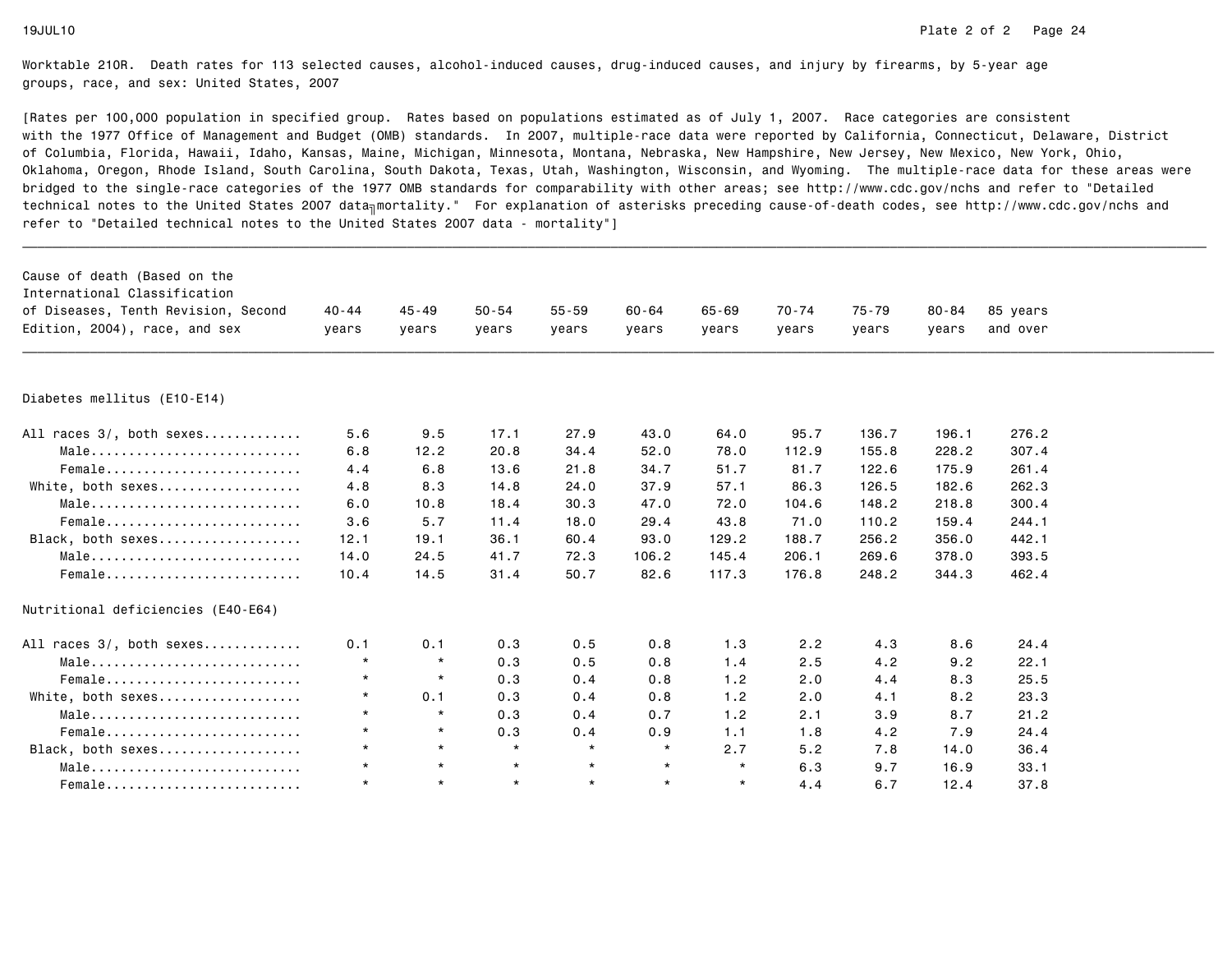| Cause of death (Based on the<br>International Classification         |                    |                    |                    |                    |                    |                    |                |                |                    |                      |  |
|----------------------------------------------------------------------|--------------------|--------------------|--------------------|--------------------|--------------------|--------------------|----------------|----------------|--------------------|----------------------|--|
| of Diseases, Tenth Revision, Second<br>Edition, 2004), race, and sex | $40 - 44$<br>years | $45 - 49$<br>years | $50 - 54$<br>years | $55 - 59$<br>years | $60 - 64$<br>years | $65 - 69$<br>vears | 70-74<br>years | 75-79<br>years | $80 - 84$<br>vears | 85 years<br>and over |  |
|                                                                      |                    |                    |                    |                    |                    |                    |                |                |                    |                      |  |
|                                                                      |                    |                    |                    |                    |                    |                    |                |                |                    |                      |  |
| Diabetes mellitus (E10-E14)                                          |                    |                    |                    |                    |                    |                    |                |                |                    |                      |  |
| All races 3/, both sexes                                             | 5.6                | 9.5                | 17.1               | 27.9               | 43.0               | 64.0               | 95.7           | 136.7          | 196.1              | 276.2                |  |
| Male                                                                 | 6.8                | 12.2               | 20.8               | 34.4               | 52.0               | 78.0               | 112.9          | 155.8          | 228.2              | 307.4                |  |
| Female                                                               | 4.4                | 6.8                | 13.6               | 21.8               | 34.7               | 51.7               | 81.7           | 122.6          | 175.9              | 261.4                |  |
| White, both sexes                                                    | 4.8                | 8.3                | 14.8               | 24.0               | 37.9               | 57.1               | 86.3           | 126.5          | 182.6              | 262.3                |  |
| $Male \dots \dots \dots \dots \dots \dots \dots \dots \dots \dots$   | 6.0                | 10.8               | 18.4               | 30.3               | 47.0               | 72.0               | 104.6          | 148.2          | 218.8              | 300.4                |  |
| Female                                                               | 3.6                | 5.7                | 11.4               | 18.0               | 29.4               | 43.8               | 71.0           | 110.2          | 159.4              | 244.1                |  |
| Black, both sexes                                                    | 12.1               | 19.1               | 36.1               | 60.4               | 93.0               | 129.2              | 188.7          | 256.2          | 356.0              | 442.1                |  |
| Male                                                                 | 14.0               | 24.5               | 41.7               | 72.3               | 106.2              | 145.4              | 206.1          | 269.6          | 378.0              | 393.5                |  |
| Female                                                               | 10.4               | 14.5               | 31.4               | 50.7               | 82.6               | 117.3              | 176.8          | 248.2          | 344.3              | 462.4                |  |
| Nutritional deficiencies (E40-E64)                                   |                    |                    |                    |                    |                    |                    |                |                |                    |                      |  |
| All races 3/, both sexes                                             | 0.1                | 0.1                | 0.3                | 0.5                | 0.8                | 1.3                | 2.2            | 4.3            | 8.6                | 24.4                 |  |
| Male                                                                 | $\star$            | $\star$            | 0.3                | 0.5                | 0.8                | 1.4                | 2.5            | 4.2            | 9.2                | 22.1                 |  |
| Female                                                               | $\star$            | $\star$            | 0.3                | 0.4                | 0.8                | 1.2                | 2.0            | 4.4            | 8.3                | 25.5                 |  |
| White, both sexes                                                    | $\star$            | 0.1                | 0.3                | 0.4                | 0.8                | 1.2                | 2.0            | 4.1            | 8.2                | 23.3                 |  |
| $Male \dots \dots \dots \dots \dots \dots \dots \dots \dots \dots$   | $\star$            | $\star$            | 0.3                | 0.4                | 0.7                | 1.2                | 2.1            | 3.9            | 8.7                | 21.2                 |  |
| Female                                                               | $\star$            | $\star$            | 0.3                | 0.4                | 0.9                | 1.1                | 1.8            | 4.2            | 7.9                | 24.4                 |  |
| Black, both sexes                                                    | $\star$            | $\star$            | $\star$            | $\star$            | $\star$            | 2.7                | 5.2            | 7.8            | 14.0               | 36.4                 |  |
| Male                                                                 | $\star$            | $\star$            | $\star$            | $\star$            | $\star$            | $\star$            | 6.3            | 9.7            | 16.9               | 33.1                 |  |
| Female                                                               | $\star$            | $\star$            | $\star$            | $\star$            | $\star$            | $\star$            | 4.4            | 6.7            | 12.4               | 37.8                 |  |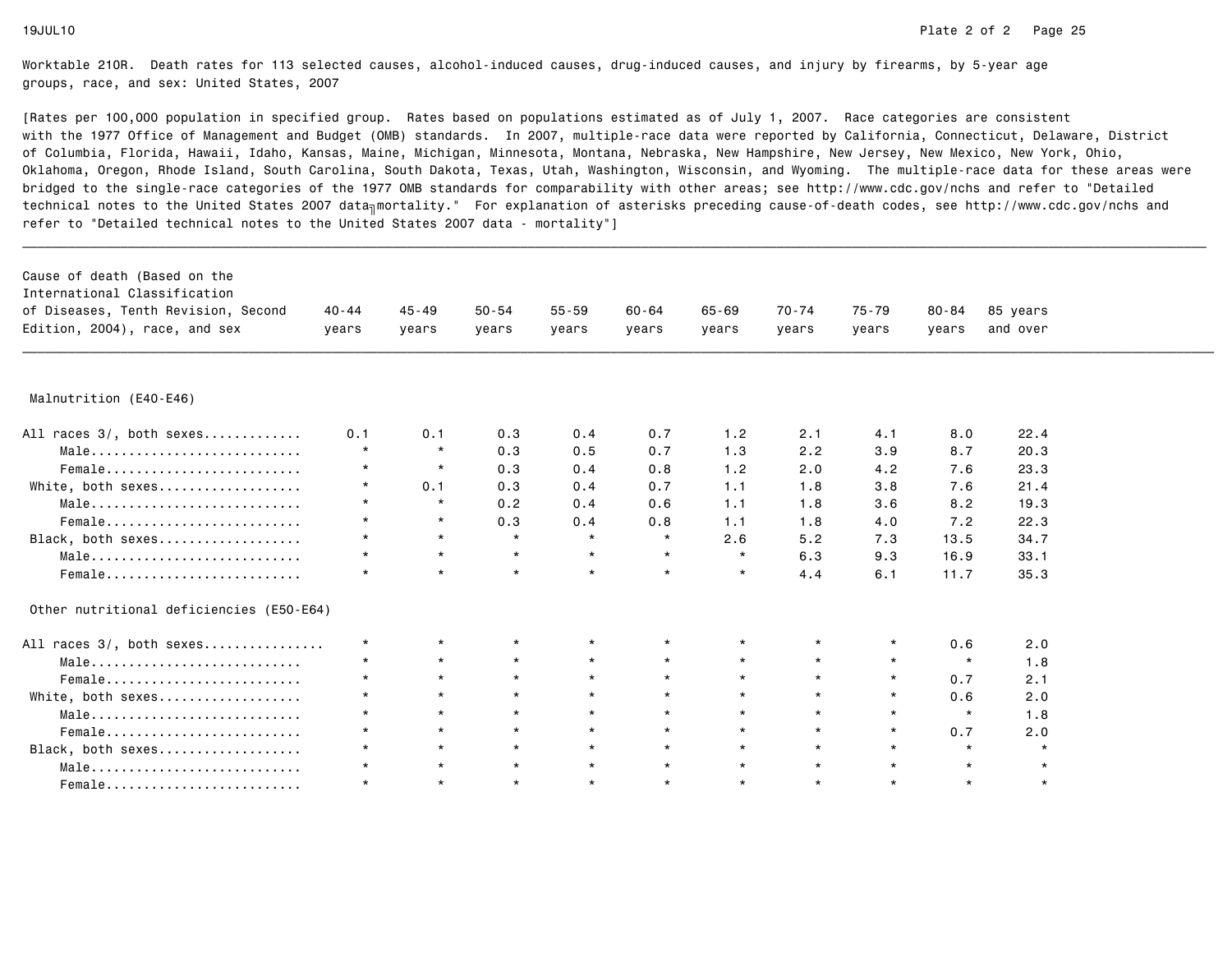| Cause of death (Based on the<br>International Classification       |           |           |           |           |           |           |         |         |           |          |  |
|--------------------------------------------------------------------|-----------|-----------|-----------|-----------|-----------|-----------|---------|---------|-----------|----------|--|
| of Diseases, Tenth Revision, Second                                | $40 - 44$ | $45 - 49$ | $50 - 54$ | $55 - 59$ | $60 - 64$ | $65 - 69$ | 70-74   | 75-79   | $80 - 84$ | 85 years |  |
| Edition, 2004), race, and sex                                      | years     | years     | years     | years     | years     | years     | years   | years   | years     | and over |  |
|                                                                    |           |           |           |           |           |           |         |         |           |          |  |
| Malnutrition (E40-E46)                                             |           |           |           |           |           |           |         |         |           |          |  |
| All races 3/, both sexes                                           | 0.1       | 0.1       | 0.3       | 0.4       | 0.7       | 1.2       | 2.1     | 4.1     | 8.0       | 22.4     |  |
| Male                                                               | $\star$   | $\star$   | 0.3       | 0.5       | 0.7       | 1.3       | 2.2     | 3.9     | 8.7       | 20.3     |  |
| Female                                                             | $\star$   | $\star$   | 0.3       | 0.4       | 0.8       | 1.2       | 2.0     | 4.2     | 7.6       | 23.3     |  |
| White, both sexes                                                  | $\star$   | 0.1       | 0.3       | 0.4       | 0.7       | 1.1       | 1.8     | 3.8     | 7.6       | 21.4     |  |
| Male                                                               | $\star$   | $\star$   | 0.2       | 0.4       | 0.6       | 1.1       | 1.8     | 3.6     | 8.2       | 19.3     |  |
| Female                                                             | $\star$   | $\star$   | 0.3       | 0.4       | 0.8       | 1.1       | 1.8     | 4.0     | 7.2       | 22.3     |  |
| Black, both sexes                                                  | $\star$   | $\star$   | $\star$   | $\star$   | $\star$   | 2.6       | 5.2     | 7.3     | 13.5      | 34.7     |  |
| Male                                                               | $\star$   | $\star$   | $\star$   | $\star$   | $\star$   | $\star$   | 6.3     | 9.3     | 16.9      | 33.1     |  |
| Female                                                             | $\star$   | $\star$   | $\star$   | $\star$   | $\star$   | $\star$   | 4.4     | 6.1     | 11.7      | 35.3     |  |
| Other nutritional deficiencies (E50-E64)                           |           |           |           |           |           |           |         |         |           |          |  |
| All races 3/, both sexes                                           | $\star$   | $\star$   | *         |           | $\star$   |           | $\star$ | $\star$ | 0.6       | 2.0      |  |
| Male                                                               | $\star$   | $\star$   | $\star$   | $\star$   | $\star$   | $\star$   | $\star$ | $\star$ | $\star$   | 1.8      |  |
| Female                                                             | $\star$   | $\star$   | $\star$   | $\star$   | $\star$   | $\star$   | $\star$ | $\star$ | 0.7       | 2.1      |  |
| White, both sexes                                                  | $\star$   | $\star$   | $\star$   | $\star$   | $\star$   | $\star$   | $\star$ | $\star$ | 0.6       | 2.0      |  |
| $Male \dots \dots \dots \dots \dots \dots \dots \dots \dots \dots$ | $\star$   | $\star$   | $\star$   | $\star$   | $\star$   | $\star$   | $\star$ | $\star$ | $\star$   | 1.8      |  |
| Female                                                             | $\star$   | $\star$   | $\star$   | $\star$   | $\star$   | $\star$   | $\star$ | $\star$ | 0.7       | 2.0      |  |
| Black, both sexes                                                  | $\star$   | $\star$   | $\star$   | $\star$   | $\star$   | $\star$   | $\star$ | $\star$ | $\star$   | $\star$  |  |
| Male                                                               | $\star$   | $\star$   | $\star$   | $\star$   | $\star$   | $\star$   | $\star$ | $\star$ | $\star$   | $\star$  |  |
| Female                                                             | $\star$   | $\star$   | $\star$   | $\star$   | $\star$   | $\star$   | $\star$ | $\star$ | $\star$   | $\star$  |  |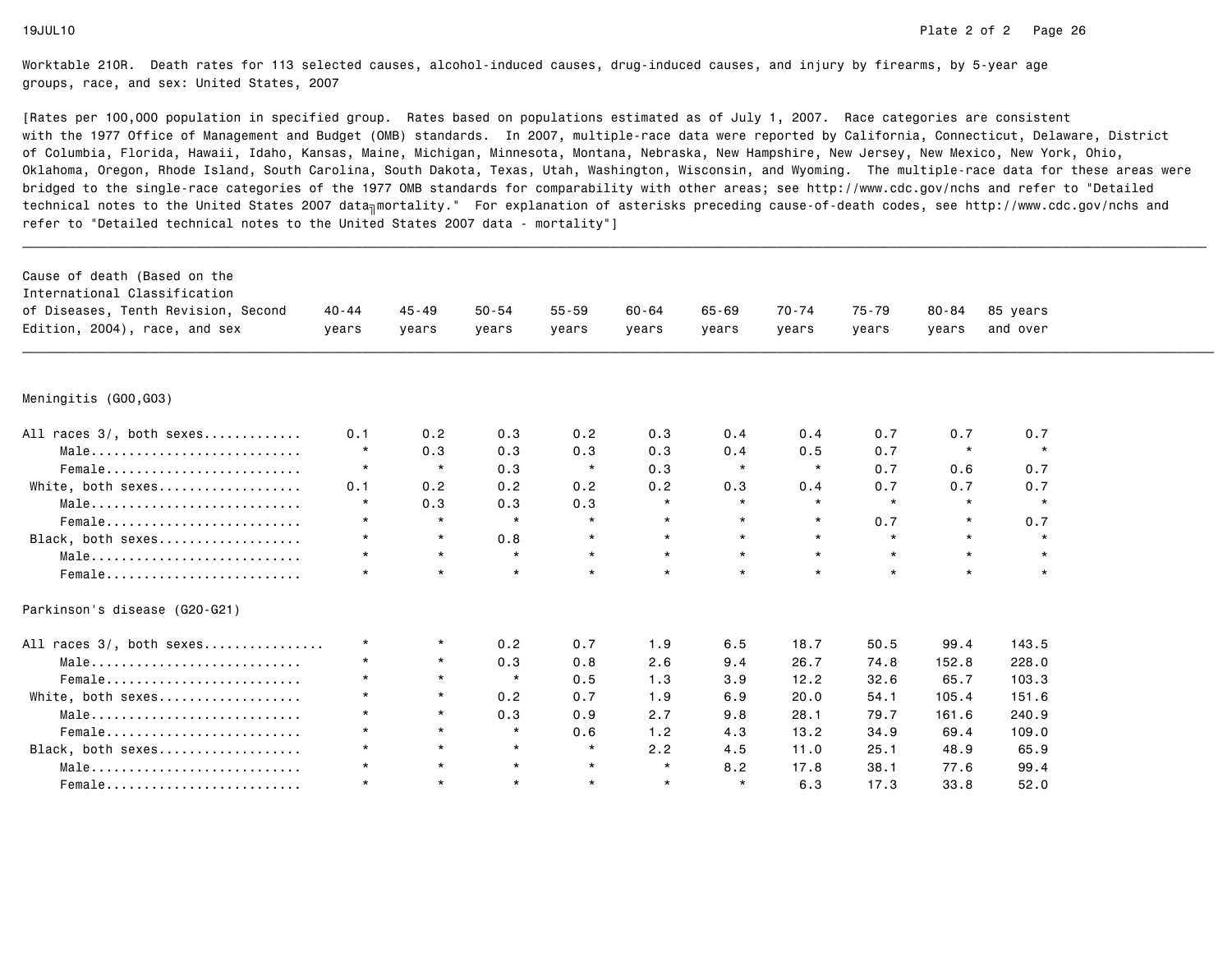| Cause of death (Based on the<br>International Classification |           |           |           |           |           |           |           |         |         |          |  |
|--------------------------------------------------------------|-----------|-----------|-----------|-----------|-----------|-----------|-----------|---------|---------|----------|--|
| of Diseases, Tenth Revision, Second                          | $40 - 44$ | $45 - 49$ | $50 - 54$ | $55 - 59$ | $60 - 64$ | $65 - 69$ | $70 - 74$ | 75-79   | 80-84   | 85 years |  |
| Edition, 2004), race, and sex                                | years     | years     | years     | years     | years     | years     | years     | years   | years   | and over |  |
|                                                              |           |           |           |           |           |           |           |         |         |          |  |
| Meningitis (GOO,GO3)                                         |           |           |           |           |           |           |           |         |         |          |  |
| All races 3/, both sexes                                     | 0.1       | 0.2       | 0.3       | 0.2       | 0.3       | 0.4       | 0.4       | 0.7     | 0.7     | 0.7      |  |
| Male                                                         | $\star$   | 0.3       | 0.3       | 0.3       | 0.3       | 0.4       | 0.5       | 0.7     | $\star$ | $\star$  |  |
| Female                                                       | $\star$   | $\star$   | 0.3       | $\star$   | 0.3       | $\star$   | $\star$   | 0.7     | 0.6     | 0.7      |  |
| White, both sexes                                            | 0.1       | 0.2       | 0.2       | 0.2       | 0.2       | 0.3       | 0.4       | 0.7     | 0.7     | 0.7      |  |
| Male                                                         | $\star$   | 0.3       | 0.3       | 0.3       | $\star$   | $\star$   | $\star$   | $\star$ | $\star$ | $\star$  |  |
| Female                                                       | $\star$   | $\star$   | $\star$   | $\star$   | $\star$   | $\star$   | $\star$   | 0.7     | $\star$ | 0.7      |  |
| Black, both sexes                                            | $\star$   | $\star$   | 0.8       | $\star$   | $\star$   | $\star$   | $\star$   | $\star$ | $\star$ | $\star$  |  |
| Male                                                         | $\star$   | $\star$   | $\star$   | $\star$   | $\star$   | $\star$   | $\star$   | $\star$ | $\star$ | $\star$  |  |
| Female                                                       | $\star$   | $\star$   | $\star$   | $\star$   | $\star$   | $\star$   | $\star$   | $\star$ | $\star$ | $\star$  |  |
| Parkinson's disease (G20-G21)                                |           |           |           |           |           |           |           |         |         |          |  |
| All races 3/, both sexes                                     | $\star$   | $\star$   | 0.2       | 0.7       | 1.9       | 6.5       | 18.7      | 50.5    | 99.4    | 143.5    |  |
| Male                                                         | $\star$   | $\star$   | 0.3       | 0.8       | 2.6       | 9.4       | 26.7      | 74.8    | 152.8   | 228.0    |  |
| Female                                                       | $\star$   | $\star$   | $\star$   | 0.5       | 1.3       | 3.9       | 12.2      | 32.6    | 65.7    | 103.3    |  |
| White, both sexes                                            | $\star$   | $\star$   | 0.2       | 0.7       | 1.9       | 6.9       | 20.0      | 54.1    | 105.4   | 151.6    |  |
| Male                                                         | $\star$   | $\star$   | 0.3       | 0.9       | 2.7       | 9.8       | 28.1      | 79.7    | 161.6   | 240.9    |  |
| Female                                                       | $\star$   | $\star$   | $\star$   | 0.6       | 1.2       | 4.3       | 13.2      | 34.9    | 69.4    | 109.0    |  |
| Black, both sexes                                            | $\star$   | $\star$   | $\star$   | $\star$   | 2.2       | 4.5       | 11.0      | 25.1    | 48.9    | 65.9     |  |
| Male                                                         | $\star$   | $\star$   | $\star$   | $\star$   | $\star$   | 8.2       | 17.8      | 38.1    | 77.6    | 99.4     |  |
| Female                                                       | $\star$   | $\star$   | $\star$   | $\star$   | $\star$   | $\star$   | 6.3       | 17.3    | 33.8    | 52.0     |  |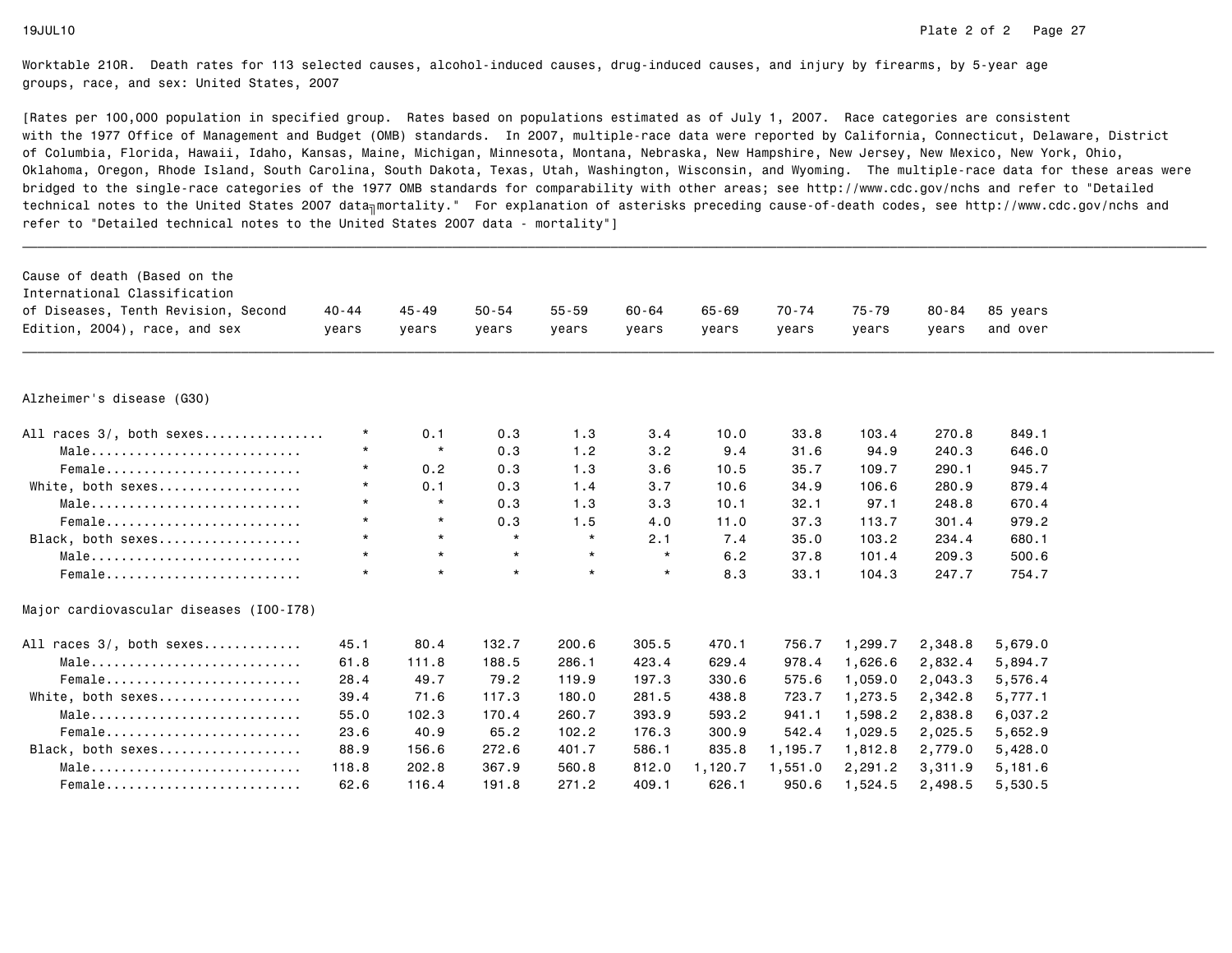| Cause of death (Based on the                                        |         |           |           |           |           |           |         |           |           |                      |
|---------------------------------------------------------------------|---------|-----------|-----------|-----------|-----------|-----------|---------|-----------|-----------|----------------------|
| International Classification<br>of Diseases, Tenth Revision, Second | 40-44   | $45 - 49$ | $50 - 54$ | $55 - 59$ | $60 - 64$ | $65 - 69$ | 70-74   | $75 - 79$ | $80 - 84$ |                      |
| Edition, 2004), race, and sex                                       |         |           |           |           |           |           |         |           |           | 85 years<br>and over |
|                                                                     | years   | years     | years     | years     | vears     | years     | years   | vears     | vears     |                      |
|                                                                     |         |           |           |           |           |           |         |           |           |                      |
| Alzheimer's disease (G30)                                           |         |           |           |           |           |           |         |           |           |                      |
| All races 3/, both sexes                                            | $\star$ | 0.1       | 0.3       | 1.3       | 3.4       | 10.0      | 33.8    | 103.4     | 270.8     | 849.1                |
| Male                                                                | $\star$ | $\star$   | 0.3       | 1.2       | 3.2       | 9.4       | 31.6    | 94.9      | 240.3     | 646.0                |
| Female                                                              | $\star$ | 0.2       | 0.3       | 1.3       | 3.6       | 10.5      | 35.7    | 109.7     | 290.1     | 945.7                |
| White, both sexes                                                   | $\star$ | 0.1       | 0.3       | 1.4       | 3.7       | 10.6      | 34.9    | 106.6     | 280.9     | 879.4                |
| Male                                                                | $\star$ | $\star$   | 0.3       | 1.3       | 3.3       | 10.1      | 32.1    | 97.1      | 248.8     | 670.4                |
| Female                                                              | $\star$ | $\star$   | 0.3       | 1.5       | 4.0       | 11.0      | 37.3    | 113.7     | 301.4     | 979.2                |
| Black, both sexes                                                   | $\star$ | $\star$   | $\star$   | $\star$   | 2.1       | 7.4       | 35.0    | 103.2     | 234.4     | 680.1                |
| Male                                                                | $\star$ | $\star$   | $\star$   | $\star$   | $\star$   | 6.2       | 37.8    | 101.4     | 209.3     | 500.6                |
| Female                                                              | $\star$ | $\star$   | $\star$   | $\star$   | $\star$   | 8.3       | 33.1    | 104.3     | 247.7     | 754.7                |
| Major cardiovascular diseases (I00-I78)                             |         |           |           |           |           |           |         |           |           |                      |
| All races 3/, both sexes                                            | 45.1    | 80.4      | 132.7     | 200.6     | 305.5     | 470.1     | 756.7   | 1,299.7   | 2,348.8   | 5,679.0              |
| Male                                                                | 61.8    | 111.8     | 188.5     | 286.1     | 423.4     | 629.4     | 978.4   | 1,626.6   | 2,832.4   | 5,894.7              |
| $Female$                                                            | 28.4    | 49.7      | 79.2      | 119.9     | 197.3     | 330.6     | 575.6   | 1,059.0   | 2,043.3   | 5,576.4              |
| White, both sexes                                                   | 39.4    | 71.6      | 117.3     | 180.0     | 281.5     | 438.8     | 723.7   | 1,273.5   | 2,342.8   | 5,777.1              |
| Male                                                                | 55.0    | 102.3     | 170.4     | 260.7     | 393.9     | 593.2     | 941.1   | 1,598.2   | 2,838.8   | 6,037.2              |
| Female                                                              | 23.6    | 40.9      | 65.2      | 102.2     | 176.3     | 300.9     | 542.4   | 1,029.5   | 2,025.5   | 5,652.9              |
| Black, both sexes                                                   | 88.9    | 156.6     | 272.6     | 401.7     | 586.1     | 835.8     | 1,195.7 | 1,812.8   | 2,779.0   | 5,428.0              |
| Male                                                                | 118.8   | 202.8     | 367.9     | 560.8     | 812.0     | 1,120.7   | 1,551.0 | 2,291.2   | 3,311.9   | 5,181.6              |
| Female                                                              | 62.6    | 116.4     | 191.8     | 271.2     | 409.1     | 626.1     | 950.6   | 1,524.5   | 2,498.5   | 5,530.5              |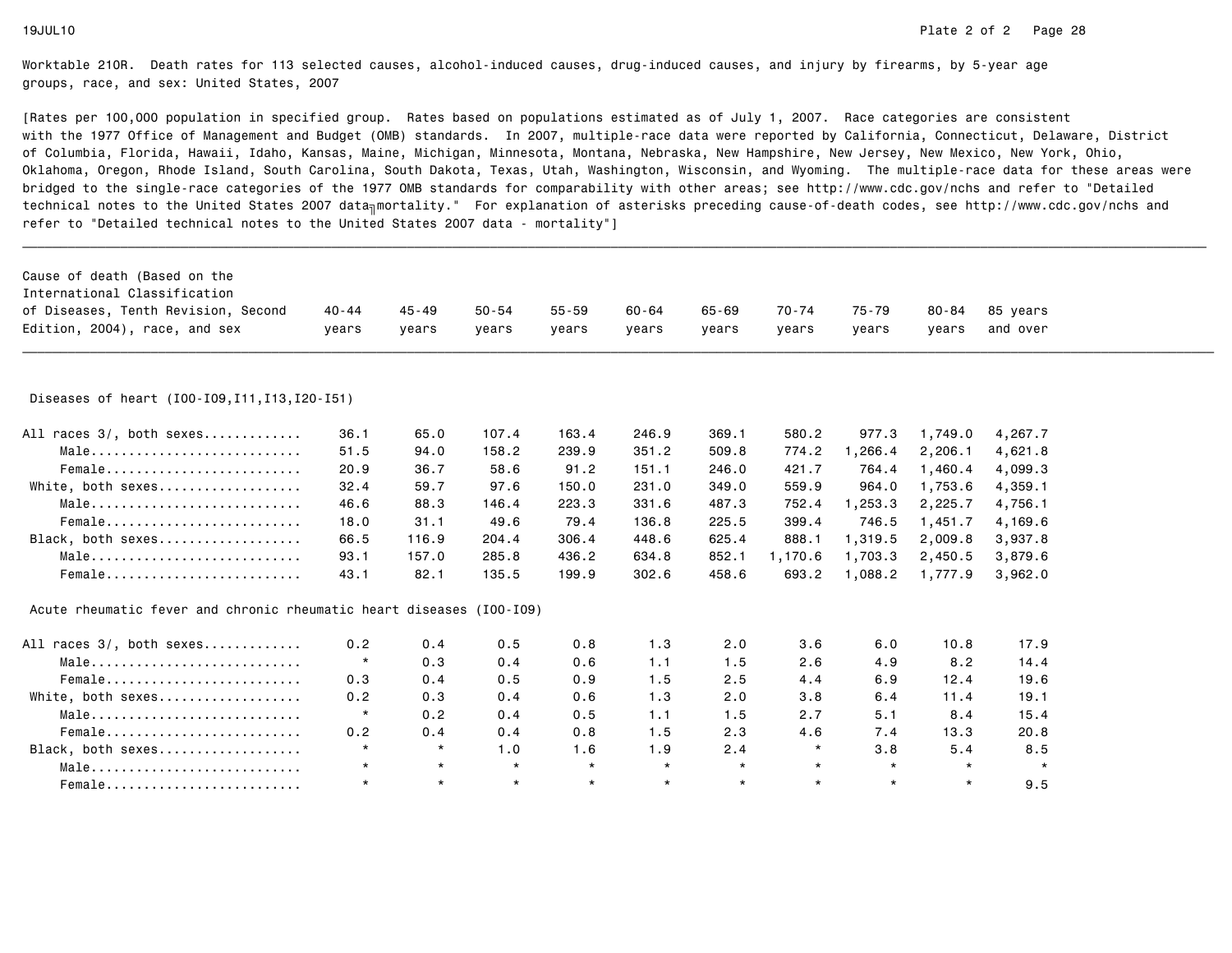| Cause of death (Based on the                                         |          |           |           |           |           |           |         |         |         |          |  |
|----------------------------------------------------------------------|----------|-----------|-----------|-----------|-----------|-----------|---------|---------|---------|----------|--|
| International Classification                                         |          |           |           |           |           |           |         |         |         |          |  |
| of Diseases, Tenth Revision, Second                                  | 40 - 44  | $45 - 49$ | $50 - 54$ | $55 - 59$ | $60 - 64$ | $65 - 69$ | 70-74   | 75-79   | 80-84   | 85 years |  |
| Edition, 2004), race, and sex                                        | vears    | vears     | years     | years     | vears     | years     | years   | vears   | vears   | and over |  |
|                                                                      |          |           |           |           |           |           |         |         |         |          |  |
| Diseases of heart (I00-I09, I11, I13, I20-I51)                       |          |           |           |           |           |           |         |         |         |          |  |
| All races 3/, both sexes                                             | 36.1     | 65.0      | 107.4     | 163.4     | 246.9     | 369.1     | 580.2   | 977.3   | 1,749.0 | 4,267.7  |  |
| Male                                                                 | 51.5     | 94.0      | 158.2     | 239.9     | 351.2     | 509.8     | 774.2   | 1,266.4 | 2,206.1 | 4,621.8  |  |
| Female                                                               | 20.9     | 36.7      | 58.6      | 91.2      | 151.1     | 246.0     | 421.7   | 764.4   | 1,460.4 | 4,099.3  |  |
| White, both sexes                                                    | 32.4     | 59.7      | 97.6      | 150.0     | 231.0     | 349.0     | 559.9   | 964.0   | 1,753.6 | 4,359.1  |  |
| Male                                                                 | 46.6     | 88.3      | 146.4     | 223.3     | 331.6     | 487.3     | 752.4   | 1,253.3 | 2,225.7 | 4,756.1  |  |
| Female                                                               | 18.0     | 31.1      | 49.6      | 79.4      | 136.8     | 225.5     | 399.4   | 746.5   | 1,451.7 | 4,169.6  |  |
| Black, both sexes                                                    | 66.5     | 116.9     | 204.4     | 306.4     | 448.6     | 625.4     | 888.1   | 1,319.5 | 2,009.8 | 3,937.8  |  |
| $Male \dots \dots \dots \dots \dots \dots \dots \dots \dots \dots$   | 93.1     | 157.0     | 285.8     | 436.2     | 634.8     | 852.1     | 1,170.6 | 1,703.3 | 2,450.5 | 3,879.6  |  |
| Female                                                               | 43.1     | 82.1      | 135.5     | 199.9     | 302.6     | 458.6     | 693.2   | 1,088.2 | 1,777.9 | 3,962.0  |  |
| Acute rheumatic fever and chronic rheumatic heart diseases (I00-I09) |          |           |           |           |           |           |         |         |         |          |  |
| All races 3/, both sexes                                             | 0.2      | 0.4       | 0.5       | 0.8       | 1.3       | 2.0       | 3.6     | 6.0     | 10.8    | 17.9     |  |
| Male                                                                 | $\star$  | 0.3       | 0.4       | 0.6       | 1.1       | 1.5       | 2.6     | 4.9     | 8.2     | 14.4     |  |
| Female                                                               | 0.3      | 0.4       | 0.5       | 0.9       | 1.5       | 2.5       | 4.4     | 6.9     | 12.4    | 19.6     |  |
| White, both sexes                                                    | 0.2      | 0.3       | 0.4       | 0.6       | 1.3       | 2.0       | 3.8     | 6.4     | 11.4    | 19.1     |  |
| Male                                                                 | $\star$  | 0.2       | 0.4       | 0.5       | 1.1       | 1.5       | 2.7     | 5.1     | 8.4     | 15.4     |  |
| Female                                                               | 0.2      | 0.4       | 0.4       | 0.8       | 1.5       | 2.3       | 4.6     | 7.4     | 13.3    | 20.8     |  |
| Black, both sexes                                                    | $\star$  | $\star$   | 1.0       | 1.6       | 1.9       | 2.4       | $\star$ | 3.8     | 5.4     | 8.5      |  |
| Male                                                                 | $\star$  | $\star$   | $\star$   | $\star$   | $\star$   | $\star$   | $\star$ | $\star$ | $\star$ | $\star$  |  |
| Female                                                               | $^\star$ | $\star$   | $\star$   | $\star$   | $\star$   | $\star$   | $\star$ | $\star$ | $\star$ | 9.5      |  |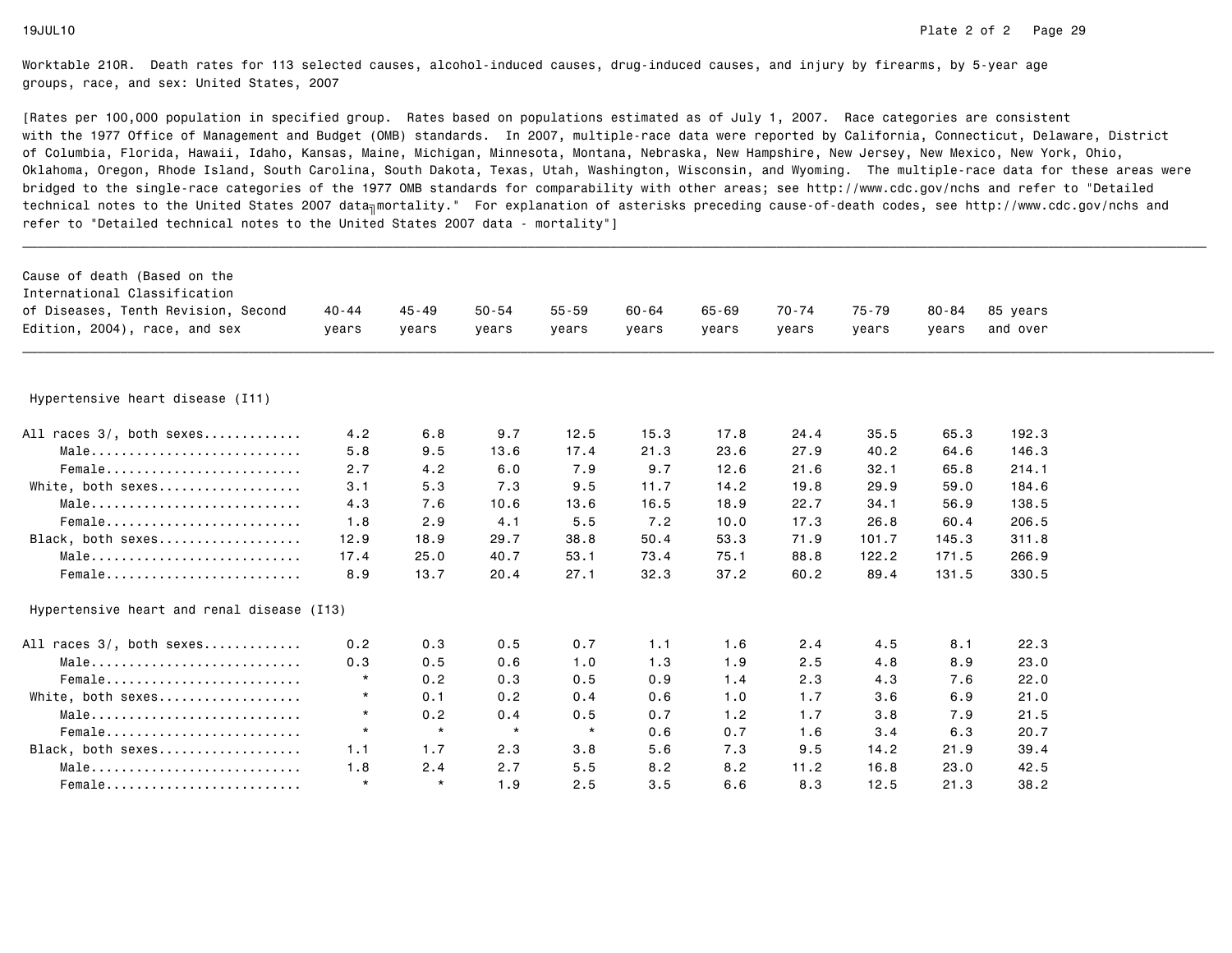| Cause of death (Based on the<br>International Classification<br>of Diseases, Tenth Revision, Second<br>Edition, 2004), race, and sex | $40 - 44$<br>years | $45 - 49$<br>years | $50 - 54$<br>years | $55 - 59$<br>years | $60 - 64$<br>years | $65 - 69$<br>years | 70-74<br>years | 75-79<br>years | $80 - 84$<br>years | 85 years<br>and over |  |
|--------------------------------------------------------------------------------------------------------------------------------------|--------------------|--------------------|--------------------|--------------------|--------------------|--------------------|----------------|----------------|--------------------|----------------------|--|
|                                                                                                                                      |                    |                    |                    |                    |                    |                    |                |                |                    |                      |  |
| Hypertensive heart disease (I11)                                                                                                     |                    |                    |                    |                    |                    |                    |                |                |                    |                      |  |
| All races 3/, both sexes                                                                                                             | 4.2                | 6.8                | 9.7                | 12.5               | 15.3               | 17.8               | 24.4           | 35.5           | 65.3               | 192.3                |  |
| Male                                                                                                                                 | 5.8                | 9.5                | 13.6               | 17.4               | 21.3               | 23.6               | 27.9           | 40.2           | 64.6               | 146.3                |  |
| Female                                                                                                                               | 2.7                | 4.2                | 6.0                | 7.9                | 9.7                | 12.6               | 21.6           | 32.1           | 65.8               | 214.1                |  |
| White, both sexes                                                                                                                    | 3.1                | 5.3                | 7.3                | 9.5                | 11.7               | 14.2               | 19.8           | 29.9           | 59.0               | 184.6                |  |
| Male                                                                                                                                 | 4.3                | 7.6                | 10.6               | 13.6               | 16.5               | 18.9               | 22.7           | 34.1           | 56.9               | 138.5                |  |
| Female                                                                                                                               | 1.8                | 2.9                | 4.1                | 5.5                | 7.2                | 10.0               | 17.3           | 26.8           | 60.4               | 206.5                |  |
| Black, both sexes                                                                                                                    | 12.9               | 18.9               | 29.7               | 38.8               | 50.4               | 53.3               | 71.9           | 101.7          | 145.3              | 311.8                |  |
| Male                                                                                                                                 | 17.4               | 25.0               | 40.7               | 53.1               | 73.4               | 75.1               | 88.8           | 122.2          | 171.5              | 266.9                |  |
| Female                                                                                                                               | 8.9                | 13.7               | 20.4               | 27.1               | 32.3               | 37.2               | 60.2           | 89.4           | 131.5              | 330.5                |  |
| Hypertensive heart and renal disease (I13)                                                                                           |                    |                    |                    |                    |                    |                    |                |                |                    |                      |  |
| All races 3/, both sexes                                                                                                             | 0.2                | 0.3                | 0.5                | 0.7                | 1.1                | 1.6                | 2.4            | 4.5            | 8.1                | 22.3                 |  |
| Male                                                                                                                                 | 0.3                | 0.5                | 0.6                | 1.0                | 1.3                | 1.9                | 2.5            | 4.8            | 8.9                | 23.0                 |  |
| Female                                                                                                                               | $\star$            | 0.2                | 0.3                | 0.5                | 0.9                | 1.4                | 2.3            | 4.3            | 7.6                | 22.0                 |  |
| White, both sexes                                                                                                                    | $\star$            | 0.1                | 0.2                | 0.4                | 0.6                | 1.0                | 1.7            | 3.6            | 6.9                | 21.0                 |  |
| Male                                                                                                                                 | $\star$            | 0.2                | 0.4                | 0.5                | 0.7                | 1.2                | 1.7            | 3.8            | 7.9                | 21.5                 |  |
| Female                                                                                                                               | $\star$            | $\star$            | $\star$            | $\star$            | 0.6                | 0.7                | 1.6            | 3.4            | 6.3                | 20.7                 |  |
| Black, both sexes                                                                                                                    | 1.1                | 1.7                | 2.3                | 3.8                | 5.6                | 7.3                | 9.5            | 14.2           | 21.9               | 39.4                 |  |
| Male                                                                                                                                 | 1.8                | 2.4                | 2.7                | 5.5                | 8.2                | 8.2                | 11.2           | 16.8           | 23.0               | 42.5                 |  |
| Female                                                                                                                               | $\star$            | $\star$            | 1.9                | 2.5                | 3.5                | 6.6                | 8.3            | 12.5           | 21.3               | 38.2                 |  |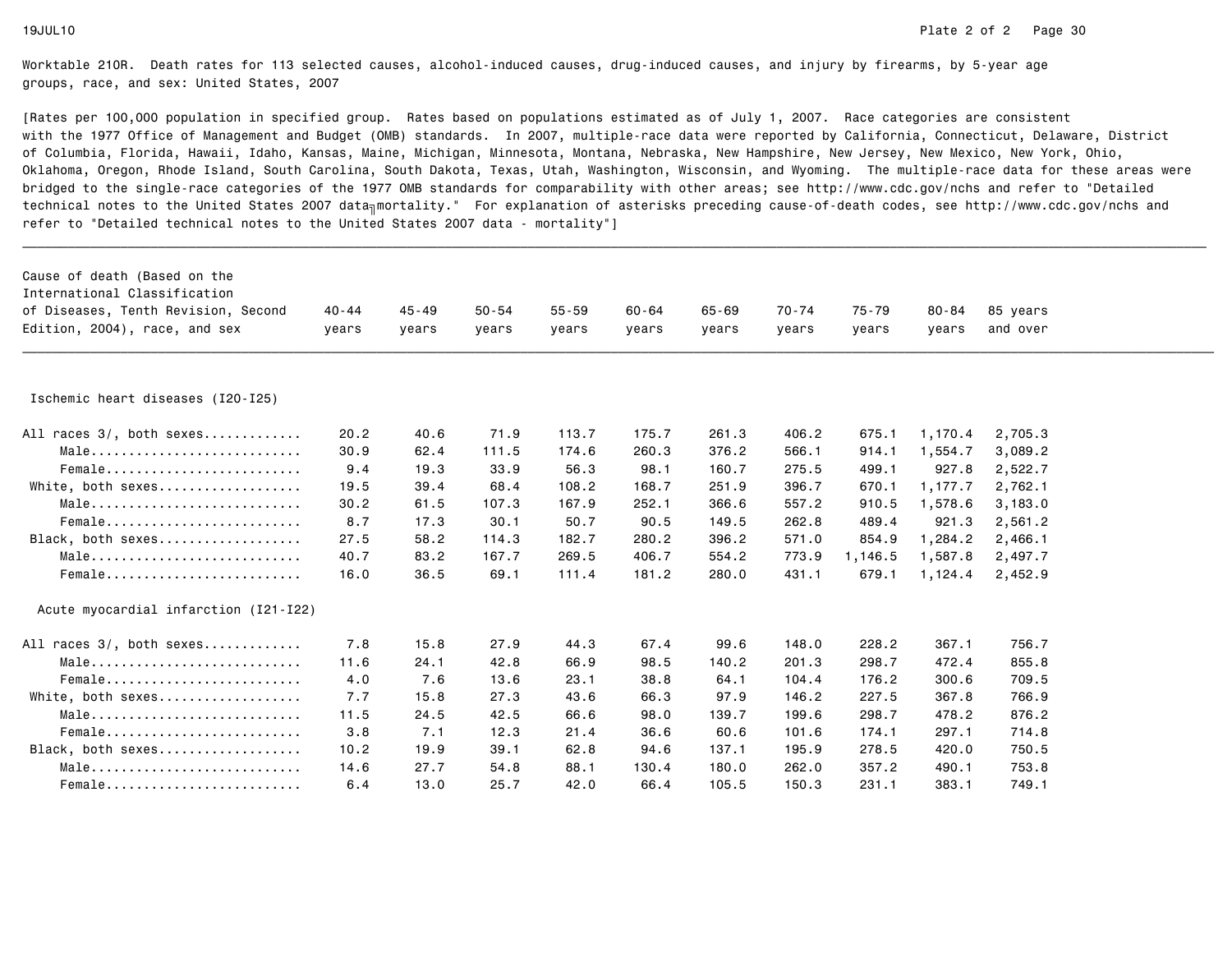| Cause of death (Based on the<br>International Classification |       |           |           |           |           |           |       |         |           |          |  |
|--------------------------------------------------------------|-------|-----------|-----------|-----------|-----------|-----------|-------|---------|-----------|----------|--|
| of Diseases, Tenth Revision, Second                          | 40-44 | $45 - 49$ | $50 - 54$ | $55 - 59$ | $60 - 64$ | $65 - 69$ | 70-74 | 75-79   | $80 - 84$ | 85 years |  |
| Edition, 2004), race, and sex                                | years | years     | years     | years     | years     | years     | years | years   | years     | and over |  |
|                                                              |       |           |           |           |           |           |       |         |           |          |  |
| Ischemic heart diseases (I20-I25)                            |       |           |           |           |           |           |       |         |           |          |  |
| All races 3/, both sexes                                     | 20.2  | 40.6      | 71.9      | 113.7     | 175.7     | 261.3     | 406.2 | 675.1   | 1,170.4   | 2,705.3  |  |
| Male                                                         | 30.9  | 62.4      | 111.5     | 174.6     | 260.3     | 376.2     | 566.1 | 914.1   | 1,554.7   | 3,089.2  |  |
| $Female$                                                     | 9.4   | 19.3      | 33.9      | 56.3      | 98.1      | 160.7     | 275.5 | 499.1   | 927.8     | 2,522.7  |  |
| White, both sexes                                            | 19.5  | 39.4      | 68.4      | 108.2     | 168.7     | 251.9     | 396.7 | 670.1   | 1,177.7   | 2,762.1  |  |
| Male                                                         | 30.2  | 61.5      | 107.3     | 167.9     | 252.1     | 366.6     | 557.2 | 910.5   | 1,578.6   | 3,183.0  |  |
| Female                                                       | 8.7   | 17.3      | 30.1      | 50.7      | 90.5      | 149.5     | 262.8 | 489.4   | 921.3     | 2,561.2  |  |
| Black, both sexes                                            | 27.5  | 58.2      | 114.3     | 182.7     | 280.2     | 396.2     | 571.0 | 854.9   | 1,284.2   | 2,466.1  |  |
| Male                                                         | 40.7  | 83.2      | 167.7     | 269.5     | 406.7     | 554.2     | 773.9 | 1,146.5 | 1,587.8   | 2,497.7  |  |
| $Female$                                                     | 16.0  | 36.5      | 69.1      | 111.4     | 181.2     | 280.0     | 431.1 | 679.1   | 1,124.4   | 2,452.9  |  |
| Acute myocardial infarction (I21-I22)                        |       |           |           |           |           |           |       |         |           |          |  |
| All races 3/, both sexes                                     | 7.8   | 15.8      | 27.9      | 44.3      | 67.4      | 99.6      | 148.0 | 228.2   | 367.1     | 756.7    |  |
| Male                                                         | 11.6  | 24.1      | 42.8      | 66.9      | 98.5      | 140.2     | 201.3 | 298.7   | 472.4     | 855.8    |  |
| $Female$                                                     | 4.0   | 7.6       | 13.6      | 23.1      | 38.8      | 64.1      | 104.4 | 176.2   | 300.6     | 709.5    |  |
| White, both sexes                                            | 7.7   | 15.8      | 27.3      | 43.6      | 66.3      | 97.9      | 146.2 | 227.5   | 367.8     | 766.9    |  |
| Male                                                         | 11.5  | 24.5      | 42.5      | 66.6      | 98.0      | 139.7     | 199.6 | 298.7   | 478.2     | 876.2    |  |
| Female                                                       | 3.8   | 7.1       | 12.3      | 21.4      | 36.6      | 60.6      | 101.6 | 174.1   | 297.1     | 714.8    |  |
| Black, both sexes                                            | 10.2  | 19.9      | 39.1      | 62.8      | 94.6      | 137.1     | 195.9 | 278.5   | 420.0     | 750.5    |  |
| Male                                                         | 14.6  | 27.7      | 54.8      | 88.1      | 130.4     | 180.0     | 262.0 | 357.2   | 490.1     | 753.8    |  |
| Female                                                       | 6.4   | 13.0      | 25.7      | 42.0      | 66.4      | 105.5     | 150.3 | 231.1   | 383.1     | 749.1    |  |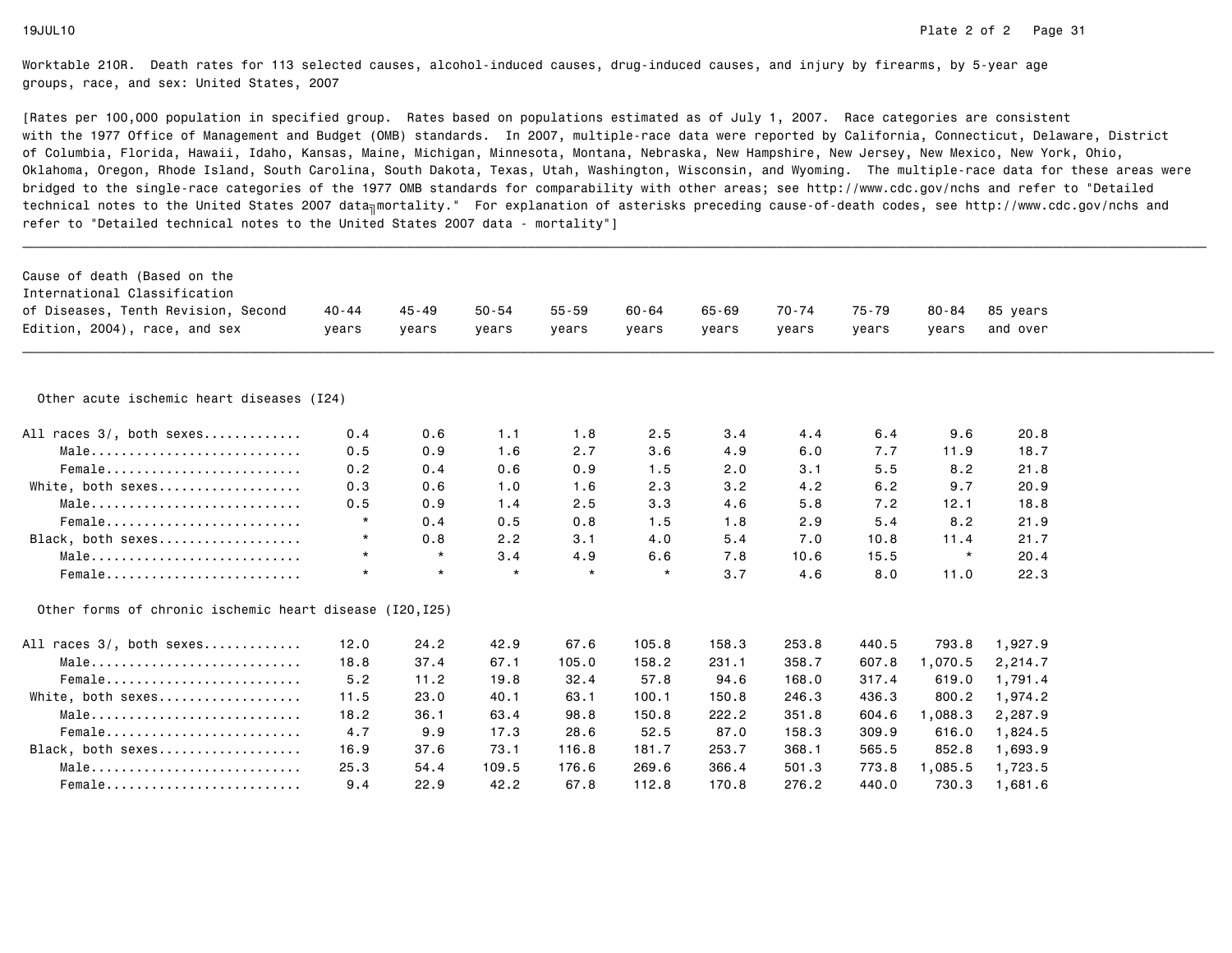| Cause of death (Based on the<br>International Classification<br>of Diseases, Tenth Revision, Second | 40-44   | $45 - 49$ | $50 - 54$ | $55 - 59$ | $60 - 64$ | 65-69 | 70-74 | $75 - 79$ | $80 - 84$ | 85 years |  |
|-----------------------------------------------------------------------------------------------------|---------|-----------|-----------|-----------|-----------|-------|-------|-----------|-----------|----------|--|
| Edition, 2004), race, and sex                                                                       | years   | vears     | years     | vears     | years     | vears | years | years     | vears     | and over |  |
|                                                                                                     |         |           |           |           |           |       |       |           |           |          |  |
| Other acute ischemic heart diseases (I24)                                                           |         |           |           |           |           |       |       |           |           |          |  |
| All races 3/, both sexes                                                                            | 0.4     | 0.6       | 1.1       | 1.8       | 2.5       | 3.4   | 4.4   | 6.4       | 9.6       | 20.8     |  |
| Male                                                                                                | 0.5     | 0.9       | 1.6       | 2.7       | 3.6       | 4.9   | 6.0   | 7.7       | 11.9      | 18.7     |  |
| Female                                                                                              | 0.2     | 0.4       | 0.6       | 0.9       | 1.5       | 2.0   | 3.1   | 5.5       | 8.2       | 21.8     |  |
| White, both sexes                                                                                   | 0.3     | 0.6       | 1.0       | 1.6       | 2.3       | 3.2   | 4.2   | 6.2       | 9.7       | 20.9     |  |
| Male                                                                                                | 0.5     | 0.9       | 1.4       | 2.5       | 3.3       | 4.6   | 5.8   | 7.2       | 12.1      | 18.8     |  |
| Female                                                                                              | $\star$ | 0.4       | 0.5       | 0.8       | 1.5       | 1.8   | 2.9   | 5.4       | 8.2       | 21.9     |  |
| Black, both sexes                                                                                   | $\star$ | 0.8       | 2.2       | 3.1       | 4.0       | 5.4   | 7.0   | 10.8      | 11.4      | 21.7     |  |
| Male                                                                                                | $\star$ | $\star$   | 3.4       | 4.9       | 6.6       | 7.8   | 10.6  | 15.5      | $\star$   | 20.4     |  |
| Female                                                                                              | $\star$ | $\star$   | $\star$   | $\star$   | $\star$   | 3.7   | 4.6   | 8.0       | 11.0      | 22.3     |  |
| Other forms of chronic ischemic heart disease (I20, I25)                                            |         |           |           |           |           |       |       |           |           |          |  |
| All races 3/, both sexes                                                                            | 12.0    | 24.2      | 42.9      | 67.6      | 105.8     | 158.3 | 253.8 | 440.5     | 793.8     | 1,927.9  |  |
| Male                                                                                                | 18.8    | 37.4      | 67.1      | 105.0     | 158.2     | 231.1 | 358.7 | 607.8     | 1,070.5   | 2,214.7  |  |
| Female                                                                                              | 5.2     | 11.2      | 19.8      | 32.4      | 57.8      | 94.6  | 168.0 | 317.4     | 619.0     | 1,791.4  |  |
| White, both sexes                                                                                   | 11.5    | 23.0      | 40.1      | 63.1      | 100.1     | 150.8 | 246.3 | 436.3     | 800.2     | 1,974.2  |  |
| Male                                                                                                | 18.2    | 36.1      | 63.4      | 98.8      | 150.8     | 222.2 | 351.8 | 604.6     | ,088.3    | 2,287.9  |  |
| Female                                                                                              | 4.7     | 9.9       | 17.3      | 28.6      | 52.5      | 87.0  | 158.3 | 309.9     | 616.0     | 1,824.5  |  |
| Black, both sexes                                                                                   | 16.9    | 37.6      | 73.1      | 116.8     | 181.7     | 253.7 | 368.1 | 565.5     | 852.8     | 1,693.9  |  |
| Male                                                                                                | 25.3    | 54.4      | 109.5     | 176.6     | 269.6     | 366.4 | 501.3 | 773.8     | 1,085.5   | 1,723.5  |  |
| Female                                                                                              | 9.4     | 22.9      | 42.2      | 67.8      | 112.8     | 170.8 | 276.2 | 440.0     | 730.3     | 1,681.6  |  |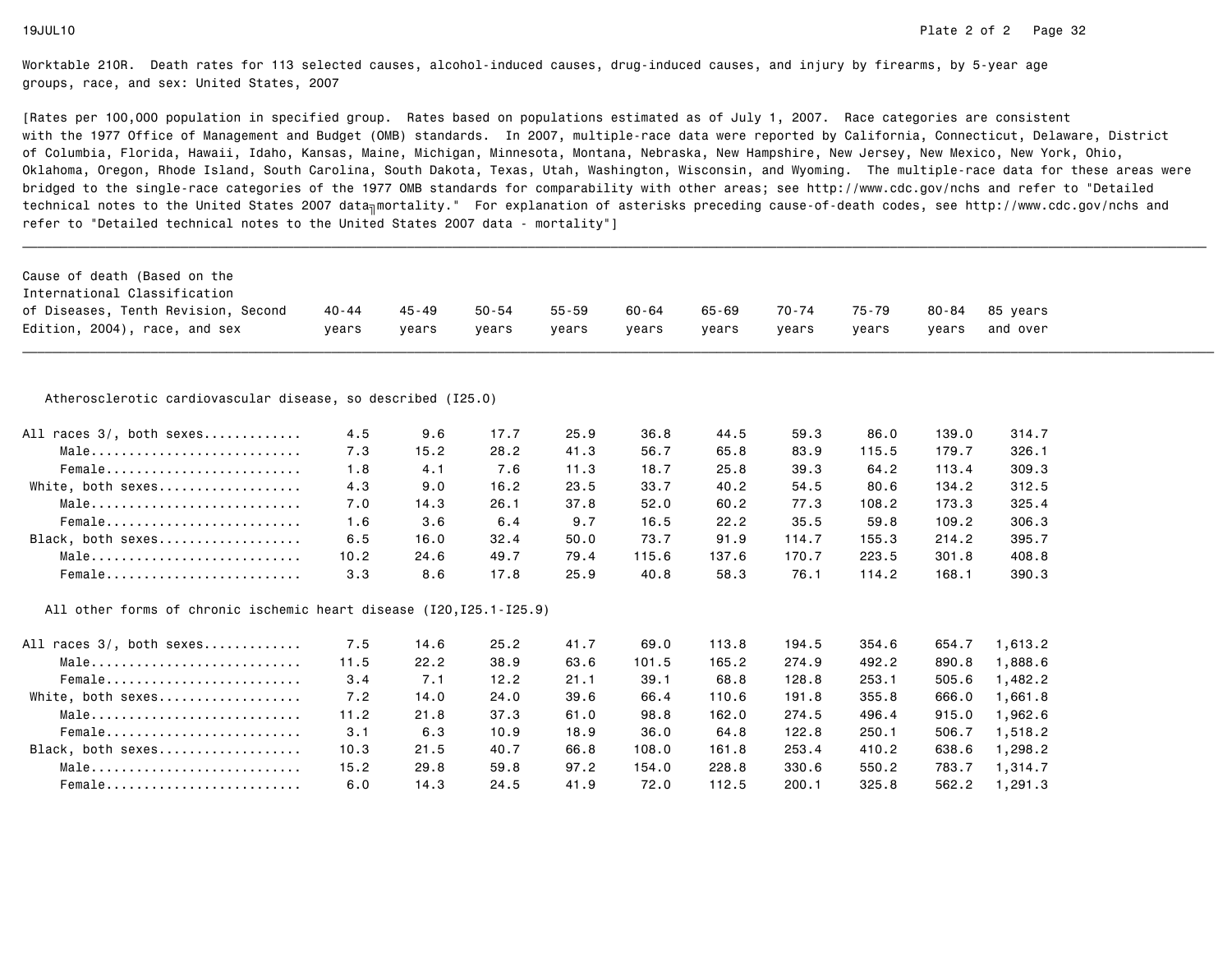| Cause of death (Based on the                                         |         |       |           |           |       |       |       |       |           |          |
|----------------------------------------------------------------------|---------|-------|-----------|-----------|-------|-------|-------|-------|-----------|----------|
| International Classification                                         |         |       |           |           |       |       |       |       |           |          |
| of Diseases, Tenth Revision, Second                                  | 40 - 44 | 45-49 | $50 - 54$ | $55 - 59$ | 60-64 | 65-69 | 70-74 | 75-79 | $80 - 84$ | 85 years |
| Edition, 2004), race, and sex                                        | vears   | years | vears     | vears     | vears | years | years | vears | vears     | and over |
|                                                                      |         |       |           |           |       |       |       |       |           |          |
| Atherosclerotic cardiovascular disease, so described (I25.0)         |         |       |           |           |       |       |       |       |           |          |
| All races 3/, both sexes                                             | 4.5     | 9.6   | 17.7      | 25.9      | 36.8  | 44.5  | 59.3  | 86.0  | 139.0     | 314.7    |
| Male                                                                 | 7.3     | 15.2  | 28.2      | 41.3      | 56.7  | 65.8  | 83.9  | 115.5 | 179.7     | 326.1    |
| Female                                                               | 1.8     | 4.1   | 7.6       | 11.3      | 18.7  | 25.8  | 39.3  | 64.2  | 113.4     | 309.3    |
| White, both sexes                                                    | 4.3     | 9.0   | 16.2      | 23.5      | 33.7  | 40.2  | 54.5  | 80.6  | 134.2     | 312.5    |
| Male                                                                 | 7.0     | 14.3  | 26.1      | 37.8      | 52.0  | 60.2  | 77.3  | 108.2 | 173.3     | 325.4    |
| Female                                                               | 1.6     | 3.6   | 6.4       | 9.7       | 16.5  | 22.2  | 35.5  | 59.8  | 109.2     | 306.3    |
| Black, both sexes                                                    | 6.5     | 16.0  | 32.4      | 50.0      | 73.7  | 91.9  | 114.7 | 155.3 | 214.2     | 395.7    |
| Male                                                                 | 10.2    | 24.6  | 49.7      | 79.4      | 115.6 | 137.6 | 170.7 | 223.5 | 301.8     | 408.8    |
| Female                                                               | 3.3     | 8.6   | 17.8      | 25.9      | 40.8  | 58.3  | 76.1  | 114.2 | 168.1     | 390.3    |
| All other forms of chronic ischemic heart disease (I20, I25.1-I25.9) |         |       |           |           |       |       |       |       |           |          |
| All races 3/, both sexes                                             | 7.5     | 14.6  | 25.2      | 41.7      | 69.0  | 113.8 | 194.5 | 354.6 | 654.7     | 1,613.2  |
| Male                                                                 | 11.5    | 22.2  | 38.9      | 63.6      | 101.5 | 165.2 | 274.9 | 492.2 | 890.8     | 1,888.6  |
| Female                                                               | 3.4     | 7.1   | 12.2      | 21.1      | 39.1  | 68.8  | 128.8 | 253.1 | 505.6     | 1,482.2  |
| White, both sexes                                                    | 7.2     | 14.0  | 24.0      | 39.6      | 66.4  | 110.6 | 191.8 | 355.8 | 666.0     | 1,661.8  |
| Male                                                                 | 11.2    | 21.8  | 37.3      | 61.0      | 98.8  | 162.0 | 274.5 | 496.4 | 915.0     | 1,962.6  |
| Female                                                               | 3.1     | 6.3   | 10.9      | 18.9      | 36.0  | 64.8  | 122.8 | 250.1 | 506.7     | 1,518.2  |
| Black, both sexes                                                    | 10.3    | 21.5  | 40.7      | 66.8      | 108.0 | 161.8 | 253.4 | 410.2 | 638.6     | 1,298.2  |
| Male                                                                 | 15.2    | 29.8  | 59.8      | 97.2      | 154.0 | 228.8 | 330.6 | 550.2 | 783.7     | 1,314.7  |
| Female                                                               | 6.0     | 14.3  | 24.5      | 41.9      | 72.0  | 112.5 | 200.1 | 325.8 | 562.2     | 1,291.3  |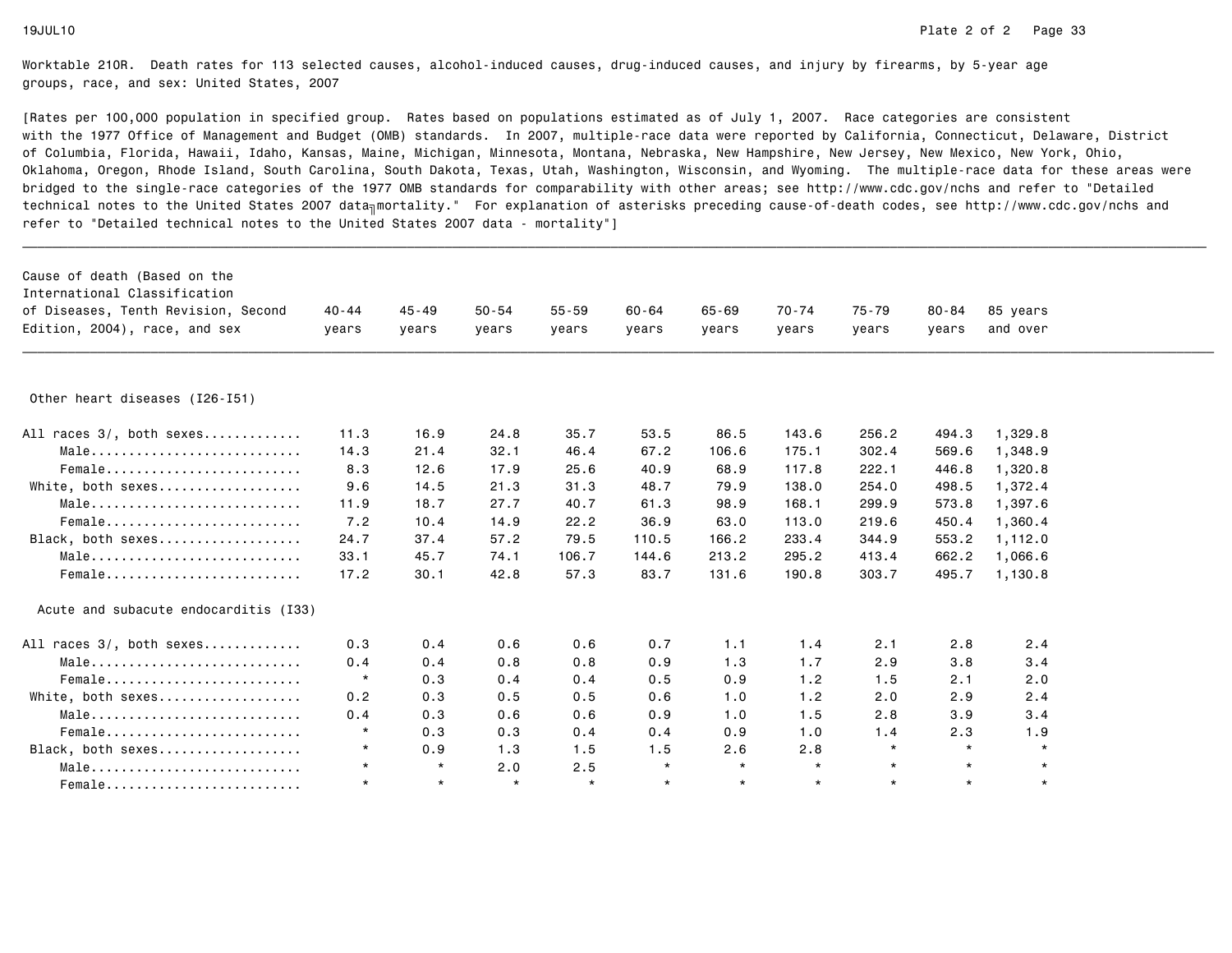| Cause of death (Based on the<br>International Classification       |           |           |           |           |         |           |           |         |           |          |  |
|--------------------------------------------------------------------|-----------|-----------|-----------|-----------|---------|-----------|-----------|---------|-----------|----------|--|
| of Diseases, Tenth Revision, Second                                | $40 - 44$ | $45 - 49$ | $50 - 54$ | $55 - 59$ | 60-64   | $65 - 69$ | $70 - 74$ | 75-79   | $80 - 84$ | 85 years |  |
| Edition, 2004), race, and sex                                      | vears     | vears     | vears     | vears     | vears   | vears     | years     | vears   | years     | and over |  |
|                                                                    |           |           |           |           |         |           |           |         |           |          |  |
| Other heart diseases (I26-I51)                                     |           |           |           |           |         |           |           |         |           |          |  |
| All races 3/, both sexes                                           | 11.3      | 16.9      | 24.8      | 35.7      | 53.5    | 86.5      | 143.6     | 256.2   | 494.3     | 1,329.8  |  |
| Male                                                               | 14.3      | 21.4      | 32.1      | 46.4      | 67.2    | 106.6     | 175.1     | 302.4   | 569.6     | 1,348.9  |  |
| Female                                                             | 8.3       | 12.6      | 17.9      | 25.6      | 40.9    | 68.9      | 117.8     | 222.1   | 446.8     | 1,320.8  |  |
| White, both sexes                                                  | 9.6       | 14.5      | 21.3      | 31.3      | 48.7    | 79.9      | 138.0     | 254.0   | 498.5     | 1,372.4  |  |
| $Male \dots \dots \dots \dots \dots \dots \dots \dots \dots \dots$ | 11.9      | 18.7      | 27.7      | 40.7      | 61.3    | 98.9      | 168.1     | 299.9   | 573.8     | 1,397.6  |  |
| Female                                                             | 7.2       | 10.4      | 14.9      | 22.2      | 36.9    | 63.0      | 113.0     | 219.6   | 450.4     | 1,360.4  |  |
| Black, both sexes                                                  | 24.7      | 37.4      | 57.2      | 79.5      | 110.5   | 166.2     | 233.4     | 344.9   | 553.2     | 1,112.0  |  |
| $Male \dots \dots \dots \dots \dots \dots \dots \dots \dots \dots$ | 33.1      | 45.7      | 74.1      | 106.7     | 144.6   | 213.2     | 295.2     | 413.4   | 662.2     | 1,066.6  |  |
| Female                                                             | 17.2      | 30.1      | 42.8      | 57.3      | 83.7    | 131.6     | 190.8     | 303.7   | 495.7     | 1,130.8  |  |
| Acute and subacute endocarditis (I33)                              |           |           |           |           |         |           |           |         |           |          |  |
| All races 3/, both sexes                                           | 0.3       | 0.4       | 0.6       | 0.6       | 0.7     | 1.1       | 1.4       | 2.1     | 2.8       | 2.4      |  |
| Male                                                               | 0.4       | 0.4       | 0.8       | 0.8       | 0.9     | 1.3       | 1.7       | 2.9     | 3.8       | 3.4      |  |
| Female                                                             | $\star$   | 0.3       | 0.4       | 0.4       | 0.5     | 0.9       | 1.2       | 1.5     | 2.1       | 2.0      |  |
| White, both sexes                                                  | 0.2       | 0.3       | 0.5       | 0.5       | 0.6     | 1.0       | 1.2       | 2.0     | 2.9       | 2.4      |  |
| Male                                                               | 0.4       | 0.3       | 0.6       | 0.6       | 0.9     | 1.0       | 1.5       | 2.8     | 3.9       | 3.4      |  |
| Female                                                             | $\star$   | 0.3       | 0.3       | 0.4       | 0.4     | 0.9       | 1.0       | 1.4     | 2.3       | 1.9      |  |
| Black, both sexes                                                  | $\star$   | 0.9       | 1.3       | 1.5       | 1.5     | 2.6       | 2.8       | $\star$ | $\star$   | $\star$  |  |
| Male                                                               | $\star$   | $\star$   | 2.0       | 2.5       | $\star$ | $\star$   | $\star$   | $\star$ | $\star$   | $\star$  |  |
| Female                                                             | $\star$   | $\star$   | $\star$   | $\star$   | $\star$ | $\star$   | $\star$   | $\star$ | $\star$   | $\star$  |  |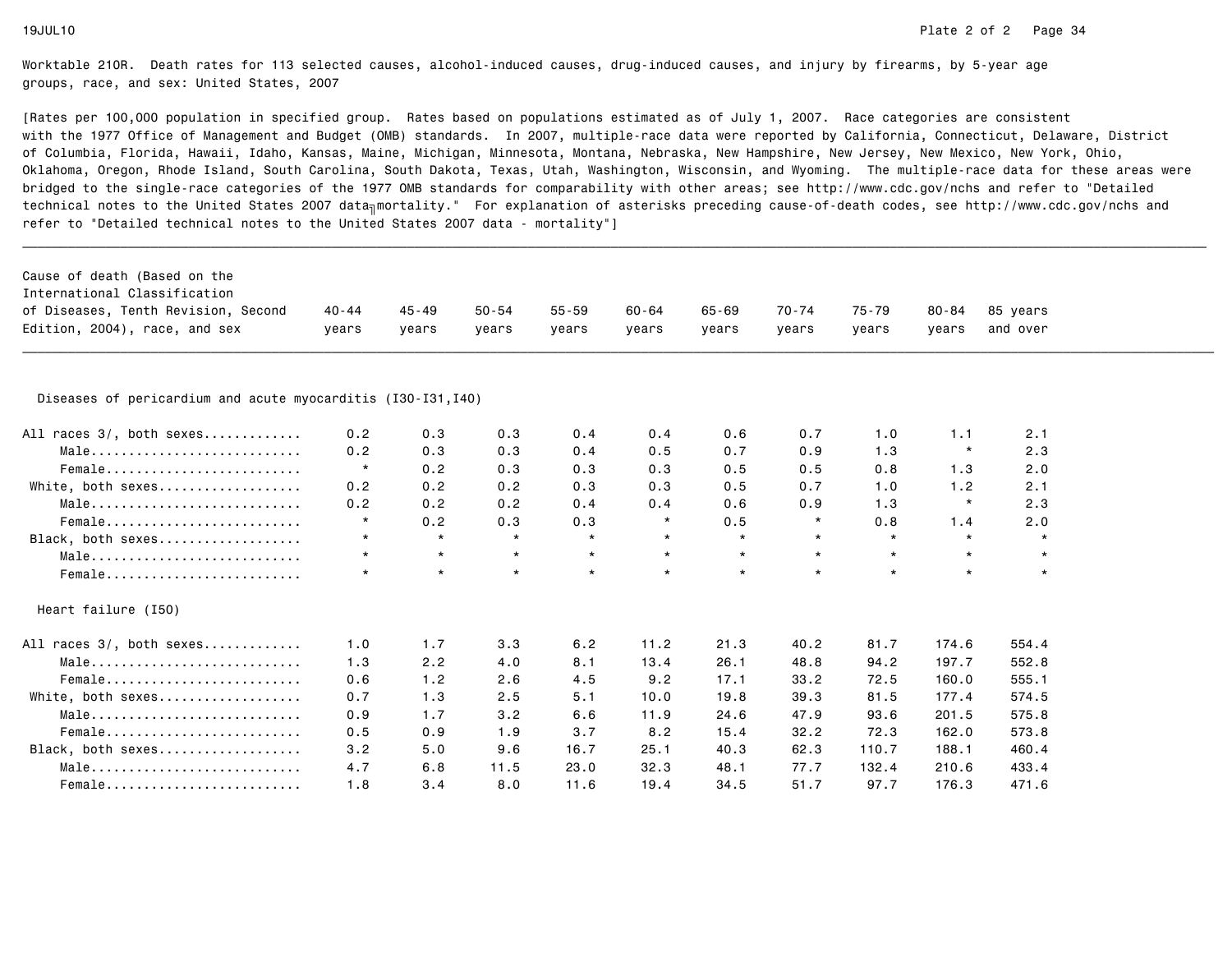| Cause of death (Based on the                                 |           |           |           |           |           |           |         |           |           |          |  |
|--------------------------------------------------------------|-----------|-----------|-----------|-----------|-----------|-----------|---------|-----------|-----------|----------|--|
| International Classification                                 |           |           |           |           |           |           |         |           |           |          |  |
| of Diseases, Tenth Revision, Second                          | $40 - 44$ | $45 - 49$ | $50 - 54$ | $55 - 59$ | $60 - 64$ | $65 - 69$ | 70-74   | $75 - 79$ | $80 - 84$ | 85 years |  |
| Edition, 2004), race, and sex                                | years     | years     | years     | years     | years     | years     | years   | years     | years     | and over |  |
|                                                              |           |           |           |           |           |           |         |           |           |          |  |
|                                                              |           |           |           |           |           |           |         |           |           |          |  |
| Diseases of pericardium and acute myocarditis (I30-I31, I40) |           |           |           |           |           |           |         |           |           |          |  |
| All races 3/, both sexes                                     | 0.2       | 0.3       | 0.3       | 0.4       | 0.4       | 0.6       | 0.7     | 1.0       | 1.1       | 2.1      |  |
| Male                                                         | 0.2       | 0.3       | 0.3       | 0.4       | 0.5       | 0.7       | 0.9     | 1.3       | $\star$   | 2.3      |  |
| Female                                                       | $\star$   | 0.2       | 0.3       | 0.3       | 0.3       | 0.5       | 0.5     | 0.8       | 1.3       | 2.0      |  |
| White, both sexes                                            | 0.2       | 0.2       | 0.2       | 0.3       | 0.3       | 0.5       | 0.7     | 1.0       | 1.2       | 2.1      |  |
| Male                                                         | 0.2       | 0.2       | 0.2       | 0.4       | 0.4       | 0.6       | 0.9     | 1.3       | $\star$   | 2.3      |  |
| Female                                                       | $\star$   | 0.2       | 0.3       | 0.3       | $\star$   | 0.5       | $\star$ | 0.8       | 1.4       | 2.0      |  |
| Black, both sexes                                            | $\star$   | $\star$   | $\star$   | $\star$   | $\star$   | $\star$   | $\star$ | $\star$   | $\star$   | $\star$  |  |
| Male                                                         | $\star$   | $\star$   | $\star$   | $\star$   | $\star$   | $\star$   | $\star$ | $\star$   | $\star$   | $\star$  |  |
| Female                                                       | $\star$   | $\star$   | $\star$   | $\star$   | $\star$   | $\star$   | $\star$ | $\star$   | $\star$   | $\star$  |  |
| Heart failure (I50)                                          |           |           |           |           |           |           |         |           |           |          |  |
| All races 3/, both sexes                                     | 1.0       | 1.7       | 3.3       | 6.2       | 11.2      | 21.3      | 40.2    | 81.7      | 174.6     | 554.4    |  |
| Male                                                         | 1.3       | 2.2       | 4.0       | 8.1       | 13.4      | 26.1      | 48.8    | 94.2      | 197.7     | 552.8    |  |
| Female                                                       | 0.6       | 1.2       | 2.6       | 4.5       | 9.2       | 17.1      | 33.2    | 72.5      | 160.0     | 555.1    |  |
| White, both sexes                                            | 0.7       | 1.3       | 2.5       | 5.1       | 10.0      | 19.8      | 39.3    | 81.5      | 177.4     | 574.5    |  |
| Male                                                         | 0.9       | 1.7       | 3.2       | 6.6       | 11.9      | 24.6      | 47.9    | 93.6      | 201.5     | 575.8    |  |
| Female                                                       | 0.5       | 0.9       | 1.9       | 3.7       | 8.2       | 15.4      | 32.2    | 72.3      | 162.0     | 573.8    |  |
| Black, both sexes                                            | 3.2       | 5.0       | 9.6       | 16.7      | 25.1      | 40.3      | 62.3    | 110.7     | 188.1     | 460.4    |  |
| Male                                                         | 4.7       | 6.8       | 11.5      | 23.0      | 32.3      | 48.1      | 77.7    | 132.4     | 210.6     | 433.4    |  |
| Female                                                       | 1.8       | 3.4       | 8.0       | 11.6      | 19.4      | 34.5      | 51.7    | 97.7      | 176.3     | 471.6    |  |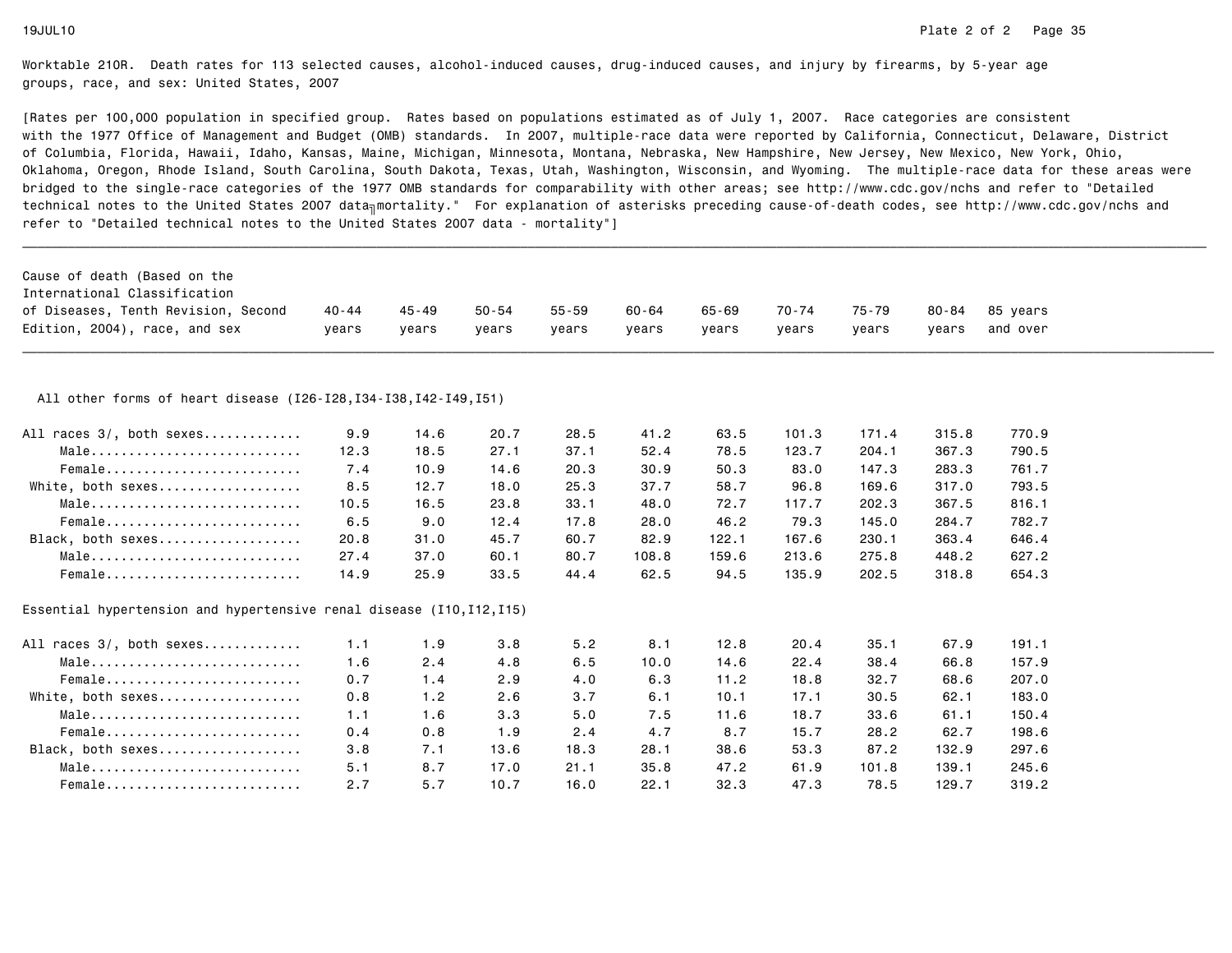| Cause of death (Based on the                                            |       |           |           |           |       |           |       |       |           |          |  |
|-------------------------------------------------------------------------|-------|-----------|-----------|-----------|-------|-----------|-------|-------|-----------|----------|--|
| International Classification                                            |       |           |           |           |       |           |       |       |           |          |  |
| of Diseases, Tenth Revision, Second                                     | 40-44 | $45 - 49$ | $50 - 54$ | $55 - 59$ | 60-64 | $65 - 69$ | 70-74 | 75-79 | $80 - 84$ | 85 years |  |
| Edition, 2004), race, and sex                                           | years | years     | years     | years     | years | years     | years | years | years     | and over |  |
| All other forms of heart disease (I26-I28, I34-I38, I42-I49, I51)       |       |           |           |           |       |           |       |       |           |          |  |
| All races 3/, both sexes                                                | 9.9   | 14.6      | 20.7      | 28.5      | 41.2  | 63.5      | 101.3 | 171.4 | 315.8     | 770.9    |  |
| Male                                                                    | 12.3  | 18.5      | 27.1      | 37.1      | 52.4  | 78.5      | 123.7 | 204.1 | 367.3     | 790.5    |  |
| Female                                                                  | 7.4   | 10.9      | 14.6      | 20.3      | 30.9  | 50.3      | 83.0  | 147.3 | 283.3     | 761.7    |  |
| White, both sexes                                                       | 8.5   | 12.7      | 18.0      | 25.3      | 37.7  | 58.7      | 96.8  | 169.6 | 317.0     | 793.5    |  |
| $Male \dots \dots \dots \dots \dots \dots \dots \dots \dots \dots$      | 10.5  | 16.5      | 23.8      | 33.1      | 48.0  | 72.7      | 117.7 | 202.3 | 367.5     | 816.1    |  |
| Female                                                                  | 6.5   | 9.0       | 12.4      | 17.8      | 28.0  | 46.2      | 79.3  | 145.0 | 284.7     | 782.7    |  |
| Black, both sexes                                                       | 20.8  | 31.0      | 45.7      | 60.7      | 82.9  | 122.1     | 167.6 | 230.1 | 363.4     | 646.4    |  |
| Male                                                                    | 27.4  | 37.0      | 60.1      | 80.7      | 108.8 | 159.6     | 213.6 | 275.8 | 448.2     | 627.2    |  |
| Female                                                                  | 14.9  | 25.9      | 33.5      | 44.4      | 62.5  | 94.5      | 135.9 | 202.5 | 318.8     | 654.3    |  |
| Essential hypertension and hypertensive renal disease $(110, 112, 115)$ |       |           |           |           |       |           |       |       |           |          |  |
| All races 3/, both sexes                                                | 1.1   | 1.9       | 3.8       | 5.2       | 8.1   | 12.8      | 20.4  | 35.1  | 67.9      | 191.1    |  |
| $Male \dots \dots \dots \dots \dots \dots \dots \dots \dots \dots$      | 1.6   | 2.4       | 4.8       | 6.5       | 10.0  | 14.6      | 22.4  | 38.4  | 66.8      | 157.9    |  |
| Female                                                                  | 0.7   | 1.4       | 2.9       | 4.0       | 6.3   | 11.2      | 18.8  | 32.7  | 68.6      | 207.0    |  |
| White, both sexes                                                       | 0.8   | 1.2       | 2.6       | 3.7       | 6.1   | 10.1      | 17.1  | 30.5  | 62.1      | 183.0    |  |
| Male                                                                    | 1.1   | 1.6       | 3.3       | 5.0       | 7.5   | 11.6      | 18.7  | 33.6  | 61.1      | 150.4    |  |
| Female                                                                  | 0.4   | 0.8       | 1.9       | 2.4       | 4.7   | 8.7       | 15.7  | 28.2  | 62.7      | 198.6    |  |
| Black, both sexes                                                       | 3.8   | 7.1       | 13.6      | 18.3      | 28.1  | 38.6      | 53.3  | 87.2  | 132.9     | 297.6    |  |
| Male                                                                    | 5.1   | 8.7       | 17.0      | 21.1      | 35.8  | 47.2      | 61.9  | 101.8 | 139.1     | 245.6    |  |
| Female                                                                  | 2.7   | 5.7       | 10.7      | 16.0      | 22.1  | 32.3      | 47.3  | 78.5  | 129.7     | 319.2    |  |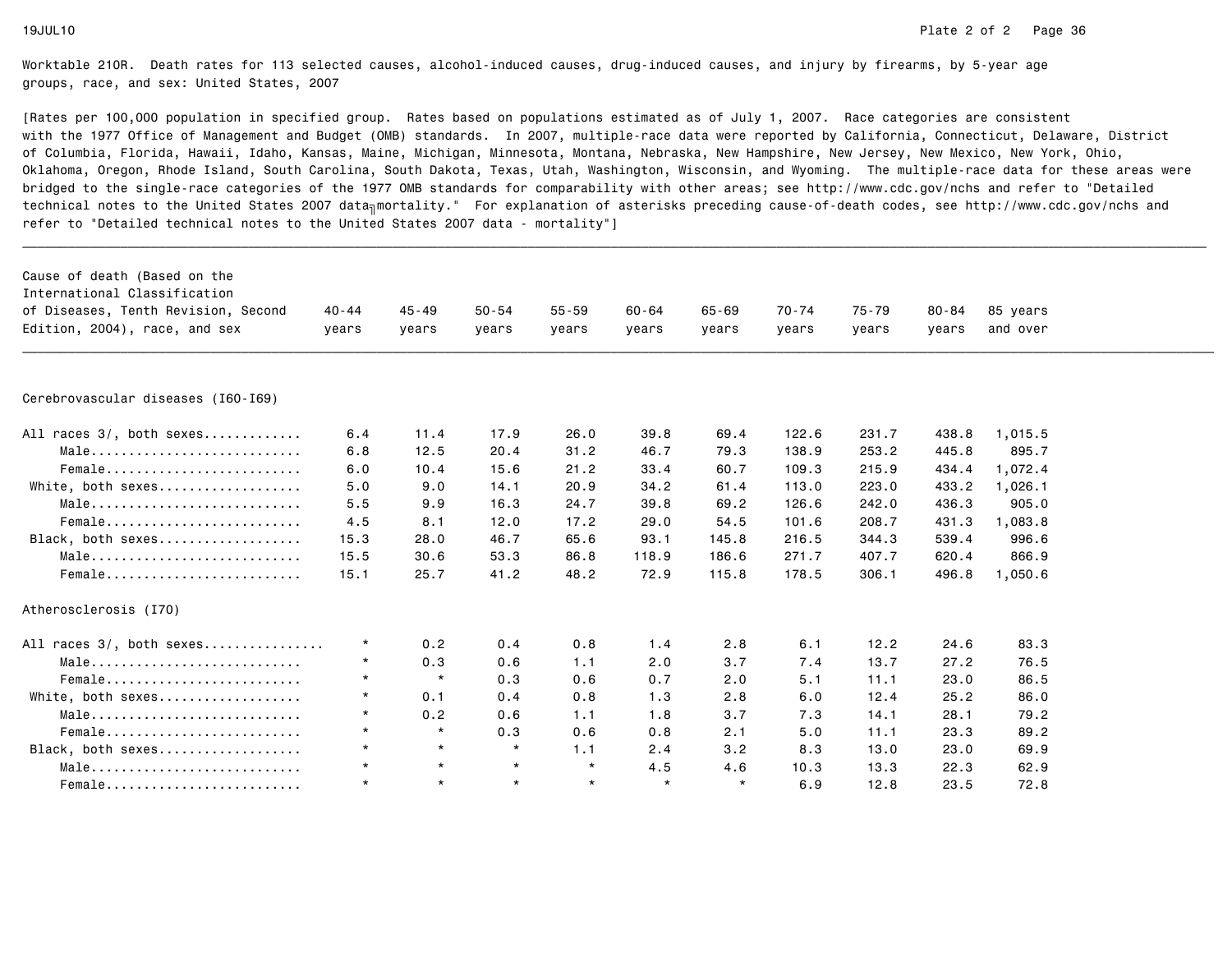| Cause of death (Based on the<br>International Classification |           |           |           |           |           |         |           |           |           |          |  |
|--------------------------------------------------------------|-----------|-----------|-----------|-----------|-----------|---------|-----------|-----------|-----------|----------|--|
| of Diseases, Tenth Revision, Second                          | $40 - 44$ | $45 - 49$ | $50 - 54$ | $55 - 59$ | $60 - 64$ | 65-69   | $70 - 74$ | $75 - 79$ | $80 - 84$ | 85 years |  |
| Edition, 2004), race, and sex                                | vears     | vears     | vears     | years     | vears     | vears   | vears     | years     | years     | and over |  |
|                                                              |           |           |           |           |           |         |           |           |           |          |  |
|                                                              |           |           |           |           |           |         |           |           |           |          |  |
| Cerebrovascular diseases (I60-I69)                           |           |           |           |           |           |         |           |           |           |          |  |
| All races 3/, both sexes                                     | 6.4       | 11.4      | 17.9      | 26.0      | 39.8      | 69.4    | 122.6     | 231.7     | 438.8     | 1,015.5  |  |
| Male                                                         | 6.8       | 12.5      | 20.4      | 31.2      | 46.7      | 79.3    | 138.9     | 253.2     | 445.8     | 895.7    |  |
| Female                                                       | 6.0       | 10.4      | 15.6      | 21.2      | 33.4      | 60.7    | 109.3     | 215.9     | 434.4     | 1,072.4  |  |
| White, both sexes                                            | 5.0       | 9.0       | 14.1      | 20.9      | 34.2      | 61.4    | 113.0     | 223.0     | 433.2     | 1,026.1  |  |
| Male                                                         | 5.5       | 9.9       | 16.3      | 24.7      | 39.8      | 69.2    | 126.6     | 242.0     | 436.3     | 905.0    |  |
| Female                                                       | 4.5       | 8.1       | 12.0      | 17.2      | 29.0      | 54.5    | 101.6     | 208.7     | 431.3     | 1,083.8  |  |
| Black, both sexes                                            | 15.3      | 28.0      | 46.7      | 65.6      | 93.1      | 145.8   | 216.5     | 344.3     | 539.4     | 996.6    |  |
| Male                                                         | 15.5      | 30.6      | 53.3      | 86.8      | 118.9     | 186.6   | 271.7     | 407.7     | 620.4     | 866.9    |  |
| Female                                                       | 15.1      | 25.7      | 41.2      | 48.2      | 72.9      | 115.8   | 178.5     | 306.1     | 496.8     | 1,050.6  |  |
| Atherosclerosis (I70)                                        |           |           |           |           |           |         |           |           |           |          |  |
| All races 3/, both sexes                                     | $^\star$  | 0.2       | 0.4       | 0.8       | 1.4       | 2.8     | 6.1       | 12.2      | 24.6      | 83.3     |  |
| Male                                                         | $\star$   | 0.3       | 0.6       | 1.1       | 2.0       | 3.7     | 7.4       | 13.7      | 27.2      | 76.5     |  |
| Female                                                       | $\star$   | $\star$   | 0.3       | 0.6       | 0.7       | 2.0     | 5.1       | 11.1      | 23.0      | 86.5     |  |
| White, both sexes                                            | $\star$   | 0.1       | 0.4       | 0.8       | 1.3       | 2.8     | 6.0       | 12.4      | 25.2      | 86.0     |  |
| Male                                                         | $\star$   | 0.2       | 0.6       | 1.1       | 1.8       | 3.7     | 7.3       | 14.1      | 28.1      | 79.2     |  |
| Female                                                       | $\star$   | $\star$   | 0.3       | 0.6       | 0.8       | 2.1     | 5.0       | 11.1      | 23.3      | 89.2     |  |
| Black, both sexes                                            | $\star$   | $\star$   | $\star$   | 1.1       | 2.4       | 3.2     | 8.3       | 13.0      | 23.0      | 69.9     |  |
| Male                                                         | $\star$   | $\star$   | $\star$   | $\star$   | 4.5       | 4.6     | 10.3      | 13.3      | 22.3      | 62.9     |  |
| Female                                                       | $\star$   | $\star$   | $\star$   | $\star$   | $\star$   | $\star$ | 6.9       | 12.8      | 23.5      | 72.8     |  |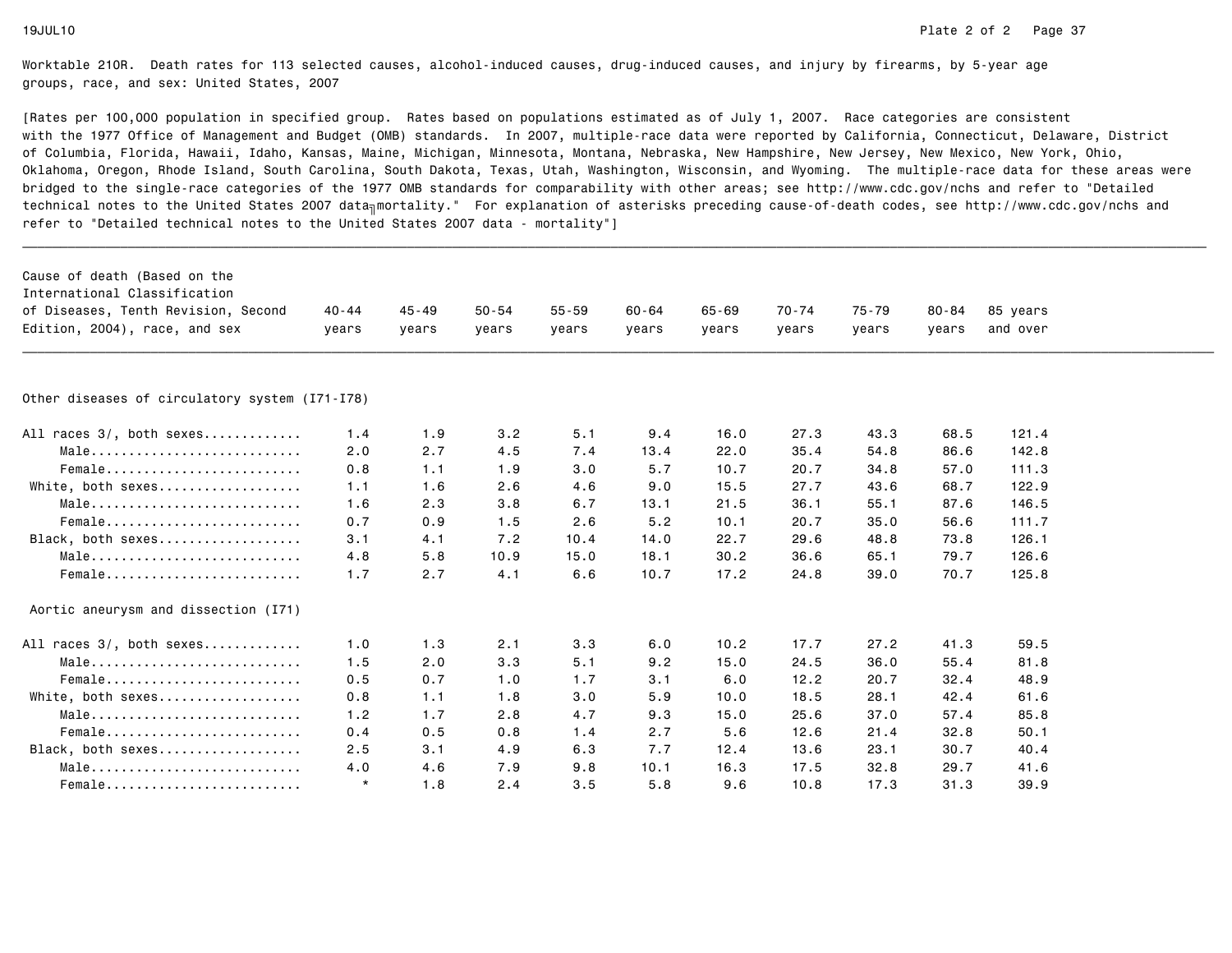| Cause of death (Based on the<br>International Classification |         |       |           |           |       |           |           |           |           |          |  |
|--------------------------------------------------------------|---------|-------|-----------|-----------|-------|-----------|-----------|-----------|-----------|----------|--|
| of Diseases, Tenth Revision, Second                          | 40 - 44 | 45-49 | $50 - 54$ | $55 - 59$ | 60-64 | $65 - 69$ | $70 - 74$ | $75 - 79$ | $80 - 84$ | 85 years |  |
| Edition, 2004), race, and sex                                | vears   | vears | vears     | years     | vears | vears     | vears     | years     | vears     | and over |  |
|                                                              |         |       |           |           |       |           |           |           |           |          |  |
| Other diseases of circulatory system (I71-I78)               |         |       |           |           |       |           |           |           |           |          |  |
| All races 3/, both sexes                                     | 1.4     | 1.9   | 3.2       | 5.1       | 9.4   | 16.0      | 27.3      | 43.3      | 68.5      | 121.4    |  |
| Male                                                         | 2.0     | 2.7   | 4.5       | 7.4       | 13.4  | 22.0      | 35.4      | 54.8      | 86.6      | 142.8    |  |
| Female                                                       | 0.8     | 1.1   | 1.9       | 3.0       | 5.7   | 10.7      | 20.7      | 34.8      | 57.0      | 111.3    |  |
| White, both sexes                                            | 1.1     | 1.6   | 2.6       | 4.6       | 9.0   | 15.5      | 27.7      | 43.6      | 68.7      | 122.9    |  |
| Male                                                         | 1.6     | 2.3   | 3.8       | 6.7       | 13.1  | 21.5      | 36.1      | 55.1      | 87.6      | 146.5    |  |
| Female                                                       | 0.7     | 0.9   | 1.5       | 2.6       | 5.2   | 10.1      | 20.7      | 35.0      | 56.6      | 111.7    |  |
| Black, both sexes                                            | 3.1     | 4.1   | 7.2       | 10.4      | 14.0  | 22.7      | 29.6      | 48.8      | 73.8      | 126.1    |  |
| Male                                                         | 4.8     | 5.8   | 10.9      | 15.0      | 18.1  | 30.2      | 36.6      | 65.1      | 79.7      | 126.6    |  |
| Female                                                       | 1.7     | 2.7   | 4.1       | 6.6       | 10.7  | 17.2      | 24.8      | 39.0      | 70.7      | 125.8    |  |
| Aortic aneurysm and dissection (I71)                         |         |       |           |           |       |           |           |           |           |          |  |
| All races 3/, both sexes                                     | 1.0     | 1.3   | 2.1       | 3.3       | 6.0   | 10.2      | 17.7      | 27.2      | 41.3      | 59.5     |  |
| Male                                                         | 1.5     | 2.0   | 3.3       | 5.1       | 9.2   | 15.0      | 24.5      | 36.0      | 55.4      | 81.8     |  |
| Female                                                       | 0.5     | 0.7   | 1.0       | 1.7       | 3.1   | 6.0       | 12.2      | 20.7      | 32.4      | 48.9     |  |
| White, both sexes                                            | 0.8     | 1.1   | 1.8       | 3.0       | 5.9   | 10.0      | 18.5      | 28.1      | 42.4      | 61.6     |  |
| Male                                                         | 1.2     | 1.7   | 2.8       | 4.7       | 9.3   | 15.0      | 25.6      | 37.0      | 57.4      | 85.8     |  |
| Female                                                       | 0.4     | 0.5   | 0.8       | 1.4       | 2.7   | 5.6       | 12.6      | 21.4      | 32.8      | 50.1     |  |
| Black, both sexes                                            | 2.5     | 3.1   | 4.9       | 6.3       | 7.7   | 12.4      | 13.6      | 23.1      | 30.7      | 40.4     |  |
| Male                                                         | 4.0     | 4.6   | 7.9       | 9.8       | 10.1  | 16.3      | 17.5      | 32.8      | 29.7      | 41.6     |  |
| Female                                                       | $\star$ | 1.8   | 2.4       | 3.5       | 5.8   | 9.6       | 10.8      | 17.3      | 31.3      | 39.9     |  |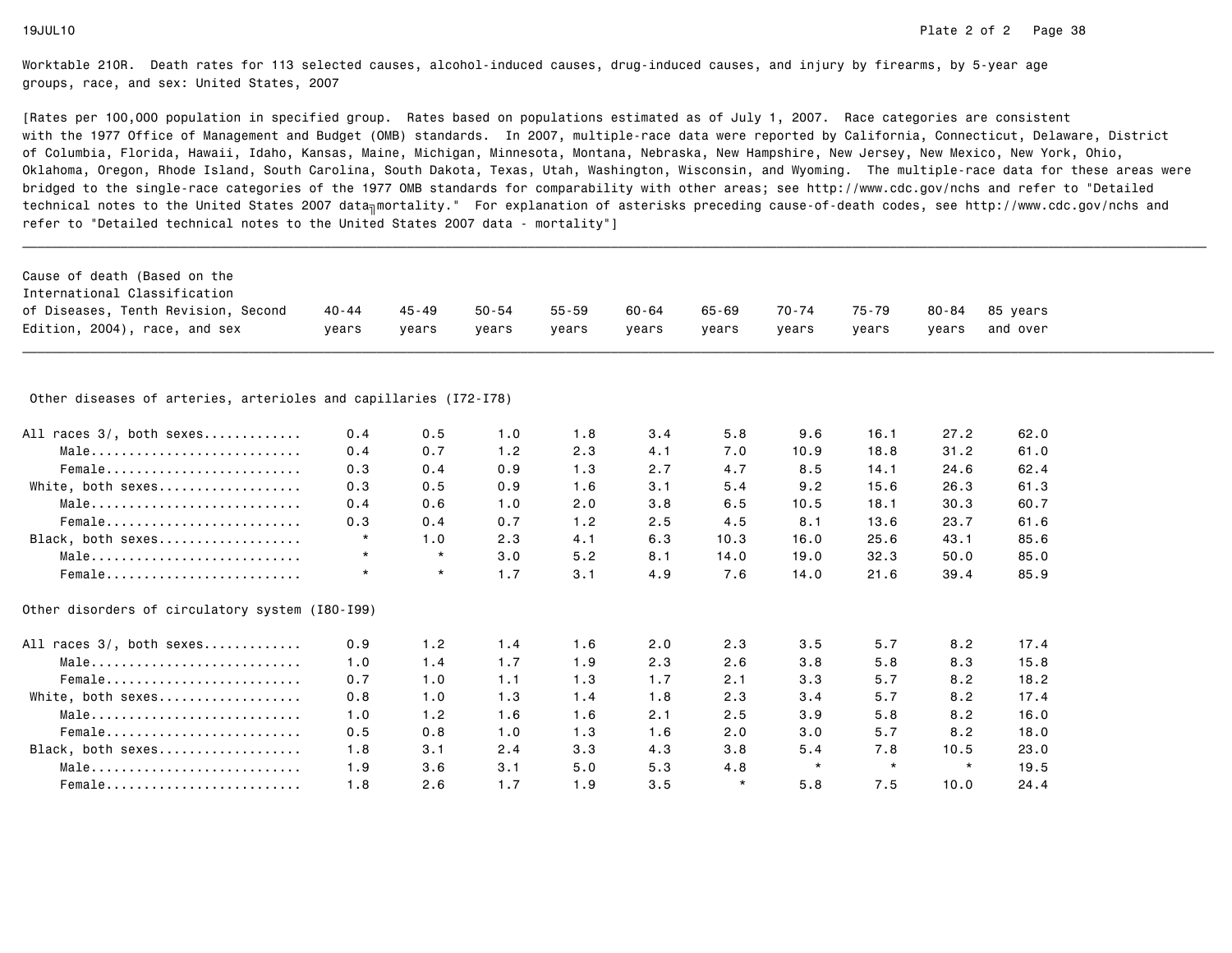| Cause of death (Based on the                                     |           |           |           |           |           |         |           |           |           |          |  |
|------------------------------------------------------------------|-----------|-----------|-----------|-----------|-----------|---------|-----------|-----------|-----------|----------|--|
| International Classification                                     |           |           |           |           |           |         |           |           |           |          |  |
| of Diseases, Tenth Revision, Second                              | $40 - 44$ | $45 - 49$ | $50 - 54$ | $55 - 59$ | $60 - 64$ | 65-69   | $70 - 74$ | $75 - 79$ | $80 - 84$ | 85 years |  |
| Edition, 2004), race, and sex                                    | vears     | vears     | vears     | years     | vears     | vears   | years     | years     | vears     | and over |  |
|                                                                  |           |           |           |           |           |         |           |           |           |          |  |
| Other diseases of arteries, arterioles and capillaries (I72-I78) |           |           |           |           |           |         |           |           |           |          |  |
| All races 3/, both sexes                                         | 0.4       | 0.5       | 1.0       | 1.8       | 3.4       | 5.8     | 9.6       | 16.1      | 27.2      | 62.0     |  |
| Male                                                             | 0.4       | 0.7       | 1.2       | 2.3       | 4.1       | 7.0     | 10.9      | 18.8      | 31.2      | 61.0     |  |
| Female                                                           | 0.3       | 0.4       | 0.9       | 1.3       | 2.7       | 4.7     | 8.5       | 14.1      | 24.6      | 62.4     |  |
| White, both sexes                                                | 0.3       | 0.5       | 0.9       | 1.6       | 3.1       | 5.4     | 9.2       | 15.6      | 26.3      | 61.3     |  |
| Male                                                             | 0.4       | 0.6       | 1.0       | 2.0       | 3.8       | 6.5     | 10.5      | 18.1      | 30.3      | 60.7     |  |
| Female                                                           | 0.3       | 0.4       | 0.7       | 1.2       | 2.5       | 4.5     | 8.1       | 13.6      | 23.7      | 61.6     |  |
| Black, both sexes                                                | $\star$   | 1.0       | 2.3       | 4.1       | 6.3       | 10.3    | 16.0      | 25.6      | 43.1      | 85.6     |  |
| Male                                                             | $\star$   | $\star$   | 3.0       | 5.2       | 8.1       | 14.0    | 19.0      | 32.3      | 50.0      | 85.0     |  |
| Female                                                           | $\star$   | $\star$   | 1.7       | 3.1       | 4.9       | 7.6     | 14.0      | 21.6      | 39.4      | 85.9     |  |
| Other disorders of circulatory system (I80-I99)                  |           |           |           |           |           |         |           |           |           |          |  |
| All races 3/, both sexes                                         | 0.9       | 1.2       | 1.4       | 1.6       | 2.0       | 2.3     | 3.5       | 5.7       | 8.2       | 17.4     |  |
| Male                                                             | 1.0       | 1.4       | 1.7       | 1.9       | 2.3       | 2.6     | 3.8       | 5.8       | 8.3       | 15.8     |  |
| Female                                                           | 0.7       | 1.0       | 1.1       | 1.3       | 1.7       | 2.1     | 3.3       | 5.7       | 8.2       | 18.2     |  |
| White, both sexes                                                | 0.8       | 1.0       | 1.3       | 1.4       | 1.8       | 2.3     | 3.4       | 5.7       | 8.2       | 17.4     |  |
| Male                                                             | 1.0       | 1.2       | 1.6       | 1.6       | 2.1       | 2.5     | 3.9       | 5.8       | 8.2       | 16.0     |  |
| Female                                                           | 0.5       | 0.8       | 1.0       | 1.3       | 1.6       | 2.0     | 3.0       | 5.7       | 8.2       | 18.0     |  |
| Black, both sexes                                                | 1.8       | 3.1       | 2.4       | 3.3       | 4.3       | 3.8     | 5.4       | 7.8       | 10.5      | 23.0     |  |
| Male                                                             | 1.9       | 3.6       | 3.1       | 5.0       | 5.3       | 4.8     | $\star$   | $\star$   | $\star$   | 19.5     |  |
| Female                                                           | 1.8       | 2.6       | 1.7       | 1.9       | 3.5       | $\star$ | 5.8       | 7.5       | 10.0      | 24.4     |  |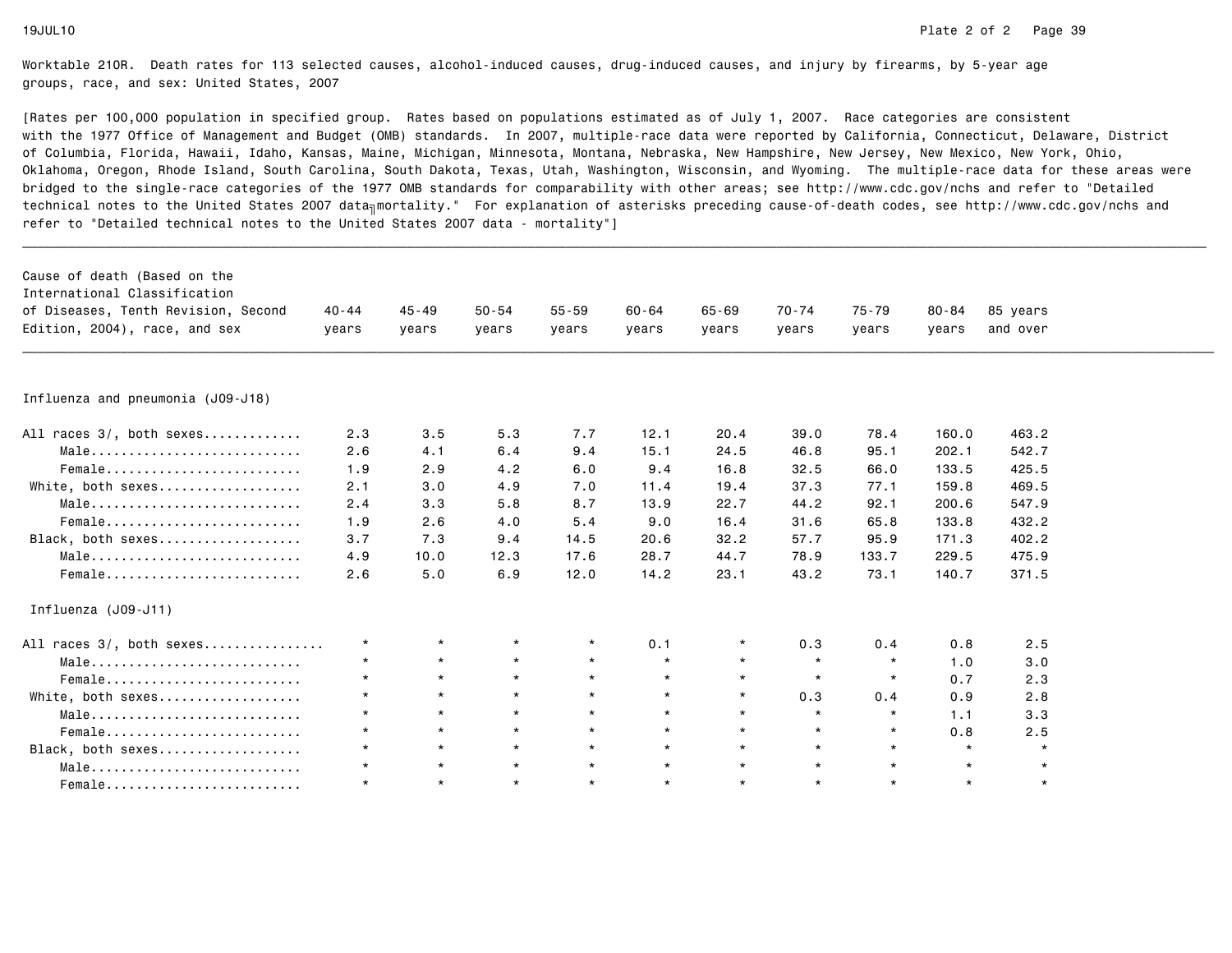| Cause of death (Based on the<br>International Classification |           |           |           |           |           |           |           |           |           |          |  |
|--------------------------------------------------------------|-----------|-----------|-----------|-----------|-----------|-----------|-----------|-----------|-----------|----------|--|
| of Diseases, Tenth Revision, Second                          | $40 - 44$ | $45 - 49$ | $50 - 54$ | $55 - 59$ | $60 - 64$ | $65 - 69$ | $70 - 74$ | $75 - 79$ | $80 - 84$ | 85 years |  |
| Edition, 2004), race, and sex                                | vears     | years     | years     | years     | years     | vears     | years     | years     | years     | and over |  |
|                                                              |           |           |           |           |           |           |           |           |           |          |  |
|                                                              |           |           |           |           |           |           |           |           |           |          |  |
| Influenza and pneumonia (J09-J18)                            |           |           |           |           |           |           |           |           |           |          |  |
| All races 3/, both sexes                                     | 2.3       | 3.5       | 5.3       | 7.7       | 12.1      | 20.4      | 39.0      | 78.4      | 160.0     | 463.2    |  |
| Male                                                         | 2.6       | 4.1       | 6.4       | 9.4       | 15.1      | 24.5      | 46.8      | 95.1      | 202.1     | 542.7    |  |
| Female                                                       | 1.9       | 2.9       | 4.2       | 6.0       | 9.4       | 16.8      | 32.5      | 66.0      | 133.5     | 425.5    |  |
| White, both sexes                                            | 2.1       | 3.0       | 4.9       | 7.0       | 11.4      | 19.4      | 37.3      | 77.1      | 159.8     | 469.5    |  |
| Male                                                         | 2.4       | 3.3       | 5.8       | 8.7       | 13.9      | 22.7      | 44.2      | 92.1      | 200.6     | 547.9    |  |
| Female                                                       | 1.9       | 2.6       | 4.0       | 5.4       | 9.0       | 16.4      | 31.6      | 65.8      | 133.8     | 432.2    |  |
| Black, both sexes                                            | 3.7       | 7.3       | 9.4       | 14.5      | 20.6      | 32.2      | 57.7      | 95.9      | 171.3     | 402.2    |  |
| Male                                                         | 4.9       | 10.0      | 12.3      | 17.6      | 28.7      | 44.7      | 78.9      | 133.7     | 229.5     | 475.9    |  |
| Female                                                       | 2.6       | 5.0       | 6.9       | 12.0      | 14.2      | 23.1      | 43.2      | 73.1      | 140.7     | 371.5    |  |
| Influenza (J09-J11)                                          |           |           |           |           |           |           |           |           |           |          |  |
| All races 3/, both sexes                                     | $\star$   | $\star$   | $\star$   | $\star$   | 0.1       |           | 0.3       | 0.4       | 0.8       | 2.5      |  |
| Male                                                         | $\star$   | $\star$   | $\star$   | $\star$   | $\star$   | $\star$   | $\star$   | $\star$   | 1.0       | 3.0      |  |
| Female                                                       | $\star$   | $\star$   | $\star$   | $\star$   | $\star$   | $\star$   | $\star$   | $\star$   | 0.7       | 2.3      |  |
| White, both sexes                                            | $\star$   | $\star$   | $\star$   | $\star$   | $\star$   | $\star$   | 0.3       | 0.4       | 0.9       | 2.8      |  |
| Male                                                         | $\star$   | $\star$   | $\star$   | $\star$   | $\star$   | $\star$   | $\star$   | $\star$   | 1.1       | 3.3      |  |
| Female                                                       | $\star$   | $\star$   | $\star$   | $\star$   | $\star$   | $\star$   | $\star$   | $\star$   | 0.8       | 2.5      |  |
| Black, both sexes                                            | $\star$   | $\star$   | $\star$   | $\star$   | $\star$   | $\star$   | $\star$   | $\star$   | $\star$   | $\star$  |  |
| Male                                                         | $\star$   | $\star$   | $\star$   | $\star$   | $\star$   | $\star$   | $\star$   | $\star$   | $\star$   | $\star$  |  |
| Female                                                       | $\star$   | $\star$   | $\star$   | $\star$   | $\star$   | $\star$   | $\star$   | $\star$   | $\star$   | $\star$  |  |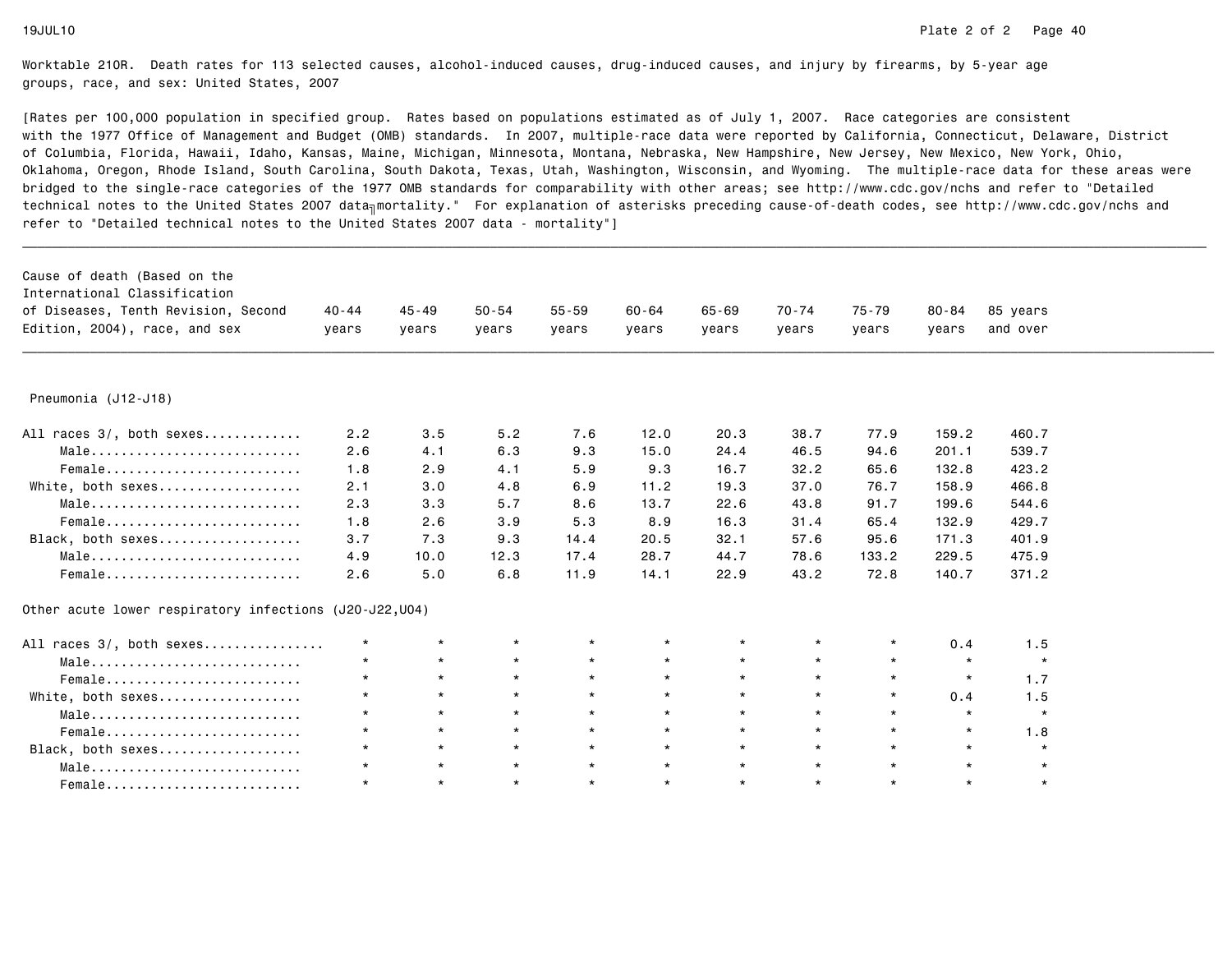| Cause of death (Based on the<br>International Classification |         |         |           |           |         |         |         |         |           |          |
|--------------------------------------------------------------|---------|---------|-----------|-----------|---------|---------|---------|---------|-----------|----------|
| of Diseases, Tenth Revision, Second                          | 40-44   | 45-49   | $50 - 54$ | $55 - 59$ | 60-64   | 65-69   | 70-74   | 75-79   | $80 - 84$ | 85 years |
| Edition, 2004), race, and sex                                | years   | years   | years     | years     | years   | years   | years   | years   | vears     | and over |
|                                                              |         |         |           |           |         |         |         |         |           |          |
|                                                              |         |         |           |           |         |         |         |         |           |          |
| Pneumonia (J12-J18)                                          |         |         |           |           |         |         |         |         |           |          |
| All races 3/, both sexes                                     | 2.2     | 3.5     | 5.2       | 7.6       | 12.0    | 20.3    | 38.7    | 77.9    | 159.2     | 460.7    |
| Male                                                         | 2.6     | 4.1     | 6.3       | 9.3       | 15.0    | 24.4    | 46.5    | 94.6    | 201.1     | 539.7    |
| Female                                                       | 1.8     | 2.9     | 4.1       | 5.9       | 9.3     | 16.7    | 32.2    | 65.6    | 132.8     | 423.2    |
| White, both sexes                                            | 2.1     | 3.0     | 4.8       | 6.9       | 11.2    | 19.3    | 37.0    | 76.7    | 158.9     | 466.8    |
| Male                                                         | 2.3     | 3.3     | 5.7       | 8.6       | 13.7    | 22.6    | 43.8    | 91.7    | 199.6     | 544.6    |
| Female                                                       | 1.8     | 2.6     | 3.9       | 5.3       | 8.9     | 16.3    | 31.4    | 65.4    | 132.9     | 429.7    |
| Black, both sexes                                            | 3.7     | 7.3     | 9.3       | 14.4      | 20.5    | 32.1    | 57.6    | 95.6    | 171.3     | 401.9    |
| Male                                                         | 4.9     | 10.0    | 12.3      | 17.4      | 28.7    | 44.7    | 78.6    | 133.2   | 229.5     | 475.9    |
| Female                                                       | 2.6     | 5.0     | 6.8       | 11.9      | 14.1    | 22.9    | 43.2    | 72.8    | 140.7     | 371.2    |
| Other acute lower respiratory infections (J20-J22, U04)      |         |         |           |           |         |         |         |         |           |          |
| All races 3/, both sexes                                     | $\star$ | $\star$ | $\star$   | $\star$   | $\star$ | $\star$ | $\star$ | $\star$ | 0.4       | 1.5      |
| Male                                                         | $\star$ | $\star$ | $\star$   | $\star$   | $\star$ | $\star$ | $\star$ | $\star$ | $\star$   | $\star$  |
| Female                                                       | $\star$ | $\star$ | $\star$   | $\star$   | $\star$ | $\star$ | $\star$ | $\star$ | $\star$   | 1.7      |
| White, both sexes                                            | $\star$ | $\star$ | $\star$   | $\star$   | $\star$ | $\star$ | $\star$ | $\star$ | 0.4       | 1.5      |
| Male                                                         | $\star$ | $\star$ | $\star$   | $\star$   | $\star$ | $\star$ | $\star$ | $\star$ | $\star$   | $\star$  |
| Female                                                       | $\star$ | $\star$ | $\star$   | $\star$   | $\star$ | $\star$ | $\star$ | $\star$ | $\star$   | 1.8      |
| Black, both sexes                                            | $\star$ | $\star$ | $\star$   | $\star$   | $\star$ | $\star$ | $\star$ | $\star$ | $\star$   | $\star$  |
| Male                                                         | $\star$ | $\star$ | $\star$   | $\star$   | $\star$ | $\star$ | $\star$ | $\star$ | $\star$   | $\star$  |
| Female                                                       | $\star$ | $\star$ | $\star$   | $\star$   | $\star$ | $\star$ | $\star$ | $\star$ | $\star$   | $\star$  |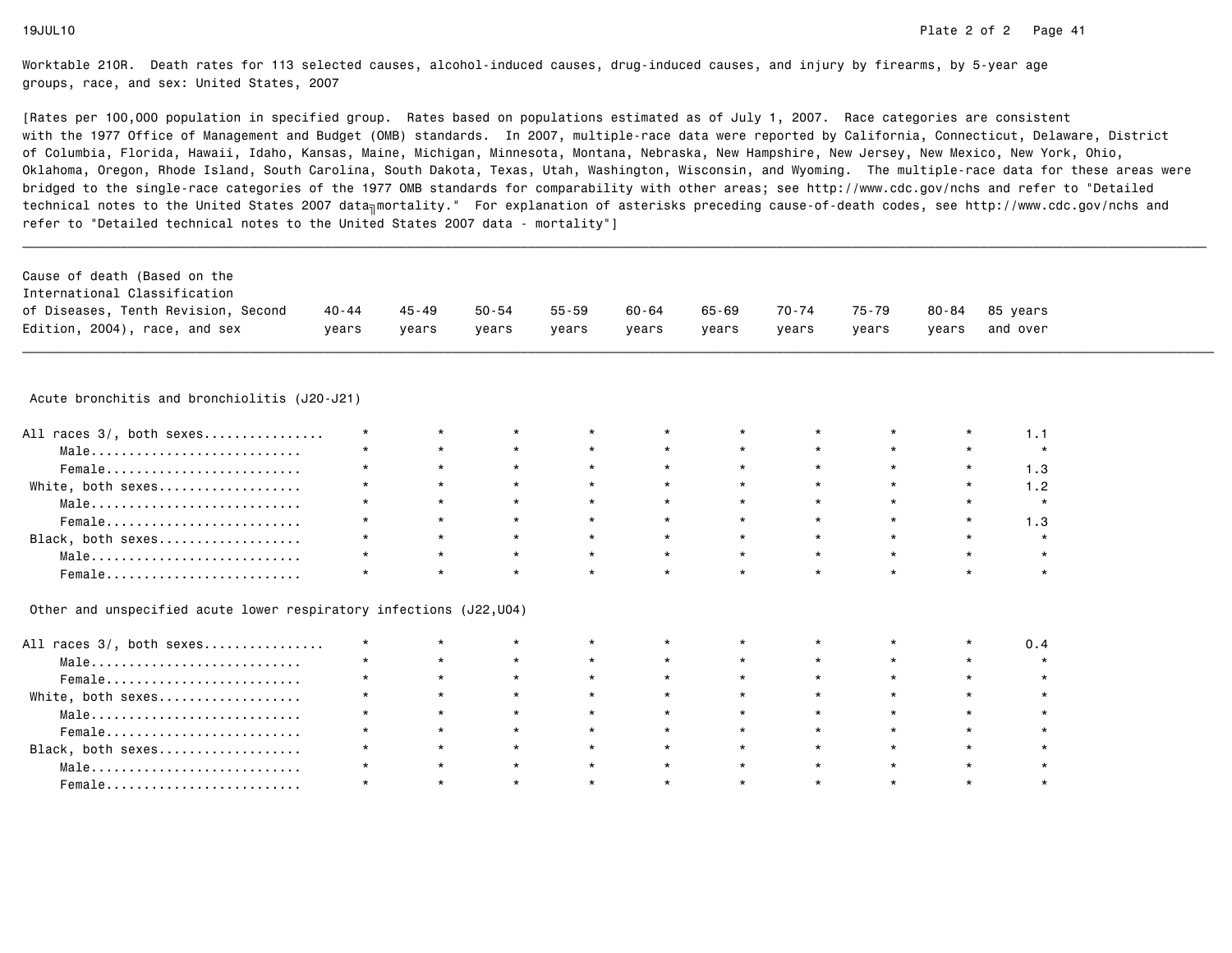[Rates per 100,000 population in specified group. Rates based on populations estimated as of July 1, 2007. Race categories are consistent with the 1977 Office of Management and Budget (OMB) standards. In 2007, multiple-race data were reported by California, Connecticut, Delaware, Districtof Columbia, Florida, Hawaii, Idaho, Kansas, Maine, Michigan, Minnesota, Montana, Nebraska, New Hampshire, New Jersey, New Mexico, New York, Ohio, Oklahoma, Oregon, Rhode Island, South Carolina, South Dakota, Texas, Utah, Washington, Wisconsin, and Wyoming. The multiple-race data for these areas werebridged to the single-race categories of the 1977 OMB standards for comparability with other areas; see http://www.cdc.gov/nchs and refer to "Detailedtechnical notes to the United States 2007 data<sub>∏</sub>mortality." For explanation of asterisks preceding cause-of-death codes, see http://www.cdc.gov/nchs and refer to "Detailed technical notes to the United States 2007 data - mortality"]

| Cause of death (Based on the        |       |         |       |       |       |       |       |       |       |                |
|-------------------------------------|-------|---------|-------|-------|-------|-------|-------|-------|-------|----------------|
| International Classification        |       |         |       |       |       |       |       |       |       |                |
| of Diseases, Tenth Revision, Second | 40-44 | 45 - 49 | 50-54 | 55-59 | 60-64 | 65-69 | 70-74 | 75-79 |       | 80-84 85 vears |
| Edition, 2004), race, and sex       | vears | vears   | vears | vears | vears | vears | vears | vears | vears | and over       |

\_\_\_\_\_\_\_\_\_\_\_\_\_\_\_\_\_\_\_\_\_\_\_\_\_\_\_\_\_\_\_\_\_\_\_\_\_\_\_\_\_\_\_\_\_\_\_\_\_\_\_\_\_\_\_\_\_\_\_\_\_\_\_\_\_\_\_\_\_\_\_\_\_\_\_\_\_\_\_\_\_\_\_\_\_\_\_\_\_\_\_\_\_\_\_\_\_\_\_\_\_\_\_\_\_\_\_\_\_\_\_\_\_\_\_\_\_\_\_\_\_\_\_\_\_\_\_\_\_\_\_\_\_\_\_\_\_\_\_\_\_\_\_\_\_\_\_\_\_\_\_\_\_\_\_\_\_\_ Acute bronchitis and bronchiolitis (J20-J21)

| All races 3/, both sexes |         |         |         | $\star$ |         |                 |         |         |  |
|--------------------------|---------|---------|---------|---------|---------|-----------------|---------|---------|--|
| Male                     | $\star$ | $\star$ | $\star$ | $\star$ |         | $\star$         | $\star$ |         |  |
| Female                   | $\star$ | $\star$ | $\star$ | $\star$ | $\star$ | $\star$         | $\star$ |         |  |
| White, both sexes        | $\star$ | $\star$ | $\star$ | $\star$ | $\star$ | $\star$ $\star$ |         |         |  |
| Male                     |         | $\star$ | $\star$ | $\star$ | $\star$ | $\star$         | $\star$ |         |  |
| Female                   | $\star$ | $\star$ | $\star$ | $\star$ | $\star$ | $\star$         | $\star$ |         |  |
| Black, both sexes        |         | $\star$ | $\star$ | $\star$ |         | $\star$         |         |         |  |
| Male                     | $\star$ | $\star$ | $\star$ | $\star$ | $\star$ | $\star$         | $\star$ | $\star$ |  |
| Female                   |         |         |         | $\star$ |         |                 |         |         |  |

Other and unspecified acute lower respiratory infections (J22,U04)

| All races 3/, both sexes                                           | $\star$ |         | $\star$ | $\star$ | $\star$ | $\star$ | $\star$ | $\star$ |  |
|--------------------------------------------------------------------|---------|---------|---------|---------|---------|---------|---------|---------|--|
| $Male \dots \dots \dots \dots \dots \dots \dots \dots \dots \dots$ | $\star$ | $\star$ | $\star$ | $\star$ | $\star$ | $\star$ | $\star$ | $\star$ |  |
| Female                                                             | $\star$ | $\star$ | $\star$ | $\star$ | $\star$ | $\star$ | $\star$ | $\star$ |  |
| White, both sexes                                                  | $\star$ | $\star$ | $\star$ | $\star$ | $\star$ | $\star$ | $\star$ | $\star$ |  |
| Male                                                               | $\star$ |         | $\star$ | $\star$ | $\star$ | $\star$ | $\star$ | $\star$ |  |
| Female                                                             | $\star$ |         | $\star$ | $\star$ | $\star$ | $\star$ | $\star$ | $\star$ |  |
| Black, both sexes                                                  | $\star$ | $\star$ | $\star$ | $\star$ | $\star$ | $\star$ | $\star$ | $\star$ |  |
| Male                                                               | $\star$ | $\star$ | $\star$ | $\star$ | $\star$ | $\star$ | $\star$ | $\star$ |  |
|                                                                    | $\star$ |         | $\star$ | $\star$ | $\star$ | $\star$ | $\star$ | $\star$ |  |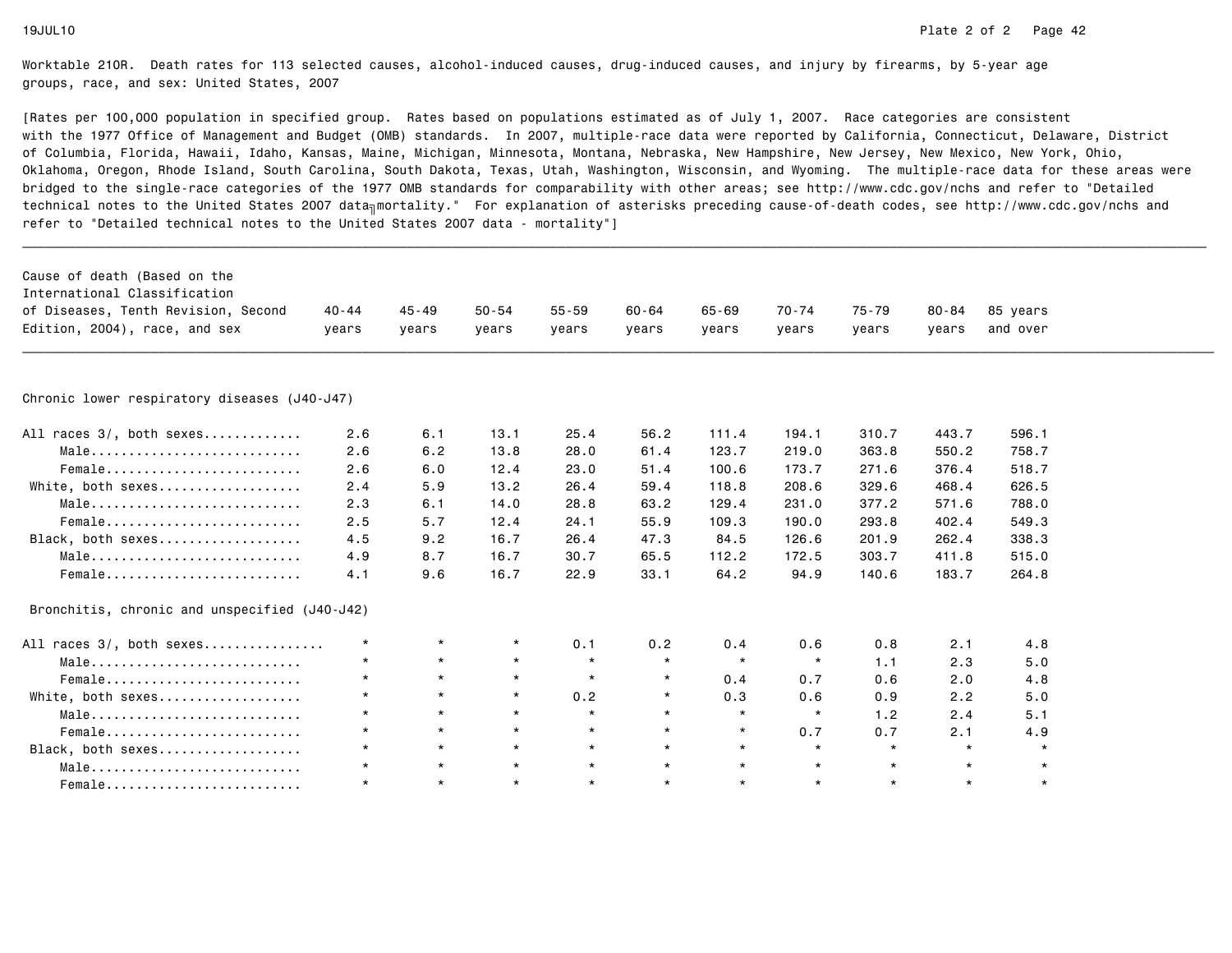| Cause of death (Based on the<br>International Classification |           |           |           |           |           |           |         |         |           |          |  |
|--------------------------------------------------------------|-----------|-----------|-----------|-----------|-----------|-----------|---------|---------|-----------|----------|--|
| of Diseases, Tenth Revision, Second                          | $40 - 44$ | $45 - 49$ | $50 - 54$ | $55 - 59$ | $60 - 64$ | $65 - 69$ | 70-74   | 75-79   | $80 - 84$ | 85 years |  |
| Edition, 2004), race, and sex                                | years     | years     | years     | years     | years     | years     | years   | years   | years     | and over |  |
|                                                              |           |           |           |           |           |           |         |         |           |          |  |
| Chronic lower respiratory diseases (J40-J47)                 |           |           |           |           |           |           |         |         |           |          |  |
| All races 3/, both sexes                                     | 2.6       | 6.1       | 13.1      | 25.4      | 56.2      | 111.4     | 194.1   | 310.7   | 443.7     | 596.1    |  |
| Male                                                         | 2.6       | 6.2       | 13.8      | 28.0      | 61.4      | 123.7     | 219.0   | 363.8   | 550.2     | 758.7    |  |
| Female                                                       | 2.6       | 6.0       | 12.4      | 23.0      | 51.4      | 100.6     | 173.7   | 271.6   | 376.4     | 518.7    |  |
| White, both sexes                                            | 2.4       | 5.9       | 13.2      | 26.4      | 59.4      | 118.8     | 208.6   | 329.6   | 468.4     | 626.5    |  |
| Male                                                         | 2.3       | 6.1       | 14.0      | 28.8      | 63.2      | 129.4     | 231.0   | 377.2   | 571.6     | 788.0    |  |
| Female                                                       | 2.5       | 5.7       | 12.4      | 24.1      | 55.9      | 109.3     | 190.0   | 293.8   | 402.4     | 549.3    |  |
| Black, both sexes                                            | 4.5       | 9.2       | 16.7      | 26.4      | 47.3      | 84.5      | 126.6   | 201.9   | 262.4     | 338.3    |  |
| Male                                                         | 4.9       | 8.7       | 16.7      | 30.7      | 65.5      | 112.2     | 172.5   | 303.7   | 411.8     | 515.0    |  |
| Female                                                       | 4.1       | 9.6       | 16.7      | 22.9      | 33.1      | 64.2      | 94.9    | 140.6   | 183.7     | 264.8    |  |
| Bronchitis, chronic and unspecified (J40-J42)                |           |           |           |           |           |           |         |         |           |          |  |
| All races 3/, both sexes                                     | $\star$   | $\star$   | $\star$   | 0.1       | 0.2       | 0.4       | 0.6     | 0.8     | 2.1       | 4.8      |  |
| Male                                                         | $\star$   | $\star$   | $\star$   | $\star$   | $\star$   | $\star$   | $\star$ | 1.1     | 2.3       | 5.0      |  |
| Female                                                       | $\star$   | $\star$   | $\star$   | $\star$   | $\star$   | 0.4       | 0.7     | 0.6     | 2.0       | 4.8      |  |
| White, both sexes                                            | $\star$   | $\star$   | $\star$   | 0.2       | $\star$   | 0.3       | 0.6     | 0.9     | 2.2       | 5.0      |  |
| Male                                                         | $\star$   | $\star$   | $\star$   | $\star$   | $\star$   | $\star$   | $\star$ | 1.2     | 2.4       | 5.1      |  |
| Female                                                       | $\star$   | $\star$   | $\star$   | $\star$   | $\star$   | $\star$   | 0.7     | 0.7     | 2.1       | 4.9      |  |
| Black, both sexes                                            | $\star$   | $\star$   | $\star$   | $\star$   | $\star$   | $\star$   | $\star$ | $\star$ | $\star$   | $\star$  |  |
| Male                                                         | $\star$   | $\star$   | $\star$   | $\star$   | $\star$   | $\star$   | $\star$ | $\star$ | $\star$   |          |  |
|                                                              | $\star$   | $\star$   | $\star$   | $\star$   | $\star$   | $\star$   | $\star$ | $\star$ | $\star$   | $\star$  |  |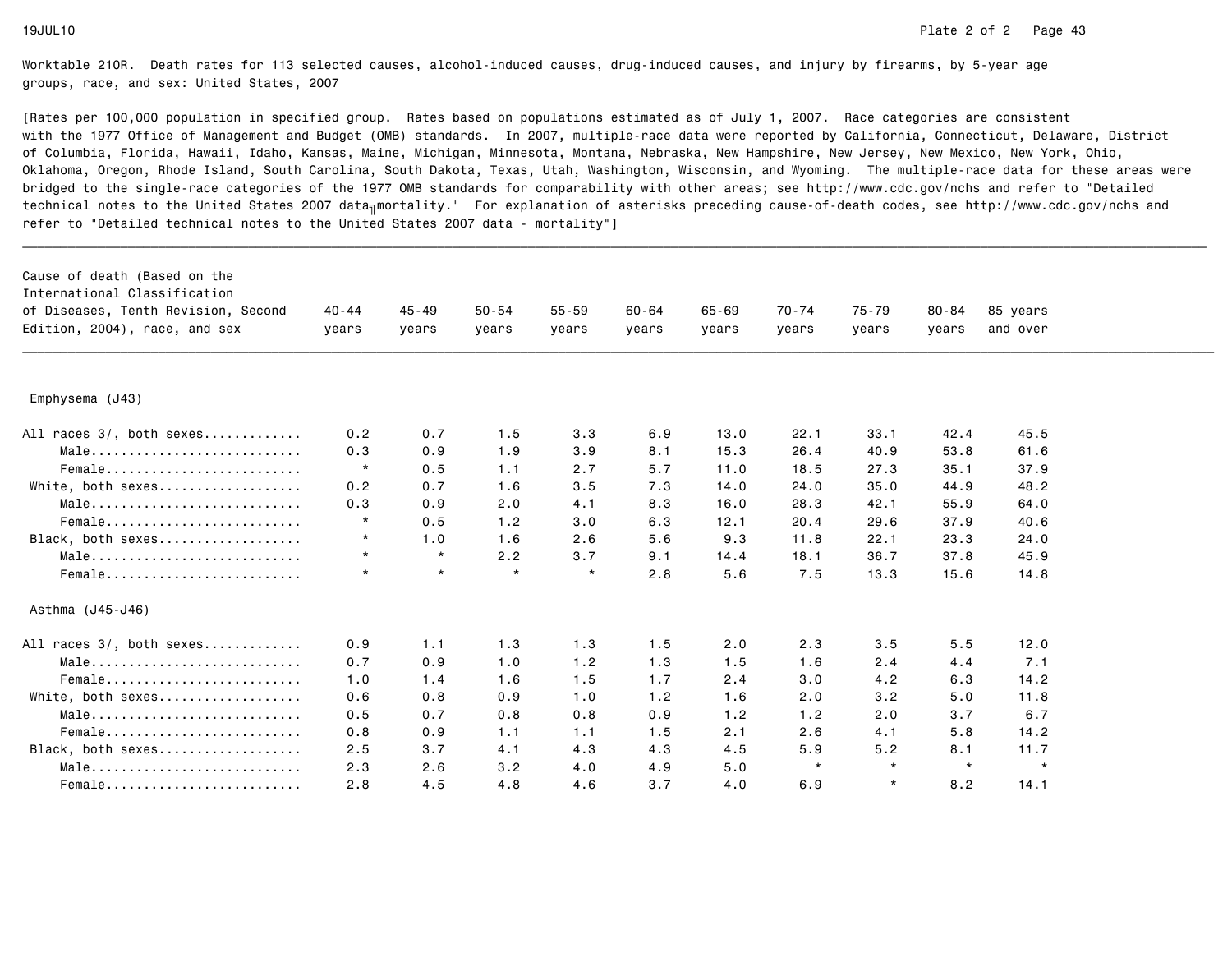| Cause of death (Based on the<br>International Classification<br>of Diseases, Tenth Revision, Second | $40 - 44$ | $45 - 49$ | $50 - 54$ | $55 - 59$ | $60 - 64$ | $65 - 69$ | $70 - 74$ | $75 - 79$ | $80 - 84$ | 85 years |
|-----------------------------------------------------------------------------------------------------|-----------|-----------|-----------|-----------|-----------|-----------|-----------|-----------|-----------|----------|
| Edition, 2004), race, and sex                                                                       | vears     | years     | vears     | years     | years     | vears     | years     | years     | vears     | and over |
| Emphysema (J43)                                                                                     |           |           |           |           |           |           |           |           |           |          |
|                                                                                                     |           |           |           |           |           |           |           |           |           |          |
| All races 3/, both sexes                                                                            | 0.2       | 0.7       | 1.5       | 3.3       | 6.9       | 13.0      | 22.1      | 33.1      | 42.4      | 45.5     |
| Male                                                                                                | 0.3       | 0.9       | 1.9       | 3.9       | 8.1       | 15.3      | 26.4      | 40.9      | 53.8      | 61.6     |
| Female                                                                                              | $\star$   | 0.5       | 1.1       | 2.7       | 5.7       | 11.0      | 18.5      | 27.3      | 35.1      | 37.9     |
| White, both sexes                                                                                   | 0.2       | 0.7       | 1.6       | 3.5       | 7.3       | 14.0      | 24.0      | 35.0      | 44.9      | 48.2     |
| Male                                                                                                | 0.3       | 0.9       | 2.0       | 4.1       | 8.3       | 16.0      | 28.3      | 42.1      | 55.9      | 64.0     |
| Female                                                                                              | $\star$   | 0.5       | 1.2       | 3.0       | 6.3       | 12.1      | 20.4      | 29.6      | 37.9      | 40.6     |
| Black, both sexes                                                                                   | $\star$   | 1.0       | 1.6       | 2.6       | 5.6       | 9.3       | 11.8      | 22.1      | 23.3      | 24.0     |
| Male                                                                                                | $\star$   | $\star$   | 2.2       | 3.7       | 9.1       | 14.4      | 18.1      | 36.7      | 37.8      | 45.9     |
| Female                                                                                              | $\star$   | $\star$   | $\star$   | $\star$   | 2.8       | 5.6       | 7.5       | 13.3      | 15.6      | 14.8     |
| Asthma (J45-J46)                                                                                    |           |           |           |           |           |           |           |           |           |          |
| All races 3/, both sexes                                                                            | 0.9       | 1.1       | 1.3       | 1.3       | 1.5       | 2.0       | 2.3       | 3.5       | 5.5       | 12.0     |
| Male                                                                                                | 0.7       | 0.9       | 1.0       | 1.2       | 1.3       | 1.5       | 1.6       | 2.4       | 4.4       | 7.1      |
| Female                                                                                              | 1.0       | 1.4       | 1.6       | 1.5       | 1.7       | 2.4       | 3.0       | 4.2       | 6.3       | 14.2     |
| White, both sexes                                                                                   | 0.6       | 0.8       | 0.9       | 1.0       | 1.2       | 1.6       | 2.0       | 3.2       | 5.0       | 11.8     |
| Male                                                                                                | 0.5       | 0.7       | 0.8       | 0.8       | 0.9       | 1.2       | 1.2       | 2.0       | 3.7       | 6.7      |
| Female                                                                                              | 0.8       | 0.9       | 1.1       | 1.1       | 1.5       | 2.1       | 2.6       | 4.1       | 5.8       | 14.2     |
| Black, both sexes                                                                                   | 2.5       | 3.7       | 4.1       | 4.3       | 4.3       | 4.5       | 5.9       | 5.2       | 8.1       | 11.7     |
| Male                                                                                                | 2.3       | 2.6       | 3.2       | 4.0       | 4.9       | 5.0       | $\star$   | $\star$   | $\star$   | $\star$  |
| Female                                                                                              | 2.8       | 4.5       | 4.8       | 4.6       | 3.7       | 4.0       | 6.9       | $\star$   | 8.2       | 14.1     |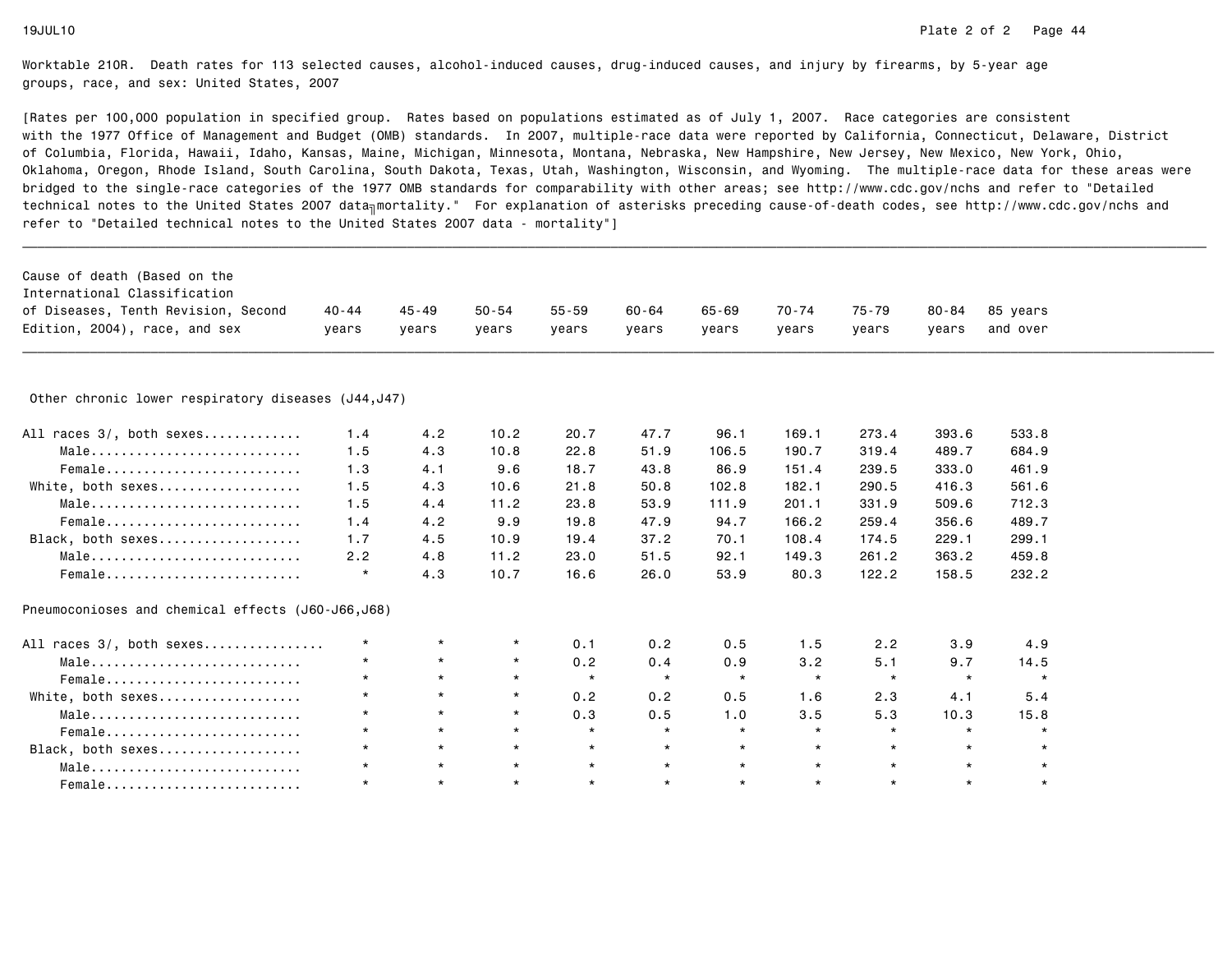| Cause of death (Based on the                                       |           |           |           |           |           |           |         |         |           |          |  |
|--------------------------------------------------------------------|-----------|-----------|-----------|-----------|-----------|-----------|---------|---------|-----------|----------|--|
| International Classification                                       |           |           |           |           |           |           |         |         |           |          |  |
| of Diseases, Tenth Revision, Second                                | $40 - 44$ | $45 - 49$ | $50 - 54$ | $55 - 59$ | $60 - 64$ | $65 - 69$ | 70-74   | 75-79   | $80 - 84$ | 85 years |  |
| Edition, 2004), race, and sex                                      | years     | years     | years     | years     | years     | years     | years   | years   | years     | and over |  |
|                                                                    |           |           |           |           |           |           |         |         |           |          |  |
| Other chronic lower respiratory diseases (J44, J47)                |           |           |           |           |           |           |         |         |           |          |  |
| All races 3/, both sexes                                           | 1.4       | 4.2       | 10.2      | 20.7      | 47.7      | 96.1      | 169.1   | 273.4   | 393.6     | 533.8    |  |
| $Male \dots \dots \dots \dots \dots \dots \dots \dots \dots \dots$ | 1.5       | 4.3       | 10.8      | 22.8      | 51.9      | 106.5     | 190.7   | 319.4   | 489.7     | 684.9    |  |
| Female                                                             | 1.3       | 4.1       | 9.6       | 18.7      | 43.8      | 86.9      | 151.4   | 239.5   | 333.0     | 461.9    |  |
| White, both sexes                                                  | 1.5       | 4.3       | 10.6      | 21.8      | 50.8      | 102.8     | 182.1   | 290.5   | 416.3     | 561.6    |  |
| Male                                                               | 1.5       | 4.4       | 11.2      | 23.8      | 53.9      | 111.9     | 201.1   | 331.9   | 509.6     | 712.3    |  |
| Female                                                             | 1.4       | 4.2       | 9.9       | 19.8      | 47.9      | 94.7      | 166.2   | 259.4   | 356.6     | 489.7    |  |
| Black, both sexes                                                  | 1.7       | 4.5       | 10.9      | 19.4      | 37.2      | 70.1      | 108.4   | 174.5   | 229.1     | 299.1    |  |
| Male                                                               | 2.2       | 4.8       | 11.2      | 23.0      | 51.5      | 92.1      | 149.3   | 261.2   | 363.2     | 459.8    |  |
| Female                                                             | $\star$   | 4.3       | 10.7      | 16.6      | 26.0      | 53.9      | 80.3    | 122.2   | 158.5     | 232.2    |  |
| Pneumoconioses and chemical effects (J60-J66,J68)                  |           |           |           |           |           |           |         |         |           |          |  |
| All races 3/, both sexes                                           | $\star$   | $\star$   | $\star$   | 0.1       | 0.2       | 0.5       | 1.5     | 2.2     | 3.9       | 4.9      |  |
| Male                                                               | $\star$   | $\star$   | $\star$   | 0.2       | 0.4       | 0.9       | 3.2     | 5.1     | 9.7       | 14.5     |  |
| Female                                                             | $\star$   | $\star$   | $\star$   | $\star$   | $\star$   | $\star$   | $\star$ | $\star$ | $\star$   | $\star$  |  |
| White, both sexes                                                  | $\star$   | $\star$   | $\star$   | 0.2       | 0.2       | 0.5       | 1.6     | 2.3     | 4.1       | 5.4      |  |
| Male                                                               | $\star$   | $\star$   | $\star$   | 0.3       | 0.5       | 1.0       | 3.5     | 5.3     | 10.3      | 15.8     |  |
| Female                                                             | $\star$   | $\star$   | $\star$   | $\star$   | $\star$   | $\star$   | $\star$ | $\star$ | $\star$   | $\star$  |  |
| Black, both sexes                                                  | $\star$   | $\star$   | $\star$   | $\star$   | $\star$   | $\star$   | $\star$ | $\star$ | $\star$   | $\star$  |  |
| Male                                                               | $\star$   | $\star$   | $\star$   | $\star$   | $\star$   | $\star$   | $\star$ | $\star$ |           |          |  |
| Female                                                             | $\star$   | $\star$   | $\star$   | $\star$   | $\star$   | $\star$   | $\star$ | $\star$ | $\star$   | $\star$  |  |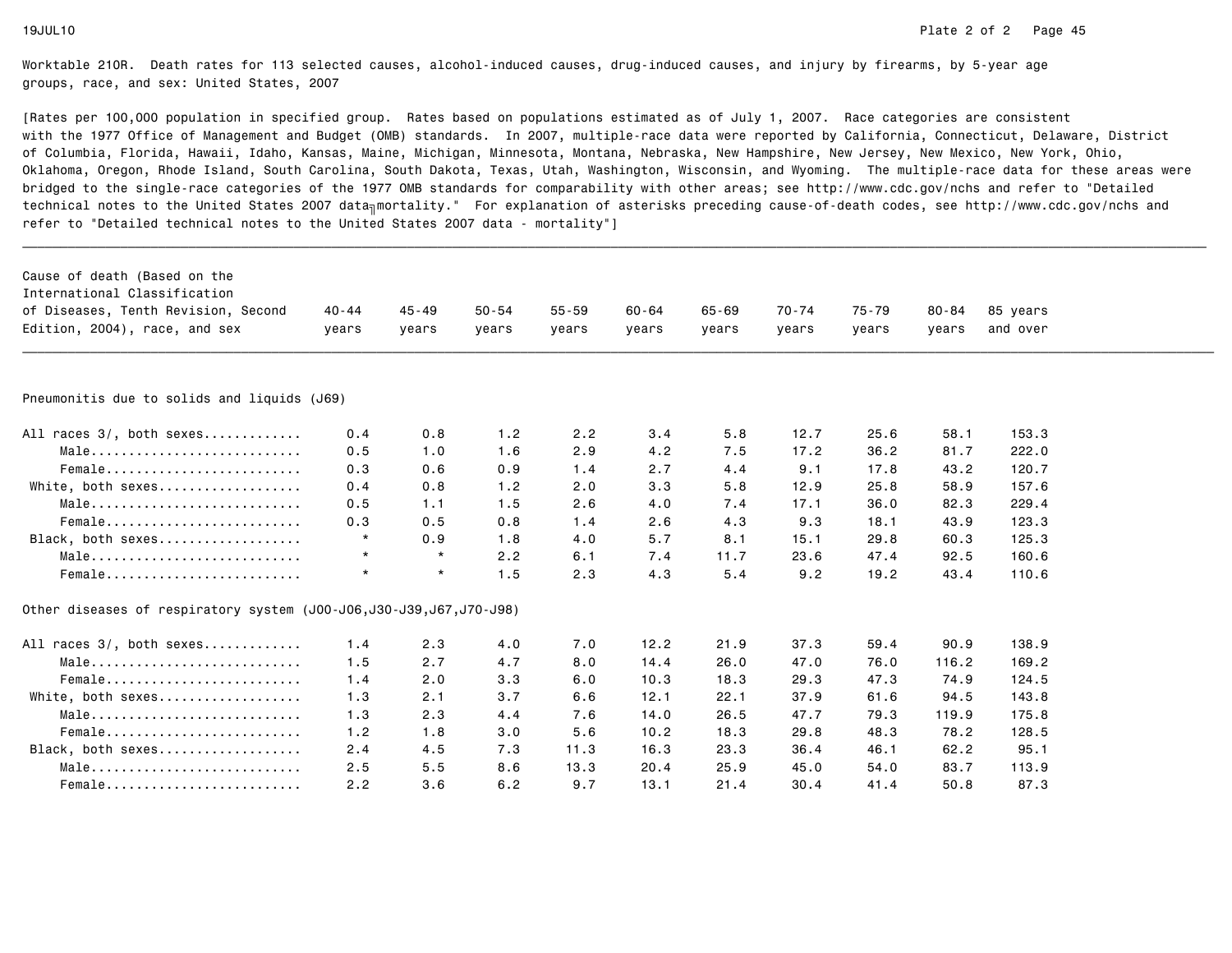| Cause of death (Based on the<br>International Classification          |           |           |           |           |           |           |       |       |           |          |  |
|-----------------------------------------------------------------------|-----------|-----------|-----------|-----------|-----------|-----------|-------|-------|-----------|----------|--|
| of Diseases, Tenth Revision, Second                                   | $40 - 44$ | $45 - 49$ | $50 - 54$ | $55 - 59$ | $60 - 64$ | $65 - 69$ | 70-74 | 75-79 | $80 - 84$ | 85 years |  |
| Edition, 2004), race, and sex                                         | years     | years     | years     | years     | years     | years     | years | years | vears     | and over |  |
|                                                                       |           |           |           |           |           |           |       |       |           |          |  |
| Pneumonitis due to solids and liquids (J69)                           |           |           |           |           |           |           |       |       |           |          |  |
| All races 3/, both sexes                                              | 0.4       | 0.8       | 1.2       | 2.2       | 3.4       | 5.8       | 12.7  | 25.6  | 58.1      | 153.3    |  |
| $Male \dots \dots \dots \dots \dots \dots \dots \dots \dots \dots$    | 0.5       | 1.0       | 1.6       | 2.9       | 4.2       | 7.5       | 17.2  | 36.2  | 81.7      | 222.0    |  |
| Female                                                                | 0.3       | 0.6       | 0.9       | 1.4       | 2.7       | 4.4       | 9.1   | 17.8  | 43.2      | 120.7    |  |
| White, both sexes                                                     | 0.4       | 0.8       | 1.2       | 2.0       | 3.3       | 5.8       | 12.9  | 25.8  | 58.9      | 157.6    |  |
| Male                                                                  | 0.5       | 1.1       | 1.5       | 2.6       | 4.0       | 7.4       | 17.1  | 36.0  | 82.3      | 229.4    |  |
| Female                                                                | 0.3       | 0.5       | 0.8       | 1.4       | 2.6       | 4.3       | 9.3   | 18.1  | 43.9      | 123.3    |  |
| Black, both sexes                                                     | $\star$   | 0.9       | 1.8       | 4.0       | 5.7       | 8.1       | 15.1  | 29.8  | 60.3      | 125.3    |  |
| Male                                                                  | $\star$   | $\star$   | 2.2       | 6.1       | 7.4       | 11.7      | 23.6  | 47.4  | 92.5      | 160.6    |  |
| Female                                                                | $\star$   | $\star$   | 1.5       | 2.3       | 4.3       | 5.4       | 9.2   | 19.2  | 43.4      | 110.6    |  |
| 0ther diseases of respiratory system (J00-J06, J30-J39, J67, J70-J98) |           |           |           |           |           |           |       |       |           |          |  |
| All races 3/, both sexes                                              | 1.4       | 2.3       | 4.0       | 7.0       | 12.2      | 21.9      | 37.3  | 59.4  | 90.9      | 138.9    |  |
| $Male \dots \dots \dots \dots \dots \dots \dots \dots \dots \dots$    | 1.5       | 2.7       | 4.7       | 8.0       | 14.4      | 26.0      | 47.0  | 76.0  | 116.2     | 169.2    |  |
| Female                                                                | 1.4       | 2.0       | 3.3       | 6.0       | 10.3      | 18.3      | 29.3  | 47.3  | 74.9      | 124.5    |  |
| White, both sexes                                                     | 1.3       | 2.1       | 3.7       | 6.6       | 12.1      | 22.1      | 37.9  | 61.6  | 94.5      | 143.8    |  |
| Male                                                                  | 1.3       | 2.3       | 4.4       | 7.6       | 14.0      | 26.5      | 47.7  | 79.3  | 119.9     | 175.8    |  |
| Female                                                                | 1.2       | 1.8       | 3.0       | 5.6       | 10.2      | 18.3      | 29.8  | 48.3  | 78.2      | 128.5    |  |
| Black, both sexes                                                     | 2.4       | 4.5       | 7.3       | 11.3      | 16.3      | 23.3      | 36.4  | 46.1  | 62.2      | 95.1     |  |
| $Male \dots \dots \dots \dots \dots \dots \dots \dots \dots \dots$    | 2.5       | 5.5       | 8.6       | 13.3      | 20.4      | 25.9      | 45.0  | 54.0  | 83.7      | 113.9    |  |
| Female                                                                | 2.2       | 3.6       | 6.2       | 9.7       | 13.1      | 21.4      | 30.4  | 41.4  | 50.8      | 87.3     |  |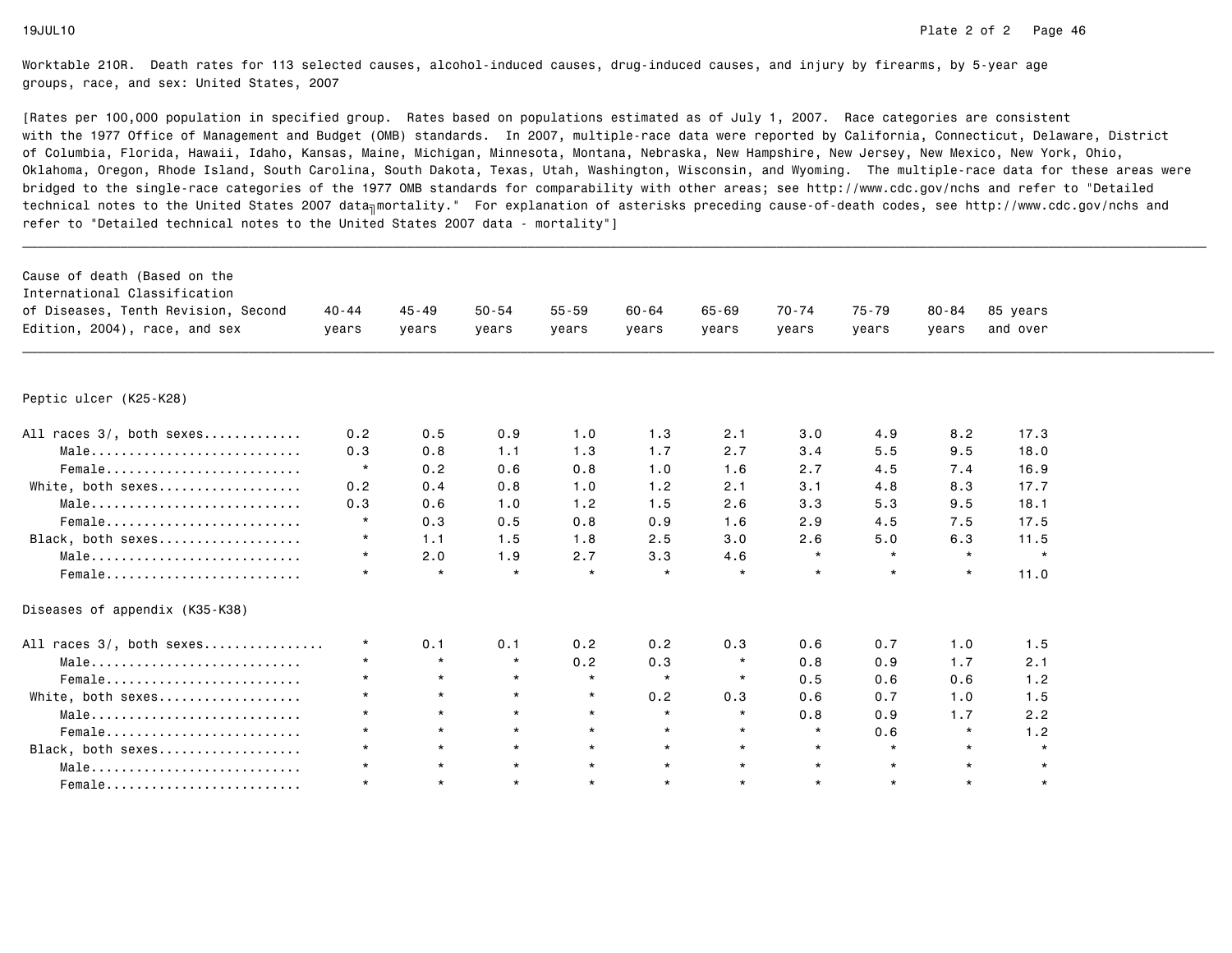| Cause of death (Based on the<br>International Classification       |         |           |           |           |           |           |         |         |           |          |  |
|--------------------------------------------------------------------|---------|-----------|-----------|-----------|-----------|-----------|---------|---------|-----------|----------|--|
| of Diseases, Tenth Revision, Second                                | 40-44   | $45 - 49$ | $50 - 54$ | $55 - 59$ | $60 - 64$ | $65 - 69$ | 70-74   | 75-79   | $80 - 84$ | 85 years |  |
| Edition, 2004), race, and sex                                      | years   | years     | years     | years     | years     | years     | years   | years   | years     | and over |  |
|                                                                    |         |           |           |           |           |           |         |         |           |          |  |
| Peptic ulcer (K25-K28)                                             |         |           |           |           |           |           |         |         |           |          |  |
| All races 3/, both sexes                                           | 0.2     | 0.5       | 0.9       | 1.0       | 1.3       | 2.1       | 3.0     | 4.9     | 8.2       | 17.3     |  |
| $Male \dots \dots \dots \dots \dots \dots \dots \dots \dots \dots$ | 0.3     | 0.8       | 1.1       | 1.3       | 1.7       | 2.7       | 3.4     | 5.5     | 9.5       | 18.0     |  |
| Female                                                             | $\star$ | 0.2       | 0.6       | 0.8       | 1.0       | 1.6       | 2.7     | 4.5     | 7.4       | 16.9     |  |
| White, both sexes                                                  | 0.2     | 0.4       | 0.8       | 1.0       | 1.2       | 2.1       | 3.1     | 4.8     | 8.3       | 17.7     |  |
| Male                                                               | 0.3     | 0.6       | 1.0       | 1.2       | 1.5       | 2.6       | 3.3     | 5.3     | 9.5       | 18.1     |  |
| Female                                                             | $\star$ | 0.3       | 0.5       | 0.8       | 0.9       | 1.6       | 2.9     | 4.5     | 7.5       | 17.5     |  |
| Black, both sexes                                                  | $\star$ | 1.1       | 1.5       | 1.8       | 2.5       | 3.0       | 2.6     | 5.0     | 6.3       | 11.5     |  |
| Male                                                               | $\star$ | 2.0       | 1.9       | 2.7       | 3.3       | 4.6       | $\star$ | $\star$ | $\star$   | $\star$  |  |
| Female                                                             | $\star$ | $\star$   | $\star$   | $\star$   | $\star$   | $\star$   | $\star$ | $\star$ | $\star$   | 11.0     |  |
| Diseases of appendix (K35-K38)                                     |         |           |           |           |           |           |         |         |           |          |  |
| All races 3/, both sexes                                           | $\star$ | 0.1       | 0.1       | 0.2       | 0.2       | 0.3       | 0.6     | 0.7     | 1.0       | 1.5      |  |
| Male                                                               | $\star$ | $\star$   | $\star$   | 0.2       | 0.3       | $\star$   | 0.8     | 0.9     | 1.7       | 2.1      |  |
| Female                                                             | $\star$ | $\star$   | $\star$   | $\star$   | $\star$   | $\star$   | 0.5     | 0.6     | 0.6       | 1.2      |  |
| White, both sexes                                                  | $\star$ | $\star$   | $\star$   | $\star$   | 0.2       | 0.3       | 0.6     | 0.7     | 1.0       | 1.5      |  |
| Male                                                               | $\star$ | $\star$   | $\star$   | $\star$   | $\star$   | $\star$   | 0.8     | 0.9     | 1.7       | 2.2      |  |
| Female                                                             | $\star$ | $\star$   | $\star$   | $\star$   | $\star$   | $\star$   | $\star$ | 0.6     | $\star$   | 1.2      |  |
| Black, both sexes                                                  |         | $\star$   | $\star$   | $\star$   | $\star$   | $\star$   | $\star$ | $\star$ | $\star$   | $\star$  |  |
| Male                                                               | $\star$ | $\star$   | $\star$   | $\star$   | $\star$   | $\star$   | $\star$ | $\star$ | $\star$   | $\star$  |  |
| $Female$                                                           | $\star$ | $\star$   | $\star$   | $\star$   | $\star$   | $\star$   | $\star$ | $\star$ | $\star$   | $\star$  |  |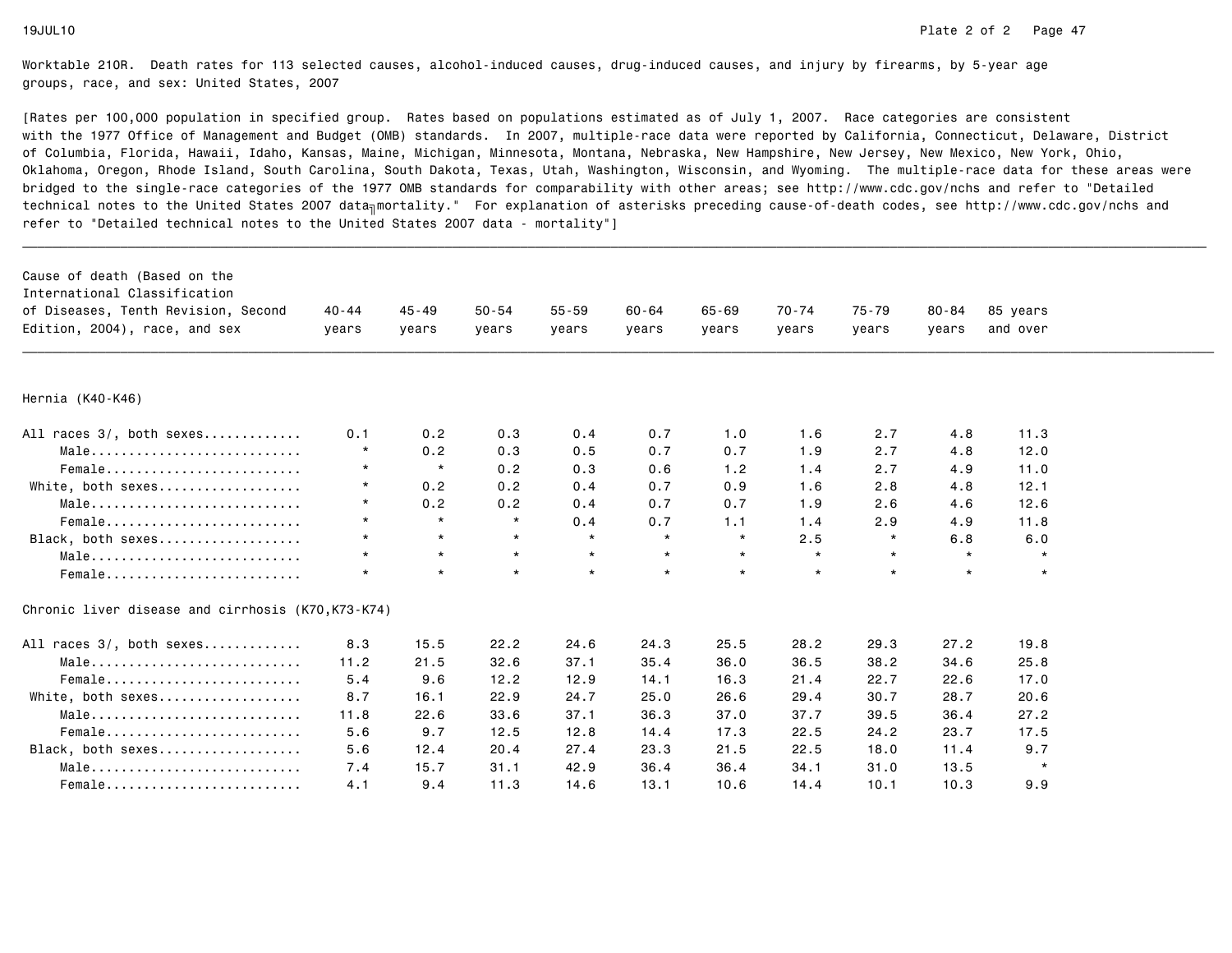| Cause of death (Based on the<br>International Classification<br>of Diseases, Tenth Revision, Second<br>Edition, 2004), race, and sex | $40 - 44$<br>years | $45 - 49$<br>years | $50 - 54$<br>years | $55 - 59$<br>years | $60 - 64$<br>years | $65 - 69$<br>years | $70 - 74$<br>years | $75 - 79$<br>years | $80 - 84$<br>years | 85 years<br>and over |  |
|--------------------------------------------------------------------------------------------------------------------------------------|--------------------|--------------------|--------------------|--------------------|--------------------|--------------------|--------------------|--------------------|--------------------|----------------------|--|
| Hernia (K40-K46)                                                                                                                     |                    |                    |                    |                    |                    |                    |                    |                    |                    |                      |  |
| All races 3/, both sexes                                                                                                             | 0.1                | 0.2                | 0.3                | 0.4                | 0.7                | 1.0                | 1.6                | 2.7                | 4.8                | 11.3                 |  |
| Male                                                                                                                                 | $^\star$           | 0.2                | 0.3                | 0.5                | 0.7                | 0.7                | 1.9                | 2.7                | 4.8                | 12.0                 |  |
| Female                                                                                                                               | $\star$            | $\star$            | 0.2                | 0.3                | 0.6                | 1.2                | 1.4                | 2.7                | 4.9                | 11.0                 |  |
| White, both sexes                                                                                                                    | $\star$            | 0.2                | 0.2                | 0.4                | 0.7                | 0.9                | 1.6                | 2.8                | 4.8                | 12.1                 |  |
| Male                                                                                                                                 | $\star$            | 0.2                | 0.2                | 0.4                | 0.7                | 0.7                | 1.9                | 2.6                | 4.6                | 12.6                 |  |
| Female                                                                                                                               | $\star$            | $\star$            | $\star$            | 0.4                | 0.7                | 1.1                | 1.4                | 2.9                | 4.9                | 11.8                 |  |
| Black, both sexes                                                                                                                    | $\star$            | $\star$            | $\star$            | $\star$            | $\star$            | $\star$            | 2.5                | $\star$            | 6.8                | 6.0                  |  |
| Male                                                                                                                                 | $\star$            | $\star$            | $\star$            | $\star$            | $\star$            | $\star$            | $\star$            | $\star$            | $\star$            | $\star$              |  |
| Female                                                                                                                               | $\star$            | $\star$            | $\star$            | $\star$            | $\star$            | $\star$            | $\star$            | $\star$            | $\star$            | $\star$              |  |
| Chronic liver disease and cirrhosis (K70, K73-K74)                                                                                   |                    |                    |                    |                    |                    |                    |                    |                    |                    |                      |  |
| All races 3/, both sexes                                                                                                             | 8.3                | 15.5               | 22.2               | 24.6               | 24.3               | 25.5               | 28.2               | 29.3               | 27.2               | 19.8                 |  |
| Male                                                                                                                                 | 11.2               | 21.5               | 32.6               | 37.1               | 35.4               | 36.0               | 36.5               | 38.2               | 34.6               | 25.8                 |  |
| Female                                                                                                                               | 5.4                | 9.6                | 12.2               | 12.9               | 14.1               | 16.3               | 21.4               | 22.7               | 22.6               | 17.0                 |  |
| White, both sexes                                                                                                                    | 8.7                | 16.1               | 22.9               | 24.7               | 25.0               | 26.6               | 29.4               | 30.7               | 28.7               | 20.6                 |  |
| Male                                                                                                                                 | 11.8               | 22.6               | 33.6               | 37.1               | 36.3               | 37.0               | 37.7               | 39.5               | 36.4               | 27.2                 |  |
| Female                                                                                                                               | 5.6                | 9.7                | 12.5               | 12.8               | 14.4               | 17.3               | 22.5               | 24.2               | 23.7               | 17.5                 |  |
| Black, both sexes                                                                                                                    | 5.6                | 12.4               | 20.4               | 27.4               | 23.3               | 21.5               | 22.5               | 18.0               | 11.4               | 9.7                  |  |
| Male                                                                                                                                 | 7.4                | 15.7               | 31.1               | 42.9               | 36.4               | 36.4               | 34.1               | 31.0               | 13.5               | $\star$              |  |
| $Female$                                                                                                                             | 4.1                | 9.4                | 11.3               | 14.6               | 13.1               | 10.6               | 14.4               | 10.1               | 10.3               | 9.9                  |  |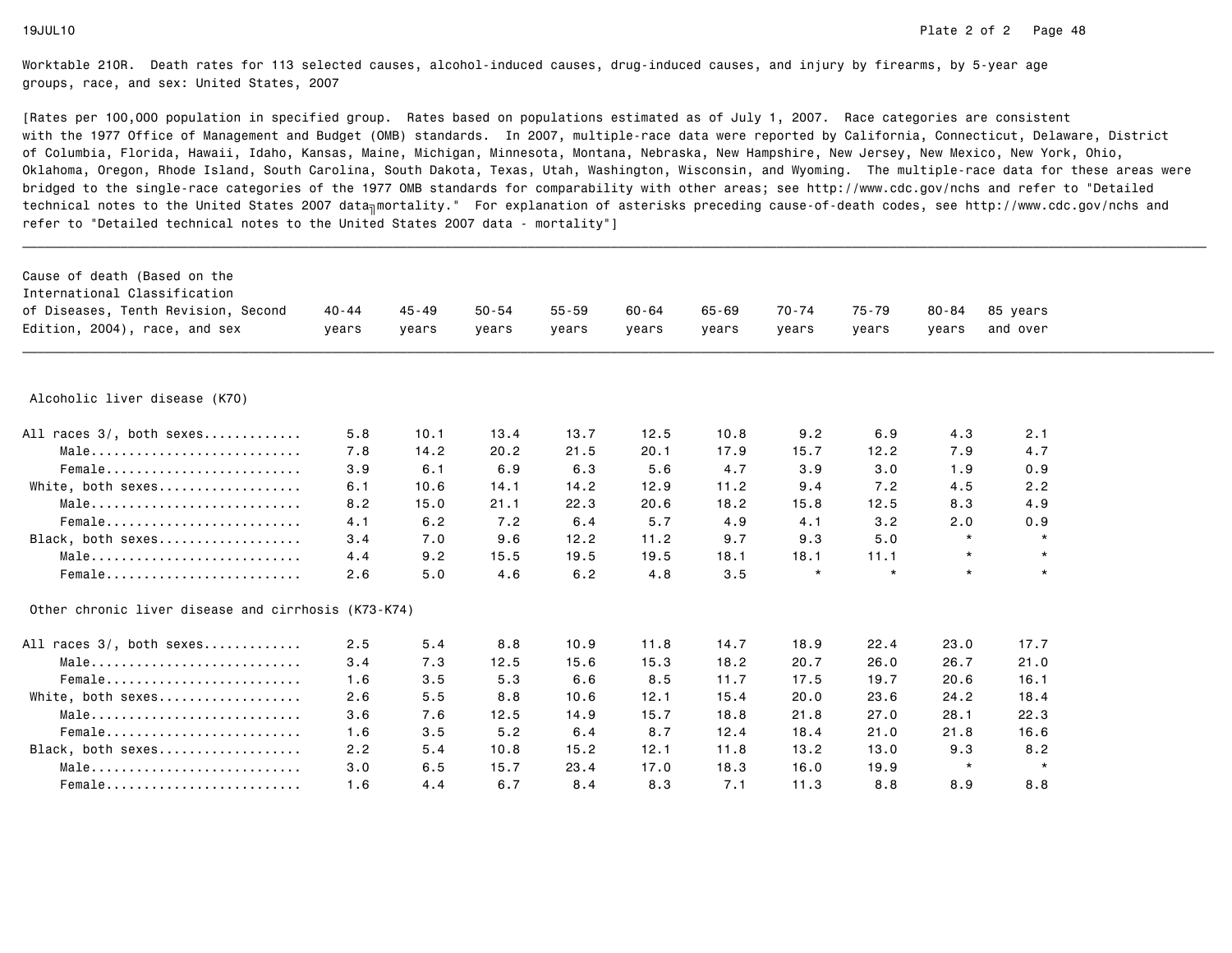| Cause of death (Based on the<br>International Classification |           |           |           |           |           |           |         |         |           |          |  |
|--------------------------------------------------------------|-----------|-----------|-----------|-----------|-----------|-----------|---------|---------|-----------|----------|--|
| of Diseases, Tenth Revision, Second                          | $40 - 44$ | $45 - 49$ | $50 - 54$ | $55 - 59$ | $60 - 64$ | $65 - 69$ | 70-74   | 75-79   | $80 - 84$ | 85 years |  |
| Edition, 2004), race, and sex                                | years     | years     | years     | years     | years     | years     | years   | years   | years     | and over |  |
|                                                              |           |           |           |           |           |           |         |         |           |          |  |
| Alcoholic liver disease (K70)                                |           |           |           |           |           |           |         |         |           |          |  |
| All races 3/, both sexes                                     | 5.8       | 10.1      | 13.4      | 13.7      | 12.5      | 10.8      | 9.2     | 6.9     | 4.3       | 2.1      |  |
| Male                                                         | 7.8       | 14.2      | 20.2      | 21.5      | 20.1      | 17.9      | 15.7    | 12.2    | 7.9       | 4.7      |  |
| Female                                                       | 3.9       | 6.1       | 6.9       | 6.3       | 5.6       | 4.7       | 3.9     | 3.0     | 1.9       | 0.9      |  |
| White, both sexes                                            | 6.1       | 10.6      | 14.1      | 14.2      | 12.9      | 11.2      | 9.4     | 7.2     | 4.5       | 2.2      |  |
| Male                                                         | 8.2       | 15.0      | 21.1      | 22.3      | 20.6      | 18.2      | 15.8    | 12.5    | 8.3       | 4.9      |  |
|                                                              | 4.1       | 6.2       | 7.2       | 6.4       | 5.7       | 4.9       | 4.1     | 3.2     | 2.0       | 0.9      |  |
| Black, both sexes                                            | 3.4       | 7.0       | 9.6       | 12.2      | 11.2      | 9.7       | 9.3     | 5.0     | $\star$   | $\star$  |  |
| Male                                                         | 4.4       | 9.2       | 15.5      | 19.5      | 19.5      | 18.1      | 18.1    | 11.1    | $\star$   | $\star$  |  |
| $Female$                                                     | 2.6       | 5.0       | 4.6       | 6.2       | 4.8       | 3.5       | $\star$ | $\star$ | $\star$   | $\star$  |  |
| Other chronic liver disease and cirrhosis (K73-K74)          |           |           |           |           |           |           |         |         |           |          |  |
| All races 3/, both sexes                                     | 2.5       | 5.4       | 8.8       | 10.9      | 11.8      | 14.7      | 18.9    | 22.4    | 23.0      | 17.7     |  |
| Male                                                         | 3.4       | 7.3       | 12.5      | 15.6      | 15.3      | 18.2      | 20.7    | 26.0    | 26.7      | 21.0     |  |
| $Female$                                                     | 1.6       | 3.5       | 5.3       | 6.6       | 8.5       | 11.7      | 17.5    | 19.7    | 20.6      | 16.1     |  |
| White, both sexes                                            | 2.6       | 5.5       | 8.8       | 10.6      | 12.1      | 15.4      | 20.0    | 23.6    | 24.2      | 18.4     |  |
| Male                                                         | 3.6       | 7.6       | 12.5      | 14.9      | 15.7      | 18.8      | 21.8    | 27.0    | 28.1      | 22.3     |  |
| Female                                                       | 1.6       | 3.5       | 5.2       | 6.4       | 8.7       | 12.4      | 18.4    | 21.0    | 21.8      | 16.6     |  |
| Black, both sexes                                            | 2.2       | 5.4       | 10.8      | 15.2      | 12.1      | 11.8      | 13.2    | 13.0    | 9.3       | 8.2      |  |
| Male                                                         | 3.0       | 6.5       | 15.7      | 23.4      | 17.0      | 18.3      | 16.0    | 19.9    | $\star$   | $\star$  |  |
| Female                                                       | 1.6       | 4.4       | 6.7       | 8.4       | 8.3       | 7.1       | 11.3    | 8.8     | 8.9       | 8.8      |  |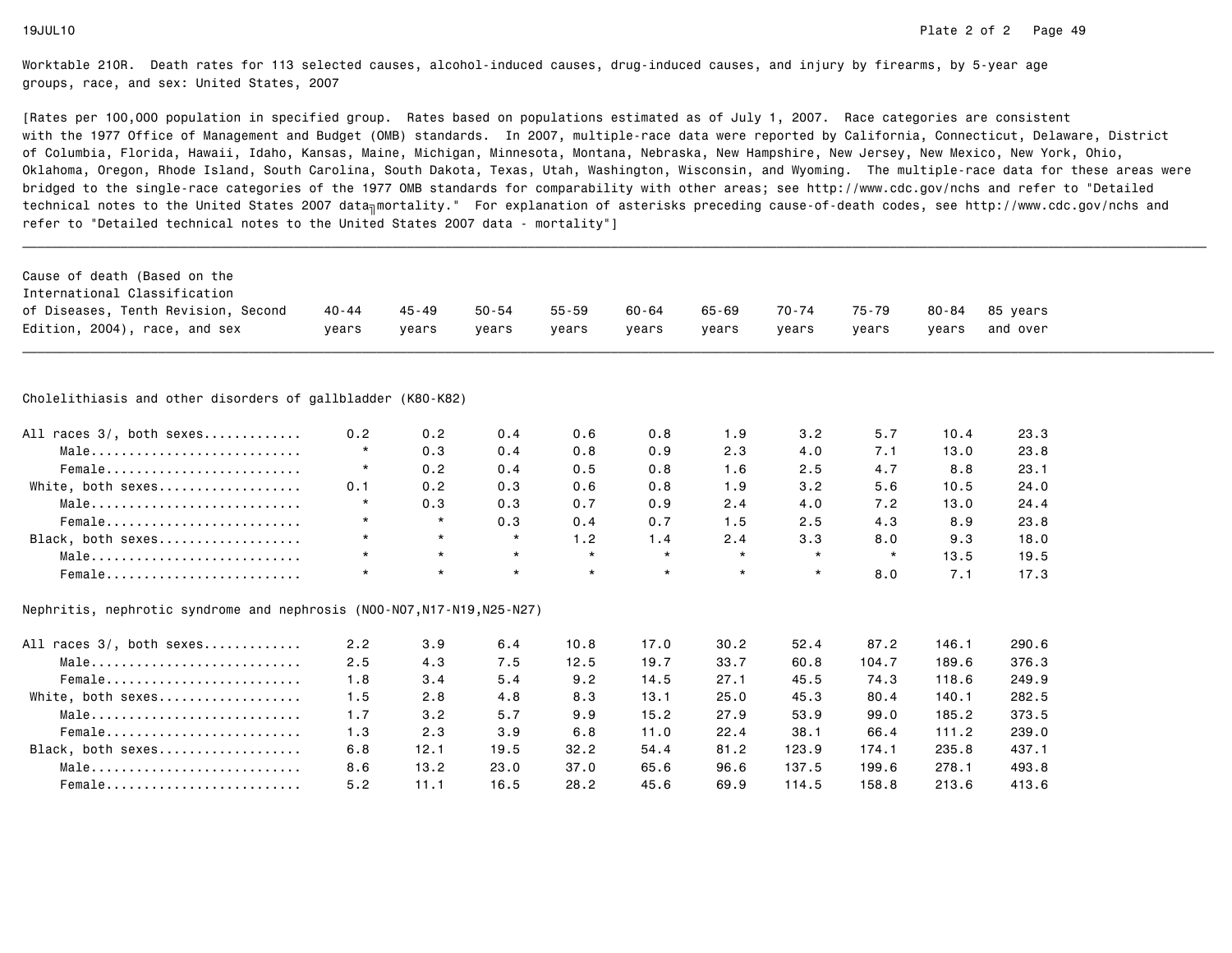| Cause of death (Based on the                                            |           |           |           |           |         |         |         |         |           |          |  |
|-------------------------------------------------------------------------|-----------|-----------|-----------|-----------|---------|---------|---------|---------|-----------|----------|--|
| International Classification                                            |           |           |           |           |         |         |         |         |           |          |  |
| of Diseases, Tenth Revision, Second                                     | $40 - 44$ | $45 - 49$ | $50 - 54$ | $55 - 59$ | 60-64   | 65-69   | 70-74   | 75-79   | $80 - 84$ | 85 years |  |
| Edition, 2004), race, and sex                                           | vears     | vears     | vears     | years     | years   | vears   | years   | vears   | years     | and over |  |
|                                                                         |           |           |           |           |         |         |         |         |           |          |  |
| Cholelithiasis and other disorders of gallbladder (K80-K82)             |           |           |           |           |         |         |         |         |           |          |  |
| All races 3/, both sexes                                                | 0.2       | 0.2       | 0.4       | 0.6       | 0.8     | 1.9     | 3.2     | 5.7     | 10.4      | 23.3     |  |
| Male                                                                    | $\star$   | 0.3       | 0.4       | 0.8       | 0.9     | 2.3     | 4.0     | 7.1     | 13.0      | 23.8     |  |
| Female                                                                  | $\star$   | 0.2       | 0.4       | 0.5       | 0.8     | 1.6     | 2.5     | 4.7     | 8.8       | 23.1     |  |
| White, both sexes                                                       | 0.1       | 0.2       | 0.3       | 0.6       | 0.8     | 1.9     | 3.2     | 5.6     | 10.5      | 24.0     |  |
| Male                                                                    | $\star$   | 0.3       | 0.3       | 0.7       | 0.9     | 2.4     | 4.0     | 7.2     | 13.0      | 24.4     |  |
| Female                                                                  | $\star$   | $\star$   | 0.3       | 0.4       | 0.7     | 1.5     | 2.5     | 4.3     | 8.9       | 23.8     |  |
| Black, both sexes                                                       | $\star$   | $\star$   | $\star$   | 1.2       | 1.4     | 2.4     | 3.3     | 8.0     | 9.3       | 18.0     |  |
| Male                                                                    | $\star$   | $\star$   | $\star$   | $\star$   | $\star$ | $\star$ | $\star$ | $\star$ | 13.5      | 19.5     |  |
| Female                                                                  | $\star$   | $\star$   | $\star$   | $\star$   | $\star$ | $\star$ | $\star$ | 8.0     | 7.1       | 17.3     |  |
| Nephritis, nephrotic syndrome and nephrosis (N00-N07, N17-N19, N25-N27) |           |           |           |           |         |         |         |         |           |          |  |
| All races 3/, both sexes                                                | 2.2       | 3.9       | 6.4       | 10.8      | 17.0    | 30.2    | 52.4    | 87.2    | 146.1     | 290.6    |  |
| Male                                                                    | 2.5       | 4.3       | 7.5       | 12.5      | 19.7    | 33.7    | 60.8    | 104.7   | 189.6     | 376.3    |  |
| Female                                                                  | 1.8       | 3.4       | 5.4       | 9.2       | 14.5    | 27.1    | 45.5    | 74.3    | 118.6     | 249.9    |  |
| White, both sexes                                                       | 1.5       | 2.8       | 4.8       | 8.3       | 13.1    | 25.0    | 45.3    | 80.4    | 140.1     | 282.5    |  |
| Male                                                                    | 1.7       | 3.2       | 5.7       | 9.9       | 15.2    | 27.9    | 53.9    | 99.0    | 185.2     | 373.5    |  |
| Female                                                                  | 1.3       | 2.3       | 3.9       | 6.8       | 11.0    | 22.4    | 38.1    | 66.4    | 111.2     | 239.0    |  |
| Black, both sexes                                                       | 6.8       | 12.1      | 19.5      | 32.2      | 54.4    | 81.2    | 123.9   | 174.1   | 235.8     | 437.1    |  |
| Male                                                                    | 8.6       | 13.2      | 23.0      | 37.0      | 65.6    | 96.6    | 137.5   | 199.6   | 278.1     | 493.8    |  |
| Female                                                                  | 5.2       | 11.1      | 16.5      | 28.2      | 45.6    | 69.9    | 114.5   | 158.8   | 213.6     | 413.6    |  |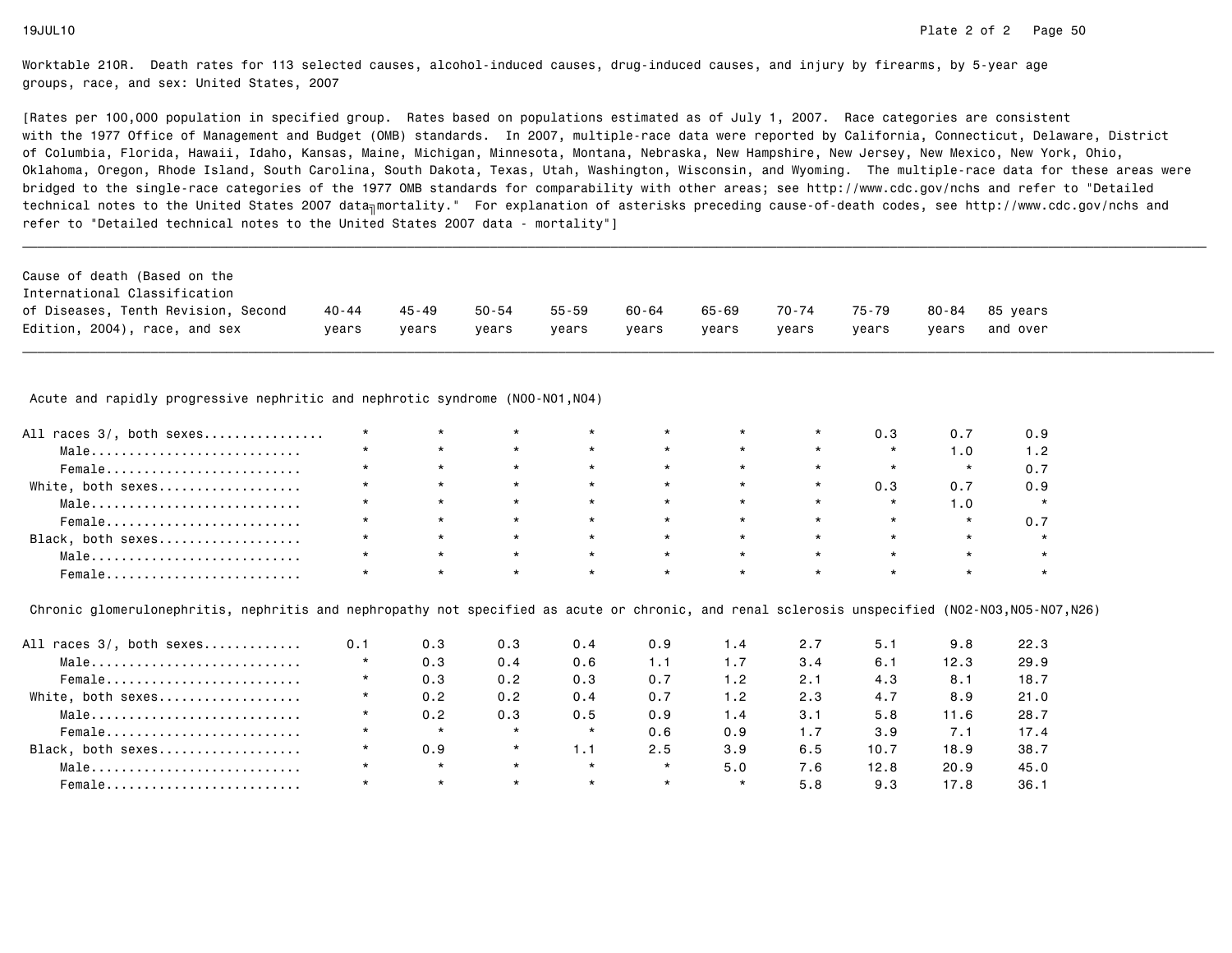[Rates per 100,000 population in specified group. Rates based on populations estimated as of July 1, 2007. Race categories are consistent with the 1977 Office of Management and Budget (OMB) standards. In 2007, multiple-race data were reported by California, Connecticut, Delaware, Districtof Columbia, Florida, Hawaii, Idaho, Kansas, Maine, Michigan, Minnesota, Montana, Nebraska, New Hampshire, New Jersey, New Mexico, New York, Ohio, Oklahoma, Oregon, Rhode Island, South Carolina, South Dakota, Texas, Utah, Washington, Wisconsin, and Wyoming. The multiple-race data for these areas werebridged to the single-race categories of the 1977 OMB standards for comparability with other areas; see http://www.cdc.gov/nchs and refer to "Detailedtechnical notes to the United States 2007 data<sub>∏</sub>mortality." For explanation of asterisks preceding cause-of-death codes, see http://www.cdc.gov/nchs and refer to "Detailed technical notes to the United States 2007 data - mortality"]

| Cause of death (Based on the<br>International Classification |         |         |       |       |       |       |       |       |       |                |
|--------------------------------------------------------------|---------|---------|-------|-------|-------|-------|-------|-------|-------|----------------|
| of Diseases, Tenth Revision, Second                          | 40 - 44 | 45 - 49 | 50-54 | 55-59 | 60-64 | 65-69 | 70-74 | 75-79 |       | 80-84 85 vears |
| Edition, 2004), race, and sex                                | vears   | vears   | vears | vears | vears | vears | vears | vears | vears | and over       |

Acute and rapidly progressive nephritic and nephrotic syndrome (N00-N01,N04)

| All races 3/, both sexes | $\star$ | $\star$ | $\star$ | $\star$ | $\star$         | $\star$             |         | 0.3     |     |  |
|--------------------------|---------|---------|---------|---------|-----------------|---------------------|---------|---------|-----|--|
| Male                     | $\star$ |         | $\star$ | $\star$ | $\star$         | $\star$             | $\star$ | $\star$ | 1.0 |  |
| Female                   | $\star$ | $\star$ | $\star$ | $\star$ | $\star$         | $\star$             | $\star$ | $\star$ |     |  |
| White, both sexes        | $\star$ | $\star$ | $\star$ | $\star$ | $\star$         | $\star$             |         | 0.3     | 0.7 |  |
| Male                     | $\star$ | $\star$ | $\star$ | $\star$ | $\star$         | $\star$ $\star$     |         | $\star$ |     |  |
| Female                   | $\star$ |         | $\star$ | $\star$ | $\star$         | $\star$ and $\star$ | $\star$ | $\star$ |     |  |
| Black, both sexes        | $\star$ | $\star$ | $\star$ | $\star$ | $\star$ $\star$ |                     | $\star$ | $\star$ |     |  |
| Male                     |         |         | $\star$ | $\star$ | $\star$         | $\star$             | $\star$ | $\star$ |     |  |
| Female                   | $\star$ |         | $\star$ | $\star$ | $\star$         | $\star$             |         | $\star$ |     |  |

Chronic glomerulonephritis, nephritis and nephropathy not specified as acute or chronic, and renal sclerosis unspecified (N02-N03,N05-N07,N26)

| All races 3/, both sexes | 0.1     | 0.3     | 0.3     | 0.4     | 0.9     | 1.4     | 2.7 | 5.1  | 9.8  | 22.3 |
|--------------------------|---------|---------|---------|---------|---------|---------|-----|------|------|------|
| Male                     | $\star$ | 0.3     | 0.4     | 0.6     | 1.1     | 1.7     | 3.4 | 6.1  | 12.3 | 29.9 |
| Female                   | $\star$ | 0.3     | 0.2     | 0.3     | 0.7     | 1.2     | 2.1 | 4.3  | 8.1  | 18.7 |
| White, both sexes        | $\star$ | 0.2     | 0.2     | 0.4     | 0.7     | 1.2     | 2.3 | 4.7  | 8.9  | 21.0 |
| Male                     | $\star$ | 0.2     | 0.3     | 0.5     | 0.9     | 1.4     | 3.1 | 5.8  | 11.6 | 28.7 |
| Female                   | $\star$ | $\star$ | $\star$ | $\star$ | 0.6     | 0.9     | 1.7 | 3.9  | 7.1  | 17.4 |
| Black, both sexes        |         | 0.9     | $\star$ | 1.1     | 2.5     | 3.9     | 6.5 | 10.7 | 18.9 | 38.7 |
| Male                     | $\star$ | $\star$ | $\star$ | $\star$ | $\star$ | 5.0     | 7.6 | 12.8 | 20.9 | 45.0 |
| Female                   | $\star$ | $\star$ | $\star$ | $\star$ | $\star$ | $\star$ | 5.8 | 9.3  | 17.8 | 36.1 |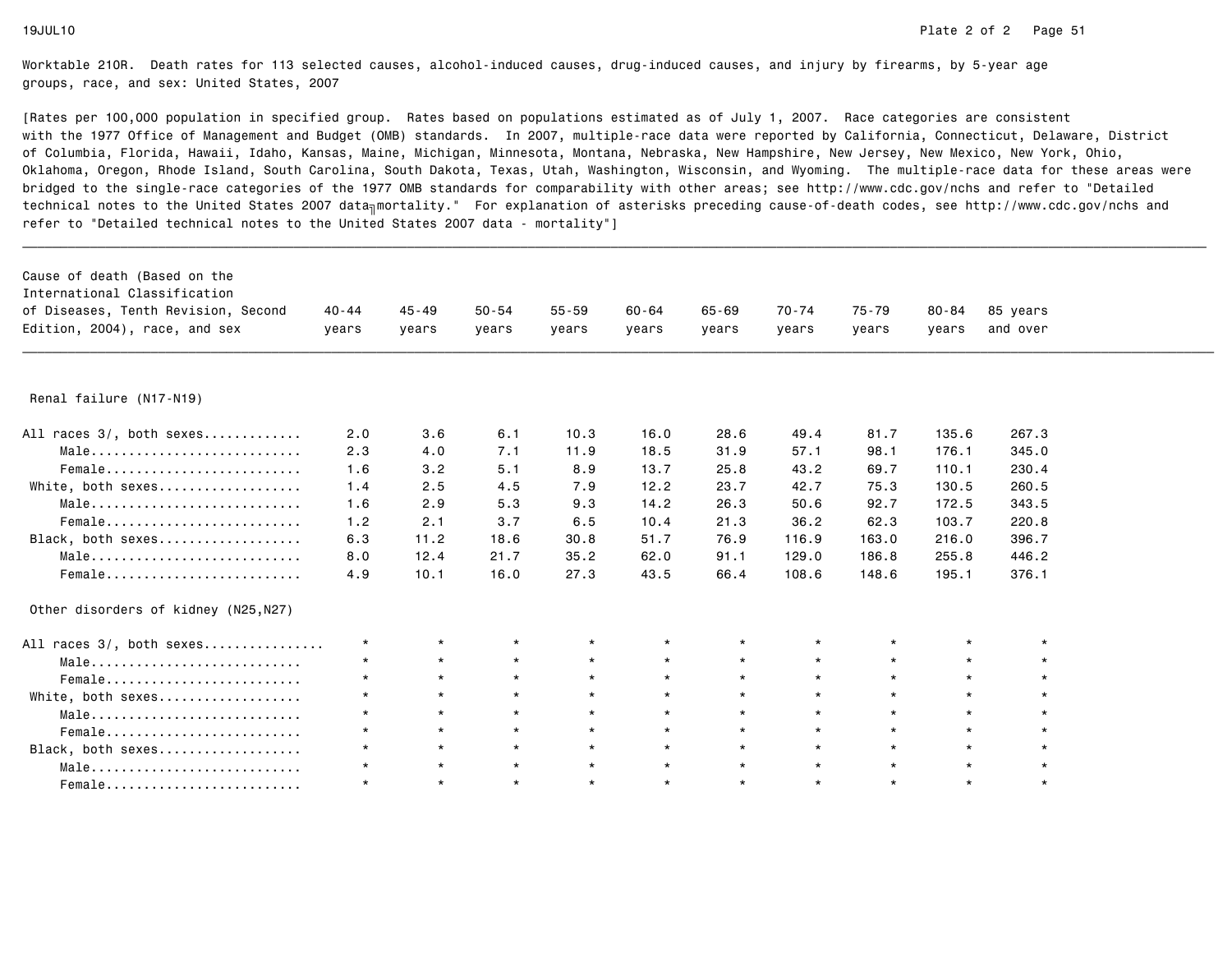| Cause of death (Based on the         |           |           |           |           |           |           |         |         |           |          |
|--------------------------------------|-----------|-----------|-----------|-----------|-----------|-----------|---------|---------|-----------|----------|
| International Classification         |           |           |           |           |           |           |         |         |           |          |
| of Diseases, Tenth Revision, Second  | $40 - 44$ | $45 - 49$ | $50 - 54$ | $55 - 59$ | $60 - 64$ | $65 - 69$ | 70-74   | 75-79   | $80 - 84$ | 85 years |
| Edition, 2004), race, and sex        | years     | years     | years     | years     | years     | years     | years   | years   | years     | and over |
|                                      |           |           |           |           |           |           |         |         |           |          |
| Renal failure (N17-N19)              |           |           |           |           |           |           |         |         |           |          |
| All races 3/, both sexes             | 2.0       | 3.6       | 6.1       | 10.3      | 16.0      | 28.6      | 49.4    | 81.7    | 135.6     | 267.3    |
| Male                                 | 2.3       | 4.0       | 7.1       | 11.9      | 18.5      | 31.9      | 57.1    | 98.1    | 176.1     | 345.0    |
| Female                               | 1.6       | 3.2       | 5.1       | 8.9       | 13.7      | 25.8      | 43.2    | 69.7    | 110.1     | 230.4    |
| White, both sexes                    | 1.4       | 2.5       | 4.5       | 7.9       | 12.2      | 23.7      | 42.7    | 75.3    | 130.5     | 260.5    |
| Male                                 | 1.6       | 2.9       | 5.3       | 9.3       | 14.2      | 26.3      | 50.6    | 92.7    | 172.5     | 343.5    |
| Female                               | 1.2       | 2.1       | 3.7       | 6.5       | 10.4      | 21.3      | 36.2    | 62.3    | 103.7     | 220.8    |
| Black, both sexes                    | 6.3       | 11.2      | 18.6      | 30.8      | 51.7      | 76.9      | 116.9   | 163.0   | 216.0     | 396.7    |
| Male                                 | 8.0       | 12.4      | 21.7      | 35.2      | 62.0      | 91.1      | 129.0   | 186.8   | 255.8     | 446.2    |
| Female                               | 4.9       | 10.1      | 16.0      | 27.3      | 43.5      | 66.4      | 108.6   | 148.6   | 195.1     | 376.1    |
| Other disorders of kidney (N25, N27) |           |           |           |           |           |           |         |         |           |          |
| All races 3/, both sexes             | $\star$   | $\star$   | $\star$   | $\star$   | $\star$   | $\star$   | $\star$ | $\star$ | $\star$   |          |
| Male                                 | $\star$   | $\star$   | $\star$   | $\star$   | $\star$   | $\star$   | $\star$ | $\star$ | $\star$   |          |
| Female                               | $\star$   | $\star$   | $\star$   | $\star$   | $\star$   | $\star$   | $\star$ | $\star$ | $\star$   | $\star$  |
| White, both sexes                    | $\star$   | $\star$   | $\star$   | $\star$   | $\star$   | $\star$   | $\star$ | $\star$ | $\star$   | $\star$  |
| Male                                 | $\star$   | $\star$   | $\star$   | $\star$   | $\star$   | $\star$   | $\star$ | $\star$ | $\star$   | $\star$  |
| Female                               | $\star$   | $\star$   | $\star$   | $\star$   | $\star$   | $\star$   | $\star$ | $\star$ | $\star$   |          |
| Black, both sexes                    | $\star$   | $\star$   | $\star$   | $\star$   | $\star$   | $\star$   | $\star$ | $\star$ | $\star$   |          |
| Male                                 | $\star$   | $\star$   | $\star$   | $\star$   | $\star$   | $\star$   | $\star$ | $\star$ | $\star$   |          |
| Female                               | $\star$   | $\star$   | $\star$   | $\star$   | $\star$   | $\star$   | $\star$ | $\star$ | $\star$   | $\star$  |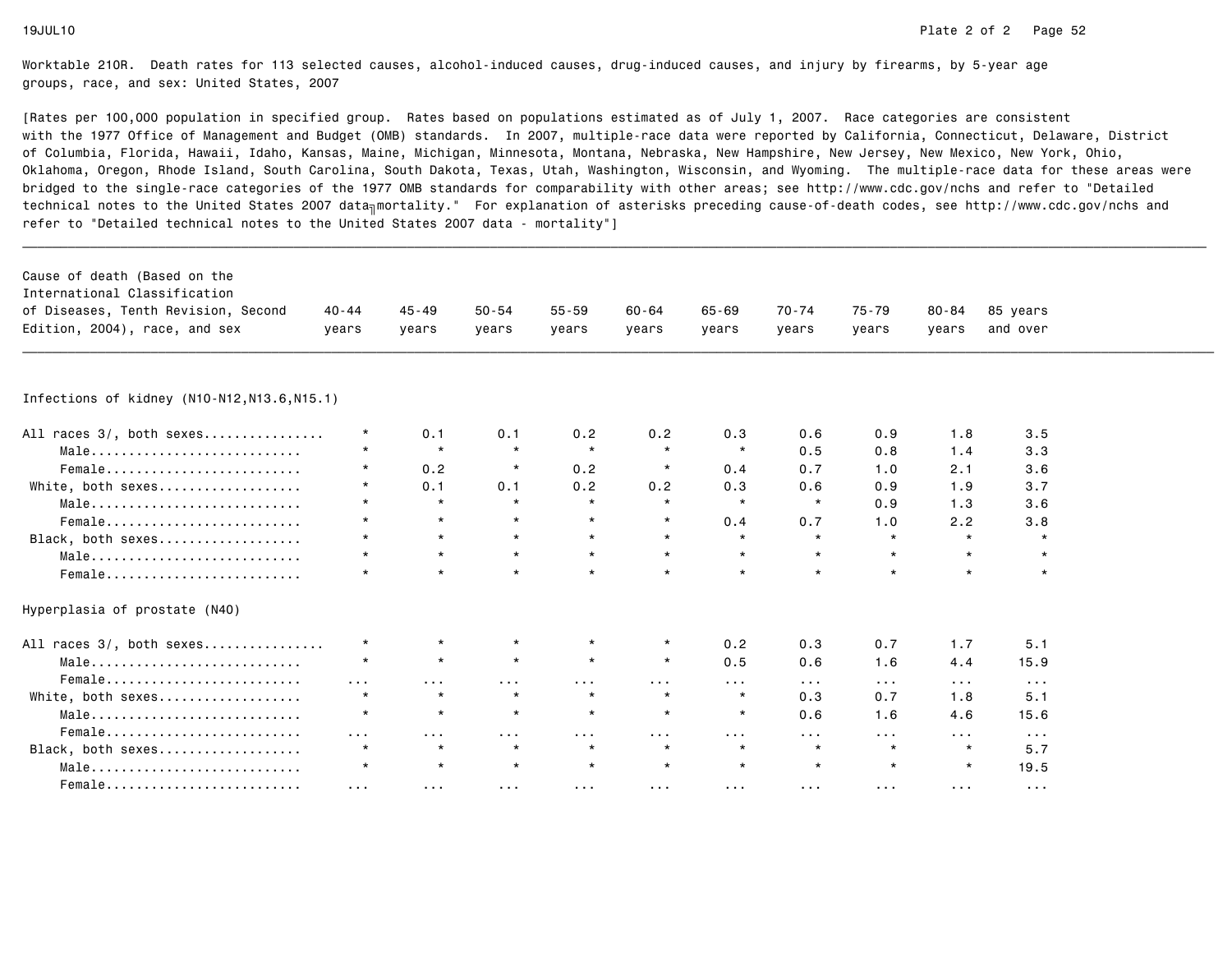| Cause of death (Based on the<br>International Classification |            |                       |                      |                         |                      |                      |                         |                         |                      |                         |  |
|--------------------------------------------------------------|------------|-----------------------|----------------------|-------------------------|----------------------|----------------------|-------------------------|-------------------------|----------------------|-------------------------|--|
| of Diseases, Tenth Revision, Second                          | $40 - 44$  | 45-49                 | $50 - 54$            | $55 - 59$               | 60-64                | $65 - 69$            | $70 - 74$               | 75-79                   | $80 - 84$            | 85 years                |  |
| Edition, 2004), race, and sex                                | vears      | years                 | years                | years                   | years                | years                | years                   | years                   | years                | and over                |  |
|                                                              |            |                       |                      |                         |                      |                      |                         |                         |                      |                         |  |
|                                                              |            |                       |                      |                         |                      |                      |                         |                         |                      |                         |  |
| Infections of kidney (N10-N12,N13.6,N15.1)                   |            |                       |                      |                         |                      |                      |                         |                         |                      |                         |  |
| All races 3/, both sexes                                     | $\star$    | 0.1                   | 0.1                  | 0.2                     | 0.2                  | 0.3                  | 0.6                     | 0.9                     | 1.8                  | 3.5                     |  |
| Male                                                         | $\star$    | $\star$               | $\star$              | $\star$                 | $\star$              | $\star$              | 0.5                     | 0.8                     | 1.4                  | 3.3                     |  |
| Female                                                       | $\star$    | 0.2                   | $\star$              | 0.2                     | $\star$              | 0.4                  | 0.7                     | 1.0                     | 2.1                  | 3.6                     |  |
| White, both sexes                                            | $\star$    | 0.1                   | 0.1                  | 0.2                     | 0.2                  | 0.3                  | 0.6                     | 0.9                     | 1.9                  | 3.7                     |  |
| Male                                                         | $\star$    | $\star$               | $\star$              | $\star$                 | $\star$              | $\star$              | $\star$                 | 0.9                     | 1.3                  | 3.6                     |  |
| Female                                                       | $\star$    | $\star$               | $\star$              | $\star$                 | $\star$              | 0.4                  | 0.7                     | 1.0                     | 2.2                  | 3.8                     |  |
| Black, both sexes                                            | $\star$    | $\star$               | $\star$              | $\star$                 | $\star$              | $\star$              | $\star$                 | $\star$                 | $\star$              | $\star$                 |  |
| Male                                                         | $\star$    | $\star$               | $\star$              | $\star$                 | $\star$              | $\star$              | $\star$                 | $\star$                 |                      | $\star$                 |  |
| Female                                                       | $\star$    | $\star$               |                      | $\star$                 | $\star$              | $\star$              | $\star$                 | $\star$                 |                      | $\star$                 |  |
| Hyperplasia of prostate (N40)                                |            |                       |                      |                         |                      |                      |                         |                         |                      |                         |  |
| All races 3/, both sexes                                     | $\star$    | $\star$               | *                    | $\star$                 | $\star$              | 0.2                  | 0.3                     | 0.7                     | 1.7                  | 5.1                     |  |
| Male                                                         | $\star$    | $\star$               | $\star$              | $\star$                 | $\star$              | 0.5                  | 0.6                     | 1.6                     | 4.4                  | 15.9                    |  |
| Female                                                       | $\cdots$   | $\sim$ 100 $\pm$      | $\sim$ $\sim$ $\sim$ | .                       | $\sim$ $\sim$ $\sim$ | $\sim$ $\sim$ $\sim$ | $\sim 100$              | $\sim$ $\sim$ $\sim$    | $\sim$ $\sim$ $\sim$ | $\sim$ $\sim$ $\sim$    |  |
| White, both sexes                                            | $\star$    | $\star$               | $\star$              | $\star$                 | $\star$              | $\star$              | 0.3                     | 0.7                     | 1.8                  | 5.1                     |  |
| Male                                                         | $\star$    | $\star$               | $\star$              | $\star$                 | $\star$              | $\star$              | 0.6                     | 1.6                     | 4.6                  | 15.6                    |  |
| Female                                                       | $\sim 100$ | $\sim 100$ km $^{-1}$ | $\sim 100$           | $\sim 100$ km s $^{-1}$ | $\sim 100$           | $\sim 100$           | $\sim 100$ km s $^{-1}$ | $\sim 100$              | $\sim 100$           | $\sim 100$ km s $^{-1}$ |  |
| Black, both sexes                                            | $\star$    | $\star$               | $\star$              | $\star$                 | $\star$              | $\star$              | $\star$                 | $\star$                 | $\star$              | 5.7                     |  |
| Male                                                         | $\star$    | $\star$               | $\star$              | $\star$                 | $\star$              | $\star$              | $\star$                 | $\star$                 | $\star$              | 19.5                    |  |
| Female                                                       | $\cdots$   | $\sim$ 100 $\sim$     | $\sim$ $\sim$ $\sim$ | $\sim$ $\sim$ $\sim$    | $\sim$ $\sim$ $\sim$ | $\sim$ $\sim$ $\sim$ | $\sim$ 10 $\sim$        | $\sim 100$ km s $^{-1}$ | $\sim$ $\sim$ $\sim$ | $\sim$ $\sim$ $\sim$    |  |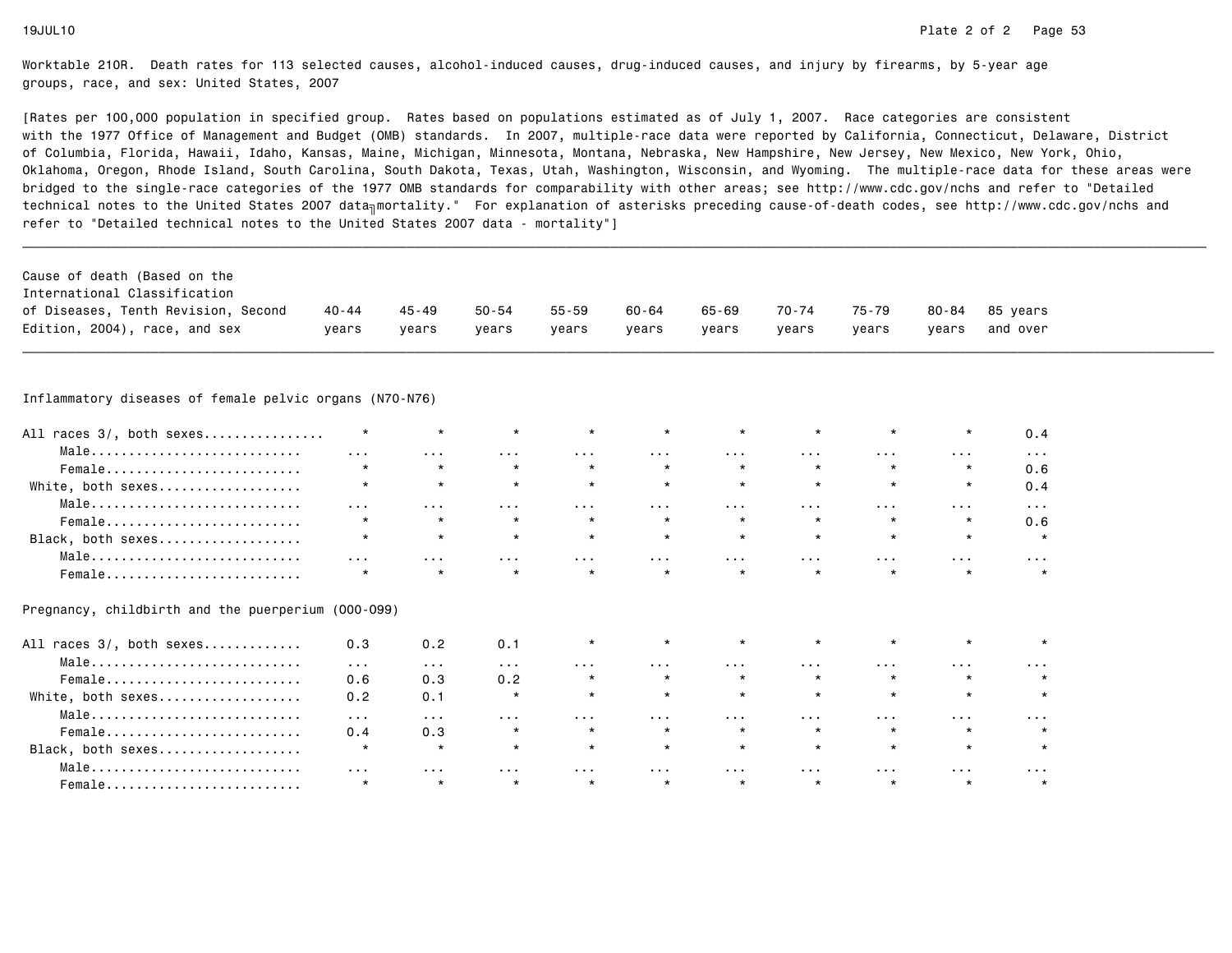[Rates per 100,000 population in specified group. Rates based on populations estimated as of July 1, 2007. Race categories are consistent with the 1977 Office of Management and Budget (OMB) standards. In 2007, multiple-race data were reported by California, Connecticut, Delaware, Districtof Columbia, Florida, Hawaii, Idaho, Kansas, Maine, Michigan, Minnesota, Montana, Nebraska, New Hampshire, New Jersey, New Mexico, New York, Ohio, Oklahoma, Oregon, Rhode Island, South Carolina, South Dakota, Texas, Utah, Washington, Wisconsin, and Wyoming. The multiple-race data for these areas werebridged to the single-race categories of the 1977 OMB standards for comparability with other areas; see http://www.cdc.gov/nchs and refer to "Detailedtechnical notes to the United States 2007 data<sub>∏</sub>mortality." For explanation of asterisks preceding cause-of-death codes, see http://www.cdc.gov/nchs and refer to "Detailed technical notes to the United States 2007 data - mortality"]

| Cause of death (Based on the        |         |         |       |       |       |       |       |       |       |                |
|-------------------------------------|---------|---------|-------|-------|-------|-------|-------|-------|-------|----------------|
| International Classification        |         |         |       |       |       |       |       |       |       |                |
| of Diseases, Tenth Revision, Second | 40 - 44 | 45 - 49 | 50-54 | 55-59 | 60-64 | 65-69 | 70-74 | 75-79 |       | 80-84 85 years |
| Edition, 2004), race, and sex       | vears   | vears   | vears | vears | vears | vears | vears | vears | vears | and over       |

\_\_\_\_\_\_\_\_\_\_\_\_\_\_\_\_\_\_\_\_\_\_\_\_\_\_\_\_\_\_\_\_\_\_\_\_\_\_\_\_\_\_\_\_\_\_\_\_\_\_\_\_\_\_\_\_\_\_\_\_\_\_\_\_\_\_\_\_\_\_\_\_\_\_\_\_\_\_\_\_\_\_\_\_\_\_\_\_\_\_\_\_\_\_\_\_\_\_\_\_\_\_\_\_\_\_\_\_\_\_\_\_\_\_\_\_\_\_\_\_\_\_\_\_\_\_\_\_\_\_\_\_\_\_\_\_\_\_\_\_\_\_\_\_\_\_\_\_\_\_\_\_\_\_\_\_\_\_

## Inflammatory diseases of female pelvic organs (N70-N76)

| All races 3/, both sexes | $\star$              |                      | $\star$  |          | $\star$  |          |          |          |          | 0.4                  |
|--------------------------|----------------------|----------------------|----------|----------|----------|----------|----------|----------|----------|----------------------|
| Male                     | $\cdots$             | $\cdots$             | $\cdots$ | $\cdots$ | $\cdots$ | .        | .        | $\cdots$ | $\cdots$ | $\sim$ $\sim$ $\sim$ |
| Female                   | $\star$              | $\star$              | $\star$  | $\star$  | $\star$  |          | $\star$  |          | $\star$  | 0.6                  |
| White, both sexes        | $\star$              | $\star$              | $\star$  | $\star$  | $\star$  |          | $\star$  |          | $\star$  | 0.4                  |
| Male                     | .                    | $\cdots$             | .        | .        | $\cdots$ | $\cdots$ | .        | .        | $\cdots$ | $\cdots$             |
| Female                   | $\star$              |                      | $\star$  |          | $\star$  |          | $^\star$ |          | $\star$  | 0.6                  |
| Black, both sexes        | $\star$              | $\star$              | $\star$  | $\star$  | $\star$  |          | $\star$  |          | $\star$  |                      |
| Male                     | $\cdots$             | .                    |          | $\cdots$ | $\cdots$ | .        | .        | .        | .        | .                    |
| Female                   |                      |                      | $\star$  |          |          |          | $\star$  |          | $\star$  |                      |
| All races 3/, both sexes | 0.3                  | 0.2                  | 0.1      | $^\star$ | $\star$  |          | $\star$  |          |          |                      |
|                          |                      |                      |          |          |          |          |          |          |          |                      |
| Male                     | $\cdots$             | $\cdots$             | $\cdots$ | .        |          | .        | .        | .        |          |                      |
| Female                   | 0.6                  | 0.3                  | 0.2      | $\star$  | $\star$  | $\star$  | $\star$  |          | $\star$  |                      |
| White, both sexes        | 0.2                  | 0.1                  |          | $\star$  | $\star$  |          | $\star$  |          | $\star$  |                      |
| Male                     | $\sim$ $\sim$ $\sim$ | $\sim$ $\sim$ $\sim$ | .        | $\cdots$ | $\cdots$ | .        | $\cdots$ | .        | .        | .                    |
| Female                   | 0.4                  | 0.3                  |          | $\star$  | $\star$  |          | $\star$  |          | $\star$  |                      |
| Black, both sexes        | $\star$              | $\star$              | $\star$  |          |          |          |          |          |          |                      |
| Male                     | .                    | .                    |          | .        | .        | .        | .        | .        |          | .                    |
| Female                   | $\star$              | $\star$              | $\star$  |          | $\star$  |          | $\star$  |          |          |                      |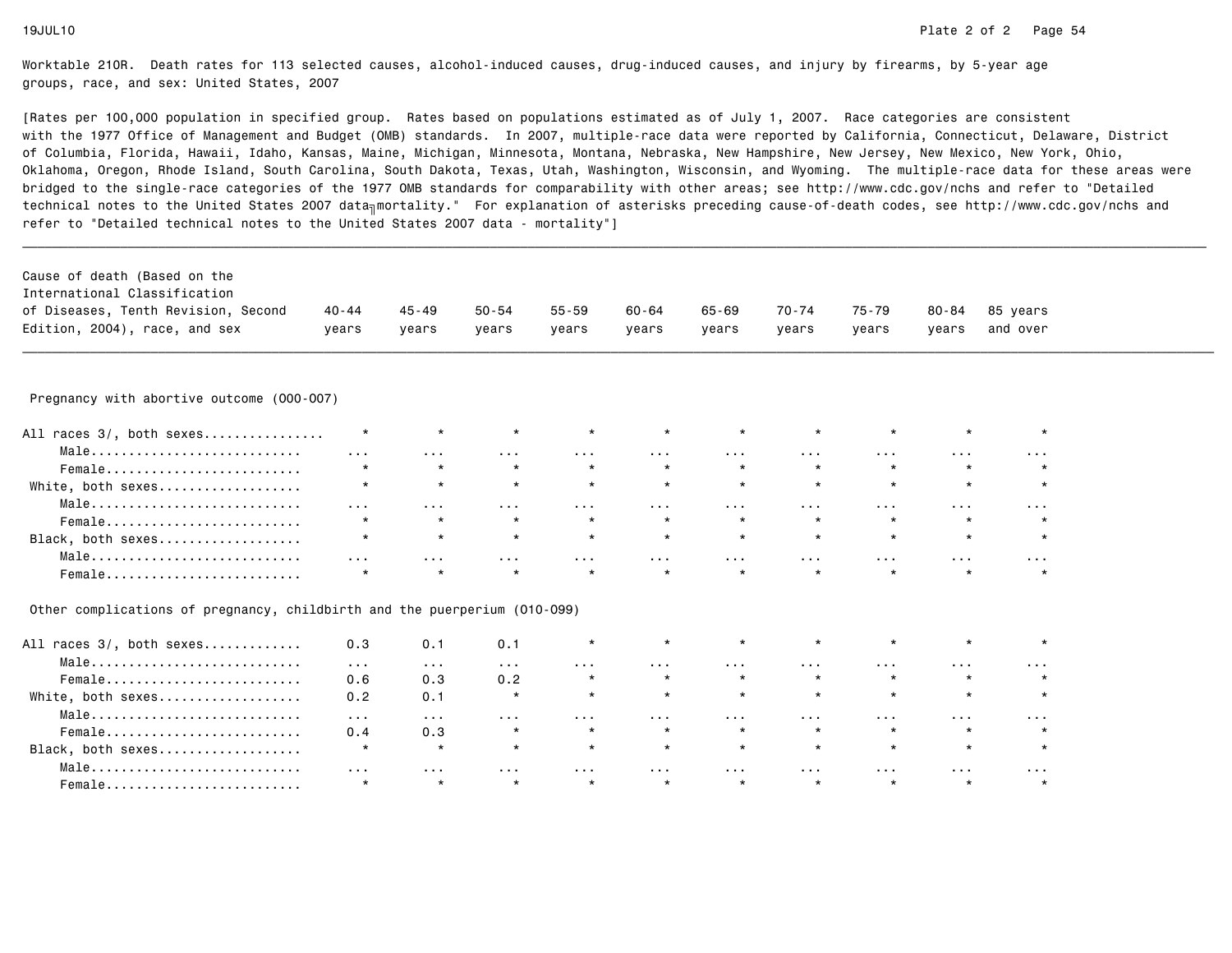| International Classification<br>of Diseases, Tenth Revision, Second<br>Edition, 2004), race, and sex | 40 - 44<br>years     | 45-49<br>years       | $50 - 54$<br>years   | $55 - 59$<br>years   | $60 - 64$<br>years   | 65-69<br>years       | 70-74<br>years       | 75-79<br>years          | 80-84<br>years       | 85 years<br>and over |  |
|------------------------------------------------------------------------------------------------------|----------------------|----------------------|----------------------|----------------------|----------------------|----------------------|----------------------|-------------------------|----------------------|----------------------|--|
| Pregnancy with abortive outcome (000-007)                                                            |                      |                      |                      |                      |                      |                      |                      |                         |                      |                      |  |
|                                                                                                      |                      |                      |                      |                      |                      |                      |                      |                         |                      |                      |  |
| All races 3/, both sexes                                                                             | $\star$              | $\star$              | $\star$              |                      | $\star$              | $\star$              |                      | $\star$                 | $\star$              |                      |  |
| Male                                                                                                 | $\sim 100$           | $\sim$ $\sim$ $\sim$ | $\sim 100$           | $\sim$ $\sim$ $\sim$ | $\sim 100$           | $\sim$ $\sim$ $\sim$ | $\sim$ $\sim$ $\sim$ | $\sim$ $\sim$ $\sim$    | $\cdots$             | $\sim$ $\sim$ $\sim$ |  |
| Female                                                                                               | $\star$              | $\star$              | $\star$              | $\star$              | $\star$              | $\star$              | $\star$              | $\star$                 | $\star$              |                      |  |
| White, both sexes                                                                                    | $\star$              | $\star$              | $\star$              | $\star$              | $\star$              | $\star$              | $\star$              | $\star$                 | $\star$              | $\star$              |  |
| Male                                                                                                 | $\sim$ $\sim$ $\sim$ | $\sim$ $\sim$ $\sim$ | $\sim$ $\sim$ $\sim$ | $\sim$ $\sim$ $\sim$ | $\sim$ $\sim$ $\sim$ | $\sim$ $\sim$ $\sim$ | $\sim$ $\sim$ $\sim$ | $\sim 100$ km $^{-1}$   | $\sim$ $\sim$ $\sim$ | $\sim$ $\sim$ $\sim$ |  |
| Female                                                                                               | $\star$              | $\star$              | $\star$              | $\star$              | $\star$              | $\star$              | $\star$              | $\star$                 | $\star$              | $\star$              |  |
| Black, both sexes                                                                                    | $\star$              | $\star$              | $\star$              | $\star$              | $\star$              | $\star$              | $\star$              | $\star$                 | $\star$              | $\star$              |  |
| Male                                                                                                 | $\sim$ $\sim$ $\sim$ | $\sim$ $\sim$ $\sim$ | $\sim$ $\sim$ $\sim$ | $\sim$ $\sim$ $\sim$ | $\sim 100$           | $\sim$ $\sim$ $\sim$ | $\sim$ $\sim$ $\sim$ | $\sim 100$ km s $^{-1}$ | $\cdots$             | $\sim$ $\sim$ $\sim$ |  |
| Female                                                                                               | $\star$              | $\star$              | $\star$              | $\star$              | $\star$              | $\star$              | $\star$              | $\star$                 | $\star$              | $\star$              |  |

| All races 3/, both sexes | 0.3                     | 0.1      | 0.1     |         | $\star$ | $\star$ | $\star$ | $\star$ | $\star$  |   |
|--------------------------|-------------------------|----------|---------|---------|---------|---------|---------|---------|----------|---|
| Male                     | $\cdot$ $\cdot$ $\cdot$ | .        | .       | .       | .       | .       | .       | .       | .        | . |
| Female                   | 0.6                     | 0.3      | 0.2     |         | $\star$ | $\star$ | $\star$ | $\star$ | $\star$  |   |
| White, both sexes        | 0.2                     | 0.1      | $\star$ | $\star$ | $\star$ | $\star$ | $\star$ | $\star$ | $\star$  |   |
| Male                     | $\cdots$                | .        | .       | .       | .       | .       | .       | .       | $\cdots$ | . |
| Female                   | 0.4                     | 0.3      | $\star$ | $\star$ | $\star$ | $\star$ | $\star$ | $\star$ | $\star$  |   |
| Black, both sexes        | $\star$                 | $\star$  | $\star$ | $\star$ | $\star$ | $\star$ | $\star$ | $\star$ | $\star$  |   |
| Male                     | $\cdots$                | $\cdots$ | .       | .       | .       | .       | .       | .       | $\cdots$ | . |
| Female                   | $\star$                 | $\star$  | $\star$ | $\star$ | $\star$ | $\star$ | $\star$ | $\star$ | $\star$  |   |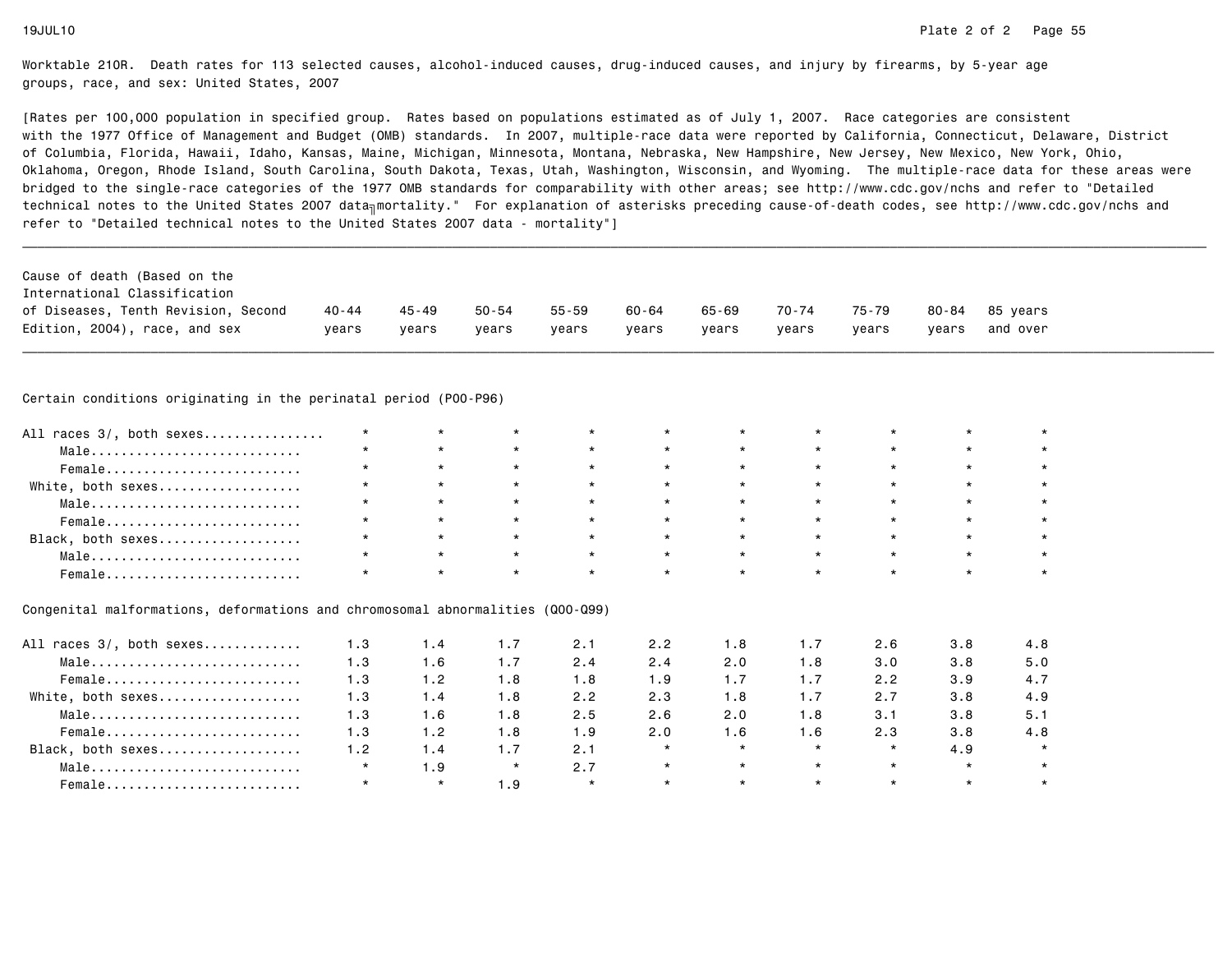[Rates per 100,000 population in specified group. Rates based on populations estimated as of July 1, 2007. Race categories are consistent with the 1977 Office of Management and Budget (OMB) standards. In 2007, multiple-race data were reported by California, Connecticut, Delaware, Districtof Columbia, Florida, Hawaii, Idaho, Kansas, Maine, Michigan, Minnesota, Montana, Nebraska, New Hampshire, New Jersey, New Mexico, New York, Ohio, Oklahoma, Oregon, Rhode Island, South Carolina, South Dakota, Texas, Utah, Washington, Wisconsin, and Wyoming. The multiple-race data for these areas werebridged to the single-race categories of the 1977 OMB standards for comparability with other areas; see http://www.cdc.gov/nchs and refer to "Detailedtechnical notes to the United States 2007 data<sub>∏</sub>mortality." For explanation of asterisks preceding cause-of-death codes, see http://www.cdc.gov/nchs and refer to "Detailed technical notes to the United States 2007 data - mortality"]

|                                                                                                                            | Cause of death (Based on the<br>International Classification |         |       |           |       |       |       |       |       |       |          |
|----------------------------------------------------------------------------------------------------------------------------|--------------------------------------------------------------|---------|-------|-----------|-------|-------|-------|-------|-------|-------|----------|
|                                                                                                                            | of Diseases, Tenth Revision, Second                          | 40 - 44 | 45-49 | $50 - 54$ | 55-59 | 60-64 | 65-69 | 70-74 | 75-79 | 80-84 | 85 vears |
| Edition, 2004), race, and sex<br>and over<br>years<br>years<br>years<br>years<br>years<br>years<br>vears<br>vears<br>years |                                                              |         |       |           |       |       |       |       |       |       |          |

\_\_\_\_\_\_\_\_\_\_\_\_\_\_\_\_\_\_\_\_\_\_\_\_\_\_\_\_\_\_\_\_\_\_\_\_\_\_\_\_\_\_\_\_\_\_\_\_\_\_\_\_\_\_\_\_\_\_\_\_\_\_\_\_\_\_\_\_\_\_\_\_\_\_\_\_\_\_\_\_\_\_\_\_\_\_\_\_\_\_\_\_\_\_\_\_\_\_\_\_\_\_\_\_\_\_\_\_\_\_\_\_\_\_\_\_\_\_\_\_\_\_\_\_\_\_\_\_\_\_\_\_\_\_\_\_\_\_\_\_\_\_\_\_\_\_\_\_\_\_\_\_\_\_\_\_\_\_

Certain conditions originating in the perinatal period (P00-P96)

| All races 3/, both sexes | $\star$ |         |         | $\star$ |         | $\star$ |                 |         |  |
|--------------------------|---------|---------|---------|---------|---------|---------|-----------------|---------|--|
| Male                     | $\star$ | $\star$ | $\star$ | $\star$ | $\star$ | $\star$ | $\star$         | $\star$ |  |
| Female                   | $\star$ | $\star$ | $\star$ | $\star$ | $\star$ | $\star$ | $\star$ $\star$ | $\star$ |  |
| White, both sexes        | $\star$ | $\star$ | $\star$ | $\star$ | $\star$ | $\star$ | $\star$         | $\star$ |  |
| Male                     | $\star$ | $\star$ | $\star$ | $\star$ | $\star$ | $\star$ | $\star$         | $\star$ |  |
| Female                   | $\star$ | $\star$ | $\star$ | $\star$ | $\star$ | $\star$ | $\star$         | $\star$ |  |
| Black, both sexes        | $\star$ | $\star$ | $\star$ | $\star$ | $\star$ | $\star$ | $\star$         |         |  |
| Male                     | $\star$ |         | $\star$ | $\star$ | $\star$ | $\star$ | $\star$         | $\star$ |  |
| Female                   |         |         | $\star$ | $\star$ |         | $\star$ |                 |         |  |

### Congenital malformations, deformations and chromosomal abnormalities (Q00-Q99)

| All races 3/, both sexes | 1.3     | 1.4     | 1.7     | 2.1     | 2.2     | 1.8     | 1.7     | 2.6     | 3.8     | 4.8     |
|--------------------------|---------|---------|---------|---------|---------|---------|---------|---------|---------|---------|
| Male                     | 1.3     | 1.6     | 1.7     | 2.4     | 2.4     | 2.0     | 1.8     | 3.0     | 3.8     | 5.0     |
| Female                   | 1.3     | 1.2     | 1.8     | 1.8     | 1.9     | 1.7     | 1.7     | 2.2     | 3.9     | 4.7     |
| White, both sexes        | 1.3     | 1.4     | 1.8     | 2.2     | 2.3     | 1.8     | 1.7     | 2.7     | 3.8     | 4.9     |
| Male                     | 1.3     | 1.6     | 1.8     | 2.5     | 2.6     | 2.0     | 1.8     | 3.1     | 3.8     | 5.1     |
| Female                   | 1.3     | 1.2     | 1.8     | 1.9     | 2.0     | 1.6     | 1.6     | 2.3     | 3.8     | 4.8     |
| Black, both sexes        | 1.2     | 1.4     | 1.7     | 2.1     | $\star$ | $\star$ | $\star$ | $\star$ | 4.9     | $\star$ |
| Male                     | $\star$ | 1.9     | $\star$ | 2.7     | $\star$ | $\star$ | $\star$ | $\star$ | $\star$ |         |
| Female                   |         | $\star$ | 1.9     | $\star$ | $\star$ | $\star$ | $\star$ | $\star$ | $\star$ |         |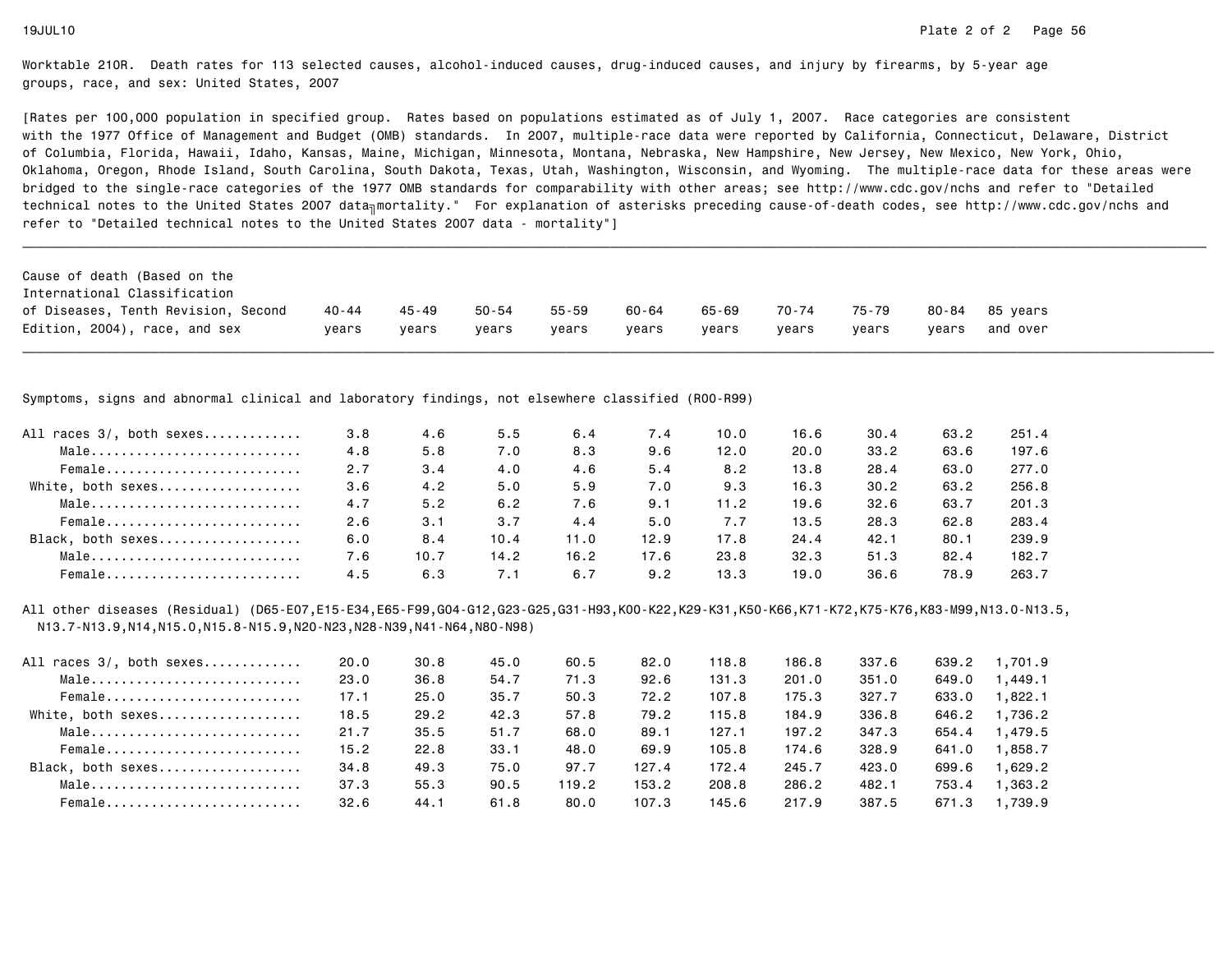[Rates per 100,000 population in specified group. Rates based on populations estimated as of July 1, 2007. Race categories are consistent with the 1977 Office of Management and Budget (OMB) standards. In 2007, multiple-race data were reported by California, Connecticut, Delaware, Districtof Columbia, Florida, Hawaii, Idaho, Kansas, Maine, Michigan, Minnesota, Montana, Nebraska, New Hampshire, New Jersey, New Mexico, New York, Ohio, Oklahoma, Oregon, Rhode Island, South Carolina, South Dakota, Texas, Utah, Washington, Wisconsin, and Wyoming. The multiple-race data for these areas werebridged to the single-race categories of the 1977 OMB standards for comparability with other areas; see http://www.cdc.gov/nchs and refer to "Detailedtechnical notes to the United States 2007 data<sub>∏</sub>mortality." For explanation of asterisks preceding cause-of-death codes, see http://www.cdc.gov/nchs and refer to "Detailed technical notes to the United States 2007 data - mortality"]

| Cause of death (Based on the        |         |       |       |           |       |       |       |       |       |          |
|-------------------------------------|---------|-------|-------|-----------|-------|-------|-------|-------|-------|----------|
| International Classification        |         |       |       |           |       |       |       |       |       |          |
| of Diseases, Tenth Revision, Second | 40 - 44 | 45-49 | 50-54 | $55 - 59$ | 60-64 | 65-69 | 70-74 | 75-79 | 80-84 | 85 vears |
| Edition, 2004), race, and sex       | vears   | vears | vears | vears     | vears | vears | vears | vears | vears | and over |

\_\_\_\_\_\_\_\_\_\_\_\_\_\_\_\_\_\_\_\_\_\_\_\_\_\_\_\_\_\_\_\_\_\_\_\_\_\_\_\_\_\_\_\_\_\_\_\_\_\_\_\_\_\_\_\_\_\_\_\_\_\_\_\_\_\_\_\_\_\_\_\_\_\_\_\_\_\_\_\_\_\_\_\_\_\_\_\_\_\_\_\_\_\_\_\_\_\_\_\_\_\_\_\_\_\_\_\_\_\_\_\_\_\_\_\_\_\_\_\_\_\_\_\_\_\_\_\_\_\_\_\_\_\_\_\_\_\_\_\_\_\_\_\_\_\_\_\_\_\_\_\_\_\_\_\_\_\_

Symptoms, signs and abnormal clinical and laboratory findings, not elsewhere classified (R00-R99)

| All races 3/, both sexes | 3.8 | 4.6  | 5.5  | 6.4  | 7.4  | 10.0 | 16.6 | 30.4 | 63.2 | 251.4 |
|--------------------------|-----|------|------|------|------|------|------|------|------|-------|
| Male                     | 4.8 | 5.8  | 7.0  | 8.3  | 9.6  | 12.0 | 20.0 | 33.2 | 63.6 | 197.6 |
| Female                   | 2.7 | 3.4  | 4.0  | 4.6  | 5.4  | 8.2  | 13.8 | 28.4 | 63.0 | 277.0 |
| White, both sexes        | 3.6 | 4.2  | 5.0  | 5.9  | 7.0  | 9.3  | 16.3 | 30.2 | 63.2 | 256.8 |
| Male                     | 4.7 | 5.2  | 6.2  | 7.6  | 9.1  | 11.2 | 19.6 | 32.6 | 63.7 | 201.3 |
| Female                   | 2.6 | 3.1  | 3.7  | 4.4  | 5.0  | 7.7  | 13.5 | 28.3 | 62.8 | 283.4 |
| Black, both sexes        | 6.0 | 8.4  | 10.4 | 11.0 | 12.9 | 17.8 | 24.4 | 42.1 | 80.1 | 239.9 |
| Male                     | 7.6 | 10.7 | 14.2 | 16.2 | 17.6 | 23.8 | 32.3 | 51.3 | 82.4 | 182.7 |
| Female                   | 4.5 | 6.3  | 7.1  | 6.7  | 9.2  | 13.3 | 19.0 | 36.6 | 78.9 | 263.7 |

All other diseases (Residual) (D65-E07,E15-E34,E65-F99,G04-G12,G23-G25,G31-H93,K00-K22,K29-K31,K50-K66,K71-K72,K75-K76,K83-M99,N13.0-N13.5,N13.7-N13.9,N14,N15.0,N15.8-N15.9,N20-N23,N28-N39,N41-N64,N80-N98)

| All races 3/, both sexes | 20.0 | 30.8 | 45.0 | 60.5  | 82.0  | 118.8 | 186.8 | 337.6 | 639.2 | 1,701.9 |
|--------------------------|------|------|------|-------|-------|-------|-------|-------|-------|---------|
| Male                     | 23.0 | 36.8 | 54.7 | 71.3  | 92.6  | 131.3 | 201.0 | 351.0 | 649.0 | 1.449.1 |
| Female                   | 17.1 | 25.0 | 35.7 | 50.3  | 72.2  | 107.8 | 175.3 | 327.7 | 633.0 | 1,822.1 |
| White, both sexes        | 18.5 | 29.2 | 42.3 | 57.8  | 79.2  | 115.8 | 184.9 | 336.8 | 646.2 | 1,736.2 |
| Male                     | 21.7 | 35.5 | 51.7 | 68.0  | 89.1  | 127.1 | 197.2 | 347.3 | 654.4 | 1.479.5 |
| Female                   | 15.2 | 22.8 | 33.1 | 48.0  | 69.9  | 105.8 | 174.6 | 328.9 | 641.0 | 1,858.7 |
| Black, both sexes        | 34.8 | 49.3 | 75.0 | 97.7  | 127.4 | 172.4 | 245.7 | 423.0 | 699.6 | 1.629.2 |
| Male                     | 37.3 | 55.3 | 90.5 | 119.2 | 153.2 | 208.8 | 286.2 | 482.1 | 753.4 | 1,363,2 |
| Female                   | 32.6 | 44.1 | 61.8 | 80.0  | 107.3 | 145.6 | 217.9 | 387.5 | 671.3 | 1,739.9 |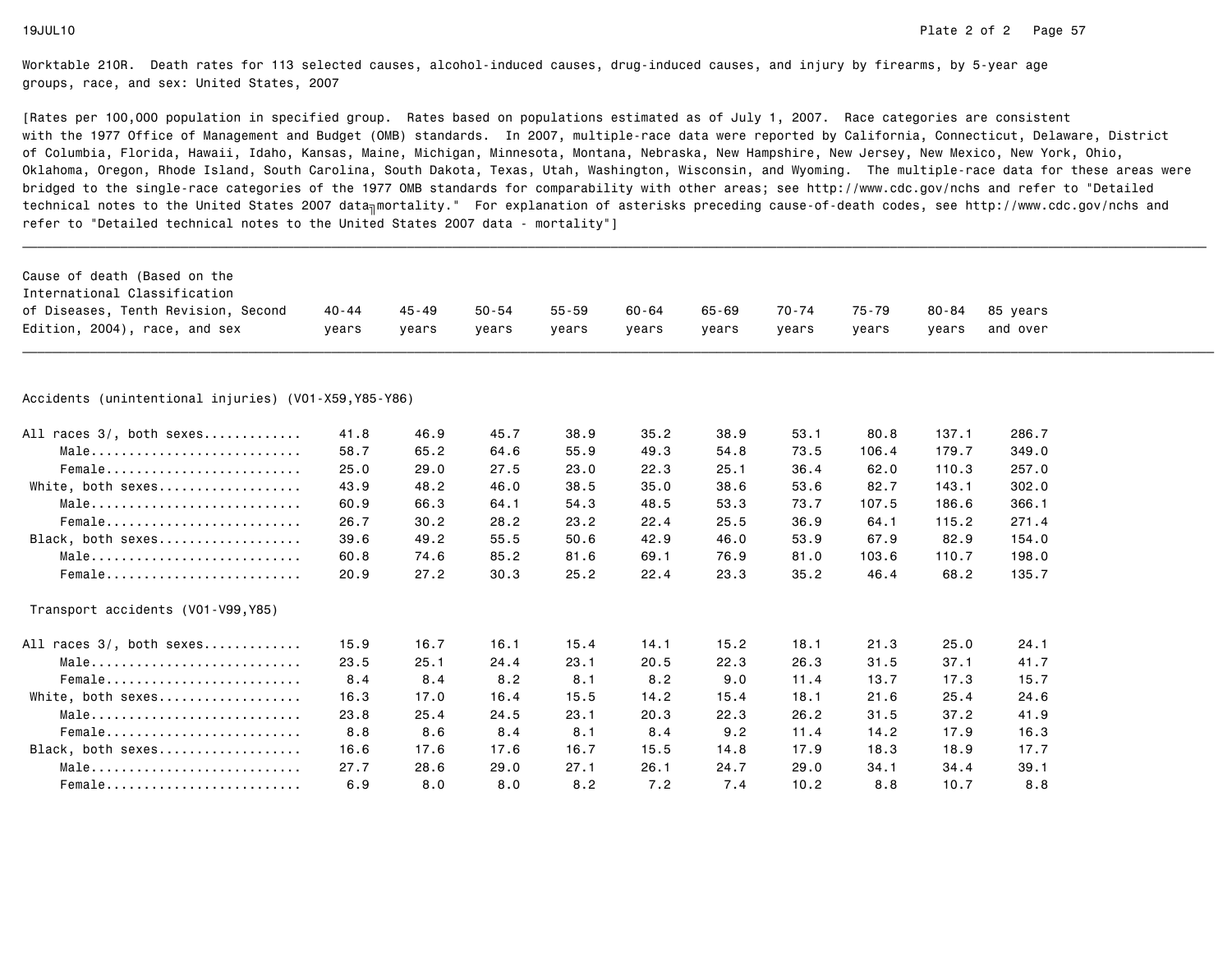| Cause of death (Based on the                          |       |           |           |           |       |           |       |       |           |          |  |
|-------------------------------------------------------|-------|-----------|-----------|-----------|-------|-----------|-------|-------|-----------|----------|--|
| International Classification                          |       |           |           |           |       |           |       |       |           |          |  |
| of Diseases, Tenth Revision, Second                   | 40-44 | $45 - 49$ | $50 - 54$ | $55 - 59$ | 60-64 | $65 - 69$ | 70-74 | 75-79 | $80 - 84$ | 85 years |  |
| Edition, 2004), race, and sex                         | years | years     | years     | years     | years | years     | years | years | years     | and over |  |
|                                                       |       |           |           |           |       |           |       |       |           |          |  |
|                                                       |       |           |           |           |       |           |       |       |           |          |  |
| Accidents (unintentional injuries) (V01-X59, Y85-Y86) |       |           |           |           |       |           |       |       |           |          |  |
| All races 3/, both sexes                              | 41.8  | 46.9      | 45.7      | 38.9      | 35.2  | 38.9      | 53.1  | 80.8  | 137.1     | 286.7    |  |
| Male                                                  | 58.7  | 65.2      | 64.6      | 55.9      | 49.3  | 54.8      | 73.5  | 106.4 | 179.7     | 349.0    |  |
| Female                                                | 25.0  | 29.0      | 27.5      | 23.0      | 22.3  | 25.1      | 36.4  | 62.0  | 110.3     | 257.0    |  |
| White, both sexes                                     | 43.9  | 48.2      | 46.0      | 38.5      | 35.0  | 38.6      | 53.6  | 82.7  | 143.1     | 302.0    |  |
| Male                                                  | 60.9  | 66.3      | 64.1      | 54.3      | 48.5  | 53.3      | 73.7  | 107.5 | 186.6     | 366.1    |  |
| Female                                                | 26.7  | 30.2      | 28.2      | 23.2      | 22.4  | 25.5      | 36.9  | 64.1  | 115.2     | 271.4    |  |
| Black, both sexes                                     | 39.6  | 49.2      | 55.5      | 50.6      | 42.9  | 46.0      | 53.9  | 67.9  | 82.9      | 154.0    |  |
| Male                                                  | 60.8  | 74.6      | 85.2      | 81.6      | 69.1  | 76.9      | 81.0  | 103.6 | 110.7     | 198.0    |  |
| Female                                                | 20.9  | 27.2      | 30.3      | 25.2      | 22.4  | 23.3      | 35.2  | 46.4  | 68.2      | 135.7    |  |
| Transport accidents (V01-V99, Y85)                    |       |           |           |           |       |           |       |       |           |          |  |
| All races 3/, both sexes                              | 15.9  | 16.7      | 16.1      | 15.4      | 14.1  | 15.2      | 18.1  | 21.3  | 25.0      | 24.1     |  |
| Male                                                  | 23.5  | 25.1      | 24.4      | 23.1      | 20.5  | 22.3      | 26.3  | 31.5  | 37.1      | 41.7     |  |
| Female                                                | 8.4   | 8.4       | 8.2       | 8.1       | 8.2   | 9.0       | 11.4  | 13.7  | 17.3      | 15.7     |  |
| White, both sexes                                     | 16.3  | 17.0      | 16.4      | 15.5      | 14.2  | 15.4      | 18.1  | 21.6  | 25.4      | 24.6     |  |
| Male                                                  | 23.8  | 25.4      | 24.5      | 23.1      | 20.3  | 22.3      | 26.2  | 31.5  | 37.2      | 41.9     |  |
| Female                                                | 8.8   | 8.6       | 8.4       | 8.1       | 8.4   | 9.2       | 11.4  | 14.2  | 17.9      | 16.3     |  |
| Black, both sexes                                     | 16.6  | 17.6      | 17.6      | 16.7      | 15.5  | 14.8      | 17.9  | 18.3  | 18.9      | 17.7     |  |
| Male                                                  | 27.7  | 28.6      | 29.0      | 27.1      | 26.1  | 24.7      | 29.0  | 34.1  | 34.4      | 39.1     |  |
| Female                                                | 6.9   | 8.0       | 8.0       | 8.2       | 7.2   | 7.4       | 10.2  | 8.8   | 10.7      | 8.8      |  |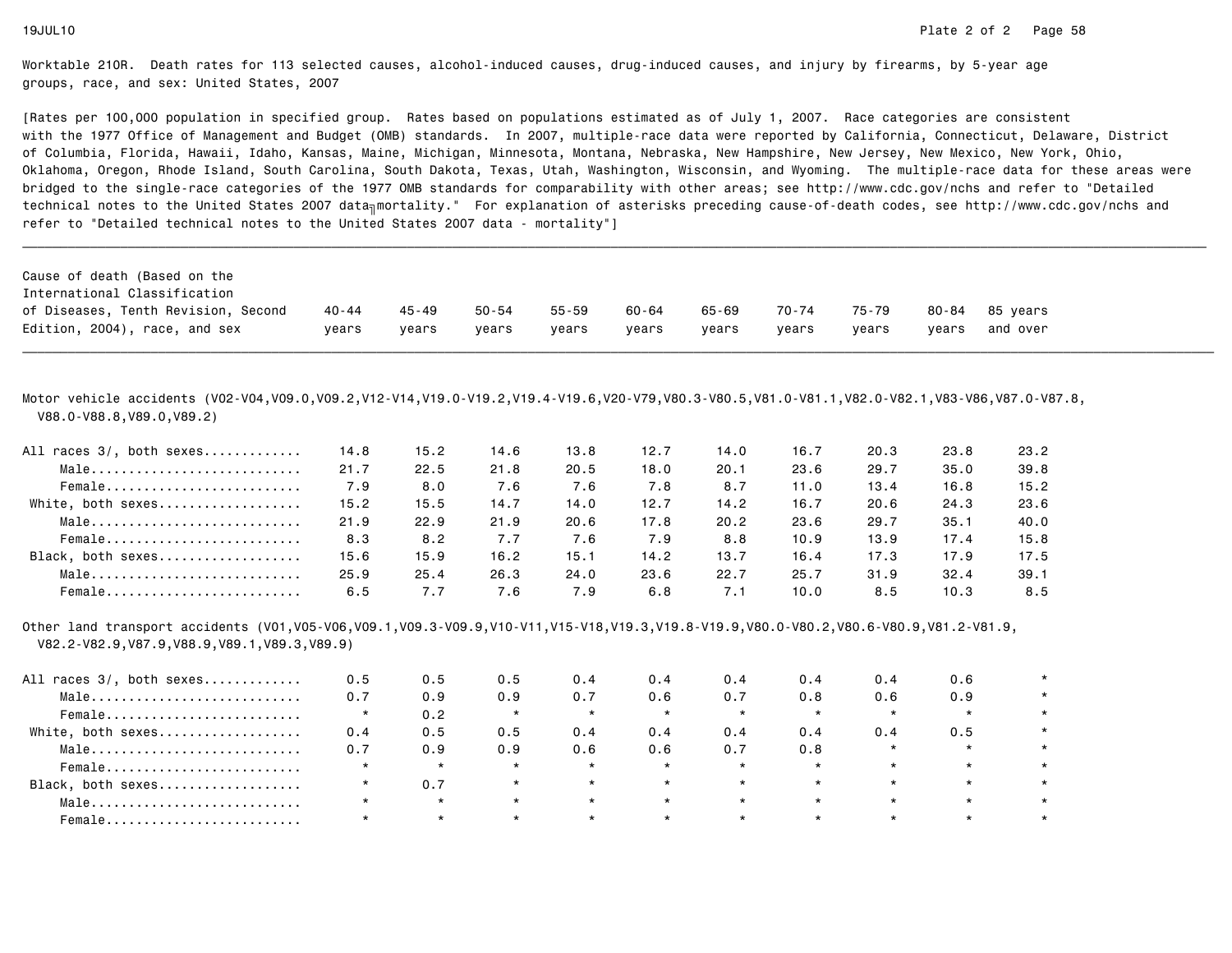[Rates per 100,000 population in specified group. Rates based on populations estimated as of July 1, 2007. Race categories are consistent with the 1977 Office of Management and Budget (OMB) standards. In 2007, multiple-race data were reported by California, Connecticut, Delaware, Districtof Columbia, Florida, Hawaii, Idaho, Kansas, Maine, Michigan, Minnesota, Montana, Nebraska, New Hampshire, New Jersey, New Mexico, New York, Ohio, Oklahoma, Oregon, Rhode Island, South Carolina, South Dakota, Texas, Utah, Washington, Wisconsin, and Wyoming. The multiple-race data for these areas werebridged to the single-race categories of the 1977 OMB standards for comparability with other areas; see http://www.cdc.gov/nchs and refer to "Detailedtechnical notes to the United States 2007 data<sub>∏</sub>mortality." For explanation of asterisks preceding cause-of-death codes, see http://www.cdc.gov/nchs and refer to "Detailed technical notes to the United States 2007 data - mortality"]

| Cause of death (Based on the                                        |       |       |       |       |       |       |       |       |       |          |
|---------------------------------------------------------------------|-------|-------|-------|-------|-------|-------|-------|-------|-------|----------|
| International Classification<br>of Diseases, Tenth Revision, Second | 40-44 | 45-49 | 50-54 | 55-59 | 60-64 | 65-69 | 70-74 | 75-79 | 80-84 | 85 vears |
| Edition, 2004), race, and sex                                       | years | years | years | years | years | years | vears | vears | vears | and over |

\_\_\_\_\_\_\_\_\_\_\_\_\_\_\_\_\_\_\_\_\_\_\_\_\_\_\_\_\_\_\_\_\_\_\_\_\_\_\_\_\_\_\_\_\_\_\_\_\_\_\_\_\_\_\_\_\_\_\_\_\_\_\_\_\_\_\_\_\_\_\_\_\_\_\_\_\_\_\_\_\_\_\_\_\_\_\_\_\_\_\_\_\_\_\_\_\_\_\_\_\_\_\_\_\_\_\_\_\_\_\_\_\_\_\_\_\_\_\_\_\_\_\_\_\_\_\_\_\_\_\_\_\_\_\_\_\_\_\_\_\_\_\_\_\_\_\_\_\_\_\_\_\_\_\_\_\_\_

Motor vehicle accidents (V02-V04,V09.0,V09.2,V12-V14,V19.0-V19.2,V19.4-V19.6,V20-V79,V80.3-V80.5,V81.0-V81.1,V82.0-V82.1,V83-V86,V87.0-V87.8,V88.0-V88.8,V89.0,V89.2)

| All races 3/, both sexes | 14.8 | 15.2 | 14.6 | 13.8 | 12.7 | 14.0 | 16.7 | 20.3 | 23.8 | 23.2 |
|--------------------------|------|------|------|------|------|------|------|------|------|------|
| Male                     | 21.7 | 22.5 | 21.8 | 20.5 | 18.0 | 20.1 | 23.6 | 29.7 | 35.0 | 39.8 |
| Female                   | 7.9  | 8.0  | 7.6  | 7.6  | 7.8  | 8.7  | 11.0 | 13.4 | 16.8 | 15.2 |
| White, both sexes        | 15.2 | 15.5 | 14.7 | 14.0 | 12.7 | 14.2 | 16.7 | 20.6 | 24.3 | 23.6 |
| Male                     | 21.9 | 22.9 | 21.9 | 20.6 | 17.8 | 20.2 | 23.6 | 29.7 | 35.1 | 40.0 |
| Female                   | 8.3  | 8.2  | 7.7  | 7.6  | 7.9  | 8.8  | 10.9 | 13.9 | 17.4 | 15.8 |
| Black, both sexes        | 15.6 | 15.9 | 16.2 | 15.1 | 14.2 | 13.7 | 16.4 | 17.3 | 17.9 | 17.5 |
| Male                     | 25.9 | 25.4 | 26.3 | 24.0 | 23.6 | 22.7 | 25.7 | 31.9 | 32.4 | 39.1 |
| Female                   | 6.5  | 7.7  | 7.6  | 7.9  | 6.8  | 7.1  | 10.0 | 8.5  | 10.3 | 8.5  |

Other land transport accidents (V01,V05-V06,V09.1,V09.3-V09.9,V10-V11,V15-V18,V19.3,V19.8-V19.9,V80.0-V80.2,V80.6-V80.9,V81.2-V81.9,V82.2-V82.9,V87.9,V88.9,V89.1,V89.3,V89.9)

| All races 3/, both sexes | 0.5 | 0.5     | 0.5     | 0.4     | 0.4     | 0.4     | 0.4     | 0.4     | 0.6     |  |
|--------------------------|-----|---------|---------|---------|---------|---------|---------|---------|---------|--|
| Male                     | 0.7 | 0.9     | 0.9     | 0.7     | 0.6     | 0.7     | 0.8     | 0.6     | 0.9     |  |
| Female                   |     | 0.2     |         | $\star$ | $\star$ | $\star$ | $\star$ |         | $\star$ |  |
| White, both sexes        | 0.4 | 0.5     | 0.5     | 0.4     | 0.4     | 0.4     | 0.4     | 0.4     | 0.5     |  |
| Male                     | 0.7 | 0.9     | 0.9     | 0.6     | 0.6     | 0.7     | 0.8     |         | $\star$ |  |
| Female                   |     | $\star$ |         | $\star$ | $\star$ | $\star$ | $\star$ |         | $\star$ |  |
| Black, both sexes        |     | 0.7     | $\star$ | $\star$ | $\star$ | $\star$ | $\star$ | $\star$ | $\star$ |  |
| Male                     |     | $\star$ | $\star$ | $\star$ | $\star$ | $\star$ | $\star$ |         | $\star$ |  |
| Female                   |     | $\star$ |         | $\star$ | $\star$ |         | $\star$ |         | $\star$ |  |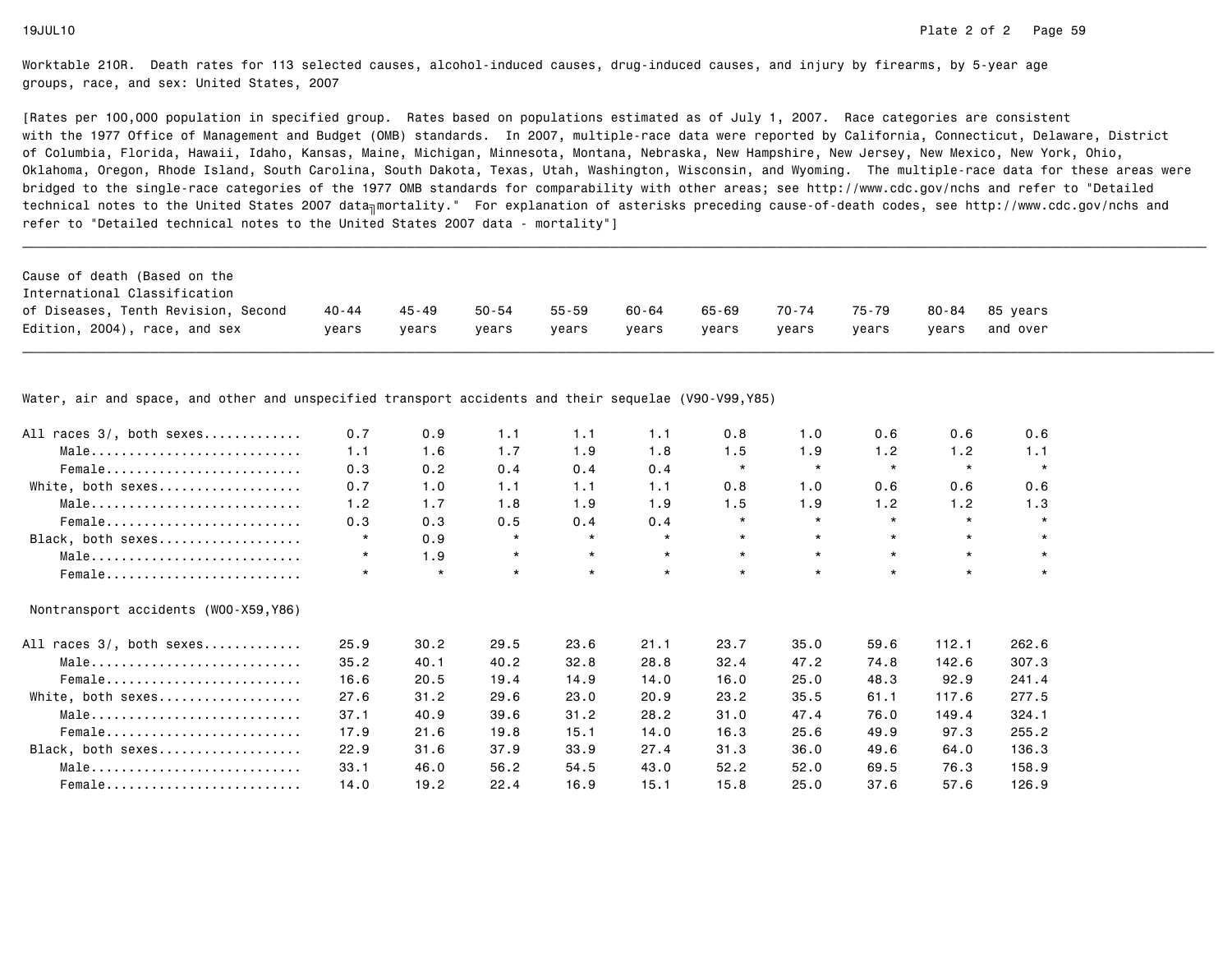[Rates per 100,000 population in specified group. Rates based on populations estimated as of July 1, 2007. Race categories are consistent with the 1977 Office of Management and Budget (OMB) standards. In 2007, multiple-race data were reported by California, Connecticut, Delaware, Districtof Columbia, Florida, Hawaii, Idaho, Kansas, Maine, Michigan, Minnesota, Montana, Nebraska, New Hampshire, New Jersey, New Mexico, New York, Ohio, Oklahoma, Oregon, Rhode Island, South Carolina, South Dakota, Texas, Utah, Washington, Wisconsin, and Wyoming. The multiple-race data for these areas werebridged to the single-race categories of the 1977 OMB standards for comparability with other areas; see http://www.cdc.gov/nchs and refer to "Detailedtechnical notes to the United States 2007 data<sub>∏</sub>mortality." For explanation of asterisks preceding cause-of-death codes, see http://www.cdc.gov/nchs and refer to "Detailed technical notes to the United States 2007 data - mortality"]

| Cause of death (Based on the        |         |       |       |       |       |       |       |       |       |                |
|-------------------------------------|---------|-------|-------|-------|-------|-------|-------|-------|-------|----------------|
| International Classification        |         |       |       |       |       |       |       |       |       |                |
| of Diseases, Tenth Revision, Second | 40 - 44 | 45-49 | 50-54 | 55-59 | 60-64 | 65-69 | 70-74 | 75-79 |       | 80-84 85 vears |
| Edition, 2004), race, and sex       | vears   | vears | vears | vears | vears | vears | vears | vears | vears | and over       |

\_\_\_\_\_\_\_\_\_\_\_\_\_\_\_\_\_\_\_\_\_\_\_\_\_\_\_\_\_\_\_\_\_\_\_\_\_\_\_\_\_\_\_\_\_\_\_\_\_\_\_\_\_\_\_\_\_\_\_\_\_\_\_\_\_\_\_\_\_\_\_\_\_\_\_\_\_\_\_\_\_\_\_\_\_\_\_\_\_\_\_\_\_\_\_\_\_\_\_\_\_\_\_\_\_\_\_\_\_\_\_\_\_\_\_\_\_\_\_\_\_\_\_\_\_\_\_\_\_\_\_\_\_\_\_\_\_\_\_\_\_\_\_\_\_\_\_\_\_\_\_\_\_\_\_\_\_\_

Water, air and space, and other and unspecified transport accidents and their sequelae (V90-V99,Y85)

| All races 3/, both sexes              | 0.7     | 0.9     | 1.1     | 1.1     | 1.1     | 0.8     | 1.0     | 0.6     | 0.6     | 0.6     |
|---------------------------------------|---------|---------|---------|---------|---------|---------|---------|---------|---------|---------|
| Male                                  | 1.1     | 1.6     | 1.7     | 1.9     | 1.8     | 1.5     | 1.9     | 1.2     | 1.2     | 1.1     |
| Female                                | 0.3     | 0.2     | 0.4     | 0.4     | 0.4     | $\star$ | $\star$ | $\star$ | $\star$ | $\star$ |
| White, both sexes                     | 0.7     | 1.0     | 1.1     | 1.1     | 1.1     | 0.8     | 1.0     | 0.6     | 0.6     | 0.6     |
| Male                                  | 1.2     | 1.7     | 1.8     | 1.9     | 1.9     | 1.5     | 1.9     | 1.2     | 1.2     | 1.3     |
| Female                                | 0.3     | 0.3     | 0.5     | 0.4     | 0.4     | $\star$ | $\star$ | $\star$ | $\star$ | $\star$ |
| Black, both sexes                     | $\star$ | 0.9     | $\star$ | $\star$ | $\star$ | $\star$ | $\star$ | $\star$ | $\star$ | $\star$ |
| Male                                  | $\star$ | 1.9     | $\star$ | $\star$ | $\star$ | $\star$ | $\star$ | $\star$ | $\star$ | $\star$ |
| Female                                | $\star$ | $\star$ | $\star$ | $\star$ | $\star$ | $\star$ | $\star$ | $\star$ | $\star$ | $\star$ |
| Nontransport accidents (WOO-X59, Y86) |         |         |         |         |         |         |         |         |         |         |
| All races 3/, both sexes              | 25.9    | 30.2    | 29.5    | 23.6    | 21.1    | 23.7    | 35.0    | 59.6    | 112.1   | 262.6   |
| Male                                  | 35.2    | 40.1    | 40.2    | 32.8    | 28.8    | 32.4    | 47.2    | 74.8    | 142.6   | 307.3   |
| Female                                | 16.6    | 20.5    | 19.4    | 14.9    | 14.0    | 16.0    | 25.0    | 48.3    | 92.9    | 241.4   |
| White, both sexes                     | 27.6    | 31.2    | 29.6    | 23.0    | 20.9    | 23.2    | 35.5    | 61.1    | 117.6   | 277.5   |
| Male                                  | 37.1    | 40.9    | 39.6    | 31.2    | 28.2    | 31.0    | 47.4    | 76.0    | 149.4   | 324.1   |
| Female                                | 17.9    | 21.6    | 19.8    | 15.1    | 14.0    | 16.3    | 25.6    | 49.9    | 97.3    | 255.2   |
| Black, both sexes                     | 22.9    | 31.6    | 37.9    | 33.9    | 27.4    | 31.3    | 36.0    | 49.6    | 64.0    | 136.3   |
| Male                                  | 33.1    | 46.0    | 56.2    | 54.5    | 43.0    | 52.2    | 52.0    | 69.5    | 76.3    | 158.9   |
| Female                                | 14.0    | 19.2    | 22.4    | 16.9    | 15.1    | 15.8    | 25.0    | 37.6    | 57.6    | 126.9   |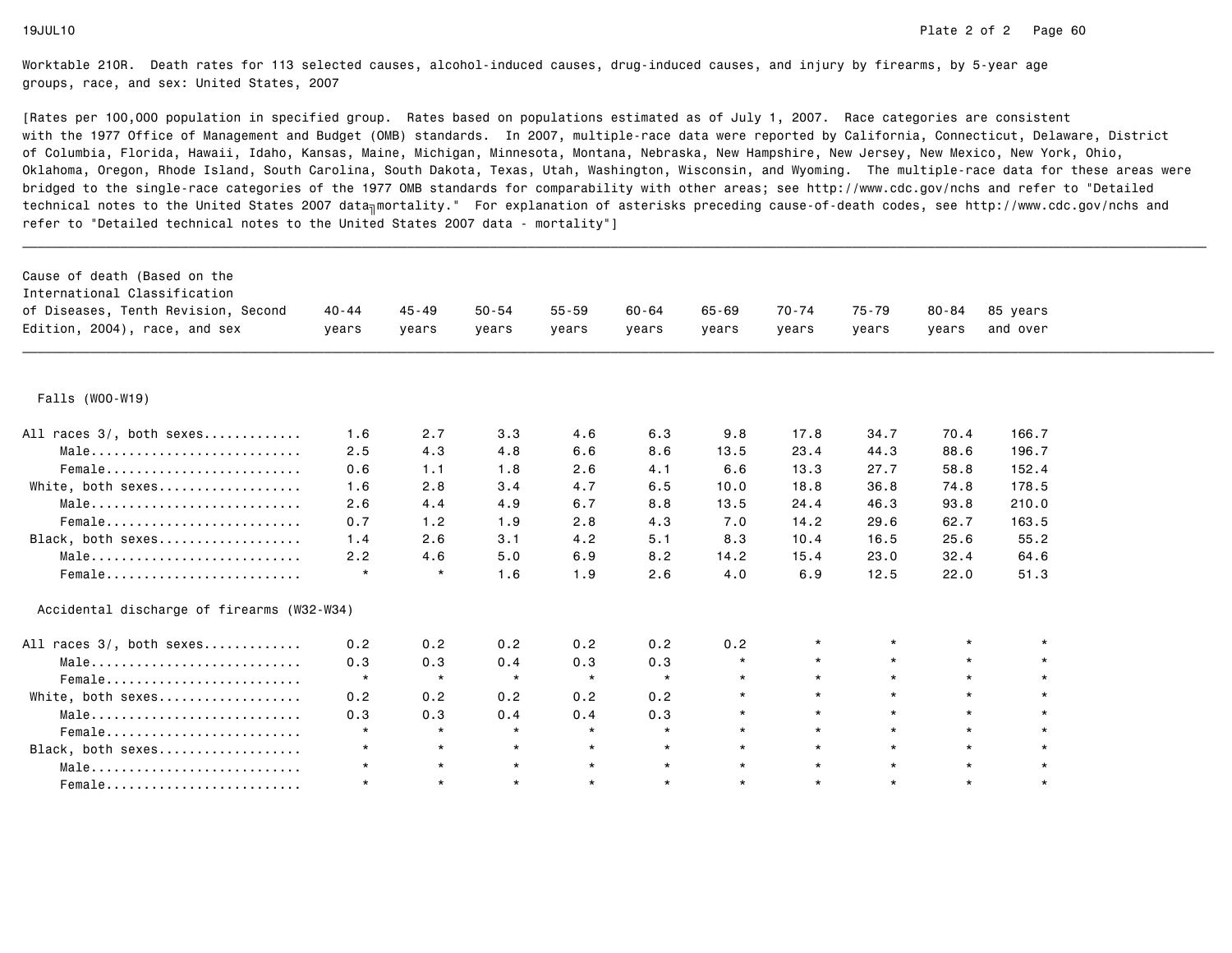| Cause of death (Based on the<br>International Classification |           |           |           |           |           |           |           |           |           |          |  |
|--------------------------------------------------------------|-----------|-----------|-----------|-----------|-----------|-----------|-----------|-----------|-----------|----------|--|
| of Diseases, Tenth Revision, Second                          | $40 - 44$ | $45 - 49$ | $50 - 54$ | $55 - 59$ | $60 - 64$ | $65 - 69$ | $70 - 74$ | $75 - 79$ | $80 - 84$ | 85 years |  |
| Edition, 2004), race, and sex                                | vears     | vears     | years     | vears     | years     | vears     | years     | years     | vears     | and over |  |
|                                                              |           |           |           |           |           |           |           |           |           |          |  |
| Falls (WOO-W19)                                              |           |           |           |           |           |           |           |           |           |          |  |
| All races 3/, both sexes                                     | 1.6       | 2.7       | 3.3       | 4.6       | 6.3       | 9.8       | 17.8      | 34.7      | 70.4      | 166.7    |  |
| Male                                                         | 2.5       | 4.3       | 4.8       | 6.6       | 8.6       | 13.5      | 23.4      | 44.3      | 88.6      | 196.7    |  |
| Female                                                       | 0.6       | 1.1       | 1.8       | 2.6       | 4.1       | 6.6       | 13.3      | 27.7      | 58.8      | 152.4    |  |
| White, both sexes                                            | 1.6       | 2.8       | 3.4       | 4.7       | 6.5       | 10.0      | 18.8      | 36.8      | 74.8      | 178.5    |  |
| Male                                                         | 2.6       | 4.4       | 4.9       | 6.7       | 8.8       | 13.5      | 24.4      | 46.3      | 93.8      | 210.0    |  |
| Female                                                       | 0.7       | 1.2       | 1.9       | 2.8       | 4.3       | 7.0       | 14.2      | 29.6      | 62.7      | 163.5    |  |
| Black, both sexes                                            | 1.4       | 2.6       | 3.1       | 4.2       | 5.1       | 8.3       | 10.4      | 16.5      | 25.6      | 55.2     |  |
| Male                                                         | 2.2       | 4.6       | 5.0       | 6.9       | 8.2       | 14.2      | 15.4      | 23.0      | 32.4      | 64.6     |  |
| Female                                                       | $\star$   | $\star$   | 1.6       | 1.9       | 2.6       | 4.0       | 6.9       | 12.5      | 22.0      | 51.3     |  |
| Accidental discharge of firearms (W32-W34)                   |           |           |           |           |           |           |           |           |           |          |  |
| All races 3/, both sexes                                     | 0.2       | 0.2       | 0.2       | 0.2       | 0.2       | 0.2       |           | $\star$   | $\star$   |          |  |
| Male                                                         | 0.3       | 0.3       | 0.4       | 0.3       | 0.3       | $\star$   | $\star$   | $\star$   | $\star$   | $\star$  |  |
| Female                                                       | $\star$   | $\star$   | $\star$   | $\star$   | $\star$   | $\star$   | $\star$   | $\star$   | $\star$   |          |  |
| White, both sexes                                            | 0.2       | 0.2       | 0.2       | 0.2       | 0.2       | $\star$   | $\star$   | $\star$   | $\star$   |          |  |
| Male                                                         | 0.3       | 0.3       | 0.4       | 0.4       | 0.3       | $\star$   | $\star$   | $\star$   | $\star$   |          |  |
| Female                                                       | $\star$   | $\star$   | $\star$   | $\star$   | $\star$   | $\star$   | $\star$   | $\star$   | $\star$   |          |  |
| Black, both sexes                                            | $\star$   | $\star$   | $\star$   | $\star$   | $\star$   | $\star$   | $\star$   | $\star$   | $\star$   |          |  |
| Male                                                         |           | $\star$   | $\star$   | $\star$   | $\star$   | $\star$   | $\star$   | $\star$   | $\star$   |          |  |
| $Female$                                                     | $\star$   | $\star$   | $\star$   | $\star$   | $\star$   | $\star$   | $\star$   | $\star$   | $\star$   | $\star$  |  |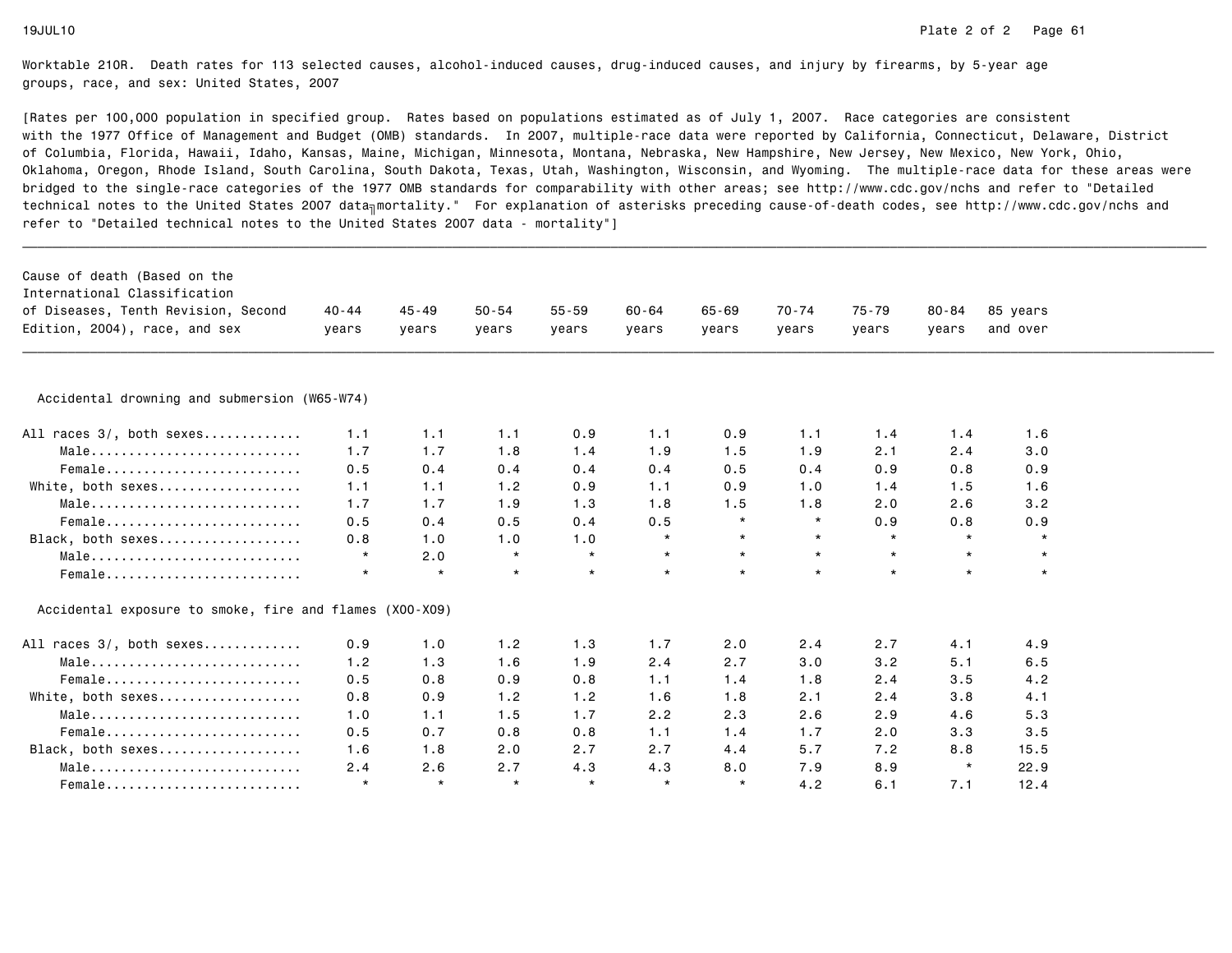| Cause of death (Based on the<br>International Classification |           |         |           |           |           |           |         |         |           |          |  |
|--------------------------------------------------------------|-----------|---------|-----------|-----------|-----------|-----------|---------|---------|-----------|----------|--|
| of Diseases, Tenth Revision, Second                          | $40 - 44$ | 45 - 49 | $50 - 54$ | $55 - 59$ | $60 - 64$ | $65 - 69$ | 70-74   | 75-79   | $80 - 84$ | 85 years |  |
| Edition, 2004), race, and sex                                | years     | years   | years     | years     | years     | years     | years   | years   | years     | and over |  |
|                                                              |           |         |           |           |           |           |         |         |           |          |  |
| Accidental drowning and submersion (W65-W74)                 |           |         |           |           |           |           |         |         |           |          |  |
| All races 3/, both sexes                                     | 1.1       | 1.1     | 1.1       | 0.9       | 1.1       | 0.9       | 1.1     | 1.4     | 1.4       | 1.6      |  |
| Male                                                         | 1.7       | 1.7     | 1.8       | 1.4       | 1.9       | 1.5       | 1.9     | 2.1     | 2.4       | 3.0      |  |
| Female                                                       | 0.5       | 0.4     | 0.4       | 0.4       | 0.4       | 0.5       | 0.4     | 0.9     | 0.8       | 0.9      |  |
| White, both sexes                                            | 1.1       | 1.1     | 1.2       | 0.9       | 1.1       | 0.9       | 1.0     | 1.4     | 1.5       | 1.6      |  |
| Male                                                         | 1.7       | 1.7     | 1.9       | 1.3       | 1.8       | 1.5       | 1.8     | 2.0     | 2.6       | 3.2      |  |
| Female                                                       | 0.5       | 0.4     | 0.5       | 0.4       | 0.5       | $\star$   | $\star$ | 0.9     | 0.8       | 0.9      |  |
| Black, both sexes                                            | 0.8       | 1.0     | 1.0       | 1.0       | $\star$   | $\star$   | $\star$ | $\star$ | $\star$   | $\star$  |  |
| Male                                                         | $\star$   | 2.0     | $\star$   | $\star$   | $\star$   | $\star$   | $\star$ | $\star$ | $\star$   | $\star$  |  |
| Female                                                       | $\star$   | $\star$ | $\star$   | $\star$   | $\star$   | $\star$   | $\star$ | $\star$ | $\star$   | $\star$  |  |
| Accidental exposure to smoke, fire and flames (X00-X09)      |           |         |           |           |           |           |         |         |           |          |  |
| All races 3/, both sexes                                     | 0.9       | 1.0     | 1.2       | 1.3       | 1.7       | 2.0       | 2.4     | 2.7     | 4.1       | 4.9      |  |
| Male                                                         | 1.2       | 1.3     | 1.6       | 1.9       | 2.4       | 2.7       | 3.0     | 3.2     | 5.1       | 6.5      |  |
| Female                                                       | 0.5       | 0.8     | 0.9       | 0.8       | 1.1       | 1.4       | 1.8     | 2.4     | 3.5       | 4.2      |  |
| White, both sexes                                            | 0.8       | 0.9     | 1.2       | 1.2       | 1.6       | 1.8       | 2.1     | 2.4     | 3.8       | 4.1      |  |
| Male                                                         | 1.0       | 1.1     | 1.5       | 1.7       | 2.2       | 2.3       | 2.6     | 2.9     | 4.6       | 5.3      |  |
| Female                                                       | 0.5       | 0.7     | 0.8       | 0.8       | 1.1       | 1.4       | 1.7     | 2.0     | 3.3       | 3.5      |  |
| Black, both sexes                                            | 1.6       | 1.8     | 2.0       | 2.7       | 2.7       | 4.4       | 5.7     | 7.2     | 8.8       | 15.5     |  |
| Male                                                         | 2.4       | 2.6     | 2.7       | 4.3       | 4.3       | 8.0       | 7.9     | 8.9     | $\star$   | 22.9     |  |
| Female                                                       | $\star$   | $\star$ | $\star$   | $\star$   | $\star$   | $\star$   | 4.2     | 6.1     | 7.1       | 12.4     |  |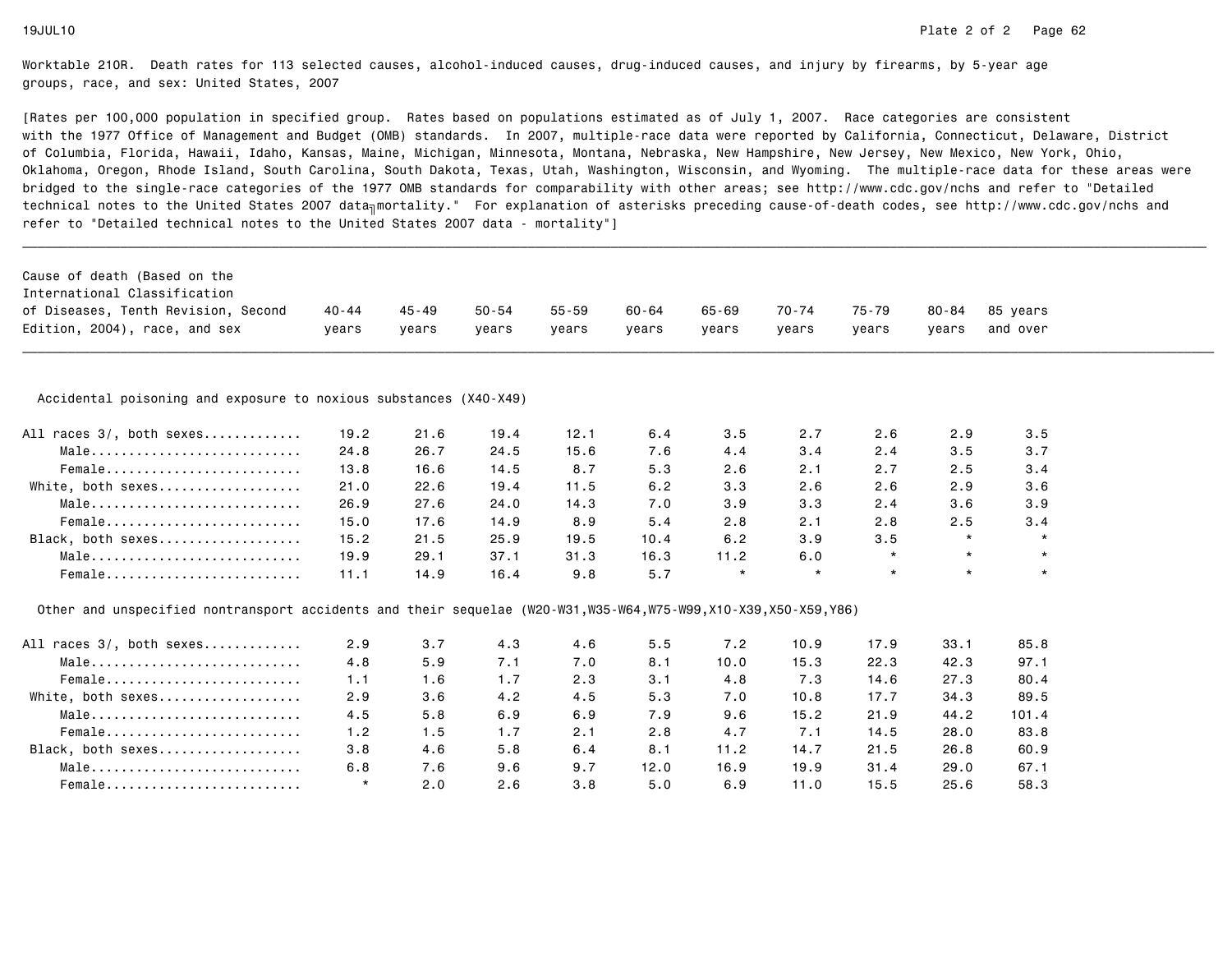| International Classification<br>of Diseases, Tenth Revision, Second<br>Edition, 2004), race, and sex<br>Accidental poisoning and exposure to noxious substances (X40-X49)<br>All races 3/, both sexes<br>Male<br>Female<br>White, both sexes<br>Male<br>Female<br>Black, both sexes<br>Male | $40 - 44$<br>years | $45 - 49$ | $50 - 54$ |           |           |           |         |           |           |          |
|---------------------------------------------------------------------------------------------------------------------------------------------------------------------------------------------------------------------------------------------------------------------------------------------|--------------------|-----------|-----------|-----------|-----------|-----------|---------|-----------|-----------|----------|
|                                                                                                                                                                                                                                                                                             |                    |           |           |           |           |           |         |           |           |          |
|                                                                                                                                                                                                                                                                                             |                    |           |           | $55 - 59$ | $60 - 64$ | $65 - 69$ | 70-74   | $75 - 79$ | $80 - 84$ | 85 years |
|                                                                                                                                                                                                                                                                                             |                    | vears     | vears     | years     | years     | vears     | years   | years     | years     | and over |
|                                                                                                                                                                                                                                                                                             |                    |           |           |           |           |           |         |           |           |          |
|                                                                                                                                                                                                                                                                                             |                    |           |           |           |           |           |         |           |           |          |
|                                                                                                                                                                                                                                                                                             | 19.2               | 21.6      | 19.4      | 12.1      | 6.4       | 3.5       | 2.7     | 2.6       | 2.9       | 3.5      |
|                                                                                                                                                                                                                                                                                             | 24.8               | 26.7      | 24.5      | 15.6      | 7.6       | 4.4       | 3.4     | 2.4       | 3.5       | 3.7      |
|                                                                                                                                                                                                                                                                                             | 13.8               | 16.6      | 14.5      | 8.7       | 5.3       | 2.6       | 2.1     | 2.7       | 2.5       | 3.4      |
|                                                                                                                                                                                                                                                                                             | 21.0               | 22.6      | 19.4      | 11.5      | 6.2       | 3.3       | 2.6     | 2.6       | 2.9       | 3.6      |
|                                                                                                                                                                                                                                                                                             | 26.9               | 27.6      | 24.0      | 14.3      | 7.0       | 3.9       | 3.3     | 2.4       | 3.6       | 3.9      |
|                                                                                                                                                                                                                                                                                             | 15.0               | 17.6      | 14.9      | 8.9       | 5.4       | 2.8       | 2.1     | 2.8       | 2.5       | 3.4      |
|                                                                                                                                                                                                                                                                                             | 15.2               | 21.5      | 25.9      | 19.5      | 10.4      | 6.2       | 3.9     | 3.5       | $\star$   | $\star$  |
|                                                                                                                                                                                                                                                                                             | 19.9               | 29.1      | 37.1      | 31.3      | 16.3      | 11.2      | 6.0     | $\star$   | $\star$   | $\star$  |
| Female                                                                                                                                                                                                                                                                                      | 11.1               | 14.9      | 16.4      | 9.8       | 5.7       | $\star$   | $\star$ | $\star$   | $\star$   | $\star$  |
| Other and unspecified nontransport accidents and their sequelae (W20-W31,W35-W64,W75-W99,X10-X39,X50-X59,Y86)                                                                                                                                                                               |                    |           |           |           |           |           |         |           |           |          |
| All races 3/, both sexes                                                                                                                                                                                                                                                                    | 2.9                | 3.7       | 4.3       | 4.6       | 5.5       | 7.2       | 10.9    | 17.9      | 33.1      | 85.8     |
| Male                                                                                                                                                                                                                                                                                        | 4.8                | 5.9       | 7.1       | 7.0       | 8.1       | 10.0      | 15.3    | 22.3      | 42.3      | 97.1     |
| Female                                                                                                                                                                                                                                                                                      | 1.1                | 1.6       | 1.7       | 2.3       | 3.1       | 4.8       | 7.3     | 14.6      | 27.3      | 80.4     |
| White, both sexes                                                                                                                                                                                                                                                                           | 2.9                | 3.6       | 4.2       | 4.5       | 5.3       | 7.0       | 10.8    | 17.7      | 34.3      | 89.5     |
| Male                                                                                                                                                                                                                                                                                        | 4.5                | 5.8       | 6.9       | 6.9       | 7.9       | 9.6       | 15.2    | 21.9      | 44.2      | 101.4    |
| Female                                                                                                                                                                                                                                                                                      | 1.2                | 1.5       | 1.7       | 2.1       | 2.8       | 4.7       | 7.1     | 14.5      | 28.0      | 83.8     |
| Black, both sexes                                                                                                                                                                                                                                                                           | 3.8                | 4.6       | 5.8       | 6.4       | 8.1       | 11.2      | 14.7    | 21.5      | 26.8      | 60.9     |
| Male                                                                                                                                                                                                                                                                                        | 6.8                | 7.6       | 9.6       | 9.7       | 12.0      | 16.9      | 19.9    | 31.4      | 29.0      | 67.1     |
| Female                                                                                                                                                                                                                                                                                      | $\star$            | 2.0       | 2.6       | 3.8       | 5.0       | 6.9       | 11.0    | 15.5      | 25.6      | 58.3     |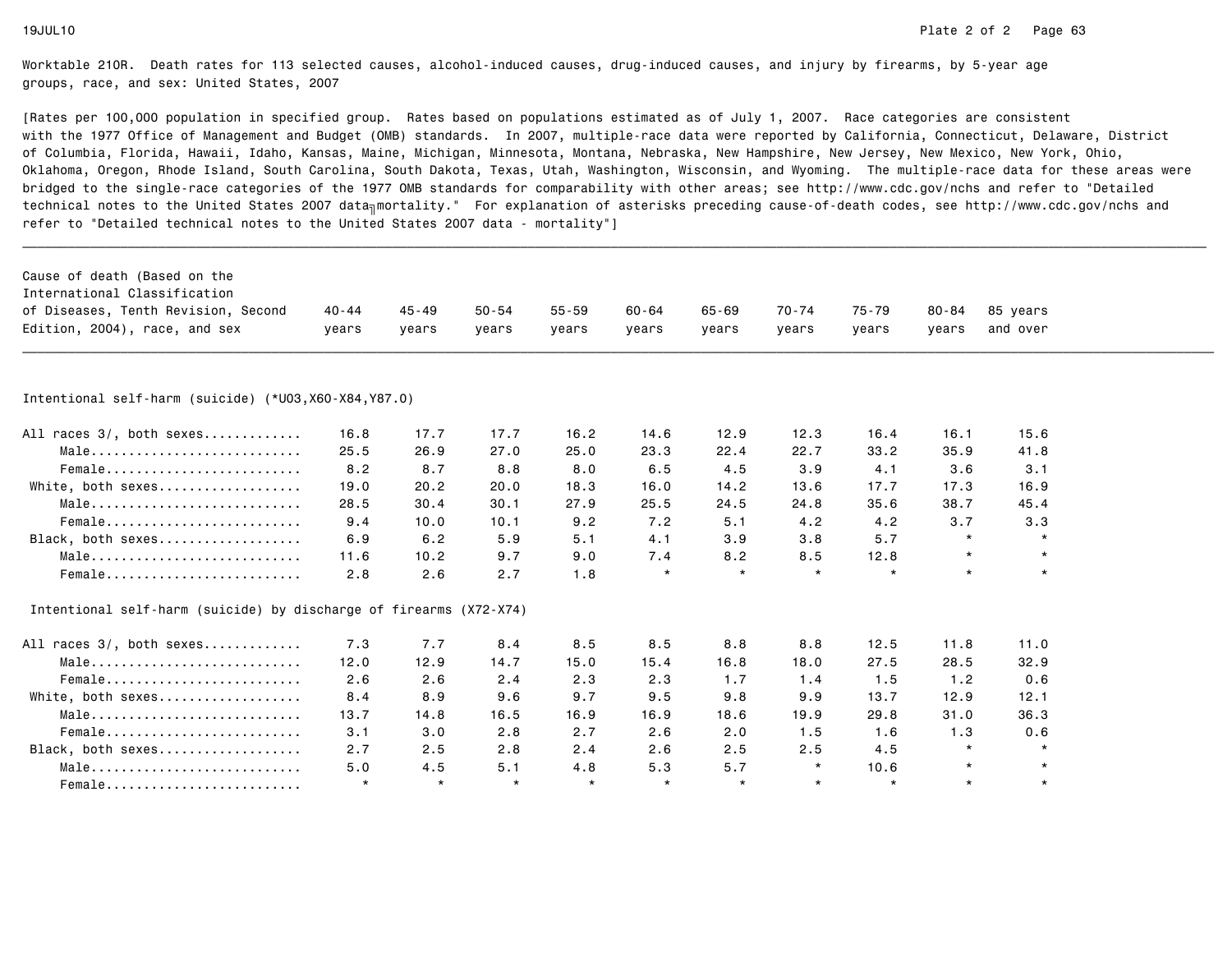| Cause of death (Based on the                                       |           |         |           |           |         |           |           |         |           |          |  |
|--------------------------------------------------------------------|-----------|---------|-----------|-----------|---------|-----------|-----------|---------|-----------|----------|--|
| International Classification                                       |           |         |           |           |         |           |           |         |           |          |  |
| of Diseases, Tenth Revision, Second                                | $40 - 44$ | 45-49   | $50 - 54$ | $55 - 59$ | 60-64   | $65 - 69$ | $70 - 74$ | 75-79   | $80 - 84$ | 85 years |  |
| Edition, 2004), race, and sex                                      | years     | years   | years     | years     | years   | years     | years     | years   | years     | and over |  |
|                                                                    |           |         |           |           |         |           |           |         |           |          |  |
| Intentional self-harm (suicide) (*U03,X60-X84,Y87.0)               |           |         |           |           |         |           |           |         |           |          |  |
| All races 3/, both sexes                                           | 16.8      | 17.7    | 17.7      | 16.2      | 14.6    | 12.9      | 12.3      | 16.4    | 16.1      | 15.6     |  |
| Male                                                               | 25.5      | 26.9    | 27.0      | 25.0      | 23.3    | 22.4      | 22.7      | 33.2    | 35.9      | 41.8     |  |
| Female                                                             | 8.2       | 8.7     | 8.8       | 8.0       | 6.5     | 4.5       | 3.9       | 4.1     | 3.6       | 3.1      |  |
| White, both sexes                                                  | 19.0      | 20.2    | 20.0      | 18.3      | 16.0    | 14.2      | 13.6      | 17.7    | 17.3      | 16.9     |  |
| Male                                                               | 28.5      | 30.4    | 30.1      | 27.9      | 25.5    | 24.5      | 24.8      | 35.6    | 38.7      | 45.4     |  |
| Female                                                             | 9.4       | 10.0    | 10.1      | 9.2       | 7.2     | 5.1       | 4.2       | 4.2     | 3.7       | 3.3      |  |
| Black, both sexes                                                  | 6.9       | 6.2     | 5.9       | 5.1       | 4.1     | 3.9       | 3.8       | 5.7     | $\star$   | $\star$  |  |
| Male                                                               | 11.6      | 10.2    | 9.7       | 9.0       | 7.4     | 8.2       | 8.5       | 12.8    | $\star$   | $\star$  |  |
| Female                                                             | 2.8       | 2.6     | 2.7       | 1.8       | $\star$ | $\star$   | $\star$   | $\star$ | $\star$   | $\star$  |  |
| Intentional self-harm (suicide) by discharge of firearms (X72-X74) |           |         |           |           |         |           |           |         |           |          |  |
| All races 3/, both sexes                                           | 7.3       | 7.7     | 8.4       | 8.5       | 8.5     | 8.8       | 8.8       | 12.5    | 11.8      | 11.0     |  |
| $Male \dots \dots \dots \dots \dots \dots \dots \dots \dots \dots$ | 12.0      | 12.9    | 14.7      | 15.0      | 15.4    | 16.8      | 18.0      | 27.5    | 28.5      | 32.9     |  |
| Female                                                             | 2.6       | 2.6     | 2.4       | 2.3       | 2.3     | 1.7       | 1.4       | 1.5     | 1.2       | 0.6      |  |
| White, both sexes                                                  | 8.4       | 8.9     | 9.6       | 9.7       | 9.5     | 9.8       | 9.9       | 13.7    | 12.9      | 12.1     |  |
| Male                                                               | 13.7      | 14.8    | 16.5      | 16.9      | 16.9    | 18.6      | 19.9      | 29.8    | 31.0      | 36.3     |  |
| Female                                                             | 3.1       | 3.0     | 2.8       | 2.7       | 2.6     | 2.0       | 1.5       | 1.6     | 1.3       | 0.6      |  |
| Black, both sexes                                                  | 2.7       | 2.5     | 2.8       | 2.4       | 2.6     | 2.5       | 2.5       | 4.5     | $\star$   |          |  |
| Male                                                               | 5.0       | 4.5     | 5.1       | 4.8       | 5.3     | 5.7       | $\star$   | 10.6    | $\star$   |          |  |
| Female                                                             | $\star$   | $\star$ | $\star$   | $\star$   | $\star$ | $\star$   | $\star$   | $\star$ | $\star$   | $\star$  |  |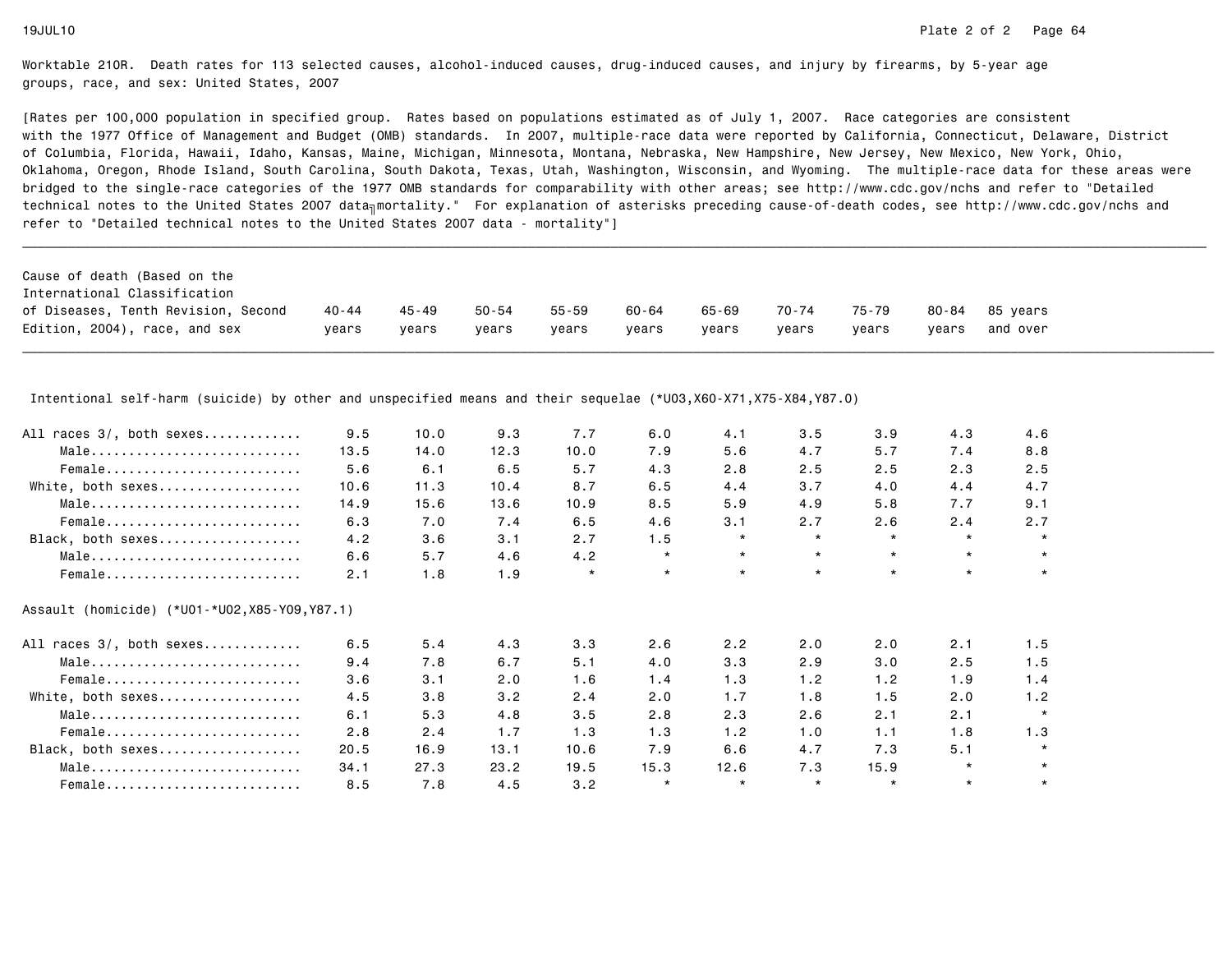[Rates per 100,000 population in specified group. Rates based on populations estimated as of July 1, 2007. Race categories are consistent with the 1977 Office of Management and Budget (OMB) standards. In 2007, multiple-race data were reported by California, Connecticut, Delaware, Districtof Columbia, Florida, Hawaii, Idaho, Kansas, Maine, Michigan, Minnesota, Montana, Nebraska, New Hampshire, New Jersey, New Mexico, New York, Ohio, Oklahoma, Oregon, Rhode Island, South Carolina, South Dakota, Texas, Utah, Washington, Wisconsin, and Wyoming. The multiple-race data for these areas werebridged to the single-race categories of the 1977 OMB standards for comparability with other areas; see http://www.cdc.gov/nchs and refer to "Detailedtechnical notes to the United States 2007 data<sub>∏</sub>mortality." For explanation of asterisks preceding cause-of-death codes, see http://www.cdc.gov/nchs and refer to "Detailed technical notes to the United States 2007 data - mortality"]

| 70-74<br>65-69<br>40 - 44<br>55-59<br>60-64<br>45 - 49<br>50-54<br>75-79<br>80-84 85 vears<br>and over<br>years<br>vears<br>vears<br>vears<br>vears<br>vears<br>years<br>vears<br>vears | Cause of death (Based on the        |  |  |  |  |  |
|-----------------------------------------------------------------------------------------------------------------------------------------------------------------------------------------|-------------------------------------|--|--|--|--|--|
|                                                                                                                                                                                         | International Classification        |  |  |  |  |  |
|                                                                                                                                                                                         | of Diseases, Tenth Revision, Second |  |  |  |  |  |
|                                                                                                                                                                                         | Edition, 2004), race, and sex       |  |  |  |  |  |

Intentional self-harm (suicide) by other and unspecified means and their sequelae (\*U03,X60-X71,X75-X84,Y87.0)

| All races 3/, both sexes | 9.5  | 10.0 | 9.3  | 7.7     | 6.0     | 4.1     | 3.5     | 3.9     | 4.3     | 4.6     |
|--------------------------|------|------|------|---------|---------|---------|---------|---------|---------|---------|
| Male                     | 13.5 | 14.0 | 12.3 | 10.0    | 7.9     | 5.6     | 4.7     | 5.7     | 7.4     | 8.8     |
| Female                   | 5.6  | 6.1  | 6.5  | 5.7     | 4.3     | 2.8     | 2.5     | 2.5     | 2.3     | 2.5     |
| White, both sexes        | 10.6 | 11.3 | 10.4 | 8.7     | 6.5     | 4.4     | 3.7     | 4.0     | 4.4     | 4.7     |
| Male                     | 14.9 | 15.6 | 13.6 | 10.9    | 8.5     | 5.9     | 4.9     | 5.8     | 7.7     | 9.1     |
| Female                   | 6.3  | 7.0  | 7.4  | 6.5     | 4.6     | 3.1     | 2.7     | 2.6     | 2.4     | 2.7     |
| Black, both sexes        | 4.2  | 3.6  | 3.1  | 2.7     | 1.5     | $\star$ | $\star$ | $\star$ | $\star$ | $\star$ |
| Male                     | 6.6  | 5.7  | 4.6  | 4.2     | $\star$ | $\star$ | $\star$ | $\star$ | $\star$ | $\star$ |
| Female                   | 2.1  | 1.8  | 1.9  | $\star$ | $\star$ | $\star$ | $\star$ | $\star$ | $\star$ | $\star$ |
|                          | 6.5  | 5.4  | 4.3  | 3.3     | 2.6     | 2.2     | 2.0     | 2.0     | 2.1     | 1.5     |
| All races 3/, both sexes |      |      |      |         |         |         |         |         |         |         |
| Male                     | 9.4  | 7.8  | 6.7  | 5.1     | 4.0     | 3.3     | 2.9     | 3.0     | 2.5     | 1.5     |
| Female                   | 3.6  | 3.1  | 2.0  | 1.6     | 1.4     | 1.3     | 1.2     | 1.2     | 1.9     | 1.4     |
| White, both sexes        | 4.5  | 3.8  | 3.2  | 2.4     | 2.0     | 1.7     | 1.8     | 1.5     | 2.0     | 1.2     |
| Male                     | 6.1  | 5.3  | 4.8  | 3.5     | 2.8     | 2.3     | 2.6     | 2.1     | 2.1     |         |
| Female                   | 2.8  | 2.4  | 1.7  | 1.3     | 1.3     | 1.2     | 1.0     | 1.1     | 1.8     | 1.3     |
| Black, both sexes        | 20.5 | 16.9 | 13.1 | 10.6    | 7.9     | 6.6     | 4.7     | 7.3     | 5.1     | $\star$ |
| Male                     | 34.1 | 27.3 | 23.2 | 19.5    | 15.3    | 12.6    | 7.3     | 15.9    | $\star$ |         |
| Female                   | 8.5  | 7.8  | 4.5  | 3.2     | $\star$ |         | $\star$ |         | $\star$ | $\star$ |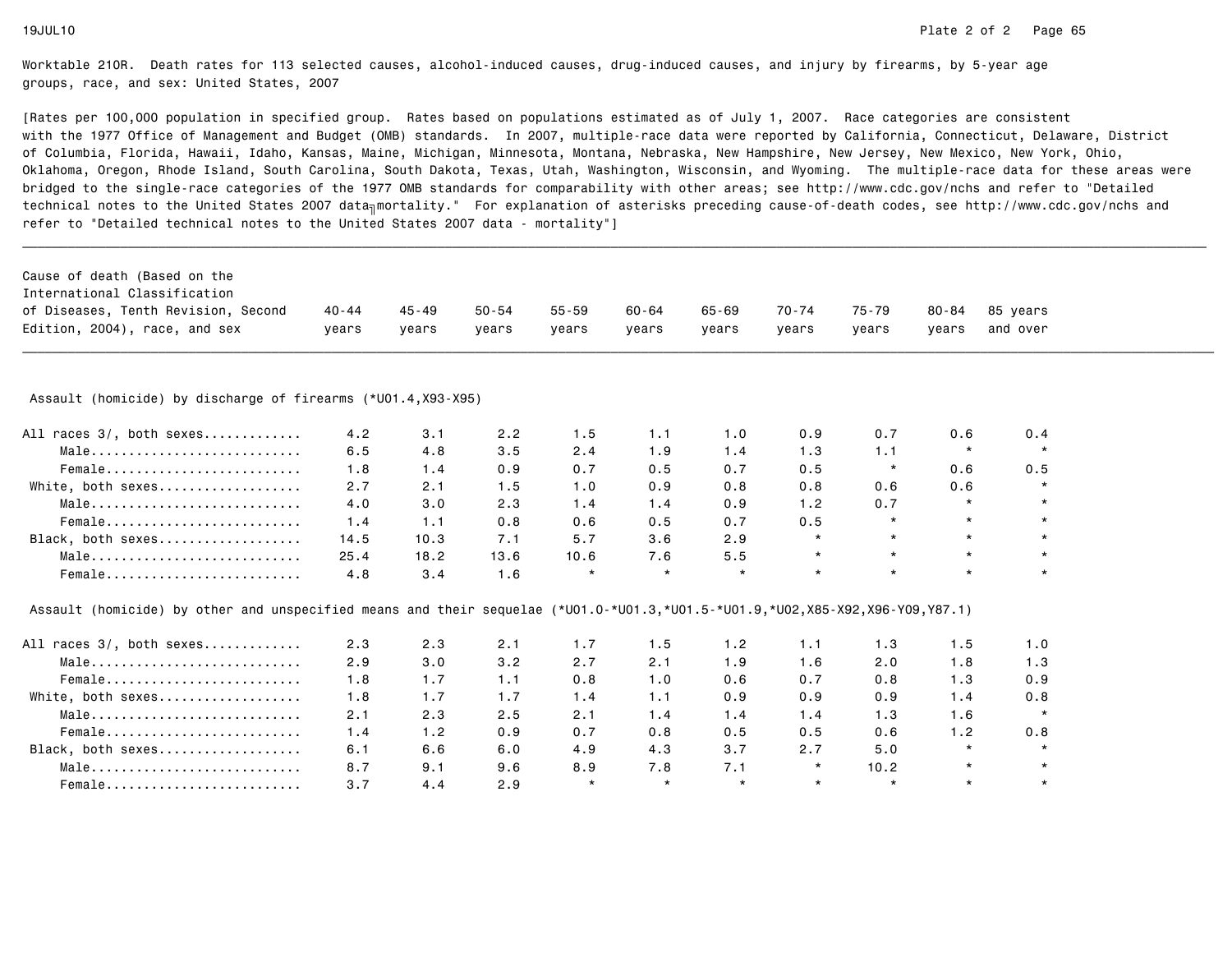| Cause of death (Based on the                                                                                                  |           |         |           |           |         |         |         |         |           |          |  |
|-------------------------------------------------------------------------------------------------------------------------------|-----------|---------|-----------|-----------|---------|---------|---------|---------|-----------|----------|--|
| International Classification                                                                                                  |           |         |           |           |         |         |         |         |           |          |  |
| of Diseases, Tenth Revision, Second                                                                                           | $40 - 44$ | 45 - 49 | $50 - 54$ | $55 - 59$ | 60-64   | 65-69   | 70-74   | 75-79   | $80 - 84$ | 85 years |  |
| Edition, 2004), race, and sex                                                                                                 | years     | years   | years     | years     | years   | years   | years   | years   | years     | and over |  |
|                                                                                                                               |           |         |           |           |         |         |         |         |           |          |  |
| Assault (homicide) by discharge of firearms (*U01.4,X93-X95)                                                                  |           |         |           |           |         |         |         |         |           |          |  |
| All races 3/, both sexes                                                                                                      | 4.2       | 3.1     | 2.2       | 1.5       | 1.1     | 1.0     | 0.9     | 0.7     | 0.6       | 0.4      |  |
| Male                                                                                                                          | 6.5       | 4.8     | 3.5       | 2.4       | 1.9     | 1.4     | 1.3     | 1.1     | $\star$   | $\star$  |  |
| Female                                                                                                                        | 1.8       | 1.4     | 0.9       | 0.7       | 0.5     | 0.7     | 0.5     | $\star$ | 0.6       | 0.5      |  |
| White, both sexes                                                                                                             | 2.7       | 2.1     | 1.5       | 1.0       | 0.9     | 0.8     | 0.8     | 0.6     | 0.6       | $\star$  |  |
| Male                                                                                                                          | 4.0       | 3.0     | 2.3       | 1.4       | 1.4     | 0.9     | 1.2     | 0.7     | $\star$   |          |  |
| Female                                                                                                                        | 1.4       | 1.1     | 0.8       | 0.6       | 0.5     | 0.7     | 0.5     | $\star$ |           |          |  |
| Black, both sexes                                                                                                             | 14.5      | 10.3    | 7.1       | 5.7       | 3.6     | 2.9     | $\star$ | $\star$ | $\star$   |          |  |
| Male                                                                                                                          | 25.4      | 18.2    | 13.6      | 10.6      | 7.6     | 5.5     | $\star$ | $\star$ | $\star$   |          |  |
| Female                                                                                                                        | 4.8       | 3.4     | 1.6       | $\star$   | $\star$ | $\star$ | $\star$ | $\star$ | $\star$   | $\star$  |  |
| Assault (homicide) by other and unspecified means and their sequelae (*U01.0-*U01.3,*U01.5-*U01.9,*U02,X85-X92,X96-Y09,Y87.1) |           |         |           |           |         |         |         |         |           |          |  |
| All races 3/, both sexes                                                                                                      | 2.3       | 2.3     | 2.1       | 1.7       | 1.5     | 1.2     | 1.1     | 1.3     | 1.5       | 1.0      |  |
| Male                                                                                                                          | 2.9       | 3.0     | 3.2       | 2.7       | 2.1     | 1.9     | 1.6     | 2.0     | 1.8       | 1.3      |  |
| Female                                                                                                                        | 1.8       | 1.7     | 1.1       | 0.8       | 1.0     | 0.6     | 0.7     | 0.8     | 1.3       | 0.9      |  |
| White, both sexes                                                                                                             | 1.8       | 1.7     | 1.7       | 1.4       | 1.1     | 0.9     | 0.9     | 0.9     | 1.4       | 0.8      |  |
| Male                                                                                                                          | 2.1       | 2.3     | 2.5       | 2.1       | 1.4     | 1.4     | 1.4     | 1.3     | 1.6       | $\star$  |  |
| Female                                                                                                                        | 1.4       | 1.2     | 0.9       | 0.7       | 0.8     | 0.5     | 0.5     | 0.6     | 1.2       | 0.8      |  |
| Black, both sexes                                                                                                             | 6.1       | 6.6     | 6.0       | 4.9       | 4.3     | 3.7     | 2.7     | 5.0     | $\star$   | $\star$  |  |
| Male                                                                                                                          | 8.7       | 9.1     | 9.6       | 8.9       | 7.8     | 7.1     | $\star$ | 10.2    | $\star$   | $\star$  |  |
| Female                                                                                                                        | 3.7       | 4.4     | 2.9       | $\star$   | $\star$ | $\star$ | $\star$ | $\star$ | $\star$   | $\star$  |  |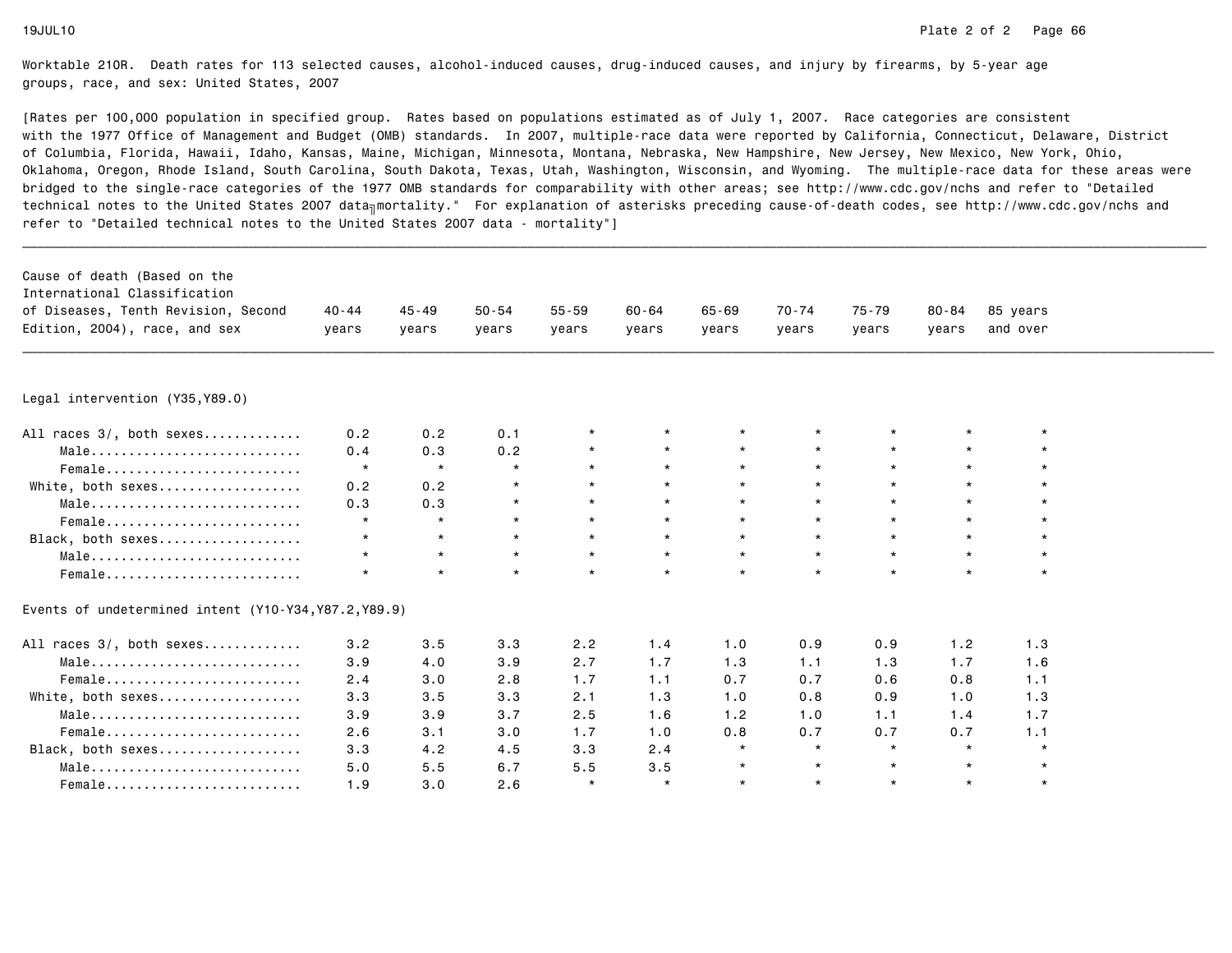| Cause of death (Based on the<br>International Classification<br>of Diseases, Tenth Revision, Second | $40 - 44$ | $45 - 49$ | $50 - 54$ | $55 - 59$ | $60 - 64$ | $65 - 69$ | $70 - 74$ | 75-79   | $80 - 84$ | 85 years |  |
|-----------------------------------------------------------------------------------------------------|-----------|-----------|-----------|-----------|-----------|-----------|-----------|---------|-----------|----------|--|
| Edition, 2004), race, and sex                                                                       | vears     | years     | years     | years     | years     | vears     | years     | years   | vears     | and over |  |
|                                                                                                     |           |           |           |           |           |           |           |         |           |          |  |
| Legal intervention (Y35, Y89.0)                                                                     |           |           |           |           |           |           |           |         |           |          |  |
| All races 3/, both sexes                                                                            | 0.2       | 0.2       | 0.1       |           | $\star$   |           |           |         |           |          |  |
| $Male \dots \dots \dots \dots \dots \dots \dots \dots \dots$                                        | 0.4       | 0.3       | 0.2       |           | $\star$   | $\star$   |           | $\star$ | $\star$   |          |  |
| Female                                                                                              | $\star$   | $\star$   | $\star$   | $\star$   | $\star$   | $\star$   | $\star$   | $\star$ | $\star$   |          |  |
| White, both sexes                                                                                   | 0.2       | 0.2       | $\star$   |           | $\star$   | $\star$   |           | $\star$ | $\star$   |          |  |
| Male                                                                                                | 0.3       | 0.3       | $\star$   |           | $\star$   | $\star$   | $\star$   | $\star$ | $\star$   |          |  |
| Female                                                                                              | $\star$   | $\star$   | $\star$   |           | $\star$   | $\star$   |           | $\star$ | $\star$   |          |  |
| Black, both sexes                                                                                   | $\star$   | $\star$   | $\star$   | $\star$   | $\star$   | $\star$   | $\star$   | $\star$ | $\star$   |          |  |
| Male                                                                                                | $\star$   | $\star$   | $\star$   | $\star$   | $\star$   | $\star$   | $\star$   | $\star$ | $\star$   |          |  |
| Female                                                                                              | $\star$   | $\star$   | $\star$   | $\star$   | $\star$   | $\star$   | $\star$   | $\star$ | $\star$   | $\star$  |  |
| Events of undetermined intent (Y10-Y34, Y87.2, Y89.9)                                               |           |           |           |           |           |           |           |         |           |          |  |
| All races 3/, both sexes                                                                            | 3.2       | 3.5       | 3.3       | 2.2       | 1.4       | 1.0       | 0.9       | 0.9     | 1.2       | 1.3      |  |
| $Male \dots \dots \dots \dots \dots \dots \dots \dots \dots$                                        | 3.9       | 4.0       | 3.9       | 2.7       | 1.7       | 1.3       | 1.1       | 1.3     | 1.7       | 1.6      |  |
| Female                                                                                              | 2.4       | 3.0       | 2.8       | 1.7       | 1.1       | 0.7       | 0.7       | 0.6     | 0.8       | 1.1      |  |
| White, both sexes                                                                                   | 3.3       | 3.5       | 3.3       | 2.1       | 1.3       | 1.0       | 0.8       | 0.9     | 1.0       | 1.3      |  |
| Male                                                                                                | 3.9       | 3.9       | 3.7       | 2.5       | 1.6       | 1.2       | 1.0       | 1.1     | 1.4       | 1.7      |  |
| Female                                                                                              | 2.6       | 3.1       | 3.0       | 1.7       | 1.0       | 0.8       | 0.7       | 0.7     | 0.7       | 1.1      |  |
| Black, both sexes                                                                                   | 3.3       | 4.2       | 4.5       | 3.3       | 2.4       | $\star$   | $\star$   | $\star$ | $\star$   | $\star$  |  |
| Male                                                                                                | 5.0       | 5.5       | 6.7       | 5.5       | 3.5       | $\star$   | $\star$   | $\star$ | $\star$   | $\star$  |  |
| Female                                                                                              | 1.9       | 3.0       | 2.6       | $\star$   | $\star$   | $\star$   | $\star$   | $\star$ | $\star$   | $\star$  |  |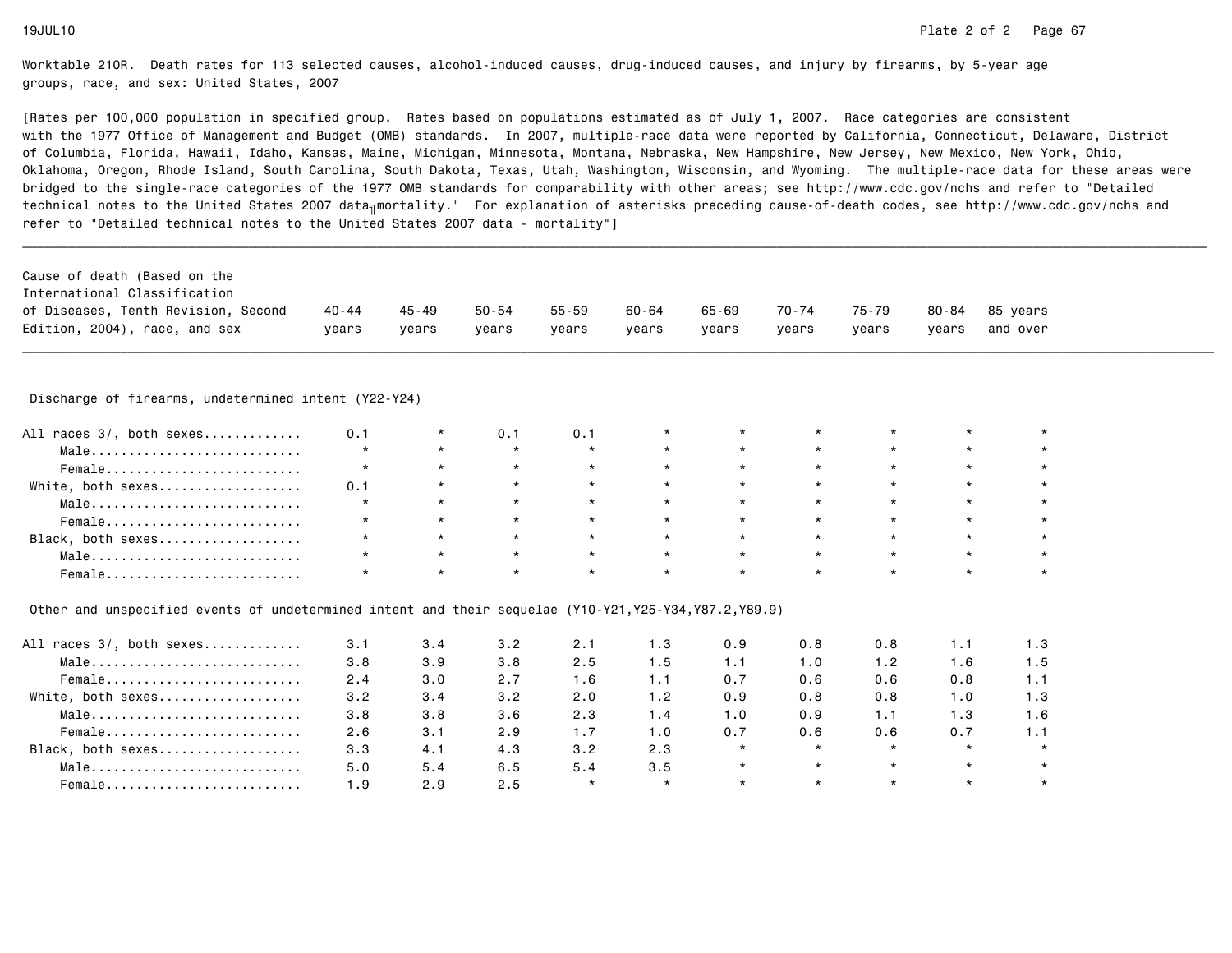[Rates per 100,000 population in specified group. Rates based on populations estimated as of July 1, 2007. Race categories are consistent with the 1977 Office of Management and Budget (OMB) standards. In 2007, multiple-race data were reported by California, Connecticut, Delaware, Districtof Columbia, Florida, Hawaii, Idaho, Kansas, Maine, Michigan, Minnesota, Montana, Nebraska, New Hampshire, New Jersey, New Mexico, New York, Ohio, Oklahoma, Oregon, Rhode Island, South Carolina, South Dakota, Texas, Utah, Washington, Wisconsin, and Wyoming. The multiple-race data for these areas werebridged to the single-race categories of the 1977 OMB standards for comparability with other areas; see http://www.cdc.gov/nchs and refer to "Detailedtechnical notes to the United States 2007 data<sub>∏</sub>mortality." For explanation of asterisks preceding cause-of-death codes, see http://www.cdc.gov/nchs and refer to "Detailed technical notes to the United States 2007 data - mortality"]

| of Diseases, Tenth Revision, Second<br>70-74<br>65-69<br>40 - 44<br>50-54<br>55-59<br>75-79<br>45 - 49<br>60-64<br>80-84<br>85 vears | Cause of death (Based on the  |       |       |       |       |       |       |       |       |       |          |
|--------------------------------------------------------------------------------------------------------------------------------------|-------------------------------|-------|-------|-------|-------|-------|-------|-------|-------|-------|----------|
|                                                                                                                                      | International Classification  |       |       |       |       |       |       |       |       |       |          |
|                                                                                                                                      | Edition, 2004), race, and sex | vears | vears | vears | vears | vears | vears | vears | vears | vears | and over |

\_\_\_\_\_\_\_\_\_\_\_\_\_\_\_\_\_\_\_\_\_\_\_\_\_\_\_\_\_\_\_\_\_\_\_\_\_\_\_\_\_\_\_\_\_\_\_\_\_\_\_\_\_\_\_\_\_\_\_\_\_\_\_\_\_\_\_\_\_\_\_\_\_\_\_\_\_\_\_\_\_\_\_\_\_\_\_\_\_\_\_\_\_\_\_\_\_\_\_\_\_\_\_\_\_\_\_\_\_\_\_\_\_\_\_\_\_\_\_\_\_\_\_\_\_\_\_\_\_\_\_\_\_\_\_\_\_\_\_\_\_\_\_\_\_\_\_\_\_\_\_\_\_\_\_\_\_\_ Discharge of firearms, undetermined intent (Y22-Y24)

| All races 3/, both sexes | 0.1 |         | 0.1     | 0.1     | $\star$ |         | $\star$ |         |         |  |
|--------------------------|-----|---------|---------|---------|---------|---------|---------|---------|---------|--|
| Male                     |     |         |         | $\star$ | $\star$ |         | $\star$ |         |         |  |
| Female                   |     |         | $\star$ | $\star$ | $\star$ | $\star$ | $\star$ |         |         |  |
| White, both sexes        | 0.1 |         | $\star$ | $\star$ | $\star$ | $\star$ | $\star$ |         | $\star$ |  |
| Male                     |     | $\star$ | $\star$ | $\star$ | $\star$ | $\star$ | $\star$ | $\star$ | $\star$ |  |
| Female                   |     | $\star$ | $\star$ | $\star$ | $\star$ | $\star$ | $\star$ | $\star$ | $\star$ |  |
| Black, both sexes        |     | $\star$ | $\star$ | $\star$ | $\star$ | $\star$ | $\star$ | $\star$ | $\star$ |  |
| Male                     |     | $\star$ | $\star$ | $\star$ | $\star$ | $\star$ | $\star$ | $\star$ | $\star$ |  |
| Female                   |     |         |         |         | $\star$ |         |         |         |         |  |

Other and unspecified events of undetermined intent and their sequelae (Y10-Y21,Y25-Y34,Y87.2,Y89.9)

| All races 3/, both sexes | 3.1 | 3.4 | 3.2 | 2.1     | ∣.3     | 0.9     | 0.8     | 0.8     | I. 1    | 1.3 |
|--------------------------|-----|-----|-----|---------|---------|---------|---------|---------|---------|-----|
| Male                     | 3.8 | 3.9 | 3.8 | 2.5     | l.5     | 1.1     | 1.0     | 1.2     | 1.6     | 1.5 |
| Female                   | 2.4 | 3.0 | 2.7 | 1.6     | l . 1   | 0.7     | 0.6     | 0.6     | 0.8     |     |
| White, both sexes        | 3.2 | 3.4 | 3.2 | 2.0     | 1.2     | 0.9     | 0.8     | 0.8     | 1.0     | 1.3 |
| Male                     | 3.8 | 3.8 | 3.6 | 2.3     | 1.4     | 1.0     | 0.9     | 1.1     | 1.3     | 1.6 |
| Female                   | 2.6 | 3.1 | 2.9 | 1.7     | I.O     | 0.7     | 0.6     | 0.6     | 0.7     |     |
| Black, both sexes        | 3.3 | 4.1 | 4.3 | 3.2     | 2.3     | $\star$ | $\star$ |         | $\star$ |     |
| Male                     | 5.0 | 5.4 | 6.5 | 5.4     | 3.5     | $\star$ | $\star$ | $\star$ | $\star$ |     |
| Female                   | 1.9 | 2.9 | 2.5 | $\star$ | $\star$ | $\star$ | $\star$ | $\star$ | $\star$ |     |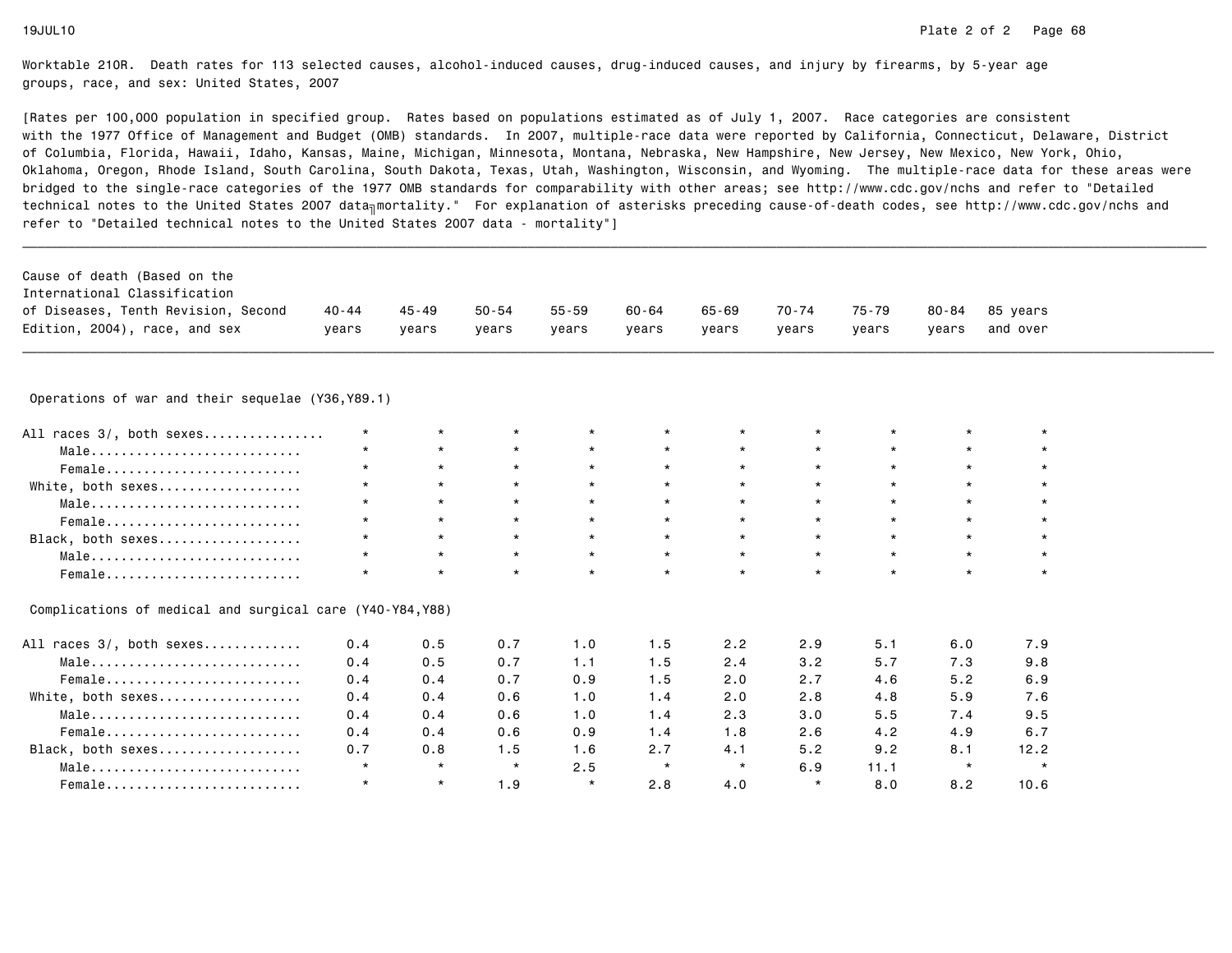| Cause of death (Based on the<br>International Classification<br>of Diseases, Tenth Revision, Second<br>Edition, 2004), race, and sex | $40 - 44$<br>years | $45 - 49$<br>years | $50 - 54$<br>vears | $55 - 59$<br>years | $60 - 64$<br>years | $65 - 69$<br>vears | 70-74<br>years | 75-79<br>years | 80-84<br>years | 85 years<br>and over |  |
|--------------------------------------------------------------------------------------------------------------------------------------|--------------------|--------------------|--------------------|--------------------|--------------------|--------------------|----------------|----------------|----------------|----------------------|--|
|                                                                                                                                      |                    |                    |                    |                    |                    |                    |                |                |                |                      |  |
| Operations of war and their sequelae (Y36, Y89.1)                                                                                    |                    |                    |                    |                    |                    |                    |                |                |                |                      |  |
| All races 3/, both sexes                                                                                                             | $\star$            | $\star$            | $\star$            |                    |                    | $\star$            |                |                |                |                      |  |
| Male                                                                                                                                 |                    | $\star$            | $\star$            | $\star$            | $\star$            | $\star$            |                | $\star$        | $\star$        |                      |  |
| Female                                                                                                                               | $\star$            | $\star$            | $\star$            | $\star$            | $\star$            | $\star$            | $\star$        | $\star$        | $\star$        |                      |  |
| White, both sexes                                                                                                                    |                    | $\star$            | $\star$            | $\star$            | $\star$            | $\star$            |                | $\star$        | $\star$        |                      |  |
| Male                                                                                                                                 |                    | $\star$            | $\star$            | $\star$            | $\star$            | $\star$            | $\star$        | $\star$        | $\star$        |                      |  |
| Female                                                                                                                               | $\star$            | $\star$            | $\star$            | $\star$            | $\star$            | $\star$            | $\star$        | $\star$        | $\star$        |                      |  |
| Black, both sexes                                                                                                                    | $\star$            | $\star$            | $\star$            | $\star$            | $\star$            | $\star$            | $\star$        | $\star$        | $\star$        | $\star$              |  |
| Male                                                                                                                                 | $\star$            | $\star$            | $\star$            | $\star$            | $\star$            | $\star$            | $\star$        | $\star$        | $\star$        | $\star$              |  |
| Female                                                                                                                               |                    | $\star$            | $\star$            | $\star$            | $\star$            | $\star$            | $\star$        | $\star$        | $\star$        | $\star$              |  |
| Complications of medical and surgical care (Y40-Y84,Y88)                                                                             |                    |                    |                    |                    |                    |                    |                |                |                |                      |  |
| All races 3/, both sexes                                                                                                             | 0.4                | 0.5                | 0.7                | 1.0                | 1.5                | 2.2                | 2.9            | 5.1            | 6.0            | 7.9                  |  |
| Male                                                                                                                                 | 0.4                | 0.5                | 0.7                | 1.1                | 1.5                | 2.4                | 3.2            | 5.7            | 7.3            | 9.8                  |  |
| Female                                                                                                                               | 0.4                | 0.4                | 0.7                | 0.9                | 1.5                | 2.0                | 2.7            | 4.6            | 5.2            | 6.9                  |  |
| White, both sexes                                                                                                                    | 0.4                | 0.4                | 0.6                | 1.0                | 1.4                | 2.0                | 2.8            | 4.8            | 5.9            | 7.6                  |  |
| Male                                                                                                                                 | 0.4                | 0.4                | 0.6                | 1.0                | 1.4                | 2.3                | 3.0            | 5.5            | 7.4            | 9.5                  |  |
| Female                                                                                                                               | 0.4                | 0.4                | 0.6                | 0.9                | 1.4                | 1.8                | 2.6            | 4.2            | 4.9            | 6.7                  |  |
| Black, both sexes                                                                                                                    | 0.7                | 0.8                | 1.5                | 1.6                | 2.7                | 4.1                | 5.2            | 9.2            | 8.1            | 12.2                 |  |
| Male                                                                                                                                 | $\star$            | $\star$            | $\star$            | 2.5                | $\star$            | $\star$            | 6.9            | 11.1           | $\star$        | $\star$              |  |
| Female                                                                                                                               | $\star$            | $\star$            | 1.9                | $\star$            | 2.8                | 4.0                | $\star$        | 8.0            | 8.2            | 10.6                 |  |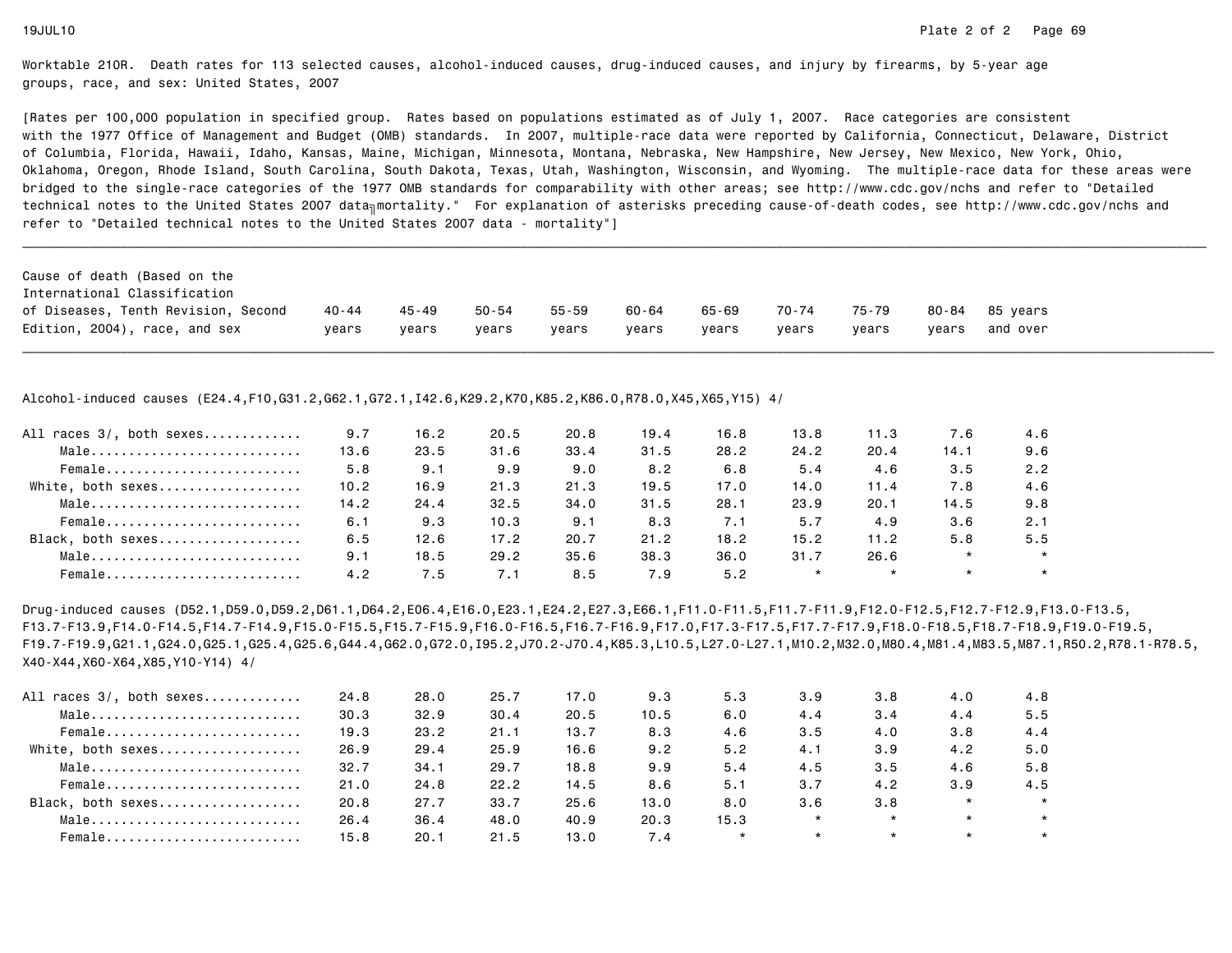[Rates per 100,000 population in specified group. Rates based on populations estimated as of July 1, 2007. Race categories are consistent with the 1977 Office of Management and Budget (OMB) standards. In 2007, multiple-race data were reported by California, Connecticut, Delaware, Districtof Columbia, Florida, Hawaii, Idaho, Kansas, Maine, Michigan, Minnesota, Montana, Nebraska, New Hampshire, New Jersey, New Mexico, New York, Ohio, Oklahoma, Oregon, Rhode Island, South Carolina, South Dakota, Texas, Utah, Washington, Wisconsin, and Wyoming. The multiple-race data for these areas werebridged to the single-race categories of the 1977 OMB standards for comparability with other areas; see http://www.cdc.gov/nchs and refer to "Detailedtechnical notes to the United States 2007 data<sub>∏</sub>mortality." For explanation of asterisks preceding cause-of-death codes, see http://www.cdc.gov/nchs and refer to "Detailed technical notes to the United States 2007 data - mortality"]

| 75-79<br>50-54<br>70-74<br>55-59<br>60-64<br>65-69<br>40 - 44<br>45 - 49<br>80-84 85 vears                     | Cause of death (Based on the        |  |  |  |  |          |
|----------------------------------------------------------------------------------------------------------------|-------------------------------------|--|--|--|--|----------|
|                                                                                                                | International Classification        |  |  |  |  |          |
|                                                                                                                | of Diseases, Tenth Revision, Second |  |  |  |  |          |
| Edition, 2004), race, and sex<br>years<br>years<br>vears<br>years<br>years<br>years<br>vears<br>vears<br>years |                                     |  |  |  |  | and over |

\_\_\_\_\_\_\_\_\_\_\_\_\_\_\_\_\_\_\_\_\_\_\_\_\_\_\_\_\_\_\_\_\_\_\_\_\_\_\_\_\_\_\_\_\_\_\_\_\_\_\_\_\_\_\_\_\_\_\_\_\_\_\_\_\_\_\_\_\_\_\_\_\_\_\_\_\_\_\_\_\_\_\_\_\_\_\_\_\_\_\_\_\_\_\_\_\_\_\_\_\_\_\_\_\_\_\_\_\_\_\_\_\_\_\_\_\_\_\_\_\_\_\_\_\_\_\_\_\_\_\_\_\_\_\_\_\_\_\_\_\_\_\_\_\_\_\_\_\_\_\_\_\_\_\_\_\_\_

Alcohol-induced causes (E24.4,F10,G31.2,G62.1,G72.1,I42.6,K29.2,K70,K85.2,K86.0,R78.0,X45,X65,Y15) 4/

| All races 3/, both sexes | 9.7  | 16.2 | 20.5 | 20.8 | 19.4 | 16.8 | 13.8    | 11.3    | 7.6     | 4.6     |
|--------------------------|------|------|------|------|------|------|---------|---------|---------|---------|
| Male                     | 13.6 | 23.5 | 31.6 | 33.4 | 31.5 | 28.2 | 24.2    | 20.4    | 14.1    | 9.6     |
| Female                   | 5.8  | 9.1  | 9.9  | 9.0  | 8.2  | 6.8  | 5.4     | 4.6     | 3.5     | 2.2     |
| White, both sexes        | 10.2 | 16.9 | 21.3 | 21.3 | 19.5 | 17.0 | 14.0    | 11.4    | 7.8     | 4.6     |
| Male                     | 14.2 | 24.4 | 32.5 | 34.0 | 31.5 | 28.1 | 23.9    | 20.1    | 14.5    | 9.8     |
| Female                   | 6.1  | 9.3  | 10.3 | 9.1  | 8.3  | 7.1  | 5.7     | 4.9     | 3.6     | 2.1     |
| Black, both sexes        | 6.5  | 12.6 | 17.2 | 20.7 | 21.2 | 18.2 | 15.2    | 11.2    | 5.8     | 5.5     |
| Male                     | 9.1  | 18.5 | 29.2 | 35.6 | 38.3 | 36.0 | 31.7    | 26.6    | $\star$ | $\star$ |
| Female                   | 4.2  | 7.5  | 7.1  | 8.5  | 7.9  | 5.2  | $\star$ | $\star$ | $\star$ |         |

Drug-induced causes (D52.1,D59.0,D59.2,D61.1,D64.2,E06.4,E16.0,E23.1,E24.2,E27.3,E66.1,F11.0-F11.5,F11.7-F11.9,F12.0-F12.5,F12.7-F12.9,F13.0-F13.5, F13.7-F13.9,F14.0-F14.5,F14.7-F14.9,F15.0-F15.5,F15.7-F15.9,F16.0-F16.5,F16.7-F16.9,F17.0,F17.3-F17.5,F17.7-F17.9,F18.0-F18.5,F18.7-F18.9,F19.0-F19.5, F19.7-F19.9,G21.1,G24.0,G25.1,G25.4,G25.6,G44.4,G62.0,G72.0,I95.2,J70.2-J70.4,K85.3,L10.5,L27.0-L27.1,M10.2,M32.0,M80.4,M81.4,M83.5,M87.1,R50.2,R78.1-R78.5,X40-X44,X60-X64,X85,Y10-Y14) 4/

| 24.8 | 28.0 | 25.7 | 17.0 | 9.3  | 5.3     | 3.9     | 3.8     | 4.0     | 4.8     |
|------|------|------|------|------|---------|---------|---------|---------|---------|
| 30.3 | 32.9 | 30.4 | 20.5 | 10.5 | 6.0     | 4.4     | 3.4     | 4.4     | 5.5     |
| 19.3 | 23.2 | 21.1 | 13.7 | 8.3  | 4.6     | 3.5     | 4.0     | 3.8     | 4.4     |
| 26.9 | 29.4 | 25.9 | 16.6 | 9.2  | 5.2     | 4.1     | 3.9     | 4.2     | 5.0     |
| 32.7 | 34.1 | 29.7 | 18.8 | 9.9  | 5.4     | 4.5     | 3.5     | 4.6     | 5.8     |
| 21.0 | 24.8 | 22.2 | 14.5 | 8.6  | 5.1     | 3.7     | 4.2     | 3.9     | 4.5     |
| 20.8 | 27.7 | 33.7 | 25.6 | 13.0 | 8.0     | 3.6     | 3.8     | $\star$ | $\star$ |
| 26.4 | 36.4 | 48.0 | 40.9 | 20.3 | 15.3    | $\star$ | $\star$ | $\star$ | $\star$ |
| 15.8 | 20.1 | 21.5 | 13.0 | 7.4  | $\star$ | $\star$ | $\star$ | $\star$ | $\star$ |
|      |      |      |      |      |         |         |         |         |         |